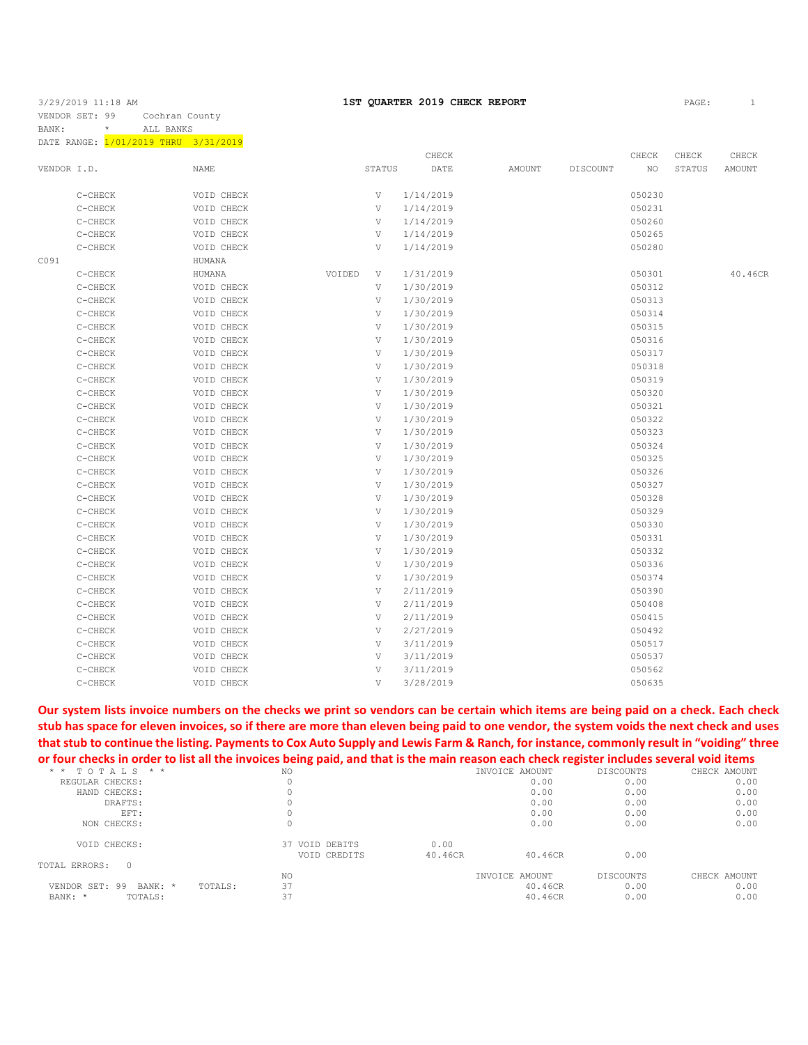DATE RANGE:  $\frac{1}{01/2019}$  THRU 3/31/2019

|             |         |             |        |               | CHECK     |               |          | CHECK  | CHECK  | CHECK         |
|-------------|---------|-------------|--------|---------------|-----------|---------------|----------|--------|--------|---------------|
| VENDOR I.D. |         | <b>NAME</b> |        | <b>STATUS</b> | DATE      | <b>AMOUNT</b> | DISCOUNT | NO     | STATUS | <b>AMOUNT</b> |
|             | C-CHECK | VOID CHECK  |        | V             | 1/14/2019 |               |          | 050230 |        |               |
|             | C-CHECK | VOID CHECK  |        | V             | 1/14/2019 |               |          | 050231 |        |               |
|             | C-CHECK | VOID CHECK  |        | V             | 1/14/2019 |               |          | 050260 |        |               |
|             | C-CHECK | VOID CHECK  |        | V             | 1/14/2019 |               |          | 050265 |        |               |
|             | C-CHECK | VOID CHECK  |        | V             | 1/14/2019 |               |          | 050280 |        |               |
| C091        |         | HUMANA      |        |               |           |               |          |        |        |               |
|             | C-CHECK | HUMANA      | VOIDED | V             | 1/31/2019 |               |          | 050301 |        | 40.46CR       |
|             | C-CHECK | VOID CHECK  |        | V             | 1/30/2019 |               |          | 050312 |        |               |
|             | C-CHECK | VOID CHECK  |        | V             | 1/30/2019 |               |          | 050313 |        |               |
|             | C-CHECK | VOID CHECK  |        | V             | 1/30/2019 |               |          | 050314 |        |               |
|             | C-CHECK | VOID CHECK  |        | V             | 1/30/2019 |               |          | 050315 |        |               |
|             | C-CHECK | VOID CHECK  |        | V             | 1/30/2019 |               |          | 050316 |        |               |
|             | C-CHECK | VOID CHECK  |        | V             | 1/30/2019 |               |          | 050317 |        |               |
|             | C-CHECK | VOID CHECK  |        | V             | 1/30/2019 |               |          | 050318 |        |               |
|             | C-CHECK | VOID CHECK  |        | V             | 1/30/2019 |               |          | 050319 |        |               |
|             | C-CHECK | VOID CHECK  |        | V             | 1/30/2019 |               |          | 050320 |        |               |
|             | C-CHECK | VOID CHECK  |        | V             | 1/30/2019 |               |          | 050321 |        |               |
|             | C-CHECK | VOID CHECK  |        | V             | 1/30/2019 |               |          | 050322 |        |               |
|             | C-CHECK | VOID CHECK  |        | V             | 1/30/2019 |               |          | 050323 |        |               |
|             | C-CHECK | VOID CHECK  |        | V             | 1/30/2019 |               |          | 050324 |        |               |
|             | C-CHECK | VOID CHECK  |        | V             | 1/30/2019 |               |          | 050325 |        |               |
|             | C-CHECK | VOID CHECK  |        | V             | 1/30/2019 |               |          | 050326 |        |               |
|             | C-CHECK | VOID CHECK  |        | V             | 1/30/2019 |               |          | 050327 |        |               |
|             | C-CHECK | VOID CHECK  |        | V             | 1/30/2019 |               |          | 050328 |        |               |
|             | C-CHECK | VOID CHECK  |        | V             | 1/30/2019 |               |          | 050329 |        |               |
|             | C-CHECK | VOID CHECK  |        | V             | 1/30/2019 |               |          | 050330 |        |               |
|             | C-CHECK | VOID CHECK  |        | V             | 1/30/2019 |               |          | 050331 |        |               |
|             | C-CHECK | VOID CHECK  |        | V             | 1/30/2019 |               |          | 050332 |        |               |
|             | C-CHECK | VOID CHECK  |        | V             | 1/30/2019 |               |          | 050336 |        |               |
|             | C-CHECK | VOID CHECK  |        | V             | 1/30/2019 |               |          | 050374 |        |               |
|             | C-CHECK | VOID CHECK  |        | V             | 2/11/2019 |               |          | 050390 |        |               |
|             | C-CHECK | VOID CHECK  |        | V             | 2/11/2019 |               |          | 050408 |        |               |
|             | C-CHECK | VOID CHECK  |        | V             | 2/11/2019 |               |          | 050415 |        |               |
|             | C-CHECK | VOID CHECK  |        | V             | 2/27/2019 |               |          | 050492 |        |               |
|             | C-CHECK | VOID CHECK  |        | V             | 3/11/2019 |               |          | 050517 |        |               |
|             | C-CHECK | VOID CHECK  |        | V             | 3/11/2019 |               |          | 050537 |        |               |
|             | C-CHECK | VOID CHECK  |        | V             | 3/11/2019 |               |          | 050562 |        |               |
|             | C-CHECK | VOID CHECK  |        | V             | 3/28/2019 |               |          | 050635 |        |               |

**Our system lists invoice numbers on the checks we print so vendors can be certain which items are being paid on a check. Each check stub has space for eleven invoices, so if there are more than eleven being paid to one vendor, the system voids the next check and uses that stub to continue the listing. Payments to Cox Auto Supply and Lewis Farm & Ranch, for instance, commonly result in "voiding" three or four checks in order to list all the invoices being paid, and that is the main reason each check register includes several void items**

| $T$ O $T$ A L S $*$ $*$<br>* * | NO.                            |                 | INVOICE AMOUNT            | DISCOUNTS         | CHECK AMOUNT         |
|--------------------------------|--------------------------------|-----------------|---------------------------|-------------------|----------------------|
| REGULAR CHECKS:                |                                |                 | 0.00                      | 0.00              | 0.00                 |
| HAND CHECKS:                   |                                |                 | 0.00                      | 0.00              | 0.00                 |
| DRAFTS:                        |                                |                 | 0.00                      | 0.00              | 0.00                 |
| EFT:                           |                                |                 | 0.00                      | 0.00              | 0.00                 |
| NON CHECKS:                    |                                |                 | 0.00                      | 0.00              | 0.00                 |
| VOID CHECKS:                   | 37 VOID DEBITS<br>VOID CREDITS | 0.00<br>40.46CR | 40.46CR                   | 0.00              |                      |
| TOTAL ERRORS:<br>$\Omega$      |                                |                 |                           |                   |                      |
| VENDOR SET: 99 BANK: *         | NO.<br>37<br>TOTALS:           |                 | INVOICE AMOUNT<br>40.46CR | DISCOUNTS<br>0.00 | CHECK AMOUNT<br>0.00 |
| BANK: *<br>TOTALS:             | 37                             |                 | 40.46CR                   | 0.00              | 0.00                 |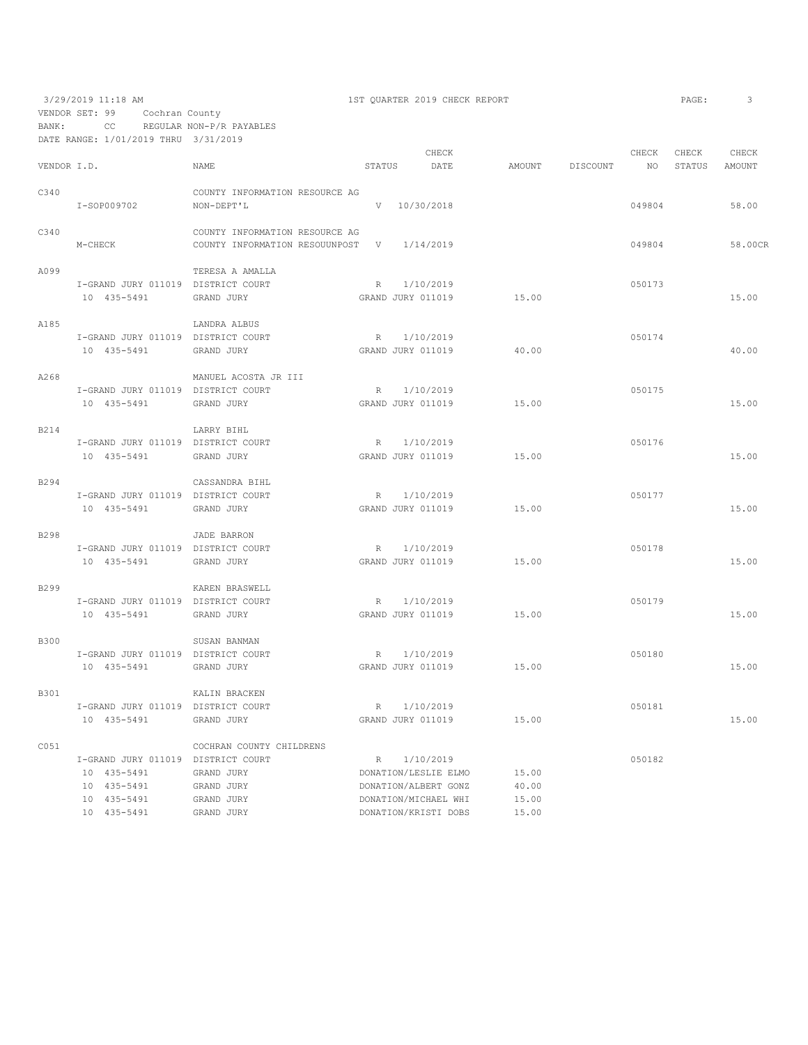|             | 3/29/2019 11:18 AM                   |                                |                 |                      | 1ST QUARTER 2019 CHECK REPORT |        |                 |        | PAGE:  | 3       |
|-------------|--------------------------------------|--------------------------------|-----------------|----------------------|-------------------------------|--------|-----------------|--------|--------|---------|
|             | VENDOR SET: 99<br>Cochran County     |                                |                 |                      |                               |        |                 |        |        |         |
| BANK:       | CC                                   | REGULAR NON-P/R PAYABLES       |                 |                      |                               |        |                 |        |        |         |
|             | DATE RANGE: 1/01/2019 THRU 3/31/2019 |                                |                 |                      |                               |        |                 |        |        |         |
|             |                                      |                                |                 |                      | CHECK                         |        |                 | CHECK  | CHECK  | CHECK   |
| VENDOR I.D. |                                      | <b>NAME</b>                    | STATUS          |                      | DATE                          | AMOUNT | <b>DISCOUNT</b> | NO.    | STATUS | AMOUNT  |
|             |                                      |                                |                 |                      |                               |        |                 |        |        |         |
| C340        |                                      | COUNTY INFORMATION RESOURCE AG |                 |                      |                               |        |                 |        |        |         |
|             | I-SOP009702                          | NON-DEPT'L                     | V               | 10/30/2018           |                               |        |                 | 049804 |        | 58.00   |
|             |                                      |                                |                 |                      |                               |        |                 |        |        |         |
| C340        |                                      | COUNTY INFORMATION RESOURCE AG |                 |                      |                               |        |                 |        |        |         |
|             | M-CHECK                              | COUNTY INFORMATION RESOUUNPOST | V               | 1/14/2019            |                               |        |                 | 049804 |        | 58.00CR |
|             |                                      |                                |                 |                      |                               |        |                 |        |        |         |
| A099        |                                      | TERESA A AMALLA                |                 |                      |                               |        |                 |        |        |         |
|             | I-GRAND JURY 011019 DISTRICT COURT   |                                | R               | 1/10/2019            |                               |        |                 | 050173 |        |         |
|             | 10 435-5491                          | GRAND JURY                     |                 | GRAND JURY 011019    |                               | 15.00  |                 |        |        | 15.00   |
|             |                                      |                                |                 |                      |                               |        |                 |        |        |         |
| A185        |                                      | LANDRA ALBUS                   |                 |                      |                               |        |                 |        |        |         |
|             | I-GRAND JURY 011019 DISTRICT COURT   |                                | R               | 1/10/2019            |                               |        |                 | 050174 |        |         |
|             | 10 435-5491                          | GRAND JURY                     |                 | GRAND JURY 011019    |                               | 40.00  |                 |        |        | 40.00   |
|             |                                      |                                |                 |                      |                               |        |                 |        |        |         |
| A268        |                                      | MANUEL ACOSTA JR III           |                 |                      |                               |        |                 |        |        |         |
|             | I-GRAND JURY 011019 DISTRICT COURT   |                                | R               | 1/10/2019            |                               |        |                 | 050175 |        |         |
|             | 10 435-5491                          | GRAND JURY                     |                 | GRAND JURY 011019    |                               | 15.00  |                 |        |        | 15.00   |
|             |                                      |                                |                 |                      |                               |        |                 |        |        |         |
| B214        |                                      | LARRY BIHL                     |                 |                      |                               |        |                 | 050176 |        |         |
|             | I-GRAND JURY 011019 DISTRICT COURT   |                                | R               | 1/10/2019            |                               |        |                 |        |        |         |
|             | 10 435-5491                          | GRAND JURY                     |                 | GRAND JURY 011019    |                               | 15.00  |                 |        |        | 15.00   |
| B294        |                                      | CASSANDRA BIHL                 |                 |                      |                               |        |                 |        |        |         |
|             | I-GRAND JURY 011019 DISTRICT COURT   |                                | R               | 1/10/2019            |                               |        |                 | 050177 |        |         |
|             | 10 435-5491                          | GRAND JURY                     |                 | GRAND JURY 011019    |                               | 15.00  |                 |        |        | 15.00   |
|             |                                      |                                |                 |                      |                               |        |                 |        |        |         |
| <b>B298</b> |                                      | <b>JADE BARRON</b>             |                 |                      |                               |        |                 |        |        |         |
|             | I-GRAND JURY 011019 DISTRICT COURT   |                                | R               | 1/10/2019            |                               |        |                 | 050178 |        |         |
|             | 10 435-5491                          | GRAND JURY                     |                 | GRAND JURY 011019    |                               | 15.00  |                 |        |        | 15.00   |
|             |                                      |                                |                 |                      |                               |        |                 |        |        |         |
| B299        |                                      | KAREN BRASWELL                 |                 |                      |                               |        |                 |        |        |         |
|             | I-GRAND JURY 011019 DISTRICT COURT   |                                | $R_{\parallel}$ | 1/10/2019            |                               |        |                 | 050179 |        |         |
|             | 10 435-5491                          | GRAND JURY                     |                 | GRAND JURY 011019    |                               | 15.00  |                 |        |        | 15.00   |
|             |                                      |                                |                 |                      |                               |        |                 |        |        |         |
| <b>B300</b> |                                      | SUSAN BANMAN                   |                 |                      |                               |        |                 |        |        |         |
|             | I-GRAND JURY 011019 DISTRICT COURT   |                                | R               | 1/10/2019            |                               |        |                 | 050180 |        |         |
|             | 10 435-5491                          | GRAND JURY                     |                 | GRAND JURY 011019    |                               | 15.00  |                 |        |        | 15.00   |
|             |                                      |                                |                 |                      |                               |        |                 |        |        |         |
| B301        |                                      | KALIN BRACKEN                  |                 |                      |                               |        |                 |        |        |         |
|             | I-GRAND JURY 011019 DISTRICT COURT   |                                |                 | R 1/10/2019          |                               |        |                 | 050181 |        |         |
|             | 10 435-5491                          | GRAND JURY                     |                 | GRAND JURY 011019    |                               | 15.00  |                 |        |        | 15.00   |
|             |                                      |                                |                 |                      |                               |        |                 |        |        |         |
| C051        |                                      | COCHRAN COUNTY CHILDRENS       |                 |                      |                               |        |                 |        |        |         |
|             | I-GRAND JURY 011019 DISTRICT COURT   |                                |                 | R 1/10/2019          |                               |        |                 | 050182 |        |         |
|             | 10 435-5491                          | GRAND JURY                     |                 | DONATION/LESLIE ELMO |                               | 15.00  |                 |        |        |         |
|             | 10 435-5491                          | GRAND JURY                     |                 | DONATION/ALBERT GONZ |                               | 40.00  |                 |        |        |         |
|             | 10 435-5491                          | GRAND JURY                     |                 | DONATION/MICHAEL WHI |                               | 15.00  |                 |        |        |         |
|             | 10 435-5491                          | GRAND JURY                     |                 | DONATION/KRISTI DOBS |                               | 15.00  |                 |        |        |         |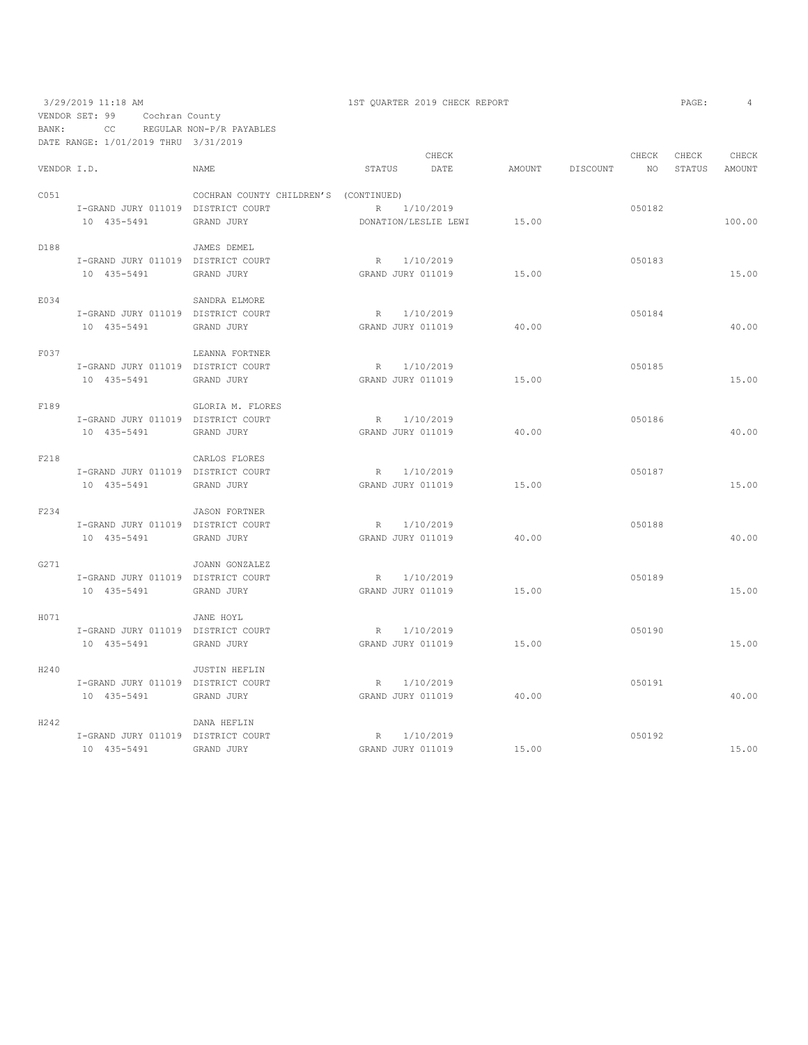3/29/2019 11:18 AM 1ST QUARTER 2019 CHECK REPORT PAGE: 4 VENDOR SET: 99 Cochran County BANK: CC REGULAR NON-P/R PAYABLES

DATE RANGE: 1/01/2019 THRU 3/31/2019 CHECK CHECK CHECK CHECK CHECK CHECK CHECK CHECK CHECK CHECK CHECK CHECK CHECK CHECK CHECK CHECK CHECK CHECK CHECK CHECK CHECK CHECK AMOUNT NO STATUS AMOUNT NAME STATUS DATE AMOUNT DISCOUNT NO STATUS AMOUNT C051 COCHRAN COUNTY CHILDREN'S (CONTINUED) I-GRAND JURY 011019 DISTRICT COURT R 1/10/2019 050182 10 435-5491 GRAND JURY DONATION/LESLIE LEWI 15.00 100.00 D188 JAMES DEMEL I-GRAND JURY 011019 DISTRICT COURT R 1/10/2019 050183 10 435-5491 GRAND JURY GRAND JURY 011019 15.00 15.00 E034 SANDRA ELMORE I-GRAND JURY 011019 DISTRICT COURT R 1/10/2019 050184 10 435-5491 GRAND JURY GRAND JURY 011019 40.00 40.00 F037 LEANNA FORTNER I-GRAND JURY 011019 DISTRICT COURT R 1/10/2019 050185 10 435-5491 GRAND JURY GRAND JURY 011019 15.00 15.00 F189 GLORIA M. FLORES I-GRAND JURY 011019 DISTRICT COURT R 1/10/2019 050186 10 435-5491 GRAND JURY GRAND JURY 011019 40.00 40.00 F218 CARLOS FLORES I-GRAND JURY 011019 DISTRICT COURT R 1/10/2019 050187 10 435-5491 GRAND JURY GRAND JURY 011019 15.00 15.00 F234 JASON FORTNER I-GRAND JURY 011019 DISTRICT COURT R 1/10/2019 050188 10 435-5491 GRAND JURY GRAND JURY 011019 40.00 40.00 G271 JOANN GONZALEZ I-GRAND JURY 011019 DISTRICT COURT R 1/10/2019 050189 10 435-5491 GRAND JURY GRAND JURY 011019 15.00 15.00 H071 JANE HOYL I-GRAND JURY 011019 DISTRICT COURT R 1/10/2019 050190 10 435-5491 GRAND JURY GRAND JURY 011019 15.00 15.00 H240 JUSTIN HEFLIN I-GRAND JURY 011019 DISTRICT COURT R 1/10/2019 050191 10 435-5491 GRAND JURY GRAND JURY 011019 40.00 40.00 H242 DANA HEFLIN I-GRAND JURY 011019 DISTRICT COURT R 1/10/2019 050192 10 435-5491 GRAND JURY GRAND JURY 011019 15.00 15.00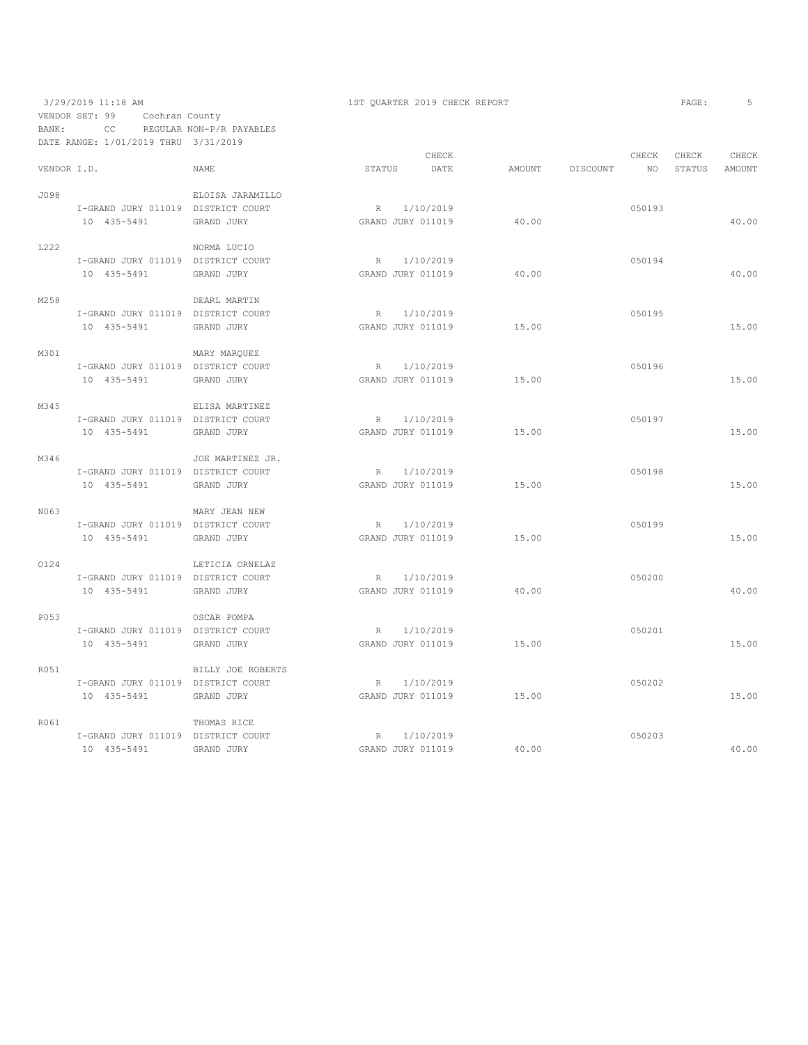### 3/29/2019 11:18 AM 1ST QUARTER 2019 CHECK REPORT VENDOR SET: 99 Cochran County BANK: CC REGULAR NON-P/R PAYABLES DATE RANGE: 1/01/2019 THRU 3/31/2019

| AGE | . . |  |
|-----|-----|--|
|     |     |  |

|             | DAIS RANGS. I/VI/ZVIJ IHRV         |                   |        |                   |        |          |                 |        |        |
|-------------|------------------------------------|-------------------|--------|-------------------|--------|----------|-----------------|--------|--------|
|             |                                    |                   |        | CHECK             |        |          | CHECK           | CHECK  | CHECK  |
| VENDOR I.D. |                                    | <b>NAME</b>       | STATUS | DATE              | AMOUNT | DISCOUNT | NO <sub>1</sub> | STATUS | AMOUNT |
| J098        |                                    | ELOISA JARAMILLO  |        |                   |        |          |                 |        |        |
|             | I-GRAND JURY 011019 DISTRICT COURT |                   |        | R 1/10/2019       |        |          | 050193          |        |        |
|             | 10 435-5491                        | GRAND JURY        |        | GRAND JURY 011019 | 40.00  |          |                 |        | 40.00  |
|             |                                    |                   |        |                   |        |          |                 |        |        |
| L222        |                                    | NORMA LUCIO       |        |                   |        |          |                 |        |        |
|             | I-GRAND JURY 011019 DISTRICT COURT |                   |        | R 1/10/2019       |        |          | 050194          |        |        |
|             | 10 435-5491                        | GRAND JURY        |        | GRAND JURY 011019 | 40.00  |          |                 |        | 40.00  |
|             |                                    |                   |        |                   |        |          |                 |        |        |
| M258        |                                    | DEARL MARTIN      |        |                   |        |          |                 |        |        |
|             | I-GRAND JURY 011019 DISTRICT COURT |                   |        | R 1/10/2019       |        |          | 050195          |        |        |
|             | 10 435-5491                        | GRAND JURY        |        | GRAND JURY 011019 | 15.00  |          |                 |        | 15.00  |
|             |                                    |                   |        |                   |        |          |                 |        |        |
| M301        |                                    | MARY MARQUEZ      |        |                   |        |          |                 |        |        |
|             | I-GRAND JURY 011019 DISTRICT COURT |                   |        | R 1/10/2019       |        |          | 050196          |        |        |
|             | 10 435-5491                        | GRAND JURY        |        | GRAND JURY 011019 | 15.00  |          |                 |        | 15.00  |
|             |                                    |                   |        |                   |        |          |                 |        |        |
| M345        |                                    | ELISA MARTINEZ    |        |                   |        |          |                 |        |        |
|             | I-GRAND JURY 011019 DISTRICT COURT |                   |        | R 1/10/2019       |        |          | 050197          |        |        |
|             | 10 435-5491                        | GRAND JURY        |        | GRAND JURY 011019 | 15.00  |          |                 |        | 15.00  |
| M346        |                                    | JOE MARTINEZ JR.  |        |                   |        |          |                 |        |        |
|             | I-GRAND JURY 011019 DISTRICT COURT |                   |        | R 1/10/2019       |        |          | 050198          |        |        |
|             | 10 435-5491                        |                   |        |                   | 15.00  |          |                 |        | 15.00  |
|             |                                    | GRAND JURY        |        | GRAND JURY 011019 |        |          |                 |        |        |
| N063        |                                    | MARY JEAN NEW     |        |                   |        |          |                 |        |        |
|             | I-GRAND JURY 011019 DISTRICT COURT |                   |        | R 1/10/2019       |        |          | 050199          |        |        |
|             | 10 435-5491                        | GRAND JURY        |        | GRAND JURY 011019 | 15.00  |          |                 |        | 15.00  |
|             |                                    |                   |        |                   |        |          |                 |        |        |
| 0124        |                                    | LETICIA ORNELAZ   |        |                   |        |          |                 |        |        |
|             | I-GRAND JURY 011019 DISTRICT COURT |                   |        | R 1/10/2019       |        |          | 050200          |        |        |
|             | 10 435-5491                        | GRAND JURY        |        | GRAND JURY 011019 | 40.00  |          |                 |        | 40.00  |
|             |                                    |                   |        |                   |        |          |                 |        |        |
| P053        |                                    | OSCAR POMPA       |        |                   |        |          |                 |        |        |
|             | I-GRAND JURY 011019 DISTRICT COURT |                   |        | R 1/10/2019       |        |          | 050201          |        |        |
|             | 10 435-5491                        | GRAND JURY        |        | GRAND JURY 011019 | 15.00  |          |                 |        | 15.00  |
|             |                                    |                   |        |                   |        |          |                 |        |        |
| R051        |                                    | BILLY JOE ROBERTS |        |                   |        |          |                 |        |        |
|             | I-GRAND JURY 011019 DISTRICT COURT |                   |        | R 1/10/2019       |        |          | 050202          |        |        |
|             | 10 435-5491                        | GRAND JURY        |        | GRAND JURY 011019 | 15.00  |          |                 |        | 15.00  |
| R061        |                                    | THOMAS RICE       |        |                   |        |          |                 |        |        |
|             | I-GRAND JURY 011019 DISTRICT COURT |                   |        | R 1/10/2019       |        |          | 050203          |        |        |
|             | 10 435-5491                        | GRAND JURY        |        | GRAND JURY 011019 | 40.00  |          |                 |        | 40.00  |
|             |                                    |                   |        |                   |        |          |                 |        |        |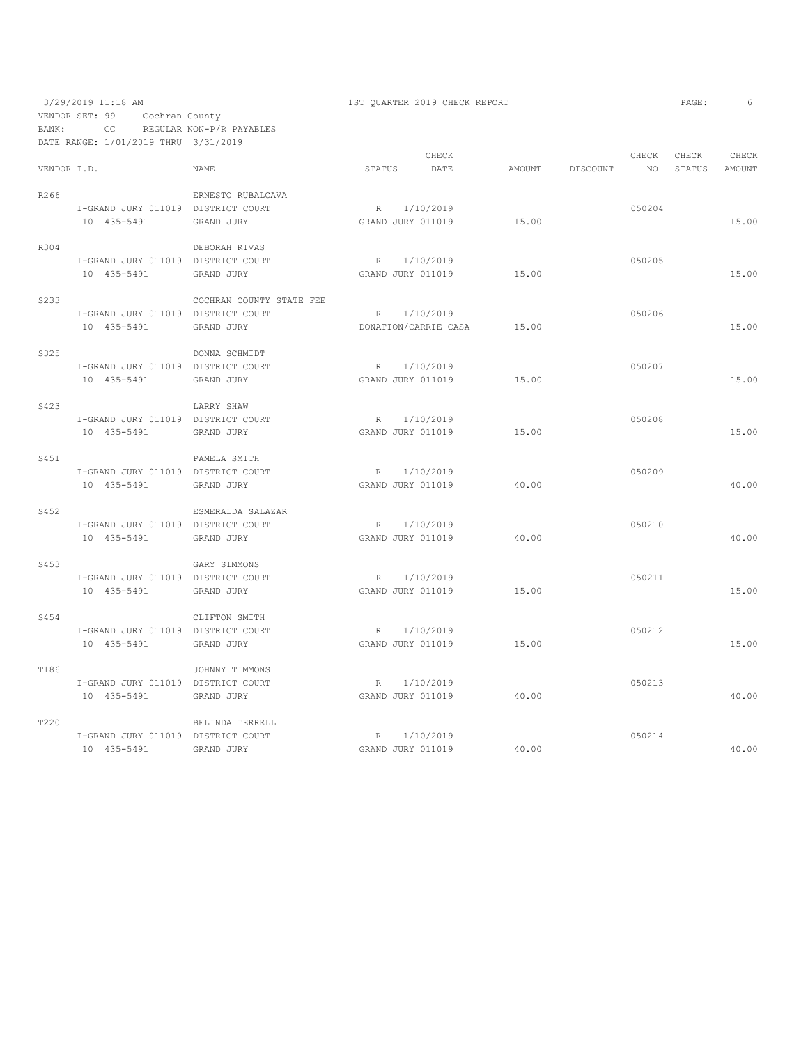3/29/2019 11:18 AM 1ST QUARTER 2019 CHECK REPORT VENDOR SET: 99 Cochran County BANK: CC REGULAR NON-P/R PAYABLES

|             | DATE RANGE: 1/01/2019 THRU 3/31/2019              |                          |                                  |                                     |                 |             |                 |                 |
|-------------|---------------------------------------------------|--------------------------|----------------------------------|-------------------------------------|-----------------|-------------|-----------------|-----------------|
| VENDOR I.D. |                                                   | NAME                     | STATUS                           | CHECK<br>DATE                       | AMOUNT DISCOUNT | CHECK<br>NO | CHECK<br>STATUS | CHECK<br>AMOUNT |
| R266        | I-GRAND JURY 011019 DISTRICT COURT                | ERNESTO RUBALCAVA        |                                  | R 1/10/2019                         |                 | 050204      |                 |                 |
|             | 10 435-5491                                       | GRAND JURY               | GRAND JURY 011019                |                                     | 15.00           |             |                 | 15.00           |
| R304        | I-GRAND JURY 011019 DISTRICT COURT                | DEBORAH RIVAS            |                                  | R 1/10/2019                         |                 | 050205      |                 |                 |
|             | 10 435-5491                                       | GRAND JURY               | GRAND JURY 011019                |                                     | 15.00           |             |                 | 15.00           |
| S233        |                                                   | COCHRAN COUNTY STATE FEE |                                  |                                     |                 |             |                 |                 |
|             | I-GRAND JURY 011019 DISTRICT COURT<br>10 435-5491 | GRAND JURY               |                                  | R 1/10/2019<br>DONATION/CARRIE CASA | 15.00           | 050206      |                 | 15.00           |
| S325        |                                                   | DONNA SCHMIDT            |                                  |                                     |                 |             |                 |                 |
|             | I-GRAND JURY 011019 DISTRICT COURT<br>10 435-5491 | GRAND JURY               | GRAND JURY 011019                | R 1/10/2019                         | 15.00           | 050207      |                 | 15.00           |
| S423        |                                                   | LARRY SHAW               |                                  |                                     |                 |             |                 |                 |
|             | I-GRAND JURY 011019 DISTRICT COURT<br>10 435-5491 | GRAND JURY               | GRAND JURY 011019                | R 1/10/2019                         | 15.00           | 050208      |                 | 15.00           |
| S451        |                                                   | PAMELA SMITH             |                                  |                                     |                 |             |                 |                 |
|             | I-GRAND JURY 011019 DISTRICT COURT<br>10 435-5491 | GRAND JURY               | R 1/10/2019<br>GRAND JURY 011019 |                                     | 40.00           | 050209      |                 | 40.00           |
| S452        |                                                   | ESMERALDA SALAZAR        |                                  |                                     |                 |             |                 |                 |
|             | I-GRAND JURY 011019 DISTRICT COURT<br>10 435-5491 | GRAND JURY               | GRAND JURY 011019                | R 1/10/2019                         | 40.00           | 050210      |                 | 40.00           |
| S453        |                                                   | GARY SIMMONS             |                                  |                                     |                 |             |                 |                 |
|             | I-GRAND JURY 011019 DISTRICT COURT<br>10 435-5491 | GRAND JURY               | GRAND JURY 011019                | R 1/10/2019                         | 15.00           | 050211      |                 | 15.00           |
| S454        |                                                   | CLIFTON SMITH            |                                  |                                     |                 |             |                 |                 |
|             | I-GRAND JURY 011019 DISTRICT COURT<br>10 435-5491 | GRAND JURY               | GRAND JURY 011019                | R 1/10/2019                         | 15.00           | 050212      |                 | 15.00           |
| T186        |                                                   | JOHNNY TIMMONS           |                                  |                                     |                 |             |                 |                 |
|             | I-GRAND JURY 011019 DISTRICT COURT<br>10 435-5491 | GRAND JURY               |                                  | R 1/10/2019<br>GRAND JURY 011019    | 40.00           | 050213      |                 | 40.00           |
| T220        |                                                   | BELINDA TERRELL          |                                  |                                     |                 |             |                 |                 |
|             | I-GRAND JURY 011019 DISTRICT COURT<br>10 435-5491 | GRAND JURY               | R 1/10/2019<br>GRAND JURY 011019 |                                     | 40.00           | 050214      |                 | 40.00           |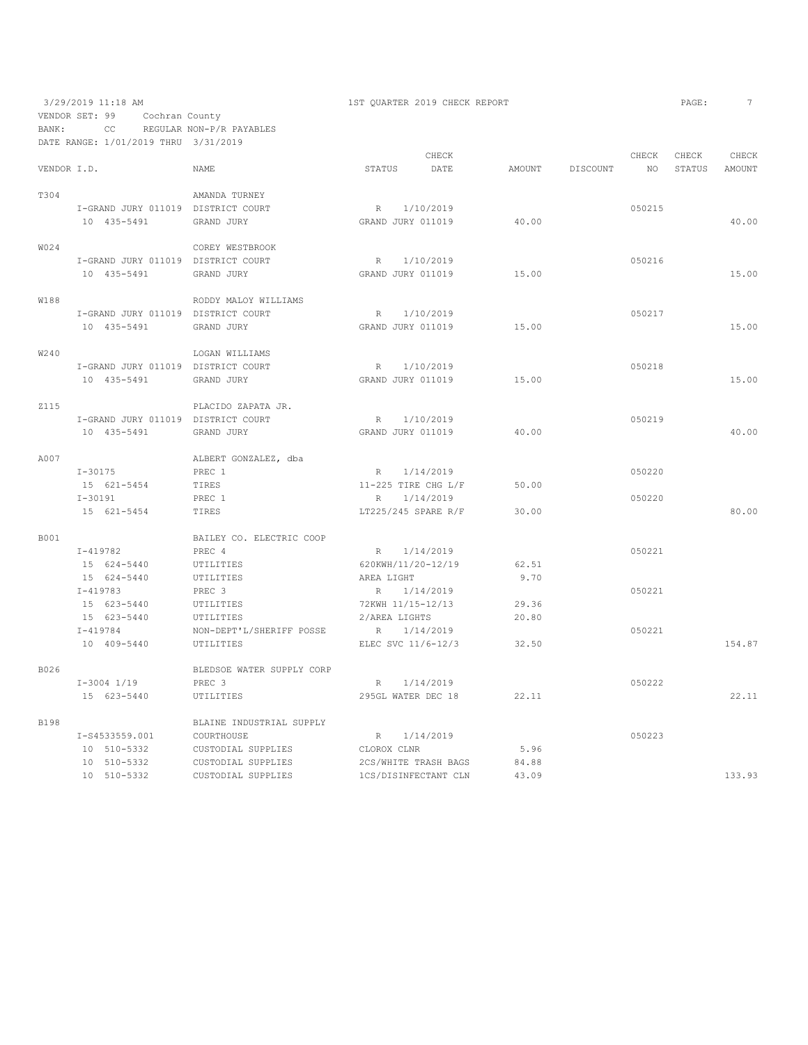## 3/29/2019 11:18 AM 1ST QUARTER 2019 CHECK REPORT VENDOR SET: 99 Cochran County BANK: CC REGULAR NON-P/R PAYABLES DATE RANGE: 1/01/2019 THRU 3/31/2019

| AGE: |  |  |  |
|------|--|--|--|
|------|--|--|--|

|             |                                    |                           |                       | CHECK                |        |          | CHECK  | CHECK  | CHECK  |
|-------------|------------------------------------|---------------------------|-----------------------|----------------------|--------|----------|--------|--------|--------|
| VENDOR I.D. |                                    | NAME                      | STATUS                | DATE                 | AMOUNT | DISCOUNT | NO.    | STATUS | AMOUNT |
| T304        |                                    | AMANDA TURNEY             |                       |                      |        |          |        |        |        |
|             | I-GRAND JURY 011019 DISTRICT COURT |                           | R                     | 1/10/2019            |        |          | 050215 |        |        |
|             | 10 435-5491                        | GRAND JURY                | GRAND JURY 011019     |                      | 40.00  |          |        |        | 40.00  |
| W024        |                                    | COREY WESTBROOK           |                       |                      |        |          |        |        |        |
|             | I-GRAND JURY 011019 DISTRICT COURT |                           | R                     | 1/10/2019            |        |          | 050216 |        |        |
|             | 10 435-5491                        | GRAND JURY                | GRAND JURY 011019     |                      | 15.00  |          |        |        | 15.00  |
| W188        |                                    | RODDY MALOY WILLIAMS      |                       |                      |        |          |        |        |        |
|             | I-GRAND JURY 011019 DISTRICT COURT |                           | $R_{\odot}$           | 1/10/2019            |        |          | 050217 |        |        |
|             | 10 435-5491                        | GRAND JURY                | GRAND JURY 011019     |                      | 15.00  |          |        |        | 15.00  |
| W240        |                                    | LOGAN WILLIAMS            |                       |                      |        |          |        |        |        |
|             | I-GRAND JURY 011019 DISTRICT COURT |                           | R                     | 1/10/2019            |        |          | 050218 |        |        |
|             | 10 435-5491                        | GRAND JURY                | GRAND JURY 011019     |                      | 15.00  |          |        |        | 15.00  |
| Z115        |                                    | PLACIDO ZAPATA JR.        |                       |                      |        |          |        |        |        |
|             | I-GRAND JURY 011019 DISTRICT COURT |                           | R 1/10/2019           |                      |        |          | 050219 |        |        |
|             | 10 435-5491                        | GRAND JURY                | GRAND JURY 011019     |                      | 40.00  |          |        |        | 40.00  |
| A007        |                                    | ALBERT GONZALEZ, dba      |                       |                      |        |          |        |        |        |
|             | $I - 30175$                        | PREC 1                    | R 1/14/2019           |                      |        |          | 050220 |        |        |
|             | 15 621-5454                        | TIRES                     | 11-225 TIRE CHG $L/F$ |                      | 50.00  |          |        |        |        |
|             | $I-30191$                          | PREC 1                    | $R_{\rm}$             | 1/14/2019            |        |          | 050220 |        |        |
|             | 15 621-5454                        | TIRES                     | LT225/245 SPARE R/F   |                      | 30.00  |          |        |        | 80.00  |
| <b>B001</b> |                                    | BAILEY CO. ELECTRIC COOP  |                       |                      |        |          |        |        |        |
|             | $I - 419782$                       | PREC 4                    | R 1/14/2019           |                      |        |          | 050221 |        |        |
|             | 15 624-5440                        | UTILITIES                 | 620KWH/11/20-12/19    |                      | 62.51  |          |        |        |        |
|             | 15 624-5440                        | UTILITIES                 | AREA LIGHT            |                      | 9.70   |          |        |        |        |
|             | $I-419783$                         | PREC 3                    | R 1/14/2019           |                      |        |          | 050221 |        |        |
|             | 15 623-5440                        | UTILITIES                 | 72KWH 11/15-12/13     |                      | 29.36  |          |        |        |        |
|             | 15 623-5440                        | UTILITIES                 | 2/AREA LIGHTS         |                      | 20.80  |          |        |        |        |
|             | $I - 419784$                       | NON-DEPT'L/SHERIFF POSSE  | R                     | 1/14/2019            |        |          | 050221 |        |        |
|             | 10 409-5440                        | UTILITIES                 | ELEC SVC 11/6-12/3    |                      | 32.50  |          |        |        | 154.87 |
| B026        |                                    | BLEDSOE WATER SUPPLY CORP |                       |                      |        |          |        |        |        |
|             | I-3004 1/19                        | PREC 3                    |                       | R 1/14/2019          |        |          | 050222 |        |        |
|             | 15 623-5440                        | UTILITIES                 | 295GL WATER DEC 18    |                      | 22.11  |          |        |        | 22.11  |
| <b>B198</b> |                                    | BLAINE INDUSTRIAL SUPPLY  |                       |                      |        |          |        |        |        |
|             | I-S4533559.001                     | COURTHOUSE                | R                     | 1/14/2019            |        |          | 050223 |        |        |
|             | 10 510-5332                        | CUSTODIAL SUPPLIES        | CLOROX CLNR           |                      | 5.96   |          |        |        |        |
|             | 10 510-5332                        | CUSTODIAL SUPPLIES        |                       | 2CS/WHITE TRASH BAGS | 84.88  |          |        |        |        |
|             | 10 510-5332                        | CUSTODIAL SUPPLIES        |                       | 1CS/DISINFECTANT CLN | 43.09  |          |        |        | 133.93 |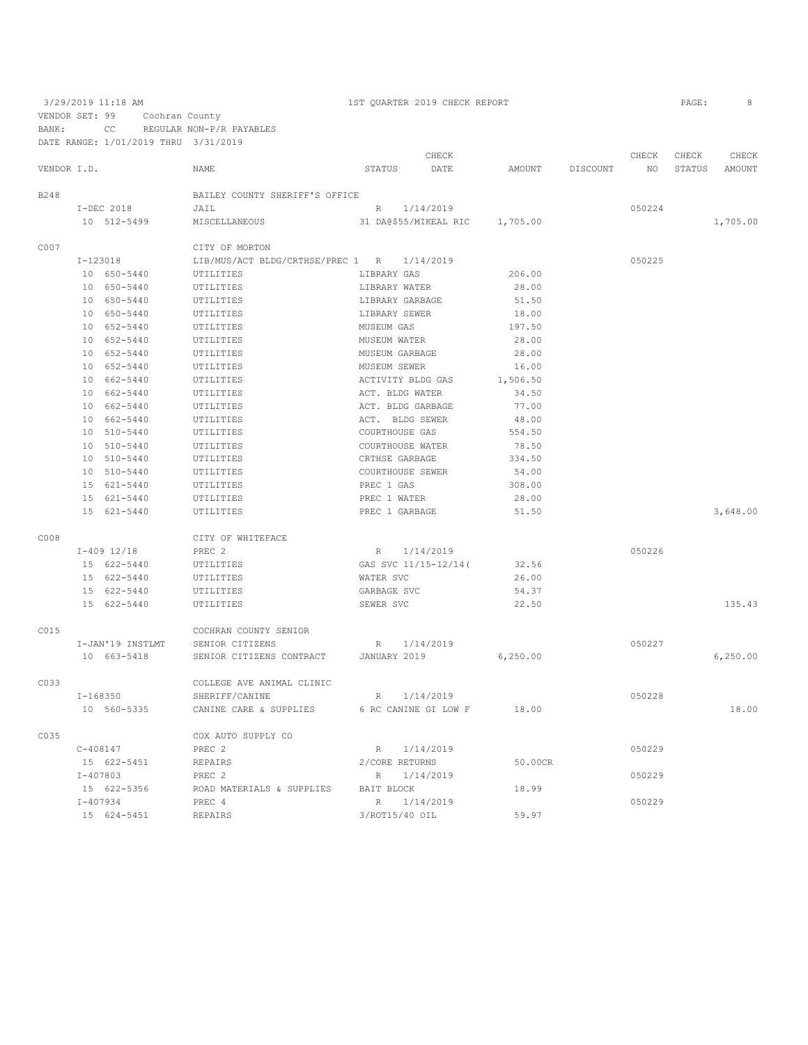|             |              |                  |                                  |                   | CHECK                 |          |          | CHECK  | CHECK         | CHECK      |
|-------------|--------------|------------------|----------------------------------|-------------------|-----------------------|----------|----------|--------|---------------|------------|
| VENDOR I.D. |              |                  | <b>NAME</b>                      | STATUS            | DATE                  | AMOUNT   | DISCOUNT | NO.    | <b>STATUS</b> | AMOUNT     |
| B248        |              |                  | BAILEY COUNTY SHERIFF'S OFFICE   |                   |                       |          |          |        |               |            |
|             | I-DEC 2018   |                  | JAIL                             | R                 | 1/14/2019             |          |          | 050224 |               |            |
|             |              | 10 512-5499      | MISCELLANEOUS                    |                   | 31 DA@\$55/MIKEAL RIC | 1,705.00 |          |        |               | 1,705.00   |
| C007        |              |                  | CITY OF MORTON                   |                   |                       |          |          |        |               |            |
|             | $I-123018$   |                  | LIB/MUS/ACT BLDG/CRTHSE/PREC 1 R |                   | 1/14/2019             |          |          | 050225 |               |            |
|             |              | 10 650-5440      | UTILITIES                        | LIBRARY GAS       |                       | 206.00   |          |        |               |            |
|             |              | 10 650-5440      | UTILITIES                        | LIBRARY WATER     |                       | 28.00    |          |        |               |            |
|             |              | 10 650-5440      | UTILITIES                        | LIBRARY GARBAGE   |                       | 51.50    |          |        |               |            |
|             |              | 10 650-5440      | UTILITIES                        | LIBRARY SEWER     |                       | 18.00    |          |        |               |            |
|             |              | 10 652-5440      | UTILITIES                        | MUSEUM GAS        |                       | 197.50   |          |        |               |            |
|             |              | 10 652-5440      | UTILITIES                        | MUSEUM WATER      |                       | 28.00    |          |        |               |            |
|             |              | 10 652-5440      | UTILITIES                        | MUSEUM GARBAGE    |                       | 28.00    |          |        |               |            |
|             |              | 10 652-5440      | UTILITIES                        | MUSEUM SEWER      |                       | 16.00    |          |        |               |            |
|             |              | 10 662-5440      | UTILITIES                        | ACTIVITY BLDG GAS |                       | 1,506.50 |          |        |               |            |
|             |              | 10 662-5440      | UTILITIES                        | ACT. BLDG WATER   |                       | 34.50    |          |        |               |            |
|             |              | 10 662-5440      | UTILITIES                        | ACT. BLDG GARBAGE |                       | 77.00    |          |        |               |            |
|             |              | 10 662-5440      | UTILITIES                        | ACT. BLDG SEWER   |                       | 48.00    |          |        |               |            |
|             |              | 10 510-5440      | UTILITIES                        | COURTHOUSE GAS    |                       | 554.50   |          |        |               |            |
|             |              |                  |                                  |                   |                       | 78.50    |          |        |               |            |
|             |              | 10 510-5440      | UTILITIES                        | COURTHOUSE WATER  |                       |          |          |        |               |            |
|             |              | 10 510-5440      | UTILITIES                        | CRTHSE GARBAGE    |                       | 334.50   |          |        |               |            |
|             |              | 10 510-5440      | UTILITIES                        | COURTHOUSE SEWER  |                       | 54.00    |          |        |               |            |
|             |              | 15 621-5440      | UTILITIES                        | PREC 1 GAS        |                       | 308.00   |          |        |               |            |
|             |              | 15 621-5440      | UTILITIES                        | PREC 1 WATER      |                       | 28.00    |          |        |               |            |
|             |              | 15 621-5440      | UTILITIES                        | PREC 1 GARBAGE    |                       | 51.50    |          |        |               | 3,648.00   |
| C008        |              |                  | CITY OF WHITEFACE                |                   |                       |          |          |        |               |            |
|             |              | I-409 12/18      | PREC 2                           | R 1/14/2019       |                       |          |          | 050226 |               |            |
|             |              | 15 622-5440      | UTILITIES                        |                   | GAS SVC 11/15-12/14(  | 32.56    |          |        |               |            |
|             |              | 15 622-5440      | UTILITIES                        | WATER SVC         |                       | 26.00    |          |        |               |            |
|             |              | 15 622-5440      | UTILITIES                        | GARBAGE SVC       |                       | 54.37    |          |        |               |            |
|             |              | 15 622-5440      | UTILITIES                        | SEWER SVC         |                       | 22.50    |          |        |               | 135.43     |
| C015        |              |                  | COCHRAN COUNTY SENIOR            |                   |                       |          |          |        |               |            |
|             |              | I-JAN'19 INSTLMT | SENIOR CITIZENS                  |                   | R 1/14/2019           |          |          | 050227 |               |            |
|             |              | 10 663-5418      | SENIOR CITIZENS CONTRACT         | JANUARY 2019      |                       | 6,250.00 |          |        |               | 6, 250, 00 |
| C033        |              |                  | COLLEGE AVE ANIMAL CLINIC        |                   |                       |          |          |        |               |            |
|             | $I-168350$   |                  | SHERIFF/CANINE                   | R                 | 1/14/2019             |          |          | 050228 |               |            |
|             |              | 10 560-5335      | CANINE CARE & SUPPLIES           |                   | 6 RC CANINE GI LOW F  | 18.00    |          |        |               | 18.00      |
|             |              |                  |                                  |                   |                       |          |          |        |               |            |
| C035        |              |                  | COX AUTO SUPPLY CO               |                   |                       |          |          |        |               |            |
|             | $C - 408147$ |                  | PREC 2                           | R                 | 1/14/2019             |          |          | 050229 |               |            |
|             |              | 15 622-5451      | REPAIRS                          | 2/CORE RETURNS    |                       | 50.00CR  |          |        |               |            |
|             | $I - 407803$ |                  | PREC <sub>2</sub>                | R                 | 1/14/2019             |          |          | 050229 |               |            |
|             |              | 15 622-5356      | ROAD MATERIALS & SUPPLIES        | BAIT BLOCK        |                       | 18.99    |          |        |               |            |
|             | $I - 407934$ |                  | PREC 4                           | $R_{\perp}$       | 1/14/2019             |          |          | 050229 |               |            |
|             |              | 15 624-5451      | REPAIRS                          | 3/ROT15/40 OIL    |                       | 59.97    |          |        |               |            |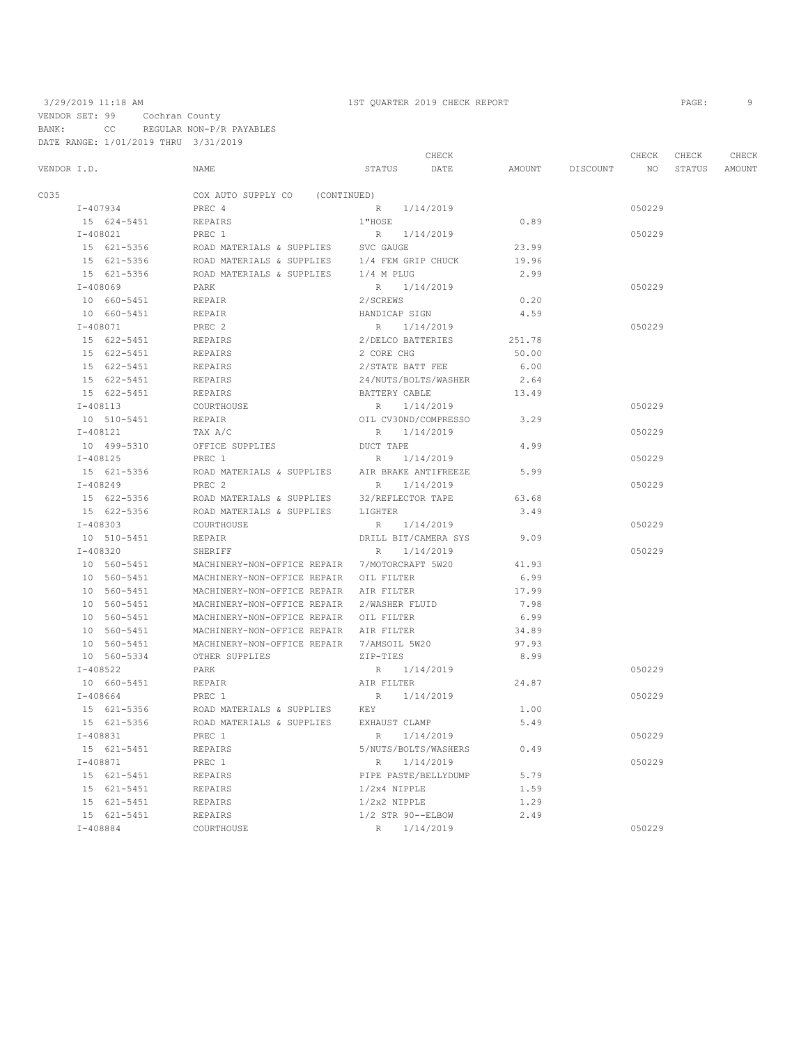VENDOR SET: 99 Cochran County BANK: CC REGULAR NON-P/R PAYABLES DATE RANGE: 1/01/2019 THRU 3/31/2019

### 3/29/2019 11:18 AM 1ST QUARTER 2019 CHECK REPORT PAGE: 9

 CHECK CHECK CHECK CHECK VENDOR I.D. NAME STATUS DATE AMOUNT DISCOUNT NO STATUS AMOUNT CO35 COX AUTO SUPPLY CO (CONTINUED)<br>T-407934 PREC 4 I-407934 PREC 4 R 1/14/2019 050229 15 624–5451 REPAIRS 1"HOSE 1 2008021 PREC 1 REPAIRS 1.1/14/2019  $I-408021$ <br>
PREC 1 R  $1/14/2019$ <br>
PREC 1 ROAD MATERIALS & SUPPLIES SVC GAUGE 23.99 15 621-5356 ROAD MATERIALS & SUPPLIES SVC GAUGE 23.99<br>15 621-5356 ROAD MATERIALS & SUPPLIES 1/4 FEM GRIP CHUCK 19.96 15 621-5356 ROAD MATERIALS & SUPPLIES 1/4 FEM GRIP CHUCK 15 621-5356 ROAD MATERIALS & SUPPLIES 1/4 M PLUG ROAD MATERIALS & SUPPLIES  $1/4$  M PLUG 2.99<br>PARK  $R = 1/14/2019$  I-408069 PARK R 1/14/2019 050229 10 660-5451 REPAIR 2/SCREWS 0.20 HANDICAP SIGN 4.59 1-408071 PREC 2 R 1/14/2019 PREC 2 R 1/14/2019 C50229 PREC 2 R 1/14/2019 15 632/DELCO BATTERIES REPAIRS 2012 2008 CHG 15 622-5451 REPAIRS 2 CORE CHG 50.00 15 622-5451 REPAIRS 2/STATE BATT FEE 6.00 15 622-5451 REPAIRS 24/NUTS/BOLTS/WASHER 2.64 15 622-5451 REPAIRS BATTERY CABLE 13.49<br>T-408113 COURTHOUSE R 1/14/2019 I-408113 COURTHOUSE R 1/14/2019<br>
10 510-5451 REPAIR REPAIR OIL CV30ND/COMPRESSO 3.29 0IL CV30ND/COMPRESSO 3.29 I-408121 TAX A/C R 1/14/2019 050229 10 499-5310 OFFICE SUPPLIES DUCT TAPE 4.99  $I-408125$  PREC 1 R  $1/14/2019$  2019<br>15 621–5356 ROAD MATERIALS & SUPPLIES AIR BRAKE ANTIFREEZE 5.99 15 621–5356 ROAD MATERIALS & SUPPLIES AIR BRAKE ANTIFREEZE 5.99<br> $I-408249$  PREC 2 R  $1/14/2019$  $I-408249$  PREC 2 R  $1/14/2019$  050229<br>15 622–5356 ROAD MATERIALS & SUPPLIES 32/REFLECTOR TAPE 63.68 ROAD MATERIALS & SUPPLIES 32/REFLECTOR TAPE 15 622-5356 ROAD MATERIALS & SUPPLIES LIGHTER 3.49<br>T-408303 COURTHOUSE R 1/14/2019 I-408303 COURTHOUSE R 1/14/2019 050229 10 510-5451 REPAIR REPAIR DRILL BIT/CAMERA SYS<br>  $I-408320$  SHERIFF R  $1/14/2019$ 1-408320 SHERIFF R 1/14/2019<br>10 560-5451 MACHINERY-NON-OFFICE REPAIR 7/MOTORCRAFT 5W20 41.93 10 560-5451 MACHINERY-NON-OFFICE REPAIR 7/MOTORCRAFT 5W20<br>10 560-5451 MACHINERY-NON-OFFICE REPAIR OIL FILTER 10 560-5451 MACHINERY-NON-OFFICE REPAIR OIL FILTER 6.99 10 560-5451 MACHINERY-NON-OFFICE REPAIR AIR FILTER 17.99 10 560-5451 MACHINERY-NON-OFFICE REPAIR 2/WASHER FLUID 7.98 10 560-5451 MACHINERY-NON-OFFICE REPAIR OIL FILTER 6.99 10 560-5451 MACHINERY-NON-OFFICE REPAIR AIR FILTER<br>10 560-5451 MACHINERY-NON-OFFICE REPAIR 7/AMSOIL 57 MACHINERY-NON-OFFICE REPAIR 7/AMSOIL 5W20 97.93<br>1999 0THER SUPPLIES 10 560-5334 OTHER SUPPLIES ZIP-TIES 8.99 1 = 108522 PARK PARK R 1/14/2019<br>
10 660-5451 REPAIR REPAIR AIR FILTER 24.87 10 660-5451 REPAIR AIR FILTER 24.87 I-408664 PREC 1 R 1/14/2019 050229 15 621-5356 ROAD MATERIALS & SUPPLIES KEY 1.00 ROAD MATERIALS & SUPPLIES EXHAUST CLAMP 5.49<br>PREC 1 R 1/14/2019 I-408831 PREC 1 R 1/14/2019 050229 15 621-5451 REPAIRS 5/NUTS/BOLTS/WASHERS 0.49 I-408871 PREC 1 R 1/14/2019 050229 15 621–5451 REPAIRS PIPE PASTE/BELLYDUMP 5.79<br>15 621–5451 REPAIRS 1/2x4 NIPPLE 1.59 1/2x4 NIPPLE 1.59<br>1/2x2 NIPPLE 1.29 15 621-5451 REPAIRS 1/2x2 NIPPLE 1.29 15 621-5451 REPAIRS 1/2 STR 90--ELBOW 2.49 I-408884 COURTHOUSE R 1/14/2019 050229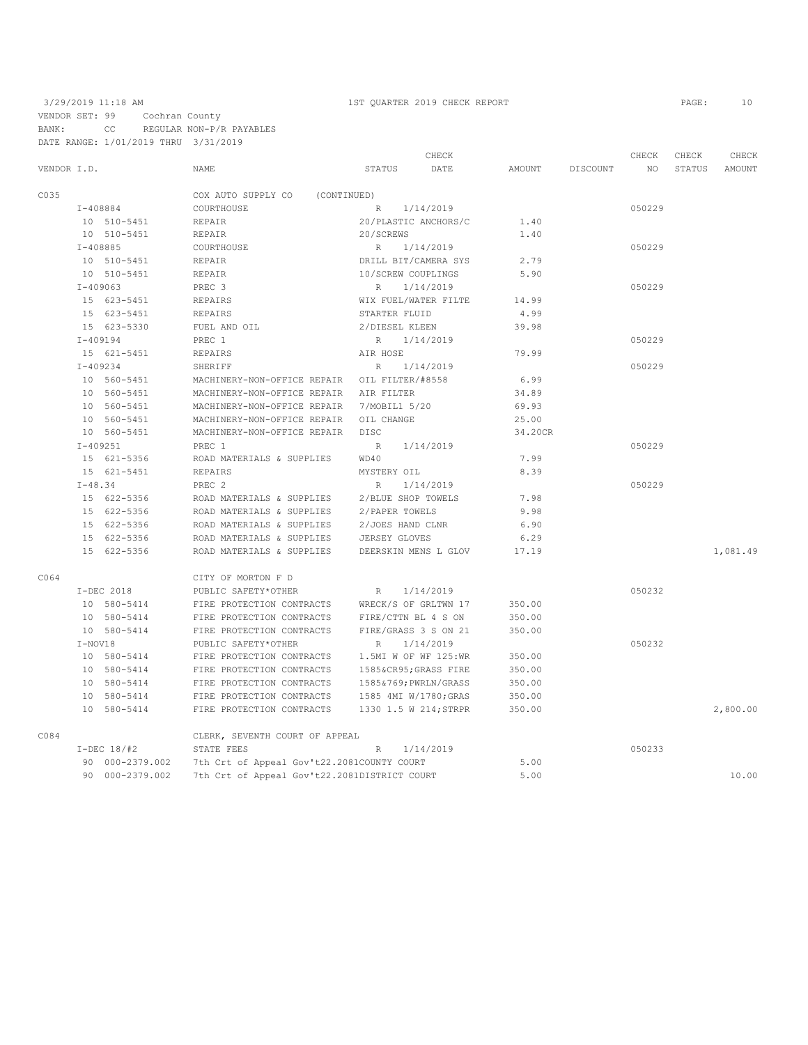VENDOR SET: 99 Cochran County BANK: CC REGULAR NON-P/R PAYABLES

DATE RANGE: 1/01/2019 THRU 3/31/2019

|             |                 |                                                            | CHECK                    |         |          | CHECK           | CHECK  | CHECK    |
|-------------|-----------------|------------------------------------------------------------|--------------------------|---------|----------|-----------------|--------|----------|
| VENDOR I.D. |                 | NAME                                                       | STATUS<br>DATE           | AMOUNT  | DISCOUNT | NO <sub>1</sub> | STATUS | AMOUNT   |
| C035        |                 | COX AUTO SUPPLY CO<br>(CONTINUED)                          |                          |         |          |                 |        |          |
|             | I-408884        | COURTHOUSE                                                 | R 1/14/2019              |         |          | 050229          |        |          |
|             | 10 510-5451     | REPAIR                                                     | 20/PLASTIC ANCHORS/C     | 1.40    |          |                 |        |          |
|             | 10 510-5451     | REPAIR                                                     | 20/SCREWS                | 1.40    |          |                 |        |          |
|             | $I - 408885$    | COURTHOUSE                                                 | R 1/14/2019              |         |          | 050229          |        |          |
|             | 10 510-5451     | REPAIR                                                     | DRILL BIT/CAMERA SYS     | 2.79    |          |                 |        |          |
|             | 10 510-5451     | REPAIR                                                     | 10/SCREW COUPLINGS       | 5.90    |          |                 |        |          |
|             | $I - 409063$    | PREC <sub>3</sub>                                          | R<br>1/14/2019           |         |          | 050229          |        |          |
|             | 15 623-5451     | REPAIRS                                                    | WIX FUEL/WATER FILTE     | 14.99   |          |                 |        |          |
|             | 15 623-5451     | REPAIRS                                                    | STARTER FLUID            | 4.99    |          |                 |        |          |
|             | 15 623-5330     | FUEL AND OIL                                               | 2/DIESEL KLEEN           | 39.98   |          |                 |        |          |
|             | I-409194        | PREC 1                                                     | R 1/14/2019              |         |          | 050229          |        |          |
|             | 15 621-5451     | REPAIRS                                                    | AIR HOSE                 | 79.99   |          |                 |        |          |
|             | $I - 409234$    | SHERIFF                                                    | R 1/14/2019              |         |          | 050229          |        |          |
|             | 10 560-5451     | MACHINERY-NON-OFFICE REPAIR OIL FILTER/#8558               |                          | 6.99    |          |                 |        |          |
|             | 10 560-5451     | MACHINERY-NON-OFFICE REPAIR AIR FILTER                     |                          | 34.89   |          |                 |        |          |
|             | 10 560-5451     | MACHINERY-NON-OFFICE REPAIR 7/MOBIL1 5/20                  |                          | 69.93   |          |                 |        |          |
|             | 10 560-5451     | MACHINERY-NON-OFFICE REPAIR OIL CHANGE                     |                          | 25.00   |          |                 |        |          |
|             | 10 560-5451     | MACHINERY-NON-OFFICE REPAIR DISC                           |                          | 34.20CR |          |                 |        |          |
|             | $I - 409251$    | PREC 1                                                     | R 1/14/2019              |         |          | 050229          |        |          |
|             | 15 621-5356     | ROAD MATERIALS & SUPPLIES                                  | WD40                     | 7.99    |          |                 |        |          |
|             | 15 621-5451     | REPAIRS                                                    | MYSTERY OIL              | 8.39    |          |                 |        |          |
|             | $I - 48.34$     | PREC <sub>2</sub>                                          | R<br>1/14/2019           |         |          | 050229          |        |          |
|             | 15 622-5356     | ROAD MATERIALS & SUPPLIES 2/BLUE SHOP TOWELS               |                          | 7.98    |          |                 |        |          |
|             | 15 622-5356     | ROAD MATERIALS & SUPPLIES 2/PAPER TOWELS                   |                          | 9.98    |          |                 |        |          |
|             | 15 622-5356     | ROAD MATERIALS & SUPPLIES 2/JOES HAND CLNR                 |                          | 6.90    |          |                 |        |          |
|             | 15 622-5356     | ROAD MATERIALS & SUPPLIES                                  | JERSEY GLOVES            | 6.29    |          |                 |        |          |
|             | 15 622-5356     | ROAD MATERIALS & SUPPLIES DEERSKIN MENS L GLOV             |                          | 17.19   |          |                 |        | 1,081.49 |
| C064        |                 | CITY OF MORTON F D                                         |                          |         |          |                 |        |          |
|             | I-DEC 2018      | PUBLIC SAFETY*OTHER                                        | R 1/14/2019              |         |          | 050232          |        |          |
|             | 10 580-5414     | FIRE PROTECTION CONTRACTS WRECK/S OF GRLTWN 17             |                          | 350.00  |          |                 |        |          |
|             | 10 580-5414     | FIRE PROTECTION CONTRACTS                                  | FIRE/CTTN BL 4 S ON      | 350.00  |          |                 |        |          |
|             | 10 580-5414     | FIRE PROTECTION CONTRACTS                                  | FIRE/GRASS 3 S ON 21     | 350.00  |          |                 |        |          |
|             | $I-NOVI8$       | PUBLIC SAFETY*OTHER                                        | 1/14/2019<br>R           |         |          | 050232          |        |          |
|             | 10 580-5414     | FIRE PROTECTION CONTRACTS                                  | 1.5MI W OF WF 125:WR     | 350.00  |          |                 |        |          |
|             | 10 580-5414     | FIRE PROTECTION CONTRACTS                                  | 1585&CR95GRASS FIRE      | 350.00  |          |                 |        |          |
|             | 10 580-5414     | FIRE PROTECTION CONTRACTS                                  | 1585&769; PWRLN/GRASS    | 350.00  |          |                 |        |          |
|             | 10 580-5414     | FIRE PROTECTION CONTRACTS 1585 4MI W/1780; GRAS            |                          | 350.00  |          |                 |        |          |
|             | 10 580-5414     | FIRE PROTECTION CONTRACTS 1330 1.5 W 214; STRPR            |                          | 350.00  |          |                 |        | 2,800.00 |
| C084        |                 | CLERK, SEVENTH COURT OF APPEAL                             |                          |         |          |                 |        |          |
|             | $I-DEC 18/#2$   | STATE FEES                                                 | 1/14/2019<br>$R_{\perp}$ |         |          | 050233          |        |          |
|             |                 | 90 000-2379.002 7th Crt of Appeal Gov't22.2081COUNTY COURT |                          | 5.00    |          |                 |        |          |
|             | 90 000-2379.002 | 7th Crt of Appeal Gov't22.2081DISTRICT COURT               |                          | 5.00    |          |                 |        | 10.00    |
|             |                 |                                                            |                          |         |          |                 |        |          |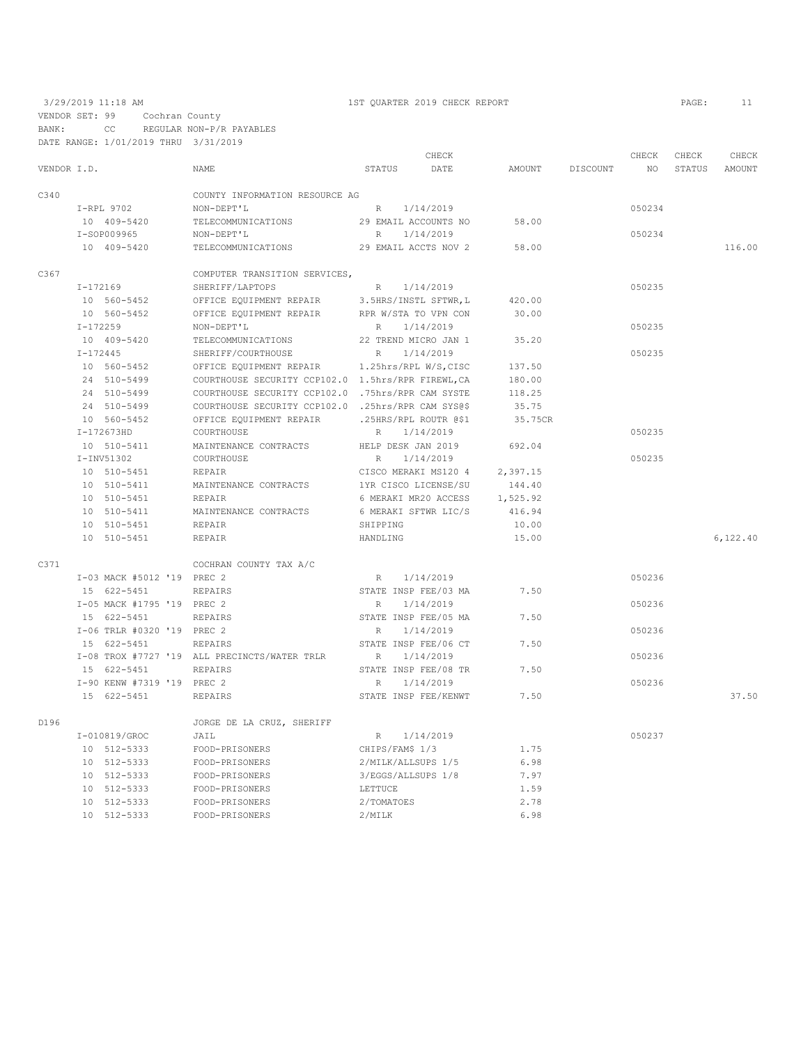|             |              |                            |                                                    |                 | CHECK                 |          |          | CHECK  | CHECK  | CHECK     |
|-------------|--------------|----------------------------|----------------------------------------------------|-----------------|-----------------------|----------|----------|--------|--------|-----------|
| VENDOR I.D. |              |                            | NAME                                               | STATUS          | DATE                  | AMOUNT   | DISCOUNT | NO     | STATUS | AMOUNT    |
| C340        |              |                            | COUNTY INFORMATION RESOURCE AG                     |                 |                       |          |          |        |        |           |
|             |              | I-RPL 9702                 | NON-DEPT'L                                         | R               | 1/14/2019             |          |          | 050234 |        |           |
|             |              | 10 409-5420                | TELECOMMUNICATIONS                                 |                 | 29 EMAIL ACCOUNTS NO  | 58.00    |          |        |        |           |
|             |              | I-SOP009965                | NON-DEPT'L                                         | $R_{\parallel}$ | 1/14/2019             |          |          | 050234 |        |           |
|             |              | 10 409-5420                | TELECOMMUNICATIONS                                 |                 | 29 EMAIL ACCTS NOV 2  | 58.00    |          |        |        | 116.00    |
| C367        |              |                            | COMPUTER TRANSITION SERVICES,                      |                 |                       |          |          |        |        |           |
|             | $I-172169$   |                            | SHERIFF/LAPTOPS                                    | $R_{\perp}$     | 1/14/2019             |          |          | 050235 |        |           |
|             |              | 10 560-5452                | OFFICE EQUIPMENT REPAIR                            |                 | 3.5HRS/INSTL SFTWR, L | 420.00   |          |        |        |           |
|             |              | 10 560-5452                | OFFICE EQUIPMENT REPAIR                            |                 | RPR W/STA TO VPN CON  | 30.00    |          |        |        |           |
|             | $I-172259$   |                            | NON-DEPT'L                                         | $R_{\parallel}$ | 1/14/2019             |          |          | 050235 |        |           |
|             |              | 10 409-5420                | TELECOMMUNICATIONS                                 |                 | 22 TREND MICRO JAN 1  | 35.20    |          |        |        |           |
|             | $I - 172445$ |                            | SHERIFF/COURTHOUSE                                 | R               | 1/14/2019             |          |          | 050235 |        |           |
|             |              | 10 560-5452                | OFFICE EQUIPMENT REPAIR                            |                 | 1.25hrs/RPL W/S, CISC | 137.50   |          |        |        |           |
|             |              | 24 510-5499                | COURTHOUSE SECURITY CCP102.0 1.5hrs/RPR FIREWL.CA  |                 |                       | 180.00   |          |        |        |           |
|             |              | 24 510-5499                | COURTHOUSE SECURITY CCP102.0 .75hrs/RPR CAM SYSTE  |                 |                       | 118.25   |          |        |        |           |
|             |              | 24 510-5499                | COURTHOUSE SECURITY CCP102.0 .25hrs/RPR CAM SYS@\$ |                 |                       | 35.75    |          |        |        |           |
|             |              | 10 560-5452                | OFFICE EQUIPMENT REPAIR                            |                 | .25HRS/RPL ROUTR @\$1 | 35.75CR  |          |        |        |           |
|             |              | $I-172673HD$               | COURTHOUSE                                         | R               | 1/14/2019             |          |          | 050235 |        |           |
|             |              | 10 510-5411                | MAINTENANCE CONTRACTS                              |                 | HELP DESK JAN 2019    | 692.04   |          |        |        |           |
|             |              | $I-INV51302$               | COURTHOUSE                                         | $\mathbb{R}$    | 1/14/2019             |          |          | 050235 |        |           |
|             |              | 10 510-5451                | REPAIR                                             |                 | CISCO MERAKI MS120 4  | 2,397.15 |          |        |        |           |
|             |              | 10 510-5411                | MAINTENANCE CONTRACTS                              |                 | 1YR CISCO LICENSE/SU  | 144.40   |          |        |        |           |
|             |              | 10 510-5451                | REPAIR                                             |                 | 6 MERAKI MR20 ACCESS  | 1,525.92 |          |        |        |           |
|             |              | 10 510-5411                | MAINTENANCE CONTRACTS                              |                 | 6 MERAKI SFTWR LIC/S  | 416.94   |          |        |        |           |
|             |              | 10 510-5451                | REPAIR                                             | SHIPPING        |                       | 10.00    |          |        |        |           |
|             |              | 10 510-5451                | REPAIR                                             | HANDLING        |                       | 15.00    |          |        |        | 6, 122.40 |
| C371        |              |                            | COCHRAN COUNTY TAX A/C                             |                 |                       |          |          |        |        |           |
|             |              | I-03 MACK #5012 '19 PREC 2 |                                                    | R               | 1/14/2019             |          |          | 050236 |        |           |
|             |              | 15 622-5451                | <b>REPAIRS</b>                                     |                 | STATE INSP FEE/03 MA  | 7.50     |          |        |        |           |
|             |              | I-05 MACK #1795 '19 PREC 2 |                                                    | R               | 1/14/2019             |          |          | 050236 |        |           |
|             |              | 15 622-5451                | REPAIRS                                            |                 | STATE INSP FEE/05 MA  | 7.50     |          |        |        |           |
|             |              | I-06 TRLR #0320 '19 PREC 2 |                                                    | R               | 1/14/2019             |          |          | 050236 |        |           |
|             |              | 15 622-5451                | REPAIRS                                            |                 | STATE INSP FEE/06 CT  | 7.50     |          |        |        |           |
|             |              |                            | I-08 TROX #7727 '19 ALL PRECINCTS/WATER TRLR       | $\mathbb{R}$    | 1/14/2019             |          |          | 050236 |        |           |
|             |              | 15 622-5451                | <b>REPAIRS</b>                                     |                 | STATE INSP FEE/08 TR  | 7.50     |          |        |        |           |
|             |              | I-90 KENW #7319 '19 PREC 2 |                                                    | R               | 1/14/2019             |          |          | 050236 |        |           |
|             |              | 15 622-5451                | REPAIRS                                            |                 | STATE INSP FEE/KENWT  | 7.50     |          |        |        | 37.50     |
| D196        |              |                            | JORGE DE LA CRUZ, SHERIFF                          |                 |                       |          |          |        |        |           |
|             |              | I-010819/GROC              | JAIL                                               | R               | 1/14/2019             |          |          | 050237 |        |           |
|             |              | 10 512-5333                | FOOD-PRISONERS                                     |                 | CHIPS/FAM\$ 1/3       | 1.75     |          |        |        |           |
|             |              | 10 512-5333                | FOOD-PRISONERS                                     |                 | 2/MILK/ALLSUPS 1/5    | 6.98     |          |        |        |           |
|             |              | 10 512-5333                | FOOD-PRISONERS                                     |                 | 3/EGGS/ALLSUPS 1/8    | 7.97     |          |        |        |           |
|             |              | 10 512-5333                | FOOD-PRISONERS                                     | LETTUCE         |                       | 1.59     |          |        |        |           |
|             |              | 10 512-5333                | FOOD-PRISONERS                                     | 2/TOMATOES      |                       | 2.78     |          |        |        |           |
|             |              | 10 512-5333                | FOOD-PRISONERS                                     | 2/MILK          |                       | 6.98     |          |        |        |           |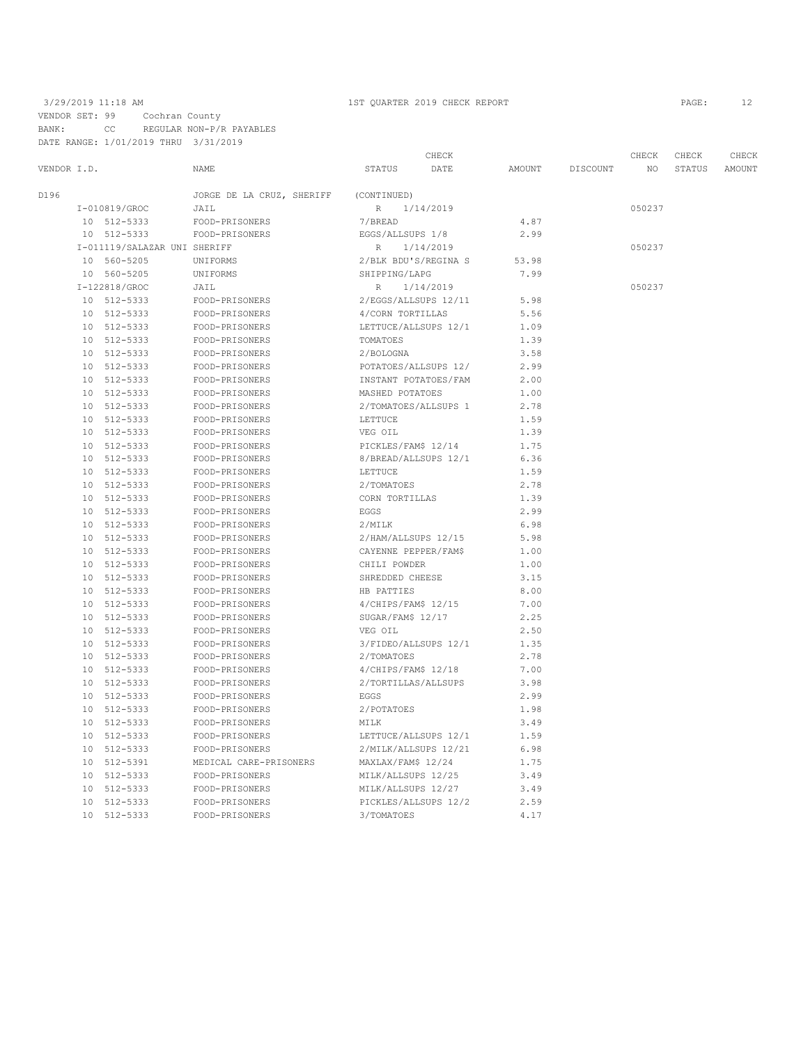|             |    |                              |                           |                      | CHECK     |        |          | CHECK  | CHECK  | CHECK  |
|-------------|----|------------------------------|---------------------------|----------------------|-----------|--------|----------|--------|--------|--------|
| VENDOR I.D. |    |                              | <b>NAME</b>               | STATUS               | DATE      | AMOUNT | DISCOUNT | NO.    | STATUS | AMOUNT |
| D196        |    |                              | JORGE DE LA CRUZ, SHERIFF | (CONTINUED)          |           |        |          |        |        |        |
|             |    | I-010819/GROC                | JAIL                      | $R_{\parallel}$      | 1/14/2019 |        |          | 050237 |        |        |
|             |    | 10 512-5333                  | FOOD-PRISONERS            | 7/BREAD              |           | 4.87   |          |        |        |        |
|             |    | 10 512-5333                  | FOOD-PRISONERS            | EGGS/ALLSUPS 1/8     |           | 2.99   |          |        |        |        |
|             |    | I-011119/SALAZAR UNI SHERIFF |                           | R                    | 1/14/2019 |        |          | 050237 |        |        |
|             |    | 10 560-5205                  | UNIFORMS                  | 2/BLK BDU'S/REGINA S |           | 53.98  |          |        |        |        |
|             |    | 10 560-5205                  | UNIFORMS                  | SHIPPING/LAPG        |           | 7.99   |          |        |        |        |
|             |    | I-122818/GROC                | JAIL                      | R                    | 1/14/2019 |        |          | 050237 |        |        |
|             |    | 10 512-5333                  | FOOD-PRISONERS            | 2/EGGS/ALLSUPS 12/11 |           | 5.98   |          |        |        |        |
|             |    | 10 512-5333                  | FOOD-PRISONERS            | 4/CORN TORTILLAS     |           | 5.56   |          |        |        |        |
|             |    | 10 512-5333                  | FOOD-PRISONERS            | LETTUCE/ALLSUPS 12/1 |           | 1.09   |          |        |        |        |
|             |    | 10 512-5333                  | FOOD-PRISONERS            | TOMATOES             |           | 1.39   |          |        |        |        |
|             |    | 10 512-5333                  | FOOD-PRISONERS            | 2/BOLOGNA            |           | 3.58   |          |        |        |        |
|             |    | 10 512-5333                  | FOOD-PRISONERS            | POTATOES/ALLSUPS 12/ |           | 2.99   |          |        |        |        |
|             |    | 10 512-5333                  | FOOD-PRISONERS            | INSTANT POTATOES/FAM |           | 2.00   |          |        |        |        |
|             |    | 10 512-5333                  | FOOD-PRISONERS            | MASHED POTATOES      |           | 1.00   |          |        |        |        |
|             | 10 | 512-5333                     | FOOD-PRISONERS            | 2/TOMATOES/ALLSUPS 1 |           | 2.78   |          |        |        |        |
|             |    | 10 512-5333                  | FOOD-PRISONERS            | LETTUCE              |           | 1.59   |          |        |        |        |
|             |    | 10 512-5333                  | FOOD-PRISONERS            | VEG OIL              |           | 1.39   |          |        |        |        |
|             |    | 10 512-5333                  | FOOD-PRISONERS            | PICKLES/FAM\$ 12/14  |           | 1.75   |          |        |        |        |
|             |    | 10 512-5333                  | FOOD-PRISONERS            | 8/BREAD/ALLSUPS 12/1 |           | 6.36   |          |        |        |        |
|             | 10 | 512-5333                     | FOOD-PRISONERS            | LETTUCE              |           | 1.59   |          |        |        |        |
|             | 10 | 512-5333                     | FOOD-PRISONERS            | 2/TOMATOES           |           | 2.78   |          |        |        |        |
|             |    | 10 512-5333                  | FOOD-PRISONERS            | CORN TORTILLAS       |           | 1.39   |          |        |        |        |
|             |    | 10 512-5333                  | FOOD-PRISONERS            | EGGS                 |           | 2.99   |          |        |        |        |
|             |    | 10 512-5333                  | FOOD-PRISONERS            | 2/MILK               |           | 6.98   |          |        |        |        |
|             |    | 10 512-5333                  | FOOD-PRISONERS            | 2/HAM/ALLSUPS 12/15  |           | 5.98   |          |        |        |        |
|             |    | 10 512-5333                  | FOOD-PRISONERS            | CAYENNE PEPPER/FAM\$ |           | 1.00   |          |        |        |        |
|             |    | 10 512-5333                  | FOOD-PRISONERS            | CHILI POWDER         |           | 1.00   |          |        |        |        |
|             | 10 | 512-5333                     | FOOD-PRISONERS            | SHREDDED CHEESE      |           | 3.15   |          |        |        |        |
|             |    | 10 512-5333                  | FOOD-PRISONERS            | HB PATTIES           |           | 8.00   |          |        |        |        |
|             |    | 10 512-5333                  | FOOD-PRISONERS            | 4/CHIPS/FAM\$ 12/15  |           | 7.00   |          |        |        |        |
|             |    | 10 512-5333                  | FOOD-PRISONERS            | SUGAR/FAM\$ 12/17    |           | 2.25   |          |        |        |        |
|             | 10 | 512-5333                     | FOOD-PRISONERS            | VEG OIL              |           | 2.50   |          |        |        |        |
|             | 10 | 512-5333                     | FOOD-PRISONERS            | 3/FIDEO/ALLSUPS 12/1 |           | 1.35   |          |        |        |        |
|             |    | 10 512-5333                  | FOOD-PRISONERS            | 2/TOMATOES           |           | 2.78   |          |        |        |        |
|             |    | 10 512-5333                  | FOOD-PRISONERS            | $4/CHIPS/FAM$$ 12/18 |           | 7.00   |          |        |        |        |
|             |    | 10 512-5333                  | FOOD-PRISONERS            | 2/TORTILLAS/ALLSUPS  |           | 3.98   |          |        |        |        |
|             |    | 10 512-5333                  | FOOD-PRISONERS            | EGGS                 |           | 2.99   |          |        |        |        |
|             |    | 10 512-5333                  | FOOD-PRISONERS            | 2/POTATOES           |           | 1.98   |          |        |        |        |
|             | 10 | 512-5333                     | FOOD-PRISONERS            | MILK                 |           | 3.49   |          |        |        |        |
|             | 10 | 512-5333                     | FOOD-PRISONERS            | LETTUCE/ALLSUPS 12/1 |           | 1.59   |          |        |        |        |
|             | 10 | 512-5333                     | FOOD-PRISONERS            | 2/MILK/ALLSUPS 12/21 |           | 6.98   |          |        |        |        |
|             |    | 10 512-5391                  | MEDICAL CARE-PRISONERS    | MAXLAX/FAM\$ 12/24   |           | 1.75   |          |        |        |        |
|             |    | 10 512-5333                  | FOOD-PRISONERS            | MILK/ALLSUPS 12/25   |           | 3.49   |          |        |        |        |
|             | 10 | 512-5333                     | FOOD-PRISONERS            | MILK/ALLSUPS 12/27   |           | 3.49   |          |        |        |        |
|             | 10 | 512-5333                     | FOOD-PRISONERS            | PICKLES/ALLSUPS 12/2 |           | 2.59   |          |        |        |        |
|             |    | 10 512-5333                  | FOOD-PRISONERS            | 3/TOMATOES           |           | 4.17   |          |        |        |        |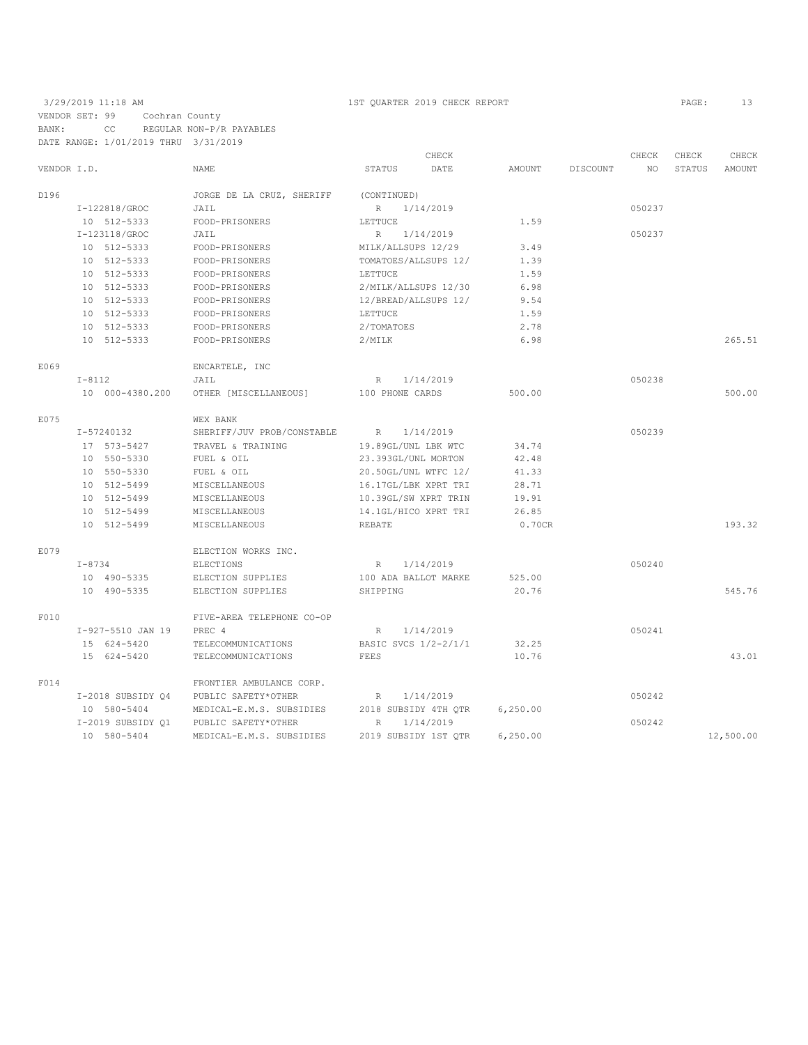|             |                   |                            |                      | CHECK     |          |          | CHECK  | CHECK  | CHECK     |
|-------------|-------------------|----------------------------|----------------------|-----------|----------|----------|--------|--------|-----------|
| VENDOR I.D. |                   | NAME                       | STATUS               | DATE      | AMOUNT   | DISCOUNT | NO     | STATUS | AMOUNT    |
| D196        |                   | JORGE DE LA CRUZ, SHERIFF  | (CONTINUED)          |           |          |          |        |        |           |
|             | I-122818/GROC     | JAIL                       | R                    | 1/14/2019 |          |          | 050237 |        |           |
|             | 10 512-5333       | FOOD-PRISONERS             | LETTUCE              |           | 1.59     |          |        |        |           |
|             | I-123118/GROC     | JAIL                       | R                    | 1/14/2019 |          |          | 050237 |        |           |
|             | 10 512-5333       | FOOD-PRISONERS             | MILK/ALLSUPS 12/29   |           | 3.49     |          |        |        |           |
|             | 10 512-5333       | FOOD-PRISONERS             | TOMATOES/ALLSUPS 12/ |           | 1.39     |          |        |        |           |
|             | 10 512-5333       | FOOD-PRISONERS             | LETTUCE              |           | 1.59     |          |        |        |           |
|             | 10 512-5333       | FOOD-PRISONERS             | 2/MILK/ALLSUPS 12/30 |           | 6.98     |          |        |        |           |
|             | 10 512-5333       | FOOD-PRISONERS             | 12/BREAD/ALLSUPS 12/ |           | 9.54     |          |        |        |           |
|             | 10 512-5333       | FOOD-PRISONERS             | LETTUCE              |           | 1.59     |          |        |        |           |
|             | 10 512-5333       | FOOD-PRISONERS             | 2/TOMATOES           |           | 2.78     |          |        |        |           |
|             | 10 512-5333       | FOOD-PRISONERS             | 2/MILK               |           | 6.98     |          |        |        | 265.51    |
| E069        |                   | ENCARTELE, INC             |                      |           |          |          |        |        |           |
|             | $I-8112$          | JAIL                       | $R_{\perp}$          | 1/14/2019 |          |          | 050238 |        |           |
|             | 10 000-4380.200   | OTHER [MISCELLANEOUS]      | 100 PHONE CARDS      |           | 500.00   |          |        |        | 500.00    |
| E075        |                   | WEX BANK                   |                      |           |          |          |        |        |           |
|             | I-57240132        | SHERIFF/JUV PROB/CONSTABLE | R                    | 1/14/2019 |          |          | 050239 |        |           |
|             | 17 573-5427       | TRAVEL & TRAINING          | 19.89GL/UNL LBK WTC  |           | 34.74    |          |        |        |           |
|             | 10 550-5330       | FUEL & OIL                 | 23.393GL/UNL MORTON  |           | 42.48    |          |        |        |           |
|             | 10 550-5330       | FUEL & OIL                 | 20.50GL/UNL WTFC 12/ |           | 41.33    |          |        |        |           |
|             | 10 512-5499       | MISCELLANEOUS              | 16.17GL/LBK XPRT TRI |           | 28.71    |          |        |        |           |
|             | 10 512-5499       | MISCELLANEOUS              | 10.39GL/SW XPRT TRIN |           | 19.91    |          |        |        |           |
|             | 10 512-5499       | MISCELLANEOUS              | 14.1GL/HICO XPRT TRI |           | 26.85    |          |        |        |           |
|             | 10 512-5499       | MISCELLANEOUS              | <b>REBATE</b>        |           | 0.70CR   |          |        |        | 193.32    |
| E079        |                   | ELECTION WORKS INC.        |                      |           |          |          |        |        |           |
|             | $I - 8734$        | <b>ELECTIONS</b>           | R                    | 1/14/2019 |          |          | 050240 |        |           |
|             | 10 490-5335       | ELECTION SUPPLIES          | 100 ADA BALLOT MARKE |           | 525.00   |          |        |        |           |
|             | 10 490-5335       | ELECTION SUPPLIES          | SHIPPING             |           | 20.76    |          |        |        | 545.76    |
| F010        |                   | FIVE-AREA TELEPHONE CO-OP  |                      |           |          |          |        |        |           |
|             | I-927-5510 JAN 19 | PREC 4                     | R                    | 1/14/2019 |          |          | 050241 |        |           |
|             | 15 624-5420       | TELECOMMUNICATIONS         | BASIC SVCS 1/2-2/1/1 |           | 32.25    |          |        |        |           |
|             | 15 624-5420       | TELECOMMUNICATIONS         | FEES                 |           | 10.76    |          |        |        | 43.01     |
| F014        |                   | FRONTIER AMBULANCE CORP.   |                      |           |          |          |        |        |           |
|             | I-2018 SUBSIDY 04 | PUBLIC SAFETY*OTHER        | R                    | 1/14/2019 |          |          | 050242 |        |           |
|             | 10 580-5404       | MEDICAL-E.M.S. SUBSIDIES   | 2018 SUBSIDY 4TH OTR |           | 6,250.00 |          |        |        |           |
|             | I-2019 SUBSIDY 01 | PUBLIC SAFETY*OTHER        | $\mathbb R$          | 1/14/2019 |          |          | 050242 |        |           |
|             | 10 580-5404       | MEDICAL-E.M.S. SUBSIDIES   | 2019 SUBSIDY 1ST OTR |           | 6,250.00 |          |        |        | 12,500.00 |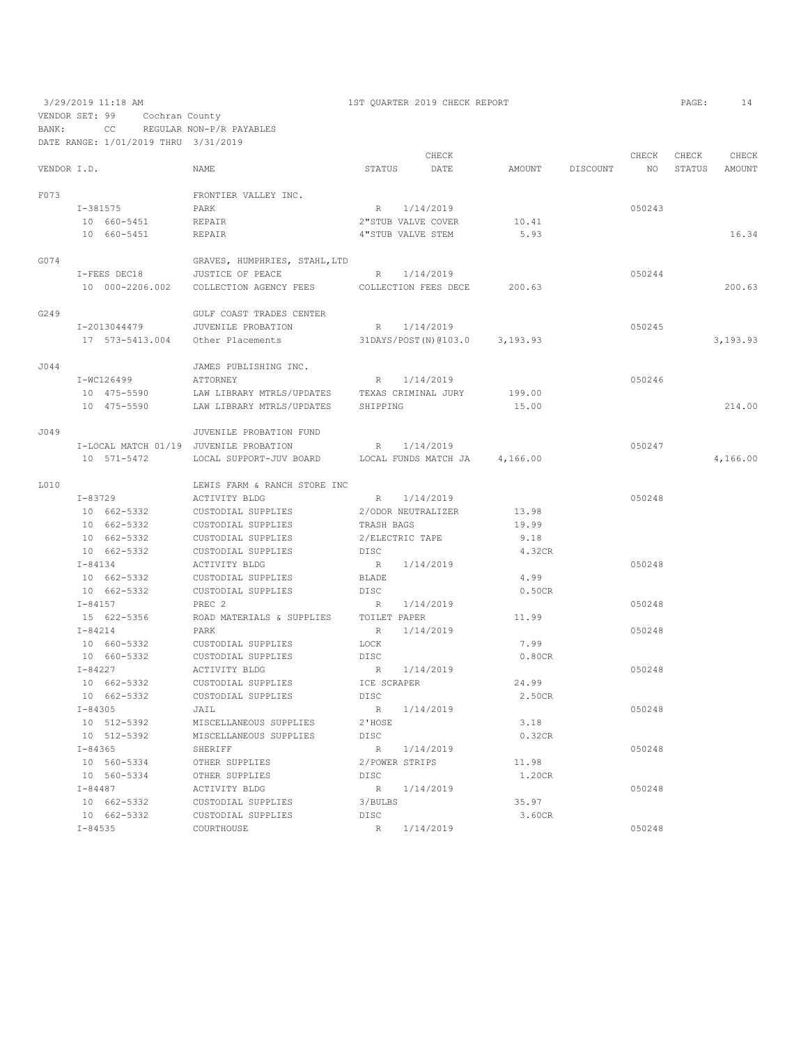VENDOR SET: 99 Cochran County

BANK: CC REGULAR NON-P/R PAYABLES

|             | DATE RANGE: 1/01/2019 THRU 3/31/2019 |                                                                    |                   |                               |                 |        |        |          |
|-------------|--------------------------------------|--------------------------------------------------------------------|-------------------|-------------------------------|-----------------|--------|--------|----------|
|             |                                      |                                                                    |                   | CHECK                         |                 | CHECK  | CHECK  | CHECK    |
| VENDOR I.D. |                                      | <b>NAME</b>                                                        |                   | STATUS DATE                   | AMOUNT DISCOUNT | NO .   | STATUS | AMOUNT   |
| F073        |                                      | FRONTIER VALLEY INC.                                               |                   |                               |                 |        |        |          |
|             | $I - 381575$                         | PARK                                                               |                   | R 1/14/2019                   |                 | 050243 |        |          |
|             | 10 660-5451                          | REPAIR                                                             |                   | 2"STUB VALVE COVER            | 10.41           |        |        |          |
|             | 10 660-5451                          | REPAIR                                                             | 4"STUB VALVE STEM |                               | 5.93            |        |        | 16.34    |
|             |                                      |                                                                    |                   |                               |                 |        |        |          |
| G074        |                                      | GRAVES, HUMPHRIES, STAHL, LTD                                      |                   |                               |                 |        |        |          |
|             | I-FEES DEC18                         | JUSTICE OF PEACE                                                   |                   | R 1/14/2019                   |                 | 050244 |        |          |
|             |                                      | 10 000-2206.002 COLLECTION AGENCY FEES COLLECTION FEES DECE 200.63 |                   |                               |                 |        |        | 200.63   |
| G249        |                                      | GULF COAST TRADES CENTER                                           |                   |                               |                 |        |        |          |
|             | I-2013044479                         | JUVENILE PROBATION                                                 |                   | R 1/14/2019                   |                 | 050245 |        |          |
|             | 17 573-5413.004                      | Other Placements                                                   |                   | 31DAYS/POST(N)@103.0 3,193.93 |                 |        |        | 3,193.93 |
| J044        |                                      | JAMES PUBLISHING INC.                                              |                   |                               |                 |        |        |          |
|             | I-WC126499                           | ATTORNEY                                                           |                   | R 1/14/2019                   |                 | 050246 |        |          |
|             | 10 475-5590                          | LAW LIBRARY MTRLS/UPDATES                                          |                   | TEXAS CRIMINAL JURY           | 199.00          |        |        |          |
|             | 10 475-5590                          | LAW LIBRARY MTRLS/UPDATES SHIPPING                                 |                   |                               | 15.00           |        |        | 214.00   |
|             |                                      |                                                                    |                   |                               |                 |        |        |          |
| J049        |                                      | JUVENILE PROBATION FUND                                            |                   |                               |                 |        |        |          |
|             |                                      | I-LOCAL MATCH 01/19 JUVENILE PROBATION                             |                   | R 1/14/2019                   |                 | 050247 |        |          |
|             | 10 571-5472                          | LOCAL SUPPORT-JUV BOARD LOCAL FUNDS MATCH JA 4,166.00              |                   |                               |                 |        |        | 4,166.00 |
| L010        |                                      | LEWIS FARM & RANCH STORE INC                                       |                   |                               |                 |        |        |          |
|             | $I - 83729$                          | ACTIVITY BLDG                                                      | R                 | 1/14/2019                     |                 | 050248 |        |          |
|             | 10 662-5332                          | CUSTODIAL SUPPLIES                                                 |                   | 2/ODOR NEUTRALIZER            | 13.98           |        |        |          |
|             | 10 662-5332                          | CUSTODIAL SUPPLIES                                                 | TRASH BAGS        |                               | 19.99           |        |        |          |
|             | 10 662-5332                          | CUSTODIAL SUPPLIES                                                 | 2/ELECTRIC TAPE   |                               | 9.18            |        |        |          |
|             | 10 662-5332                          | CUSTODIAL SUPPLIES                                                 | DISC              |                               | 4.32CR          |        |        |          |
|             | $I - 84134$                          | <b>ACTIVITY BLDG</b>                                               |                   | R 1/14/2019                   |                 | 050248 |        |          |
|             | 10 662-5332                          | CUSTODIAL SUPPLIES                                                 | BLADE             |                               | 4.99            |        |        |          |
|             | 10 662-5332                          | CUSTODIAL SUPPLIES                                                 | DISC              |                               | 0.50CR          |        |        |          |
|             | $I - 84157$                          | PREC <sub>2</sub>                                                  |                   | R 1/14/2019                   |                 | 050248 |        |          |
|             | 15 622-5356                          | ROAD MATERIALS & SUPPLIES                                          | TOILET PAPER      |                               | 11.99           |        |        |          |
|             | $I - 84214$                          | PARK                                                               |                   | R 1/14/2019                   |                 | 050248 |        |          |
|             | 10 660-5332                          | CUSTODIAL SUPPLIES                                                 | LOCK              |                               | 7.99            |        |        |          |
|             | 10 660-5332                          | CUSTODIAL SUPPLIES                                                 | DISC              |                               | 0.80CR          |        |        |          |
|             | $I - 84227$                          | ACTIVITY BLDG                                                      |                   | R 1/14/2019                   |                 | 050248 |        |          |
|             | 10 662-5332                          | CUSTODIAL SUPPLIES                                                 | ICE SCRAPER       |                               | 24.99           |        |        |          |
|             | 10 662-5332                          | CUSTODIAL SUPPLIES                                                 | DISC              |                               | 2.50CR          |        |        |          |
|             | $I - 84305$                          | JAIL                                                               |                   | R 1/14/2019                   |                 | 050248 |        |          |
|             | 10 512-5392                          | MISCELLANEOUS SUPPLIES                                             | 2'HOSE            |                               | 3.18            |        |        |          |
|             | 10 512-5392                          | MISCELLANEOUS SUPPLIES                                             | DISC              |                               | 0.32CR          |        |        |          |
|             | I-84365                              | SHERIFF                                                            |                   | R 1/14/2019                   |                 | 050248 |        |          |
|             | 10 560-5334                          | OTHER SUPPLIES                                                     | 2/POWER STRIPS    |                               | 11.98           |        |        |          |
|             | 10 560-5334                          | OTHER SUPPLIES                                                     | DISC              |                               | 1.20CR          |        |        |          |
|             | $I - 84487$                          | ACTIVITY BLDG                                                      |                   | R 1/14/2019                   |                 | 050248 |        |          |
|             | 10 662-5332                          | CUSTODIAL SUPPLIES                                                 | 3/BULBS           |                               | 35.97           |        |        |          |
|             | 10 662-5332                          | CUSTODIAL SUPPLIES                                                 | DISC              |                               | 3.60CR          |        |        |          |

I-84535 COURTHOUSE R 1/14/2019 050248

3/29/2019 11:18 AM 1ST QUARTER 2019 CHECK REPORT PAGE: 14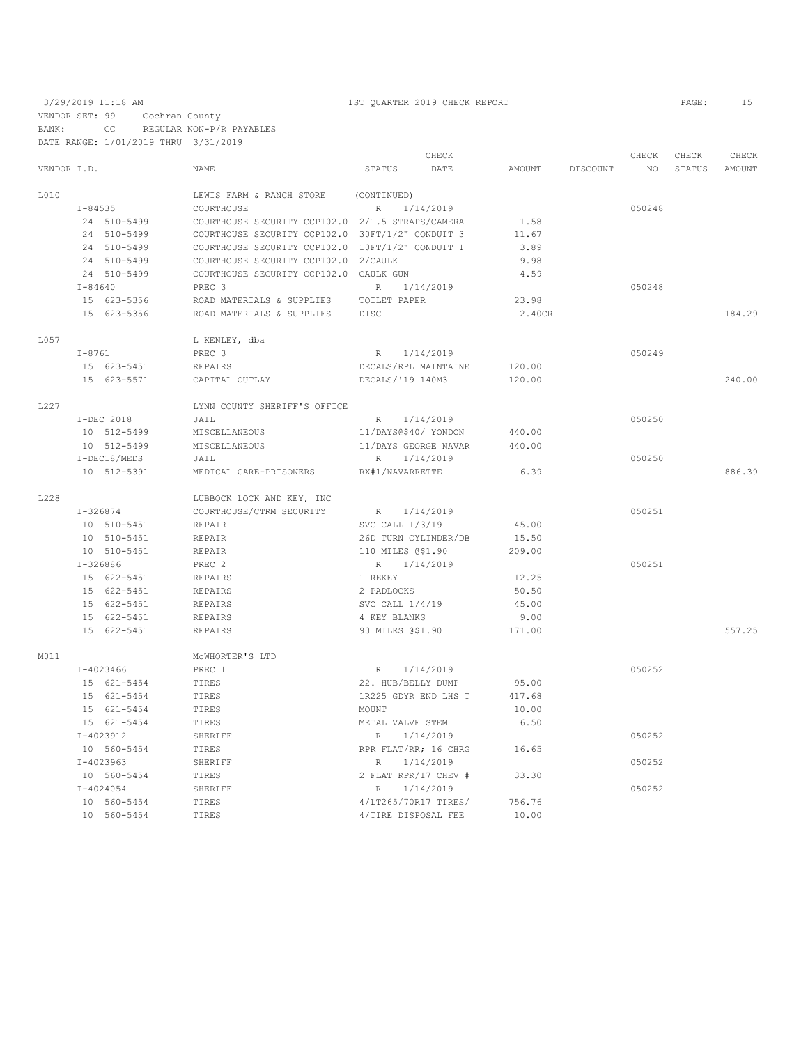VENDOR SET: 99 Cochran County BANK: CC REGULAR NON-P/R PAYABLES

|             | DATE RANGE: 1/01/2019 THRU 3/31/2019 |                                                  |                      |        |                 |        |        |        |
|-------------|--------------------------------------|--------------------------------------------------|----------------------|--------|-----------------|--------|--------|--------|
|             |                                      |                                                  | CHECK                |        |                 | CHECK  | CHECK  | CHECK  |
| VENDOR I.D. |                                      | <b>NAME</b>                                      | STATUS<br>DATE       |        | AMOUNT DISCOUNT | NO.    | STATUS | AMOUNT |
| L010        |                                      | LEWIS FARM & RANCH STORE                         | (CONTINUED)          |        |                 |        |        |        |
|             | $I - 84535$                          | COURTHOUSE                                       | R 1/14/2019          |        |                 | 050248 |        |        |
|             | 24 510-5499                          | COURTHOUSE SECURITY CCP102.0 2/1.5 STRAPS/CAMERA |                      | 1.58   |                 |        |        |        |
|             | 24 510-5499                          | COURTHOUSE SECURITY CCP102.0 30FT/1/2" CONDUIT 3 |                      | 11.67  |                 |        |        |        |
|             | 24 510-5499                          | COURTHOUSE SECURITY CCP102.0 10FT/1/2" CONDUIT 1 |                      | 3.89   |                 |        |        |        |
|             | 24 510-5499                          | COURTHOUSE SECURITY CCP102.0 2/CAULK             |                      | 9.98   |                 |        |        |        |
|             | 24 510-5499                          | COURTHOUSE SECURITY CCP102.0 CAULK GUN           |                      | 4.59   |                 |        |        |        |
|             | I-84640                              | PREC <sub>3</sub>                                | R 1/14/2019          |        |                 | 050248 |        |        |
|             | 15 623-5356                          | ROAD MATERIALS & SUPPLIES TOILET PAPER           |                      | 23.98  |                 |        |        |        |
|             | 15 623-5356                          | ROAD MATERIALS & SUPPLIES DISC                   |                      | 2.40CR |                 |        |        | 184.29 |
| L057        |                                      | L KENLEY, dba                                    |                      |        |                 |        |        |        |
|             | $I-8761$                             | PREC <sub>3</sub>                                | 1/14/2019<br>R       |        |                 | 050249 |        |        |
|             | 15 623-5451                          | REPAIRS                                          | DECALS/RPL MAINTAINE | 120.00 |                 |        |        |        |
|             | 15 623-5571                          | CAPITAL OUTLAY                                   | DECALS/'19 140M3     | 120.00 |                 |        |        | 240.00 |
| L227        |                                      | LYNN COUNTY SHERIFF'S OFFICE                     |                      |        |                 |        |        |        |
|             | I-DEC 2018                           | JAIL                                             | R 1/14/2019          |        |                 | 050250 |        |        |
|             | 10 512-5499                          | MISCELLANEOUS                                    | 11/DAYS@\$40/ YONDON | 440.00 |                 |        |        |        |
|             | 10 512-5499                          | MISCELLANEOUS                                    | 11/DAYS GEORGE NAVAR | 440.00 |                 |        |        |        |
|             | I-DEC18/MEDS                         | JAIL                                             | R 1/14/2019          |        |                 | 050250 |        |        |
|             | 10 512-5391                          | MEDICAL CARE-PRISONERS                           | RX#1/NAVARRETTE      | 6.39   |                 |        |        | 886.39 |
| L228        |                                      | LUBBOCK LOCK AND KEY, INC                        |                      |        |                 |        |        |        |
|             | I-326874                             | COURTHOUSE/CTRM SECURITY                         | R 1/14/2019          |        |                 | 050251 |        |        |
|             | 10 510-5451                          | REPAIR                                           | SVC CALL 1/3/19      | 45.00  |                 |        |        |        |
|             | 10 510-5451                          | REPAIR                                           | 26D TURN CYLINDER/DB | 15.50  |                 |        |        |        |
|             | 10 510-5451                          | REPAIR                                           | 110 MILES @\$1.90    | 209.00 |                 |        |        |        |
|             | $I-326886$                           | PREC 2                                           | R 1/14/2019          |        |                 | 050251 |        |        |
|             | 15 622-5451                          | REPAIRS                                          | 1 REKEY              | 12.25  |                 |        |        |        |
|             | 15 622-5451                          | REPAIRS                                          | 2 PADLOCKS           | 50.50  |                 |        |        |        |
|             | 15 622-5451                          | REPAIRS                                          | SVC CALL 1/4/19      | 45.00  |                 |        |        |        |
|             | 15 622-5451                          | REPAIRS                                          | 4 KEY BLANKS         | 9.00   |                 |        |        |        |
|             | 15 622-5451                          | <b>REPAIRS</b>                                   | 90 MILES @\$1.90     | 171.00 |                 |        |        | 557.25 |
| M011        |                                      | MCWHORTER'S LTD                                  |                      |        |                 |        |        |        |
|             | I-4023466                            | PREC 1                                           | R 1/14/2019          |        |                 | 050252 |        |        |
|             | 15 621-5454                          | TIRES                                            | 22. HUB/BELLY DUMP   | 95.00  |                 |        |        |        |
|             | 15 621-5454                          | TIRES                                            | 1R225 GDYR END LHS T | 417.68 |                 |        |        |        |
|             | 15 621-5454                          | TIRES                                            | MOUNT                | 10.00  |                 |        |        |        |
|             | 15 621-5454                          | TIRES                                            | METAL VALVE STEM     | 6.50   |                 |        |        |        |
|             | $I-4023912$                          | SHERIFF                                          | R<br>1/14/2019       |        |                 | 050252 |        |        |
|             | 10 560-5454                          | TIRES                                            | RPR FLAT/RR; 16 CHRG | 16.65  |                 |        |        |        |
|             | $I-4023963$                          | SHERIFF                                          | R<br>1/14/2019       |        |                 | 050252 |        |        |
|             | 10 560-5454                          | TIRES                                            | 2 FLAT RPR/17 CHEV # | 33.30  |                 |        |        |        |
|             | $I - 4024054$                        | SHERIFF                                          | 1/14/2019<br>R       |        |                 | 050252 |        |        |
|             | 10 560-5454                          | TIRES                                            | 4/LT265/70R17 TIRES/ | 756.76 |                 |        |        |        |
|             | 10 560-5454                          | TIRES                                            | 4/TIRE DISPOSAL FEE  | 10.00  |                 |        |        |        |
|             |                                      |                                                  |                      |        |                 |        |        |        |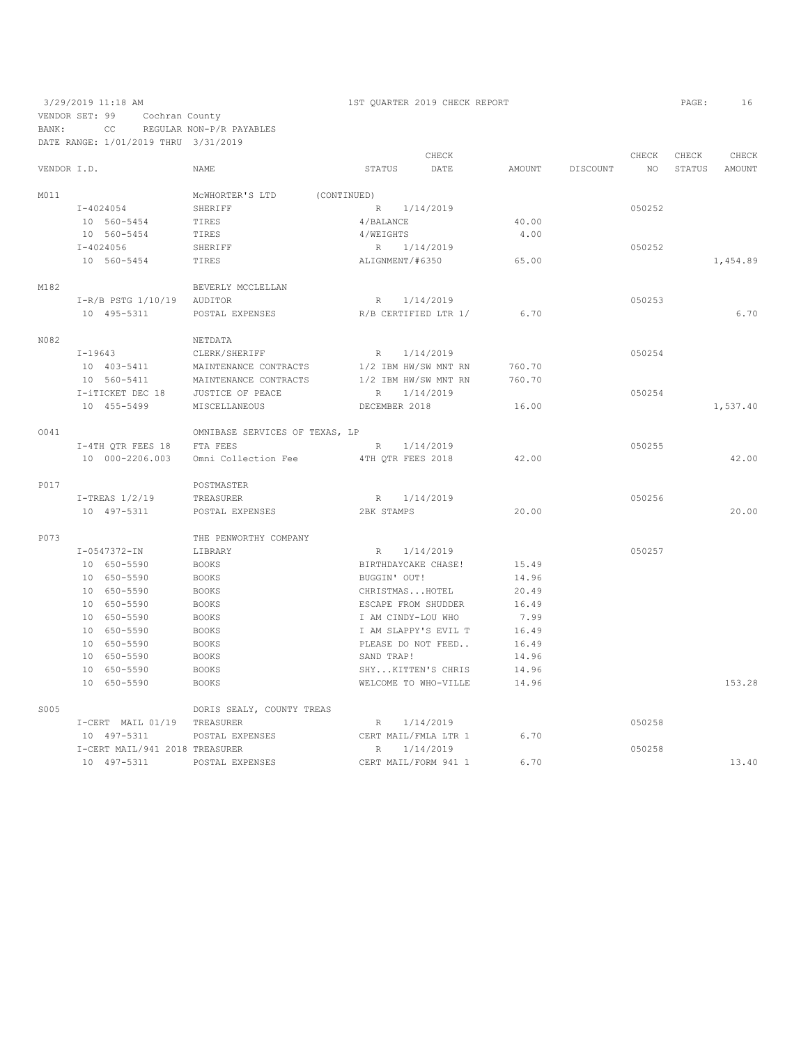VENDOR SET: 99 Cochran County BANK: CC REGULAR NON-P/R PAYABLES

DATE RANGE: 1/01/2019 THRU 3/31/2019

|             |                                |                                |                      | CHECK                |        |          | CHECK  | CHECK  | CHECK    |
|-------------|--------------------------------|--------------------------------|----------------------|----------------------|--------|----------|--------|--------|----------|
| VENDOR I.D. |                                | <b>NAME</b>                    | STATUS               | DATE                 | AMOUNT | DISCOUNT | NO.    | STATUS | AMOUNT   |
| M011        |                                | MCWHORTER'S LTD<br>(CONTINUED) |                      |                      |        |          |        |        |          |
|             | $I - 4024054$                  | SHERIFF                        | R 1/14/2019          |                      |        |          | 050252 |        |          |
|             | 10 560-5454                    | TIRES                          | 4/BALANCE            |                      | 40.00  |          |        |        |          |
|             | 10 560-5454                    | TIRES                          | 4/WEIGHTS            |                      | 4.00   |          |        |        |          |
|             | $I - 4024056$                  | SHERIFF                        | R 1/14/2019          |                      |        |          | 050252 |        |          |
|             | 10 560-5454                    | TIRES                          | ALIGNMENT/#6350      |                      | 65.00  |          |        |        | 1,454.89 |
| M182        |                                | BEVERLY MCCLELLAN              |                      |                      |        |          |        |        |          |
|             | $I-R/B$ PSTG $1/10/19$         | AUDITOR                        | R                    | 1/14/2019            |        |          | 050253 |        |          |
|             | 10 495-5311                    | POSTAL EXPENSES                |                      | R/B CERTIFIED LTR 1/ | 6.70   |          |        |        | 6.70     |
| N082        |                                | NETDATA                        |                      |                      |        |          |        |        |          |
|             | I-19643                        | CLERK/SHERIFF                  | R                    | 1/14/2019            |        |          | 050254 |        |          |
|             | 10 403-5411                    | MAINTENANCE CONTRACTS          | 1/2 IBM HW/SW MNT RN |                      | 760.70 |          |        |        |          |
|             | 10 560-5411                    | MAINTENANCE CONTRACTS          |                      | 1/2 IBM HW/SW MNT RN | 760.70 |          |        |        |          |
|             | I-iTICKET DEC 18               | JUSTICE OF PEACE               | $R_{\parallel}$      | 1/14/2019            |        |          | 050254 |        |          |
|             | 10 455-5499                    | MISCELLANEOUS                  | DECEMBER 2018        |                      | 16.00  |          |        |        | 1,537.40 |
| 0041        |                                | OMNIBASE SERVICES OF TEXAS, LP |                      |                      |        |          |        |        |          |
|             | I-4TH QTR FEES 18              | FTA FEES                       | R                    | 1/14/2019            |        |          | 050255 |        |          |
|             | 10 000-2206.003                | Omni Collection Fee            | 4TH QTR FEES 2018    |                      | 42.00  |          |        |        | 42.00    |
| P017        |                                | POSTMASTER                     |                      |                      |        |          |        |        |          |
|             | $I$ -TREAS $1/2/19$            | TREASURER                      | R                    | 1/14/2019            |        |          | 050256 |        |          |
|             | 10 497-5311                    | POSTAL EXPENSES                | 2BK STAMPS           |                      | 20.00  |          |        |        | 20.00    |
| P073        |                                | THE PENWORTHY COMPANY          |                      |                      |        |          |        |        |          |
|             | $I - 0547372 - IN$             | LIBRARY                        | R 1/14/2019          |                      |        |          | 050257 |        |          |
|             | 10 650-5590                    | <b>BOOKS</b>                   | BIRTHDAYCAKE CHASE!  |                      | 15.49  |          |        |        |          |
|             | 10 650-5590                    | <b>BOOKS</b>                   | BUGGIN' OUT!         |                      | 14.96  |          |        |        |          |
|             | 10 650-5590                    | <b>BOOKS</b>                   | CHRISTMASHOTEL       |                      | 20.49  |          |        |        |          |
|             | 10 650-5590                    | <b>BOOKS</b>                   | ESCAPE FROM SHUDDER  |                      | 16.49  |          |        |        |          |
|             | 10 650-5590                    | <b>BOOKS</b>                   | I AM CINDY-LOU WHO   |                      | 7.99   |          |        |        |          |
|             | 10 650-5590                    | <b>BOOKS</b>                   |                      | I AM SLAPPY'S EVIL T | 16.49  |          |        |        |          |
|             | 10 650-5590                    | <b>BOOKS</b>                   |                      | PLEASE DO NOT FEED   | 16.49  |          |        |        |          |
|             | 10 650-5590                    | <b>BOOKS</b>                   | SAND TRAP!           |                      | 14.96  |          |        |        |          |
|             | 10 650-5590                    | <b>BOOKS</b>                   |                      | SHYKITTEN'S CHRIS    | 14.96  |          |        |        |          |
|             | 10 650-5590                    | <b>BOOKS</b>                   |                      | WELCOME TO WHO-VILLE | 14.96  |          |        |        | 153.28   |
| S005        |                                | DORIS SEALY, COUNTY TREAS      |                      |                      |        |          |        |        |          |
|             | I-CERT MAIL 01/19              | TREASURER                      | R                    | 1/14/2019            |        |          | 050258 |        |          |
|             | 10 497-5311                    | POSTAL EXPENSES                |                      | CERT MAIL/FMLA LTR 1 | 6.70   |          |        |        |          |
|             | I-CERT MAIL/941 2018 TREASURER |                                | R                    | 1/14/2019            |        |          | 050258 |        |          |
|             | 10 497-5311                    | POSTAL EXPENSES                |                      | CERT MAIL/FORM 941 1 | 6.70   |          |        |        | 13.40    |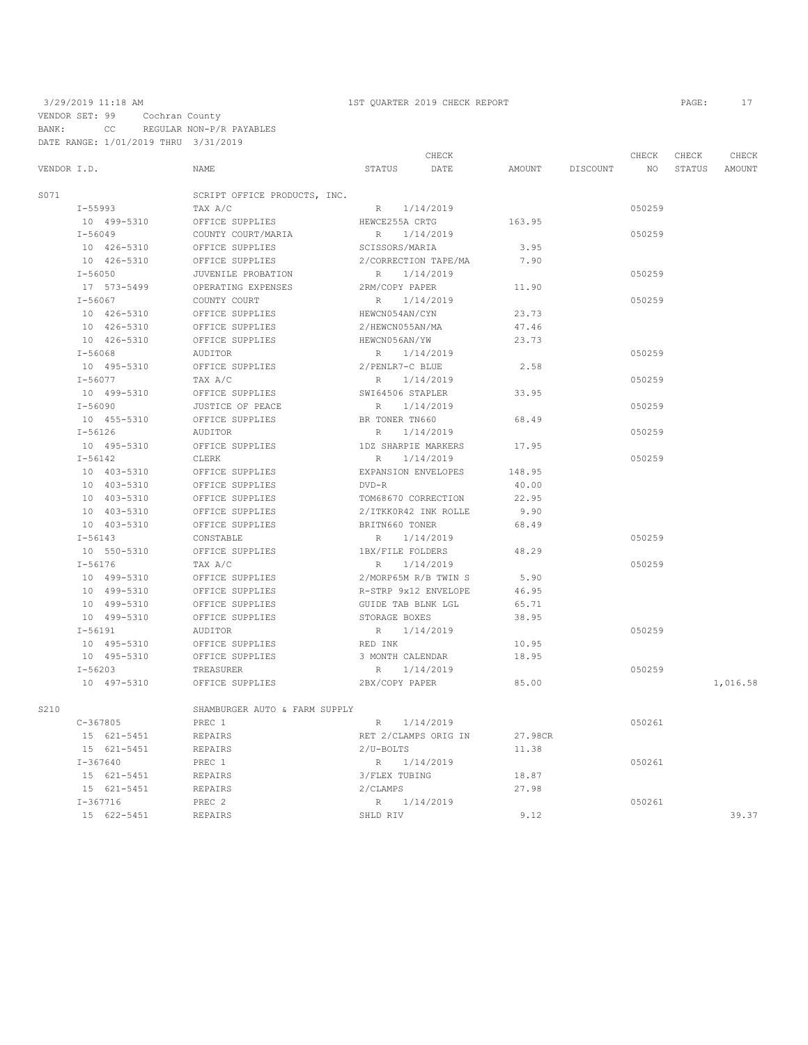|             |              |                               |                      | CHECK                |         |          | CHECK  | CHECK | CHECK         |
|-------------|--------------|-------------------------------|----------------------|----------------------|---------|----------|--------|-------|---------------|
| VENDOR I.D. |              | NAME                          | STATUS               | DATE                 | AMOUNT  | DISCOUNT | NO     |       | STATUS AMOUNT |
| S071        |              | SCRIPT OFFICE PRODUCTS, INC.  |                      |                      |         |          |        |       |               |
|             | I-55993      | TAX A/C                       | R 1/14/2019          |                      |         |          | 050259 |       |               |
|             | 10 499-5310  | OFFICE SUPPLIES               | HEWCE255A CRTG       |                      | 163.95  |          |        |       |               |
|             | $I - 56049$  | COUNTY COURT/MARIA            | R                    | 1/14/2019            |         |          | 050259 |       |               |
|             | 10 426-5310  | OFFICE SUPPLIES               | SCISSORS/MARIA       |                      | 3.95    |          |        |       |               |
|             | 10 426-5310  | OFFICE SUPPLIES               |                      | 2/CORRECTION TAPE/MA | 7.90    |          |        |       |               |
|             | $I - 56050$  | JUVENILE PROBATION            | R                    | 1/14/2019            |         |          | 050259 |       |               |
|             | 17 573-5499  | OPERATING EXPENSES            | 2RM/COPY PAPER       |                      | 11.90   |          |        |       |               |
|             | $I - 56067$  | COUNTY COURT                  | R                    | 1/14/2019            |         |          | 050259 |       |               |
|             | 10 426-5310  | OFFICE SUPPLIES               | HEWCN054AN/CYN       |                      | 23.73   |          |        |       |               |
|             | 10 426-5310  | OFFICE SUPPLIES               | 2/HEWCN055AN/MA      |                      | 47.46   |          |        |       |               |
|             | 10 426-5310  | OFFICE SUPPLIES               | HEWCN056AN/YW        |                      | 23.73   |          |        |       |               |
|             | $I - 56068$  | AUDITOR                       | R 1/14/2019          |                      |         |          | 050259 |       |               |
|             | 10 495-5310  | OFFICE SUPPLIES               | 2/PENLR7-C BLUE      |                      | 2.58    |          |        |       |               |
|             | $I - 56077$  | TAX A/C                       | R                    | 1/14/2019            |         |          | 050259 |       |               |
|             | 10 499-5310  | OFFICE SUPPLIES               | SWI64506 STAPLER     |                      | 33.95   |          |        |       |               |
|             | $I - 56090$  | JUSTICE OF PEACE              | R 1/14/2019          |                      |         |          | 050259 |       |               |
|             | 10 455-5310  | OFFICE SUPPLIES               | BR TONER TN660       |                      | 68.49   |          |        |       |               |
|             | $I - 56126$  | AUDITOR                       | R                    | 1/14/2019            |         |          | 050259 |       |               |
|             | 10 495-5310  | OFFICE SUPPLIES               | 1DZ SHARPIE MARKERS  |                      | 17.95   |          |        |       |               |
|             | $I - 56142$  | CLERK                         | R                    | 1/14/2019            |         |          | 050259 |       |               |
|             | 10 403-5310  | OFFICE SUPPLIES               | EXPANSION ENVELOPES  |                      | 148.95  |          |        |       |               |
|             | 10 403-5310  | OFFICE SUPPLIES               | $DVD-R$              |                      | 40.00   |          |        |       |               |
|             | 10 403-5310  | OFFICE SUPPLIES               | TOM68670 CORRECTION  |                      | 22.95   |          |        |       |               |
|             | 10 403-5310  | OFFICE SUPPLIES               |                      | 2/ITKK0R42 INK ROLLE | 9.90    |          |        |       |               |
|             | 10 403-5310  | OFFICE SUPPLIES               | BRITN660 TONER       |                      | 68.49   |          |        |       |               |
|             | $I - 56143$  | CONSTABLE                     | R                    | 1/14/2019            |         |          | 050259 |       |               |
|             | 10 550-5310  | OFFICE SUPPLIES               | 1BX/FILE FOLDERS     |                      | 48.29   |          |        |       |               |
|             | $I - 56176$  | TAX A/C                       | R                    | 1/14/2019            |         |          | 050259 |       |               |
|             | 10 499-5310  | OFFICE SUPPLIES               |                      | 2/MORP65M R/B TWIN S | 5.90    |          |        |       |               |
|             | 10 499-5310  | OFFICE SUPPLIES               | R-STRP 9x12 ENVELOPE |                      | 46.95   |          |        |       |               |
|             | 10 499-5310  | OFFICE SUPPLIES               | GUIDE TAB BLNK LGL   |                      | 65.71   |          |        |       |               |
|             | 10 499-5310  | OFFICE SUPPLIES               | STORAGE BOXES        |                      | 38.95   |          |        |       |               |
|             | $I - 56191$  | AUDITOR                       | R 1/14/2019          |                      |         |          | 050259 |       |               |
|             | 10 495-5310  | OFFICE SUPPLIES               | RED INK              |                      | 10.95   |          |        |       |               |
|             | 10 495-5310  | OFFICE SUPPLIES               | 3 MONTH CALENDAR     |                      | 18.95   |          |        |       |               |
|             | $I - 56203$  | TREASURER                     | R 1/14/2019          |                      |         |          | 050259 |       |               |
|             | 10 497-5310  | OFFICE SUPPLIES               | 2BX/COPY PAPER       |                      | 85.00   |          |        |       | 1,016.58      |
| S210        |              | SHAMBURGER AUTO & FARM SUPPLY |                      |                      |         |          |        |       |               |
|             | $C-367805$   | PREC 1                        | $R_{\perp}$          | 1/14/2019            |         |          | 050261 |       |               |
|             | 15 621-5451  | REPAIRS                       |                      | RET 2/CLAMPS ORIG IN | 27.98CR |          |        |       |               |
|             | 15 621-5451  | REPAIRS                       | 2/U-BOLTS            |                      | 11.38   |          |        |       |               |
|             | $I - 367640$ | PREC 1                        | R 1/14/2019          |                      |         |          | 050261 |       |               |
|             | 15 621-5451  | REPAIRS                       | 3/FLEX TUBING        |                      | 18.87   |          |        |       |               |
|             | 15 621-5451  | REPAIRS                       | 2/CLAMPS             |                      | 27.98   |          |        |       |               |
|             | $I - 367716$ | PREC <sub>2</sub>             | R 1/14/2019          |                      |         |          | 050261 |       |               |
|             | 15 622-5451  | REPAIRS                       | SHLD RIV             |                      | 9.12    |          |        |       | 39.37         |
|             |              |                               |                      |                      |         |          |        |       |               |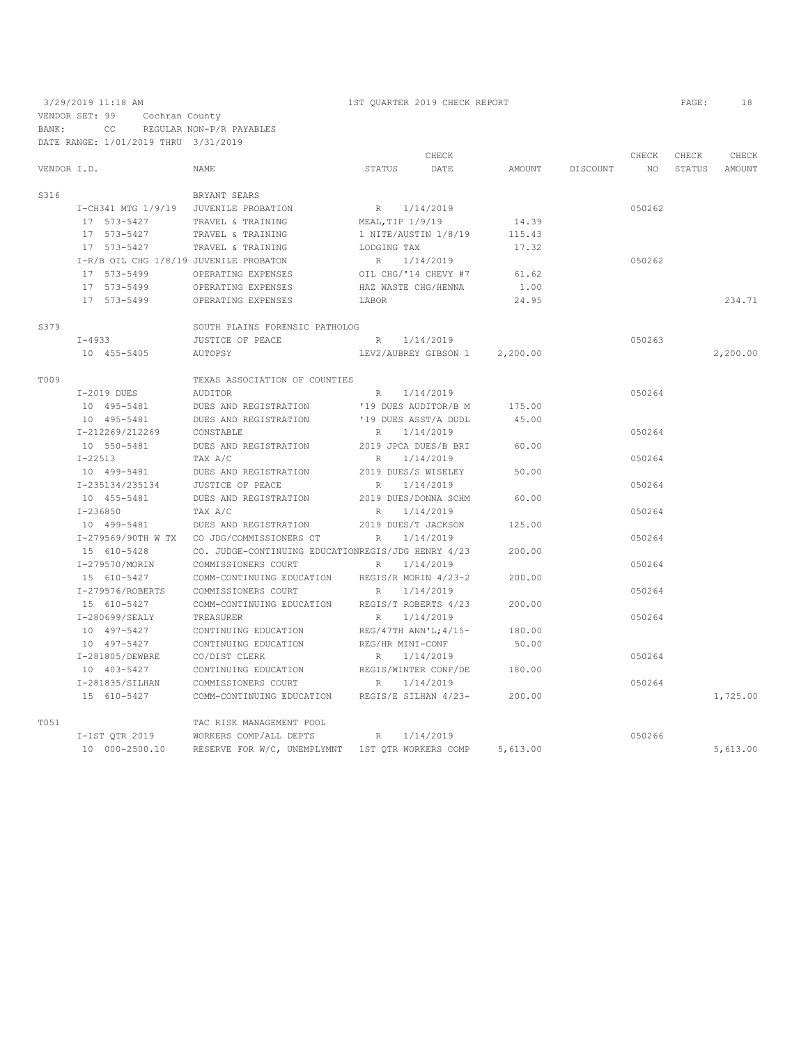|             |                                        |                                                    | CHECK                |                      |          |          |        | CHECK  | CHECK    |
|-------------|----------------------------------------|----------------------------------------------------|----------------------|----------------------|----------|----------|--------|--------|----------|
| VENDOR I.D. |                                        | NAME                                               | STATUS               | DATE                 | AMOUNT   | DISCOUNT | NO     | STATUS | AMOUNT   |
| S316        |                                        | BRYANT SEARS                                       |                      |                      |          |          |        |        |          |
|             | I-CH341 MTG 1/9/19 JUVENILE PROBATION  |                                                    | R 1/14/2019          |                      |          |          | 050262 |        |          |
|             | 17 573-5427                            | TRAVEL & TRAINING                                  | MEAL,TIP 1/9/19      |                      | 14.39    |          |        |        |          |
|             | 17 573-5427                            | TRAVEL & TRAINING                                  | 1 NITE/AUSTIN 1/8/19 |                      | 115.43   |          |        |        |          |
|             | 17 573-5427                            | TRAVEL & TRAINING                                  | LODGING TAX          |                      | 17.32    |          |        |        |          |
|             | I-R/B OIL CHG 1/8/19 JUVENILE PROBATON |                                                    | R 1/14/2019          |                      |          |          | 050262 |        |          |
|             | 17 573-5499                            | OPERATING EXPENSES                                 | OIL CHG/'14 CHEVY #7 |                      | 61.62    |          |        |        |          |
|             | 17 573-5499                            | OPERATING EXPENSES                                 | HAZ WASTE CHG/HENNA  |                      | 1.00     |          |        |        |          |
|             | 17 573-5499                            | OPERATING EXPENSES                                 | LABOR                |                      | 24.95    |          |        |        | 234.71   |
| S379        |                                        | SOUTH PLAINS FORENSIC PATHOLOG                     |                      |                      |          |          |        |        |          |
|             | $I - 4933$                             | JUSTICE OF PEACE                                   | R                    | 1/14/2019            |          |          | 050263 |        |          |
|             | 10 455-5405                            | AUTOPSY                                            |                      | LEV2/AUBREY GIBSON 1 | 2,200.00 |          |        |        | 2,200.00 |
| T009        |                                        | TEXAS ASSOCIATION OF COUNTIES                      |                      |                      |          |          |        |        |          |
|             | I-2019 DUES                            | AUDITOR                                            | R 1/14/2019          |                      |          |          | 050264 |        |          |
|             | 10 495-5481                            | DUES AND REGISTRATION                              |                      | '19 DUES AUDITOR/B M | 175.00   |          |        |        |          |
|             | 10 495-5481                            | DUES AND REGISTRATION                              | '19 DUES ASST/A DUDL |                      | 45.00    |          |        |        |          |
|             | I-212269/212269                        | CONSTABLE                                          | R                    | 1/14/2019            |          |          | 050264 |        |          |
|             | 10 550-5481                            | DUES AND REGISTRATION 2019 JPCA DUES/B BRI         |                      |                      | 60.00    |          |        |        |          |
|             | I-22513                                | TAX A/C                                            | R                    | 1/14/2019            |          |          | 050264 |        |          |
|             | 10 499-5481                            | DUES AND REGISTRATION                              | 2019 DUES/S WISELEY  |                      | 50.00    |          |        |        |          |
|             | I-235134/235134                        | JUSTICE OF PEACE                                   | 1/14/2019<br>R       |                      |          |          | 050264 |        |          |
|             | 10 455-5481                            | DUES AND REGISTRATION                              | 2019 DUES/DONNA SCHM |                      | 60.00    |          |        |        |          |
|             | I-236850                               | TAX A/C                                            | R                    | 1/14/2019            |          |          | 050264 |        |          |
|             | 10 499-5481                            | DUES AND REGISTRATION                              | 2019 DUES/T JACKSON  |                      | 125.00   |          |        |        |          |
|             |                                        | I-279569/90TH W TX CO JDG/COMMISSIONERS CT         | $R_{\perp}$          | 1/14/2019            |          |          | 050264 |        |          |
|             | 15 610-5428                            | CO. JUDGE-CONTINUING EDUCATIONREGIS/JDG HENRY 4/23 |                      |                      | 200.00   |          |        |        |          |
|             | I-279570/MORIN                         | COMMISSIONERS COURT                                | R                    | 1/14/2019            |          |          | 050264 |        |          |
|             | 15 610-5427                            | COMM-CONTINUING EDUCATION REGIS/R MORIN 4/23-2     |                      |                      | 200.00   |          |        |        |          |
|             | I-279576/ROBERTS                       | COMMISSIONERS COURT                                | R                    | 1/14/2019            |          |          | 050264 |        |          |
|             | 15 610-5427                            | COMM-CONTINUING EDUCATION REGIS/T ROBERTS 4/23     |                      |                      | 200.00   |          |        |        |          |
|             | I-280699/SEALY                         | TREASURER                                          | R                    | 1/14/2019            |          |          | 050264 |        |          |
|             | 10 497-5427                            | CONTINUING EDUCATION                               | REG/47TH ANN'L;4/15- |                      | 180.00   |          |        |        |          |
|             | 10 497-5427                            | CONTINUING EDUCATION                               | REG/HR MINI-CONF     |                      | 50.00    |          |        |        |          |
|             | I-281805/DEWBRE                        | CO/DIST CLERK                                      | R                    | 1/14/2019            |          |          | 050264 |        |          |
|             | 10 403-5427                            | CONTINUING EDUCATION                               |                      | REGIS/WINTER CONF/DE | 180.00   |          |        |        |          |
|             | I-281835/SILHAN                        | COMMISSIONERS COURT                                | R 1/14/2019          |                      |          |          | 050264 |        |          |
|             | 15 610-5427                            | COMM-CONTINUING EDUCATION REGIS/E SILHAN 4/23-     |                      |                      | 200.00   |          |        |        | 1,725.00 |
| T051        |                                        | TAC RISK MANAGEMENT POOL                           |                      |                      |          |          |        |        |          |
|             |                                        | I-1ST QTR 2019 WORKERS COMP/ALL DEPTS R            |                      | 1/14/2019            |          |          | 050266 |        |          |
|             | 10 000-2500.10                         | RESERVE FOR W/C, UNEMPLYMNT 1ST QTR WORKERS COMP   |                      |                      | 5,613.00 |          |        |        | 5,613.00 |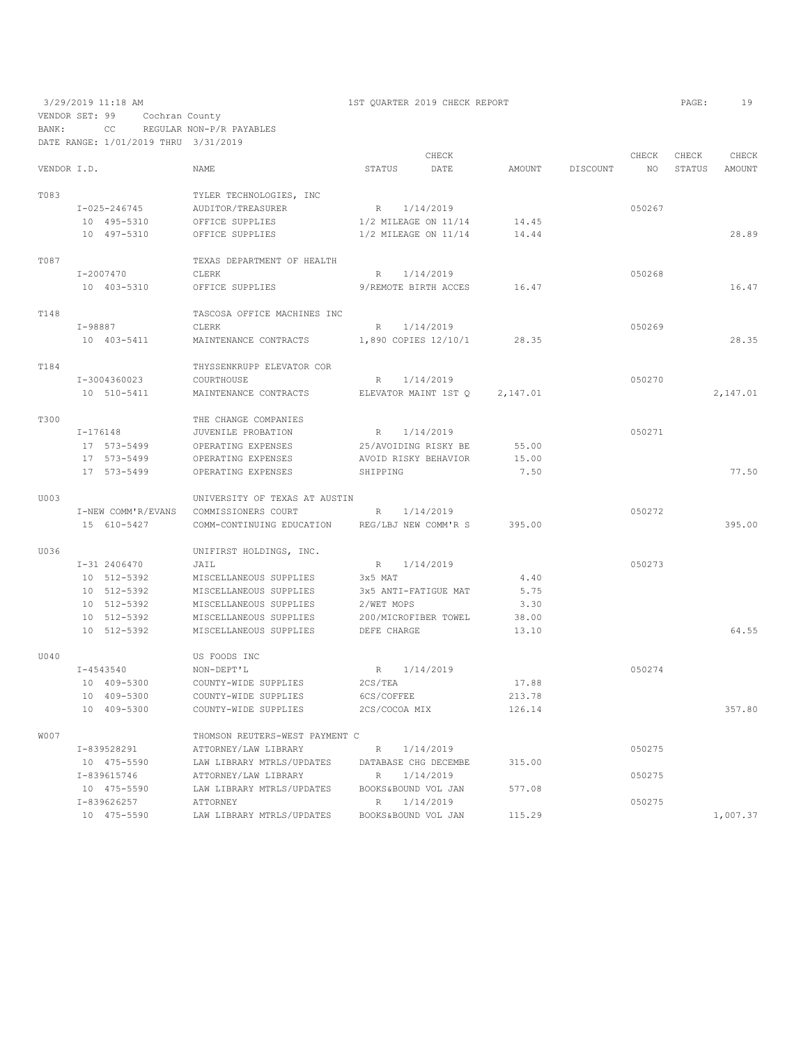VENDOR SET: 99 Cochran County BANK: CC REGULAR NON-P/R PAYABLES

3/29/2019 11:18 AM 1ST QUARTER 2019 CHECK REPORT PAGE: 19

DATE RANGE: 1/01/2019 THRU 3/31/2019 CHECK CHECK CHECK CHECK CHECK CHECK CHECK CHECK CHECK CHECK CHECK CHECK CHECK CHECK CHECK CHECK CHECK CHECK CHECK CHECK CHECK CHECK CHECK CHECK CHECK CHECK CHECK CHECK CHECK CHECK CHECK CHECK CHECK CHECK CHECK CHECK CHECK VENDOR I.D. NAME STATUS DATE AMOUNT DISCOUNT NO STATUS AMOUNT TO TO SSAIN THE RECHNOLOGIES, INC TO THE POST OF THE POST OF THE POST OF THE POST OF THE POST OF THE POST OF THE POST OF THE POST OF THE POST OF THE POST OF THE POST OF THE POST OF THE POST OF THE POST OF THE POST OF THE P  $I-025-246745$  AUDITOR/TREASURER R  $1/14/2019$  14.45 050267<br>10 495–5310 OFFICE SUPPLIES 1/2 MILEAGE ON 11/14 14.45 10 495-5310 OFFICE SUPPLIES 1/2 MILEAGE ON 11/14 14.45<br>10 497-5310 OFFICE SUPPLIES 1/2 MILEAGE ON 11/14 14.44 1/2 MILEAGE ON 11/14 14.44 28.89 T087 TEXAS DEPARTMENT OF HEALTH I-2007470 CLERK I-2007470 CLERK R 1/14/2019 050268 9/REMOTE BIRTH ACCES 16.47 16.47 T<br/>148 TASCOSA OFFICE MACHINES INC $$\tt I-98887$$  $\begin{array}{cccccccccc} \texttt{I}-98887 & & & & & \texttt{CLERK} & & & \texttt{R} & & 1/14/2019 & & & & & \texttt{050269} \\ \texttt{10} & & & & & & & & \texttt{050269} & & & & \texttt{050269} & & & & \texttt{050269} & & & & \texttt{050269} & & & & \texttt{050269} & & & & \texttt{050269} & & & & \texttt{050269} & & & & \texttt{050269} & & & & \texttt{050269} & & & &$ 1,890 COPIES 12/10/1 28.35 28.35 T184 THYSSENKRUPP ELEVATOR COR<br>T-3004360023 COURTHOUSE  $\begin{tabular}{lllllllllll} \multicolumn{2}{c}{\textbf{I} & 3004360023} & \multicolumn{2}{c}{\textbf{COURTHOUSE}} & \multicolumn{2}{c}{\textbf{R}} & 1/14/2019 & \\ \multicolumn{2}{c}{\textbf{I0} & 510-5411} & \multicolumn{2}{c}{\textbf{MAINTENANCE CONTRACTS}} & \multicolumn{2}{c}{\textbf{ELEVATOR MAINT 1ST Q}} & 2,147.01 & \\ \multicolumn{2}{c}{\textbf{I0} & 3004360023} & \multicolumn{2}{c}{\textbf$ MAINTENANCE CONTRACTS ELEVATOR MAINT  $1STQ$  2,147.01 2,147.01 T300 THE CHANGE COMPANIES<br>T-176148 JUVENILE PROBATION I-176148 JUVENILE PROBATION R 1/14/2019 050271 17 573-5499 OPERATING EXPENSES 25/AVOIDING RISKY BE 55.00 17 573-5499 OPERATING EXPENSES AVOID RISKY BEHAVIOR 15.00 17 573-5499 OPERATING EXPENSES SHIPPING 7.50 77.50 U003 UNIVERSITY OF TEXAS AT AUSTIN I-NEW COMM'R/EVANS COMMISSIONERS COURT R 1/14/2019 050272 15 610-5427 COMM-CONTINUING EDUCATION REG/LBJ NEW COMM'R S 395.00 395.00 U036 UNIFIRST HOLDINGS, INC.<br>
I-31 2406470 JAIL R  $1/14/2019$  050273<br>3x5 MAT 4.40 10 512-5392 MISCELLANEOUS SUPPLIES 3x5 MAT 4.40 10 512-5392 MISCELLANEOUS SUPPLIES 3x5 ANTI-FATIGUE MAT 5.75<br>10 512-5392 MISCELLANEOUS SUPPLIES 2/WET MOPS 3.30 10 512-5392 MISCELLANEOUS SUPPLIES 2/WET MOPS 3.30 10 512-5392 MISCELLANEOUS SUPPLIES 200/MICROFIB<br>10 512-5392 MISCELLANEOUS SUPPLIES DEFE CHARGE MISCELLANEOUS SUPPLIES DEFE CHARGE 13.10 64.55 U040 US FOODS INC<br>
I-4543540 NON-DEPT'L I-4543540 NON-DEPT'L R 1/14/2019<br>
10 409–5300 COUNTY-WIDE SUPPLIES 2CS/TEA 2114/2019 10 409–5300 COUNTY-WIDE SUPPLIES 2CS/TEA 17.88<br>10 409–5300 COUNTY-WIDE SUPPLIES 6CS/COFFEE 213.78 10 409-5300 COUNTY-WIDE SUPPLIES<br>10 409-5300 COUNTY-WIDE SUPPLIES COUNTY-WIDE SUPPLIES 2CS/COCOA MIX 126.14 357.80 WOO7 THOMSON REUTERS-WEST PAYMENT C<br>I-839528291 ATTORNEY/LAW LIBRARY ATTORNEY/LAW LIBRARY R 1/14/2019 R 1/14/2019 10 475-5590 LAW LIBRARY MTRLS/UPDATES DATABASE CHG DECEMBE 315.00<br> $I-839615746$  ATTORNEY/LAW LIBRARY R  $1/14/2019$  I-839615746 ATTORNEY/LAW LIBRARY R 1/14/2019 050275 10 475-5590 LAW LIBRARY MTRLS/UPDATES BOOKS&BOUND VOL JAN 577.08<br>1/14/2019 R 1/14/2019 I-839626257 ATTORNEY R 1/14/2019 050275 LAW LIBRARY MTRLS/UPDATES BOOKS&BOUND VOL JAN 115.29 1,007.37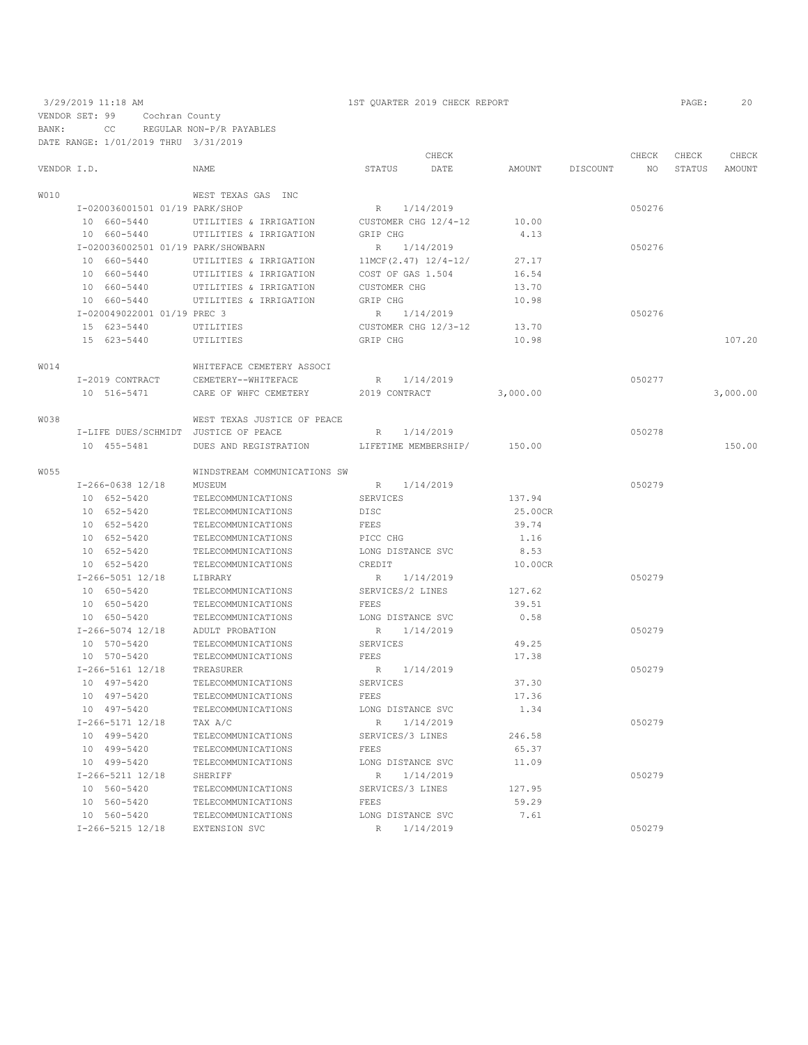### 3/29/2019 11:18 AM 1ST QUARTER 2019 CHECK REPORT PAGE: 20 VENDOR SET: 99 Cochran County BANK: CC REGULAR NON-P/R PAYABLES DATE RANGE: 1/01/2019 THRU 3/31/2019

|             |                                      |                              |                      | CHECK                  |          |          | CHECK  | CHECK  | CHECK    |
|-------------|--------------------------------------|------------------------------|----------------------|------------------------|----------|----------|--------|--------|----------|
| VENDOR I.D. |                                      | NAME                         | STATUS               | DATE                   | AMOUNT   | DISCOUNT | NO     | STATUS | AMOUNT   |
| W010        |                                      | WEST TEXAS GAS INC           |                      |                        |          |          |        |        |          |
|             | I-020036001501 01/19 PARK/SHOP       |                              | R 1/14/2019          |                        |          |          | 050276 |        |          |
|             | 10 660-5440                          | UTILITIES & IRRIGATION       | CUSTOMER CHG 12/4-12 |                        | 10.00    |          |        |        |          |
|             | 10 660-5440                          | UTILITIES & IRRIGATION       | GRIP CHG             |                        | 4.13     |          |        |        |          |
|             | I-020036002501 01/19 PARK/SHOWBARN   |                              | R 1/14/2019          |                        |          |          | 050276 |        |          |
|             | 10 660-5440                          | UTILITIES & IRRIGATION       |                      | $11MCF(2.47) 12/4-12/$ | 27.17    |          |        |        |          |
|             | 10 660-5440                          | UTILITIES & IRRIGATION       | COST OF GAS 1.504    |                        | 16.54    |          |        |        |          |
|             | 10 660-5440                          | UTILITIES & IRRIGATION       | <b>CUSTOMER CHG</b>  |                        | 13.70    |          |        |        |          |
|             | 10 660-5440                          | UTILITIES & IRRIGATION       | GRIP CHG             |                        | 10.98    |          |        |        |          |
|             | I-020049022001 01/19 PREC 3          |                              | R                    | 1/14/2019              |          |          | 050276 |        |          |
|             | 15 623-5440                          | UTILITIES                    |                      | CUSTOMER CHG 12/3-12   | 13.70    |          |        |        |          |
|             | 15 623-5440                          | UTILITIES                    | GRIP CHG             |                        | 10.98    |          |        |        | 107.20   |
| W014        |                                      | WHITEFACE CEMETERY ASSOCI    |                      |                        |          |          |        |        |          |
|             | I-2019 CONTRACT                      | CEMETERY--WHITEFACE          | R 1/14/2019          |                        |          |          | 050277 |        |          |
|             | 10 516-5471                          | CARE OF WHFC CEMETERY        | 2019 CONTRACT        |                        | 3,000.00 |          |        |        | 3,000.00 |
| W038        |                                      | WEST TEXAS JUSTICE OF PEACE  |                      |                        |          |          |        |        |          |
|             | I-LIFE DUES/SCHMIDT JUSTICE OF PEACE |                              | R                    | 1/14/2019              |          |          | 050278 |        |          |
|             | 10 455-5481                          | DUES AND REGISTRATION        |                      | LIFETIME MEMBERSHIP/   | 150.00   |          |        |        | 150.00   |
| W055        |                                      | WINDSTREAM COMMUNICATIONS SW |                      |                        |          |          |        |        |          |
|             | $I-266-0638$ 12/18                   | MUSEUM                       | R 1/14/2019          |                        |          |          | 050279 |        |          |
|             | 10 652-5420                          | TELECOMMUNICATIONS           | SERVICES             |                        | 137.94   |          |        |        |          |
|             | 10 652-5420                          | TELECOMMUNICATIONS           | DISC                 |                        | 25.00CR  |          |        |        |          |
|             | 10 652-5420                          | TELECOMMUNICATIONS           | FEES                 |                        | 39.74    |          |        |        |          |
|             | 10 652-5420                          | TELECOMMUNICATIONS           | PICC CHG             |                        | 1.16     |          |        |        |          |
|             | 10 652-5420                          | TELECOMMUNICATIONS           | LONG DISTANCE SVC    |                        | 8.53     |          |        |        |          |
|             | 10 652-5420                          | TELECOMMUNICATIONS           | CREDIT               |                        | 10.00CR  |          |        |        |          |
|             | I-266-5051 12/18                     | LIBRARY                      | R                    | 1/14/2019              |          |          | 050279 |        |          |
|             | 10 650-5420                          | TELECOMMUNICATIONS           | SERVICES/2 LINES     |                        | 127.62   |          |        |        |          |
|             | 10 650-5420                          | TELECOMMUNICATIONS           | FEES                 |                        | 39.51    |          |        |        |          |
|             | 10 650-5420                          | TELECOMMUNICATIONS           | LONG DISTANCE SVC    |                        | 0.58     |          |        |        |          |
|             | $I-266-5074$ 12/18                   | ADULT PROBATION              | R                    | 1/14/2019              |          |          | 050279 |        |          |
|             | 10 570-5420                          | TELECOMMUNICATIONS           | SERVICES             |                        | 49.25    |          |        |        |          |
|             | 10 570-5420                          | TELECOMMUNICATIONS           | FEES                 |                        | 17.38    |          |        |        |          |
|             | I-266-5161 12/18                     | TREASURER                    | R 1/14/2019          |                        |          |          | 050279 |        |          |
|             | 10 497-5420                          | TELECOMMUNICATIONS           | SERVICES             |                        | 37.30    |          |        |        |          |
|             | 10 497-5420                          | TELECOMMUNICATIONS           | FEES                 |                        | 17.36    |          |        |        |          |
|             | 10 497-5420                          | TELECOMMUNICATIONS           | LONG DISTANCE SVC    |                        | 1.34     |          |        |        |          |
|             | I-266-5171 12/18                     | TAX A/C                      | R                    | 1/14/2019              |          |          | 050279 |        |          |
|             | 10 499-5420                          | TELECOMMUNICATIONS           | SERVICES/3 LINES     |                        | 246.58   |          |        |        |          |
|             | 10 499-5420                          | TELECOMMUNICATIONS           | FEES                 |                        | 65.37    |          |        |        |          |
|             | 10 499-5420                          | TELECOMMUNICATIONS           | LONG DISTANCE SVC    |                        | 11.09    |          |        |        |          |
|             | $I-266-5211$ $12/18$                 | SHERIFF                      | R                    | 1/14/2019              |          |          | 050279 |        |          |
|             | 10 560-5420                          | TELECOMMUNICATIONS           | SERVICES/3 LINES     |                        | 127.95   |          |        |        |          |
|             | 10 560-5420                          | TELECOMMUNICATIONS           | FEES                 |                        | 59.29    |          |        |        |          |
|             | 10 560-5420                          | TELECOMMUNICATIONS           | LONG DISTANCE SVC    |                        | 7.61     |          |        |        |          |
|             | $I-266-5215$ 12/18                   | EXTENSION SVC                | R                    | 1/14/2019              |          |          | 050279 |        |          |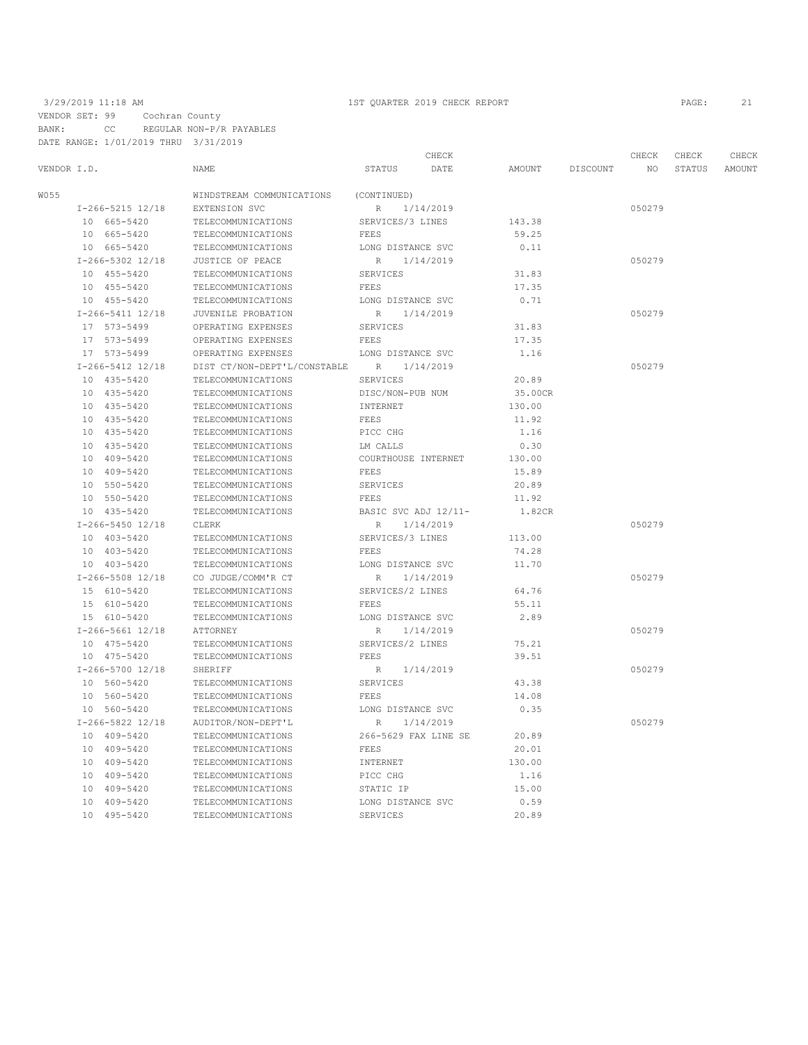|             |                      |                              |                   | CHECK                |         |          | CHECK  | CHECK  | CHECK  |
|-------------|----------------------|------------------------------|-------------------|----------------------|---------|----------|--------|--------|--------|
| VENDOR I.D. |                      | NAME                         | <b>STATUS</b>     | DATE                 | AMOUNT  | DISCOUNT | NO     | STATUS | AMOUNT |
| W055        |                      | WINDSTREAM COMMUNICATIONS    | (CONTINUED)       |                      |         |          |        |        |        |
|             | $I-266-5215$ $12/18$ | EXTENSION SVC                | R                 | 1/14/2019            |         |          | 050279 |        |        |
|             | 10 665-5420          | TELECOMMUNICATIONS           | SERVICES/3 LINES  |                      | 143.38  |          |        |        |        |
|             | 10 665-5420          | TELECOMMUNICATIONS           | FEES              |                      | 59.25   |          |        |        |        |
|             | 10 665-5420          | TELECOMMUNICATIONS           | LONG DISTANCE SVC |                      | 0.11    |          |        |        |        |
|             | $I-266-5302$ 12/18   | JUSTICE OF PEACE             | R                 | 1/14/2019            |         |          | 050279 |        |        |
|             | 10 455-5420          | TELECOMMUNICATIONS           | <b>SERVICES</b>   |                      | 31.83   |          |        |        |        |
|             | 10 455-5420          | TELECOMMUNICATIONS           | FEES              |                      | 17.35   |          |        |        |        |
|             | 10 455-5420          | TELECOMMUNICATIONS           | LONG DISTANCE SVC |                      | 0.71    |          |        |        |        |
|             | $I-266-5411$ $12/18$ | JUVENILE PROBATION           | R                 | 1/14/2019            |         |          | 050279 |        |        |
|             | 17 573-5499          | OPERATING EXPENSES           | SERVICES          |                      | 31.83   |          |        |        |        |
|             | 17 573-5499          | OPERATING EXPENSES           | FEES              |                      | 17.35   |          |        |        |        |
|             | 17 573-5499          | OPERATING EXPENSES           | LONG DISTANCE SVC |                      | 1.16    |          |        |        |        |
|             | $I-266-5412$ 12/18   | DIST CT/NON-DEPT'L/CONSTABLE | R                 | 1/14/2019            |         |          | 050279 |        |        |
|             | 10 435-5420          | TELECOMMUNICATIONS           | <b>SERVICES</b>   |                      | 20.89   |          |        |        |        |
|             | 10 435-5420          | TELECOMMUNICATIONS           | DISC/NON-PUB NUM  |                      | 35.00CR |          |        |        |        |
|             | 10 435-5420          | TELECOMMUNICATIONS           | INTERNET          |                      | 130.00  |          |        |        |        |
|             | 10 435-5420          | TELECOMMUNICATIONS           | FEES              |                      | 11.92   |          |        |        |        |
|             | 10 435-5420          | TELECOMMUNICATIONS           | PICC CHG          |                      | 1.16    |          |        |        |        |
|             | 10 435-5420          | TELECOMMUNICATIONS           | LM CALLS          |                      | 0.30    |          |        |        |        |
|             | 10 409-5420          | TELECOMMUNICATIONS           |                   | COURTHOUSE INTERNET  | 130.00  |          |        |        |        |
|             | 10 409-5420          | TELECOMMUNICATIONS           | FEES              |                      | 15.89   |          |        |        |        |
|             | 10 550-5420          | TELECOMMUNICATIONS           | SERVICES          |                      | 20.89   |          |        |        |        |
|             | 10 550-5420          | TELECOMMUNICATIONS           | FEES              |                      | 11.92   |          |        |        |        |
|             | 10 435-5420          | TELECOMMUNICATIONS           |                   | BASIC SVC ADJ 12/11- | 1.82CR  |          |        |        |        |
|             | I-266-5450 12/18     | CLERK                        | R                 | 1/14/2019            |         |          | 050279 |        |        |
|             | 10 403-5420          | TELECOMMUNICATIONS           | SERVICES/3 LINES  |                      | 113.00  |          |        |        |        |
|             | 10 403-5420          | TELECOMMUNICATIONS           | <b>FEES</b>       |                      | 74.28   |          |        |        |        |
|             | 10 403-5420          | TELECOMMUNICATIONS           | LONG DISTANCE SVC |                      | 11.70   |          |        |        |        |
|             | $I-266-5508$ 12/18   | CO JUDGE/COMM'R CT           | R                 | 1/14/2019            |         |          | 050279 |        |        |
|             | 15 610-5420          | TELECOMMUNICATIONS           | SERVICES/2 LINES  |                      | 64.76   |          |        |        |        |
|             | 15 610-5420          | TELECOMMUNICATIONS           | <b>FEES</b>       |                      | 55.11   |          |        |        |        |
|             | 15 610-5420          | TELECOMMUNICATIONS           | LONG DISTANCE SVC |                      | 2.89    |          |        |        |        |
|             | I-266-5661 12/18     | ATTORNEY                     | R                 | 1/14/2019            |         |          | 050279 |        |        |
|             | 10 475-5420          | TELECOMMUNICATIONS           | SERVICES/2 LINES  |                      | 75.21   |          |        |        |        |
|             | 10 475-5420          | TELECOMMUNICATIONS           | <b>FEES</b>       |                      | 39.51   |          |        |        |        |
|             | I-266-5700 12/18     | SHERIFF                      | R                 | 1/14/2019            |         |          | 050279 |        |        |
|             | 10 560-5420          | TELECOMMUNICATIONS           | <b>SERVICES</b>   |                      | 43.38   |          |        |        |        |
|             | 10 560-5420          | TELECOMMUNICATIONS           | FEES              |                      | 14.08   |          |        |        |        |
|             | 10 560-5420          | TELECOMMUNICATIONS           | LONG DISTANCE SVC |                      | 0.35    |          |        |        |        |
|             | I-266-5822 12/18     | AUDITOR/NON-DEPT'L           | R                 | 1/14/2019            |         |          | 050279 |        |        |
|             | 10 409-5420          | TELECOMMUNICATIONS           |                   | 266-5629 FAX LINE SE | 20.89   |          |        |        |        |
|             | 10 409-5420          | TELECOMMUNICATIONS           | <b>FEES</b>       |                      | 20.01   |          |        |        |        |
|             | 10 409-5420          | TELECOMMUNICATIONS           | INTERNET          |                      | 130.00  |          |        |        |        |
|             | 10 409-5420          | TELECOMMUNICATIONS           | PICC CHG          |                      | 1.16    |          |        |        |        |
|             | 10 409-5420          | TELECOMMUNICATIONS           | STATIC IP         |                      | 15.00   |          |        |        |        |
|             | 10 409-5420          | TELECOMMUNICATIONS           |                   | LONG DISTANCE SVC    | 0.59    |          |        |        |        |
|             | 10 495-5420          | TELECOMMUNICATIONS           | SERVICES          |                      | 20.89   |          |        |        |        |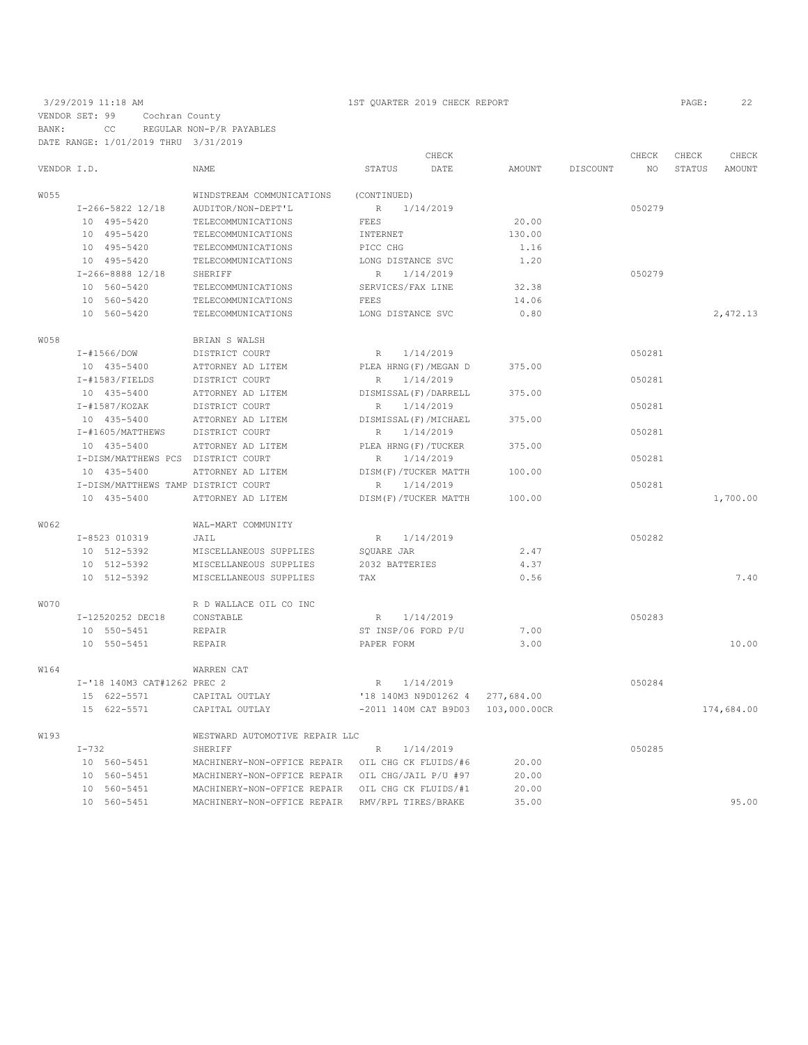|             |                                     |                                                  | CHECK                        |              |          | CHECK  | CHECK         | CHECK      |
|-------------|-------------------------------------|--------------------------------------------------|------------------------------|--------------|----------|--------|---------------|------------|
| VENDOR I.D. |                                     | <b>NAME</b>                                      | STATUS<br>DATE               | AMOUNT       | DISCOUNT | NO.    | <b>STATUS</b> | AMOUNT     |
| W055        |                                     | WINDSTREAM COMMUNICATIONS                        | (CONTINUED)                  |              |          |        |               |            |
|             | I-266-5822 12/18                    | AUDITOR/NON-DEPT'L                               | 1/14/2019<br>$R_{\perp}$     |              |          | 050279 |               |            |
|             | 10 495-5420                         | TELECOMMUNICATIONS                               | FEES                         | 20.00        |          |        |               |            |
|             | 10 495-5420                         | TELECOMMUNICATIONS                               | INTERNET                     | 130.00       |          |        |               |            |
|             | 10 495-5420                         | TELECOMMUNICATIONS                               | PICC CHG                     | 1.16         |          |        |               |            |
|             | 10 495-5420                         | TELECOMMUNICATIONS                               | LONG DISTANCE SVC            | 1.20         |          |        |               |            |
|             | I-266-8888 12/18                    | SHERIFF                                          | $R_{\parallel}$<br>1/14/2019 |              |          | 050279 |               |            |
|             | 10 560-5420                         | TELECOMMUNICATIONS                               | SERVICES/FAX LINE            | 32.38        |          |        |               |            |
|             | 10 560-5420                         | TELECOMMUNICATIONS                               | FEES                         | 14.06        |          |        |               |            |
|             | 10 560-5420                         | TELECOMMUNICATIONS                               | LONG DISTANCE SVC            | 0.80         |          |        |               | 2,472.13   |
| <b>W058</b> |                                     | BRIAN S WALSH                                    |                              |              |          |        |               |            |
|             | I-#1566/DOW                         | DISTRICT COURT                                   | R<br>1/14/2019               |              |          | 050281 |               |            |
|             | 10 435-5400                         | ATTORNEY AD LITEM                                | PLEA HRNG (F) / MEGAN D      | 375.00       |          |        |               |            |
|             | $I$ -#1583/FIELDS                   | DISTRICT COURT                                   | 1/14/2019<br>R.              |              |          | 050281 |               |            |
|             | 10 435-5400                         | ATTORNEY AD LITEM                                | DISMISSAL (F) / DARRELL      | 375.00       |          |        |               |            |
|             | $I - #1587/KOZAK$                   | DISTRICT COURT                                   | 1/14/2019<br>R               |              |          | 050281 |               |            |
|             | 10 435-5400                         | ATTORNEY AD LITEM                                | DISMISSAL (F) / MICHAEL      | 375.00       |          |        |               |            |
|             | I-#1605/MATTHEWS                    | DISTRICT COURT                                   | 1/14/2019<br>R               |              |          | 050281 |               |            |
|             | 10 435-5400                         | ATTORNEY AD LITEM                                | PLEA HRNG (F) / TUCKER       | 375.00       |          |        |               |            |
|             | I-DISM/MATTHEWS PCS DISTRICT COURT  |                                                  | R<br>1/14/2019               |              |          | 050281 |               |            |
|             | 10 435-5400                         | ATTORNEY AD LITEM                                | DISM(F)/TUCKER MATTH         | 100.00       |          |        |               |            |
|             | I-DISM/MATTHEWS TAMP DISTRICT COURT |                                                  | 1/14/2019<br>R               |              |          | 050281 |               |            |
|             | 10 435-5400                         | ATTORNEY AD LITEM                                | DISM(F)/TUCKER MATTH         | 100.00       |          |        |               | 1,700.00   |
| W062        |                                     | WAL-MART COMMUNITY                               |                              |              |          |        |               |            |
|             | I-8523 010319                       | JAIL                                             | 1/14/2019<br>R               |              |          | 050282 |               |            |
|             | 10 512-5392                         | MISCELLANEOUS SUPPLIES                           | SOUARE JAR                   | 2.47         |          |        |               |            |
|             | 10 512-5392                         | MISCELLANEOUS SUPPLIES                           | 2032 BATTERIES               | 4.37         |          |        |               |            |
|             | 10 512-5392                         | MISCELLANEOUS SUPPLIES                           | TAX                          | 0.56         |          |        |               | 7.40       |
| W070        |                                     | R D WALLACE OIL CO INC                           |                              |              |          |        |               |            |
|             | I-12520252 DEC18                    | CONSTABLE                                        | 1/14/2019<br>R               |              |          | 050283 |               |            |
|             | 10 550-5451                         | REPAIR                                           | ST INSP/06 FORD P/U          | 7.00         |          |        |               |            |
|             | 10 550-5451                         | <b>REPAIR</b>                                    | PAPER FORM                   | 3.00         |          |        |               | 10.00      |
| W164        |                                     | <b>WARREN CAT</b>                                |                              |              |          |        |               |            |
|             | I-'18 140M3 CAT#1262 PREC 2         |                                                  | 1/14/2019<br>$R_{\parallel}$ |              |          | 050284 |               |            |
|             | 15 622-5571                         | CAPITAL OUTLAY                                   | '18 140M3 N9D01262 4         | 277,684.00   |          |        |               |            |
|             | 15 622-5571                         | CAPITAL OUTLAY                                   | -2011 140M CAT B9D03         | 103,000.00CR |          |        |               | 174,684.00 |
| W193        |                                     | WESTWARD AUTOMOTIVE REPAIR LLC                   |                              |              |          |        |               |            |
|             | $I - 732$                           | <b>SHERIFF</b>                                   | 1/14/2019<br>R               |              |          | 050285 |               |            |
|             | 10 560-5451                         | MACHINERY-NON-OFFICE REPAIR OIL CHG CK FLUIDS/#6 |                              | 20.00        |          |        |               |            |
|             | 10 560-5451                         | MACHINERY-NON-OFFICE REPAIR                      | OIL CHG/JAIL P/U #97         | 20.00        |          |        |               |            |
|             | 10 560-5451                         | MACHINERY-NON-OFFICE REPAIR                      | OIL CHG CK FLUIDS/#1         | 20.00        |          |        |               |            |
|             | 10 560-5451                         | MACHINERY-NON-OFFICE REPAIR                      | RMV/RPL TIRES/BRAKE          | 35.00        |          |        |               | 95.00      |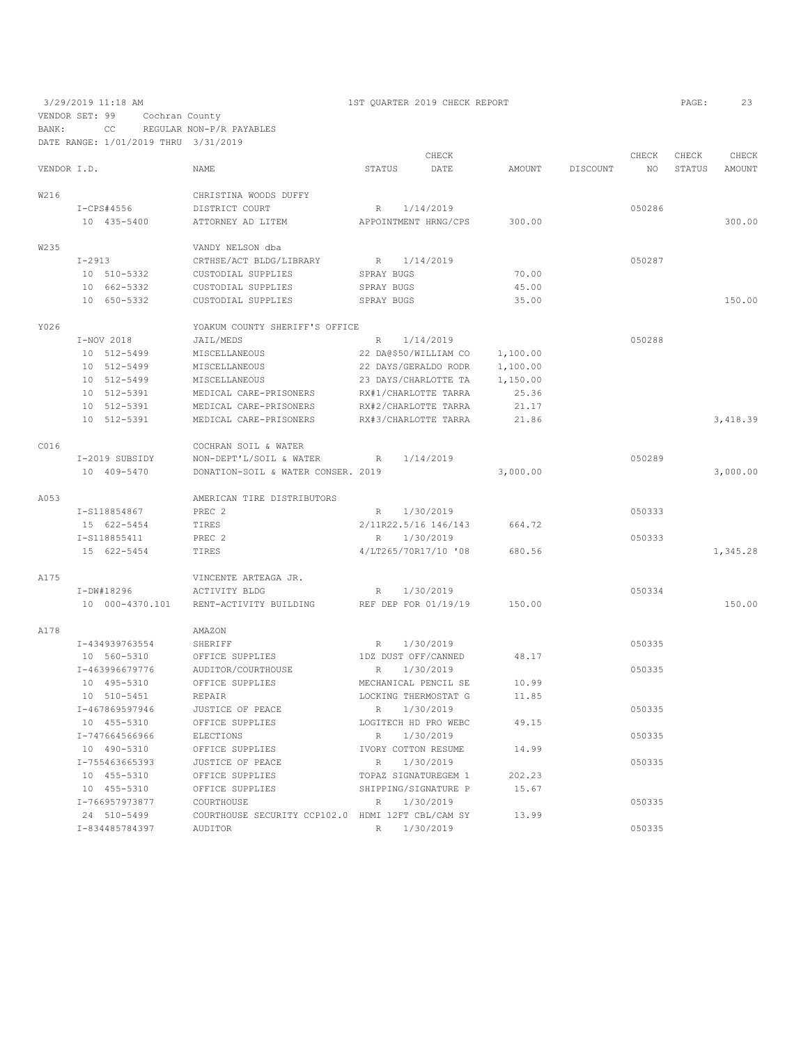VENDOR SET: 99 Cochran County BANK: CC REGULAR NON-P/R PAYABLES

|             | DATE RANGE: 1/01/2019 THRU 3/31/2019 |                                                   |                     |                       |          |          |        |        |          |
|-------------|--------------------------------------|---------------------------------------------------|---------------------|-----------------------|----------|----------|--------|--------|----------|
|             |                                      |                                                   |                     | CHECK                 |          |          | CHECK  | CHECK  | CHECK    |
| VENDOR I.D. |                                      | <b>NAME</b>                                       | STATUS              | DATE                  | AMOUNT   | DISCOUNT | NO.    | STATUS | AMOUNT   |
| W216        |                                      | CHRISTINA WOODS DUFFY                             |                     |                       |          |          |        |        |          |
|             | I-CPS#4556                           | DISTRICT COURT                                    | R                   | 1/14/2019             |          |          | 050286 |        |          |
|             | 10 435-5400                          | ATTORNEY AD LITEM                                 |                     | APPOINTMENT HRNG/CPS  | 300.00   |          |        |        | 300.00   |
| W235        |                                      | VANDY NELSON dba                                  |                     |                       |          |          |        |        |          |
|             | $I-2913$                             | CRTHSE/ACT BLDG/LIBRARY                           | R 1/14/2019         |                       |          |          | 050287 |        |          |
|             | 10 510-5332                          | CUSTODIAL SUPPLIES                                | SPRAY BUGS          |                       | 70.00    |          |        |        |          |
|             | 10 662-5332                          | CUSTODIAL SUPPLIES                                | SPRAY BUGS          |                       | 45.00    |          |        |        |          |
|             | 10 650-5332                          | CUSTODIAL SUPPLIES                                | SPRAY BUGS          |                       | 35.00    |          |        |        | 150.00   |
| Y026        |                                      | YOAKUM COUNTY SHERIFF'S OFFICE                    |                     |                       |          |          |        |        |          |
|             | I-NOV 2018                           | JAIL/MEDS                                         | R                   | 1/14/2019             |          |          | 050288 |        |          |
|             | 10 512-5499                          | MISCELLANEOUS                                     |                     | 22 DA@\$50/WILLIAM CO | 1,100.00 |          |        |        |          |
|             | 10 512-5499                          | MISCELLANEOUS                                     |                     | 22 DAYS/GERALDO RODR  | 1,100.00 |          |        |        |          |
|             | 10 512-5499                          | MISCELLANEOUS                                     |                     | 23 DAYS/CHARLOTTE TA  | 1,150.00 |          |        |        |          |
|             | 10 512-5391                          | MEDICAL CARE-PRISONERS                            |                     | RX#1/CHARLOTTE TARRA  | 25.36    |          |        |        |          |
|             | 10 512-5391                          | MEDICAL CARE-PRISONERS                            |                     | RX#2/CHARLOTTE TARRA  | 21.17    |          |        |        |          |
|             | 10 512-5391                          | MEDICAL CARE-PRISONERS                            |                     | RX#3/CHARLOTTE TARRA  | 21.86    |          |        |        | 3,418.39 |
| C016        |                                      | COCHRAN SOIL & WATER                              |                     |                       |          |          |        |        |          |
|             | I-2019 SUBSIDY                       | NON-DEPT'L/SOIL & WATER                           | R                   | 1/14/2019             |          |          | 050289 |        |          |
|             | 10 409-5470                          | DONATION-SOIL & WATER CONSER. 2019                |                     |                       | 3,000.00 |          |        |        | 3,000.00 |
| A053        |                                      | AMERICAN TIRE DISTRIBUTORS                        |                     |                       |          |          |        |        |          |
|             | I-S118854867                         | PREC <sub>2</sub>                                 | R                   | 1/30/2019             |          |          | 050333 |        |          |
|             | 15 622-5454                          | TIRES                                             |                     | 2/11R22.5/16 146/143  | 664.72   |          |        |        |          |
|             | I-S118855411                         | PREC <sub>2</sub>                                 | R                   | 1/30/2019             |          |          | 050333 |        |          |
|             | 15 622-5454                          | TIRES                                             |                     | 4/LT265/70R17/10 '08  | 680.56   |          |        |        | 1,345.28 |
| A175        |                                      | VINCENTE ARTEAGA JR.                              |                     |                       |          |          |        |        |          |
|             | I-DW#18296                           | ACTIVITY BLDG                                     | R                   | 1/30/2019             |          |          | 050334 |        |          |
|             | 10 000-4370.101                      | RENT-ACTIVITY BUILDING                            |                     | REF DEP FOR 01/19/19  | 150.00   |          |        |        | 150.00   |
| A178        |                                      | AMAZON                                            |                     |                       |          |          |        |        |          |
|             | I-434939763554                       | SHERIFF                                           | $R_{\parallel}$     | 1/30/2019             |          |          | 050335 |        |          |
|             | 10 560-5310                          | OFFICE SUPPLIES                                   |                     | 1DZ DUST OFF/CANNED   | 48.17    |          |        |        |          |
|             | I-463996679776                       | AUDITOR/COURTHOUSE                                | R                   | 1/30/2019             |          |          | 050335 |        |          |
|             | 10 495-5310                          | OFFICE SUPPLIES                                   |                     | MECHANICAL PENCIL SE  | 10.99    |          |        |        |          |
|             | 10 510-5451                          | REPAIR                                            |                     | LOCKING THERMOSTAT G  | 11.85    |          |        |        |          |
|             | I-467869597946                       | JUSTICE OF PEACE                                  | R                   | 1/30/2019             |          |          | 050335 |        |          |
|             | 10 455-5310                          | OFFICE SUPPLIES                                   |                     | LOGITECH HD PRO WEBC  | 49.15    |          |        |        |          |
|             | I-747664566966                       | <b>ELECTIONS</b>                                  | $\mathbb R$         | 1/30/2019             |          |          | 050335 |        |          |
|             | 10 490-5310                          | OFFICE SUPPLIES                                   | IVORY COTTON RESUME |                       | 14.99    |          |        |        |          |
|             | I-755463665393                       | JUSTICE OF PEACE                                  | R                   | 1/30/2019             |          |          | 050335 |        |          |
|             | 10 455-5310                          | OFFICE SUPPLIES                                   |                     | TOPAZ SIGNATUREGEM 1  | 202.23   |          |        |        |          |
|             | 10 455-5310                          | OFFICE SUPPLIES                                   |                     | SHIPPING/SIGNATURE P  | 15.67    |          |        |        |          |
|             | I-766957973877                       | COURTHOUSE                                        | R                   | 1/30/2019             |          |          | 050335 |        |          |
|             | 24 510-5499                          | COURTHOUSE SECURITY CCP102.0 HDMI 12FT CBL/CAM SY |                     |                       | 13.99    |          |        |        |          |

I-834485784397 AUDITOR R 1/30/2019 050335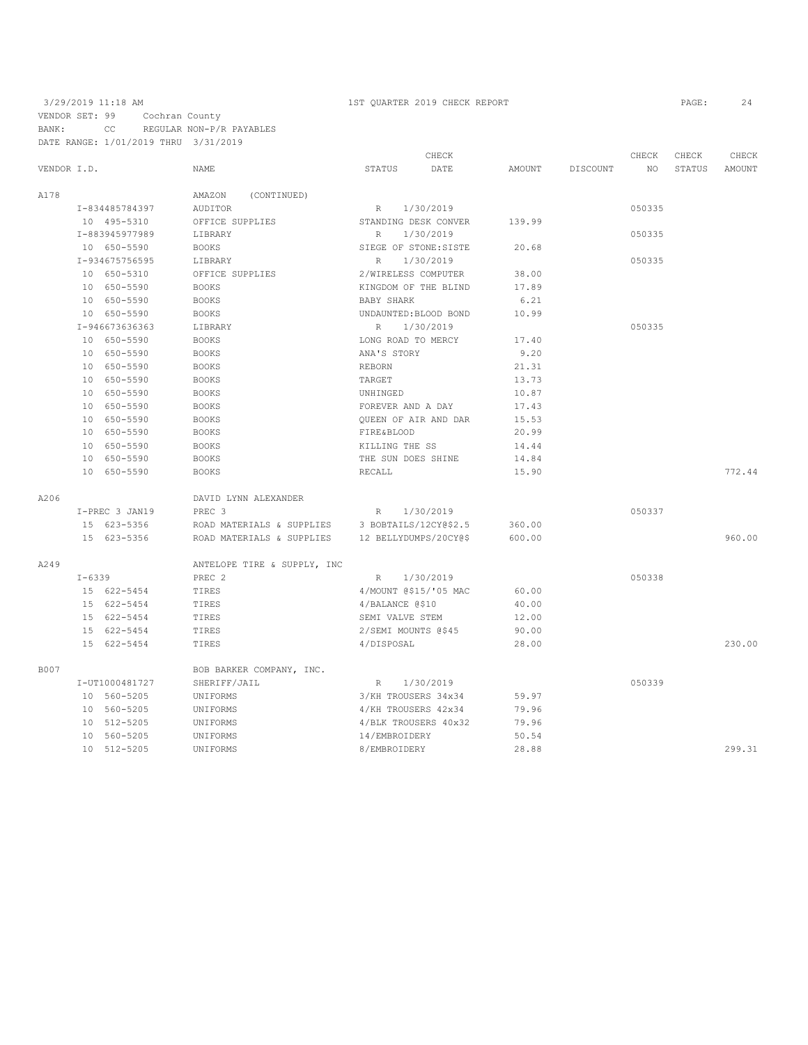## 3/29/2019 11:18 AM 1ST QUARTER 2019 CHECK REPORT PAGE: 24 VENDOR SET: 99 Cochran County BANK: CC REGULAR NON-P/R PAYABLES DATE RANGE: 1/01/2019 THRU 3/31/2019

|             |            |                |                                          |                     | CHECK                 |        |          | CHECK  | CHECK  | CHECK  |
|-------------|------------|----------------|------------------------------------------|---------------------|-----------------------|--------|----------|--------|--------|--------|
| VENDOR I.D. |            |                | NAME                                     | STATUS              | DATE                  | AMOUNT | DISCOUNT | NO     | STATUS | AMOUNT |
| A178        |            |                | (CONTINUED)<br>AMAZON                    |                     |                       |        |          |        |        |        |
|             |            | I-834485784397 | AUDITOR                                  | R                   | 1/30/2019             |        |          | 050335 |        |        |
|             |            | 10 495-5310    | OFFICE SUPPLIES                          |                     | STANDING DESK CONVER  | 139.99 |          |        |        |        |
|             |            | I-883945977989 | LIBRARY                                  | $\mathbb R$         | 1/30/2019             |        |          | 050335 |        |        |
|             |            | 10 650-5590    | <b>BOOKS</b>                             |                     | SIEGE OF STONE: SISTE | 20.68  |          |        |        |        |
|             |            | I-934675756595 | LIBRARY                                  | R                   | 1/30/2019             |        |          | 050335 |        |        |
|             |            | 10 650-5310    | OFFICE SUPPLIES                          | 2/WIRELESS COMPUTER |                       | 38.00  |          |        |        |        |
|             |            | 10 650-5590    | <b>BOOKS</b>                             |                     | KINGDOM OF THE BLIND  | 17.89  |          |        |        |        |
|             |            | 10 650-5590    | <b>BOOKS</b>                             | BABY SHARK          |                       | 6.21   |          |        |        |        |
|             |            | 10 650-5590    | <b>BOOKS</b>                             |                     | UNDAUNTED: BLOOD BOND | 10.99  |          |        |        |        |
|             |            | I-946673636363 | LIBRARY                                  | $\mathbb R$         | 1/30/2019             |        |          | 050335 |        |        |
|             |            | 10 650-5590    | <b>BOOKS</b>                             | LONG ROAD TO MERCY  |                       | 17.40  |          |        |        |        |
|             |            | 10 650-5590    | <b>BOOKS</b>                             | ANA'S STORY         |                       | 9.20   |          |        |        |        |
|             |            | 10 650-5590    | <b>BOOKS</b>                             | <b>REBORN</b>       |                       | 21.31  |          |        |        |        |
|             |            | 10 650-5590    | <b>BOOKS</b>                             | TARGET              |                       | 13.73  |          |        |        |        |
|             |            | 10 650-5590    | <b>BOOKS</b>                             | UNHINGED            |                       | 10.87  |          |        |        |        |
|             |            | 10 650-5590    | <b>BOOKS</b>                             | FOREVER AND A DAY   |                       | 17.43  |          |        |        |        |
|             |            | 10 650-5590    | <b>BOOKS</b>                             |                     | QUEEN OF AIR AND DAR  | 15.53  |          |        |        |        |
|             |            | 10 650-5590    | <b>BOOKS</b>                             | FIRE&BLOOD          |                       | 20.99  |          |        |        |        |
|             |            | 10 650-5590    | <b>BOOKS</b>                             | KILLING THE SS      |                       | 14.44  |          |        |        |        |
|             |            | 10 650-5590    | <b>BOOKS</b>                             | THE SUN DOES SHINE  |                       | 14.84  |          |        |        |        |
|             |            | 10 650-5590    | <b>BOOKS</b>                             | RECALL              |                       | 15.90  |          |        |        | 772.44 |
|             |            |                |                                          |                     |                       |        |          |        |        |        |
| A206        |            |                | DAVID LYNN ALEXANDER                     |                     |                       |        |          |        |        |        |
|             |            | I-PREC 3 JAN19 | PREC <sub>3</sub>                        | R                   | 1/30/2019             |        |          | 050337 |        |        |
|             |            | 15 623-5356    | ROAD MATERIALS & SUPPLIES                |                     | 3 BOBTAILS/12CY0\$2.5 | 360.00 |          |        |        |        |
|             |            | 15 623-5356    | ROAD MATERIALS & SUPPLIES                |                     | 12 BELLYDUMPS/20CY@\$ | 600.00 |          |        |        | 960.00 |
| A249        |            |                | ANTELOPE TIRE & SUPPLY, INC              |                     |                       |        |          |        |        |        |
|             | $I - 6339$ |                | PREC 2                                   | R                   | 1/30/2019             |        |          | 050338 |        |        |
|             |            | 15 622-5454    | TIRES                                    |                     | 4/MOUNT @\$15/'05 MAC | 60.00  |          |        |        |        |
|             |            | 15 622-5454    | TIRES                                    | 4/BALANCE @\$10     |                       | 40.00  |          |        |        |        |
|             |            | 15 622-5454    | TIRES                                    | SEMI VALVE STEM     |                       | 12.00  |          |        |        |        |
|             |            | 15 622-5454    | TIRES                                    | 2/SEMI MOUNTS @\$45 |                       | 90.00  |          |        |        |        |
|             |            | 15 622-5454    | TIRES                                    | 4/DISPOSAL          |                       | 28.00  |          |        |        | 230.00 |
| <b>B007</b> |            |                |                                          |                     |                       |        |          |        |        |        |
|             |            | I-UT1000481727 | BOB BARKER COMPANY, INC.<br>SHERIFF/JAIL | R                   | 1/30/2019             |        |          | 050339 |        |        |
|             |            | 10 560-5205    | UNIFORMS                                 | 3/KH TROUSERS 34x34 |                       | 59.97  |          |        |        |        |
|             |            | 10 560-5205    | UNIFORMS                                 | 4/KH TROUSERS 42x34 |                       | 79.96  |          |        |        |        |
|             |            | 10 512-5205    | UNIFORMS                                 |                     | 4/BLK TROUSERS 40x32  | 79.96  |          |        |        |        |
|             |            | 10 560-5205    | UNIFORMS                                 | 14/EMBROIDERY       |                       | 50.54  |          |        |        |        |
|             |            | 10 512-5205    | UNIFORMS                                 | 8/EMBROIDERY        |                       | 28.88  |          |        |        | 299.31 |
|             |            |                |                                          |                     |                       |        |          |        |        |        |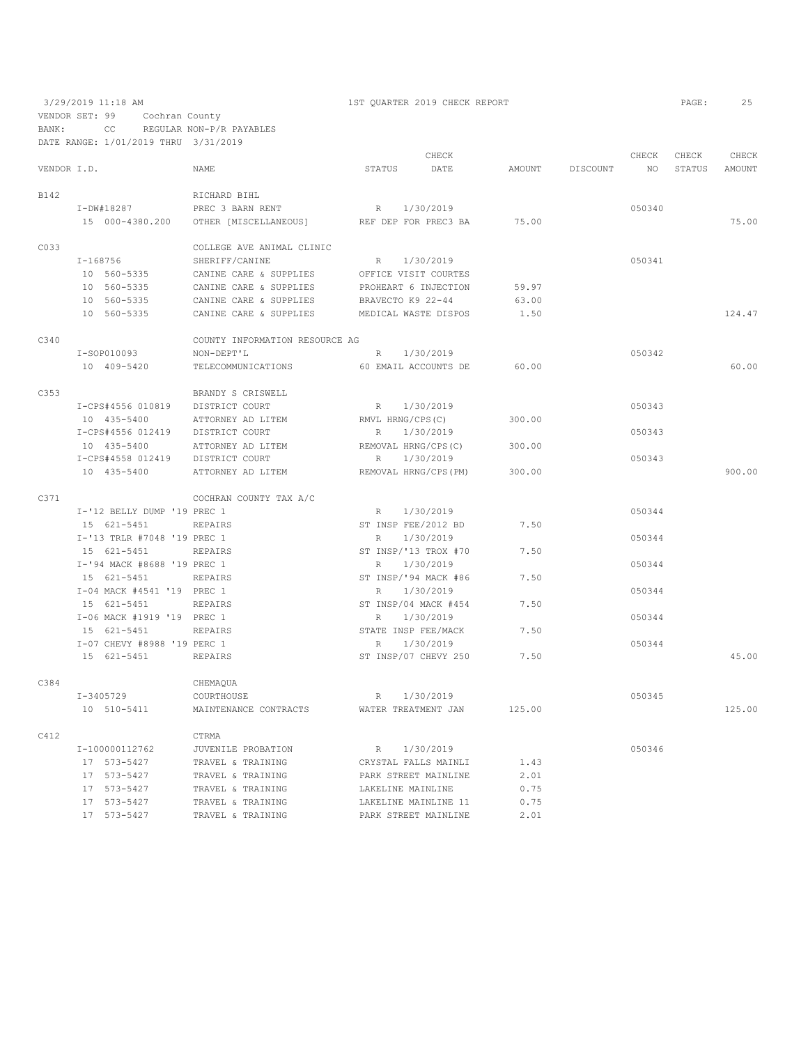3/29/2019 11:18 AM 1ST QUARTER 2019 CHECK REPORT PAGE: 25 VENDOR SET: 99 Cochran County

BANK: CC REGULAR NON-P/R PAYABLES

DATE RANGE: 1/01/2019 THRU 3/31/2019 CHECK CHECK CHECK CHECK VENDOR I.D. NAME STATUS DATE AMOUNT DISCOUNT NO STATUS AMOUNT B142 RICHARD BIHL I-DW#18287 PREC 3 BARN RENT R 1/30/2019 050340 15 000-4380.200 OTHER [MISCELLANEOUS] REF DEP FOR PREC3 BA 75.00 75.00 C033 COLLEGE AVE ANIMAL CLINIC <br/> $\tt I-168756$  SHERIFF/CANINE I-168756 SHERIFF/CANINE R 1/30/2019 050341 10 560-5335 CANINE CARE & SUPPLIES OFFICE VISIT COURTES 10 560-5335 CANINE CARE & SUPPLIES PROHEART 6 INJECTION 59.97<br>10 560-5335 CANINE CARE & SUPPLIES BRAVECTO K9 22-44 63.00<br>10 560-5335 CANINE CARE & SUPPLIES MEDICAL WASTE DISPOS 1.50 10 560-5335 CANINE CARE & SUPPLIES BRAVECTO K9 22-44 63.00 CANINE CARE & SUPPLIES MEDICAL WASTE DISPOS 1.50 1.50 124.47 C340 COUNTY INFORMATION RESOURCE AG I-SOP010093 NON-DEPT'L R 1/30/2019 050342 10 409-5420 TELECOMMUNICATIONS 60 EMAIL ACCOUNTS DE 60.00 60.00 C353 BRANDY S CRISWELL I-CPS#4556 010819 DISTRICT COURT R 1/30/2019 050343 10 435-5400 ATTORNEY AD LITEM RMVL HRNG/CPS(C) 300.00 I-CPS#4556 012419 DISTRICT COURT R 1/30/2019 R 1/30/2019 10 435-5400 ATTORNEY AD LITEM REMOVAL HRNG/CPS(C) 300.00 I-CPS#4558 012419 DISTRICT COURT R 1/30/2019<br>10 435-5400 ATTORNEY AD LITEM REMOVAL HRNG/CPS(PM) 300.00 10 435-5400 ATTORNEY AD LITEM REMOVAL HRNG/CPS(PM) 300.00 900.00 C371 COCHRAN COUNTY TAX A/C I-'12 BELLY DUMP '19 PREC 1  $R = 1/30/2019$  050344<br>15 621–5451 REPAIRS ST INSP FEE/2012 BD 7.50 15 621–5451 REPAIRS ST INSP FEE/2012 BD 7.50<br>
1-'13 TRLR #7048 '19 PREC 1 R 1/30/2019 I-'13 TRLR #7048 '19 PREC 1 R 1/30/2019<br>15 621–5451 REPAIRS ST INSP/'13 TROX #70 7.50 15 621–5451 REPAIRS ST INSP/'13 TROX #7<br>  $I - 194$  MACK #8688 '19 PREC 1 I-'94 MACK #8688 '19 PREC 1 R 1/30/2019<br>15 621–5451 REPAIRS ST INSP/'94 MACK #86 7.50 15 621-5451 REPAIRS ST INSP/'94 MACK #86 7.50 I-04 MACK #4541 '19 PREC 1 R 1/30/2019<br>15 621-5451 REPAIRS ST INSP/04 MACK #454 7.50 15 621–5451 REPAIRS ST INSP/04 MACK #454 7.50<br>1906 MACK #1919 '19 PREC 1 R 1/30/2019 I-06 MACK #1919 '19 PREC 1 R 1/30/2019<br>15 621–5451 REPAIRS STATE INSP FEE/MACK 7.50 7.50 STATE INSP FEE/MACK I-07 CHEVY #8988 '19 PERC 1 R 1/30/2019<br>15 621–5451 REPAIRS ST INSP/07 CHEVY 250 7.50 15 621-5451 REPAIRS ST INSP/07 CHEVY 250 7.50 45.00 C384 CHEMAQUA<br>I-3405729 COURTHOUS I-3405729 COURTHOUSE R 1/30/2019 050345 10 510-5411 MAINTENANCE CONTRACTS WATER TREATMENT JAN 125.00 125.00 C412 CTRMA<br>  $I-100000112762$  JUVENI I-100000112762 JUVENILE PROBATION R 1/30/2019 050346 17 573-5427 TRAVEL & TRAINING CRYSTAL FALLS MAINLI 1.43 17 573–5427 TRAVEL & TRAINING PARK STREET MAINLINE 17 573–5427 TRAVEL & TRAINING LAKELINE MAINLINE 17 573-5427 TRAVEL & TRAINING LAKELINE MAINLINE 0.75 17 573-5427 TRAVEL & TRAINING LAKELINE MAINLINE 11 0.75 TRAVEL & TRAINING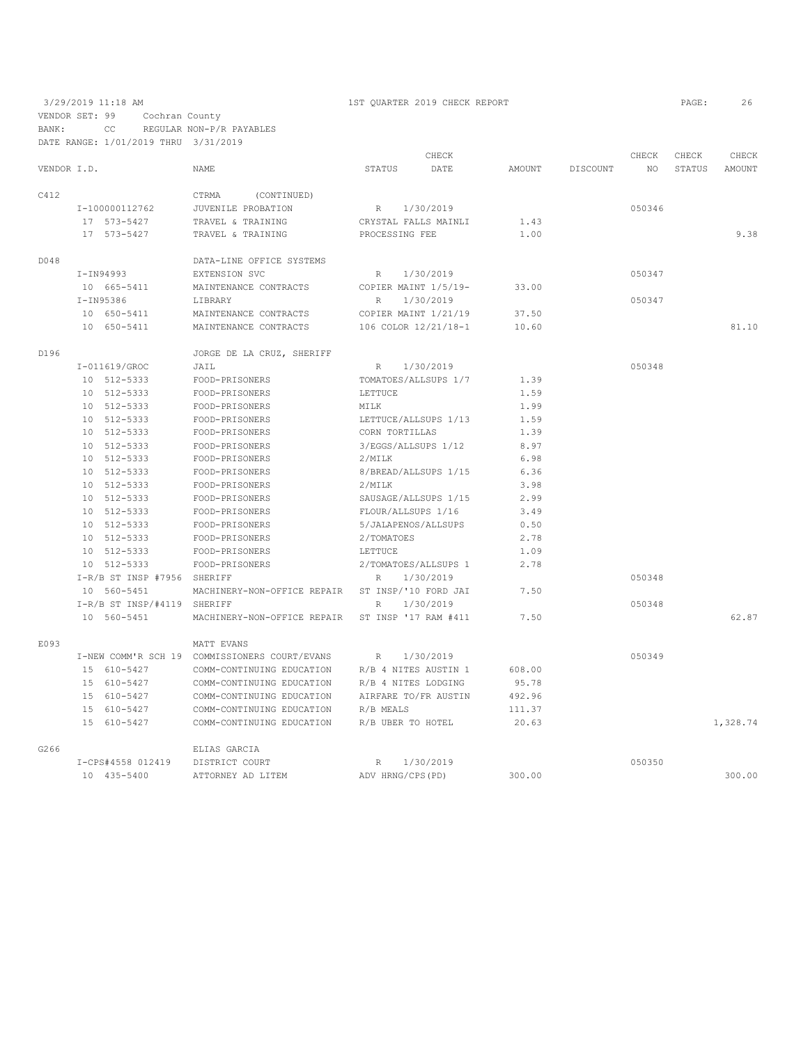|             |                             |                                               |                      | CHECK                |               |          | CHECK  | CHECK  | CHECK         |
|-------------|-----------------------------|-----------------------------------------------|----------------------|----------------------|---------------|----------|--------|--------|---------------|
| VENDOR I.D. |                             | NAME                                          | STATUS               | DATE                 | <b>AMOUNT</b> | DISCOUNT | NO.    | STATUS | <b>AMOUNT</b> |
| C412        |                             | CTRMA<br>(CONTINUED)                          |                      |                      |               |          |        |        |               |
|             | I-100000112762              | JUVENILE PROBATION                            | R                    | 1/30/2019            |               |          | 050346 |        |               |
|             | 17 573-5427                 | TRAVEL & TRAINING                             |                      | CRYSTAL FALLS MAINLI | 1.43          |          |        |        |               |
|             | 17 573-5427                 | TRAVEL & TRAINING                             | PROCESSING FEE       |                      | 1.00          |          |        |        | 9.38          |
| D048        |                             | DATA-LINE OFFICE SYSTEMS                      |                      |                      |               |          |        |        |               |
|             | $I-IN94993$                 | EXTENSION SVC                                 | $R_{\perp}$          | 1/30/2019            |               |          | 050347 |        |               |
|             | 10 665-5411                 | MAINTENANCE CONTRACTS                         | COPIER MAINT 1/5/19- |                      | 33.00         |          |        |        |               |
|             | I-IN95386                   | LIBRARY                                       | $\mathbb{R}$         | 1/30/2019            |               |          | 050347 |        |               |
|             | 10 650-5411                 | MAINTENANCE CONTRACTS                         |                      | COPIER MAINT 1/21/19 | 37.50         |          |        |        |               |
|             | 10 650-5411                 | MAINTENANCE CONTRACTS                         |                      | 106 COLOR 12/21/18-1 | 10.60         |          |        |        | 81.10         |
| D196        |                             | JORGE DE LA CRUZ, SHERIFF                     |                      |                      |               |          |        |        |               |
|             | I-011619/GROC               | JAIL                                          | R                    | 1/30/2019            |               |          | 050348 |        |               |
|             | 10 512-5333                 | FOOD-PRISONERS                                |                      | TOMATOES/ALLSUPS 1/7 | 1.39          |          |        |        |               |
|             | 10 512-5333                 | FOOD-PRISONERS                                | LETTUCE              |                      | 1.59          |          |        |        |               |
|             | 10 512-5333                 | FOOD-PRISONERS                                | MILK                 |                      | 1.99          |          |        |        |               |
|             | 10 512-5333                 | FOOD-PRISONERS                                |                      | LETTUCE/ALLSUPS 1/13 | 1.59          |          |        |        |               |
|             | 10 512-5333                 | FOOD-PRISONERS                                | CORN TORTILLAS       |                      | 1.39          |          |        |        |               |
|             | 10 512-5333                 | FOOD-PRISONERS                                |                      | 3/EGGS/ALLSUPS 1/12  | 8.97          |          |        |        |               |
|             | 10 512-5333                 | FOOD-PRISONERS                                | 2/MILK               |                      | 6.98          |          |        |        |               |
|             | 10 512-5333                 | FOOD-PRISONERS                                |                      | 8/BREAD/ALLSUPS 1/15 | 6.36          |          |        |        |               |
|             | 10 512-5333                 | FOOD-PRISONERS                                | 2/MILK               |                      | 3.98          |          |        |        |               |
|             | 10 512-5333                 | FOOD-PRISONERS                                |                      | SAUSAGE/ALLSUPS 1/15 | 2.99          |          |        |        |               |
|             | 10 512-5333                 | FOOD-PRISONERS                                |                      | FLOUR/ALLSUPS 1/16   | 3.49          |          |        |        |               |
|             | 10 512-5333                 | FOOD-PRISONERS                                |                      | 5/JALAPENOS/ALLSUPS  | 0.50          |          |        |        |               |
|             | 10 512-5333                 | FOOD-PRISONERS                                | 2/TOMATOES           |                      | 2.78          |          |        |        |               |
|             | 10 512-5333                 | FOOD-PRISONERS                                | LETTUCE              |                      | 1.09          |          |        |        |               |
|             | 10 512-5333                 | FOOD-PRISONERS                                |                      | 2/TOMATOES/ALLSUPS 1 | 2.78          |          |        |        |               |
|             | I-R/B ST INSP #7956 SHERIFF |                                               | R                    | 1/30/2019            |               |          | 050348 |        |               |
|             | 10 560-5451                 | MACHINERY-NON-OFFICE REPAIR                   |                      | ST INSP/'10 FORD JAI | 7.50          |          |        |        |               |
|             | I-R/B ST INSP/#4119 SHERIFF |                                               | $\mathbb{R}$         | 1/30/2019            |               |          | 050348 |        |               |
|             | 10 560-5451                 | MACHINERY-NON-OFFICE REPAIR                   |                      | ST INSP '17 RAM #411 | 7.50          |          |        |        | 62.87         |
| E093        |                             | MATT EVANS                                    |                      |                      |               |          |        |        |               |
|             |                             | I-NEW COMM'R SCH 19 COMMISSIONERS COURT/EVANS | $\mathbb{R}$         | 1/30/2019            |               |          | 050349 |        |               |
|             | 15 610-5427                 | COMM-CONTINUING EDUCATION                     |                      | R/B 4 NITES AUSTIN 1 | 608.00        |          |        |        |               |
|             | 15 610-5427                 | COMM-CONTINUING EDUCATION                     |                      | R/B 4 NITES LODGING  | 95.78         |          |        |        |               |
|             | 15 610-5427                 | COMM-CONTINUING EDUCATION                     |                      | AIRFARE TO/FR AUSTIN | 492.96        |          |        |        |               |
|             | 15 610-5427                 | COMM-CONTINUING EDUCATION                     | R/B MEALS            |                      | 111.37        |          |        |        |               |
|             | 15 610-5427                 | COMM-CONTINUING EDUCATION                     |                      | R/B UBER TO HOTEL    | 20.63         |          |        |        | 1,328.74      |
| G266        |                             | ELIAS GARCIA                                  |                      |                      |               |          |        |        |               |
|             | I-CPS#4558 012419           | DISTRICT COURT                                | $\mathbb{R}$         | 1/30/2019            |               |          | 050350 |        |               |
|             | 10 435-5400                 | ATTORNEY AD LITEM                             | ADV HRNG/CPS (PD)    |                      | 300.00        |          |        |        | 300.00        |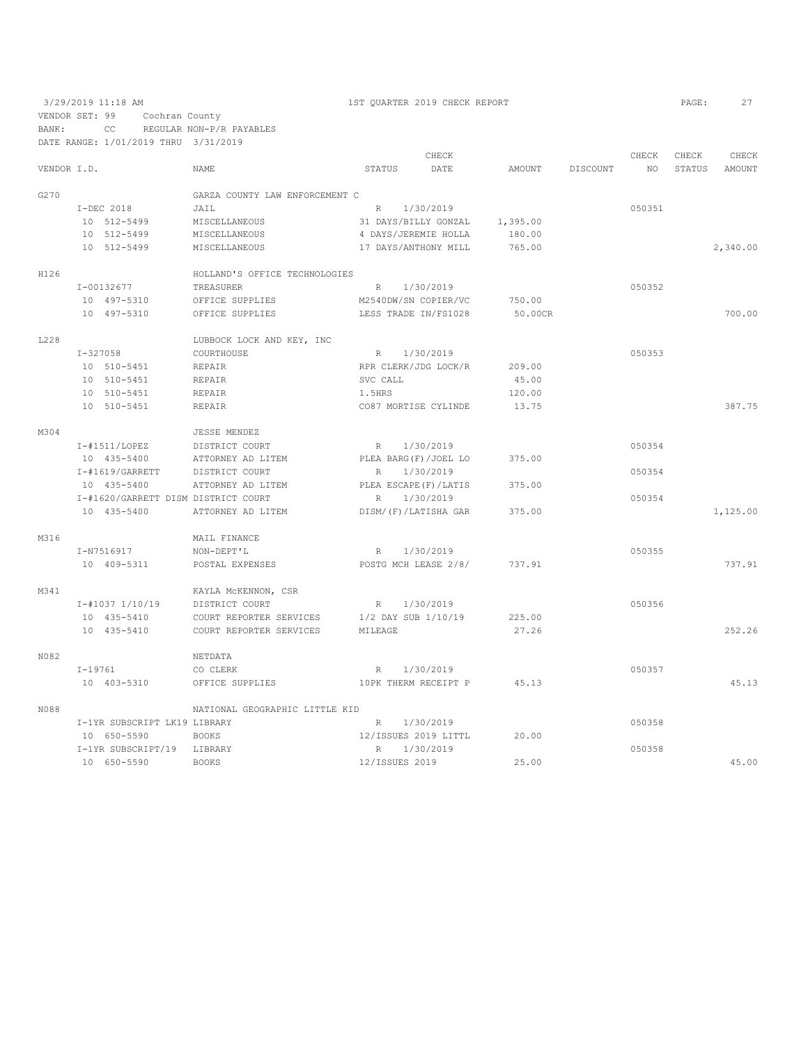VENDOR SET: 99 Cochran County

3/29/2019 11:18 AM 1ST QUARTER 2019 CHECK REPORT PAGE: 27

BANK: CC REGULAR NON-P/R PAYABLES DATE RANGE: 1/01/2019 THRU 3/31/2019 CHECK CHECK CHECK CHECK NAME STATUS DATE AMOUNT DISCOUNT NO STATUS AMOUNT G270 GARZA COUNTY LAW ENFORCEMENT C I-DEC 2018 JAIL JAIR (1/30/2019 R 1/30/2019)<br>10 512-5499 MISCELLANEOUS 31 DAYS/BILLY GONZAL 1,395.00 10 512-5499 MISCELLANEOUS 31 DAYS/BILLY GONZAL 1,395.00 10 512-5499 MISCELLANEOUS 4 DAYS/JEREMIE HOLLA<br>10 512-5499 MISCELLANEOUS 17 DAYS/ANTHONY MILL 10 512-5499 MISCELLANEOUS 17 DAYS/ANTHONY MILL 765.00 2,340.00 H126 HOLLAND'S OFFICE TECHNOLOGIES 1-00132677 TREASURER R 1/30/2019<br>
10 497-5310 OFFICE SUPPLIES M2540DW/SN COPIER/VC 750.00<br>
10 497-5310 OFFICE SUPPLIES LESS TRADE IN/FS1028 50.00CR 10 497-5310 OFFICE SUPPLIES M2540DW/SN COPIER/VC 750.00 10 497-5310 OFFICE SUPPLIES LESS TRADE IN/FS1028 50.00CR 700.00 L228 LUBBOCK LOCK AND KEY, INC <br>T-327058 COURTHOUSE I-327058 COURTHOUSE R 1/30/2019 050353 10 510–5451 REPAIR RPR CLERK/JDG LOCK/R 209.00<br>10 510–5451 REPAIR RPR SVC CALL 45.00 10 510-5451 REPAIR<br>10 510-5451 REPAIR 10 510-5451 REPAIR <br>120.00 10 510-5451 REPAIR <br>13.75 CO87 MORTISE CYLINDE 13.75 10 510-5451 REPAIR CO87 MORTISE CYLINDE 13.75 387.75 M304 JESSE MENDEZ<br>
I-#1511/LOPEZ DISTRICT COUF I-#1511/LOPEZ DISTRICT COURT R 1/30/2019<br>10 435-5400 ATTORNEY AD LITEM PLEA BARG(F)/JOEL LO 375.00<br>- "1111 (1220) 10 435-5400 ATTORNEY AD LITEM PLEA BARG(F)/JOEL LO 375.00 I-#1619/GARRETT DISTRICT COURT R 1/30/2019 050354 10 435-5400 ATTORNEY AD LITEM PLEA ESCAPE(F)/LATIS 375.00 I-#1620/GARRETT DISM DISTRICT COURT R 1/30/2019 050354 10 435-5400 ATTORNEY AD LITEM DISM/(F)/LATISHA GAR 375.00 1,125.00 M316 MAIL FINANCE<br>
I-N7516917 NON-DEPT'L I-N7516917 NON-DEPT'L R 1/30/2019 050355 10 409-5311 POSTAL EXPENSES POSTG MCH LEASE 2/8/ 737.91 737.91 M341 <br>  $I$ -#1037 1/10/19 <br>
DISTRICT COURT I-#1037 1/10/19 DISTRICT COURT R 1/30/2019 050356 10 435-5410 COURT REPORTER SERVICES 1/2 DAY SUB 1/10/19 225.00 10 435-5410 COURT REPORTER SERVICES MILEAGE 27.26 252.26 NO82 NETDATA NETRA NETRA NETRA CO CLERK I-19761 CO CLERK R 1/30/2019<br>
10 403-5310 OFFICE SUPPLIES 10PK THERM RECEIPT P 45.13 10 PK THERM RECEIPT P 45.13 45.13 N088 NATIONAL GEOGRAPHIC LITTLE KID I-1YR SUBSCRIPT LK19 LIBRARY R 1/30/2019 050358 10 650-5590 BOOKS I-1YR SUBSCRIPT/19 LIBRARY R 1/30/2019 050358

10 650-5590 BOOKS 12/ISSUES 2019 25.00 45.00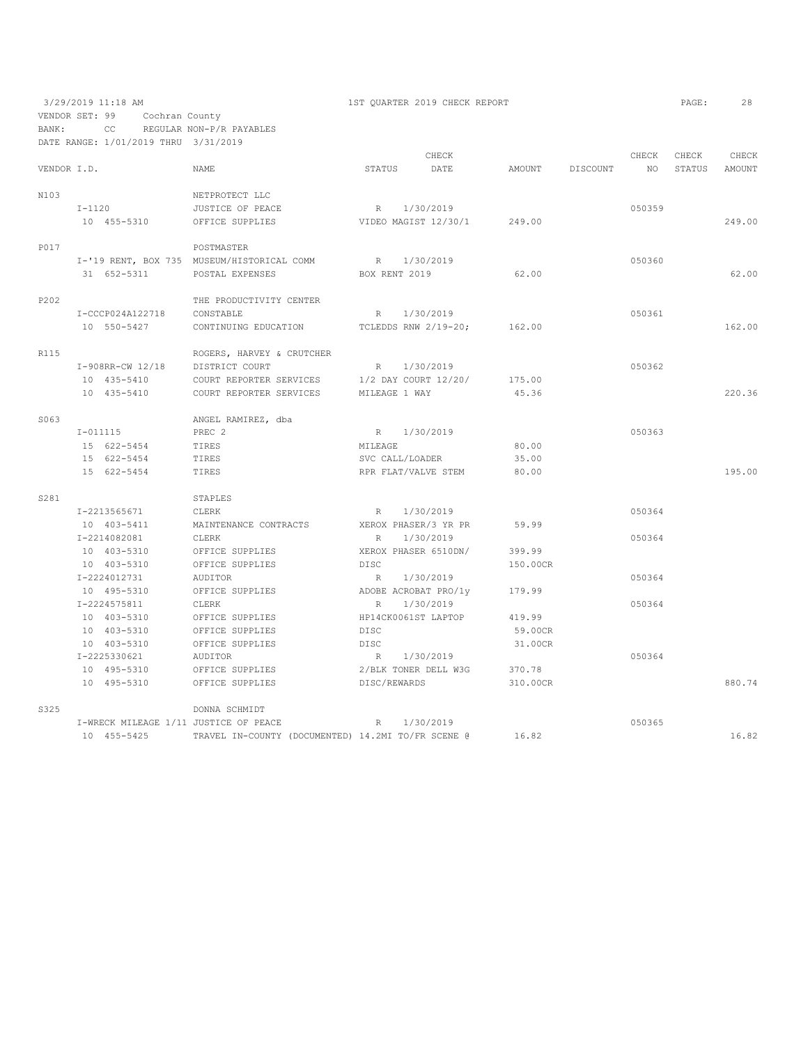3/29/2019 11:18 AM 1ST QUARTER 2019 CHECK REPORT PAGE: 28 VENDOR SET: 99 Cochran County BANK: CC REGULAR NON-P/R PAYABLES

|             | DATE RANGE: 1/01/2019 THRU 3/31/2019 |                                 |                                                    |                 |  |                             |          |          |        |        |        |
|-------------|--------------------------------------|---------------------------------|----------------------------------------------------|-----------------|--|-----------------------------|----------|----------|--------|--------|--------|
|             |                                      |                                 |                                                    |                 |  | CHECK                       |          |          | CHECK  | CHECK  | CHECK  |
| VENDOR I.D. |                                      |                                 | NAME                                               | STATUS          |  | DATE                        | AMOUNT   | DISCOUNT | NO     | STATUS | AMOUNT |
| N103        |                                      |                                 | NETPROTECT LLC                                     |                 |  |                             |          |          |        |        |        |
|             |                                      | $I-1120$                        | JUSTICE OF PEACE                                   |                 |  | R 1/30/2019                 |          |          | 050359 |        |        |
|             |                                      | 10 455-5310                     | OFFICE SUPPLIES                                    |                 |  | VIDEO MAGIST 12/30/1 249.00 |          |          |        |        | 249.00 |
|             |                                      |                                 |                                                    |                 |  |                             |          |          |        |        |        |
| P017        |                                      |                                 | POSTMASTER                                         |                 |  |                             |          |          |        |        |        |
|             |                                      |                                 | I-'19 RENT, BOX 735 MUSEUM/HISTORICAL COMM         |                 |  | R 1/30/2019                 |          |          | 050360 |        |        |
|             |                                      | 31 652-5311                     | POSTAL EXPENSES                                    | BOX RENT 2019   |  |                             | 62.00    |          |        |        | 62.00  |
|             |                                      |                                 |                                                    |                 |  |                             |          |          |        |        |        |
| P202        |                                      |                                 | THE PRODUCTIVITY CENTER                            |                 |  |                             |          |          |        |        |        |
|             | I-CCCP024A122718                     |                                 | CONSTABLE                                          | R               |  | 1/30/2019                   |          |          | 050361 |        |        |
|             |                                      | 10 550-5427                     | CONTINUING EDUCATION TCLEDDS RNW 2/19-20; 162.00   |                 |  |                             |          |          |        |        | 162.00 |
| R115        |                                      |                                 | ROGERS, HARVEY & CRUTCHER                          |                 |  |                             |          |          |        |        |        |
|             |                                      | I-908RR-CW 12/18 DISTRICT COURT |                                                    |                 |  | R 1/30/2019                 |          |          | 050362 |        |        |
|             |                                      | 10 435-5410                     | COURT REPORTER SERVICES                            |                 |  | 1/2 DAY COURT 12/20/        | 175.00   |          |        |        |        |
|             |                                      | 10 435-5410                     | COURT REPORTER SERVICES MILEAGE 1 WAY              |                 |  |                             | 45.36    |          |        |        | 220.36 |
|             |                                      |                                 |                                                    |                 |  |                             |          |          |        |        |        |
| S063        |                                      |                                 | ANGEL RAMIREZ, dba                                 |                 |  |                             |          |          |        |        |        |
|             | $I - 011115$                         |                                 | PREC 2                                             |                 |  | R 1/30/2019                 |          |          | 050363 |        |        |
|             |                                      | 15 622-5454                     | TIRES                                              | MILEAGE         |  |                             | 80.00    |          |        |        |        |
|             |                                      | 15 622-5454                     | TIRES                                              | SVC CALL/LOADER |  |                             | 35.00    |          |        |        |        |
|             |                                      | 15 622-5454                     | TIRES                                              |                 |  | RPR FLAT/VALVE STEM         | 80.00    |          |        |        | 195.00 |
| S281        |                                      |                                 | STAPLES                                            |                 |  |                             |          |          |        |        |        |
|             |                                      | I-2213565671                    | CLERK                                              |                 |  | R 1/30/2019                 |          |          | 050364 |        |        |
|             |                                      | 10 403-5411                     | MAINTENANCE CONTRACTS                              |                 |  | XEROX PHASER/3 YR PR        | 59.99    |          |        |        |        |
|             |                                      | I-2214082081                    | CLERK                                              | R.              |  | 1/30/2019                   |          |          | 050364 |        |        |
|             |                                      | 10 403-5310                     | OFFICE SUPPLIES                                    |                 |  | XEROX PHASER 6510DN/        | 399.99   |          |        |        |        |
|             |                                      | 10 403-5310                     | OFFICE SUPPLIES                                    | DISC            |  |                             | 150.00CR |          |        |        |        |
|             |                                      | I-2224012731                    | AUDITOR                                            | R               |  | 1/30/2019                   |          |          | 050364 |        |        |
|             |                                      | 10 495-5310                     | OFFICE SUPPLIES                                    |                 |  | ADOBE ACROBAT PRO/1y        | 179.99   |          |        |        |        |
|             |                                      | I-2224575811                    | <b>CLERK</b>                                       | R               |  | 1/30/2019                   |          |          | 050364 |        |        |
|             |                                      | 10 403-5310                     | OFFICE SUPPLIES                                    |                 |  | HP14CK0061ST LAPTOP         | 419.99   |          |        |        |        |
|             |                                      | 10 403-5310                     | OFFICE SUPPLIES                                    | <b>DISC</b>     |  |                             | 59.00CR  |          |        |        |        |
|             |                                      | 10 403-5310                     | OFFICE SUPPLIES                                    | DISC            |  |                             | 31.00CR  |          |        |        |        |
|             |                                      | I-2225330621                    | AUDITOR                                            |                 |  | R 1/30/2019                 |          |          | 050364 |        |        |
|             |                                      |                                 | OFFICE SUPPLIES                                    |                 |  | 2/BLK TONER DELL W3G        | 370.78   |          |        |        |        |
|             |                                      | 10 495-5310<br>10 495-5310      | OFFICE SUPPLIES                                    | DISC/REWARDS    |  |                             | 310.00CR |          |        |        | 880.74 |
|             |                                      |                                 |                                                    |                 |  |                             |          |          |        |        |        |
| S325        |                                      |                                 | DONNA SCHMIDT                                      |                 |  |                             |          |          |        |        |        |
|             |                                      |                                 | I-WRECK MILEAGE 1/11 JUSTICE OF PEACE              | $R_{\parallel}$ |  | 1/30/2019                   |          |          | 050365 |        |        |
|             |                                      | 10 455-5425                     | TRAVEL IN-COUNTY (DOCUMENTED) 14.2MI TO/FR SCENE @ |                 |  |                             | 16.82    |          |        |        | 16.82  |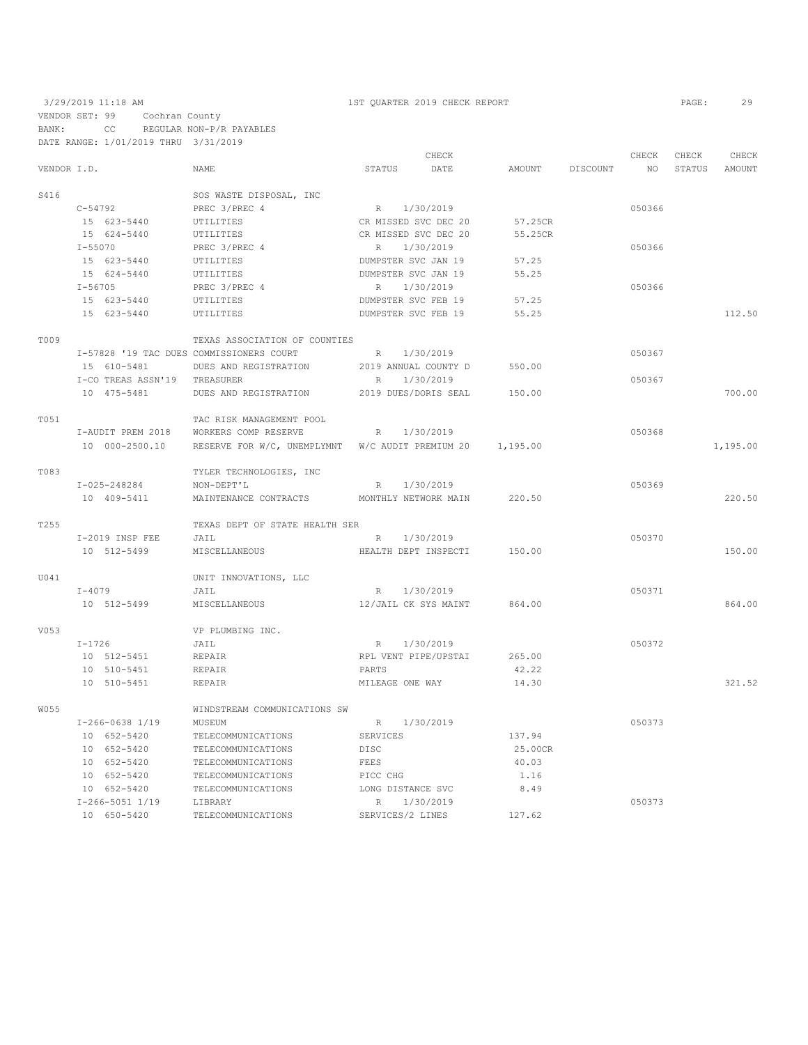## 3/29/2019 11:18 AM 1ST QUARTER 2019 CHECK REPORT PAGE: 29 VENDOR SET: 99 Cochran County BANK: CC REGULAR NON-P/R PAYABLES DATE RANGE: 1/01/2019 THRU 3/31/2019

|             |                              |                                                  |                      | CHECK                |          |          | CHECK  | CHECK  | CHECK    |
|-------------|------------------------------|--------------------------------------------------|----------------------|----------------------|----------|----------|--------|--------|----------|
| VENDOR I.D. |                              | NAME                                             | STATUS               | DATE                 | AMOUNT   | DISCOUNT | NO.    | STATUS | AMOUNT   |
| S416        |                              | SOS WASTE DISPOSAL, INC                          |                      |                      |          |          |        |        |          |
|             | $C - 54792$                  | PREC 3/PREC 4                                    | R 1/30/2019          |                      |          |          | 050366 |        |          |
|             | 15 623-5440                  | UTILITIES                                        | CR MISSED SVC DEC 20 |                      | 57.25CR  |          |        |        |          |
|             | 15 624-5440                  | UTILITIES                                        | CR MISSED SVC DEC 20 |                      | 55.25CR  |          |        |        |          |
|             | $I - 55070$                  | PREC 3/PREC 4                                    | R                    | 1/30/2019            |          |          | 050366 |        |          |
|             | 15 623-5440                  | UTILITIES                                        | DUMPSTER SVC JAN 19  |                      | 57.25    |          |        |        |          |
|             | 15 624-5440                  | UTILITIES                                        | DUMPSTER SVC JAN 19  |                      | 55.25    |          |        |        |          |
|             | $I - 56705$                  | PREC 3/PREC 4                                    | R                    | 1/30/2019            |          |          | 050366 |        |          |
|             | 15 623-5440                  | UTILITIES                                        | DUMPSTER SVC FEB 19  |                      | 57.25    |          |        |        |          |
|             | 15 623-5440                  | UTILITIES                                        | DUMPSTER SVC FEB 19  |                      | 55.25    |          |        |        | 112.50   |
| T009        |                              | TEXAS ASSOCIATION OF COUNTIES                    |                      |                      |          |          |        |        |          |
|             |                              | I-57828 '19 TAC DUES COMMISSIONERS COURT         | R                    | 1/30/2019            |          |          | 050367 |        |          |
|             | 15 610-5481                  | DUES AND REGISTRATION                            | 2019 ANNUAL COUNTY D |                      | 550.00   |          |        |        |          |
|             | I-CO TREAS ASSN'19 TREASURER |                                                  | R                    | 1/30/2019            |          |          | 050367 |        |          |
|             | 10 475-5481                  | DUES AND REGISTRATION                            |                      | 2019 DUES/DORIS SEAL | 150.00   |          |        |        | 700.00   |
| T051        |                              | TAC RISK MANAGEMENT POOL                         |                      |                      |          |          |        |        |          |
|             | I-AUDIT PREM 2018            | WORKERS COMP RESERVE                             | R                    | 1/30/2019            |          |          | 050368 |        |          |
|             | 10 000-2500.10               | RESERVE FOR W/C, UNEMPLYMNT W/C AUDIT PREMIUM 20 |                      |                      | 1,195.00 |          |        |        | 1,195.00 |
| T083        |                              | TYLER TECHNOLOGIES, INC                          |                      |                      |          |          |        |        |          |
|             | $I - 025 - 248284$           | NON-DEPT'L                                       | R                    | 1/30/2019            |          |          | 050369 |        |          |
|             | 10 409-5411                  | MAINTENANCE CONTRACTS                            | MONTHLY NETWORK MAIN |                      | 220.50   |          |        |        | 220.50   |
| T255        |                              | TEXAS DEPT OF STATE HEALTH SER                   |                      |                      |          |          |        |        |          |
|             | I-2019 INSP FEE              | JAIL                                             | R                    | 1/30/2019            |          |          | 050370 |        |          |
|             | 10 512-5499                  | MISCELLANEOUS                                    |                      | HEALTH DEPT INSPECTI | 150.00   |          |        |        | 150.00   |
| U041        |                              | UNIT INNOVATIONS, LLC                            |                      |                      |          |          |        |        |          |
|             | $I - 4079$                   | JAIL                                             | R                    | 1/30/2019            |          |          | 050371 |        |          |
|             | 10 512-5499                  | MISCELLANEOUS                                    | 12/JAIL CK SYS MAINT |                      | 864.00   |          |        |        | 864.00   |
| V053        |                              | VP PLUMBING INC.                                 |                      |                      |          |          |        |        |          |
|             | I-1726                       | JAIL                                             | R                    | 1/30/2019            |          |          | 050372 |        |          |
|             | 10 512-5451                  | REPAIR                                           | RPL VENT PIPE/UPSTAI |                      | 265.00   |          |        |        |          |
|             | 10 510-5451                  | REPAIR                                           | PARTS                |                      | 42.22    |          |        |        |          |
|             | 10 510-5451                  | REPAIR                                           | MILEAGE ONE WAY      |                      | 14.30    |          |        |        | 321.52   |
| W055        |                              | WINDSTREAM COMMUNICATIONS SW                     |                      |                      |          |          |        |        |          |
|             | $I-266-0638$ $1/19$          | MUSEUM                                           | R                    | 1/30/2019            |          |          | 050373 |        |          |
|             | 10 652-5420                  | TELECOMMUNICATIONS                               | SERVICES             |                      | 137.94   |          |        |        |          |
|             | 10 652-5420                  | TELECOMMUNICATIONS                               | DISC                 |                      | 25.00CR  |          |        |        |          |
|             | 10 652-5420                  | TELECOMMUNICATIONS                               | FEES                 |                      | 40.03    |          |        |        |          |
|             | 10 652-5420                  | TELECOMMUNICATIONS                               | PICC CHG             |                      | 1.16     |          |        |        |          |
|             | 10 652-5420                  | TELECOMMUNICATIONS                               | LONG DISTANCE SVC    |                      | 8.49     |          |        |        |          |
|             | $I-266-5051$ $1/19$          | LIBRARY                                          | R                    | 1/30/2019            |          |          | 050373 |        |          |
|             | 10 650-5420                  | TELECOMMUNICATIONS                               | SERVICES/2 LINES     |                      | 127.62   |          |        |        |          |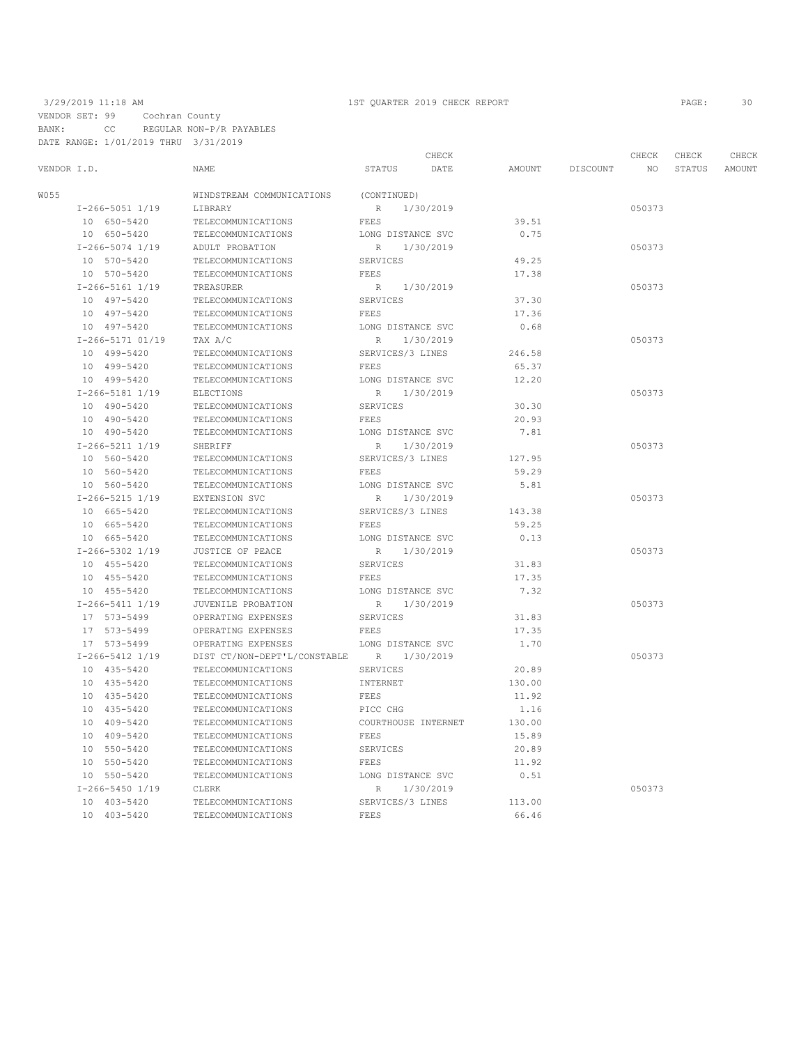VENDOR SET: 99 Cochran County BANK: CC REGULAR NON-P/R PAYABLES DATE RANGE: 1/01/2019 THRU 3/31/2019

## 3/29/2019 11:18 AM 1ST QUARTER 2019 CHECK REPORT PAGE: 30

|                     |                              |                     | CHECK     |        |          | CHECK<br>CHECK<br>CHECK |        |        |
|---------------------|------------------------------|---------------------|-----------|--------|----------|-------------------------|--------|--------|
| VENDOR I.D.         | NAME                         | STATUS              | DATE      | AMOUNT | DISCOUNT | NO                      | STATUS | AMOUNT |
| W055                | WINDSTREAM COMMUNICATIONS    | (CONTINUED)         |           |        |          |                         |        |        |
| $I-266-5051$ $1/19$ | LIBRARY                      | R                   | 1/30/2019 |        |          | 050373                  |        |        |
| 10 650-5420         | TELECOMMUNICATIONS           | FEES                |           | 39.51  |          |                         |        |        |
| 10 650-5420         | TELECOMMUNICATIONS           | LONG DISTANCE SVC   |           | 0.75   |          |                         |        |        |
| $I-266-5074$ 1/19   | ADULT PROBATION              | R                   | 1/30/2019 |        |          | 050373                  |        |        |
| 10 570-5420         | TELECOMMUNICATIONS           | SERVICES            |           | 49.25  |          |                         |        |        |
| 10 570-5420         | TELECOMMUNICATIONS           | <b>FEES</b>         |           | 17.38  |          |                         |        |        |
| $I-266-5161$ $1/19$ | TREASURER                    | R                   | 1/30/2019 |        |          | 050373                  |        |        |
| 10 497-5420         | TELECOMMUNICATIONS           | SERVICES            |           | 37.30  |          |                         |        |        |
| 10 497-5420         | TELECOMMUNICATIONS           | FEES                |           | 17.36  |          |                         |        |        |
| 10 497-5420         | TELECOMMUNICATIONS           | LONG DISTANCE SVC   |           | 0.68   |          |                         |        |        |
| I-266-5171 01/19    | TAX A/C                      | $\mathbb R$         | 1/30/2019 |        |          | 050373                  |        |        |
| 10 499-5420         | TELECOMMUNICATIONS           | SERVICES/3 LINES    |           | 246.58 |          |                         |        |        |
| 10 499-5420         | TELECOMMUNICATIONS           | <b>FEES</b>         |           | 65.37  |          |                         |        |        |
| 10 499-5420         | TELECOMMUNICATIONS           | LONG DISTANCE SVC   |           | 12.20  |          |                         |        |        |
| I-266-5181 1/19     | <b>ELECTIONS</b>             | $\mathbb R$         | 1/30/2019 |        |          | 050373                  |        |        |
| 10 490-5420         | TELECOMMUNICATIONS           | <b>SERVICES</b>     |           | 30.30  |          |                         |        |        |
| 10 490-5420         | TELECOMMUNICATIONS           | FEES                |           | 20.93  |          |                         |        |        |
| 10 490-5420         | TELECOMMUNICATIONS           | LONG DISTANCE SVC   |           | 7.81   |          |                         |        |        |
| I-266-5211 1/19     | SHERIFF                      | R                   | 1/30/2019 |        |          | 050373                  |        |        |
| 10 560-5420         | TELECOMMUNICATIONS           | SERVICES/3 LINES    |           | 127.95 |          |                         |        |        |
| 10 560-5420         | TELECOMMUNICATIONS           | FEES                |           | 59.29  |          |                         |        |        |
| 10 560-5420         | TELECOMMUNICATIONS           | LONG DISTANCE SVC   |           | 5.81   |          |                         |        |        |
| $I-266-5215$ $1/19$ | EXTENSION SVC                | R                   | 1/30/2019 |        |          | 050373                  |        |        |
| 10 665-5420         | TELECOMMUNICATIONS           | SERVICES/3 LINES    |           | 143.38 |          |                         |        |        |
| 10 665-5420         | TELECOMMUNICATIONS           | FEES                |           | 59.25  |          |                         |        |        |
| 10 665-5420         | TELECOMMUNICATIONS           | LONG DISTANCE SVC   |           | 0.13   |          |                         |        |        |
| I-266-5302 1/19     | JUSTICE OF PEACE             | R                   | 1/30/2019 |        |          | 050373                  |        |        |
| 10 455-5420         | TELECOMMUNICATIONS           | SERVICES            |           | 31.83  |          |                         |        |        |
| 10 455-5420         | TELECOMMUNICATIONS           | <b>FEES</b>         |           | 17.35  |          |                         |        |        |
| 10 455-5420         | TELECOMMUNICATIONS           | LONG DISTANCE SVC   |           | 7.32   |          |                         |        |        |
| $I-266-5411$ $1/19$ | JUVENILE PROBATION           | R                   | 1/30/2019 |        |          | 050373                  |        |        |
| 17 573-5499         | OPERATING EXPENSES           | SERVICES            |           | 31.83  |          |                         |        |        |
| 17 573-5499         | OPERATING EXPENSES           | <b>FEES</b>         |           | 17.35  |          |                         |        |        |
| 17 573-5499         | OPERATING EXPENSES           | LONG DISTANCE SVC   |           | 1.70   |          |                         |        |        |
| I-266-5412 1/19     | DIST CT/NON-DEPT'L/CONSTABLE | R                   | 1/30/2019 |        |          | 050373                  |        |        |
| 10 435-5420         | TELECOMMUNICATIONS           | SERVICES            |           | 20.89  |          |                         |        |        |
| 10 435-5420         | TELECOMMUNICATIONS           | INTERNET            |           | 130.00 |          |                         |        |        |
| 10 435-5420         | TELECOMMUNICATIONS           | FEES                |           | 11.92  |          |                         |        |        |
| 10 435-5420         | TELECOMMUNICATIONS           | PICC CHG            |           | 1.16   |          |                         |        |        |
| 10 409-5420         | TELECOMMUNICATIONS           | COURTHOUSE INTERNET |           | 130.00 |          |                         |        |        |
| 10 409-5420         | TELECOMMUNICATIONS           | <b>FEES</b>         |           | 15.89  |          |                         |        |        |
| 10 550-5420         | TELECOMMUNICATIONS           | SERVICES            |           | 20.89  |          |                         |        |        |
| 10 550-5420         | TELECOMMUNICATIONS           | FEES                |           | 11.92  |          |                         |        |        |
| 10 550-5420         | TELECOMMUNICATIONS           | LONG DISTANCE SVC   |           | 0.51   |          |                         |        |        |
| I-266-5450 1/19     | CLERK                        | R                   | 1/30/2019 |        |          | 050373                  |        |        |
| 10 403-5420         | TELECOMMUNICATIONS           | SERVICES/3 LINES    |           | 113.00 |          |                         |        |        |
| 10 403-5420         | TELECOMMUNICATIONS           | <b>FEES</b>         |           | 66.46  |          |                         |        |        |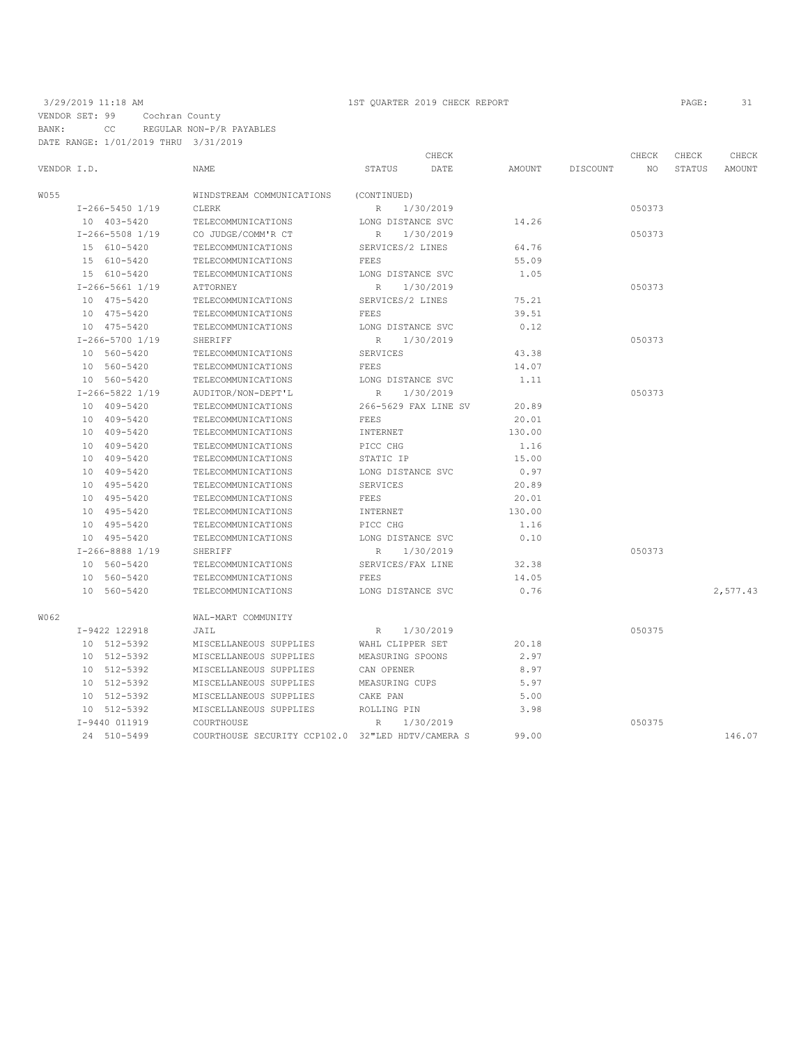VENDOR SET: 99 Cochran County BANK: CC REGULAR NON-P/R PAYABLES DATE RANGE: 1/01/2019 THRU 3/31/2019

## 3/29/2019 11:18 AM 1ST QUARTER 2019 CHECK REPORT PAGE: 31

| VENDOR I.D. |                      | NAME.                        | STATUS               | CHECK<br>DATE        | AMOUNT | DISCOUNT | CHECK<br>NO. | CHECK<br><b>STATUS</b> | CHECK<br>AMOUNT |
|-------------|----------------------|------------------------------|----------------------|----------------------|--------|----------|--------------|------------------------|-----------------|
|             |                      |                              |                      |                      |        |          |              |                        |                 |
| W055        |                      | WINDSTREAM COMMUNICATIONS    | (CONTINUED)          |                      |        |          |              |                        |                 |
|             | $I-266-5450$ $1/19$  | <b>CLERK</b>                 | $R_{\perp}$          | 1/30/2019            |        |          | 050373       |                        |                 |
|             | 10 403-5420          | TELECOMMUNICATIONS           | LONG DISTANCE SVC    |                      | 14.26  |          |              |                        |                 |
|             | $I-266-5508$ $1/19$  | CO JUDGE/COMM'R CT           | $\mathbb{R}$         | 1/30/2019            |        |          | 050373       |                        |                 |
|             | 15 610-5420          | TELECOMMUNICATIONS           | SERVICES/2 LINES     |                      | 64.76  |          |              |                        |                 |
|             | 15 610-5420          | TELECOMMUNICATIONS           | FEES                 |                      | 55.09  |          |              |                        |                 |
|             | 15 610-5420          | TELECOMMUNICATIONS           | LONG DISTANCE SVC    |                      | 1.05   |          |              |                        |                 |
|             | $I-266-5661$ $1/19$  | ATTORNEY                     | R                    | 1/30/2019            |        |          | 050373       |                        |                 |
|             | 10 475-5420          | TELECOMMUNICATIONS           | SERVICES/2 LINES     |                      | 75.21  |          |              |                        |                 |
|             | 10 475-5420          | TELECOMMUNICATIONS           | FEES                 |                      | 39.51  |          |              |                        |                 |
|             | 10 475-5420          | TELECOMMUNICATIONS           | LONG DISTANCE SVC    |                      | 0.12   |          |              |                        |                 |
|             | $I - 266 - 57001/19$ | SHERIFF                      | R                    | 1/30/2019            |        |          | 050373       |                        |                 |
|             | 10 560-5420          | TELECOMMUNICATIONS           | SERVICES             |                      | 43.38  |          |              |                        |                 |
|             | 10 560-5420          | TELECOMMUNICATIONS           | FEES                 |                      | 14.07  |          |              |                        |                 |
|             | 10 560-5420          | TELECOMMUNICATIONS           | LONG DISTANCE SVC    |                      | 1.11   |          |              |                        |                 |
|             | I-266-5822 1/19      | AUDITOR/NON-DEPT'L           | R                    | 1/30/2019            |        |          | 050373       |                        |                 |
|             | 10 409-5420          | TELECOMMUNICATIONS           |                      | 266-5629 FAX LINE SV | 20.89  |          |              |                        |                 |
|             | 10 409-5420          | TELECOMMUNICATIONS           | FEES                 |                      | 20.01  |          |              |                        |                 |
|             | 10 409-5420          | TELECOMMUNICATIONS           | INTERNET             |                      | 130.00 |          |              |                        |                 |
|             | 10 409-5420          | TELECOMMUNICATIONS           | PICC CHG             |                      | 1.16   |          |              |                        |                 |
|             | 10 409-5420          | TELECOMMUNICATIONS           | STATIC IP            |                      | 15.00  |          |              |                        |                 |
|             | 10 409-5420          | TELECOMMUNICATIONS           | LONG DISTANCE SVC    |                      | 0.97   |          |              |                        |                 |
|             | 10 495-5420          | TELECOMMUNICATIONS           | SERVICES             |                      | 20.89  |          |              |                        |                 |
|             | 10 495-5420          | TELECOMMUNICATIONS           | FEES                 |                      | 20.01  |          |              |                        |                 |
|             | 10 495-5420          | TELECOMMUNICATIONS           | INTERNET             |                      | 130.00 |          |              |                        |                 |
|             | 10 495-5420          | TELECOMMUNICATIONS           | PICC CHG             |                      | 1.16   |          |              |                        |                 |
|             | 10 495-5420          | TELECOMMUNICATIONS           | LONG DISTANCE SVC    |                      | 0.10   |          |              |                        |                 |
|             | I-266-8888 1/19      | SHERIFF                      | R                    | 1/30/2019            |        |          | 050373       |                        |                 |
|             | 10 560-5420          | TELECOMMUNICATIONS           | SERVICES/FAX LINE    |                      | 32.38  |          |              |                        |                 |
|             | 10 560-5420          | TELECOMMUNICATIONS           | FEES                 |                      | 14.05  |          |              |                        |                 |
|             | 10 560-5420          | TELECOMMUNICATIONS           | LONG DISTANCE SVC    |                      | 0.76   |          |              |                        | 2,577.43        |
| W062        |                      | WAL-MART COMMUNITY           |                      |                      |        |          |              |                        |                 |
|             | I-9422 122918        | JAIL                         | R                    | 1/30/2019            |        |          | 050375       |                        |                 |
|             | 10 512-5392          | MISCELLANEOUS SUPPLIES       | WAHL CLIPPER SET     |                      | 20.18  |          |              |                        |                 |
|             | 10 512-5392          | MISCELLANEOUS SUPPLIES       | MEASURING SPOONS     |                      | 2.97   |          |              |                        |                 |
|             | 10 512-5392          | MISCELLANEOUS SUPPLIES       | CAN OPENER           |                      | 8.97   |          |              |                        |                 |
|             | 10 512-5392          | MISCELLANEOUS SUPPLIES       | MEASURING CUPS       |                      | 5.97   |          |              |                        |                 |
|             | 10 512-5392          | MISCELLANEOUS SUPPLIES       | CAKE PAN             |                      | 5.00   |          |              |                        |                 |
|             | 10 512-5392          | MISCELLANEOUS SUPPLIES       | ROLLING PIN          |                      | 3.98   |          |              |                        |                 |
|             | I-9440 011919        | COURTHOUSE                   | R                    | 1/30/2019            |        |          | 050375       |                        |                 |
|             | 24 510-5499          | COURTHOUSE SECURITY CCP102.0 | 32"LED HDTV/CAMERA S |                      | 99.00  |          |              |                        | 146.07          |
|             |                      |                              |                      |                      |        |          |              |                        |                 |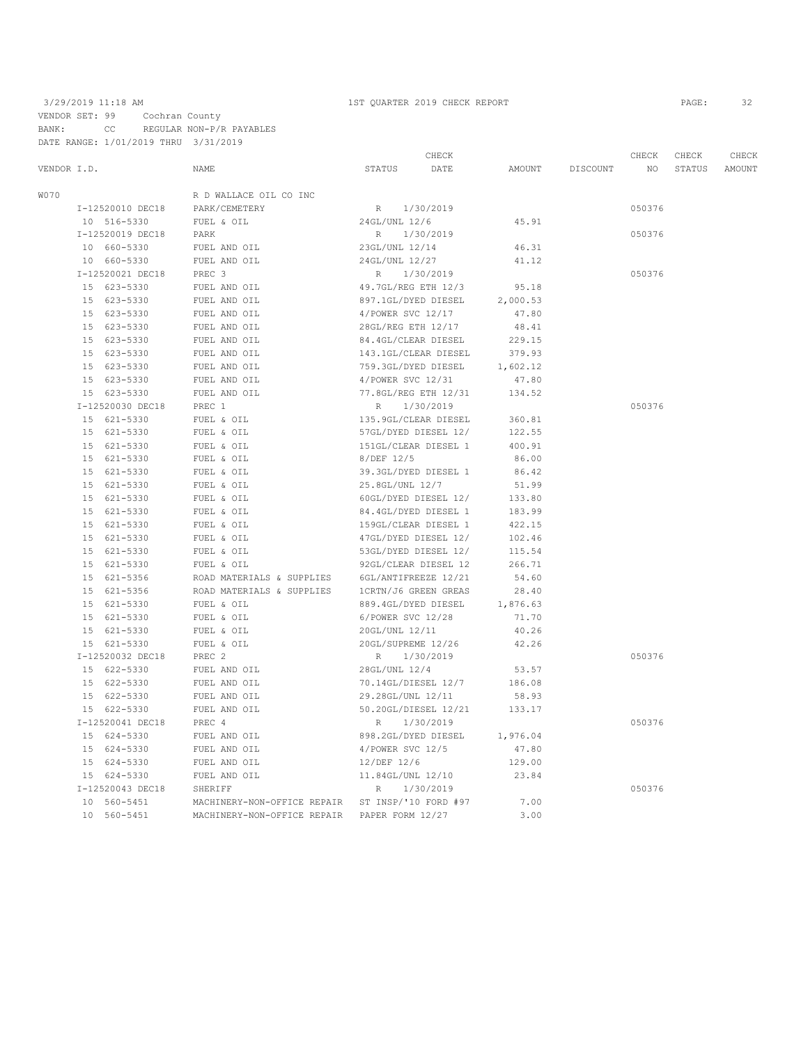### 3/29/2019 11:18 AM 1ST QUARTER 2019 CHECK REPORT PAGE: 32 VENDOR SET: 99 Cochran County BANK: CC REGULAR NON-P/R PAYABLES DATE RANGE: 1/01/2019 THRU 3/31/2019

|             |                  |                             | CHECK                |           |          |          | CHECK  | CHECK  | CHECK  |
|-------------|------------------|-----------------------------|----------------------|-----------|----------|----------|--------|--------|--------|
| VENDOR I.D. |                  | NAME                        | <b>STATUS</b>        | DATE      | AMOUNT   | DISCOUNT | NO.    | STATUS | AMOUNT |
| <b>W070</b> |                  | R D WALLACE OIL CO INC      |                      |           |          |          |        |        |        |
|             | I-12520010 DEC18 | PARK/CEMETERY               | R 1/30/2019          |           |          |          | 050376 |        |        |
|             | 10 516-5330      | FUEL & OIL                  | 24GL/UNL 12/6        |           | 45.91    |          |        |        |        |
|             | I-12520019 DEC18 | PARK                        | R                    | 1/30/2019 |          |          | 050376 |        |        |
|             | 10 660-5330      | FUEL AND OIL                | 23GL/UNL 12/14       |           | 46.31    |          |        |        |        |
|             | 10 660-5330      | FUEL AND OIL                | 24GL/UNL 12/27       |           | 41.12    |          |        |        |        |
|             | I-12520021 DEC18 | PREC 3                      | R                    | 1/30/2019 |          |          | 050376 |        |        |
|             | 15 623-5330      | FUEL AND OIL                | 49.7GL/REG ETH 12/3  |           | 95.18    |          |        |        |        |
|             | 15 623-5330      | FUEL AND OIL                | 897.1GL/DYED DIESEL  |           | 2,000.53 |          |        |        |        |
|             | 15 623-5330      | FUEL AND OIL                | 4/POWER SVC 12/17    |           | 47.80    |          |        |        |        |
|             | 15 623-5330      | FUEL AND OIL                | 28GL/REG ETH 12/17   |           | 48.41    |          |        |        |        |
|             | 15 623-5330      | FUEL AND OIL                | 84.4GL/CLEAR DIESEL  |           | 229.15   |          |        |        |        |
|             | 15 623-5330      | FUEL AND OIL                | 143.1GL/CLEAR DIESEL |           | 379.93   |          |        |        |        |
|             | 15 623-5330      | FUEL AND OIL                | 759.3GL/DYED DIESEL  |           | 1,602.12 |          |        |        |        |
|             | 15 623-5330      | FUEL AND OIL                | 4/POWER SVC 12/31    |           | 47.80    |          |        |        |        |
|             | 15 623-5330      | FUEL AND OIL                | 77.8GL/REG ETH 12/31 |           | 134.52   |          |        |        |        |
|             | I-12520030 DEC18 | PREC 1                      | $R_{\odot}$          | 1/30/2019 |          |          | 050376 |        |        |
|             | 15 621-5330      | FUEL & OIL                  | 135.9GL/CLEAR DIESEL |           | 360.81   |          |        |        |        |
|             | 15 621-5330      | FUEL & OIL                  | 57GL/DYED DIESEL 12/ |           | 122.55   |          |        |        |        |
|             | 15 621-5330      | FUEL & OIL                  | 151GL/CLEAR DIESEL 1 |           | 400.91   |          |        |        |        |
|             | 15 621-5330      | FUEL & OIL                  | 8/DEF 12/5           |           | 86.00    |          |        |        |        |
|             | 15 621-5330      | FUEL & OIL                  | 39.3GL/DYED DIESEL 1 |           | 86.42    |          |        |        |        |
|             | 15 621-5330      | FUEL & OIL                  | 25.8GL/UNL 12/7      |           | 51.99    |          |        |        |        |
|             | 15 621-5330      | FUEL & OIL                  | 60GL/DYED DIESEL 12/ |           | 133.80   |          |        |        |        |
|             | 15 621-5330      | FUEL & OIL                  | 84.4GL/DYED DIESEL 1 |           | 183.99   |          |        |        |        |
|             | 15 621-5330      | FUEL & OIL                  | 159GL/CLEAR DIESEL 1 |           | 422.15   |          |        |        |        |
|             | 15 621-5330      | FUEL & OIL                  | 47GL/DYED DIESEL 12/ |           | 102.46   |          |        |        |        |
|             | 15 621-5330      | FUEL & OIL                  | 53GL/DYED DIESEL 12/ |           | 115.54   |          |        |        |        |
|             | 15 621-5330      | FUEL & OIL                  | 92GL/CLEAR DIESEL 12 |           | 266.71   |          |        |        |        |
|             | $15 621 - 5356$  | ROAD MATERIALS & SUPPLIES   | 6GL/ANTIFREEZE 12/21 |           | 54.60    |          |        |        |        |
|             | 15 621-5356      | ROAD MATERIALS & SUPPLIES   | 1CRTN/J6 GREEN GREAS |           | 28.40    |          |        |        |        |
|             | 15 621-5330      | FUEL & OIL                  | 889.4GL/DYED DIESEL  |           | 1,876.63 |          |        |        |        |
|             | 15 621-5330      | FUEL & OIL                  | 6/POWER SVC 12/28    |           | 71.70    |          |        |        |        |
|             | 15 621-5330      | FUEL & OIL                  | 20GL/UNL 12/11       |           | 40.26    |          |        |        |        |
|             | 15 621-5330      | FUEL & OIL                  | 20GL/SUPREME 12/26   |           | 42.26    |          |        |        |        |
|             | I-12520032 DEC18 | PREC 2                      | R                    | 1/30/2019 |          |          | 050376 |        |        |
|             | 15 622-5330      | FUEL AND OIL                | 28GL/UNL 12/4        |           | 53.57    |          |        |        |        |
|             | 15 622-5330      | FUEL AND OIL                | 70.14GL/DIESEL 12/7  |           | 186.08   |          |        |        |        |
|             | 15 622-5330      | FUEL AND OIL                | 29.28GL/UNL 12/11    |           | 58.93    |          |        |        |        |
|             | 15 622-5330      | FUEL AND OIL                | 50.20GL/DIESEL 12/21 |           | 133.17   |          |        |        |        |
|             | I-12520041 DEC18 | PREC 4                      | R<br>1/30/2019       |           |          |          | 050376 |        |        |
|             | 15 624-5330      | FUEL AND OIL                | 898.2GL/DYED DIESEL  |           | 1,976.04 |          |        |        |        |
|             | 15 624-5330      | FUEL AND OIL                | 4/POWER SVC 12/5     |           | 47.80    |          |        |        |        |
|             | 15 624-5330      | FUEL AND OIL                | 12/DEF 12/6          |           | 129.00   |          |        |        |        |
|             | 15 624-5330      | FUEL AND OIL                | 11.84GL/UNL 12/10    |           | 23.84    |          |        |        |        |
|             | I-12520043 DEC18 | SHERIFF                     | R                    | 1/30/2019 |          |          | 050376 |        |        |
|             | 10 560-5451      | MACHINERY-NON-OFFICE REPAIR | ST INSP/'10 FORD #97 |           | 7.00     |          |        |        |        |
|             | 10 560-5451      | MACHINERY-NON-OFFICE REPAIR | PAPER FORM 12/27     |           | 3.00     |          |        |        |        |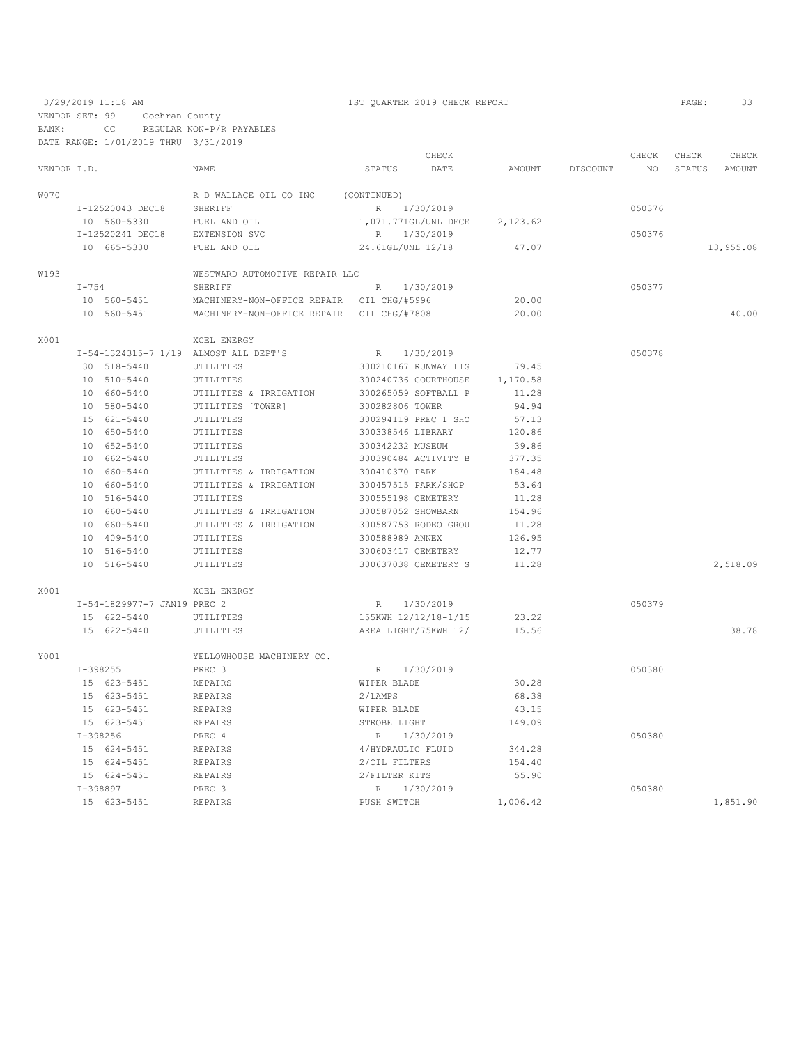|             | 3/29/2019 11:18 AM<br>VENDOR SET: 99<br>Cochran County |                                      | 1ST QUARTER 2019 CHECK REPORT             |                     |                      |          |          |        | PAGE:  | 33        |
|-------------|--------------------------------------------------------|--------------------------------------|-------------------------------------------|---------------------|----------------------|----------|----------|--------|--------|-----------|
| BANK:       |                                                        | CC                                   | REGULAR NON-P/R PAYABLES                  |                     |                      |          |          |        |        |           |
|             |                                                        | DATE RANGE: 1/01/2019 THRU 3/31/2019 |                                           |                     |                      |          |          |        |        |           |
|             |                                                        |                                      |                                           |                     | CHECK                |          |          | CHECK  | CHECK  | CHECK     |
| VENDOR I.D. |                                                        |                                      | NAME                                      | STATUS              | DATE                 | AMOUNT   | DISCOUNT | NO.    | STATUS | AMOUNT    |
|             |                                                        |                                      |                                           |                     |                      |          |          |        |        |           |
| <b>W070</b> |                                                        |                                      | R D WALLACE OIL CO INC                    | (CONTINUED)         |                      |          |          |        |        |           |
|             |                                                        | I-12520043 DEC18                     | SHERIFF                                   | R 1/30/2019         |                      |          |          | 050376 |        |           |
|             |                                                        | 10 560-5330                          | FUEL AND OIL                              |                     | 1,071.771GL/UNL DECE | 2,123.62 |          |        |        |           |
|             |                                                        | I-12520241 DEC18                     | EXTENSION SVC                             | R 1/30/2019         |                      |          |          | 050376 |        |           |
|             |                                                        | 10 665-5330                          | FUEL AND OIL                              | 24.61GL/UNL 12/18   |                      | 47.07    |          |        |        | 13,955.08 |
|             |                                                        |                                      |                                           |                     |                      |          |          |        |        |           |
| W193        |                                                        |                                      | WESTWARD AUTOMOTIVE REPAIR LLC            |                     |                      |          |          |        |        |           |
|             | $I - 754$                                              |                                      | SHERIFF                                   | R                   | 1/30/2019            |          |          | 050377 |        |           |
|             |                                                        | 10 560-5451                          | MACHINERY-NON-OFFICE REPAIR OIL CHG/#5996 |                     |                      | 20.00    |          |        |        |           |
|             | 10 560-5451                                            |                                      | MACHINERY-NON-OFFICE REPAIR OIL CHG/#7808 |                     |                      | 20.00    |          |        |        | 40.00     |
|             |                                                        |                                      |                                           |                     |                      |          |          |        |        |           |
| X001        |                                                        |                                      | XCEL ENERGY                               |                     |                      |          |          |        |        |           |
|             |                                                        |                                      | I-54-1324315-7 1/19 ALMOST ALL DEPT'S     | $R_{\odot}$         | 1/30/2019            |          |          | 050378 |        |           |
|             |                                                        | 30 518-5440                          | UTILITIES                                 |                     | 300210167 RUNWAY LIG | 79.45    |          |        |        |           |
|             |                                                        | 10 510-5440                          | UTILITIES                                 |                     | 300240736 COURTHOUSE | 1,170.58 |          |        |        |           |
|             |                                                        | 10 660-5440                          | UTILITIES & IRRIGATION                    |                     | 300265059 SOFTBALL P | 11.28    |          |        |        |           |
|             |                                                        | 10 580-5440                          | UTILITIES [TOWER]                         | 300282806 TOWER     |                      | 94.94    |          |        |        |           |
|             |                                                        | 15 621-5440                          | UTILITIES                                 |                     | 300294119 PREC 1 SHO | 57.13    |          |        |        |           |
|             |                                                        | 10 650-5440                          | UTILITIES                                 | 300338546 LIBRARY   |                      | 120.86   |          |        |        |           |
|             |                                                        | 10 652-5440                          | UTILITIES                                 | 300342232 MUSEUM    |                      | 39.86    |          |        |        |           |
|             |                                                        | 10 662-5440                          | UTILITIES                                 |                     | 300390484 ACTIVITY B | 377.35   |          |        |        |           |
|             |                                                        | 10 660-5440                          | UTILITIES & IRRIGATION                    | 300410370 PARK      |                      | 184.48   |          |        |        |           |
|             |                                                        | 10 660-5440                          | UTILITIES & IRRIGATION                    | 300457515 PARK/SHOP |                      | 53.64    |          |        |        |           |
|             |                                                        | 10 516-5440                          | UTILITIES                                 | 300555198 CEMETERY  |                      | 11.28    |          |        |        |           |
|             |                                                        | 10 660-5440                          | UTILITIES & IRRIGATION                    | 300587052 SHOWBARN  |                      | 154.96   |          |        |        |           |
|             |                                                        | 10 660-5440                          | UTILITIES & IRRIGATION                    |                     | 300587753 RODEO GROU | 11.28    |          |        |        |           |
|             |                                                        | 10 409-5440                          | UTILITIES                                 | 300588989 ANNEX     |                      | 126.95   |          |        |        |           |
|             |                                                        | 10 516-5440                          | UTILITIES                                 | 300603417 CEMETERY  |                      | 12.77    |          |        |        |           |
|             |                                                        | 10 516-5440                          | UTILITIES                                 |                     | 300637038 CEMETERY S | 11.28    |          |        |        | 2,518.09  |
|             |                                                        |                                      |                                           |                     |                      |          |          |        |        |           |
| X001        |                                                        |                                      | XCEL ENERGY                               |                     |                      |          |          |        |        |           |
|             |                                                        | I-54-1829977-7 JAN19 PREC 2          |                                           | R 1/30/2019         |                      |          |          | 050379 |        |           |
|             |                                                        | 15 622-5440                          | UTILITIES                                 |                     | 155KWH 12/12/18-1/15 | 23.22    |          |        |        |           |
|             |                                                        | 15 622-5440                          | UTILITIES                                 |                     | AREA LIGHT/75KWH 12/ | 15.56    |          |        |        | 38.78     |
|             |                                                        |                                      |                                           |                     |                      |          |          |        |        |           |
| Y001        |                                                        |                                      | YELLOWHOUSE MACHINERY CO.                 |                     |                      |          |          |        |        |           |
|             | $I-398255$                                             |                                      | PREC 3                                    |                     | R 1/30/2019          |          |          | 050380 |        |           |
|             |                                                        | 15 623-5451                          | REPAIRS                                   | WIPER BLADE         |                      | 30.28    |          |        |        |           |
|             |                                                        | 15 623-5451                          | REPAIRS                                   | 2/LAMPS             |                      | 68.38    |          |        |        |           |
|             |                                                        | 15 623-5451                          | REPAIRS                                   | WIPER BLADE         |                      | 43.15    |          |        |        |           |
|             |                                                        | 15 623-5451                          | REPAIRS                                   | STROBE LIGHT        |                      | 149.09   |          |        |        |           |
|             |                                                        | I-398256                             | PREC 4                                    |                     | R 1/30/2019          |          |          | 050380 |        |           |
|             |                                                        | 15 624-5451                          | <b>REPAIRS</b>                            | 4/HYDRAULIC FLUID   |                      | 344.28   |          |        |        |           |
|             |                                                        | 15 624-5451                          | REPAIRS                                   | 2/OIL FILTERS       |                      | 154.40   |          |        |        |           |
|             |                                                        | 15 624-5451                          | REPAIRS                                   | 2/FILTER KITS       |                      | 55.90    |          |        |        |           |
|             |                                                        | I-398897                             | PREC 3                                    |                     | R 1/30/2019          |          |          | 050380 |        |           |

15 623-5451 REPAIRS PUSH SWITCH 1,006.42 1,851.90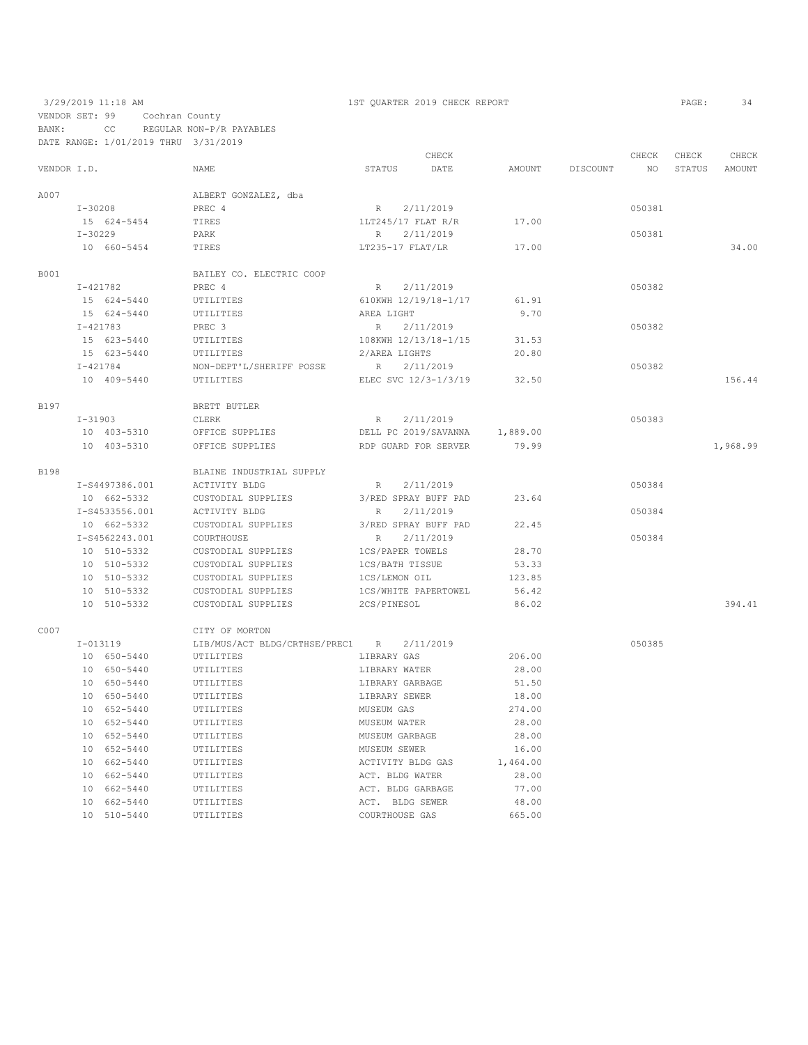## 3/29/2019 11:18 AM 1ST QUARTER 2019 CHECK REPORT PAGE: 34 VENDOR SET: 99 Cochran County

BANK: CC REGULAR NON-P/R PAYABLES DATE RANGE: 1/01/2019 THRU 3/31/2019

|             |              |                |                                 |                      | CHECK                |          |                 | CHECK           | CHECK  | CHECK    |
|-------------|--------------|----------------|---------------------------------|----------------------|----------------------|----------|-----------------|-----------------|--------|----------|
| VENDOR I.D. |              |                | NAME                            | STATUS               | DATE                 |          | AMOUNT DISCOUNT | NO <sub>1</sub> | STATUS | AMOUNT   |
| A007        |              |                | ALBERT GONZALEZ, dba            |                      |                      |          |                 |                 |        |          |
|             | $I - 30208$  |                | PREC 4                          | R 2/11/2019          |                      |          |                 | 050381          |        |          |
|             |              | 15 624-5454    | TIRES                           | 1LT245/17 FLAT R/R   |                      | 17.00    |                 |                 |        |          |
|             | $I - 30229$  |                | PARK                            | R                    | 2/11/2019            |          |                 | 050381          |        |          |
|             |              | 10 660-5454    | TIRES                           | LT235-17 FLAT/LR     |                      | 17.00    |                 |                 |        | 34.00    |
|             |              |                |                                 |                      |                      |          |                 |                 |        |          |
| B001        |              |                | BAILEY CO. ELECTRIC COOP        |                      |                      |          |                 |                 |        |          |
|             | I-421782     |                | PREC 4                          | R 2/11/2019          |                      |          |                 | 050382          |        |          |
|             |              | 15 624-5440    | UTILITIES                       |                      | 610KWH 12/19/18-1/17 | 61.91    |                 |                 |        |          |
|             |              | 15 624-5440    | UTILITIES                       | AREA LIGHT           |                      | 9.70     |                 |                 |        |          |
|             | $I - 421783$ |                | PREC 3                          | R                    | 2/11/2019            |          |                 | 050382          |        |          |
|             |              | 15 623-5440    | UTILITIES                       | 108KWH 12/13/18-1/15 |                      | 31.53    |                 |                 |        |          |
|             |              | 15 623-5440    | UTILITIES                       | 2/AREA LIGHTS        |                      | 20.80    |                 |                 |        |          |
|             | $I - 421784$ |                | NON-DEPT'L/SHERIFF POSSE        | R 2/11/2019          |                      |          |                 | 050382          |        |          |
|             |              | 10 409-5440    | UTILITIES                       |                      | ELEC SVC 12/3-1/3/19 | 32.50    |                 |                 |        | 156.44   |
| B197        |              |                | BRETT BUTLER                    |                      |                      |          |                 |                 |        |          |
|             | $I-31903$    |                | CLERK                           | R                    | 2/11/2019            |          |                 | 050383          |        |          |
|             |              | 10 403-5310    | OFFICE SUPPLIES                 |                      | DELL PC 2019/SAVANNA | 1,889.00 |                 |                 |        |          |
|             |              | 10 403-5310    | OFFICE SUPPLIES                 |                      | RDP GUARD FOR SERVER | 79.99    |                 |                 |        | 1,968.99 |
|             |              |                |                                 |                      |                      |          |                 |                 |        |          |
| <b>B198</b> |              |                | BLAINE INDUSTRIAL SUPPLY        |                      |                      |          |                 |                 |        |          |
|             |              | I-S4497386.001 | ACTIVITY BLDG                   | R                    | 2/11/2019            |          |                 | 050384          |        |          |
|             |              | 10 662-5332    | CUSTODIAL SUPPLIES              |                      | 3/RED SPRAY BUFF PAD | 23.64    |                 |                 |        |          |
|             |              | I-S4533556.001 | ACTIVITY BLDG                   | R                    | 2/11/2019            |          |                 | 050384          |        |          |
|             |              | 10 662-5332    | CUSTODIAL SUPPLIES              |                      | 3/RED SPRAY BUFF PAD | 22.45    |                 |                 |        |          |
|             |              | I-S4562243.001 | COURTHOUSE                      | R                    | 2/11/2019            |          |                 | 050384          |        |          |
|             |              | 10 510-5332    | CUSTODIAL SUPPLIES              | 1CS/PAPER TOWELS     |                      | 28.70    |                 |                 |        |          |
|             |              | 10 510-5332    | CUSTODIAL SUPPLIES              | 1CS/BATH TISSUE      |                      | 53.33    |                 |                 |        |          |
|             |              | 10 510-5332    | CUSTODIAL SUPPLIES              | 1CS/LEMON OIL        |                      | 123.85   |                 |                 |        |          |
|             |              | 10 510-5332    | CUSTODIAL SUPPLIES              | 1CS/WHITE PAPERTOWEL |                      | 56.42    |                 |                 |        |          |
|             |              | 10 510-5332    | CUSTODIAL SUPPLIES              | 2CS/PINESOL          |                      | 86.02    |                 |                 |        | 394.41   |
| C007        |              |                | CITY OF MORTON                  |                      |                      |          |                 |                 |        |          |
|             | $I-013119$   |                | LIB/MUS/ACT BLDG/CRTHSE/PREC1 R |                      | 2/11/2019            |          |                 | 050385          |        |          |
|             |              | 10 650-5440    | UTILITIES                       | LIBRARY GAS          |                      | 206.00   |                 |                 |        |          |
|             |              | 10 650-5440    | UTILITIES                       | LIBRARY WATER        |                      | 28.00    |                 |                 |        |          |
|             |              | 10 650-5440    | UTILITIES                       | LIBRARY GARBAGE      |                      | 51.50    |                 |                 |        |          |
|             |              | 10 650-5440    | UTILITIES                       | LIBRARY SEWER        |                      | 18.00    |                 |                 |        |          |
|             |              | 10 652-5440    | UTILITIES                       | MUSEUM GAS           |                      | 274.00   |                 |                 |        |          |
|             |              | 10 652-5440    | UTILITIES                       | MUSEUM WATER         |                      | 28.00    |                 |                 |        |          |
|             |              | 10 652-5440    | UTILITIES                       | MUSEUM GARBAGE       |                      | 28.00    |                 |                 |        |          |
|             |              | 10 652-5440    | UTILITIES                       | MUSEUM SEWER         |                      | 16.00    |                 |                 |        |          |
|             |              | 10 662-5440    | UTILITIES                       | ACTIVITY BLDG GAS    |                      | 1,464.00 |                 |                 |        |          |
|             |              | 10 662-5440    | UTILITIES                       | ACT. BLDG WATER      |                      | 28.00    |                 |                 |        |          |
|             |              | 10 662-5440    |                                 | ACT. BLDG GARBAGE    |                      | 77.00    |                 |                 |        |          |
|             |              | 10 662-5440    | UTILITIES<br>UTILITIES          | ACT. BLDG SEWER      |                      | 48.00    |                 |                 |        |          |
|             |              | 10 510-5440    | UTILITIES                       | COURTHOUSE GAS       |                      | 665.00   |                 |                 |        |          |
|             |              |                |                                 |                      |                      |          |                 |                 |        |          |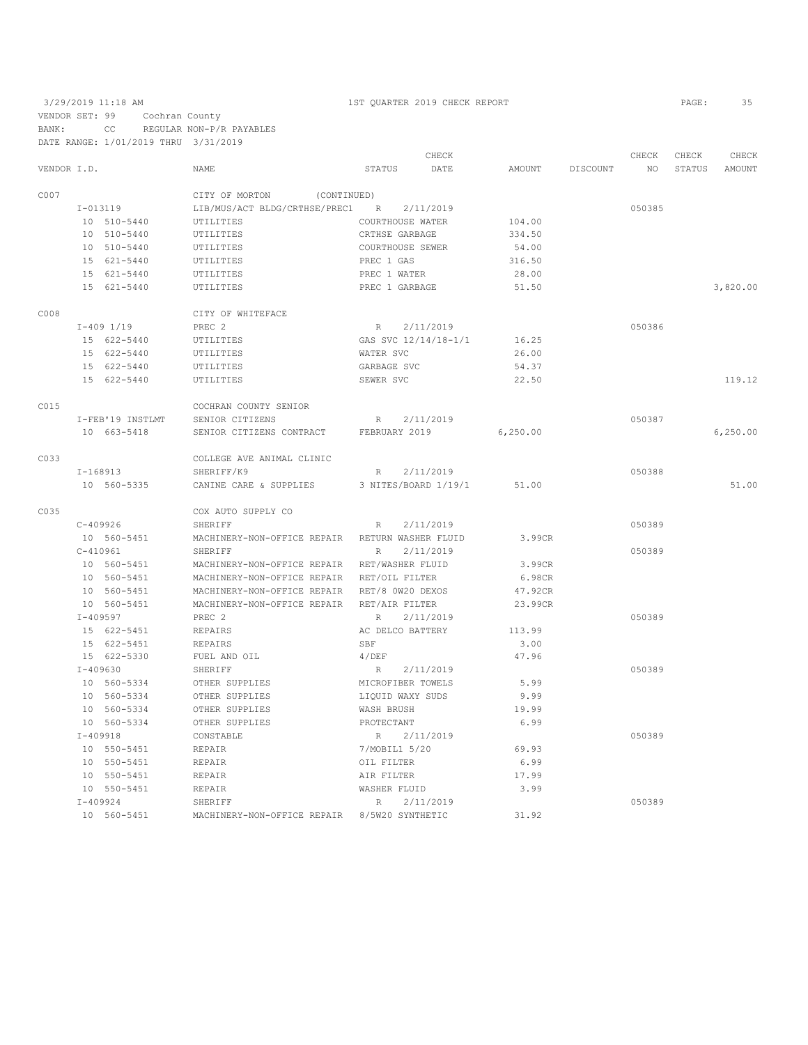|             |                             |                                              |                      | CHECK     |           |          | CHECK  | CHECK  | CHECK    |
|-------------|-----------------------------|----------------------------------------------|----------------------|-----------|-----------|----------|--------|--------|----------|
| VENDOR I.D. |                             | <b>NAME</b>                                  | STATUS               | DATE      | AMOUNT    | DISCOUNT | NO.    | STATUS | AMOUNT   |
| C007        |                             | CITY OF MORTON<br>(CONTINUED)                |                      |           |           |          |        |        |          |
|             | $I-013119$                  | LIB/MUS/ACT BLDG/CRTHSE/PREC1                | R                    | 2/11/2019 |           |          | 050385 |        |          |
|             | 10 510-5440                 | UTILITIES                                    | COURTHOUSE WATER     |           | 104.00    |          |        |        |          |
|             | 10 510-5440                 | UTILITIES                                    | CRTHSE GARBAGE       |           | 334.50    |          |        |        |          |
|             | 10 510-5440                 | UTILITIES                                    | COURTHOUSE SEWER     |           | 54.00     |          |        |        |          |
|             | 15 621-5440                 | UTILITIES                                    | PREC 1 GAS           |           | 316.50    |          |        |        |          |
|             | 15 621-5440                 | UTILITIES                                    | PREC 1 WATER         |           | 28.00     |          |        |        |          |
|             | 15 621-5440                 | UTILITIES                                    | PREC 1 GARBAGE       |           | 51.50     |          |        |        | 3,820,00 |
| C008        |                             | CITY OF WHITEFACE                            |                      |           |           |          |        |        |          |
|             | $I-409$ $1/19$              | PREC 2                                       | $R_{\perp}$          | 2/11/2019 |           |          | 050386 |        |          |
|             | 15 622-5440                 |                                              | GAS SVC 12/14/18-1/1 |           | 16.25     |          |        |        |          |
|             |                             | UTILITIES                                    |                      |           |           |          |        |        |          |
|             | 15 622-5440                 | UTILITIES                                    | WATER SVC            |           | 26.00     |          |        |        |          |
|             | 15 622-5440                 | UTILITIES                                    | GARBAGE SVC          |           | 54.37     |          |        |        |          |
|             | 15 622-5440                 | UTILITIES                                    | SEWER SVC            |           | 22.50     |          |        |        | 119.12   |
| C015        |                             | COCHRAN COUNTY SENIOR                        |                      |           |           |          |        |        |          |
|             | I-FEB'19 INSTLMT            | SENIOR CITIZENS                              | $R_{\perp}$          | 2/11/2019 |           |          | 050387 |        |          |
|             | 10 663-5418                 | SENIOR CITIZENS CONTRACT                     | FEBRUARY 2019        |           | 6, 250.00 |          |        |        | 6,250.00 |
| C033        |                             | COLLEGE AVE ANIMAL CLINIC                    |                      |           |           |          |        |        |          |
|             | $I-168913$                  | SHERIFF/K9                                   | R                    | 2/11/2019 |           |          | 050388 |        |          |
|             | 10 560-5335                 | CANINE CARE & SUPPLIES                       | 3 NITES/BOARD 1/19/1 |           | 51.00     |          |        |        | 51.00    |
| C035        |                             | COX AUTO SUPPLY CO                           |                      |           |           |          |        |        |          |
|             | $C-409926$                  | SHERIFF                                      | R                    | 2/11/2019 |           |          | 050389 |        |          |
|             | 10 560-5451                 | MACHINERY-NON-OFFICE REPAIR                  | RETURN WASHER FLUID  |           | 3.99CR    |          |        |        |          |
|             | $C-410961$                  | SHERIFF                                      | R                    | 2/11/2019 |           |          | 050389 |        |          |
|             | 10 560-5451                 | MACHINERY-NON-OFFICE REPAIR                  | RET/WASHER FLUID     |           | 3.99CR    |          |        |        |          |
|             | 10 560-5451                 | MACHINERY-NON-OFFICE REPAIR                  | RET/OIL FILTER       |           | 6.98CR    |          |        |        |          |
|             | 10 560-5451                 | MACHINERY-NON-OFFICE REPAIR RET/8 0W20 DEXOS |                      |           | 47.92CR   |          |        |        |          |
|             | 10 560-5451                 | MACHINERY-NON-OFFICE REPAIR                  | RET/AIR FILTER       |           | 23.99CR   |          |        |        |          |
|             | $I - 409597$                | PREC 2                                       | R                    | 2/11/2019 |           |          | 050389 |        |          |
|             | 15 622-5451                 | REPAIRS                                      | AC DELCO BATTERY     |           | 113.99    |          |        |        |          |
|             | 15 622-5451                 | REPAIRS                                      | SBF                  |           | 3.00      |          |        |        |          |
|             | 15 622-5330                 | FUEL AND OIL                                 | 4/DEF                |           | 47.96     |          |        |        |          |
|             | $I - 409630$                | SHERIFF                                      | R                    | 2/11/2019 |           |          | 050389 |        |          |
|             | 10 560-5334                 | OTHER SUPPLIES                               | MICROFIBER TOWELS    |           | 5.99      |          |        |        |          |
|             | 10 560-5334                 | OTHER SUPPLIES                               | LIQUID WAXY SUDS     |           | 9.99      |          |        |        |          |
|             | 10 560-5334                 | OTHER SUPPLIES                               | WASH BRUSH           |           | 19.99     |          |        |        |          |
|             |                             |                                              |                      |           | 6.99      |          |        |        |          |
|             | 10 560-5334<br>$I - 409918$ | OTHER SUPPLIES<br>CONSTABLE                  | PROTECTANT<br>R      | 2/11/2019 |           |          | 050389 |        |          |
|             |                             |                                              |                      |           |           |          |        |        |          |
|             | 10 550-5451                 | REPAIR                                       | 7/MOBIL1 5/20        |           | 69.93     |          |        |        |          |
|             | 10 550-5451                 | REPAIR                                       | OIL FILTER           |           | 6.99      |          |        |        |          |
|             | 10 550-5451                 | REPAIR                                       | AIR FILTER           |           | 17.99     |          |        |        |          |
|             | 10 550-5451                 | REPAIR                                       | WASHER FLUID         |           | 3.99      |          |        |        |          |
|             | $I - 409924$                | SHERIFF                                      | R                    | 2/11/2019 |           |          | 050389 |        |          |
|             | 10 560-5451                 | MACHINERY-NON-OFFICE REPAIR 8/5W20 SYNTHETIC |                      |           | 31.92     |          |        |        |          |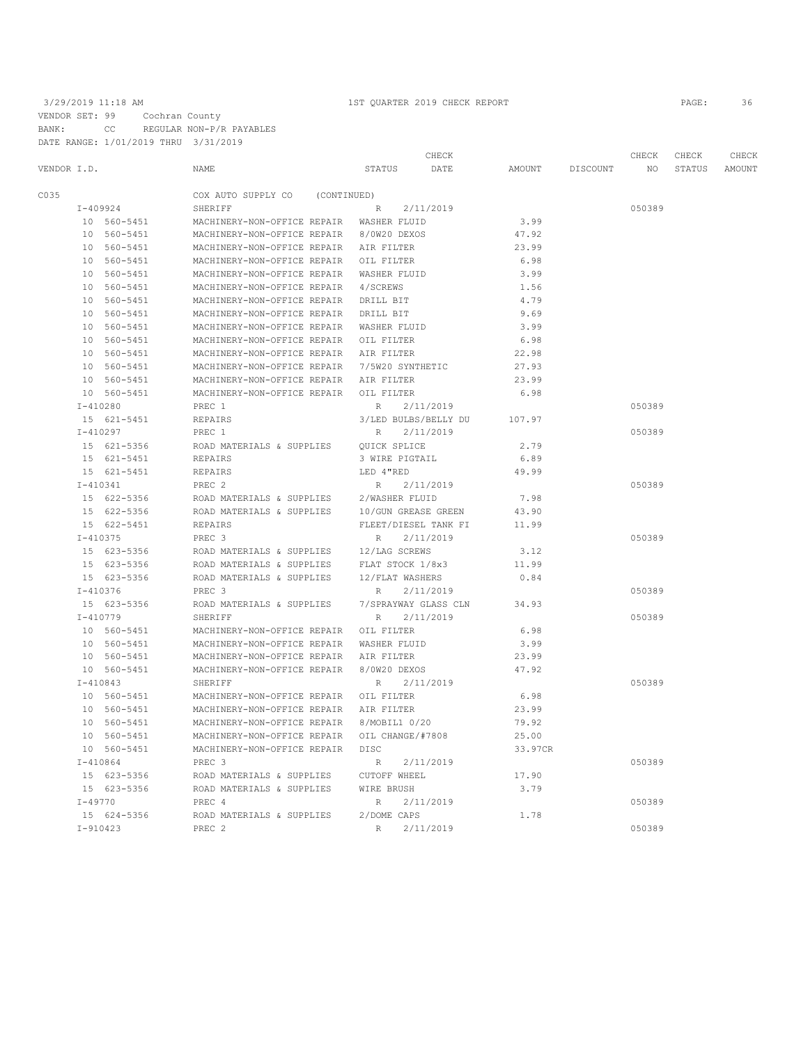|             |                             |                                               |                      | CHECK     |         |                 | CHECK  | CHECK  | CHECK  |  |
|-------------|-----------------------------|-----------------------------------------------|----------------------|-----------|---------|-----------------|--------|--------|--------|--|
| VENDOR I.D. |                             | NAME                                          | STATUS               | DATE      |         | AMOUNT DISCOUNT | NO     | STATUS | AMOUNT |  |
| C035        |                             | COX AUTO SUPPLY CO (CONTINUED)                |                      |           |         |                 |        |        |        |  |
|             | I-409924                    | SHERIFF                                       | R 2/11/2019          |           |         |                 | 050389 |        |        |  |
|             | 10 560-5451                 | MACHINERY-NON-OFFICE REPAIR WASHER FLUID      |                      |           | 3.99    |                 |        |        |        |  |
|             | 10 560-5451                 | MACHINERY-NON-OFFICE REPAIR 8/0W20 DEXOS      |                      |           | 47.92   |                 |        |        |        |  |
|             | 10 560-5451                 | MACHINERY-NON-OFFICE REPAIR AIR FILTER        |                      |           | 23.99   |                 |        |        |        |  |
|             | 10 560-5451                 | MACHINERY-NON-OFFICE REPAIR OIL FILTER        |                      |           | 6.98    |                 |        |        |        |  |
|             | 10 560-5451                 | MACHINERY-NON-OFFICE REPAIR WASHER FLUID      |                      |           | 3.99    |                 |        |        |        |  |
|             | 10 560-5451                 | MACHINERY-NON-OFFICE REPAIR                   | 4/SCREWS             |           | 1.56    |                 |        |        |        |  |
|             | 10 560-5451                 | MACHINERY-NON-OFFICE REPAIR                   | DRILL BIT            |           | 4.79    |                 |        |        |        |  |
|             | 10 560-5451                 | MACHINERY-NON-OFFICE REPAIR                   | DRILL BIT            |           | 9.69    |                 |        |        |        |  |
|             | 10 560-5451                 | MACHINERY-NON-OFFICE REPAIR WASHER FLUID      |                      |           | 3.99    |                 |        |        |        |  |
|             | 10 560-5451                 | MACHINERY-NON-OFFICE REPAIR OIL FILTER        |                      |           | 6.98    |                 |        |        |        |  |
|             | 10 560-5451                 | MACHINERY-NON-OFFICE REPAIR AIR FILTER        |                      |           | 22.98   |                 |        |        |        |  |
|             | 10 560-5451                 | MACHINERY-NON-OFFICE REPAIR 7/5W20 SYNTHETIC  |                      |           | 27.93   |                 |        |        |        |  |
|             | 10 560-5451                 | MACHINERY-NON-OFFICE REPAIR AIR FILTER        |                      |           | 23.99   |                 |        |        |        |  |
|             | 10 560-5451                 | MACHINERY-NON-OFFICE REPAIR OIL FILTER        |                      |           | 6.98    |                 |        |        |        |  |
|             | $I-410280$                  | PREC 1                                        | R                    | 2/11/2019 |         |                 | 050389 |        |        |  |
|             | 15 621-5451                 | REPAIRS                                       | 3/LED BULBS/BELLY DU |           | 107.97  |                 |        |        |        |  |
|             | $I - 410297$                | PREC 1                                        | R 2/11/2019          |           |         |                 | 050389 |        |        |  |
|             | 15 621-5356                 | ROAD MATERIALS & SUPPLIES                     | OUICK SPLICE         |           | 2.79    |                 |        |        |        |  |
|             | 15 621-5451                 | REPAIRS                                       | 3 WIRE PIGTAIL       |           | 6.89    |                 |        |        |        |  |
|             | 15 621-5451                 | REPAIRS                                       | LED 4"RED            |           | 49.99   |                 |        |        |        |  |
|             | $I-410341$                  | PREC <sub>2</sub>                             | R 2/11/2019          |           |         |                 | 050389 |        |        |  |
|             | 15 622-5356                 | ROAD MATERIALS & SUPPLIES                     | 2/WASHER FLUID       |           | 7.98    |                 |        |        |        |  |
|             | 15 622-5356                 | ROAD MATERIALS & SUPPLIES 10/GUN GREASE GREEN |                      |           | 43.90   |                 |        |        |        |  |
|             | 15 622-5451                 | REPAIRS                                       | FLEET/DIESEL TANK FI |           | 11.99   |                 |        |        |        |  |
|             | I-410375                    | PREC 3                                        | R 2/11/2019          |           |         |                 | 050389 |        |        |  |
|             | 15 623-5356                 | ROAD MATERIALS & SUPPLIES 12/LAG SCREWS       |                      |           | 3.12    |                 |        |        |        |  |
|             | 15 623-5356                 | ROAD MATERIALS & SUPPLIES FLAT STOCK 1/8x3    |                      |           | 11.99   |                 |        |        |        |  |
|             | 15 623-5356                 | ROAD MATERIALS & SUPPLIES                     | 12/FLAT WASHERS      |           | 0.84    |                 |        |        |        |  |
|             | I-410376                    | PREC <sub>3</sub>                             | R 2/11/2019          |           |         |                 | 050389 |        |        |  |
|             | 15 623-5356                 | ROAD MATERIALS & SUPPLIES                     | 7/SPRAYWAY GLASS CLN |           | 34.93   |                 |        |        |        |  |
|             | I-410779                    | SHERIFF                                       | R 2/11/2019          |           |         |                 | 050389 |        |        |  |
|             | 10 560-5451                 | MACHINERY-NON-OFFICE REPAIR OIL FILTER        |                      |           | 6.98    |                 |        |        |        |  |
|             | 10 560-5451                 | MACHINERY-NON-OFFICE REPAIR WASHER FLUID      |                      |           | 3.99    |                 |        |        |        |  |
|             | 10 560-5451                 | MACHINERY-NON-OFFICE REPAIR AIR FILTER        |                      |           | 23.99   |                 |        |        |        |  |
|             | 10 560-5451                 | MACHINERY-NON-OFFICE REPAIR 8/0W20 DEXOS      |                      |           | 47.92   |                 |        |        |        |  |
|             | $I - 410843$                | SHERIFF                                       | R 2/11/2019          |           |         |                 | 050389 |        |        |  |
|             | 10 560-5451                 | MACHINERY-NON-OFFICE REPAIR OIL FILTER        |                      |           | 6.98    |                 |        |        |        |  |
|             | 10 560-5451                 | MACHINERY-NON-OFFICE REPAIR AIR FILTER        |                      |           | 23.99   |                 |        |        |        |  |
|             | 10 560-5451                 | MACHINERY-NON-OFFICE REPAIR 8/MOBIL1 0/20     |                      |           | 79.92   |                 |        |        |        |  |
|             | 10 560-5451                 | MACHINERY-NON-OFFICE REPAIR OIL CHANGE/#7808  |                      |           | 25.00   |                 |        |        |        |  |
|             | 10 560-5451                 | MACHINERY-NON-OFFICE REPAIR DISC              |                      |           | 33.97CR |                 |        |        |        |  |
|             | $I - 410864$<br>15 623-5356 | PREC 3<br>ROAD MATERIALS & SUPPLIES           | R<br>CUTOFF WHEEL    | 2/11/2019 | 17.90   |                 | 050389 |        |        |  |
|             | 15 623-5356                 | ROAD MATERIALS & SUPPLIES                     | WIRE BRUSH           |           | 3.79    |                 |        |        |        |  |
|             | I-49770                     | PREC 4                                        | R 2/11/2019          |           |         |                 | 050389 |        |        |  |
|             | 15 624-5356                 | ROAD MATERIALS & SUPPLIES                     | 2/DOME CAPS          |           | 1.78    |                 |        |        |        |  |
|             | $I-910423$                  | PREC <sub>2</sub>                             | R                    | 2/11/2019 |         |                 | 050389 |        |        |  |
|             |                             |                                               |                      |           |         |                 |        |        |        |  |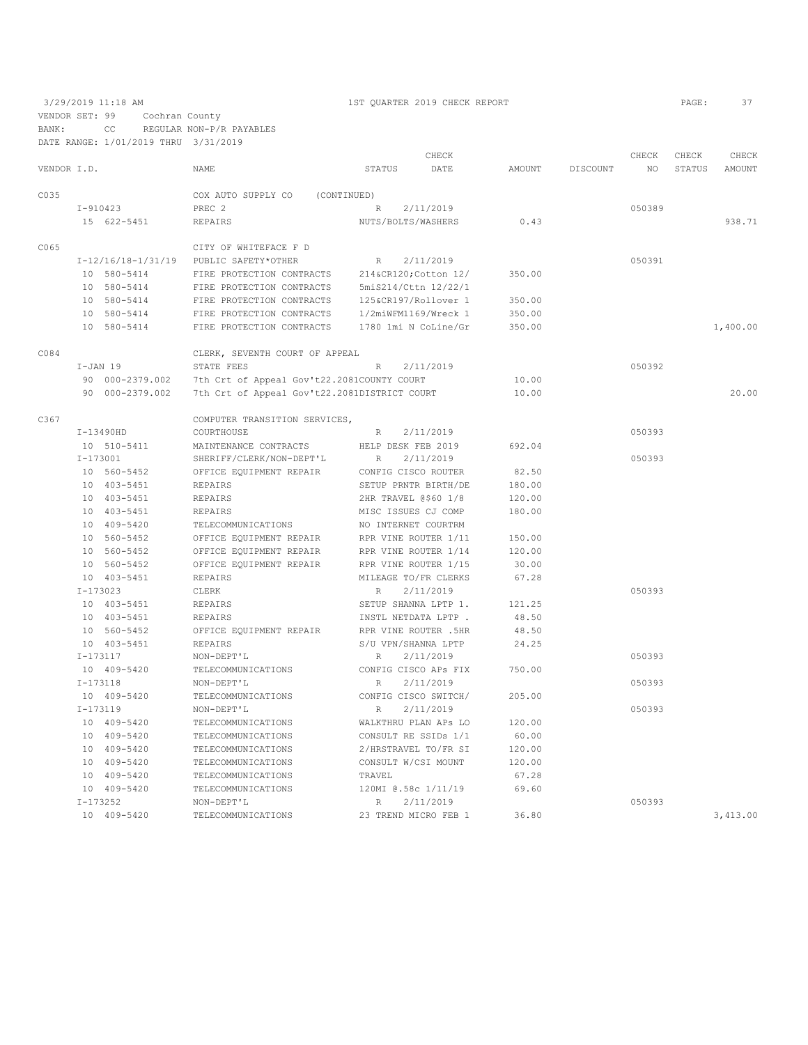3/29/2019 11:18 AM 1ST QUARTER 2019 CHECK REPORT PAGE: 37 VENDOR SET: 99 Cochran County

| BANK:       |            | CC.                                  | REGULAR NON-P/R PAYABLES                       |                      |                      |        |          |        |        |          |
|-------------|------------|--------------------------------------|------------------------------------------------|----------------------|----------------------|--------|----------|--------|--------|----------|
|             |            | DATE RANGE: 1/01/2019 THRU 3/31/2019 |                                                |                      |                      |        |          |        |        |          |
|             |            |                                      |                                                |                      | CHECK                |        |          | CHECK  | CHECK  | CHECK    |
| VENDOR I.D. |            |                                      | NAME                                           | STATUS               | DATE                 | AMOUNT | DISCOUNT | NO.    | STATUS | AMOUNT   |
|             |            |                                      |                                                |                      |                      |        |          |        |        |          |
| C035        |            |                                      | COX AUTO SUPPLY CO                             | (CONTINUED)          |                      |        |          |        |        |          |
|             |            | I-910423                             | PREC <sub>2</sub>                              | R                    | 2/11/2019            |        |          | 050389 |        |          |
|             |            | 15 622-5451                          | <b>REPAIRS</b>                                 | NUTS/BOLTS/WASHERS   |                      | 0.43   |          |        |        | 938.71   |
|             |            |                                      |                                                |                      |                      |        |          |        |        |          |
| C065        |            |                                      | CITY OF WHITEFACE F D                          |                      |                      |        |          |        |        |          |
|             |            |                                      | I-12/16/18-1/31/19 PUBLIC SAFETY*OTHER         | R                    | 2/11/2019            |        |          | 050391 |        |          |
|             |            | 10 580-5414                          | FIRE PROTECTION CONTRACTS 214&CR120 Cotton 12/ |                      |                      | 350.00 |          |        |        |          |
|             |            | 10 580-5414                          | FIRE PROTECTION CONTRACTS                      | 5miS214/Cttn 12/22/1 |                      |        |          |        |        |          |
|             |            | 10 580-5414                          | FIRE PROTECTION CONTRACTS                      | 125&CR197/Rollover 1 |                      | 350.00 |          |        |        |          |
|             |            | 10 580-5414                          | FIRE PROTECTION CONTRACTS 1/2miWFM1169/Wreck 1 |                      |                      | 350.00 |          |        |        |          |
|             |            | 10 580-5414                          | FIRE PROTECTION CONTRACTS                      | 1780 1mi N CoLine/Gr |                      | 350.00 |          |        |        | 1,400.00 |
| C084        |            |                                      | CLERK, SEVENTH COURT OF APPEAL                 |                      |                      |        |          |        |        |          |
|             | $I-JAN$ 19 |                                      | STATE FEES                                     | R                    | 2/11/2019            |        |          | 050392 |        |          |
|             |            | 90 000-2379.002                      | 7th Crt of Appeal Gov't22.2081COUNTY COURT     |                      |                      | 10.00  |          |        |        |          |
|             |            | 90 000-2379.002                      | 7th Crt of Appeal Gov't22.2081DISTRICT COURT   |                      |                      | 10.00  |          |        |        | 20.00    |
|             |            |                                      |                                                |                      |                      |        |          |        |        |          |
| C367        |            |                                      | COMPUTER TRANSITION SERVICES,                  |                      |                      |        |          |        |        |          |
|             |            | $I-13490HD$                          | COURTHOUSE                                     | R                    | 2/11/2019            |        |          | 050393 |        |          |
|             |            | 10 510-5411                          | MAINTENANCE CONTRACTS                          | HELP DESK FEB 2019   |                      | 692.04 |          |        |        |          |
|             | $I-173001$ |                                      | SHERIFF/CLERK/NON-DEPT'L                       | R                    | 2/11/2019            |        |          | 050393 |        |          |
|             |            | 10 560-5452                          | OFFICE EQUIPMENT REPAIR                        |                      | CONFIG CISCO ROUTER  | 82.50  |          |        |        |          |
|             |            | 10 403-5451                          | REPAIRS                                        |                      | SETUP PRNTR BIRTH/DE | 180.00 |          |        |        |          |
|             |            | 10 403-5451                          | REPAIRS                                        |                      | 2HR TRAVEL @\$60 1/8 | 120.00 |          |        |        |          |
|             |            | 10 403-5451                          | REPAIRS                                        |                      | MISC ISSUES CJ COMP  | 180.00 |          |        |        |          |
|             |            | 10 409-5420                          | TELECOMMUNICATIONS                             |                      | NO INTERNET COURTRM  |        |          |        |        |          |
|             |            | 10 560-5452                          | OFFICE EQUIPMENT REPAIR                        |                      | RPR VINE ROUTER 1/11 | 150.00 |          |        |        |          |
|             |            | 10 560-5452                          | OFFICE EQUIPMENT REPAIR                        | RPR VINE ROUTER 1/14 |                      | 120.00 |          |        |        |          |
|             |            | 10 560-5452                          | OFFICE EQUIPMENT REPAIR                        |                      | RPR VINE ROUTER 1/15 | 30.00  |          |        |        |          |
|             |            | 10 403-5451                          | <b>REPAIRS</b>                                 |                      | MILEAGE TO/FR CLERKS | 67.28  |          |        |        |          |
|             |            |                                      |                                                |                      |                      |        |          |        |        |          |
|             | $I-173023$ |                                      | CLERK                                          | R                    | 2/11/2019            |        |          | 050393 |        |          |
|             |            | 10 403-5451                          | REPAIRS                                        |                      | SETUP SHANNA LPTP 1. | 121.25 |          |        |        |          |
|             |            | 10 403-5451                          | <b>REPAIRS</b>                                 |                      | INSTL NETDATA LPTP.  | 48.50  |          |        |        |          |
|             |            | 10 560-5452                          | OFFICE EQUIPMENT REPAIR                        |                      | RPR VINE ROUTER .5HR | 48.50  |          |        |        |          |
|             |            | 10 403-5451                          | REPAIRS                                        |                      | S/U VPN/SHANNA LPTP  | 24.25  |          |        |        |          |
|             | I-173117   |                                      | NON-DEPT'L                                     | R                    | 2/11/2019            |        |          | 050393 |        |          |
|             |            | 10 409-5420                          | TELECOMMUNICATIONS                             |                      | CONFIG CISCO APS FIX | 750.00 |          |        |        |          |
|             | $I-173118$ |                                      | NON-DEPT'L                                     | R                    | 2/11/2019            |        |          | 050393 |        |          |
|             |            | 10 409-5420                          | TELECOMMUNICATIONS                             |                      | CONFIG CISCO SWITCH/ | 205.00 |          |        |        |          |
|             | $I-173119$ |                                      | NON-DEPT'L                                     | $\mathbb{R}$         | 2/11/2019            |        |          | 050393 |        |          |
|             |            | 10 409-5420                          | TELECOMMUNICATIONS                             |                      | WALKTHRU PLAN APS LO | 120.00 |          |        |        |          |
|             |            | 10 409-5420                          | TELECOMMUNICATIONS                             |                      | CONSULT RE SSIDs 1/1 | 60.00  |          |        |        |          |
|             |            | 10 409-5420                          | TELECOMMUNICATIONS                             |                      | 2/HRSTRAVEL TO/FR SI | 120.00 |          |        |        |          |
|             |            | 10 409-5420                          | TELECOMMUNICATIONS                             |                      | CONSULT W/CSI MOUNT  | 120.00 |          |        |        |          |
|             |            | 10 409-5420                          | TELECOMMUNICATIONS                             | TRAVEL               |                      | 67.28  |          |        |        |          |
|             |            | 10 409-5420                          | TELECOMMUNICATIONS                             |                      | 120MI @.58c 1/11/19  | 69.60  |          |        |        |          |
|             | $I-173252$ |                                      | NON-DEPT'L                                     | R                    | 2/11/2019            |        |          | 050393 |        |          |
|             |            | 10 409-5420                          | TELECOMMUNICATIONS                             |                      | 23 TREND MICRO FEB 1 | 36.80  |          |        |        | 3,413.00 |
|             |            |                                      |                                                |                      |                      |        |          |        |        |          |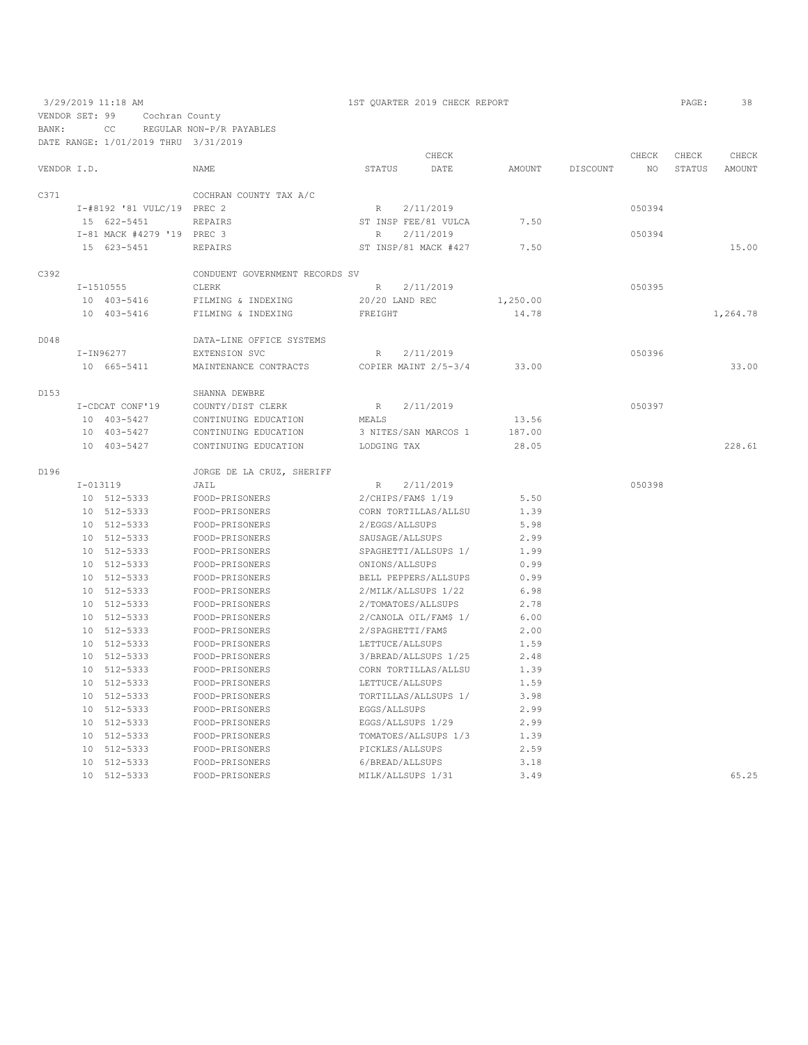3/29/2019 11:18 AM 1ST QUARTER 2019 CHECK REPORT PAGE: 38 VENDOR SET: 99 Cochran County BANK: CC REGULAR NON-P/R PAYABLES DATE RANGE: 1/01/2019 THRU 3/31/2019 CHECK CHECK CHECK CHECK CHECK CHECK CHECK CHECK CHECK CHECK CHECK CHECK CHECK CHECK CHECK CHECK CHECK CHECK CHECK CHECK CHECK CHECK STATUS AMOUNT DISCOUNT NO STATUS AMOUNT NAME STATUS DATE AMOUNT DISCOUNT NO STATUS AMOUNT C371 COCHRAN COUNTY TAX A/C I-#8192 '81 VULC/19 PREC 2 R 2/11/2019<br>15 622-5451 REPAIRS ST INSP FEE/81 VULCA 7.50

15 622–5451 REPAIRS ST INSP FEE/81 VULCA 7.50<br>T-81 MACK #4279 '19 PREC 3 R 2/11/2019 I-81 MACK #4279 '19 PREC 3 R 2/11/2019 050394 ST INSP/81 MACK #427 7.50 15.00 C392 CONDUENT GOVERNMENT RECORDS SV I-1510555 CLERK R 2/11/2019 050395 10 403-5416 FILMING & INDEXING 20/20 LAND REC 1,250.00 10 403-5416 FILMING & INDEXING FREIGHT 14.78 14.78 1,264.78 D048 DATA-LINE OFFICE SYSTEMS I-IN96277 EXTENSION SVC R 2/11/2019 050396 10 665-5411 MAINTENANCE CONTRACTS COPIER MAINT 2/5-3/4 33.00 33.00 D153 <br>
I-CDCAT CONF'19 <br>
COUNTY/DIST CLERK I-CDCAT CONF'19 COUNTY/DIST CLERK R 2/11/2019 050397 10 403-5427 CONTINUING EDUCATION MEALS 13.56 10 403-5427 CONTINUING EDUCATION 3 NITES/SAN MARCOS 1 187.00 10 403-5427 CONTINUING EDUCATION LODGING TAX 28.05 228.61 D196 JORGE DE LA CRUZ, SHERIFF

| <b>DIAP</b>     |          | JORGE DE LA CRUZ, SHERIFF |                       |      |        |
|-----------------|----------|---------------------------|-----------------------|------|--------|
| $I - 013119$    |          | JAIL                      | 2/11/2019<br>R        |      | 050398 |
| 10 <sup>1</sup> | 512-5333 | FOOD-PRISONERS            | 2/CHIPS/FAM\$ 1/19    | 5.50 |        |
| 10              | 512-5333 | FOOD-PRISONERS            | CORN TORTILLAS/ALLSU  | 1.39 |        |
| 10              | 512-5333 | FOOD-PRISONERS            | 2/EGGS/ALLSUPS        | 5.98 |        |
| 10              | 512-5333 | FOOD-PRISONERS            | SAUSAGE/ALLSUPS       | 2.99 |        |
| 10              | 512-5333 | FOOD-PRISONERS            | SPAGHETTI/ALLSUPS 1/  | 1.99 |        |
| 10              | 512-5333 | FOOD-PRISONERS            | ONIONS/ALLSUPS        | 0.99 |        |
| 10              | 512-5333 | FOOD-PRISONERS            | BELL PEPPERS/ALLSUPS  | 0.99 |        |
| 10              | 512-5333 | FOOD-PRISONERS            | 2/MILK/ALLSUPS 1/22   | 6.98 |        |
| 10              | 512-5333 | FOOD-PRISONERS            | 2/TOMATOES/ALLSUPS    | 2.78 |        |
| 10              | 512-5333 | FOOD-PRISONERS            | 2/CANOLA OIL/FAM\$ 1/ | 6.00 |        |
| 10              | 512-5333 | FOOD-PRISONERS            | 2/SPAGHETTI/FAM\$     | 2.00 |        |
| 10              | 512-5333 | FOOD-PRISONERS            | LETTUCE/ALLSUPS       | 1.59 |        |
| 10              | 512-5333 | FOOD-PRISONERS            | 3/BREAD/ALLSUPS 1/25  | 2.48 |        |
| 10              | 512-5333 | FOOD-PRISONERS            | CORN TORTILLAS/ALLSU  | 1.39 |        |
| 10              | 512-5333 | FOOD-PRISONERS            | LETTUCE/ALLSUPS       | 1.59 |        |
| 10              | 512-5333 | FOOD-PRISONERS            | TORTILLAS/ALLSUPS 1/  | 3.98 |        |
| 10              | 512-5333 | FOOD-PRISONERS            | EGGS/ALLSUPS          | 2.99 |        |
| 10              | 512-5333 | FOOD-PRISONERS            | EGGS/ALLSUPS 1/29     | 2.99 |        |
| 10              | 512-5333 | FOOD-PRISONERS            | TOMATOES/ALLSUPS 1/3  | 1.39 |        |
| 10              | 512-5333 | FOOD-PRISONERS            | PICKLES/ALLSUPS       | 2.59 |        |
| 10              | 512-5333 | FOOD-PRISONERS            | 6/BREAD/ALLSUPS       | 3.18 |        |
| 10              | 512-5333 | FOOD-PRISONERS            | MILK/ALLSUPS 1/31     | 3.49 | 65.25  |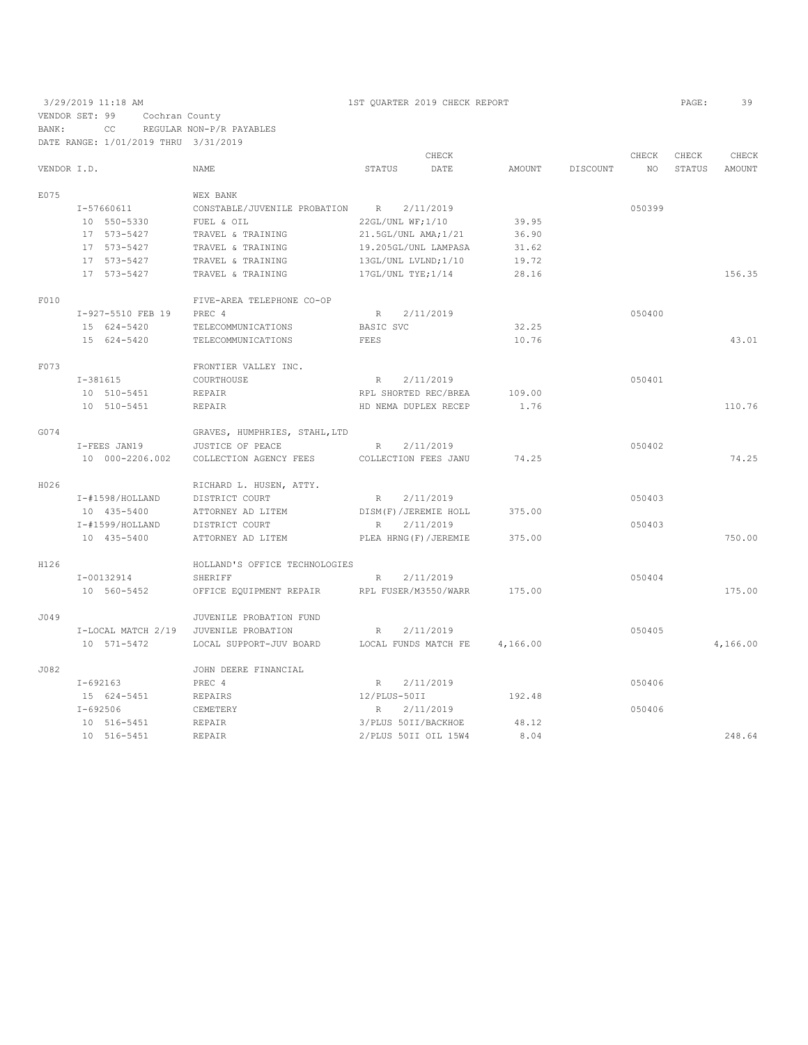|             |                    |                                |                      | CHECK                   |          |          | CHECK  | CHECK  | CHECK    |
|-------------|--------------------|--------------------------------|----------------------|-------------------------|----------|----------|--------|--------|----------|
| VENDOR I.D. |                    | NAME                           | STATUS               | DATE                    | AMOUNT   | DISCOUNT | NO     | STATUS | AMOUNT   |
| E075        |                    | WEX BANK                       |                      |                         |          |          |        |        |          |
|             | I-57660611         | CONSTABLE/JUVENILE PROBATION R |                      | 2/11/2019               |          |          | 050399 |        |          |
|             | 10 550-5330        | FUEL & OIL                     | 22GL/UNL WF;1/10     |                         | 39.95    |          |        |        |          |
|             | 17 573-5427        | TRAVEL & TRAINING              | 21.5GL/UNL AMA;1/21  |                         | 36.90    |          |        |        |          |
|             | 17 573-5427        | TRAVEL & TRAINING              |                      | 19.205GL/UNL LAMPASA    | 31.62    |          |        |        |          |
|             | 17 573-5427        | TRAVEL & TRAINING              | 13GL/UNL LVLND;1/10  |                         | 19.72    |          |        |        |          |
|             | 17 573-5427        | TRAVEL & TRAINING              | 17GL/UNL TYE;1/14    |                         | 28.16    |          |        |        | 156.35   |
| F010        |                    | FIVE-AREA TELEPHONE CO-OP      |                      |                         |          |          |        |        |          |
|             | I-927-5510 FEB 19  | PREC 4                         | R 2/11/2019          |                         |          |          | 050400 |        |          |
|             | 15 624-5420        | TELECOMMUNICATIONS             | BASIC SVC            |                         | 32.25    |          |        |        |          |
|             | 15 624-5420        | TELECOMMUNICATIONS             | FEES                 |                         | 10.76    |          |        |        | 43.01    |
| F073        |                    | FRONTIER VALLEY INC.           |                      |                         |          |          |        |        |          |
|             | I-381615           | COURTHOUSE                     | R                    | 2/11/2019               |          |          | 050401 |        |          |
|             | 10 510-5451        | REPAIR                         |                      | RPL SHORTED REC/BREA    | 109.00   |          |        |        |          |
|             | 10 510-5451        | REPAIR                         |                      | HD NEMA DUPLEX RECEP    | 1.76     |          |        |        | 110.76   |
| G074        |                    | GRAVES, HUMPHRIES, STAHL, LTD  |                      |                         |          |          |        |        |          |
|             | I-FEES JAN19       | JUSTICE OF PEACE               | $R_{\parallel}$      | 2/11/2019               |          |          | 050402 |        |          |
|             | 10 000-2206.002    | COLLECTION AGENCY FEES         |                      | COLLECTION FEES JANU    | 74.25    |          |        |        | 74.25    |
| H026        |                    | RICHARD L. HUSEN, ATTY.        |                      |                         |          |          |        |        |          |
|             | I-#1598/HOLLAND    | DISTRICT COURT                 | R                    | 2/11/2019               |          |          | 050403 |        |          |
|             | 10 435-5400        | ATTORNEY AD LITEM              | DISM(F)/JEREMIE HOLL |                         | 375.00   |          |        |        |          |
|             | I-#1599/HOLLAND    | DISTRICT COURT                 | R                    | 2/11/2019               |          |          | 050403 |        |          |
|             | 10 435-5400        | ATTORNEY AD LITEM              |                      | PLEA HRNG (F) / JEREMIE | 375.00   |          |        |        | 750.00   |
| H126        |                    | HOLLAND'S OFFICE TECHNOLOGIES  |                      |                         |          |          |        |        |          |
|             | I-00132914         | SHERIFF                        | $R_{\perp}$          | 2/11/2019               |          |          | 050404 |        |          |
|             | 10 560-5452        | OFFICE EQUIPMENT REPAIR        | RPL FUSER/M3550/WARR |                         | 175.00   |          |        |        | 175.00   |
| J049        |                    | JUVENILE PROBATION FUND        |                      |                         |          |          |        |        |          |
|             | I-LOCAL MATCH 2/19 | JUVENILE PROBATION             | R                    | 2/11/2019               |          |          | 050405 |        |          |
|             | 10 571-5472        | LOCAL SUPPORT-JUV BOARD        | LOCAL FUNDS MATCH FE |                         | 4,166.00 |          |        |        | 4,166.00 |
| J082        |                    | JOHN DEERE FINANCIAL           |                      |                         |          |          |        |        |          |
|             | $I-692163$         | PREC 4                         | R                    | 2/11/2019               |          |          | 050406 |        |          |
|             | 15 624-5451        | REPAIRS                        | 12/PLUS-50II         |                         | 192.48   |          |        |        |          |
|             | $I - 692506$       | CEMETERY                       | R                    | 2/11/2019               |          |          | 050406 |        |          |
|             | 10 516-5451        | REPAIR                         | 3/PLUS 50II/BACKHOE  |                         | 48.12    |          |        |        |          |
|             | 10 516-5451        | REPAIR                         |                      | 2/PLUS 50II OIL 15W4    | 8.04     |          |        |        | 248.64   |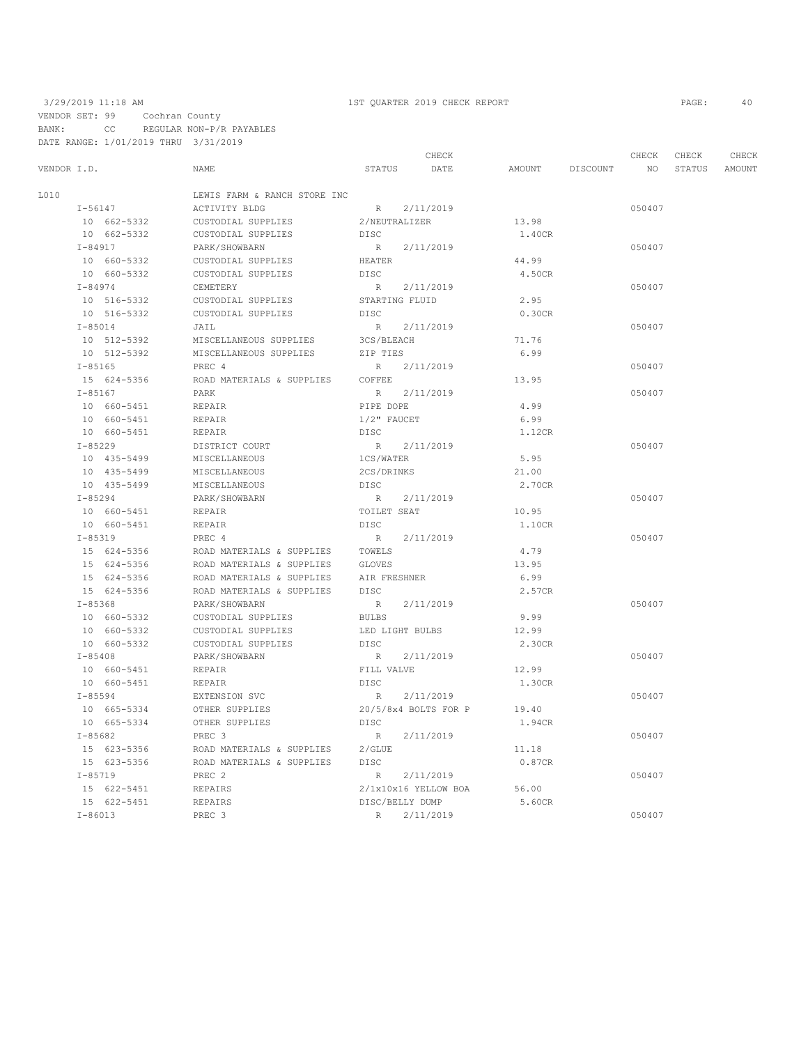| VENDOR I.D.<br>L010<br>$I - 56147$<br>10 662-5332<br>10 662-5332<br>$I - 84917$ | NAME<br>LEWIS FARM & RANCH STORE INC<br>ACTIVITY BLDG<br>CUSTODIAL SUPPLIES<br>CUSTODIAL SUPPLIES |                 | STATUS DATE          | AMOUNT | DISCOUNT | NO <sub>1</sub> | STATUS AMOUNT |  |
|---------------------------------------------------------------------------------|---------------------------------------------------------------------------------------------------|-----------------|----------------------|--------|----------|-----------------|---------------|--|
|                                                                                 |                                                                                                   |                 |                      |        |          |                 |               |  |
|                                                                                 |                                                                                                   |                 |                      |        |          |                 |               |  |
|                                                                                 |                                                                                                   |                 | R 2/11/2019          |        |          | 050407          |               |  |
|                                                                                 |                                                                                                   | 2/NEUTRALIZER   |                      | 13.98  |          |                 |               |  |
|                                                                                 |                                                                                                   | DISC            |                      | 1.40CR |          |                 |               |  |
|                                                                                 | PARK/SHOWBARN                                                                                     |                 | R 2/11/2019          |        |          | 050407          |               |  |
| 10 660-5332                                                                     | CUSTODIAL SUPPLIES                                                                                | HEATER          |                      | 44.99  |          |                 |               |  |
| 10 660-5332                                                                     | CUSTODIAL SUPPLIES                                                                                | DISC            |                      | 4.50CR |          |                 |               |  |
| $I - 84974$                                                                     | CEMETERY                                                                                          |                 | R 2/11/2019          |        |          | 050407          |               |  |
| 10 516-5332                                                                     | CUSTODIAL SUPPLIES                                                                                | STARTING FLUID  |                      | 2.95   |          |                 |               |  |
| 10 516-5332                                                                     | CUSTODIAL SUPPLIES                                                                                | DISC            |                      | 0.30CR |          |                 |               |  |
| $I - 85014$                                                                     | JAIL                                                                                              |                 | R 2/11/2019          |        |          | 050407          |               |  |
| 10 512-5392                                                                     | MISCELLANEOUS SUPPLIES                                                                            | 3CS/BLEACH      |                      | 71.76  |          |                 |               |  |
| 10 512-5392                                                                     | MISCELLANEOUS SUPPLIES                                                                            | ZIP TIES        |                      | 6.99   |          |                 |               |  |
| $I - 85165$                                                                     | PREC 4                                                                                            |                 | R 2/11/2019          |        |          | 050407          |               |  |
| 15 624-5356                                                                     | ROAD MATERIALS & SUPPLIES                                                                         | COFFEE          |                      | 13.95  |          |                 |               |  |
| $I - 85167$                                                                     | PARK                                                                                              |                 | R 2/11/2019          |        |          | 050407          |               |  |
| 10 660-5451                                                                     | REPAIR                                                                                            | PIPE DOPE       |                      | 4.99   |          |                 |               |  |
| 10 660-5451                                                                     | REPAIR                                                                                            | $1/2$ " FAUCET  |                      | 6.99   |          |                 |               |  |
| 10 660-5451                                                                     | REPAIR                                                                                            | DISC            |                      | 1.12CR |          |                 |               |  |
| $I - 85229$                                                                     | DISTRICT COURT                                                                                    |                 | R 2/11/2019          |        |          | 050407          |               |  |
| 10 435-5499                                                                     | MISCELLANEOUS                                                                                     | 1CS/WATER       |                      | 5.95   |          |                 |               |  |
| 10 435-5499                                                                     | MISCELLANEOUS                                                                                     | 2CS/DRINKS      |                      | 21.00  |          |                 |               |  |
| 10 435-5499                                                                     | MISCELLANEOUS                                                                                     | DISC            |                      | 2.70CR |          |                 |               |  |
| $I - 85294$                                                                     | PARK/SHOWBARN                                                                                     |                 | R 2/11/2019          |        |          | 050407          |               |  |
| 10 660-5451                                                                     | REPAIR                                                                                            | TOILET SEAT     |                      | 10.95  |          |                 |               |  |
| 10 660-5451                                                                     | REPAIR                                                                                            | DT SC           |                      | 1.10CR |          |                 |               |  |
| $I - 85319$                                                                     | PREC 4                                                                                            |                 | R 2/11/2019          |        |          | 050407          |               |  |
| 15 624-5356                                                                     | ROAD MATERIALS & SUPPLIES                                                                         | TOWELS          |                      | 4.79   |          |                 |               |  |
| 15 624-5356                                                                     | ROAD MATERIALS & SUPPLIES                                                                         | GLOVES          |                      | 13.95  |          |                 |               |  |
| 15 624-5356                                                                     | ROAD MATERIALS & SUPPLIES                                                                         | AIR FRESHNER    |                      | 6.99   |          |                 |               |  |
| 15 624-5356                                                                     | ROAD MATERIALS & SUPPLIES                                                                         | DISC            |                      | 2.57CR |          |                 |               |  |
| $I - 85368$                                                                     | PARK/SHOWBARN                                                                                     | R               | 2/11/2019            |        |          | 050407          |               |  |
| 10 660-5332                                                                     | CUSTODIAL SUPPLIES                                                                                | <b>BULBS</b>    |                      | 9.99   |          |                 |               |  |
| 10 660-5332                                                                     | CUSTODIAL SUPPLIES                                                                                | LED LIGHT BULBS |                      | 12.99  |          |                 |               |  |
| 10 660-5332                                                                     | CUSTODIAL SUPPLIES                                                                                | DISC            |                      | 2.30CR |          |                 |               |  |
| $I - 85408$                                                                     | PARK/SHOWBARN                                                                                     | R               | 2/11/2019            |        |          | 050407          |               |  |
| 10 660-5451                                                                     | REPAIR                                                                                            | FILL VALVE      |                      | 12.99  |          |                 |               |  |
| 10 660-5451                                                                     | REPAIR                                                                                            | <b>DISC</b>     |                      | 1.30CR |          |                 |               |  |
| $I - 85594$                                                                     | EXTENSION SVC                                                                                     | R               | 2/11/2019            |        |          | 050407          |               |  |
| 10 665-5334                                                                     | OTHER SUPPLIES                                                                                    |                 | 20/5/8x4 BOLTS FOR P | 19.40  |          |                 |               |  |
| 10 665-5334                                                                     | OTHER SUPPLIES                                                                                    | DISC            |                      | 1.94CR |          |                 |               |  |
| $I - 85682$                                                                     | PREC 3                                                                                            |                 | R 2/11/2019          |        |          | 050407          |               |  |
| 15 623-5356                                                                     | ROAD MATERIALS & SUPPLIES                                                                         | $2$ / GLUE      |                      | 11.18  |          |                 |               |  |
| 15 623-5356                                                                     | ROAD MATERIALS & SUPPLIES                                                                         | DISC            |                      | 0.87CR |          |                 |               |  |
| $I - 85719$                                                                     | PREC 2                                                                                            |                 | R 2/11/2019          |        |          | 050407          |               |  |
| 15 622-5451                                                                     | REPAIRS                                                                                           |                 | 2/1x10x16 YELLOW BOA | 56.00  |          |                 |               |  |
| 15 622-5451                                                                     | REPAIRS                                                                                           |                 | DISC/BELLY DUMP      | 5.60CR |          |                 |               |  |
| $I - 86013$                                                                     | PREC 3                                                                                            |                 | R 2/11/2019          |        |          | 050407          |               |  |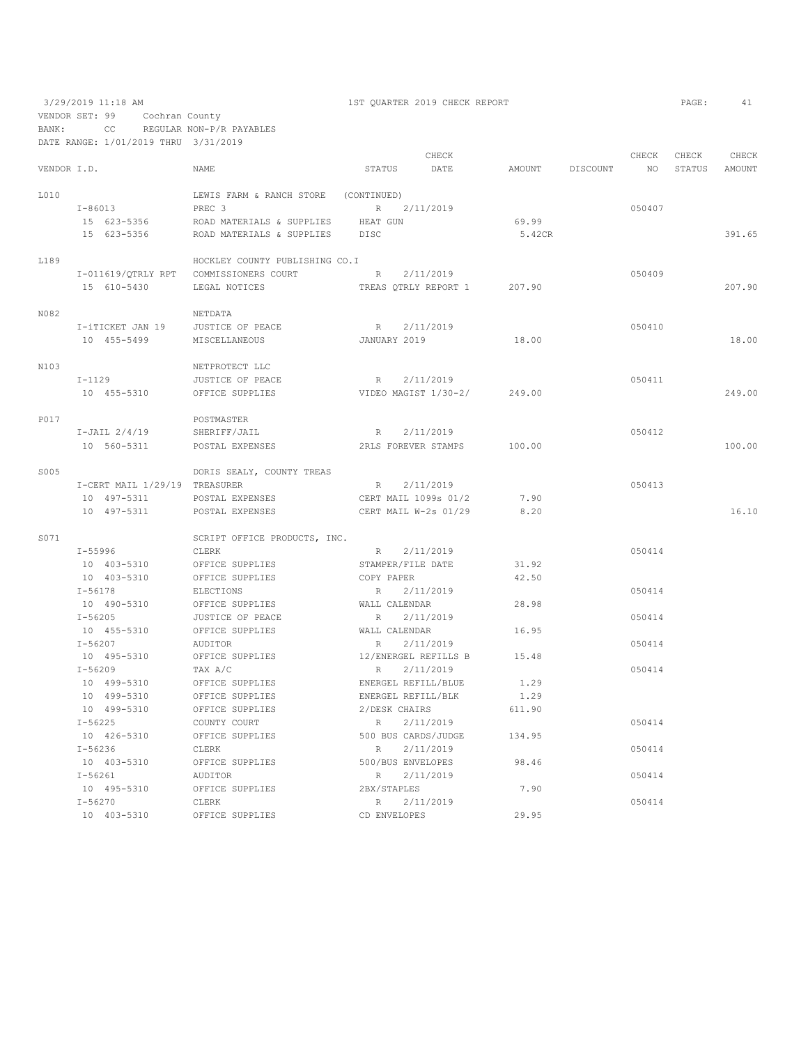VENDOR SET: 99 Cochran County

BANK: CC REGULAR NON-P/R PAYABLES

DATE RANGE: 1/01/2019 THRU 3/31/2019

|             |                                        |                                      |               | CHECK                       |                    | CHECK  | CHECK         | CHECK  |
|-------------|----------------------------------------|--------------------------------------|---------------|-----------------------------|--------------------|--------|---------------|--------|
| VENDOR I.D. |                                        | NAME                                 |               | STATUS DATE                 | AMOUNT DISCOUNT NO |        | STATUS AMOUNT |        |
| L010        |                                        | LEWIS FARM & RANCH STORE (CONTINUED) |               |                             |                    |        |               |        |
|             | $I - 86013$                            | PREC 3                               |               | R 2/11/2019                 |                    | 050407 |               |        |
|             | 15 623-5356                            | ROAD MATERIALS & SUPPLIES HEAT GUN   |               |                             | 69.99              |        |               |        |
|             | 15 623-5356                            | ROAD MATERIALS & SUPPLIES DISC       |               |                             | 5.42CR             |        |               | 391.65 |
| L189        |                                        | HOCKLEY COUNTY PUBLISHING CO.I       |               |                             |                    |        |               |        |
|             | I-011619/OTRLY RPT COMMISSIONERS COURT |                                      | R             | 2/11/2019                   |                    | 050409 |               |        |
|             | 15 610-5430                            | LEGAL NOTICES                        |               | TREAS QTRLY REPORT 1 207.90 |                    |        |               | 207.90 |
| N082        |                                        | NETDATA                              |               |                             |                    |        |               |        |
|             | I-iTICKET JAN 19                       | JUSTICE OF PEACE                     |               | R 2/11/2019                 |                    | 050410 |               |        |
|             | 10 455-5499                            | MISCELLANEOUS                        | JANUARY 2019  |                             | 18.00              |        |               | 18.00  |
| N103        |                                        | NETPROTECT LLC                       |               |                             |                    |        |               |        |
|             | $I-1129$                               | JUSTICE OF PEACE                     |               | R 2/11/2019                 |                    | 050411 |               |        |
|             | 10 455-5310                            | OFFICE SUPPLIES                      |               | VIDEO MAGIST 1/30-2/        | 249.00             |        |               | 249.00 |
| P017        |                                        | POSTMASTER                           |               |                             |                    |        |               |        |
|             | $I-JAIL 2/4/19$                        | SHERIFF/JAIL                         |               | R 2/11/2019                 |                    | 050412 |               |        |
|             | 10 560-5311                            | POSTAL EXPENSES                      |               | 2RLS FOREVER STAMPS         | 100.00             |        |               | 100.00 |
| S005        |                                        | DORIS SEALY, COUNTY TREAS            |               |                             |                    |        |               |        |
|             | I-CERT MAIL 1/29/19 TREASURER          |                                      |               | R 2/11/2019                 |                    | 050413 |               |        |
|             | 10 497-5311                            | POSTAL EXPENSES                      |               | CERT MAIL 1099s 01/2        | 7.90               |        |               |        |
|             | 10 497-5311                            | POSTAL EXPENSES                      |               | CERT MAIL W-2s 01/29        | 8.20               |        |               | 16.10  |
| S071        |                                        | SCRIPT OFFICE PRODUCTS, INC.         |               |                             |                    |        |               |        |
|             | I-55996                                | CLERK                                |               | R 2/11/2019                 |                    | 050414 |               |        |
|             | 10 403-5310                            | OFFICE SUPPLIES                      |               | STAMPER/FILE DATE           | 31.92              |        |               |        |
|             | 10 403-5310                            | OFFICE SUPPLIES                      | COPY PAPER    |                             | 42.50              |        |               |        |
|             | $I - 56178$                            | ELECTIONS                            |               | R 2/11/2019                 |                    | 050414 |               |        |
|             | 10 490-5310                            | OFFICE SUPPLIES                      | WALL CALENDAR |                             | 28.98              |        |               |        |
|             | $I - 56205$                            | JUSTICE OF PEACE                     | R             | 2/11/2019                   |                    | 050414 |               |        |
|             | 10 455-5310                            | OFFICE SUPPLIES                      | WALL CALENDAR |                             | 16.95              |        |               |        |
|             | $I - 56207$                            | AUDITOR                              | R             | 2/11/2019                   |                    | 050414 |               |        |
|             | 10 495-5310                            | OFFICE SUPPLIES                      |               | 12/ENERGEL REFILLS B        | 15.48              |        |               |        |
|             | $I - 56209$                            | TAX A/C                              | R             | 2/11/2019                   |                    | 050414 |               |        |
|             | 10 499-5310                            | OFFICE SUPPLIES                      |               | ENERGEL REFILL/BLUE         | 1.29               |        |               |        |
|             | 10 499-5310                            | OFFICE SUPPLIES                      |               | ENERGEL REFILL/BLK          | 1.29               |        |               |        |
|             | 10 499-5310                            | OFFICE SUPPLIES                      |               | 2/DESK CHAIRS               | 611.90             |        |               |        |
|             | $I - 56225$                            | COUNTY COURT                         | R             | 2/11/2019                   |                    | 050414 |               |        |
|             | 10 426-5310                            | OFFICE SUPPLIES                      |               | 500 BUS CARDS/JUDGE         | 134.95             |        |               |        |
|             | I-56236                                | CLERK                                | $\mathbb R$   | 2/11/2019                   |                    | 050414 |               |        |
|             | 10 403-5310                            | OFFICE SUPPLIES                      |               | 500/BUS ENVELOPES           | 98.46              |        |               |        |
|             | $I - 56261$                            | AUDITOR                              | R             | 2/11/2019                   |                    | 050414 |               |        |
|             | 10 495-5310                            | OFFICE SUPPLIES                      | 2BX/STAPLES   |                             | 7.90               |        |               |        |
|             | I-56270                                | CLERK                                | R             | 2/11/2019                   |                    | 050414 |               |        |
|             | 10 403-5310                            | OFFICE SUPPLIES                      | CD ENVELOPES  |                             | 29.95              |        |               |        |

3/29/2019 11:18 AM 1ST QUARTER 2019 CHECK REPORT PAGE: 41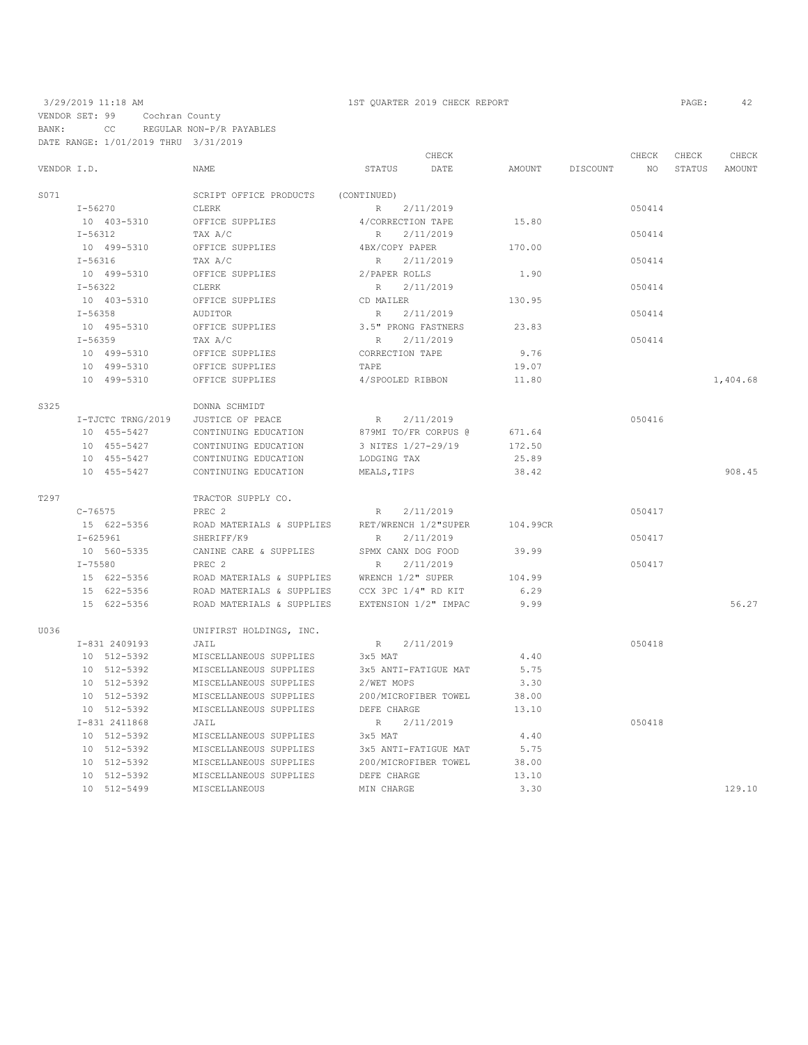|             |                   |                           | CHECK                 |               |          | CHECK  | CHECK  | CHECK    |
|-------------|-------------------|---------------------------|-----------------------|---------------|----------|--------|--------|----------|
| VENDOR I.D. |                   | NAME                      | <b>STATUS</b><br>DATE | <b>AMOUNT</b> | DISCOUNT | NO     | STATUS | AMOUNT   |
| S071        |                   | SCRIPT OFFICE PRODUCTS    | (CONTINUED)           |               |          |        |        |          |
|             | $I - 56270$       | CLERK                     | 2/11/2019<br>R        |               |          | 050414 |        |          |
|             | 10 403-5310       | OFFICE SUPPLIES           | 4/CORRECTION TAPE     | 15.80         |          |        |        |          |
|             | $I - 56312$       | TAX A/C                   | R<br>2/11/2019        |               |          | 050414 |        |          |
|             | 10 499-5310       | OFFICE SUPPLIES           | 4BX/COPY PAPER        | 170.00        |          |        |        |          |
|             | $I - 56316$       | TAX A/C                   | 2/11/2019<br>R        |               |          | 050414 |        |          |
|             | 10 499-5310       | OFFICE SUPPLIES           | 2/PAPER ROLLS         | 1.90          |          |        |        |          |
|             | $I - 56322$       | CLERK                     | 2/11/2019<br>R        |               |          | 050414 |        |          |
|             | 10 403-5310       | OFFICE SUPPLIES           | CD MAILER             | 130.95        |          |        |        |          |
|             | $I - 56358$       | <b>AUDITOR</b>            | 2/11/2019<br>R        |               |          | 050414 |        |          |
|             | 10 495-5310       | OFFICE SUPPLIES           | 3.5" PRONG FASTNERS   | 23.83         |          |        |        |          |
|             | $I - 56359$       | TAX A/C                   | R<br>2/11/2019        |               |          | 050414 |        |          |
|             | 10 499-5310       | OFFICE SUPPLIES           | CORRECTION TAPE       | 9.76          |          |        |        |          |
|             | 10 499-5310       | OFFICE SUPPLIES           | TAPE                  | 19.07         |          |        |        |          |
|             | 10 499-5310       | OFFICE SUPPLIES           | 4/SPOOLED RIBBON      | 11.80         |          |        |        | 1,404.68 |
| S325        |                   | DONNA SCHMIDT             |                       |               |          |        |        |          |
|             | I-TJCTC TRNG/2019 | JUSTICE OF PEACE          | 2/11/2019<br>R        |               |          | 050416 |        |          |
|             | 10 455-5427       | CONTINUING EDUCATION      | 879MI TO/FR CORPUS @  | 671.64        |          |        |        |          |
|             | 10 455-5427       | CONTINUING EDUCATION      | 3 NITES 1/27-29/19    | 172.50        |          |        |        |          |
|             | 10 455-5427       | CONTINUING EDUCATION      | LODGING TAX           | 25.89         |          |        |        |          |
|             | 10 455-5427       | CONTINUING EDUCATION      | MEALS, TIPS           | 38.42         |          |        |        | 908.45   |
| T297        |                   | TRACTOR SUPPLY CO.        |                       |               |          |        |        |          |
|             | $C - 76575$       | PREC <sub>2</sub>         | 2/11/2019<br>R        |               |          | 050417 |        |          |
|             | 15 622-5356       | ROAD MATERIALS & SUPPLIES | RET/WRENCH 1/2"SUPER  | 104.99CR      |          |        |        |          |
|             | $I - 625961$      | SHERIFF/K9                | 2/11/2019<br>R        |               |          | 050417 |        |          |
|             | 10 560-5335       | CANINE CARE & SUPPLIES    | SPMX CANX DOG FOOD    | 39.99         |          |        |        |          |
|             | $I - 75580$       | PREC <sub>2</sub>         | 2/11/2019<br>R        |               |          | 050417 |        |          |
|             | 15 622-5356       | ROAD MATERIALS & SUPPLIES | WRENCH 1/2" SUPER     | 104.99        |          |        |        |          |
|             | 15 622-5356       | ROAD MATERIALS & SUPPLIES | CCX 3PC 1/4" RD KIT   | 6.29          |          |        |        |          |
|             | 15 622-5356       | ROAD MATERIALS & SUPPLIES | EXTENSION 1/2" IMPAC  | 9.99          |          |        |        | 56.27    |
| U036        |                   | UNIFIRST HOLDINGS, INC.   |                       |               |          |        |        |          |
|             | I-831 2409193     | JAIL                      | 2/11/2019<br>R        |               |          | 050418 |        |          |
|             | 10 512-5392       | MISCELLANEOUS SUPPLIES    | 3x5 MAT               | 4.40          |          |        |        |          |
|             | 10 512-5392       | MISCELLANEOUS SUPPLIES    | 3x5 ANTI-FATIGUE MAT  | 5.75          |          |        |        |          |
|             | 10 512-5392       | MISCELLANEOUS SUPPLIES    | 2/WET MOPS            | 3.30          |          |        |        |          |
|             | 10 512-5392       | MISCELLANEOUS SUPPLIES    | 200/MICROFIBER TOWEL  | 38.00         |          |        |        |          |
|             | 10 512-5392       | MISCELLANEOUS SUPPLIES    | DEFE CHARGE           | 13.10         |          |        |        |          |
|             | I-831 2411868     | JAIL                      | 2/11/2019<br>R        |               |          | 050418 |        |          |
|             | 10 512-5392       | MISCELLANEOUS SUPPLIES    | 3x5 MAT               | 4.40          |          |        |        |          |
|             | 10 512-5392       | MISCELLANEOUS SUPPLIES    | 3x5 ANTI-FATIGUE MAT  | 5.75          |          |        |        |          |
|             | 10 512-5392       | MISCELLANEOUS SUPPLIES    | 200/MICROFIBER TOWEL  | 38.00         |          |        |        |          |
|             | 10 512-5392       | MISCELLANEOUS SUPPLIES    | DEFE CHARGE           | 13.10         |          |        |        |          |
|             | 10 512-5499       | MISCELLANEOUS             | MIN CHARGE            | 3.30          |          |        |        | 129.10   |
|             |                   |                           |                       |               |          |        |        |          |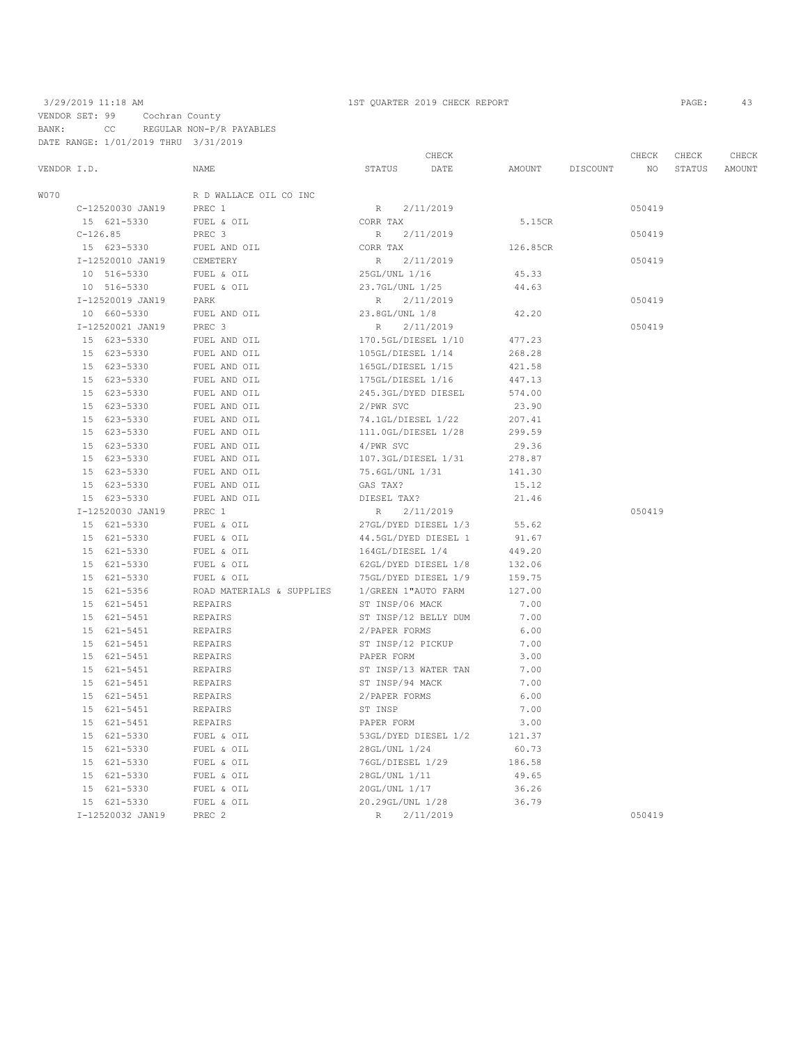## 3/29/2019 11:18 AM 1ST QUARTER 2019 CHECK REPORT PAGE: 43 VENDOR SET: 99 Cochran County BANK: CC REGULAR NON-P/R PAYABLES DATE RANGE: 1/01/2019 THRU 3/31/2019

|             |            |                  |                           |                      | CHECK     |          |          | CHECK           | CHECK  | CHECK  |
|-------------|------------|------------------|---------------------------|----------------------|-----------|----------|----------|-----------------|--------|--------|
| VENDOR I.D. |            |                  | NAME                      | STATUS               | DATE      | AMOUNT   | DISCOUNT | NO <sub>1</sub> | STATUS | AMOUNT |
| W070        |            |                  | R D WALLACE OIL CO INC    |                      |           |          |          |                 |        |        |
|             |            | C-12520030 JAN19 | PREC 1                    | R                    | 2/11/2019 |          |          | 050419          |        |        |
|             |            | 15 621-5330      | FUEL & OIL                | CORR TAX             |           | 5.15CR   |          |                 |        |        |
|             | $C-126.85$ |                  | PREC 3                    | $R_{\parallel}$      | 2/11/2019 |          |          | 050419          |        |        |
|             |            | 15 623-5330      | FUEL AND OIL              | CORR TAX             |           | 126.85CR |          |                 |        |        |
|             |            | I-12520010 JAN19 | CEMETERY                  | R                    | 2/11/2019 |          |          | 050419          |        |        |
|             |            | 10 516-5330      | FUEL & OIL                | 25GL/UNL 1/16        |           | 45.33    |          |                 |        |        |
|             |            | 10 516-5330      | FUEL & OIL                | 23.7GL/UNL 1/25      |           | 44.63    |          |                 |        |        |
|             |            | I-12520019 JAN19 | PARK                      | R                    | 2/11/2019 |          |          | 050419          |        |        |
|             |            | 10 660-5330      | FUEL AND OIL              | 23.8GL/UNL 1/8       |           | 42.20    |          |                 |        |        |
|             |            | I-12520021 JAN19 | PREC 3                    | R                    | 2/11/2019 |          |          | 050419          |        |        |
|             |            | 15 623-5330      | FUEL AND OIL              | 170.5GL/DIESEL 1/10  |           | 477.23   |          |                 |        |        |
|             |            | 15 623-5330      | FUEL AND OIL              | 105GL/DIESEL 1/14    |           | 268.28   |          |                 |        |        |
|             |            | 15 623-5330      | FUEL AND OIL              | 165GL/DIESEL 1/15    |           | 421.58   |          |                 |        |        |
|             |            | 15 623-5330      | FUEL AND OIL              | 175GL/DIESEL 1/16    |           | 447.13   |          |                 |        |        |
|             |            | 15 623-5330      | FUEL AND OIL              | 245.3GL/DYED DIESEL  |           | 574.00   |          |                 |        |        |
|             |            | 15 623-5330      | FUEL AND OIL              | 2/PWR SVC            |           | 23.90    |          |                 |        |        |
|             |            | 15 623-5330      | FUEL AND OIL              | 74.1GL/DIESEL 1/22   |           | 207.41   |          |                 |        |        |
|             |            | 15 623-5330      | FUEL AND OIL              | 111.0GL/DIESEL 1/28  |           | 299.59   |          |                 |        |        |
|             |            | 15 623-5330      | FUEL AND OIL              | 4/PWR SVC            |           | 29.36    |          |                 |        |        |
|             |            | 15 623-5330      | FUEL AND OIL              | 107.3GL/DIESEL 1/31  |           | 278.87   |          |                 |        |        |
|             |            | 15 623-5330      | FUEL AND OIL              | 75.6GL/UNL 1/31      |           | 141.30   |          |                 |        |        |
|             |            | 15 623-5330      | FUEL AND OIL              | GAS TAX?             |           | 15.12    |          |                 |        |        |
|             |            | 15 623-5330      | FUEL AND OIL              | DIESEL TAX?          |           | 21.46    |          |                 |        |        |
|             |            | I-12520030 JAN19 | PREC 1                    | R                    | 2/11/2019 |          |          | 050419          |        |        |
|             |            | 15 621-5330      | FUEL & OIL                | 27GL/DYED DIESEL 1/3 |           | 55.62    |          |                 |        |        |
|             |            | 15 621-5330      | FUEL & OIL                | 44.5GL/DYED DIESEL 1 |           | 91.67    |          |                 |        |        |
|             |            | 15 621-5330      | FUEL & OIL                | 164GL/DIESEL 1/4     |           | 449.20   |          |                 |        |        |
|             |            | 15 621-5330      | FUEL & OIL                | 62GL/DYED DIESEL 1/8 |           | 132.06   |          |                 |        |        |
|             |            | 15 621-5330      | FUEL & OIL                | 75GL/DYED DIESEL 1/9 |           | 159.75   |          |                 |        |        |
|             |            | 15 621-5356      | ROAD MATERIALS & SUPPLIES | 1/GREEN 1"AUTO FARM  |           | 127.00   |          |                 |        |        |
|             |            | 15 621-5451      | REPAIRS                   | ST INSP/06 MACK      |           | 7.00     |          |                 |        |        |
|             |            | 15 621-5451      | REPAIRS                   | ST INSP/12 BELLY DUM |           | 7.00     |          |                 |        |        |
|             |            | 15 621-5451      | <b>REPAIRS</b>            | 2/PAPER FORMS        |           | 6.00     |          |                 |        |        |
|             |            | 15 621-5451      | REPAIRS                   | ST INSP/12 PICKUP    |           | 7.00     |          |                 |        |        |
|             |            | 15 621-5451      | REPAIRS                   | PAPER FORM           |           | 3.00     |          |                 |        |        |
|             |            | 15 621-5451      | REPAIRS                   | ST INSP/13 WATER TAN |           | 7.00     |          |                 |        |        |
|             |            | 15 621-5451      | REPAIRS                   | ST INSP/94 MACK      |           | 7.00     |          |                 |        |        |
|             |            | 15 621-5451      | REPAIRS                   | 2/PAPER FORMS        |           | 6.00     |          |                 |        |        |
|             |            | 15 621-5451      | REPAIRS                   | ST INSP              |           | 7.00     |          |                 |        |        |
|             |            | 15 621-5451      | REPAIRS                   | PAPER FORM           |           | 3.00     |          |                 |        |        |
|             |            | 15 621-5330      | FUEL & OIL                | 53GL/DYED DIESEL 1/2 |           | 121.37   |          |                 |        |        |
|             |            | 15 621-5330      | FUEL & OIL                | 28GL/UNL 1/24        |           | 60.73    |          |                 |        |        |
|             |            | 15 621-5330      | FUEL & OIL                | 76GL/DIESEL 1/29     |           | 186.58   |          |                 |        |        |
|             |            | 15 621-5330      | FUEL & OIL                | 28GL/UNL 1/11        |           | 49.65    |          |                 |        |        |
|             |            | 15 621-5330      | FUEL & OIL                | 20GL/UNL 1/17        |           | 36.26    |          |                 |        |        |
|             |            | 15 621-5330      | FUEL & OIL                | 20.29GL/UNL 1/28     |           | 36.79    |          |                 |        |        |
|             |            |                  |                           |                      |           |          |          |                 |        |        |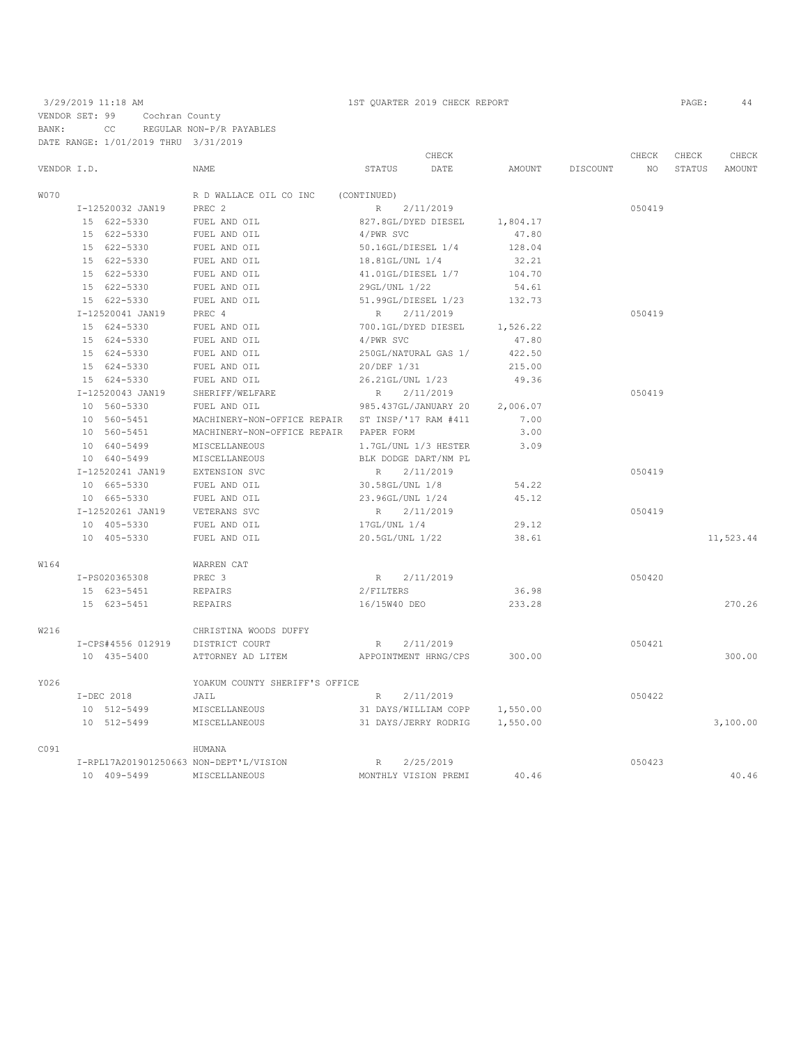# 3/29/2019 11:18 AM 1ST QUARTER 2019 CHECK REPORT PAGE: 44 VENDOR SET: 99 Cochran County

BANK: CC REGULAR NON-P/R PAYABLES DATE RANGE: 1/01/2019 THRU 3/31/2019

|             |                   |                                                  |                      | CHECK                |          |          | CHECK  | CHECK  | CHECK     |
|-------------|-------------------|--------------------------------------------------|----------------------|----------------------|----------|----------|--------|--------|-----------|
| VENDOR I.D. |                   | NAME                                             | STATUS               | DATE                 | AMOUNT   | DISCOUNT | NO.    | STATUS | AMOUNT    |
| <b>W070</b> |                   | R D WALLACE OIL CO INC                           | (CONTINUED)          |                      |          |          |        |        |           |
|             | I-12520032 JAN19  | PREC 2                                           | R                    | 2/11/2019            |          |          | 050419 |        |           |
|             | 15 622-5330       | FUEL AND OIL                                     | 827.8GL/DYED DIESEL  |                      | 1,804.17 |          |        |        |           |
|             | 15 622-5330       | FUEL AND OIL                                     | 4/PWR SVC            |                      | 47.80    |          |        |        |           |
|             | 15 622-5330       | FUEL AND OIL                                     | 50.16GL/DIESEL 1/4   |                      | 128.04   |          |        |        |           |
|             | 15 622-5330       | FUEL AND OIL                                     | 18.81GL/UNL 1/4      |                      | 32.21    |          |        |        |           |
|             | 15 622-5330       | FUEL AND OIL                                     | 41.01GL/DIESEL 1/7   |                      | 104.70   |          |        |        |           |
|             | 15 622-5330       | FUEL AND OIL                                     | 29GL/UNL 1/22        |                      | 54.61    |          |        |        |           |
|             | 15 622-5330       | FUEL AND OIL                                     | 51.99GL/DIESEL 1/23  |                      | 132.73   |          |        |        |           |
|             | I-12520041 JAN19  | PREC 4                                           | R                    | 2/11/2019            |          |          | 050419 |        |           |
|             | 15 624-5330       | FUEL AND OIL                                     | 700.1GL/DYED DIESEL  |                      | 1,526.22 |          |        |        |           |
|             | 15 624-5330       | FUEL AND OIL                                     | 4/PWR SVC            |                      | 47.80    |          |        |        |           |
|             | 15 624-5330       | FUEL AND OIL                                     | 250GL/NATURAL GAS 1/ |                      | 422.50   |          |        |        |           |
|             | 15 624-5330       | FUEL AND OIL                                     | 20/DEF 1/31          |                      | 215.00   |          |        |        |           |
|             | 15 624-5330       | FUEL AND OIL                                     | 26.21GL/UNL 1/23     |                      | 49.36    |          |        |        |           |
|             | I-12520043 JAN19  | SHERIFF/WELFARE                                  | R                    | 2/11/2019            |          |          | 050419 |        |           |
|             | 10 560-5330       | FUEL AND OIL                                     | 985.437GL/JANUARY 20 |                      | 2,006.07 |          |        |        |           |
|             | 10 560-5451       | MACHINERY-NON-OFFICE REPAIR ST INSP/'17 RAM #411 |                      |                      | 7.00     |          |        |        |           |
|             | 10 560-5451       | MACHINERY-NON-OFFICE REPAIR PAPER FORM           |                      |                      | 3.00     |          |        |        |           |
|             | 10 640-5499       | MISCELLANEOUS                                    | 1.7GL/UNL 1/3 HESTER |                      | 3.09     |          |        |        |           |
|             | 10 640-5499       | MISCELLANEOUS                                    | BLK DODGE DART/NM PL |                      |          |          |        |        |           |
|             | I-12520241 JAN19  | EXTENSION SVC                                    | R                    | 2/11/2019            |          |          | 050419 |        |           |
|             | 10 665-5330       | FUEL AND OIL                                     | 30.58GL/UNL 1/8      |                      | 54.22    |          |        |        |           |
|             | 10 665-5330       | FUEL AND OIL                                     | 23.96GL/UNL 1/24     |                      | 45.12    |          |        |        |           |
|             | I-12520261 JAN19  | VETERANS SVC                                     | R                    | 2/11/2019            |          |          | 050419 |        |           |
|             | 10 405-5330       | FUEL AND OIL                                     | 17GL/UNL 1/4         |                      | 29.12    |          |        |        |           |
|             | 10 405-5330       | FUEL AND OIL                                     | 20.5GL/UNL 1/22      |                      | 38.61    |          |        |        | 11,523.44 |
| W164        |                   | WARREN CAT                                       |                      |                      |          |          |        |        |           |
|             | I-PS020365308     | PREC <sub>3</sub>                                | R 2/11/2019          |                      |          |          | 050420 |        |           |
|             | 15 623-5451       | REPAIRS                                          | 2/FILTERS            |                      | 36.98    |          |        |        |           |
|             | 15 623-5451       | REPAIRS                                          | 16/15W40 DEO         |                      | 233.28   |          |        |        | 270.26    |
| W216        |                   | CHRISTINA WOODS DUFFY                            |                      |                      |          |          |        |        |           |
|             | I-CPS#4556 012919 | DISTRICT COURT                                   | R                    | 2/11/2019            |          |          | 050421 |        |           |
|             | 10 435-5400       | ATTORNEY AD LITEM                                | APPOINTMENT HRNG/CPS |                      | 300.00   |          |        |        | 300.00    |
| Y026        |                   | YOAKUM COUNTY SHERIFF'S OFFICE                   |                      |                      |          |          |        |        |           |
|             | I-DEC 2018        | JAIL                                             | R                    | 2/11/2019            |          |          | 050422 |        |           |
|             | 10 512-5499       | MISCELLANEOUS                                    |                      | 31 DAYS/WILLIAM COPP | 1,550.00 |          |        |        |           |
|             | 10 512-5499       | MISCELLANEOUS                                    |                      | 31 DAYS/JERRY RODRIG | 1,550.00 |          |        |        | 3,100.00  |
| C091        |                   | HUMANA                                           |                      |                      |          |          |        |        |           |
|             |                   | I-RPL17A201901250663 NON-DEPT'L/VISION           | $R_{\perp}$          | 2/25/2019            |          |          | 050423 |        |           |
|             | 10 409-5499       | MISCELLANEOUS                                    | MONTHLY VISION PREMI |                      | 40.46    |          |        |        | 40.46     |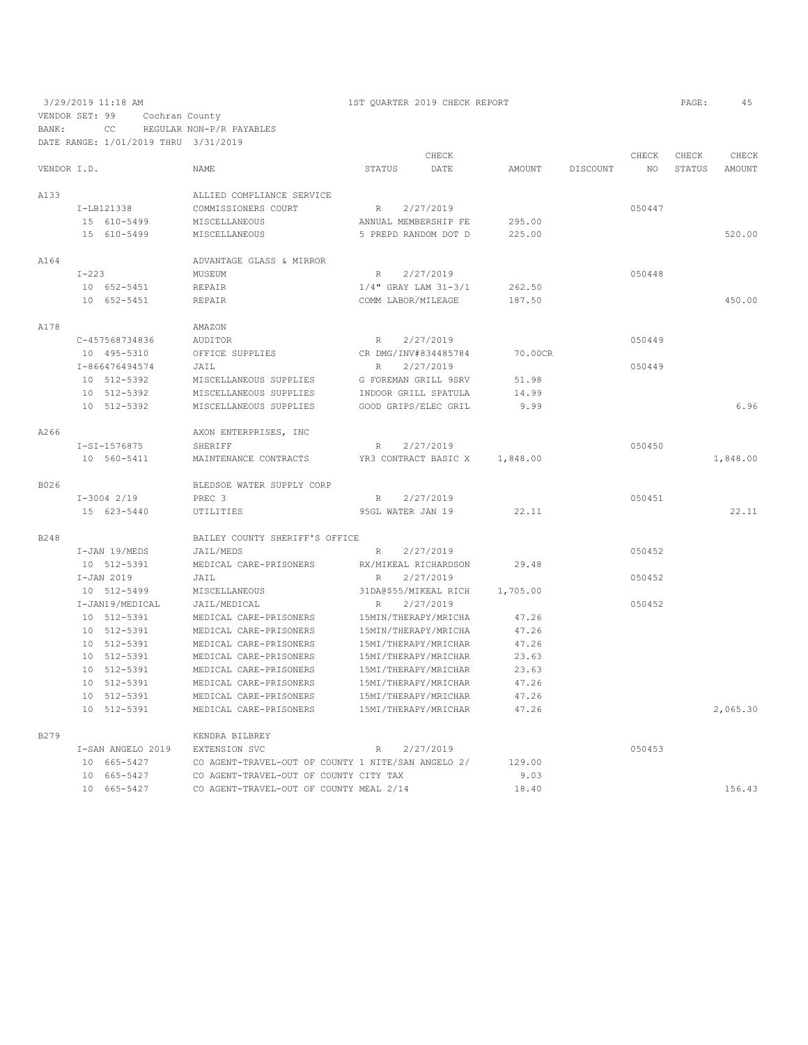VENDOR SET: 99 Cochran County BANK: CC REGULAR NON-P/R PAYABLES

|             | DATE RANGE: 1/01/2019 THRU 3/31/2019 |                                                    |                          |           |               |                 |        |        |          |
|-------------|--------------------------------------|----------------------------------------------------|--------------------------|-----------|---------------|-----------------|--------|--------|----------|
|             |                                      |                                                    |                          | CHECK     |               |                 | CHECK  | CHECK  | CHECK    |
| VENDOR I.D. |                                      | <b>NAME</b>                                        | <b>STATUS</b>            | DATE      | <b>AMOUNT</b> | <b>DISCOUNT</b> | NO.    | STATUS | AMOUNT   |
| A133        |                                      | ALLIED COMPLIANCE SERVICE                          |                          |           |               |                 |        |        |          |
|             | I-LB121338                           | COMMISSIONERS COURT                                | R                        | 2/27/2019 |               |                 | 050447 |        |          |
|             | 15 610-5499                          | MISCELLANEOUS                                      | ANNUAL MEMBERSHIP FE     |           | 295.00        |                 |        |        |          |
|             | 15 610-5499                          | <b>MISCELLANEOUS</b>                               | 5 PREPD RANDOM DOT D     |           | 225.00        |                 |        |        | 520.00   |
| A164        |                                      | ADVANTAGE GLASS & MIRROR                           |                          |           |               |                 |        |        |          |
|             | $I-223$                              | MUSEUM                                             | $\mathbb R$              | 2/27/2019 |               |                 | 050448 |        |          |
|             | 10 652-5451                          | REPAIR                                             | $1/4"$ GRAY LAM $31-3/1$ |           | 262.50        |                 |        |        |          |
|             | 10 652-5451                          | <b>REPAIR</b>                                      | COMM LABOR/MILEAGE       |           | 187.50        |                 |        |        | 450.00   |
| A178        |                                      | AMAZON                                             |                          |           |               |                 |        |        |          |
|             | C-457568734836                       | AUDITOR                                            | $R_{\parallel}$          | 2/27/2019 |               |                 | 050449 |        |          |
|             | 10 495-5310                          | OFFICE SUPPLIES                                    | CR DMG/INV#834485784     |           | 70.00CR       |                 |        |        |          |
|             | I-866476494574                       | JAIL                                               | R                        | 2/27/2019 |               |                 | 050449 |        |          |
|             | 10 512-5392                          | MISCELLANEOUS SUPPLIES                             | G FOREMAN GRILL 9SRV     |           | 51.98         |                 |        |        |          |
|             | 10 512-5392                          | MISCELLANEOUS SUPPLIES                             | INDOOR GRILL SPATULA     |           | 14.99         |                 |        |        |          |
|             | 10 512-5392                          | MISCELLANEOUS SUPPLIES                             | GOOD GRIPS/ELEC GRIL     |           | 9.99          |                 |        |        | 6.96     |
| A266        |                                      | AXON ENTERPRISES, INC                              |                          |           |               |                 |        |        |          |
|             | I-SI-1576875                         | SHERIFF                                            | $\mathbb R$              | 2/27/2019 |               |                 | 050450 |        |          |
|             | 10 560-5411                          | MAINTENANCE CONTRACTS                              | YR3 CONTRACT BASIC X     |           | 1,848.00      |                 |        |        | 1,848.00 |
| B026        |                                      | BLEDSOE WATER SUPPLY CORP                          |                          |           |               |                 |        |        |          |
|             | $I-3004$ 2/19                        | PREC 3                                             | R                        | 2/27/2019 |               |                 | 050451 |        |          |
|             | 15 623-5440                          | UTILITIES                                          | 95GL WATER JAN 19        |           | 22.11         |                 |        |        | 22.11    |
| B248        |                                      | BAILEY COUNTY SHERIFF'S OFFICE                     |                          |           |               |                 |        |        |          |
|             | $I-JAN$ 19/MEDS                      | JAIL/MEDS                                          | R                        | 2/27/2019 |               |                 | 050452 |        |          |
|             | 10 512-5391                          | MEDICAL CARE-PRISONERS                             | RX/MIKEAL RICHARDSON     |           | 29.48         |                 |        |        |          |
|             | $I-JAN$ 2019                         | JAIL                                               | $\mathbb{R}$             | 2/27/2019 |               |                 | 050452 |        |          |
|             | 10 512-5499                          | MISCELLANEOUS                                      | 31DA@\$55/MIKEAL RICH    |           | 1,705.00      |                 |        |        |          |
|             | I-JAN19/MEDICAL                      | JAIL/MEDICAL                                       | $\, {\mathbb R}$         | 2/27/2019 |               |                 | 050452 |        |          |
|             | 10 512-5391                          | MEDICAL CARE-PRISONERS                             | 15MIN/THERAPY/MRICHA     |           | 47.26         |                 |        |        |          |
|             | 10 512-5391                          | MEDICAL CARE-PRISONERS                             | 15MIN/THERAPY/MRICHA     |           | 47.26         |                 |        |        |          |
|             | 10 512-5391                          | MEDICAL CARE-PRISONERS                             | 15MI/THERAPY/MRICHAR     |           | 47.26         |                 |        |        |          |
|             | 10 512-5391                          | MEDICAL CARE-PRISONERS                             | 15MI/THERAPY/MRICHAR     |           | 23.63         |                 |        |        |          |
|             | 10 512-5391                          | MEDICAL CARE-PRISONERS                             | 15MI/THERAPY/MRICHAR     |           | 23.63         |                 |        |        |          |
|             | 10 512-5391                          | MEDICAL CARE-PRISONERS                             | 15MI/THERAPY/MRICHAR     |           | 47.26         |                 |        |        |          |
|             | 10 512-5391                          | MEDICAL CARE-PRISONERS                             | 15MI/THERAPY/MRICHAR     |           | 47.26         |                 |        |        |          |
|             | 10 512-5391                          | MEDICAL CARE-PRISONERS                             | 15MI/THERAPY/MRICHAR     |           | 47.26         |                 |        |        | 2,065.30 |
| B279        |                                      | KENDRA BILBREY                                     |                          |           |               |                 |        |        |          |
|             | I-SAN ANGELO 2019                    | EXTENSION SVC                                      | R                        | 2/27/2019 |               |                 | 050453 |        |          |
|             | 10 665-5427                          | CO AGENT-TRAVEL-OUT OF COUNTY 1 NITE/SAN ANGELO 2/ |                          |           | 129.00        |                 |        |        |          |
|             | 10 665-5427                          | CO AGENT-TRAVEL-OUT OF COUNTY CITY TAX             |                          |           | 9.03          |                 |        |        |          |
|             | 10 665-5427                          | CO AGENT-TRAVEL-OUT OF COUNTY MEAL 2/14            |                          |           | 18.40         |                 |        |        | 156.43   |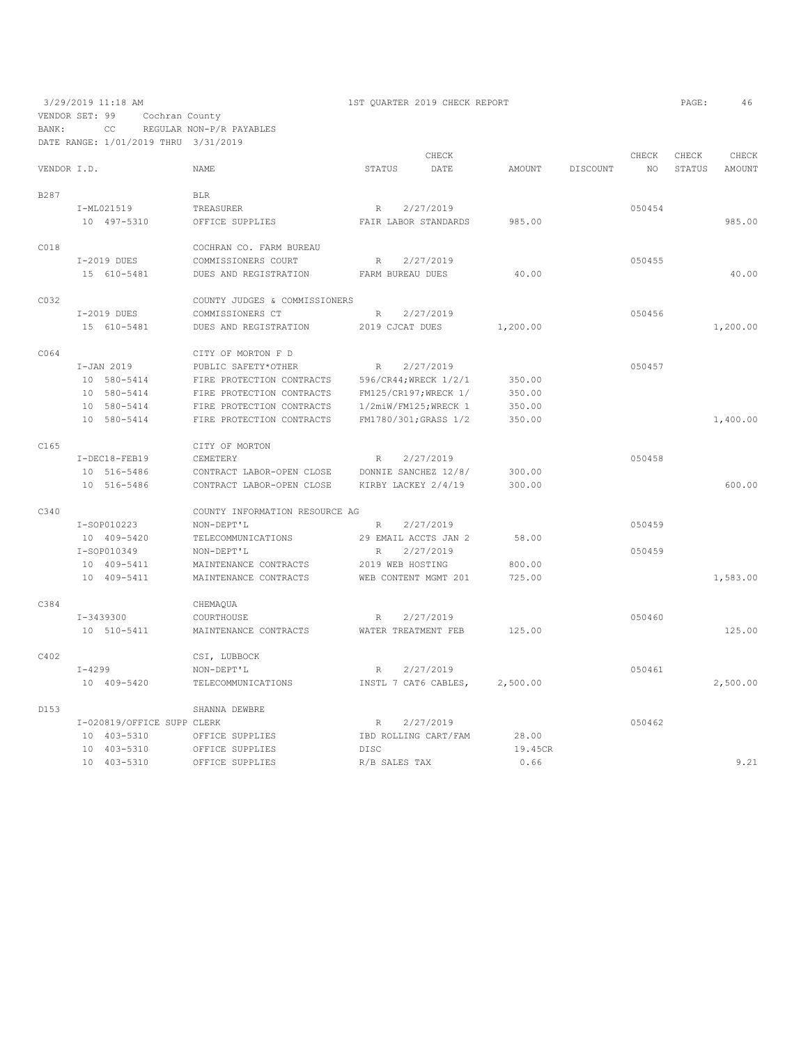VENDOR SET: 99 Cochran County BANK: CC REGULAR NON-P/R PAYABLES

DATE RANGE: 1/01/2019 THRU 3/31/2019

CHECK CHECK CHECK CHECK CHECK CHECK CHECK CHECK CHECK CHECK CHECK CHECK CHECK CHECK CHECK CHECK CHECK CHECK CHECK CHECK CHECK CHECK CHECK CHECK CHECK CHECK CHECK CHECK CHECK CHECK CHECK STATUS AMOUNT NAME STATUS DATE AMOUNT DISCOUNT B287 BLR I-ML021519 TREASURER R 2/27/2019 R 2/27/2019 10 497-5310 OFFICE SUPPLIES FAIR LABOR STANDARDS 985.00 985.00 C018 COCHRAN CO. FARM BUREAU<br>I-2019 DUES COMMISSIONERS COURT I-2019 DUES COMMISSIONERS COURT R 2/27/2019<br>15 610-5481 DIES AND REGISTRATION FARM RIJREALL DIES 40.00 DUES AND REGISTRATION FARM BUREAU DUES 40.00 40.00 COUNTY JUDGES & COMMISSIONERS<br>
I-2019 DUES COMMISSIONERS CT I-2019 DUES COMMISSIONERS CT R 2/27/2019 050456 15 610-5481 DUES AND REGISTRATION 2019 CJCAT DUES 1,200.00 1,200.00 CO64 CITY OF MORTON F D<br>I-JAN 2019 PUBLIC SAFETY\*OTHER I-JAN 2019 PUBLIC SAFETY\*OTHER R 2/27/2019<br>10 580-5414 FIRE PROTECTION CONTRACTS 596/CR44;WRECK 1/2/1 350.00 10 580-5414 FIRE PROTECTION CONTRACTS 596/CR44;WRECK 1/2/1 350.00 10 580-5414 FIRE PROTECTION CONTRACTS FM125/CR197;WRECK 1/ 350.00 10 580-5414 FIRE PROTECTION CONTRACTS 1/2miW/FM125;WRECK 1 350.00 FIRE PROTECTION CONTRACTS FM1780/301;GRASS 1/2 350.00 1,400.00 1,400.00 C165 CITY OF MORTON I-DEC18-FEB19 CEMETERY R 2/27/2019<br>10 516-5486 CONTRACT LABOR-OPEN CLOSE DONNIE SANCHEZ 12/8/ 300.00 10 516-5486 CONTRACT LABOR-OPEN CLOSE DONNIE SANCHEZ 12/8/ 300.00 10 516-5486 CONTRACT LABOR-OPEN CLOSE KIRBY LACKEY 2/4/19 300.00 600.00 C340 COUNTY INFORMATION RESOURCE AG<br>I-SOP010223 NON-DEPT'L R 2/27/2019  $\begin{array}{cccccccccc} \texttt{I-SOP010223} & & & & & \texttt{NON-DEFr'L} & & & & \texttt{R} & & \texttt{2/27/2019} & & & & & & \texttt{050459} \\ \texttt{10} & & & & & & & & \texttt{TELECOMMUNICATIONS} & & & & \texttt{29 EMAIL ACCTS JAN 2} & & & \texttt{58.00} & & & & & \texttt{050459} & & & & \texttt{050459} & & & \texttt{050459} & & & \texttt{050459} & & & \texttt{050459} & & & \texttt{05$ 10 409-5420 TELECOMMUNICATIONS<br>  $I-SOP010349$  NON-DEPT'L I-SOP010349 NON-DEPT'L R 2/27/2019<br>10 409-5411 MAINTENANCE CONTRACTS 2019 WEB HOSTING 800.00 10 409-5411 MAINTENANCE CONTRACTS 2019 WEB HOSTING 800.00 10 409-5411 MAINTENANCE CONTRACTS WEB CONTENT MGMT 201 725.00 1,583.00 C384 CHEMAQUA I-3439300 COURTHOUSE R 2/27/2019 050460 MAINTENANCE CONTRACTS WATER TREATMENT FEB 125.00 125.00 125.00 C402 CSI, LUBBOCK<br>
I-4299 NON-DEPT'L I-4299 NON-DEPT'L R 2/27/2019 050461 10 409-5420 TELECOMMUNICATIONS INSTL 7 CAT6 CABLES, 2,500.00 2,500.00

D153 SHANNA DEWBRE  $I-020819/OFFICE$  SUPP CLERK  $2/27/2019$ <br>  $I-020819/OFFICE$  SUPPLIES TBD ROLLING CART/FAM  $28.00$  10 403-5310 OFFICE SUPPLIES IBD ROLLING CART/FAM 28.00 OFFICE SUPPLIES 10 403-5310 OFFICE SUPPLIES R/B SALES TAX 0.66 9.21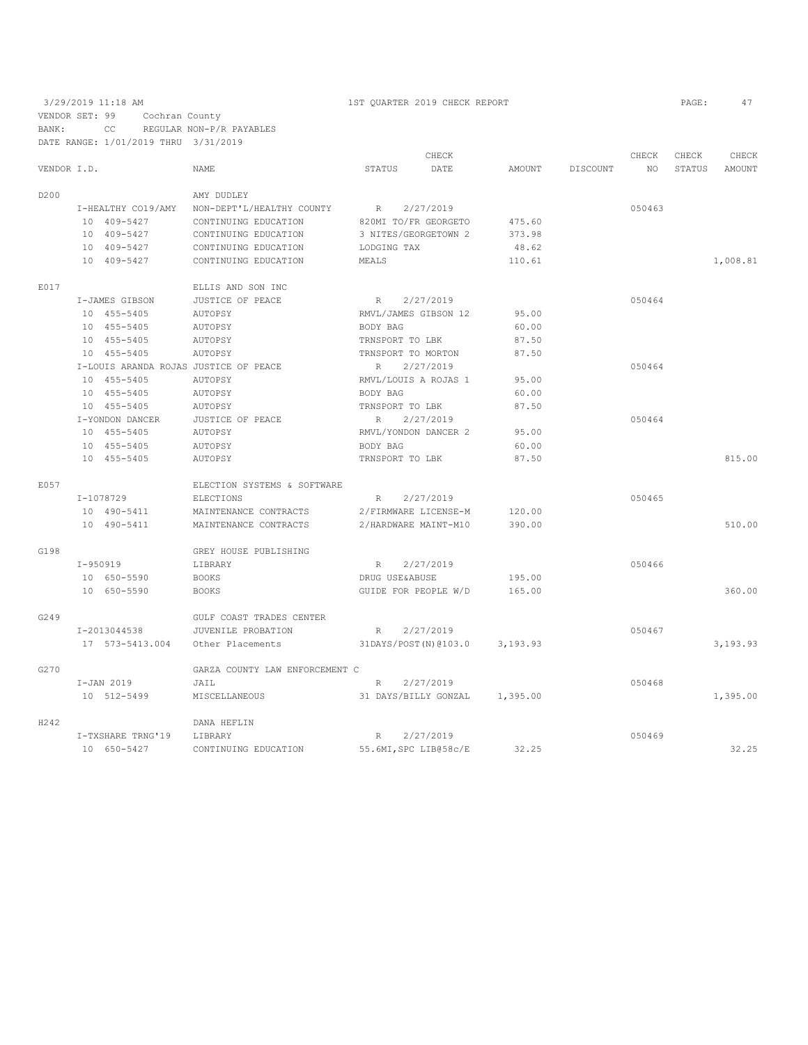# 3/29/2019 11:18 AM 1ST QUARTER 2019 CHECK REPORT PAGE: 47 VENDOR SET: 99 Cochran County BANK: CC REGULAR NON-P/R PAYABLES

|                  |            | DATE RANGE: 1/01/2019 THRU 3/31/2019 |                                       |                    |                        |               |          |        |        |          |
|------------------|------------|--------------------------------------|---------------------------------------|--------------------|------------------------|---------------|----------|--------|--------|----------|
|                  |            |                                      |                                       |                    | CHECK                  |               |          | CHECK  | CHECK  | CHECK    |
| VENDOR I.D.      |            |                                      | <b>NAME</b>                           | STATUS             | DATE                   | <b>AMOUNT</b> | DISCOUNT | NO.    | STATUS | AMOUNT   |
| D <sub>200</sub> |            |                                      | AMY DUDLEY                            |                    |                        |               |          |        |        |          |
|                  |            | I-HEALTHY CO19/AMY                   | NON-DEPT'L/HEALTHY COUNTY             | R                  | 2/27/2019              |               |          | 050463 |        |          |
|                  |            | 10 409-5427                          | CONTINUING EDUCATION                  |                    | 820MI TO/FR GEORGETO   | 475.60        |          |        |        |          |
|                  |            | 10 409-5427                          | CONTINUING EDUCATION                  |                    | 3 NITES/GEORGETOWN 2   | 373.98        |          |        |        |          |
|                  |            | 10 409-5427                          | CONTINUING EDUCATION                  | LODGING TAX        |                        | 48.62         |          |        |        |          |
|                  |            | 10 409-5427                          | CONTINUING EDUCATION                  | MEALS              |                        | 110.61        |          |        |        | 1,008.81 |
| E017             |            |                                      | ELLIS AND SON INC                     |                    |                        |               |          |        |        |          |
|                  |            | I-JAMES GIBSON                       | JUSTICE OF PEACE                      | R                  | 2/27/2019              |               |          | 050464 |        |          |
|                  |            | 10 455-5405                          | AUTOPSY                               |                    | RMVL/JAMES GIBSON 12   | 95.00         |          |        |        |          |
|                  |            | 10 455-5405                          | AUTOPSY                               | BODY BAG           |                        | 60.00         |          |        |        |          |
|                  |            | 10 455-5405                          | AUTOPSY                               | TRNSPORT TO LBK    |                        | 87.50         |          |        |        |          |
|                  |            | 10 455-5405                          | AUTOPSY                               | TRNSPORT TO MORTON |                        | 87.50         |          |        |        |          |
|                  |            |                                      | I-LOUIS ARANDA ROJAS JUSTICE OF PEACE | R                  | 2/27/2019              |               |          | 050464 |        |          |
|                  |            | 10 455-5405                          | AUTOPSY                               |                    | RMVL/LOUIS A ROJAS 1   | 95.00         |          |        |        |          |
|                  |            | 10 455-5405                          | AUTOPSY                               | BODY BAG           |                        | 60.00         |          |        |        |          |
|                  |            | 10 455-5405                          | AUTOPSY                               | TRNSPORT TO LBK    |                        | 87.50         |          |        |        |          |
|                  |            | I-YONDON DANCER                      | JUSTICE OF PEACE                      | R                  | 2/27/2019              |               |          | 050464 |        |          |
|                  |            | 10 455-5405                          | AUTOPSY                               |                    | RMVL/YONDON DANCER 2   | 95.00         |          |        |        |          |
|                  |            | 10 455-5405                          | AUTOPSY                               | BODY BAG           |                        | 60.00         |          |        |        |          |
|                  |            | 10 455-5405                          | AUTOPSY                               | TRNSPORT TO LBK    |                        | 87.50         |          |        |        | 815.00   |
| E057             |            |                                      | ELECTION SYSTEMS & SOFTWARE           |                    |                        |               |          |        |        |          |
|                  |            | I-1078729                            | ELECTIONS                             | R                  | 2/27/2019              |               |          | 050465 |        |          |
|                  |            | 10 490-5411                          | MAINTENANCE CONTRACTS                 |                    | 2/FIRMWARE LICENSE-M   | 120.00        |          |        |        |          |
|                  |            | 10 490-5411                          | MAINTENANCE CONTRACTS                 |                    | 2/HARDWARE MAINT-M10   | 390.00        |          |        |        | 510.00   |
| G198             |            |                                      | GREY HOUSE PUBLISHING                 |                    |                        |               |          |        |        |          |
|                  | $I-950919$ |                                      | LIBRARY                               | R                  | 2/27/2019              |               |          | 050466 |        |          |
|                  |            | 10 650-5590                          | <b>BOOKS</b>                          | DRUG USE&ABUSE     |                        | 195.00        |          |        |        |          |
|                  |            | 10 650-5590                          | <b>BOOKS</b>                          |                    | GUIDE FOR PEOPLE W/D   | 165.00        |          |        |        | 360.00   |
| G249             |            |                                      | GULF COAST TRADES CENTER              |                    |                        |               |          |        |        |          |
|                  |            | I-2013044538                         | JUVENILE PROBATION                    | R                  | 2/27/2019              |               |          | 050467 |        |          |
|                  |            | 17 573-5413.004                      | Other Placements                      |                    | 31DAYS/POST (N) @103.0 | 3,193.93      |          |        |        | 3,193.93 |
| G270             |            |                                      | GARZA COUNTY LAW ENFORCEMENT C        |                    |                        |               |          |        |        |          |
|                  |            | I-JAN 2019                           | JAIL                                  | R                  | 2/27/2019              |               |          | 050468 |        |          |
|                  |            | 10 512-5499                          | MISCELLANEOUS                         |                    | 31 DAYS/BILLY GONZAL   | 1,395.00      |          |        |        | 1,395.00 |
| H242             |            |                                      | DANA HEFLIN                           |                    |                        |               |          |        |        |          |
|                  |            | I-TXSHARE TRNG'19                    | LIBRARY                               | R                  | 2/27/2019              |               |          | 050469 |        |          |
|                  |            | 10 650-5427                          | CONTINUING EDUCATION                  |                    | 55.6MI, SPC LIB@58c/E  | 32.25         |          |        |        | 32.25    |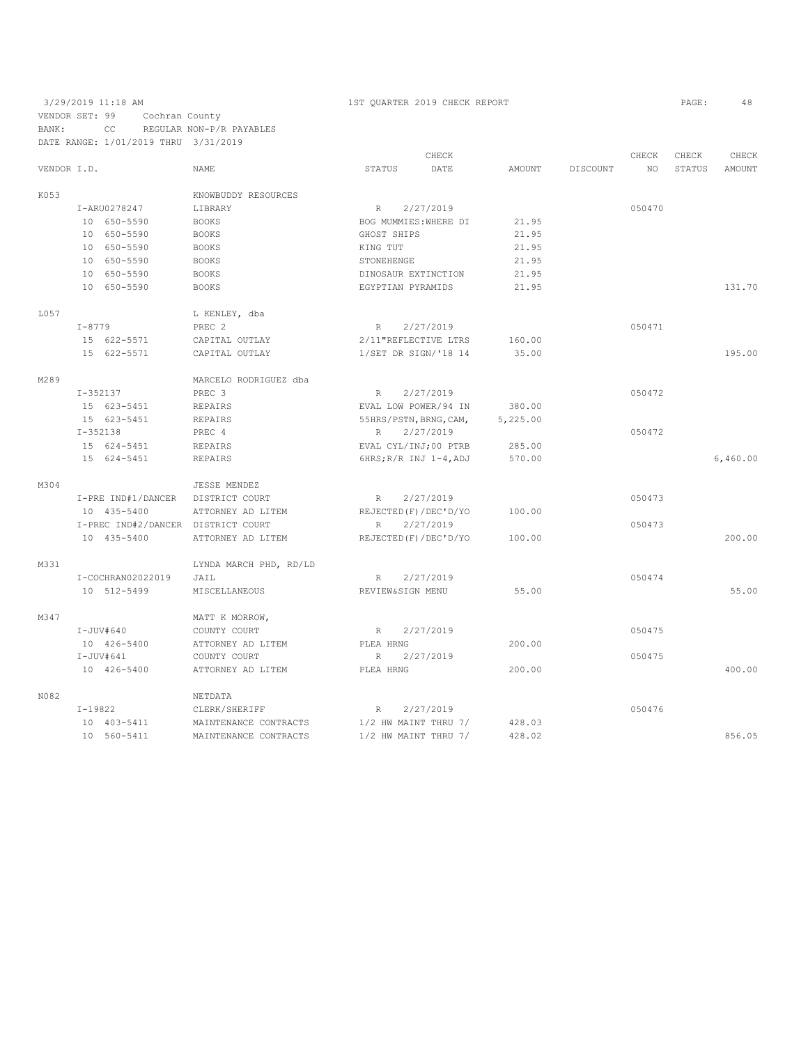### 3/29/2019 11:18 AM 1ST QUARTER 2019 CHECK REPORT PAGE: 48 VENDOR SET: 99 Cochran County BANK: CC REGULAR NON-P/R PAYABLES DATE RANGE: 1/01/2019 THRU 3/31/2019

|             |                   |                    |                                    |                  | CHECK                    |          |          | CHECK  | CHECK  | CHECK    |
|-------------|-------------------|--------------------|------------------------------------|------------------|--------------------------|----------|----------|--------|--------|----------|
| VENDOR I.D. |                   |                    | NAME                               | STATUS           | DATE                     | AMOUNT   | DISCOUNT | NO.    | STATUS | AMOUNT   |
| K053        |                   |                    | KNOWBUDDY RESOURCES                |                  |                          |          |          |        |        |          |
|             | I-ARU0278247      |                    | LIBRARY                            | R                | 2/27/2019                |          |          | 050470 |        |          |
|             | 10 650-5590       |                    | <b>BOOKS</b>                       |                  | BOG MUMMIES: WHERE DI    | 21.95    |          |        |        |          |
|             | 10 650-5590       |                    | <b>BOOKS</b>                       | GHOST SHIPS      |                          | 21.95    |          |        |        |          |
|             | 10 650-5590       |                    | <b>BOOKS</b>                       | KING TUT         |                          | 21.95    |          |        |        |          |
|             | 10 650-5590       |                    | <b>BOOKS</b>                       | STONEHENGE       |                          | 21.95    |          |        |        |          |
|             | 10 650-5590       |                    | <b>BOOKS</b>                       |                  | DINOSAUR EXTINCTION      | 21.95    |          |        |        |          |
|             | 10 650-5590       |                    | <b>BOOKS</b>                       |                  | EGYPTIAN PYRAMIDS        | 21.95    |          |        |        | 131.70   |
| L057        |                   |                    | L KENLEY, dba                      |                  |                          |          |          |        |        |          |
|             | $I - 8779$        |                    | PREC <sub>2</sub>                  | R                | 2/27/2019                |          |          | 050471 |        |          |
|             | 15 622-5571       |                    | CAPITAL OUTLAY                     |                  | 2/11 "REFLECTIVE LTRS    | 160.00   |          |        |        |          |
|             | 15 622-5571       |                    | CAPITAL OUTLAY                     |                  | 1/SET DR SIGN/'18 14     | 35.00    |          |        |        | 195.00   |
| M289        |                   |                    | MARCELO RODRIGUEZ dba              |                  |                          |          |          |        |        |          |
|             | $I - 352137$      |                    | PREC 3                             | R                | 2/27/2019                |          |          | 050472 |        |          |
|             | 15 623-5451       |                    | REPAIRS                            |                  | EVAL LOW POWER/94 IN     | 380.00   |          |        |        |          |
|             | 15 623-5451       |                    | <b>REPAIRS</b>                     |                  | 55HRS/PSTN, BRNG, CAM,   | 5,225.00 |          |        |        |          |
|             | $I - 352138$      |                    | PREC 4                             | $\mathbb{R}$     | 2/27/2019                |          |          | 050472 |        |          |
|             | 15 624-5451       |                    | REPAIRS                            |                  | EVAL CYL/INJ;00 PTRB     | 285.00   |          |        |        |          |
|             | 15 624-5451       |                    | <b>REPAIRS</b>                     |                  | $6HRS; R/R INJ 1-4, ADJ$ | 570.00   |          |        |        | 6,460.00 |
| M304        |                   |                    | <b>JESSE MENDEZ</b>                |                  |                          |          |          |        |        |          |
|             |                   | I-PRE IND#1/DANCER | DISTRICT COURT                     | $R_{\rm}$        | 2/27/2019                |          |          | 050473 |        |          |
|             | 10 435-5400       |                    | ATTORNEY AD LITEM                  |                  | REJECTED (F) / DEC'D/YO  | 100.00   |          |        |        |          |
|             |                   |                    | I-PREC IND#2/DANCER DISTRICT COURT | $\mathbb{R}$     | 2/27/2019                |          |          | 050473 |        |          |
|             | 10 435-5400       |                    | ATTORNEY AD LITEM                  |                  | REJECTED (F) / DEC'D/YO  | 100.00   |          |        |        | 200.00   |
| M331        |                   |                    | LYNDA MARCH PHD, RD/LD             |                  |                          |          |          |        |        |          |
|             | I-COCHRAN02022019 |                    | JAIL                               | $\mathbb{R}$     | 2/27/2019                |          |          | 050474 |        |          |
|             | 10 512-5499       |                    | MISCELLANEOUS                      | REVIEW&SIGN MENU |                          | 55.00    |          |        |        | 55.00    |
| M347        |                   |                    | MATT K MORROW,                     |                  |                          |          |          |        |        |          |
|             | $I-JUV$ #640      |                    | COUNTY COURT                       | R                | 2/27/2019                |          |          | 050475 |        |          |
|             | 10 426-5400       |                    | ATTORNEY AD LITEM                  | PLEA HRNG        |                          | 200.00   |          |        |        |          |
|             | $I-JUV#641$       |                    | COUNTY COURT                       | $\mathbb{R}$     | 2/27/2019                |          |          | 050475 |        |          |
|             | 10 426-5400       |                    | ATTORNEY AD LITEM                  | PLEA HRNG        |                          | 200.00   |          |        |        | 400.00   |
| N082        |                   |                    | NETDATA                            |                  |                          |          |          |        |        |          |
|             | $I-19822$         |                    | CLERK/SHERIFF                      | $\mathbb R$      | 2/27/2019                |          |          | 050476 |        |          |
|             | 10 403-5411       |                    | MAINTENANCE CONTRACTS              |                  | $1/2$ HW MAINT THRU $7/$ | 428.03   |          |        |        |          |
|             | 10 560-5411       |                    | MAINTENANCE CONTRACTS              |                  | $1/2$ HW MAINT THRU $7/$ | 428.02   |          |        |        | 856.05   |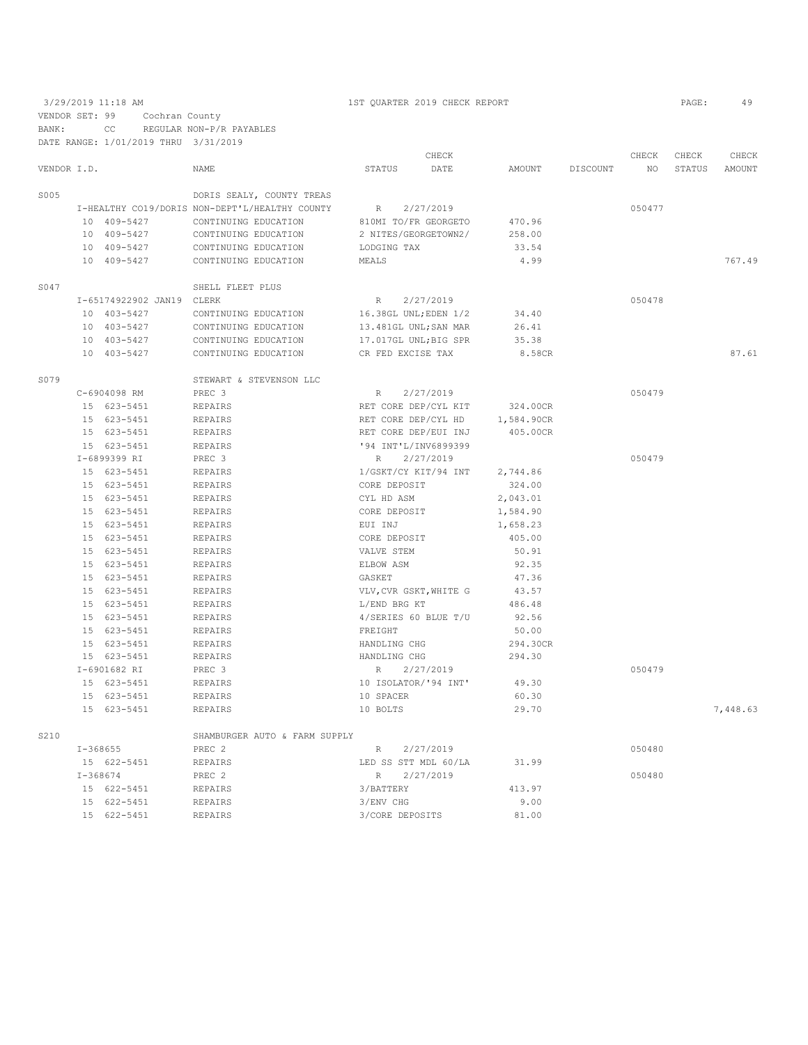3/29/2019 11:18 AM 1ST QUARTER 2019 CHECK REPORT PAGE: 49 VENDOR SET: 99 Cochran County BANK: CC REGULAR NON-P/R PAYABLES DATE RANGE: 1/01/2019 THRU 3/31/2019

|             |              |                           |                                                |                        | CHECK     |            |          | CHECK  | CHECK  | CHECK    |
|-------------|--------------|---------------------------|------------------------------------------------|------------------------|-----------|------------|----------|--------|--------|----------|
| VENDOR I.D. |              |                           | <b>NAME</b>                                    | STATUS                 | DATE      | AMOUNT     | DISCOUNT | NO.    | STATUS | AMOUNT   |
| S005        |              |                           | DORIS SEALY, COUNTY TREAS                      |                        |           |            |          |        |        |          |
|             |              |                           | I-HEALTHY CO19/DORIS NON-DEPT'L/HEALTHY COUNTY | R                      | 2/27/2019 |            |          | 050477 |        |          |
|             |              | 10 409-5427               | CONTINUING EDUCATION                           | 810MI TO/FR GEORGETO   |           | 470.96     |          |        |        |          |
|             |              | 10 409-5427               | CONTINUING EDUCATION                           | 2 NITES/GEORGETOWN2/   |           | 258.00     |          |        |        |          |
|             |              | 10 409-5427               | CONTINUING EDUCATION                           | LODGING TAX            |           | 33.54      |          |        |        |          |
|             |              | 10 409-5427               | CONTINUING EDUCATION                           | MEALS                  |           | 4.99       |          |        |        | 767.49   |
| S047        |              |                           | SHELL FLEET PLUS                               |                        |           |            |          |        |        |          |
|             |              | I-65174922902 JAN19 CLERK |                                                | $\mathbb R$            | 2/27/2019 |            |          | 050478 |        |          |
|             |              | 10 403-5427               | CONTINUING EDUCATION                           | 16.38GL UNL; EDEN 1/2  |           | 34.40      |          |        |        |          |
|             |              | 10 403-5427               | CONTINUING EDUCATION                           | 13.481GL UNL; SAN MAR  |           | 26.41      |          |        |        |          |
|             |              | 10 403-5427               | CONTINUING EDUCATION                           | 17.017GL UNL; BIG SPR  |           | 35.38      |          |        |        |          |
|             |              | 10 403-5427               | CONTINUING EDUCATION                           | CR FED EXCISE TAX      |           | 8.58CR     |          |        |        | 87.61    |
| S079        |              |                           | STEWART & STEVENSON LLC                        |                        |           |            |          |        |        |          |
|             |              | C-6904098 RM              | PREC 3                                         | $\mathbb{R}$           | 2/27/2019 |            |          | 050479 |        |          |
|             |              | 15 623-5451               | <b>REPAIRS</b>                                 | RET CORE DEP/CYL KIT   |           | 324.00CR   |          |        |        |          |
|             |              | 15 623-5451               | <b>REPAIRS</b>                                 | RET CORE DEP/CYL HD    |           | 1,584.90CR |          |        |        |          |
|             |              | 15 623-5451               | REPAIRS                                        | RET CORE DEP/EUI INJ   |           | 405.00CR   |          |        |        |          |
|             |              | 15 623-5451               | <b>REPAIRS</b>                                 | '94 INT'L/INV6899399   |           |            |          |        |        |          |
|             |              | I-6899399 RI              | PREC 3                                         | $\mathbb R$            | 2/27/2019 |            |          | 050479 |        |          |
|             |              | 15 623-5451               | <b>REPAIRS</b>                                 | 1/GSKT/CY KIT/94 INT   |           | 2,744.86   |          |        |        |          |
|             |              | 15 623-5451               | <b>REPAIRS</b>                                 | CORE DEPOSIT           |           | 324.00     |          |        |        |          |
|             |              | 15 623-5451               | <b>REPAIRS</b>                                 | CYL HD ASM             |           | 2,043.01   |          |        |        |          |
|             |              | 15 623-5451               | <b>REPAIRS</b>                                 | CORE DEPOSIT           |           | 1,584.90   |          |        |        |          |
|             |              | 15 623-5451               | <b>REPAIRS</b>                                 | EUI INJ                |           | 1,658.23   |          |        |        |          |
|             |              | 15 623-5451               | <b>REPAIRS</b>                                 | CORE DEPOSIT           |           | 405.00     |          |        |        |          |
|             |              | 15 623-5451               | <b>REPAIRS</b>                                 | VALVE STEM             |           | 50.91      |          |        |        |          |
|             |              | 15 623-5451               | <b>REPAIRS</b>                                 | ELBOW ASM              |           | 92.35      |          |        |        |          |
|             |              | 15 623-5451               | <b>REPAIRS</b>                                 | GASKET                 |           | 47.36      |          |        |        |          |
|             |              | 15 623-5451               | <b>REPAIRS</b>                                 | VLV, CVR GSKT, WHITE G |           | 43.57      |          |        |        |          |
|             |              | 15 623-5451               | <b>REPAIRS</b>                                 | L/END BRG KT           |           | 486.48     |          |        |        |          |
|             |              | 15 623-5451               | <b>REPAIRS</b>                                 | 4/SERIES 60 BLUE T/U   |           | 92.56      |          |        |        |          |
|             |              | 15 623-5451               | <b>REPAIRS</b>                                 | FREIGHT                |           | 50.00      |          |        |        |          |
|             |              | 15 623-5451               | <b>REPAIRS</b>                                 | HANDLING CHG           |           | 294.30CR   |          |        |        |          |
|             |              | 15 623-5451               | <b>REPAIRS</b>                                 | HANDLING CHG           |           | 294.30     |          |        |        |          |
|             |              | I-6901682 RI              | PREC 3                                         | R                      | 2/27/2019 |            |          | 050479 |        |          |
|             |              | 15 623-5451               | <b>REPAIRS</b>                                 | 10 ISOLATOR/'94 INT'   |           | 49.30      |          |        |        |          |
|             |              | 15 623-5451               | <b>REPAIRS</b>                                 | 10 SPACER              |           | 60.30      |          |        |        |          |
|             |              | 15 623-5451               | <b>REPAIRS</b>                                 | 10 BOLTS               |           | 29.70      |          |        |        | 7,448.63 |
| S210        |              |                           | SHAMBURGER AUTO & FARM SUPPLY                  |                        |           |            |          |        |        |          |
|             | $I - 368655$ |                           | PREC <sub>2</sub>                              | R                      | 2/27/2019 |            |          | 050480 |        |          |
|             |              | 15 622-5451               | REPAIRS                                        | LED SS STT MDL 60/LA   |           | 31.99      |          |        |        |          |
|             | $I - 368674$ |                           | PREC 2                                         | $R_{\rm}$              | 2/27/2019 |            |          | 050480 |        |          |
|             |              | 15 622-5451               | <b>REPAIRS</b>                                 | 3/BATTERY              |           | 413.97     |          |        |        |          |
|             |              | 15 622-5451               | <b>REPAIRS</b>                                 | 3/ENV CHG              |           | 9.00       |          |        |        |          |
|             |              | 15 622-5451               | <b>REPAIRS</b>                                 | 3/CORE DEPOSITS        |           | 81.00      |          |        |        |          |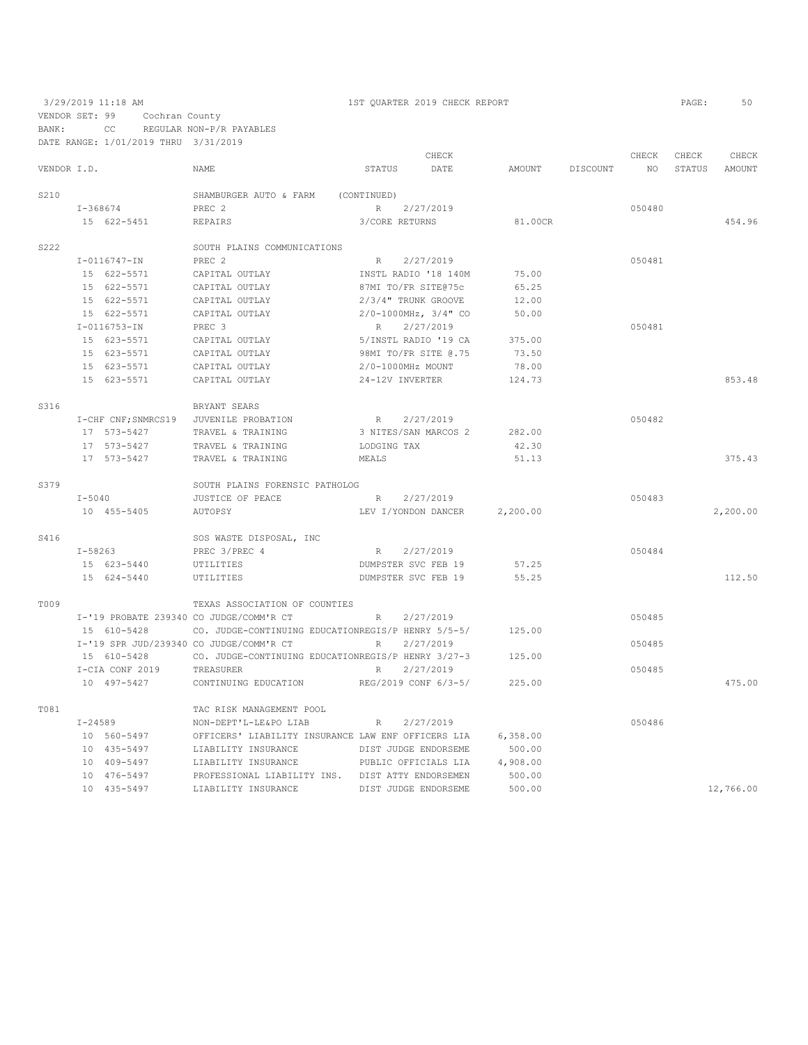VENDOR SET: 99 Cochran County BANK: CC REGULAR NON-P/R PAYABLES

DATE RANGE: 1/01/2019 THRU 3/31/2019 CHECK CHECK CHECK CHECK CHECK CHECK CHECK CHECK CHECK CHECK CHECK CHECK CHECK CHECK CHECK CHECK CHECK CHECK CHECK CHECK CHECK CHECK CHECK CHECK CHECK CHECK CHECK CHECK CHECK CHECK CHECK CHECK CHECK CHECK CHECK CHECK CHECK VENDOR I.D. NAME STATUS DATE AMOUNT DISCOUNT NO STATUS AMOUNT S210 SHAMBURGER AUTO & FARM (CONTINUED)<br>I-368674 PREC 2 R I-368674 PREC 2 R 2/27/2019 050480 15 622-5451 REPAIRS 3/CORE RETURNS 81.00CR 454.96 S222 SOUTH PLAINS COMMUNICATIONS<br>  $I-0116747-IN$  PREC 2 I-0116747-IN PREC 2 R 2/27/2019 050481 15 622-5571 CAPITAL OUTLAY INSTL RADIO '18 140M 75.00 15 622-5571 CAPITAL OUTLAY 87MI TO/FR SITE@75c 65.25 15 622-5571 CAPITAL OUTLAY 2/3/4" TRUNK GROOVE<br>15 622-5571 CAPITAL OUTLAY 2/0-1000MHz, 3/4" CO  $2/0-1000\,\text{MHz}$ , 3/4" CO 50.00<br>PREC 3 R  $2/27/2019$  I-0116753-IN PREC 3 R 2/27/2019 050481 15 623-5571 CAPITAL OUTLAY 5/INSTL RADIO '19 CA 375.00 15 623-5571 CAPITAL OUTLAY 98MI TO/FR SITE @.75 73.50 15 623-5571 CAPITAL OUTLAY 2/0-1000MHz MOUNT 78.00 24-12V INVERTER 124.73 853.48 S316 BRYANT SEARS I-CHF CNF;SNMRCS19 JUVENILE PROBATION R 2/27/2019<br>17 573-5427 TRAVEL & TRAINING 3 NITES/SAN MARCOS 2 282.00 17 573-5427 TRAVEL & TRAINING 17 573-5427 TRAVEL & TRAINING 3 NITES/SAN MARCOS 2 282.00<br>17 573-5427 TRAVEL & TRAINING LODGING TAX 42.30<br>17 573-5427 TRAVEL & TRAINING MEALS MEALS 51.13 TRAVEL & TRAINING MEALS MEALS 51.13 375.43 S379 SOUTH PLAINS FORENSIC PATHOLOG<br>T-5040 JUSTICE OF PEACE I-5040 JUSTICE OF PEACE R 2/27/2019 050483 10 455-5405 AUTOPSY LEV I/YONDON DANCER 2,200.00 2,200.00 S416 SOS WASTE DISPOSAL, INC<br>
I-58263 PREC 3/PREC 4 I-58263 PREC 3/PREC 4 R 2/27/2019 050484 15 623-5440 UTILITIES DUMPSTER SVC FEB 19 57.25 15 624-5440 UTILITIES DUMPSTER SVC FEB 19 55.25 112.50 T009 TEXAS ASSOCIATION OF COUNTIES I-'19 PROBATE 239340 CO JUDGE/COMM'R CT R 2/27/2019 050485 15 610-5428 CO. JUDGE-CONTINUING EDUCATIONREGIS/P HENRY 5/5-5/ 125.00 I-'19 SPR JUD/239340 CO JUDGE/COMM'R CT R 2/27/2019 050485 15 610-5428 CO. JUDGE-CONTINUING EDUCATIONREGIS/P HENRY 3/27-3 125.00<br>I-CIA CONF 2019 TREASURER R R 2/27/2019 I-CIA CONF 2019 TREASURER R 2/27/2019<br>
10 497-5427 CONTINUING EDUCATION REG/2019 CONF 6/3-5/ 225.00 REG/2019 CONF 6/3-5/ 225.00 475.00 TO B1 TAC RISK MANAGEMENT POOL T-24589 NON-DEPT'L-I.E&PO LIAR I-24589 NON-DEPT'L-LE&PO LIAB R 2/27/2019 050486 OFFICERS' LIABILITY INSURANCE LAW ENF OFFICERS LIA 6,358.00 10 435-5497 LIABILITY INSURANCE DIST JUDGE ENDORSEME 500.00 10 409-5497 LIABILITY INSURANCE PUBLIC OFFICIALS LIA 4,908.00 10 476-5497 PROFESSIONAL LIABILITY INS. DIST ATTY ENDORSEMEN 500.00 10 435-5497 LIABILITY INSURANCE DIST JUDGE ENDORSEME 500.00 12,766.00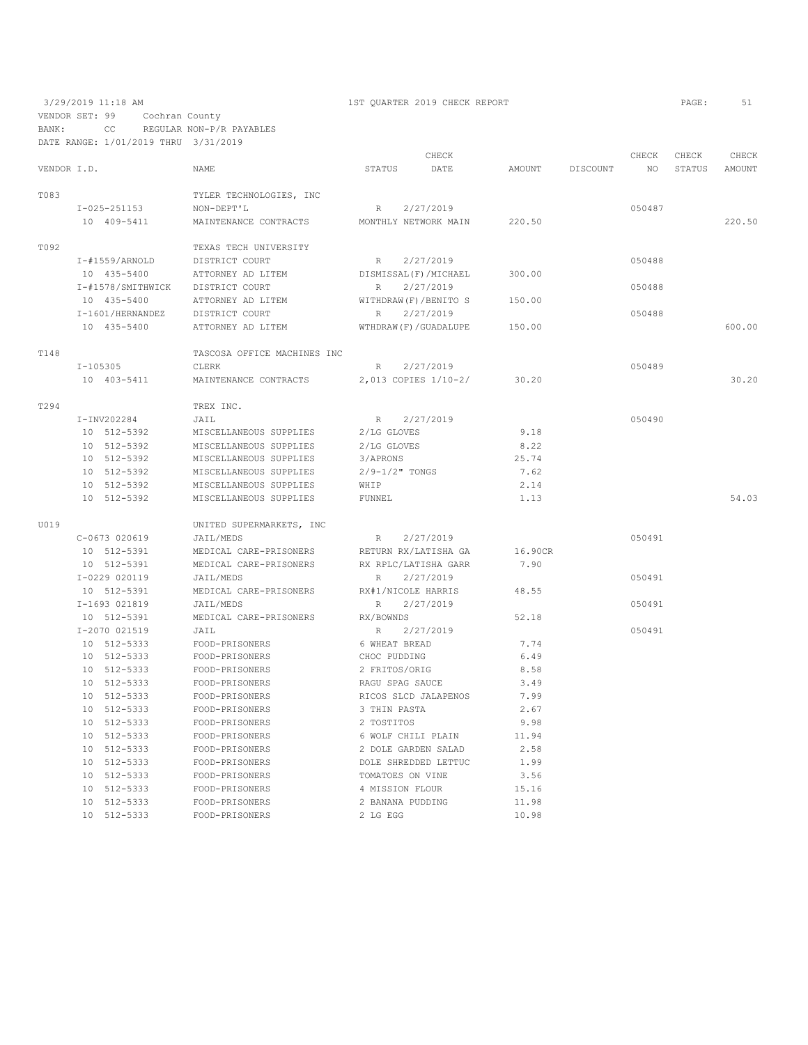3/29/2019 11:18 AM 1ST QUARTER 2019 CHECK REPORT PAGE: 51 VENDOR SET: 99 Cochran County BANK: CC REGULAR NON-P/R PAYABLES

|             | DATE RANGE: 1/01/2019 THRU 3/31/2019 |                             |                          |         |          |        |        |        |
|-------------|--------------------------------------|-----------------------------|--------------------------|---------|----------|--------|--------|--------|
|             |                                      |                             | CHECK                    |         |          | CHECK  | CHECK  | CHECK  |
| VENDOR I.D. |                                      | <b>NAME</b>                 | <b>STATUS</b><br>DATE    | AMOUNT  | DISCOUNT | NO.    | STATUS | AMOUNT |
| T083        |                                      | TYLER TECHNOLOGIES, INC     |                          |         |          |        |        |        |
|             | $I - 025 - 251153$                   | NON-DEPT'L                  | 2/27/2019<br>R           |         |          | 050487 |        |        |
|             | 10 409-5411                          | MAINTENANCE CONTRACTS       | MONTHLY NETWORK MAIN     | 220.50  |          |        |        | 220.50 |
| T092        |                                      | TEXAS TECH UNIVERSITY       |                          |         |          |        |        |        |
|             | $I - #1559/ARNOLD$                   | DISTRICT COURT              | 2/27/2019<br>R           |         |          | 050488 |        |        |
|             | 10 435-5400                          | ATTORNEY AD LITEM           | DISMISSAL (F) / MICHAEL  | 300.00  |          |        |        |        |
|             | I-#1578/SMITHWICK                    | DISTRICT COURT              | 2/27/2019<br>R           |         |          | 050488 |        |        |
|             | 10 435-5400                          | ATTORNEY AD LITEM           | WITHDRAW (F) / BENITO S  | 150.00  |          |        |        |        |
|             | I-1601/HERNANDEZ                     | DISTRICT COURT              | 2/27/2019<br>R           |         |          | 050488 |        |        |
|             | 10 435-5400                          | ATTORNEY AD LITEM           | WTHDRAW (F) / GUADALUPE  | 150.00  |          |        |        | 600.00 |
| T148        |                                      | TASCOSA OFFICE MACHINES INC |                          |         |          |        |        |        |
|             | $I-105305$                           | CLERK                       | R<br>2/27/2019           |         |          | 050489 |        |        |
|             | 10 403-5411                          | MAINTENANCE CONTRACTS       | 2,013 COPIES 1/10-2/     | 30.20   |          |        |        | 30.20  |
| T294        |                                      | TREX INC.                   |                          |         |          |        |        |        |
|             | I-INV202284                          | JAIL                        | 2/27/2019<br>$R_{\perp}$ |         |          | 050490 |        |        |
|             | 10 512-5392                          | MISCELLANEOUS SUPPLIES      | 2/LG GLOVES              | 9.18    |          |        |        |        |
|             | 10 512-5392                          | MISCELLANEOUS SUPPLIES      | 2/LG GLOVES              | 8.22    |          |        |        |        |
|             | 10 512-5392                          | MISCELLANEOUS SUPPLIES      | 3/APRONS                 | 25.74   |          |        |        |        |
|             | 10 512-5392                          | MISCELLANEOUS SUPPLIES      | $2/9 - 1/2$ " TONGS      | 7.62    |          |        |        |        |
|             | 10 512-5392                          | MISCELLANEOUS SUPPLIES      | WHIP                     | 2.14    |          |        |        |        |
|             | 10 512-5392                          | MISCELLANEOUS SUPPLIES      | <b>FUNNEL</b>            | 1.13    |          |        |        | 54.03  |
| U019        |                                      | UNITED SUPERMARKETS, INC    |                          |         |          |        |        |        |
|             | C-0673 020619                        | JAIL/MEDS                   | 2/27/2019<br>R           |         |          | 050491 |        |        |
|             | 10 512-5391                          | MEDICAL CARE-PRISONERS      | RETURN RX/LATISHA GA     | 16.90CR |          |        |        |        |
|             | 10 512-5391                          | MEDICAL CARE-PRISONERS      | RX RPLC/LATISHA GARR     | 7.90    |          |        |        |        |
|             | I-0229 020119                        | JAIL/MEDS                   | 2/27/2019<br>R           |         |          | 050491 |        |        |
|             | 10 512-5391                          | MEDICAL CARE-PRISONERS      | RX#1/NICOLE HARRIS       | 48.55   |          |        |        |        |
|             | I-1693 021819                        | JAIL/MEDS                   | 2/27/2019<br>R           |         |          | 050491 |        |        |
|             | 10 512-5391                          | MEDICAL CARE-PRISONERS      | RX/BOWNDS                | 52.18   |          |        |        |        |
|             | I-2070 021519                        | JAIL                        | R<br>2/27/2019           |         |          | 050491 |        |        |
|             | 10 512-5333                          | FOOD-PRISONERS              | 6 WHEAT BREAD            | 7.74    |          |        |        |        |
|             | 10 512-5333                          | FOOD-PRISONERS              | CHOC PUDDING             | 6.49    |          |        |        |        |
|             | 10 512-5333                          | FOOD-PRISONERS              | 2 FRITOS/ORIG            | 8.58    |          |        |        |        |
|             | 10 512-5333                          | FOOD-PRISONERS              | RAGU SPAG SAUCE          | 3.49    |          |        |        |        |
|             | 10 512-5333                          | FOOD-PRISONERS              | RICOS SLCD JALAPENOS     | 7.99    |          |        |        |        |
|             | 10 512-5333                          | FOOD-PRISONERS              | 3 THIN PASTA             | 2.67    |          |        |        |        |
|             | 10 512-5333                          | FOOD-PRISONERS              | 2 TOSTITOS               | 9.98    |          |        |        |        |
|             | 10 512-5333                          | FOOD-PRISONERS              | 6 WOLF CHILI PLAIN       | 11.94   |          |        |        |        |
|             | 10 512-5333                          | FOOD-PRISONERS              | 2 DOLE GARDEN SALAD      | 2.58    |          |        |        |        |
|             | 10 512-5333                          | FOOD-PRISONERS              | DOLE SHREDDED LETTUC     | 1.99    |          |        |        |        |
|             | 10 512-5333                          | FOOD-PRISONERS              | TOMATOES ON VINE         | 3.56    |          |        |        |        |
|             | 10 512-5333                          | FOOD-PRISONERS              | 4 MISSION FLOUR          | 15.16   |          |        |        |        |
|             | 10 512-5333                          | FOOD-PRISONERS              | 2 BANANA PUDDING         | 11.98   |          |        |        |        |
|             | 10 512-5333                          | FOOD-PRISONERS              | 2 LG EGG                 | 10.98   |          |        |        |        |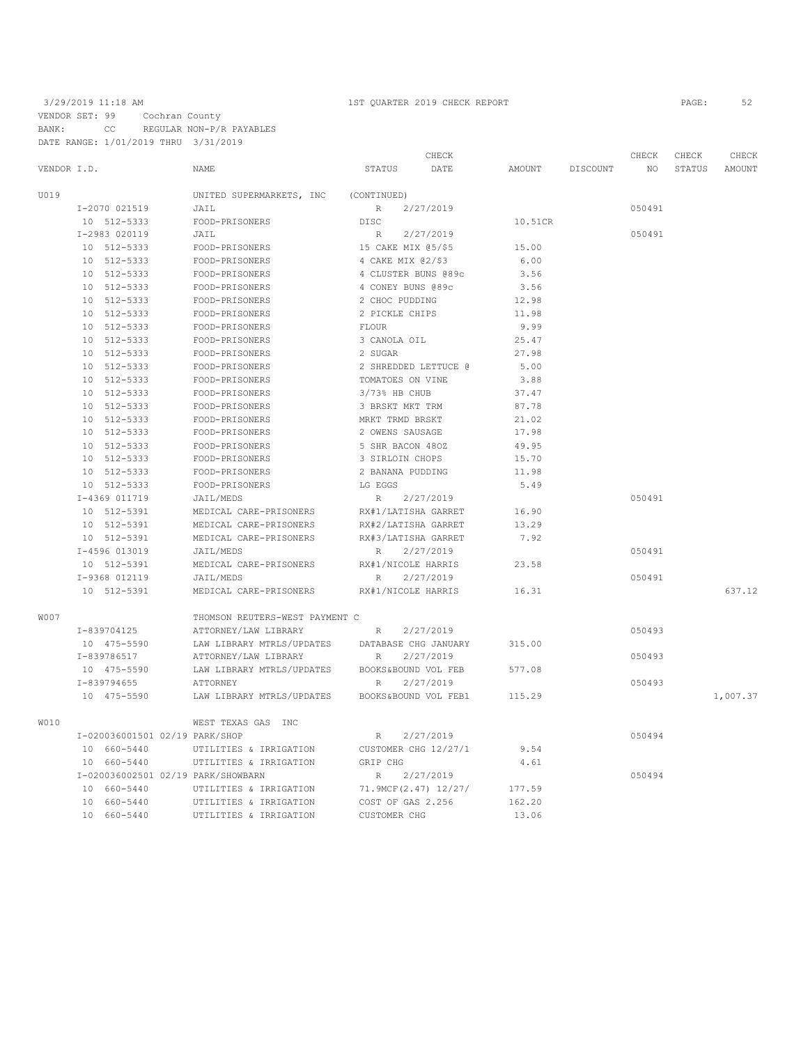|      |                                    |                                |                      | CHECK     |         |          | CHECK  | CHECK  | CHECK    |
|------|------------------------------------|--------------------------------|----------------------|-----------|---------|----------|--------|--------|----------|
|      | VENDOR I.D.                        | NAME                           | STATUS               | DATE      | AMOUNT  | DISCOUNT | NO.    | STATUS | AMOUNT   |
| U019 |                                    | UNITED SUPERMARKETS, INC       | (CONTINUED)          |           |         |          |        |        |          |
|      | I-2070 021519                      | JAIL                           | R                    | 2/27/2019 |         |          | 050491 |        |          |
|      | 10 512-5333                        | FOOD-PRISONERS                 | DISC                 |           | 10.51CR |          |        |        |          |
|      | I-2983 020119                      | JAIL                           | R                    | 2/27/2019 |         |          | 050491 |        |          |
|      | 10 512-5333                        | FOOD-PRISONERS                 | 15 CAKE MIX 05/\$5   |           | 15.00   |          |        |        |          |
|      | 10 512-5333                        | FOOD-PRISONERS                 | 4 CAKE MIX 02/\$3    |           | 6.00    |          |        |        |          |
|      | 10 512-5333                        | FOOD-PRISONERS                 | 4 CLUSTER BUNS @89c  |           | 3.56    |          |        |        |          |
|      | 10 512-5333                        | FOOD-PRISONERS                 | 4 CONEY BUNS @89c    |           | 3.56    |          |        |        |          |
|      | 10 512-5333                        | FOOD-PRISONERS                 | 2 CHOC PUDDING       |           | 12.98   |          |        |        |          |
|      | 10 512-5333                        | FOOD-PRISONERS                 | 2 PICKLE CHIPS       |           | 11.98   |          |        |        |          |
|      | 10 512-5333                        | FOOD-PRISONERS                 | <b>FLOUR</b>         |           | 9.99    |          |        |        |          |
|      | 10 512-5333                        | FOOD-PRISONERS                 | 3 CANOLA OIL         |           | 25.47   |          |        |        |          |
|      | 10 512-5333                        | FOOD-PRISONERS                 | 2 SUGAR              |           | 27.98   |          |        |        |          |
|      | 10 512-5333                        | FOOD-PRISONERS                 | 2 SHREDDED LETTUCE @ |           | 5.00    |          |        |        |          |
|      | 10 512-5333                        | FOOD-PRISONERS                 | TOMATOES ON VINE     |           | 3.88    |          |        |        |          |
|      | 10 512-5333                        | FOOD-PRISONERS                 | 3/73% HB CHUB        |           | 37.47   |          |        |        |          |
|      | 10 512-5333                        | FOOD-PRISONERS                 | 3 BRSKT MKT TRM      |           | 87.78   |          |        |        |          |
|      | 10 512-5333                        | FOOD-PRISONERS                 | MRKT TRMD BRSKT      |           | 21.02   |          |        |        |          |
|      | 10 512-5333                        | FOOD-PRISONERS                 | 2 OWENS SAUSAGE      |           | 17.98   |          |        |        |          |
|      | 10 512-5333                        | FOOD-PRISONERS                 | 5 SHR BACON 480Z     |           | 49.95   |          |        |        |          |
|      | 10 512-5333                        | FOOD-PRISONERS                 | 3 SIRLOIN CHOPS      |           | 15.70   |          |        |        |          |
|      | 10 512-5333                        | FOOD-PRISONERS                 | 2 BANANA PUDDING     |           | 11.98   |          |        |        |          |
|      | 10 512-5333                        | FOOD-PRISONERS                 | LG EGGS              |           | 5.49    |          |        |        |          |
|      | I-4369 011719                      | JAIL/MEDS                      | R                    | 2/27/2019 |         |          | 050491 |        |          |
|      | 10 512-5391                        | MEDICAL CARE-PRISONERS         | RX#1/LATISHA GARRET  |           | 16.90   |          |        |        |          |
|      | 10 512-5391                        | MEDICAL CARE-PRISONERS         | RX#2/LATISHA GARRET  |           | 13.29   |          |        |        |          |
|      | 10 512-5391                        | MEDICAL CARE-PRISONERS         | RX#3/LATISHA GARRET  |           | 7.92    |          |        |        |          |
|      | I-4596 013019                      | JAIL/MEDS                      | $R_{\perp}$          | 2/27/2019 |         |          | 050491 |        |          |
|      | 10 512-5391                        | MEDICAL CARE-PRISONERS         | RX#1/NICOLE HARRIS   |           | 23.58   |          |        |        |          |
|      | I-9368 012119                      | JAIL/MEDS                      | $R_{\parallel}$      | 2/27/2019 |         |          | 050491 |        |          |
|      | 10 512-5391                        | MEDICAL CARE-PRISONERS         | RX#1/NICOLE HARRIS   |           | 16.31   |          |        |        | 637.12   |
| W007 |                                    | THOMSON REUTERS-WEST PAYMENT C |                      |           |         |          |        |        |          |
|      | I-839704125                        | ATTORNEY/LAW LIBRARY           | $R_{\odot}$          | 2/27/2019 |         |          | 050493 |        |          |
|      | 10 475-5590                        | LAW LIBRARY MTRLS/UPDATES      | DATABASE CHG JANUARY |           | 315.00  |          |        |        |          |
|      | I-839786517                        | ATTORNEY/LAW LIBRARY           | R                    | 2/27/2019 |         |          | 050493 |        |          |
|      | 10 475-5590                        | LAW LIBRARY MTRLS/UPDATES      | BOOKS&BOUND VOL FEB  |           | 577.08  |          |        |        |          |
|      | I-839794655                        | ATTORNEY                       | R                    | 2/27/2019 |         |          | 050493 |        |          |
|      | 10 475-5590                        | LAW LIBRARY MTRLS/UPDATES      | BOOKS&BOUND VOL FEB1 |           | 115.29  |          |        |        | 1,007.37 |
| W010 |                                    | WEST TEXAS GAS INC             |                      |           |         |          |        |        |          |
|      | I-020036001501 02/19 PARK/SHOP     |                                | R                    | 2/27/2019 |         |          | 050494 |        |          |
|      | 10 660-5440                        | UTILITIES & IRRIGATION         | CUSTOMER CHG 12/27/1 |           | 9.54    |          |        |        |          |
|      | 10 660-5440                        | UTILITIES & IRRIGATION         | GRIP CHG             |           | 4.61    |          |        |        |          |
|      | I-020036002501 02/19 PARK/SHOWBARN |                                | R                    | 2/27/2019 |         |          | 050494 |        |          |
|      | 10 660-5440                        | UTILITIES & IRRIGATION         | 71.9MCF(2.47) 12/27/ |           | 177.59  |          |        |        |          |
|      | 10 660-5440                        | UTILITIES & IRRIGATION         | COST OF GAS 2.256    |           | 162.20  |          |        |        |          |
|      | 10 660-5440                        | UTILITIES & IRRIGATION         | CUSTOMER CHG         |           | 13.06   |          |        |        |          |
|      |                                    |                                |                      |           |         |          |        |        |          |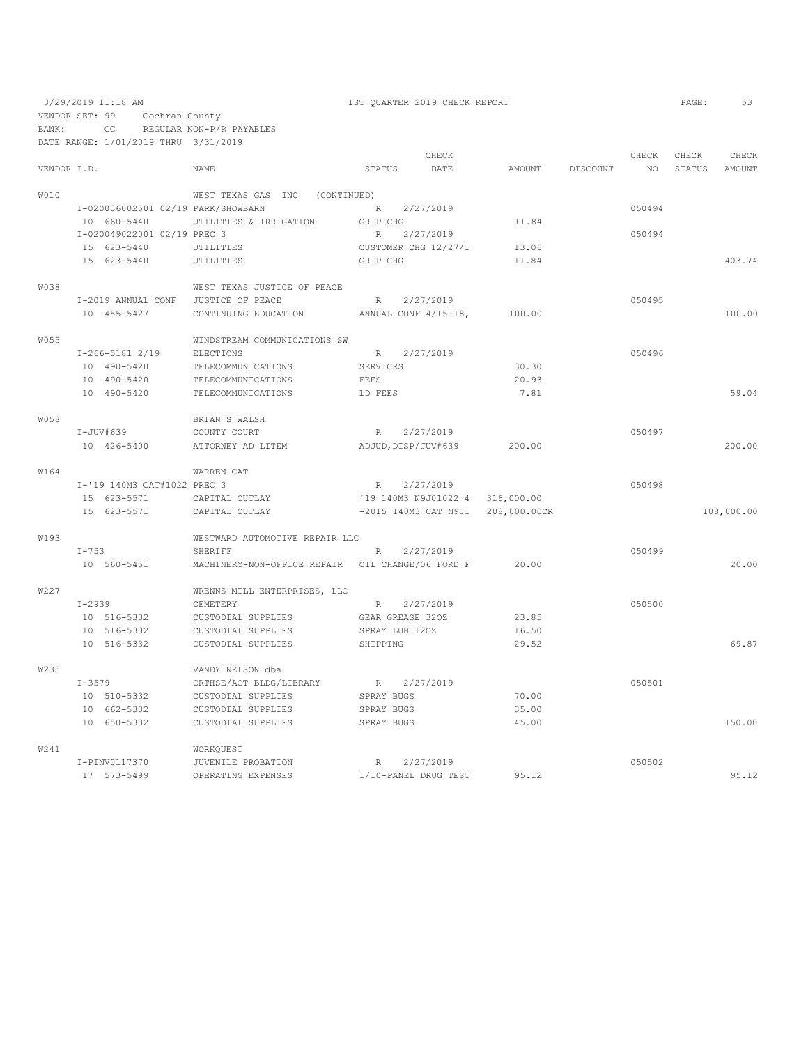|                |            | 3/29/2019 11:18 AM |                             |                                                  | 1ST OUARTER 2019 CHECK REPORT |           |                                   |        | PAGE:  | 53         |
|----------------|------------|--------------------|-----------------------------|--------------------------------------------------|-------------------------------|-----------|-----------------------------------|--------|--------|------------|
| VENDOR SET: 99 |            |                    | Cochran County              |                                                  |                               |           |                                   |        |        |            |
| BANK:          |            | CC                 |                             | REGULAR NON-P/R PAYABLES                         |                               |           |                                   |        |        |            |
|                |            |                    |                             | DATE RANGE: 1/01/2019 THRU 3/31/2019             |                               |           |                                   |        |        |            |
|                |            |                    |                             |                                                  |                               | CHECK     |                                   | CHECK  | CHECK  | CHECK      |
| VENDOR I.D.    |            |                    |                             | NAME                                             | STATUS                        | DATE      | AMOUNT DISCOUNT                   | NO     | STATUS | AMOUNT     |
| <b>WO10</b>    |            |                    |                             | WEST TEXAS GAS INC (CONTINUED)                   |                               |           |                                   |        |        |            |
|                |            |                    |                             | I-020036002501 02/19 PARK/SHOWBARN               | R                             | 2/27/2019 |                                   | 050494 |        |            |
|                |            | 10 660-5440        |                             | UTILITIES & IRRIGATION                           | GRIP CHG                      |           | 11.84                             |        |        |            |
|                |            |                    | I-020049022001 02/19 PREC 3 |                                                  | R                             | 2/27/2019 |                                   | 050494 |        |            |
|                |            | 15 623-5440        |                             | UTILITIES                                        | CUSTOMER CHG 12/27/1          |           | 13.06                             |        |        |            |
|                |            | 15 623-5440        |                             | UTILITIES                                        | GRIP CHG                      |           | 11.84                             |        |        | 403.74     |
| <b>W038</b>    |            |                    |                             | WEST TEXAS JUSTICE OF PEACE                      |                               |           |                                   |        |        |            |
|                |            |                    | I-2019 ANNUAL CONF          | JUSTICE OF PEACE                                 | R                             | 2/27/2019 |                                   | 050495 |        |            |
|                |            | 10 455-5427        |                             | CONTINUING EDUCATION                             | ANNUAL CONF 4/15-18,          |           | 100.00                            |        |        | 100.00     |
| W055           |            |                    |                             | WINDSTREAM COMMUNICATIONS SW                     |                               |           |                                   |        |        |            |
|                |            | $I-266-51812/19$   |                             | ELECTIONS                                        | R 2/27/2019                   |           |                                   | 050496 |        |            |
|                |            | 10 490-5420        |                             | TELECOMMUNICATIONS                               | SERVICES                      |           | 30.30                             |        |        |            |
|                |            | 10 490-5420        |                             | TELECOMMUNICATIONS                               | FEES                          |           | 20.93                             |        |        |            |
|                |            | 10 490-5420        |                             | TELECOMMUNICATIONS                               | LD FEES                       |           | 7.81                              |        |        | 59.04      |
| <b>W058</b>    |            |                    |                             | BRIAN S WALSH                                    |                               |           |                                   |        |        |            |
|                |            | I-JUV#639          |                             | COUNTY COURT                                     | R 2/27/2019                   |           |                                   | 050497 |        |            |
|                |            | 10 426-5400        |                             | ATTORNEY AD LITEM                                | ADJUD, DISP/JUV#639           |           | 200.00                            |        |        | 200.00     |
| W164           |            |                    |                             | WARREN CAT                                       |                               |           |                                   |        |        |            |
|                |            |                    | I-'19 140M3 CAT#1022 PREC 3 |                                                  | R                             | 2/27/2019 |                                   | 050498 |        |            |
|                |            | 15 623-5571        |                             | CAPITAL OUTLAY                                   |                               |           | '19 140M3 N9J01022 4 316,000.00   |        |        |            |
|                |            | 15 623-5571        |                             | CAPITAL OUTLAY                                   |                               |           | -2015 140M3 CAT N9J1 208,000.00CR |        |        | 108,000.00 |
| W193           |            |                    |                             | WESTWARD AUTOMOTIVE REPAIR LLC                   |                               |           |                                   |        |        |            |
|                | $I-753$    |                    |                             | SHERIFF                                          | R                             | 2/27/2019 |                                   | 050499 |        |            |
|                |            | 10 560-5451        |                             | MACHINERY-NON-OFFICE REPAIR OIL CHANGE/06 FORD F |                               |           | 20.00                             |        |        | 20.00      |
| W227           |            |                    |                             | WRENNS MILL ENTERPRISES, LLC                     |                               |           |                                   |        |        |            |
|                | $I - 2939$ |                    |                             | CEMETERY                                         | R                             | 2/27/2019 |                                   | 050500 |        |            |
|                |            | 10 516-5332        |                             | CUSTODIAL SUPPLIES                               | GEAR GREASE 320Z              |           | 23.85                             |        |        |            |
|                |            | 10 516-5332        |                             | CUSTODIAL SUPPLIES                               | SPRAY LUB 120Z                |           | 16.50                             |        |        |            |
|                |            | 10 516-5332        |                             | CUSTODIAL SUPPLIES                               | SHIPPING                      |           | 29.52                             |        |        | 69.87      |
| W235           |            |                    |                             | VANDY NELSON dba                                 |                               |           |                                   |        |        |            |
|                | $I - 3579$ |                    |                             | CRTHSE/ACT BLDG/LIBRARY                          | R                             | 2/27/2019 |                                   | 050501 |        |            |
|                |            | 10 510-5332        |                             | CUSTODIAL SUPPLIES                               | SPRAY BUGS                    |           | 70.00                             |        |        |            |
|                |            | 10 662-5332        |                             | CUSTODIAL SUPPLIES                               | SPRAY BUGS                    |           | 35.00                             |        |        |            |
|                |            | 10 650-5332        |                             | CUSTODIAL SUPPLIES                               | SPRAY BUGS                    |           | 45.00                             |        |        | 150.00     |
| W241           |            |                    |                             | WORKQUEST                                        |                               |           |                                   |        |        |            |
|                |            | I-PINV0117370      |                             | JUVENILE PROBATION                               | R                             | 2/27/2019 |                                   | 050502 |        |            |
|                |            | 17 573-5499        |                             | OPERATING EXPENSES                               | 1/10-PANEL DRUG TEST          |           | 95.12                             |        |        | 95.12      |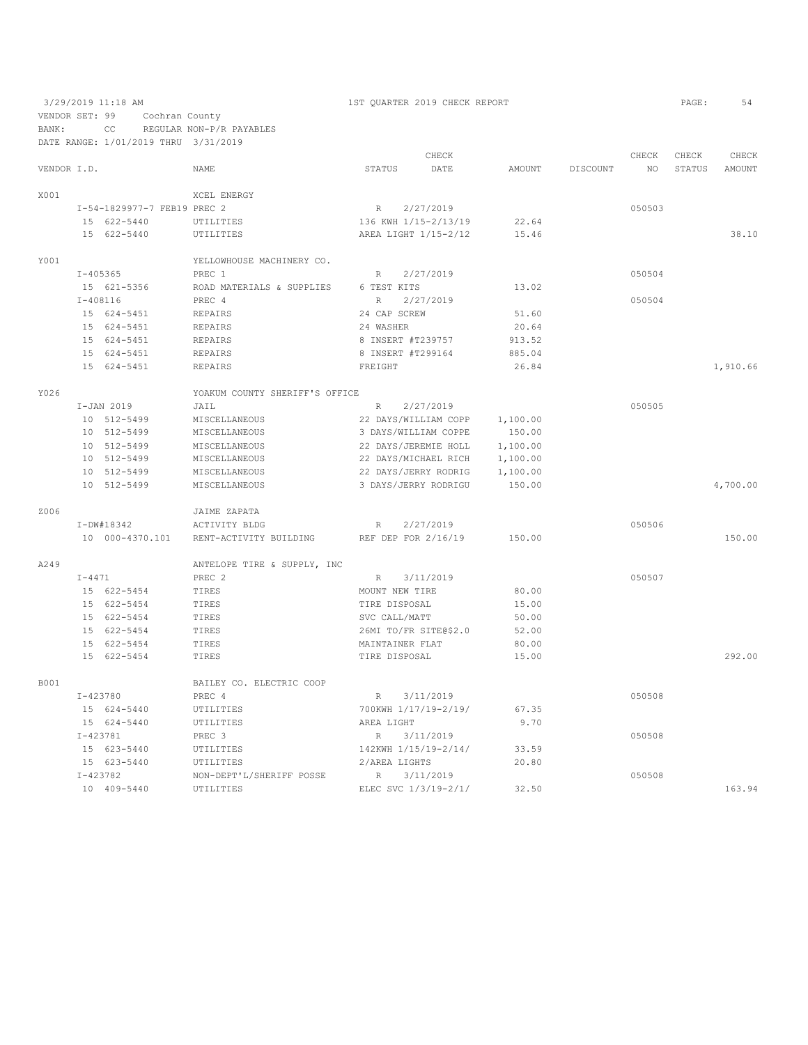3/29/2019 11:18 AM 1ST QUARTER 2019 CHECK REPORT PAGE: 54 VENDOR SET: 99 Cochran County BANK: CC REGULAR NON-P/R PAYABLES

DATE RANGE: 1/01/2019 THRU 3/31/2019 CHECK CHECK CHECK CHECK VENDOR I.D. NAME STATUS DATE AMOUNT DISCOUNT NO STATUS AMOUNT X001 XCEL ENERGY I-54-1829977-7 FEB19 PREC 2 R 2/27/2019 050503 15 622-5440 UTILITIES 136 KWH 1/15-2/13/19 22.64<br>15 622-5440 UTILITIES AREA LIGHT 1/15-2/12 15.46 AREA LIGHT  $1/15-2/12$  15.46 38.10 Y001 <br>T-405365 <br>PREC 1 <br>PERC 1 1-405365 PREC 1 R 2/27/2019<br>15 621-5356 ROAD MATERIALS & SUPPLIES 6 TEST KITS 13.02 15 621–5356 ROAD MATERIALS & SUPPLIES 6 TEST KITS 13.02 <br>13.02 T-408116 PREC 4 R 2/27/2019 I-408116 PREC 4 R 2/27/2019 050504 15 624 CAP SCREW 24 CAP SCREW 51.600 EXP.<br>15 24 WASHER 15 624-5451 REPAIRS 24 WASHER 24 20.64<br>15 624-5451 REPAIRS 8 1NSERT #T239757 913.52 15 624-5451 REPAIRS 8 INSERT #T239757 913.52 15 624-5451 REPAIRS 8 INSERT #T299164 885.04 15 624-5451 REPAIRS FREIGHT 26.84 1,910.66 Y026 YOAKUM COUNTY SHERIFF'S OFFICE I-JAN 2019 JAIL R 2/27/2019 050505 10 512-5499 MISCELLANEOUS 22 DAYS/WILLIAM COPP 1,100.00 10 512-5499 MISCELLANEOUS 3 DAYS/WILLIAM COPPE 150.00 10 512-5499 MISCELLANEOUS 22 DAYS/JEREMIE HOLL 1,100.00 10 512-5499 MISCELLANEOUS 22 DAYS/MICHAEL RICH 1,100.00 10 512-5499 MISCELLANEOUS 22 DAYS/JERRY RODRIG 1,100.00 10 512-5499 MISCELLANEOUS 3 DAYS/JERRY RODRIGU 150.00 4,700.00 Z006 JAIME ZAPATA I-DW#18342 ACTIVITY BLDG R 2/27/2019 050506 10 000-4370.101 RENT-ACTIVITY BUILDING REF DEP FOR 2/16/19 150.00 150.00 A249 ANTELOPE TIRE & SUPPLY, INC I-4471 PREC 2 R 3/11/2019 050507 15 622-5454 TIRES MOUNT NEW TIRE 80.00 15 622-5454 TIRES TIRE DISPOSAL 15.00<br>15 622-5454 TIRES SVC CALL/MATT 50.00 15 622–5454 TIRES <br>15 622–5454 TIRES <br>15 622–5454 TIRES <br>26MI TO/FR SITE@\$2.0 52.00 16 62.00 52.00 52.00 52.00<br>15 62.00 MAINTAINER FLAT 15 622–5454 TIRES MAINTAINER FLAT 15 622–5454 TIRES TIRE DISPOSAL 15 622-5454 TIRES TIRE DISPOSAL 15.00 292.00 B001 BAILEY CO. ELECTRIC COOP <br>I-423780 PREC 4 I-423780 PREC 4 R 3/11/2019 PREC 1 15 624-5440 UTILITIES 700KWH 1/17/19-2/19/ 67.35<br>15 624-5440 UTILITIES AREA LIGHT 9.70 15 624–5440 UTILITIES AREA LIGHT 9.70  $I$ –423781 PREC 3 R 3/11/2019 1-423781 PREC 3<br>
15 623-5440 UTILITIES 142KWH 1/15/19-2/14/ 33.59 050508 14 2KWH 1/15/19-2/14/ 15 623-5440 UTILITIES 2/AREA LIGHTS 20.80 I-423782 NON-DEPT'L/SHERIFF POSSE R 3/11/2019 050508 163.94 ELEC SVC 1/3/19-2/1/ 32.50 163.94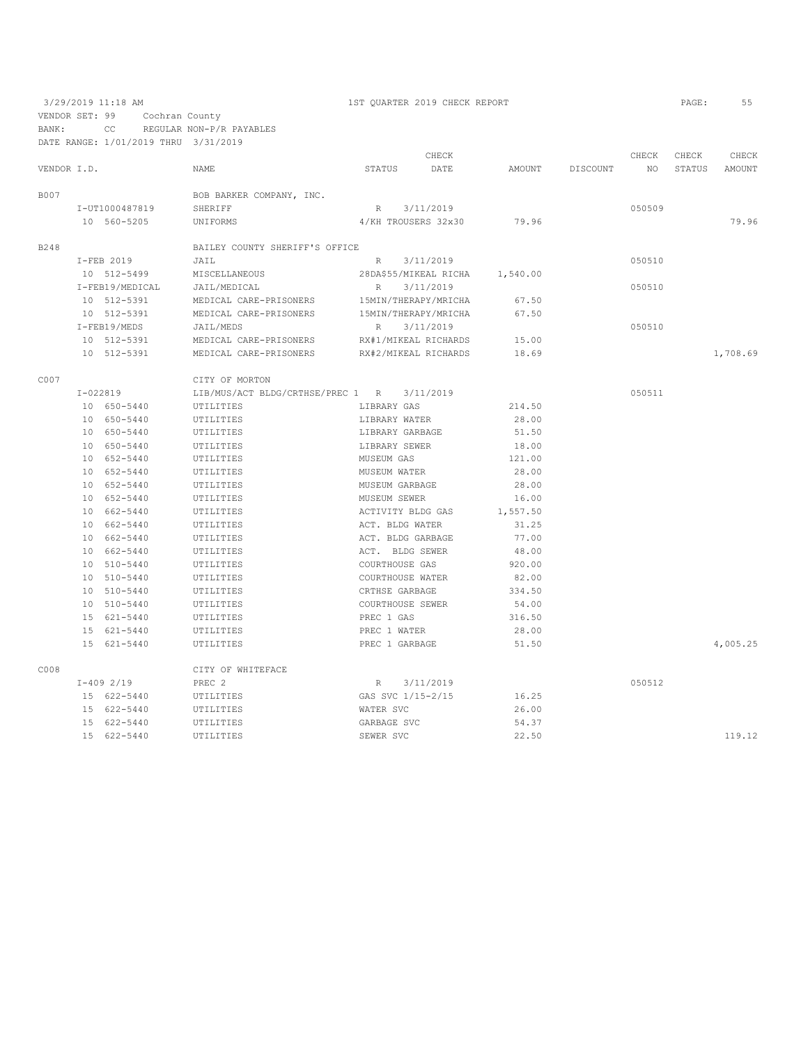VENDOR SET: 99 Cochran County

BANK: CC REGULAR NON-P/R PAYABLES

|             | DATE RANGE: 1/01/2019 THRU 3/31/2019 |                                             |                      |                       |          |          |        |        |          |
|-------------|--------------------------------------|---------------------------------------------|----------------------|-----------------------|----------|----------|--------|--------|----------|
|             |                                      |                                             |                      | CHECK                 |          |          | CHECK  | CHECK  | CHECK    |
| VENDOR I.D. |                                      | <b>NAME</b>                                 | STATUS               | DATE                  | AMOUNT   | DISCOUNT | NO.    | STATUS | AMOUNT   |
| <b>B007</b> |                                      | BOB BARKER COMPANY, INC.                    |                      |                       |          |          |        |        |          |
|             | I-UT1000487819                       | SHERIFF                                     | R                    | 3/11/2019             |          |          | 050509 |        |          |
|             | 10 560-5205                          | UNIFORMS                                    |                      | 4/KH TROUSERS 32x30   | 79.96    |          |        |        | 79.96    |
| B248        |                                      | BAILEY COUNTY SHERIFF'S OFFICE              |                      |                       |          |          |        |        |          |
|             | I-FEB 2019                           | JAIL                                        | R 3/11/2019          |                       |          |          | 050510 |        |          |
|             | 10 512-5499                          | MISCELLANEOUS                               |                      | 28DA\$55/MIKEAL RICHA | 1,540.00 |          |        |        |          |
|             | I-FEB19/MEDICAL                      | JAIL/MEDICAL                                | R                    | 3/11/2019             |          |          | 050510 |        |          |
|             | 10 512-5391                          | MEDICAL CARE-PRISONERS                      | 15MIN/THERAPY/MRICHA |                       | 67.50    |          |        |        |          |
|             | 10 512-5391                          | MEDICAL CARE-PRISONERS                      |                      | 15MIN/THERAPY/MRICHA  | 67.50    |          |        |        |          |
|             | I-FEB19/MEDS                         | JAIL/MEDS                                   | R                    | 3/11/2019             |          |          | 050510 |        |          |
|             | 10 512-5391                          | MEDICAL CARE-PRISONERS RX#1/MIKEAL RICHARDS |                      |                       | 15.00    |          |        |        |          |
|             | 10 512-5391                          | MEDICAL CARE-PRISONERS                      | RX#2/MIKEAL RICHARDS |                       | 18.69    |          |        |        | 1,708.69 |
| C007        |                                      | CITY OF MORTON                              |                      |                       |          |          |        |        |          |
|             | I-022819                             | LIB/MUS/ACT BLDG/CRTHSE/PREC 1 R 3/11/2019  |                      |                       |          |          | 050511 |        |          |
|             | 10 650-5440                          | UTILITIES                                   | LIBRARY GAS          |                       | 214.50   |          |        |        |          |
|             | 10 650-5440                          | UTILITIES                                   | LIBRARY WATER        |                       | 28.00    |          |        |        |          |
|             | 10 650-5440                          | UTILITIES                                   | LIBRARY GARBAGE      |                       | 51.50    |          |        |        |          |
|             | 10 650-5440                          | UTILITIES                                   | LIBRARY SEWER        |                       | 18.00    |          |        |        |          |
|             | 10 652-5440                          | UTILITIES                                   | MUSEUM GAS           |                       | 121.00   |          |        |        |          |
|             | 10 652-5440                          | UTILITIES                                   | MUSEUM WATER         |                       | 28.00    |          |        |        |          |
|             | 10 652-5440                          | UTILITIES                                   | MUSEUM GARBAGE       |                       | 28.00    |          |        |        |          |
|             | 10 652-5440                          | UTILITIES                                   | MUSEUM SEWER         |                       | 16.00    |          |        |        |          |
|             | 10 662-5440                          | UTILITIES                                   | ACTIVITY BLDG GAS    |                       | 1,557.50 |          |        |        |          |
|             | 10 662-5440                          | UTILITIES                                   | ACT. BLDG WATER      |                       | 31.25    |          |        |        |          |
|             | 10 662-5440                          | UTILITIES                                   | ACT. BLDG GARBAGE    |                       | 77.00    |          |        |        |          |
|             | 10 662-5440                          | UTILITIES                                   | ACT. BLDG SEWER      |                       | 48.00    |          |        |        |          |
|             | 10 510-5440                          | UTILITIES                                   | COURTHOUSE GAS       |                       | 920.00   |          |        |        |          |
|             | 10 510-5440                          | UTILITIES                                   | COURTHOUSE WATER     |                       | 82.00    |          |        |        |          |
|             | 10 510-5440                          | UTILITIES                                   | CRTHSE GARBAGE       |                       | 334.50   |          |        |        |          |
|             | 10 510-5440                          | UTILITIES                                   | COURTHOUSE SEWER     |                       | 54.00    |          |        |        |          |
|             | 15 621-5440                          | UTILITIES                                   | PREC 1 GAS           |                       | 316.50   |          |        |        |          |
|             | 15 621-5440                          | UTILITIES                                   | PREC 1 WATER         |                       | 28.00    |          |        |        |          |
|             | 15 621-5440                          | UTILITIES                                   | PREC 1 GARBAGE       |                       | 51.50    |          |        |        | 4,005.25 |
| C008        |                                      | CITY OF WHITEFACE                           |                      |                       |          |          |        |        |          |
|             | $I-4092/19$                          | PREC 2                                      | R                    | 3/11/2019             |          |          | 050512 |        |          |
|             | 15 622-5440                          | UTILITIES                                   | GAS SVC 1/15-2/15    |                       | 16.25    |          |        |        |          |
|             | 15 622-5440                          | UTILITIES                                   | WATER SVC            |                       | 26.00    |          |        |        |          |
|             | 15 622-5440                          | UTILITIES                                   | GARBAGE SVC          |                       | 54.37    |          |        |        |          |
|             | 15 622-5440                          | UTILITIES                                   | SEWER SVC            |                       | 22.50    |          |        |        | 119.12   |
|             |                                      |                                             |                      |                       |          |          |        |        |          |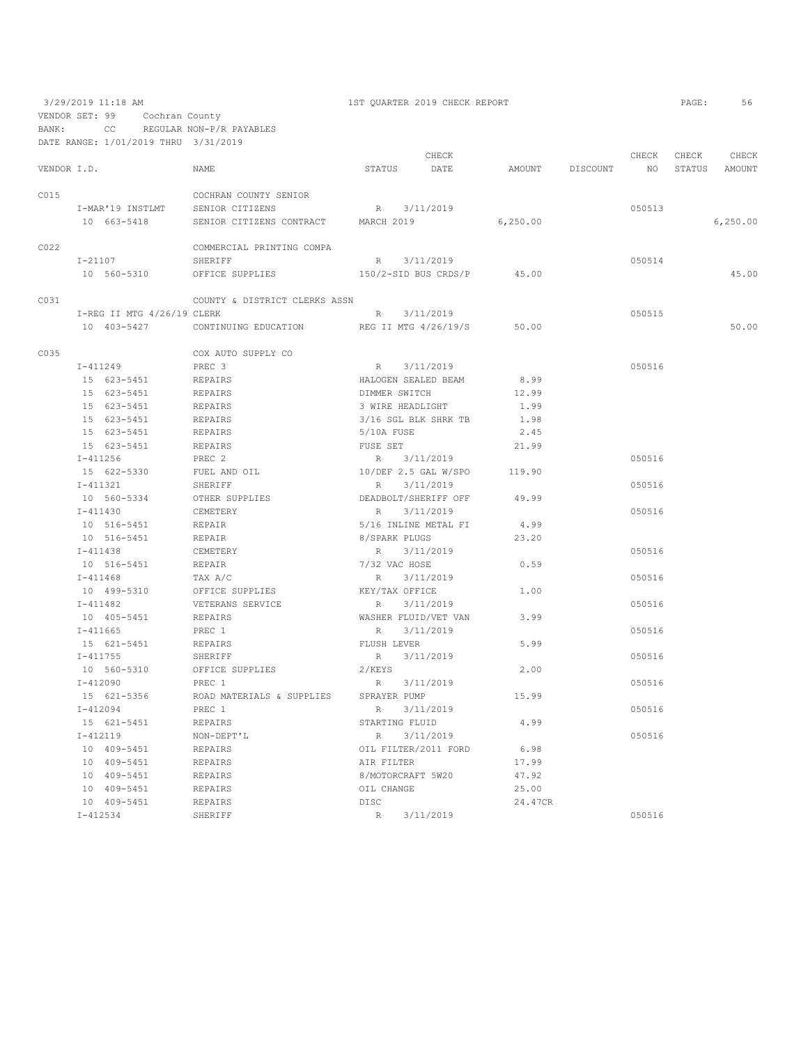VENDOR SET: 99 Cochran County

BANK: CC REGULAR NON-P/R PAYABLES

3/29/2019 11:18 AM 1ST QUARTER 2019 CHECK REPORT PAGE: 56

|             |              | DATE RANGE: 1/01/2019 THRU 3/31/2019 |                                                 |                   |                        |                 |        |                  |           |
|-------------|--------------|--------------------------------------|-------------------------------------------------|-------------------|------------------------|-----------------|--------|------------------|-----------|
|             |              |                                      |                                                 |                   | CHECK                  |                 | CHECK  | CHECK            | CHECK     |
| VENDOR I.D. |              |                                      | NAME                                            | STATUS            | DATE                   | AMOUNT DISCOUNT |        | NO STATUS AMOUNT |           |
| C015        |              |                                      | COCHRAN COUNTY SENIOR                           |                   |                        |                 |        |                  |           |
|             |              |                                      | I-MAR'19 INSTLMT SENIOR CITIZENS                | R 3/11/2019       |                        |                 | 050513 |                  |           |
|             |              | 10 663-5418                          | SENIOR CITIZENS CONTRACT                        | MARCH 2019        |                        | 6, 250.00       |        |                  | 6, 250.00 |
| CO22        |              |                                      | COMMERCIAL PRINTING COMPA                       |                   |                        |                 |        |                  |           |
|             | I-21107      |                                      | SHERIFF                                         |                   | R 3/11/2019            |                 | 050514 |                  |           |
|             |              | 10 560-5310                          | OFFICE SUPPLIES 150/2-SID BUS CRDS/P 45.00      |                   |                        |                 |        |                  | 45.00     |
|             |              |                                      |                                                 |                   |                        |                 |        |                  |           |
| C031        |              |                                      | COUNTY & DISTRICT CLERKS ASSN                   |                   |                        |                 | 050515 |                  |           |
|             |              | I-REG II MTG 4/26/19 CLERK           |                                                 |                   | R 3/11/2019            |                 |        |                  |           |
|             |              | 10 403-5427                          | CONTINUING EDUCATION REG II MTG 4/26/19/S 50.00 |                   |                        |                 |        |                  | 50.00     |
| C035        |              |                                      | COX AUTO SUPPLY CO                              |                   |                        |                 |        |                  |           |
|             |              | $I - 411249$                         | PREC 3                                          |                   | R 3/11/2019            |                 | 050516 |                  |           |
|             |              | 15 623-5451                          | REPAIRS                                         |                   | HALOGEN SEALED BEAM    | 8.99            |        |                  |           |
|             |              | 15 623-5451                          | REPAIRS                                         | DIMMER SWITCH     |                        | 12.99           |        |                  |           |
|             |              | 15 623-5451                          | REPAIRS                                         | 3 WIRE HEADLIGHT  |                        | 1.99            |        |                  |           |
|             |              | 15 623-5451                          | REPAIRS                                         |                   | 3/16 SGL BLK SHRK TB   | 1.98            |        |                  |           |
|             |              | 15 623-5451                          | REPAIRS                                         | 5/10A FUSE        |                        | 2.45            |        |                  |           |
|             |              | 15 623-5451                          | REPAIRS                                         | FUSE SET          |                        | 21.99           |        |                  |           |
|             |              | $I - 411256$                         | PREC 2                                          |                   | R 3/11/2019            |                 | 050516 |                  |           |
|             |              | 15 622-5330                          | FUEL AND OIL                                    |                   | $10/DEF$ 2.5 GAL W/SPO | 119.90          |        |                  |           |
|             |              | $I - 411321$                         | SHERIFF                                         |                   | R 3/11/2019            |                 | 050516 |                  |           |
|             |              | 10 560-5334                          | OTHER SUPPLIES                                  |                   | DEADBOLT/SHERIFF OFF   | 49.99           |        |                  |           |
|             | $I - 411430$ |                                      | CEMETERY                                        |                   | R 3/11/2019            |                 | 050516 |                  |           |
|             |              | 10 516-5451                          | REPAIR                                          |                   | 5/16 INLINE METAL FI   | 4.99            |        |                  |           |
|             |              | 10 516-5451                          | REPAIR                                          | 8/SPARK PLUGS     |                        | 23.20           |        |                  |           |
|             |              | $I - 411438$                         | CEMETERY                                        |                   | R 3/11/2019            |                 | 050516 |                  |           |
|             |              | 10 516-5451                          | REPAIR                                          | 7/32 VAC HOSE     |                        | 0.59            |        |                  |           |
|             |              | $I - 411468$                         | TAX A/C                                         |                   | R 3/11/2019            |                 | 050516 |                  |           |
|             |              | 10 499-5310                          | OFFICE SUPPLIES                                 | KEY/TAX OFFICE    |                        | 1.00            |        |                  |           |
|             |              | $I - 411482$                         | VETERANS SERVICE                                |                   | R 3/11/2019            |                 | 050516 |                  |           |
|             |              | 10 405-5451                          | REPAIRS                                         |                   | WASHER FLUID/VET VAN   | 3.99            |        |                  |           |
|             |              | $I - 411665$                         | PREC 1                                          |                   | R 3/11/2019            |                 | 050516 |                  |           |
|             |              | 15 621-5451                          | REPAIRS                                         | FLUSH LEVER       |                        | 5.99            |        |                  |           |
|             | I-411755     |                                      | SHERIFF                                         |                   | R 3/11/2019            |                 | 050516 |                  |           |
|             |              | 10 560-5310                          | OFFICE SUPPLIES                                 | $2$ /KEYS         |                        | 2.00            |        |                  |           |
|             |              | I-412090                             | PREC 1                                          |                   | R 3/11/2019            |                 | 050516 |                  |           |
|             |              | 15 621-5356                          | ROAD MATERIALS & SUPPLIES SPRAYER PUMP          |                   |                        | 15.99           |        |                  |           |
|             |              | I-412094                             | PREC 1                                          |                   | R 3/11/2019            |                 | 050516 |                  |           |
|             |              |                                      |                                                 |                   |                        | 4.99            |        |                  |           |
|             |              | 15 621-5451<br>$I - 412119$          | REPAIRS<br>NON-DEPT'L                           | STARTING FLUID    | R 3/11/2019            |                 | 050516 |                  |           |
|             |              |                                      |                                                 |                   |                        |                 |        |                  |           |
|             |              | 10 409-5451                          | REPAIRS                                         |                   | OIL FILTER/2011 FORD   | 6.98            |        |                  |           |
|             |              | 10 409-5451                          | REPAIRS                                         | AIR FILTER        |                        | 17.99           |        |                  |           |
|             |              | 10 409-5451                          | REPAIRS                                         | 8/MOTORCRAFT 5W20 |                        | 47.92           |        |                  |           |
|             |              | 10 409-5451                          | REPAIRS                                         | OIL CHANGE        |                        | 25.00           |        |                  |           |
|             |              | 10 409-5451                          | REPAIRS                                         | DISC              |                        | 24.47CR         |        |                  |           |
|             |              | $I - 412534$                         | SHERIFF                                         | R 3/11/2019       |                        |                 | 050516 |                  |           |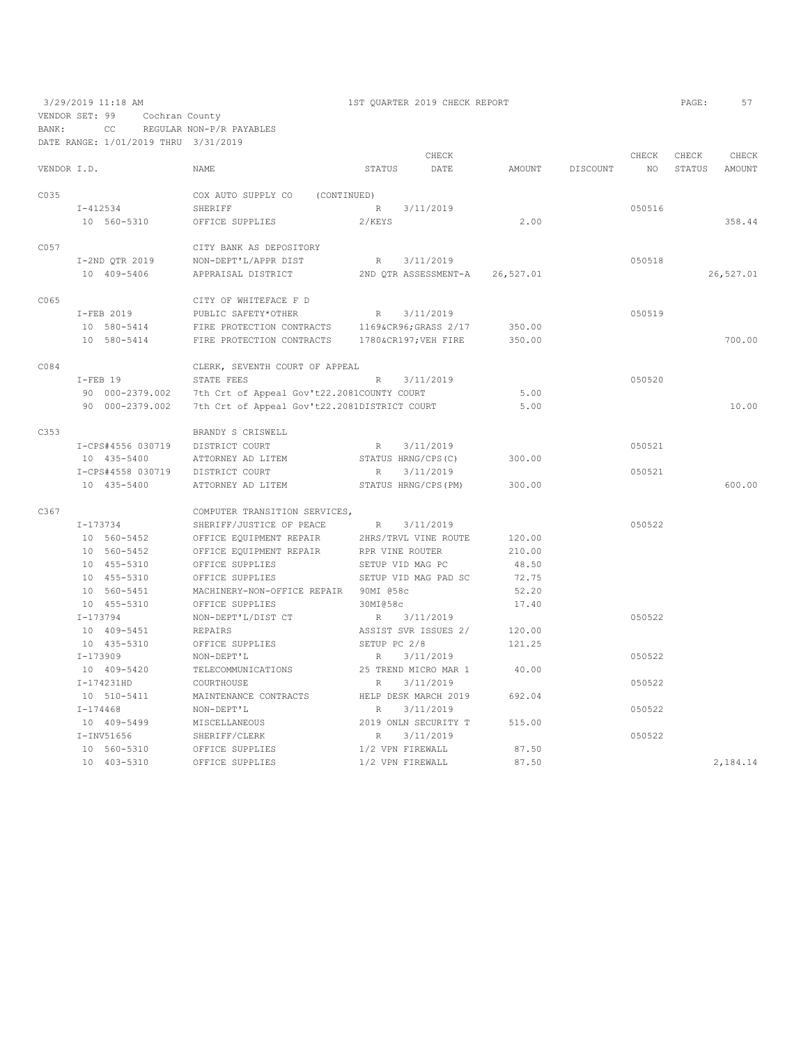|             |                   |                                                |                    | CHECK                |           |          | CHECK  | CHECK  | CHECK         |
|-------------|-------------------|------------------------------------------------|--------------------|----------------------|-----------|----------|--------|--------|---------------|
| VENDOR I.D. |                   | <b>NAME</b>                                    | STATUS             | DATE                 | AMOUNT    | DISCOUNT | NO.    | STATUS | <b>AMOUNT</b> |
| C035        |                   | COX AUTO SUPPLY CO<br>(CONTINUED)              |                    |                      |           |          |        |        |               |
|             | I-412534          | SHERIFF                                        | $R_{\perp}$        | 3/11/2019            |           |          | 050516 |        |               |
|             | 10 560-5310       | OFFICE SUPPLIES                                | 2/KEYS             |                      | 2.00      |          |        |        | 358.44        |
| C057        |                   | CITY BANK AS DEPOSITORY                        |                    |                      |           |          |        |        |               |
|             | I-2ND QTR 2019    | NON-DEPT'L/APPR DIST                           | R                  | 3/11/2019            |           |          | 050518 |        |               |
|             | 10 409-5406       | APPRAISAL DISTRICT                             |                    | 2ND OTR ASSESSMENT-A | 26,527.01 |          |        |        | 26,527.01     |
| C065        |                   | CITY OF WHITEFACE F D                          |                    |                      |           |          |        |        |               |
|             | I-FEB 2019        | PUBLIC SAFETY*OTHER                            | R                  | 3/11/2019            |           |          | 050519 |        |               |
|             | 10 580-5414       | FIRE PROTECTION CONTRACTS 1169&CR96 GRASS 2/17 |                    |                      | 350.00    |          |        |        |               |
|             | 10 580-5414       | FIRE PROTECTION CONTRACTS                      |                    | 1780&CR197VEH FIRE   | 350.00    |          |        |        | 700.00        |
| CO84        |                   | CLERK, SEVENTH COURT OF APPEAL                 |                    |                      |           |          |        |        |               |
|             | $I$ -FEB 19       | STATE FEES                                     | R                  | 3/11/2019            |           |          | 050520 |        |               |
|             | 90 000-2379.002   | 7th Crt of Appeal Gov't22.2081COUNTY COURT     |                    |                      | 5.00      |          |        |        |               |
|             | 90 000-2379.002   | 7th Crt of Appeal Gov't22.2081DISTRICT COURT   |                    |                      | 5.00      |          |        |        | 10.00         |
| C353        |                   | BRANDY S CRISWELL                              |                    |                      |           |          |        |        |               |
|             | I-CPS#4556 030719 | DISTRICT COURT                                 | R                  | 3/11/2019            |           |          | 050521 |        |               |
|             | 10 435-5400       | ATTORNEY AD LITEM                              | STATUS HRNG/CPS(C) |                      | 300.00    |          |        |        |               |
|             | I-CPS#4558 030719 | DISTRICT COURT                                 | R                  | 3/11/2019            |           |          | 050521 |        |               |
|             | 10 435-5400       | ATTORNEY AD LITEM                              |                    | STATUS HRNG/CPS (PM) | 300.00    |          |        |        | 600.00        |
| C367        |                   | COMPUTER TRANSITION SERVICES,                  |                    |                      |           |          |        |        |               |
|             | $I - 173734$      | SHERIFF/JUSTICE OF PEACE                       | R                  | 3/11/2019            |           |          | 050522 |        |               |
|             | 10 560-5452       | OFFICE EQUIPMENT REPAIR                        |                    | 2HRS/TRVL VINE ROUTE | 120.00    |          |        |        |               |
|             | 10 560-5452       | OFFICE EQUIPMENT REPAIR RPR VINE ROUTER        |                    |                      | 210.00    |          |        |        |               |
|             | 10 455-5310       | OFFICE SUPPLIES                                | SETUP VID MAG PC   |                      | 48.50     |          |        |        |               |
|             | 10 455-5310       | OFFICE SUPPLIES                                |                    | SETUP VID MAG PAD SC | 72.75     |          |        |        |               |
|             | 10 560-5451       | MACHINERY-NON-OFFICE REPAIR 90MI @58c          |                    |                      | 52.20     |          |        |        |               |
|             | 10 455-5310       | OFFICE SUPPLIES                                | 30MI058c           |                      | 17.40     |          |        |        |               |
|             | I-173794          | NON-DEPT'L/DIST CT                             | R                  | 3/11/2019            |           |          | 050522 |        |               |
|             | 10 409-5451       | REPAIRS                                        |                    | ASSIST SVR ISSUES 2/ | 120.00    |          |        |        |               |
|             | 10 435-5310       | OFFICE SUPPLIES                                | SETUP PC 2/8       |                      | 121.25    |          |        |        |               |
|             | I-173909          | NON-DEPT'L                                     | R                  | 3/11/2019            |           |          | 050522 |        |               |
|             | 10 409-5420       | TELECOMMUNICATIONS                             |                    | 25 TREND MICRO MAR 1 | 40.00     |          |        |        |               |
|             | I-174231HD        | COURTHOUSE                                     | R                  | 3/11/2019            |           |          | 050522 |        |               |
|             | 10 510-5411       | MAINTENANCE CONTRACTS                          |                    | HELP DESK MARCH 2019 | 692.04    |          |        |        |               |
|             | $I - 174468$      | NON-DEPT'L                                     | R                  | 3/11/2019            |           |          | 050522 |        |               |
|             | 10 409-5499       | MISCELLANEOUS                                  |                    | 2019 ONLN SECURITY T | 515.00    |          |        |        |               |
|             | $I-INV51656$      | SHERIFF/CLERK                                  | $\mathbb R$        | 3/11/2019            |           |          | 050522 |        |               |
|             | 10 560-5310       | OFFICE SUPPLIES                                | 1/2 VPN FIREWALL   |                      | 87.50     |          |        |        |               |
|             | 10 403-5310       | OFFICE SUPPLIES                                | 1/2 VPN FIREWALL   |                      | 87.50     |          |        |        | 2,184.14      |
|             |                   |                                                |                    |                      |           |          |        |        |               |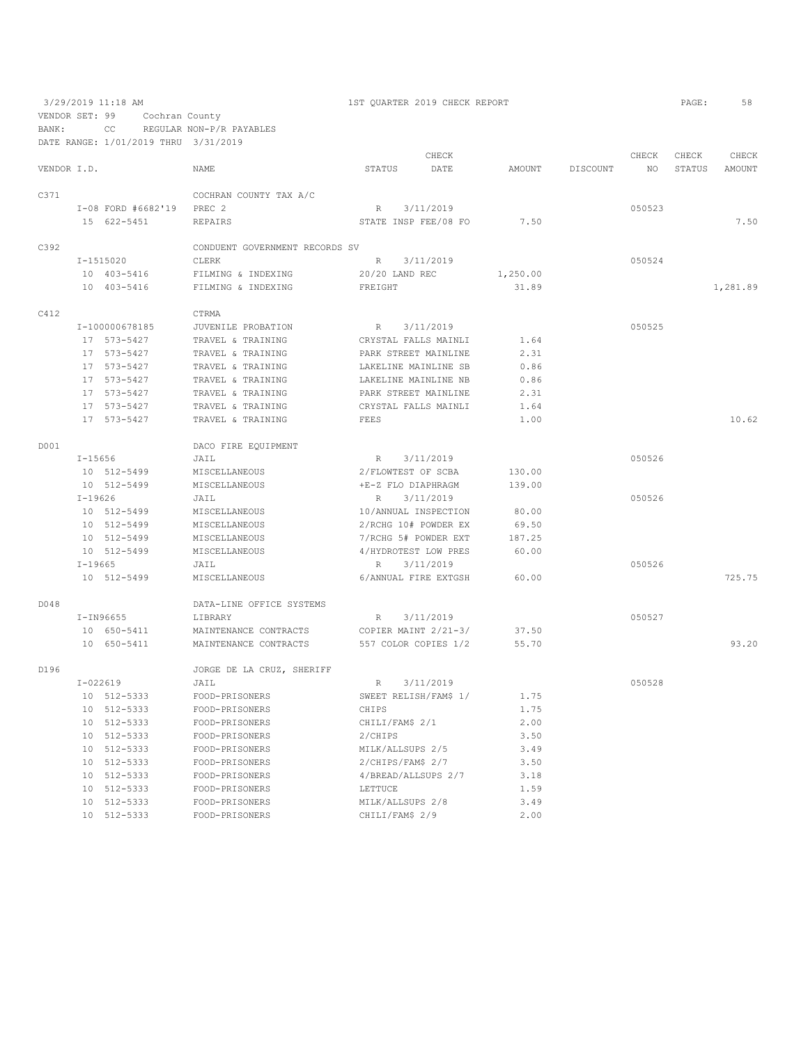VENDOR SET: 99 Cochran County

BANK: CC REGULAR NON-P/R PAYABLES

DATE RANGE: 1/01/2019 THRU 3/31/2019

|             |             |                    |                                |                       | CHECK     |          |          | CHECK  | CHECK  | CHECK    |
|-------------|-------------|--------------------|--------------------------------|-----------------------|-----------|----------|----------|--------|--------|----------|
| VENDOR I.D. |             |                    | NAME                           | STATUS                | DATE      | AMOUNT   | DISCOUNT | NO.    | STATUS | AMOUNT   |
| C371        |             |                    | COCHRAN COUNTY TAX A/C         |                       |           |          |          |        |        |          |
|             |             | I-08 FORD #6682'19 | PREC <sub>2</sub>              | R                     | 3/11/2019 |          |          | 050523 |        |          |
|             |             | 15 622-5451        | REPAIRS                        | STATE INSP FEE/08 FO  |           | 7.50     |          |        |        | 7.50     |
| C392        |             |                    | CONDUENT GOVERNMENT RECORDS SV |                       |           |          |          |        |        |          |
|             |             | $I - 1515020$      | CLERK                          | R                     | 3/11/2019 |          |          | 050524 |        |          |
|             |             | 10 403-5416        | FILMING & INDEXING             | 20/20 LAND REC        |           | 1,250.00 |          |        |        |          |
|             |             | 10 403-5416        | FILMING & INDEXING             | FREIGHT               |           | 31.89    |          |        |        | 1,281.89 |
| C412        |             |                    | CTRMA                          |                       |           |          |          |        |        |          |
|             |             | I-100000678185     | JUVENILE PROBATION             | R                     | 3/11/2019 |          |          | 050525 |        |          |
|             |             | 17 573-5427        | TRAVEL & TRAINING              | CRYSTAL FALLS MAINLI  |           | 1.64     |          |        |        |          |
|             |             | 17 573-5427        | TRAVEL & TRAINING              | PARK STREET MAINLINE  |           | 2.31     |          |        |        |          |
|             |             | 17 573-5427        | TRAVEL & TRAINING              | LAKELINE MAINLINE SB  |           | 0.86     |          |        |        |          |
|             |             | 17 573-5427        | TRAVEL & TRAINING              | LAKELINE MAINLINE NB  |           | 0.86     |          |        |        |          |
|             |             | 17 573-5427        | TRAVEL & TRAINING              | PARK STREET MAINLINE  |           | 2.31     |          |        |        |          |
|             |             | 17 573-5427        | TRAVEL & TRAINING              | CRYSTAL FALLS MAINLI  |           | 1.64     |          |        |        |          |
|             |             | 17 573-5427        | TRAVEL & TRAINING              | FEES                  |           | 1.00     |          |        |        | 10.62    |
| D001        |             |                    | DACO FIRE EQUIPMENT            |                       |           |          |          |        |        |          |
|             | $I - 15656$ |                    | JAIL                           | R                     | 3/11/2019 |          |          | 050526 |        |          |
|             |             | 10 512-5499        | MISCELLANEOUS                  | 2/FLOWTEST OF SCBA    |           | 130.00   |          |        |        |          |
|             |             | 10 512-5499        | <b>MISCELLANEOUS</b>           | +E-Z FLO DIAPHRAGM    |           | 139.00   |          |        |        |          |
|             | $I-19626$   |                    | JAIL                           | R                     | 3/11/2019 |          |          | 050526 |        |          |
|             |             | 10 512-5499        | MISCELLANEOUS                  | 10/ANNUAL INSPECTION  |           | 80.00    |          |        |        |          |
|             |             | 10 512-5499        | MISCELLANEOUS                  | 2/RCHG 10# POWDER EX  |           | 69.50    |          |        |        |          |
|             |             | 10 512-5499        | MISCELLANEOUS                  | 7/RCHG 5# POWDER EXT  |           | 187.25   |          |        |        |          |
|             |             | 10 512-5499        | MISCELLANEOUS                  | 4/HYDROTEST LOW PRES  |           | 60.00    |          |        |        |          |
|             | $I-19665$   |                    | JAIL                           | R                     | 3/11/2019 |          |          | 050526 |        |          |
|             |             | 10 512-5499        | MISCELLANEOUS                  | 6/ANNUAL FIRE EXTGSH  |           | 60.00    |          |        |        | 725.75   |
| D048        |             |                    | DATA-LINE OFFICE SYSTEMS       |                       |           |          |          |        |        |          |
|             |             | $I-IN96655$        | LIBRARY                        | R                     | 3/11/2019 |          |          | 050527 |        |          |
|             |             | 10 650-5411        | MAINTENANCE CONTRACTS          | COPIER MAINT 2/21-3/  |           | 37.50    |          |        |        |          |
|             |             | 10 650-5411        | MAINTENANCE CONTRACTS          | 557 COLOR COPIES 1/2  |           | 55.70    |          |        |        | 93.20    |
| D196        |             |                    | JORGE DE LA CRUZ, SHERIFF      |                       |           |          |          |        |        |          |
|             | $I-022619$  |                    | JAIL                           | R                     | 3/11/2019 |          |          | 050528 |        |          |
|             |             | 10 512-5333        | FOOD-PRISONERS                 | SWEET RELISH/FAM\$ 1/ |           | 1.75     |          |        |        |          |
|             |             | 10 512-5333        | FOOD-PRISONERS                 | CHIPS                 |           | 1.75     |          |        |        |          |
|             |             | 10 512-5333        | FOOD-PRISONERS                 | CHILI/FAM\$ 2/1       |           | 2.00     |          |        |        |          |
|             |             | 10 512-5333        | FOOD-PRISONERS                 | 2/CHIPS               |           | 3.50     |          |        |        |          |
|             |             | 10 512-5333        | FOOD-PRISONERS                 | MILK/ALLSUPS 2/5      |           | 3.49     |          |        |        |          |
|             |             | 10 512-5333        | FOOD-PRISONERS                 | 2/CHIPS/FAM\$ 2/7     |           | 3.50     |          |        |        |          |
|             |             | 10 512-5333        | FOOD-PRISONERS                 | 4/BREAD/ALLSUPS 2/7   |           | 3.18     |          |        |        |          |
|             |             | 10 512-5333        | FOOD-PRISONERS                 | LETTUCE               |           | 1.59     |          |        |        |          |
|             |             | 10 512-5333        | FOOD-PRISONERS                 | MILK/ALLSUPS 2/8      |           | 3.49     |          |        |        |          |
|             |             | 10 512-5333        | FOOD-PRISONERS                 | CHILI/FAM\$ 2/9       |           | 2.00     |          |        |        |          |

3/29/2019 11:18 AM 1ST QUARTER 2019 CHECK REPORT PAGE: 58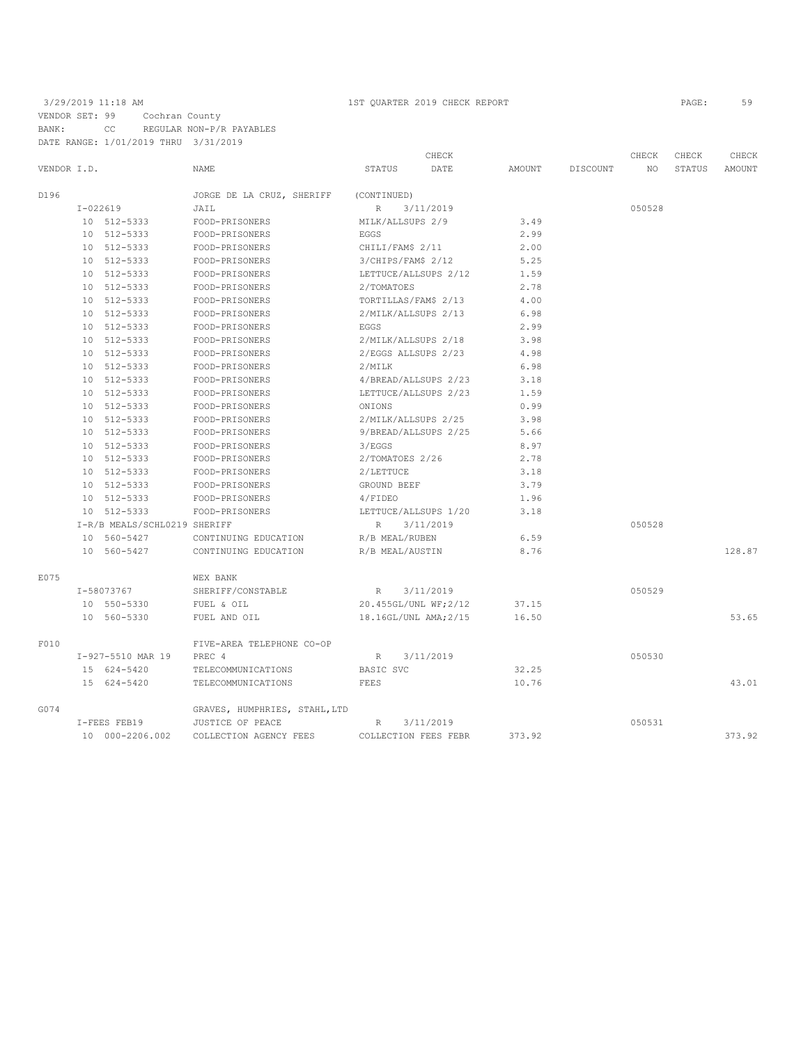|             |            |                              |                               |                       | CHECK     |        |          | CHECK  | CHECK  | CHECK  |
|-------------|------------|------------------------------|-------------------------------|-----------------------|-----------|--------|----------|--------|--------|--------|
| VENDOR I.D. |            |                              | NAME                          | STATUS                | DATE      | AMOUNT | DISCOUNT | ΝO     | STATUS | AMOUNT |
| D196        |            |                              | JORGE DE LA CRUZ, SHERIFF     | (CONTINUED)           |           |        |          |        |        |        |
|             | $I-022619$ |                              | JAIL                          | R                     | 3/11/2019 |        |          | 050528 |        |        |
|             |            | 10 512-5333                  | FOOD-PRISONERS                | MILK/ALLSUPS 2/9      |           | 3.49   |          |        |        |        |
|             |            | 10 512-5333                  | FOOD-PRISONERS                | EGGS                  |           | 2.99   |          |        |        |        |
|             |            | 10 512-5333                  | FOOD-PRISONERS                | CHILI/FAM\$ 2/11      |           | 2.00   |          |        |        |        |
|             |            | 10 512-5333                  | FOOD-PRISONERS                | 3/CHIPS/FAM\$ 2/12    |           | 5.25   |          |        |        |        |
|             |            | 10 512-5333                  | FOOD-PRISONERS                | LETTUCE/ALLSUPS 2/12  |           | 1.59   |          |        |        |        |
|             |            | 10 512-5333                  | FOOD-PRISONERS                | 2/TOMATOES            |           | 2.78   |          |        |        |        |
|             |            | 10 512-5333                  | FOOD-PRISONERS                | TORTILLAS/FAM\$ 2/13  |           | 4.00   |          |        |        |        |
|             |            | 10 512-5333                  | FOOD-PRISONERS                | 2/MILK/ALLSUPS 2/13   |           | 6.98   |          |        |        |        |
|             |            | 10 512-5333                  | FOOD-PRISONERS                | EGGS                  |           | 2.99   |          |        |        |        |
|             |            | 10 512-5333                  | FOOD-PRISONERS                | 2/MILK/ALLSUPS 2/18   |           | 3.98   |          |        |        |        |
|             |            | 10 512-5333                  | FOOD-PRISONERS                | 2/EGGS ALLSUPS 2/23   |           | 4.98   |          |        |        |        |
|             |            | 10 512-5333                  | FOOD-PRISONERS                | 2/MILK                |           | 6.98   |          |        |        |        |
|             |            | 10 512-5333                  | FOOD-PRISONERS                | 4/BREAD/ALLSUPS 2/23  |           | 3.18   |          |        |        |        |
|             |            | 10 512-5333                  | FOOD-PRISONERS                | LETTUCE/ALLSUPS 2/23  |           | 1.59   |          |        |        |        |
|             |            | 10 512-5333                  | FOOD-PRISONERS                | ONIONS                |           | 0.99   |          |        |        |        |
|             |            | 10 512-5333                  | FOOD-PRISONERS                | 2/MILK/ALLSUPS 2/25   |           | 3.98   |          |        |        |        |
|             |            | 10 512-5333                  | FOOD-PRISONERS                | 9/BREAD/ALLSUPS 2/25  |           | 5.66   |          |        |        |        |
|             |            | 10 512-5333                  | FOOD-PRISONERS                | 3/EGGS                |           | 8.97   |          |        |        |        |
|             |            | 10 512-5333                  | FOOD-PRISONERS                | 2/TOMATOES 2/26       |           | 2.78   |          |        |        |        |
|             |            | 10 512-5333                  | FOOD-PRISONERS                | 2/LETTUCE             |           | 3.18   |          |        |        |        |
|             |            | 10 512-5333                  | FOOD-PRISONERS                | GROUND BEEF           |           | 3.79   |          |        |        |        |
|             |            | 10 512-5333                  | FOOD-PRISONERS                | 4/FIDEO               |           | 1.96   |          |        |        |        |
|             |            | 10 512-5333                  | FOOD-PRISONERS                | LETTUCE/ALLSUPS 1/20  |           | 3.18   |          |        |        |        |
|             |            | I-R/B MEALS/SCHL0219 SHERIFF |                               | R                     | 3/11/2019 |        |          | 050528 |        |        |
|             |            | 10 560-5427                  | CONTINUING EDUCATION          | R/B MEAL/RUBEN        |           | 6.59   |          |        |        |        |
|             |            | 10 560-5427                  | CONTINUING EDUCATION          | R/B MEAL/AUSTIN       |           | 8.76   |          |        |        | 128.87 |
| E075        |            |                              | WEX BANK                      |                       |           |        |          |        |        |        |
|             |            | I-58073767                   | SHERIFF/CONSTABLE             | R                     | 3/11/2019 |        |          | 050529 |        |        |
|             |            | 10 550-5330                  | FUEL & OIL                    | 20.455GL/UNL WF; 2/12 |           | 37.15  |          |        |        |        |
|             |            | 10 560-5330                  | FUEL AND OIL                  | 18.16GL/UNL AMA; 2/15 |           | 16.50  |          |        |        | 53.65  |
| F010        |            |                              | FIVE-AREA TELEPHONE CO-OP     |                       |           |        |          |        |        |        |
|             |            | I-927-5510 MAR 19            | PREC 4                        | $\mathbb{R}$          | 3/11/2019 |        |          | 050530 |        |        |
|             |            | 15 624-5420                  | TELECOMMUNICATIONS            | BASIC SVC             |           | 32.25  |          |        |        |        |
|             |            | 15 624-5420                  | TELECOMMUNICATIONS            | FEES                  |           | 10.76  |          |        |        | 43.01  |
| G074        |            |                              | GRAVES, HUMPHRIES, STAHL, LTD |                       |           |        |          |        |        |        |
|             |            | I-FEES FEB19                 | JUSTICE OF PEACE              | $\mathbb{R}$          | 3/11/2019 |        |          | 050531 |        |        |
|             |            | 10 000-2206.002              | COLLECTION AGENCY FEES        | COLLECTION FEES FEBR  |           | 373.92 |          |        |        | 373.92 |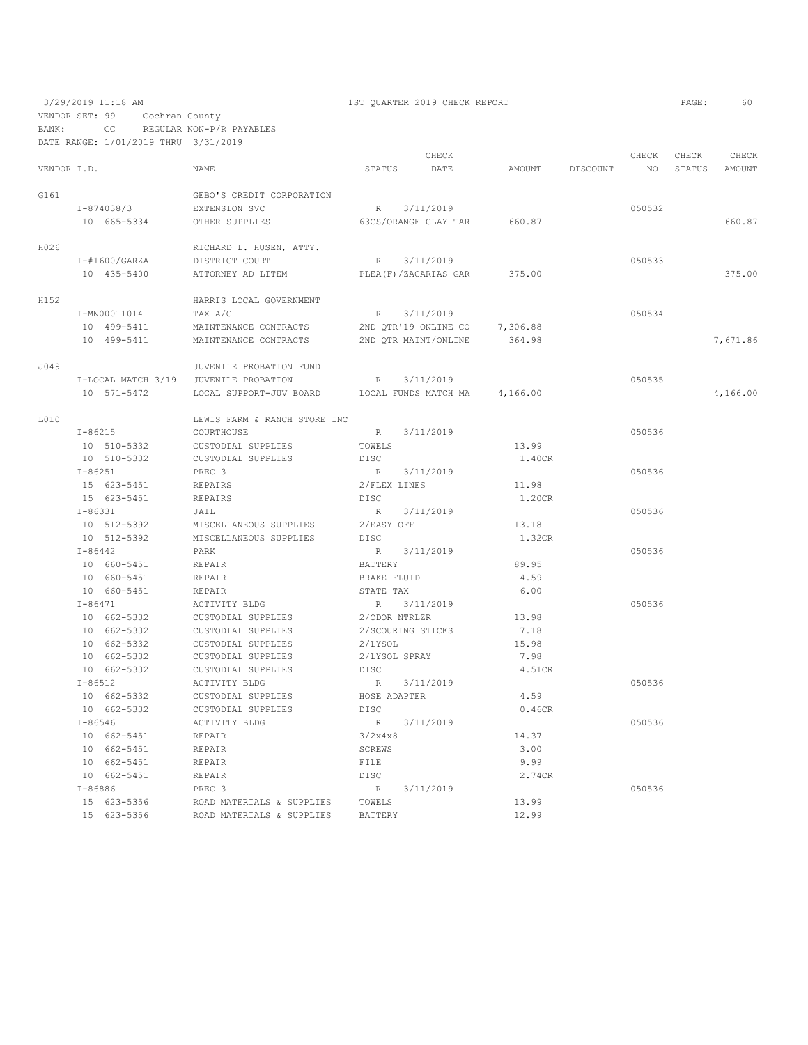3/29/2019 11:18 AM 1ST QUARTER 2019 CHECK REPORT PAGE: 60 VENDOR SET: 99 Cochran County BANK: CC REGULAR NON-P/R PAYABLES

|             |             | DATE RANGE: 1/01/2019 THRU 3/31/2019 |                                       |                |                         |                               |                 |             |               |
|-------------|-------------|--------------------------------------|---------------------------------------|----------------|-------------------------|-------------------------------|-----------------|-------------|---------------|
|             |             |                                      |                                       |                | CHECK                   |                               |                 | CHECK CHECK | CHECK         |
| VENDOR I.D. |             |                                      | <b>NAME</b>                           | STATUS         | DATE                    | AMOUNT DISCOUNT               | NO <sub>1</sub> |             | STATUS AMOUNT |
| G161        |             |                                      | GEBO'S CREDIT CORPORATION             |                |                         |                               |                 |             |               |
|             |             | I-874038/3                           | EXTENSION SVC                         | R              | 3/11/2019               |                               | 050532          |             |               |
|             |             | 10 665-5334                          | OTHER SUPPLIES                        |                |                         | 63CS/ORANGE CLAY TAR 660.87   |                 |             | 660.87        |
|             |             |                                      |                                       |                |                         |                               |                 |             |               |
| H026        |             |                                      | RICHARD L. HUSEN, ATTY.               |                |                         |                               |                 |             |               |
|             |             | $I - #1600/GARZA$                    | DISTRICT COURT                        |                | R 3/11/2019             |                               | 050533          |             |               |
|             |             | 10 435-5400                          | ATTORNEY AD LITEM                     |                | PLEA (F) / ZACARIAS GAR | 375.00                        |                 |             | 375.00        |
| H152        |             |                                      | HARRIS LOCAL GOVERNMENT               |                |                         |                               |                 |             |               |
|             |             | I-MN00011014                         | TAX A/C                               |                | R 3/11/2019             |                               | 050534          |             |               |
|             |             | 10 499-5411                          | MAINTENANCE CONTRACTS                 |                | 2ND OTR'19 ONLINE CO    | 7,306.88                      |                 |             |               |
|             |             | 10 499-5411                          | MAINTENANCE CONTRACTS                 |                | 2ND QTR MAINT/ONLINE    | 364.98                        |                 |             | 7,671.86      |
| J049        |             |                                      | JUVENILE PROBATION FUND               |                |                         |                               |                 |             |               |
|             |             |                                      | I-LOCAL MATCH 3/19 JUVENILE PROBATION |                | R 3/11/2019             |                               | 050535          |             |               |
|             |             | 10 571-5472                          | LOCAL SUPPORT-JUV BOARD               |                |                         | LOCAL FUNDS MATCH MA 4,166.00 |                 |             | 4,166.00      |
| L010        |             |                                      | LEWIS FARM & RANCH STORE INC          |                |                         |                               |                 |             |               |
|             |             | I-86215                              | COURTHOUSE                            |                | R 3/11/2019             |                               | 050536          |             |               |
|             |             | 10 510-5332                          | CUSTODIAL SUPPLIES                    | TOWELS         |                         | 13.99                         |                 |             |               |
|             |             | 10 510-5332                          | CUSTODIAL SUPPLIES                    | DISC           |                         | 1.40CR                        |                 |             |               |
|             | $I - 86251$ |                                      | PREC <sub>3</sub>                     |                | R 3/11/2019             |                               | 050536          |             |               |
|             |             | 15 623-5451                          | REPAIRS                               | 2/FLEX LINES   |                         | 11.98                         |                 |             |               |
|             |             | 15 623-5451                          | REPAIRS                               | DISC           |                         | 1.20CR                        |                 |             |               |
|             | $I - 86331$ |                                      | JAIL                                  |                | R 3/11/2019             |                               | 050536          |             |               |
|             |             | 10 512-5392                          | MISCELLANEOUS SUPPLIES                | 2/EASY OFF     |                         | 13.18                         |                 |             |               |
|             |             | 10 512-5392                          | MISCELLANEOUS SUPPLIES                | DISC           |                         | 1.32CR                        |                 |             |               |
|             | $I - 86442$ |                                      | PARK                                  |                | R 3/11/2019             |                               | 050536          |             |               |
|             |             | 10 660-5451                          | REPAIR                                | BATTERY        |                         | 89.95                         |                 |             |               |
|             |             | 10 660-5451                          | REPAIR                                |                | BRAKE FLUID             | 4.59                          |                 |             |               |
|             |             | 10 660-5451                          | REPAIR                                | STATE TAX      |                         | 6.00                          |                 |             |               |
|             | $I - 86471$ |                                      | ACTIVITY BLDG                         |                | R 3/11/2019             |                               | 050536          |             |               |
|             |             | 10 662-5332                          | CUSTODIAL SUPPLIES                    |                | 2/ODOR NTRLZR           | 13.98                         |                 |             |               |
|             |             | 10 662-5332                          | CUSTODIAL SUPPLIES                    |                | 2/SCOURING STICKS       | 7.18                          |                 |             |               |
|             |             | 10 662-5332                          | CUSTODIAL SUPPLIES                    | 2/LYSOL        |                         | 15.98                         |                 |             |               |
|             |             | 10 662-5332                          | CUSTODIAL SUPPLIES                    |                | 2/LYSOL SPRAY           | 7.98                          |                 |             |               |
|             |             | 10 662-5332                          | CUSTODIAL SUPPLIES                    | DISC           |                         | 4.51CR                        |                 |             |               |
|             | $I - 86512$ |                                      | ACTIVITY BLDG                         | R              | 3/11/2019               |                               | 050536          |             |               |
|             |             | 10 662-5332                          | CUSTODIAL SUPPLIES                    | HOSE ADAPTER   |                         | 4.59                          |                 |             |               |
|             |             | 10 662-5332                          | CUSTODIAL SUPPLIES                    | DISC           |                         | 0.46CR                        |                 |             |               |
|             | $I - 86546$ |                                      | ACTIVITY BLDG                         |                | R 3/11/2019             |                               | 050536          |             |               |
|             |             | 10 662-5451                          | REPAIR                                | 3/2x4x8        |                         | 14.37                         |                 |             |               |
|             |             | 10 662-5451                          | REPAIR                                | SCREWS         |                         | 3.00                          |                 |             |               |
|             |             | 10 662-5451                          | REPAIR                                | FILE           |                         | 9.99                          |                 |             |               |
|             |             | 10 662-5451                          | REPAIR                                | DT SC          |                         | 2.74CR                        |                 |             |               |
|             | $I - 86886$ |                                      | PREC 3                                |                | R 3/11/2019             |                               | 050536          |             |               |
|             |             | 15 623-5356                          | ROAD MATERIALS & SUPPLIES TOWELS      |                |                         | 13.99                         |                 |             |               |
|             |             | 15 623-5356                          | ROAD MATERIALS & SUPPLIES             | <b>BATTERY</b> |                         | 12.99                         |                 |             |               |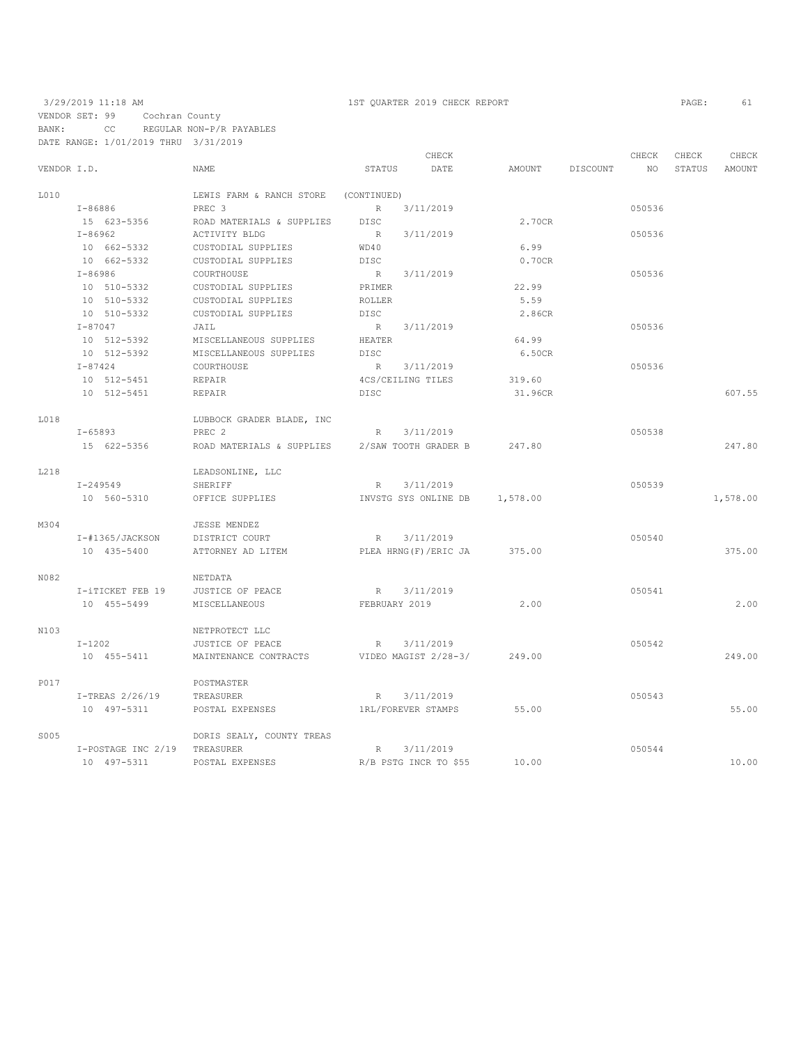# 3/29/2019 11:18 AM 1ST QUARTER 2019 CHECK REPORT PAGE: 61 VENDOR SET: 99 Cochran County

BANK: CC REGULAR NON-P/R PAYABLES DATE RANGE: 1/01/2019 THRU 3/31/2019

|             |                              |                           | CHECK                       |          |          | CHECK  | CHECK  | CHECK    |
|-------------|------------------------------|---------------------------|-----------------------------|----------|----------|--------|--------|----------|
| VENDOR I.D. |                              | NAME                      | STATUS<br>DATE              | AMOUNT   | DISCOUNT | NO     | STATUS | AMOUNT   |
| L010        |                              | LEWIS FARM & RANCH STORE  | (CONTINUED)                 |          |          |        |        |          |
|             | I-86886                      | PREC 3                    | 3/11/2019<br>R              |          |          | 050536 |        |          |
|             | 15 623-5356                  | ROAD MATERIALS & SUPPLIES | <b>DISC</b>                 | 2.70CR   |          |        |        |          |
|             | $I - 86962$                  | ACTIVITY BLDG             | 3/11/2019<br>R              |          |          | 050536 |        |          |
|             | 10 662-5332                  | CUSTODIAL SUPPLIES        | WD40                        | 6.99     |          |        |        |          |
|             | 10 662-5332                  | CUSTODIAL SUPPLIES        | <b>DISC</b>                 | 0.70CR   |          |        |        |          |
|             | I-86986                      | COURTHOUSE                | 3/11/2019<br>R              |          |          | 050536 |        |          |
|             | 10 510-5332                  | CUSTODIAL SUPPLIES        | PRIMER                      | 22.99    |          |        |        |          |
|             | 10 510-5332                  | CUSTODIAL SUPPLIES        | ROLLER                      | 5.59     |          |        |        |          |
|             | 10 510-5332                  | CUSTODIAL SUPPLIES        | <b>DISC</b>                 | 2.86CR   |          |        |        |          |
|             | $I - 87047$                  | JAIL                      | R 3/11/2019                 |          |          | 050536 |        |          |
|             | 10 512-5392                  | MISCELLANEOUS SUPPLIES    | HEATER                      | 64.99    |          |        |        |          |
|             | 10 512-5392                  | MISCELLANEOUS SUPPLIES    | DISC                        | 6.50CR   |          |        |        |          |
|             | $I - 87424$                  | COURTHOUSE                | R<br>3/11/2019              |          |          | 050536 |        |          |
|             | 10 512-5451                  | REPAIR                    | 4CS/CEILING TILES           | 319.60   |          |        |        |          |
|             | 10 512-5451                  | REPAIR                    | <b>DISC</b>                 | 31.96CR  |          |        |        | 607.55   |
| L018        |                              | LUBBOCK GRADER BLADE, INC |                             |          |          |        |        |          |
|             | $I - 65893$                  | PREC <sub>2</sub>         | 3/11/2019<br>R              |          |          | 050538 |        |          |
|             | 15 622-5356                  | ROAD MATERIALS & SUPPLIES | 2/SAW TOOTH GRADER B        | 247.80   |          |        |        | 247.80   |
| L218        |                              | LEADSONLINE, LLC          |                             |          |          |        |        |          |
|             | I-249549                     | SHERIFF                   | 3/11/2019<br>R              |          |          | 050539 |        |          |
|             | 10 560-5310                  | OFFICE SUPPLIES           | INVSTG SYS ONLINE DB        | 1,578.00 |          |        |        | 1,578.00 |
| M304        |                              | JESSE MENDEZ              |                             |          |          |        |        |          |
|             | I-#1365/JACKSON              | DISTRICT COURT            | 3/11/2019<br>R              |          |          | 050540 |        |          |
|             | 10 435-5400                  | ATTORNEY AD LITEM         | PLEA HRNG(F)/ERIC JA        | 375.00   |          |        |        | 375.00   |
| N082        |                              | NETDATA                   |                             |          |          |        |        |          |
|             | I-iTICKET FEB 19             | JUSTICE OF PEACE          | R 3/11/2019                 |          |          | 050541 |        |          |
|             | 10 455-5499                  | MISCELLANEOUS             | FEBRUARY 2019               | 2.00     |          |        |        | 2.00     |
| N103        |                              | NETPROTECT LLC            |                             |          |          |        |        |          |
|             | $I-1202$                     | JUSTICE OF PEACE          | R 3/11/2019                 |          |          | 050542 |        |          |
|             | 10 455-5411                  | MAINTENANCE CONTRACTS     | VIDEO MAGIST 2/28-3/        | 249.00   |          |        |        | 249.00   |
| P017        |                              | POSTMASTER                |                             |          |          |        |        |          |
|             | $I-TEREAS$ 2/26/19           | TREASURER                 | 3/11/2019<br>R              |          |          | 050543 |        |          |
|             | 10 497-5311                  | POSTAL EXPENSES           | 1RL/FOREVER STAMPS          | 55.00    |          |        |        | 55.00    |
| S005        |                              | DORIS SEALY, COUNTY TREAS |                             |          |          |        |        |          |
|             | I-POSTAGE INC 2/19 TREASURER |                           | 3/11/2019<br>R              |          |          | 050544 |        |          |
|             | 10 497-5311                  | POSTAL EXPENSES           | R/B PSTG INCR TO \$55 10.00 |          |          |        |        | 10.00    |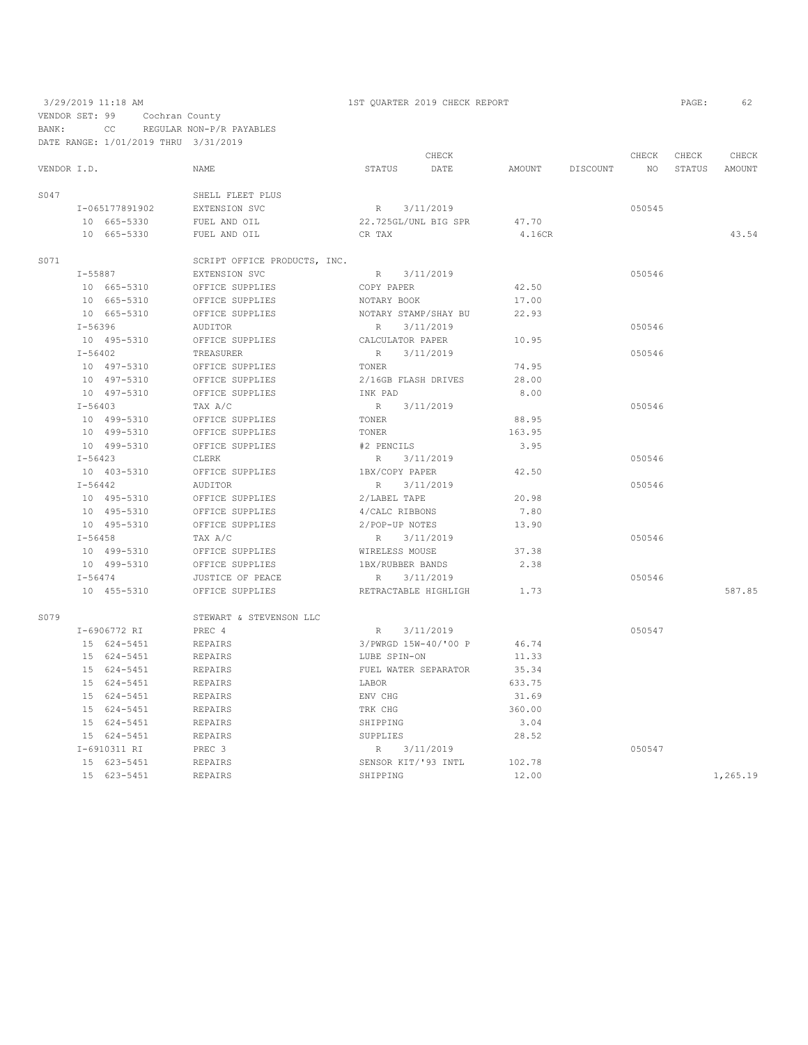|             |             |                |                              |                  | CHECK                |        |          | CHECK  | CHECK  | CHECK    |
|-------------|-------------|----------------|------------------------------|------------------|----------------------|--------|----------|--------|--------|----------|
| VENDOR I.D. |             |                | NAME                         | STATUS           | DATE                 | AMOUNT | DISCOUNT | NO     | STATUS | AMOUNT   |
| S047        |             |                | SHELL FLEET PLUS             |                  |                      |        |          |        |        |          |
|             |             | I-065177891902 | EXTENSION SVC                | R 3/11/2019      |                      |        |          | 050545 |        |          |
|             |             | 10 665-5330    | FUEL AND OIL                 |                  | 22.725GL/UNL BIG SPR | 47.70  |          |        |        |          |
|             |             | 10 665-5330    | FUEL AND OIL                 | CR TAX           |                      | 4.16CR |          |        |        | 43.54    |
| S071        |             |                | SCRIPT OFFICE PRODUCTS, INC. |                  |                      |        |          |        |        |          |
|             |             | I-55887        | EXTENSION SVC                |                  | R 3/11/2019          |        |          | 050546 |        |          |
|             |             | 10 665-5310    | OFFICE SUPPLIES              | COPY PAPER       |                      | 42.50  |          |        |        |          |
|             |             | 10 665-5310    | OFFICE SUPPLIES              | NOTARY BOOK      |                      | 17.00  |          |        |        |          |
|             |             | 10 665-5310    | OFFICE SUPPLIES              |                  | NOTARY STAMP/SHAY BU | 22.93  |          |        |        |          |
|             | $I - 56396$ |                | AUDITOR                      | R                | 3/11/2019            |        |          | 050546 |        |          |
|             |             | 10 495-5310    | OFFICE SUPPLIES              | CALCULATOR PAPER |                      | 10.95  |          |        |        |          |
|             | $I - 56402$ |                | TREASURER                    | R                | 3/11/2019            |        |          | 050546 |        |          |
|             |             | 10 497-5310    | OFFICE SUPPLIES              | TONER            |                      | 74.95  |          |        |        |          |
|             |             | 10 497-5310    | OFFICE SUPPLIES              |                  | 2/16GB FLASH DRIVES  | 28.00  |          |        |        |          |
|             |             | 10 497-5310    | OFFICE SUPPLIES              | INK PAD          |                      | 8.00   |          |        |        |          |
|             | $I - 56403$ |                | TAX A/C                      | R                | 3/11/2019            |        |          | 050546 |        |          |
|             |             | 10 499-5310    | OFFICE SUPPLIES              | TONER            |                      | 88.95  |          |        |        |          |
|             |             | 10 499-5310    | OFFICE SUPPLIES              | TONER            |                      | 163.95 |          |        |        |          |
|             |             | 10 499-5310    | OFFICE SUPPLIES              | #2 PENCILS       |                      | 3.95   |          |        |        |          |
|             | $I - 56423$ |                | CLERK                        | R 3/11/2019      |                      |        |          | 050546 |        |          |
|             |             | 10 403-5310    | OFFICE SUPPLIES              | 1BX/COPY PAPER   |                      | 42.50  |          |        |        |          |
|             | $I - 56442$ |                | AUDITOR                      | $R$ and $R$      | 3/11/2019            |        |          | 050546 |        |          |
|             |             | 10 495-5310    | OFFICE SUPPLIES              | 2/LABEL TAPE     |                      | 20.98  |          |        |        |          |
|             |             | 10 495-5310    | OFFICE SUPPLIES              | 4/CALC RIBBONS   |                      | 7.80   |          |        |        |          |
|             |             | 10 495-5310    | OFFICE SUPPLIES              | 2/POP-UP NOTES   |                      | 13.90  |          |        |        |          |
|             | $I - 56458$ |                | TAX A/C                      | R                | 3/11/2019            |        |          | 050546 |        |          |
|             |             | 10 499-5310    | OFFICE SUPPLIES              | WIRELESS MOUSE   |                      | 37.38  |          |        |        |          |
|             |             | 10 499-5310    | OFFICE SUPPLIES              | 1BX/RUBBER BANDS |                      | 2.38   |          |        |        |          |
|             | $I - 56474$ |                | JUSTICE OF PEACE             | R                | 3/11/2019            |        |          | 050546 |        |          |
|             |             | 10 455-5310    | OFFICE SUPPLIES              |                  | RETRACTABLE HIGHLIGH | 1.73   |          |        |        | 587.85   |
| S079        |             |                | STEWART & STEVENSON LLC      |                  |                      |        |          |        |        |          |
|             |             | I-6906772 RI   | PREC 4                       |                  | R 3/11/2019          |        |          | 050547 |        |          |
|             |             | 15 624-5451    | <b>REPAIRS</b>               |                  | 3/PWRGD 15W-40/'00 P | 46.74  |          |        |        |          |
|             |             | 15 624-5451    | <b>REPAIRS</b>               | LUBE SPIN-ON     |                      | 11.33  |          |        |        |          |
|             |             | 15 624-5451    | <b>REPAIRS</b>               |                  | FUEL WATER SEPARATOR | 35.34  |          |        |        |          |
|             |             | 15 624-5451    | <b>REPAIRS</b>               | LABOR            |                      | 633.75 |          |        |        |          |
|             |             | 15 624-5451    | REPAIRS                      | ENV CHG          |                      | 31.69  |          |        |        |          |
|             |             | 15 624-5451    | <b>REPAIRS</b>               | TRK CHG          |                      | 360.00 |          |        |        |          |
|             |             | 15 624-5451    | <b>REPAIRS</b>               | SHIPPING         |                      | 3.04   |          |        |        |          |
|             |             | 15 624-5451    | REPAIRS                      | SUPPLIES         |                      | 28.52  |          |        |        |          |
|             |             | I-6910311 RI   | PREC 3                       | R 3/11/2019      |                      |        |          | 050547 |        |          |
|             |             | 15 623-5451    | <b>REPAIRS</b>               |                  | SENSOR KIT/'93 INTL  | 102.78 |          |        |        |          |
|             |             | 15 623-5451    | <b>REPAIRS</b>               | SHIPPING         |                      | 12.00  |          |        |        | 1,265.19 |
|             |             |                |                              |                  |                      |        |          |        |        |          |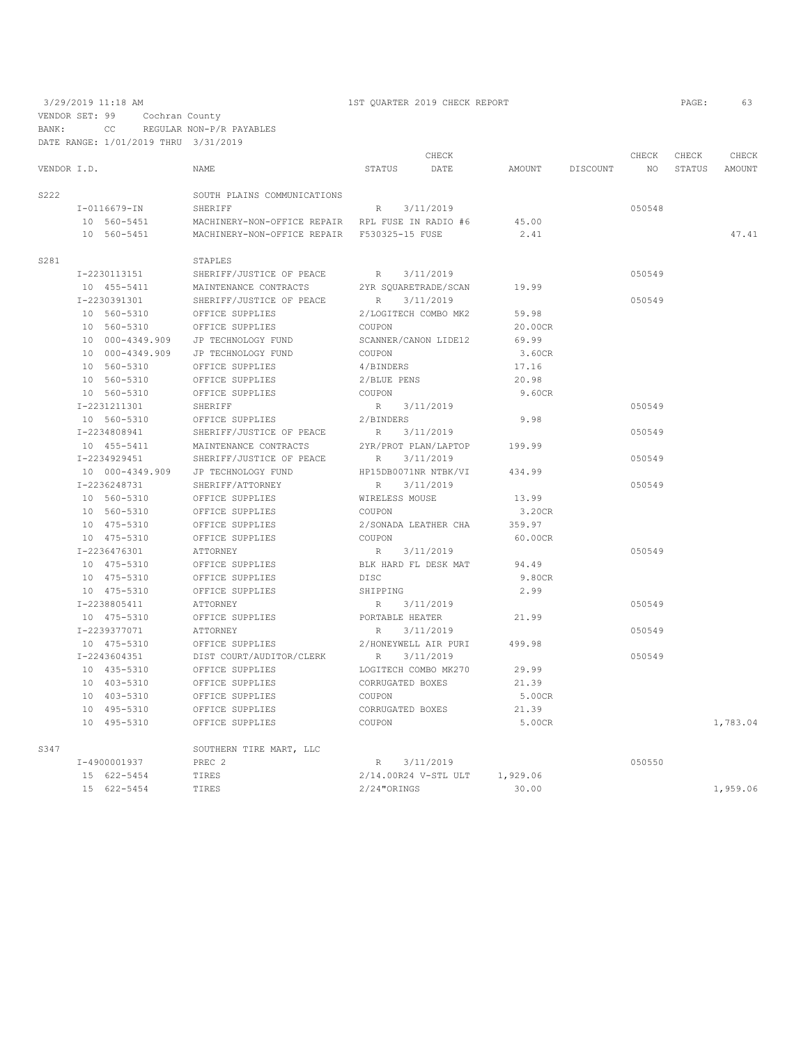VENDOR SET: 99 Cochran County

BANK: CC REGULAR NON-P/R PAYABLES DATE RANGE: 1/01/2019 THRU 3/31/2019

|             |                 |                                                  | CHECK                        |          |          | CHECK  | CHECK  | CHECK    |
|-------------|-----------------|--------------------------------------------------|------------------------------|----------|----------|--------|--------|----------|
| VENDOR I.D. |                 | NAME                                             | STATUS<br>DATE               | AMOUNT   | DISCOUNT | NO     | STATUS | AMOUNT   |
| S222        |                 | SOUTH PLAINS COMMUNICATIONS                      |                              |          |          |        |        |          |
|             | I-0116679-IN    | SHERIFF                                          | 3/11/2019<br>R               |          |          | 050548 |        |          |
|             | 10 560-5451     | MACHINERY-NON-OFFICE REPAIR RPL FUSE IN RADIO #6 |                              | 45.00    |          |        |        |          |
|             | 10 560-5451     | MACHINERY-NON-OFFICE REPAIR F530325-15 FUSE      |                              | 2.41     |          |        |        | 47.41    |
| S281        |                 | STAPLES                                          |                              |          |          |        |        |          |
|             | I-2230113151    | SHERIFF/JUSTICE OF PEACE                         | 3/11/2019<br>R               |          |          | 050549 |        |          |
|             | 10 455-5411     | MAINTENANCE CONTRACTS                            | 2YR SQUARETRADE/SCAN         | 19.99    |          |        |        |          |
|             | I-2230391301    | SHERIFF/JUSTICE OF PEACE                         | R<br>3/11/2019               |          |          | 050549 |        |          |
|             | 10 560-5310     | OFFICE SUPPLIES                                  | 2/LOGITECH COMBO MK2         | 59.98    |          |        |        |          |
|             | 10 560-5310     | OFFICE SUPPLIES                                  | COUPON                       | 20.00CR  |          |        |        |          |
|             | 10 000-4349.909 | JP TECHNOLOGY FUND                               | SCANNER/CANON LIDE12         | 69.99    |          |        |        |          |
|             | 10 000-4349.909 | JP TECHNOLOGY FUND                               | COUPON                       | 3.60CR   |          |        |        |          |
|             | 10 560-5310     | OFFICE SUPPLIES                                  | 4/BINDERS                    | 17.16    |          |        |        |          |
|             | 10 560-5310     | OFFICE SUPPLIES                                  | 2/BLUE PENS                  | 20.98    |          |        |        |          |
|             | 10 560-5310     | OFFICE SUPPLIES                                  | COUPON                       | 9.60CR   |          |        |        |          |
|             | I-2231211301    | SHERIFF                                          | R<br>3/11/2019               |          |          | 050549 |        |          |
|             | 10 560-5310     | OFFICE SUPPLIES                                  | 2/BINDERS                    | 9.98     |          |        |        |          |
|             | I-2234808941    | SHERIFF/JUSTICE OF PEACE                         | 3/11/2019<br>R               |          |          | 050549 |        |          |
|             | 10 455-5411     | MAINTENANCE CONTRACTS                            | 2YR/PROT PLAN/LAPTOP         | 199.99   |          |        |        |          |
|             | I-2234929451    | SHERIFF/JUSTICE OF PEACE                         | 3/11/2019<br>R               |          |          | 050549 |        |          |
|             | 10 000-4349.909 | JP TECHNOLOGY FUND                               | HP15DB0071NR NTBK/VI         | 434.99   |          |        |        |          |
|             | I-2236248731    | SHERIFF/ATTORNEY                                 | 3/11/2019<br>R               |          |          | 050549 |        |          |
|             | 10 560-5310     | OFFICE SUPPLIES                                  | WIRELESS MOUSE               | 13.99    |          |        |        |          |
|             | 10 560-5310     | OFFICE SUPPLIES                                  | COUPON                       | 3.20CR   |          |        |        |          |
|             | 10 475-5310     | OFFICE SUPPLIES                                  | 2/SONADA LEATHER CHA         | 359.97   |          |        |        |          |
|             | 10 475-5310     | OFFICE SUPPLIES                                  | COUPON                       | 60.00CR  |          |        |        |          |
|             | I-2236476301    | ATTORNEY                                         | 3/11/2019<br>R               |          |          | 050549 |        |          |
|             | 10 475-5310     | OFFICE SUPPLIES                                  | BLK HARD FL DESK MAT         | 94.49    |          |        |        |          |
|             | 10 475-5310     | OFFICE SUPPLIES                                  | <b>DISC</b>                  | 9.80CR   |          |        |        |          |
|             | 10 475-5310     | OFFICE SUPPLIES                                  | SHIPPING                     | 2.99     |          |        |        |          |
|             | I-2238805411    | ATTORNEY                                         | 3/11/2019<br>R               |          |          | 050549 |        |          |
|             | 10 475-5310     | OFFICE SUPPLIES                                  | PORTABLE HEATER              | 21.99    |          |        |        |          |
|             | I-2239377071    | ATTORNEY                                         | 3/11/2019<br>R               |          |          | 050549 |        |          |
|             | 10 475-5310     | OFFICE SUPPLIES                                  | 2/HONEYWELL AIR PURI         | 499.98   |          |        |        |          |
|             | I-2243604351    | DIST COURT/AUDITOR/CLERK                         | $R_{\parallel}$<br>3/11/2019 |          |          | 050549 |        |          |
|             | 10 435-5310     | OFFICE SUPPLIES                                  | LOGITECH COMBO MK270         | 29.99    |          |        |        |          |
|             | 10 403-5310     | OFFICE SUPPLIES                                  | CORRUGATED BOXES             | 21.39    |          |        |        |          |
|             | 10 403-5310     | OFFICE SUPPLIES                                  | COUPON                       | 5.00CR   |          |        |        |          |
|             | 10 495-5310     | OFFICE SUPPLIES                                  | CORRUGATED BOXES             | 21.39    |          |        |        |          |
|             | 10 495-5310     | OFFICE SUPPLIES                                  | COUPON                       | 5.00CR   |          |        |        | 1,783.04 |
| S347        |                 | SOUTHERN TIRE MART, LLC                          |                              |          |          |        |        |          |
|             | I-4900001937    | PREC <sub>2</sub>                                | R 3/11/2019                  |          |          | 050550 |        |          |
|             | 15 622-5454     | TIRES                                            | 2/14.00R24 V-STL ULT         | 1,929.06 |          |        |        |          |
|             | 15 622-5454     | TIRES                                            | $2/24$ "ORINGS               | 30.00    |          |        |        | 1,959.06 |
|             |                 |                                                  |                              |          |          |        |        |          |

## 3/29/2019 11:18 AM 1ST QUARTER 2019 CHECK REPORT PAGE: 63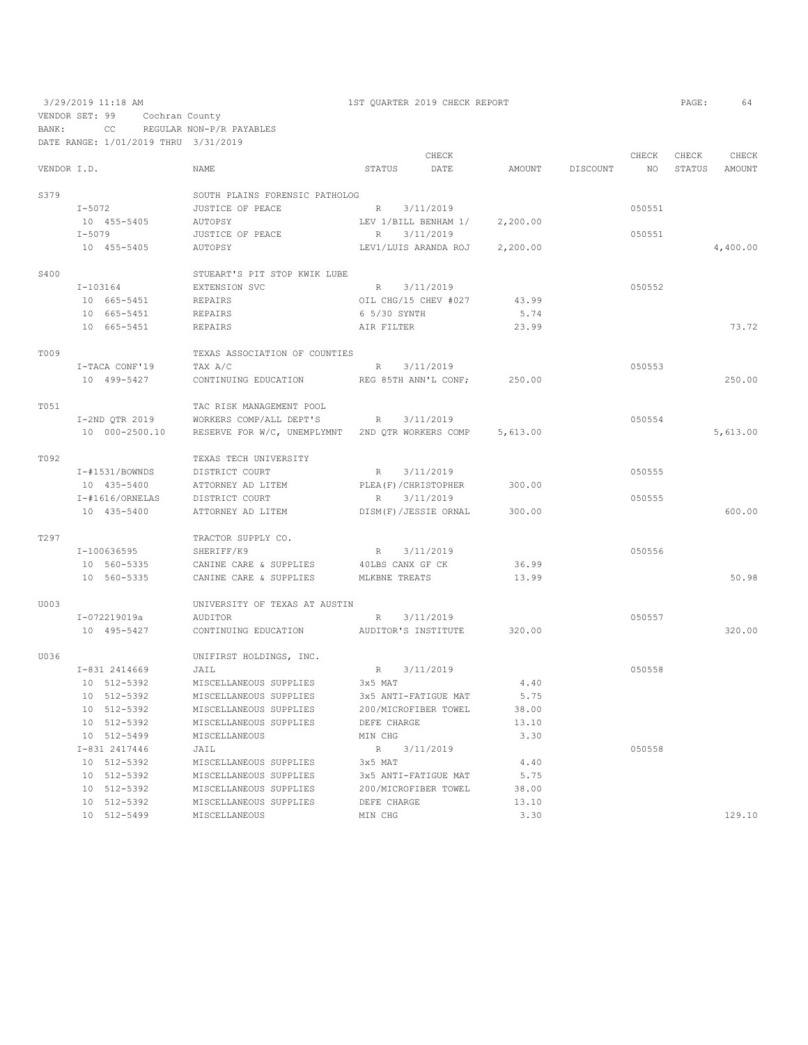|             |                    |                                                  |                        | CHECK     |          |          | CHECK  | CHECK  | CHECK    |
|-------------|--------------------|--------------------------------------------------|------------------------|-----------|----------|----------|--------|--------|----------|
| VENDOR I.D. |                    | <b>NAME</b>                                      | STATUS                 | DATE      | AMOUNT   | DISCOUNT | NO     | STATUS | AMOUNT   |
| S379        |                    | SOUTH PLAINS FORENSIC PATHOLOG                   |                        |           |          |          |        |        |          |
|             | $I-5072$           | JUSTICE OF PEACE                                 | R                      | 3/11/2019 |          |          | 050551 |        |          |
|             | 10 455-5405        | AUTOPSY                                          | LEV 1/BILL BENHAM 1/   |           | 2,200.00 |          |        |        |          |
|             | $I-5079$           | JUSTICE OF PEACE                                 | R                      | 3/11/2019 |          |          | 050551 |        |          |
|             | 10 455-5405        | AUTOPSY                                          | LEV1/LUIS ARANDA ROJ   |           | 2,200.00 |          |        |        | 4,400.00 |
|             |                    |                                                  |                        |           |          |          |        |        |          |
| S400        |                    | STUEART'S PIT STOP KWIK LUBE                     |                        |           |          |          |        |        |          |
|             | I-103164           | EXTENSION SVC                                    | R 3/11/2019            |           |          |          | 050552 |        |          |
|             | 10 665-5451        | REPAIRS                                          | OIL CHG/15 CHEV #027   |           | 43.99    |          |        |        |          |
|             | 10 665-5451        | REPAIRS                                          | 6 5/30 SYNTH           |           | 5.74     |          |        |        |          |
|             | 10 665-5451        | REPAIRS                                          | AIR FILTER             |           | 23.99    |          |        |        | 73.72    |
| T009        |                    | TEXAS ASSOCIATION OF COUNTIES                    |                        |           |          |          |        |        |          |
|             | I-TACA CONF'19     | TAX A/C                                          | $R_{\perp}$            | 3/11/2019 |          |          | 050553 |        |          |
|             | 10 499-5427        | CONTINUING EDUCATION                             | REG 85TH ANN'L CONF;   |           | 250.00   |          |        |        | 250.00   |
| T051        |                    | TAC RISK MANAGEMENT POOL                         |                        |           |          |          |        |        |          |
|             | I-2ND QTR 2019     | WORKERS COMP/ALL DEPT'S                          | R                      | 3/11/2019 |          |          | 050554 |        |          |
|             | 10 000-2500.10     | RESERVE FOR W/C, UNEMPLYMNT 2ND QTR WORKERS COMP |                        |           | 5,613.00 |          |        |        | 5,613.00 |
|             |                    |                                                  |                        |           |          |          |        |        |          |
| T092        |                    | TEXAS TECH UNIVERSITY                            |                        |           |          |          |        |        |          |
|             | $I - #1531/BOWNDS$ | DISTRICT COURT                                   | R                      | 3/11/2019 |          |          | 050555 |        |          |
|             | 10 435-5400        | ATTORNEY AD LITEM                                | PLEA (F) / CHRISTOPHER |           | 300.00   |          |        |        |          |
|             | $I$ -#1616/ORNELAS | DISTRICT COURT                                   | $R_{\perp}$            | 3/11/2019 |          |          | 050555 |        |          |
|             | 10 435-5400        | ATTORNEY AD LITEM                                | DISM(F)/JESSIE ORNAL   |           | 300.00   |          |        |        | 600.00   |
| T297        |                    | TRACTOR SUPPLY CO.                               |                        |           |          |          |        |        |          |
|             | I-100636595        | SHERIFF/K9                                       | R                      | 3/11/2019 |          |          | 050556 |        |          |
|             | 10 560-5335        | CANINE CARE & SUPPLIES                           | 40LBS CANX GF CK       |           | 36.99    |          |        |        |          |
|             | 10 560-5335        | CANINE CARE & SUPPLIES                           | MLKBNE TREATS          |           | 13.99    |          |        |        | 50.98    |
| U003        |                    | UNIVERSITY OF TEXAS AT AUSTIN                    |                        |           |          |          |        |        |          |
|             | I-072219019a       | AUDITOR                                          | R                      | 3/11/2019 |          |          | 050557 |        |          |
|             | 10 495-5427        | CONTINUING EDUCATION                             | AUDITOR'S INSTITUTE    |           | 320.00   |          |        |        | 320.00   |
|             |                    |                                                  |                        |           |          |          |        |        |          |
| U036        |                    | UNIFIRST HOLDINGS, INC.                          |                        |           |          |          |        |        |          |
|             | I-831 2414669      | JAIL                                             | R                      | 3/11/2019 |          |          | 050558 |        |          |
|             | 10 512-5392        | MISCELLANEOUS SUPPLIES                           | 3x5 MAT                |           | 4.40     |          |        |        |          |
|             | 10 512-5392        | MISCELLANEOUS SUPPLIES                           | 3x5 ANTI-FATIGUE MAT   |           | 5.75     |          |        |        |          |
|             | 10 512-5392        | MISCELLANEOUS SUPPLIES                           | 200/MICROFIBER TOWEL   |           | 38.00    |          |        |        |          |
|             | 10 512-5392        | MISCELLANEOUS SUPPLIES                           | DEFE CHARGE            |           | 13.10    |          |        |        |          |
|             | 10 512-5499        | MISCELLANEOUS                                    | MIN CHG                |           | 3.30     |          |        |        |          |
|             | I-831 2417446      | JAIL                                             | R                      | 3/11/2019 |          |          | 050558 |        |          |
|             | 10 512-5392        | MISCELLANEOUS SUPPLIES                           | 3x5 MAT                |           | 4.40     |          |        |        |          |
|             | 10 512-5392        | MISCELLANEOUS SUPPLIES                           | 3x5 ANTI-FATIGUE MAT   |           | 5.75     |          |        |        |          |
|             | 10 512-5392        | MISCELLANEOUS SUPPLIES                           | 200/MICROFIBER TOWEL   |           | 38.00    |          |        |        |          |
|             | 10 512-5392        | MISCELLANEOUS SUPPLIES                           | DEFE CHARGE            |           | 13.10    |          |        |        |          |
|             | 10 512-5499        | MISCELLANEOUS                                    | MIN CHG                |           | 3.30     |          |        |        | 129.10   |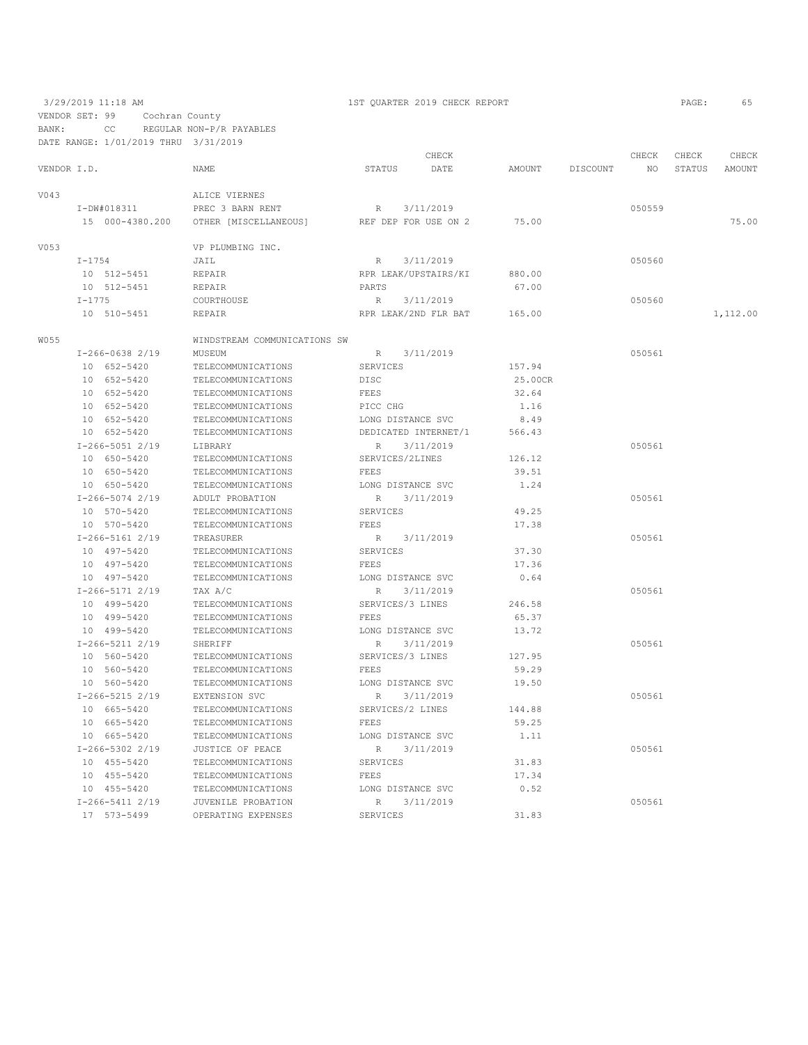VENDOR SET: 99 Cochran County

BANK: CC REGULAR NON-P/R PAYABLES DATE RANGE: 1/01/2019 THRU 3/31/2019

|             |                   |                              |                   | CHECK                |         |          | CHECK  | CHECK  | CHECK    |
|-------------|-------------------|------------------------------|-------------------|----------------------|---------|----------|--------|--------|----------|
| VENDOR I.D. |                   | NAME                         | STATUS            | DATE                 | AMOUNT  | DISCOUNT | NO.    | STATUS | AMOUNT   |
| V043        |                   | ALICE VIERNES                |                   |                      |         |          |        |        |          |
|             | I-DW#018311       | PREC 3 BARN RENT             | R                 | 3/11/2019            |         |          | 050559 |        |          |
|             | 15 000-4380.200   | OTHER [MISCELLANEOUS]        |                   | REF DEP FOR USE ON 2 | 75.00   |          |        |        | 75.00    |
| V053        |                   | VP PLUMBING INC.             |                   |                      |         |          |        |        |          |
|             | $I - 1754$        | JAIL                         | R                 | 3/11/2019            |         |          | 050560 |        |          |
|             | 10 512-5451       | REPAIR                       |                   | RPR LEAK/UPSTAIRS/KI | 880.00  |          |        |        |          |
|             | 10 512-5451       | REPAIR                       | PARTS             |                      | 67.00   |          |        |        |          |
|             | $I - 1775$        | COURTHOUSE                   | $R_{\perp}$       | 3/11/2019            |         |          | 050560 |        |          |
|             | 10 510-5451       | <b>REPAIR</b>                |                   | RPR LEAK/2ND FLR BAT | 165.00  |          |        |        | 1,112.00 |
| W055        |                   | WINDSTREAM COMMUNICATIONS SW |                   |                      |         |          |        |        |          |
|             | $I-266-0638$ 2/19 | MUSEUM                       | R                 | 3/11/2019            |         |          | 050561 |        |          |
|             | 10 652-5420       | TELECOMMUNICATIONS           | SERVICES          |                      | 157.94  |          |        |        |          |
|             | 10 652-5420       | TELECOMMUNICATIONS           | DISC              |                      | 25.00CR |          |        |        |          |
|             | 10 652-5420       | TELECOMMUNICATIONS           | FEES              |                      | 32.64   |          |        |        |          |
|             | 10 652-5420       | TELECOMMUNICATIONS           | PICC CHG          |                      | 1.16    |          |        |        |          |
|             | 10 652-5420       | TELECOMMUNICATIONS           | LONG DISTANCE SVC |                      | 8.49    |          |        |        |          |
|             | 10 652-5420       | TELECOMMUNICATIONS           |                   | DEDICATED INTERNET/1 | 566.43  |          |        |        |          |
|             | $I-266-50512/19$  | LIBRARY                      | $\mathbb{R}$      | 3/11/2019            |         |          | 050561 |        |          |
|             | 10 650-5420       | TELECOMMUNICATIONS           | SERVICES/2LINES   |                      | 126.12  |          |        |        |          |
|             | 10 650-5420       | TELECOMMUNICATIONS           | FEES              |                      | 39.51   |          |        |        |          |
|             | 10 650-5420       | TELECOMMUNICATIONS           | LONG DISTANCE SVC |                      | 1.24    |          |        |        |          |
|             | I-266-5074 2/19   | ADULT PROBATION              | R                 | 3/11/2019            |         |          | 050561 |        |          |
|             | 10 570-5420       | TELECOMMUNICATIONS           | SERVICES          |                      | 49.25   |          |        |        |          |
|             | 10 570-5420       | TELECOMMUNICATIONS           | FEES              |                      | 17.38   |          |        |        |          |
|             | $I-266-51612/19$  | TREASURER                    | R                 | 3/11/2019            |         |          | 050561 |        |          |
|             | 10 497-5420       | TELECOMMUNICATIONS           | SERVICES          |                      | 37.30   |          |        |        |          |
|             | 10 497-5420       | TELECOMMUNICATIONS           | FEES              |                      | 17.36   |          |        |        |          |
|             | 10 497-5420       | TELECOMMUNICATIONS           | LONG DISTANCE SVC |                      | 0.64    |          |        |        |          |
|             | $I-266-51712/19$  | TAX A/C                      | $\mathbb{R}$      | 3/11/2019            |         |          | 050561 |        |          |
|             | 10 499-5420       | TELECOMMUNICATIONS           | SERVICES/3 LINES  |                      | 246.58  |          |        |        |          |
|             | 10 499-5420       | TELECOMMUNICATIONS           | FEES              |                      | 65.37   |          |        |        |          |
|             | 10 499-5420       | TELECOMMUNICATIONS           | LONG DISTANCE SVC |                      | 13.72   |          |        |        |          |
|             | $I-266-5211$ 2/19 | SHERIFF                      | $\mathbb{R}$      | 3/11/2019            |         |          | 050561 |        |          |
|             | 10 560-5420       | TELECOMMUNICATIONS           | SERVICES/3 LINES  |                      | 127.95  |          |        |        |          |
|             | 10 560-5420       | TELECOMMUNICATIONS           | FEES              |                      | 59.29   |          |        |        |          |
|             | 10 560-5420       | TELECOMMUNICATIONS           | LONG DISTANCE SVC |                      | 19.50   |          |        |        |          |
|             | $I-266-5215$ 2/19 | EXTENSION SVC                | R                 | 3/11/2019            |         |          | 050561 |        |          |
|             | 10 665-5420       | TELECOMMUNICATIONS           | SERVICES/2 LINES  |                      | 144.88  |          |        |        |          |
|             | 10 665-5420       | TELECOMMUNICATIONS           | FEES              |                      | 59.25   |          |        |        |          |
|             | 10 665-5420       | TELECOMMUNICATIONS           | LONG DISTANCE SVC |                      | 1.11    |          |        |        |          |
|             | $I-266-5302$ 2/19 | JUSTICE OF PEACE             | R                 | 3/11/2019            |         |          | 050561 |        |          |
|             | 10 455-5420       | TELECOMMUNICATIONS           | SERVICES          |                      | 31.83   |          |        |        |          |
|             | 10 455-5420       | TELECOMMUNICATIONS           | FEES              |                      | 17.34   |          |        |        |          |
|             | 10 455-5420       | TELECOMMUNICATIONS           | LONG DISTANCE SVC |                      | 0.52    |          |        |        |          |
|             | $I-266-5411$ 2/19 | JUVENILE PROBATION           | R                 | 3/11/2019            |         |          | 050561 |        |          |
|             | 17 573-5499       | OPERATING EXPENSES           | SERVICES          |                      | 31.83   |          |        |        |          |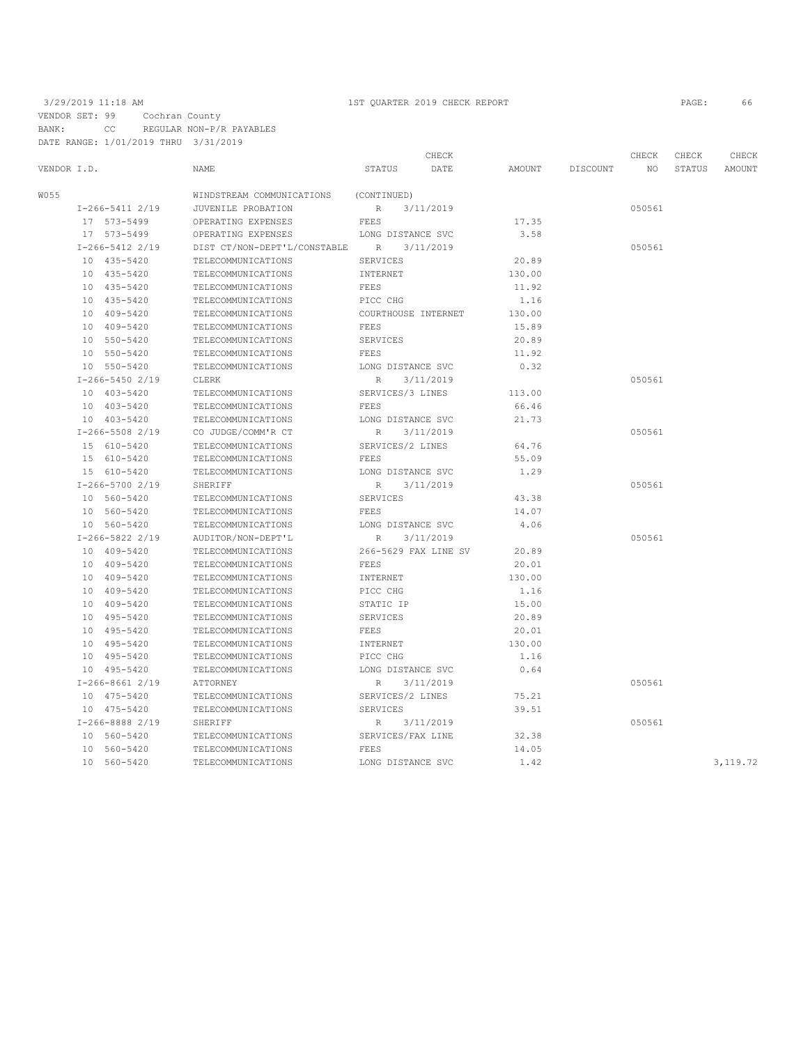VENDOR SET: 99 Cochran County BANK: CC REGULAR NON-P/R PAYABLES DATE RANGE: 1/01/2019 THRU 3/31/2019

## 3/29/2019 11:18 AM 1ST QUARTER 2019 CHECK REPORT PAGE: 66

|                   |                              | CHECK                        |        |          | CHECK  | CHECK  | CHECK    |
|-------------------|------------------------------|------------------------------|--------|----------|--------|--------|----------|
| VENDOR I.D.       | NAME                         | STATUS<br>DATE               | AMOUNT | DISCOUNT | NO.    | STATUS | AMOUNT   |
| W055              | WINDSTREAM COMMUNICATIONS    | (CONTINUED)                  |        |          |        |        |          |
| $I-266-5411$ 2/19 | JUVENILE PROBATION           | 3/11/2019<br>R               |        |          | 050561 |        |          |
| 17 573-5499       | OPERATING EXPENSES           | FEES                         | 17.35  |          |        |        |          |
| 17 573-5499       | OPERATING EXPENSES           | LONG DISTANCE SVC            | 3.58   |          |        |        |          |
| $I-266-5412$ 2/19 | DIST CT/NON-DEPT'L/CONSTABLE | R<br>3/11/2019               |        |          | 050561 |        |          |
| 10 435-5420       | TELECOMMUNICATIONS           | SERVICES                     | 20.89  |          |        |        |          |
| 10 435-5420       | TELECOMMUNICATIONS           | INTERNET                     | 130.00 |          |        |        |          |
| 10 435-5420       | TELECOMMUNICATIONS           | <b>FEES</b>                  | 11.92  |          |        |        |          |
| 10 435-5420       | TELECOMMUNICATIONS           | PICC CHG                     | 1.16   |          |        |        |          |
| 10 409-5420       | TELECOMMUNICATIONS           | COURTHOUSE INTERNET          | 130.00 |          |        |        |          |
| 10 409-5420       | TELECOMMUNICATIONS           | FEES                         | 15.89  |          |        |        |          |
| 10 550-5420       | TELECOMMUNICATIONS           | SERVICES                     | 20.89  |          |        |        |          |
| 10 550-5420       | TELECOMMUNICATIONS           | FEES                         | 11.92  |          |        |        |          |
| 10 550-5420       | TELECOMMUNICATIONS           | LONG DISTANCE SVC            | 0.32   |          |        |        |          |
| $I-266-54502/19$  | CLERK                        | 3/11/2019<br>R               |        |          | 050561 |        |          |
| 10 403-5420       | TELECOMMUNICATIONS           | SERVICES/3 LINES             | 113.00 |          |        |        |          |
| 10 403-5420       | TELECOMMUNICATIONS           | FEES                         | 66.46  |          |        |        |          |
| 10 403-5420       | TELECOMMUNICATIONS           | LONG DISTANCE SVC            | 21.73  |          |        |        |          |
| $I-266-5508$ 2/19 | CO JUDGE/COMM'R CT           | R<br>3/11/2019               |        |          | 050561 |        |          |
| 15 610-5420       | TELECOMMUNICATIONS           | SERVICES/2 LINES             | 64.76  |          |        |        |          |
| 15 610-5420       | TELECOMMUNICATIONS           | FEES                         | 55.09  |          |        |        |          |
| 15 610-5420       | TELECOMMUNICATIONS           | LONG DISTANCE SVC            | 1.29   |          |        |        |          |
| I-266-5700 2/19   | SHERIFF                      | 3/11/2019<br>$R_{\parallel}$ |        |          | 050561 |        |          |
| 10 560-5420       | TELECOMMUNICATIONS           | SERVICES                     | 43.38  |          |        |        |          |
| 10 560-5420       | TELECOMMUNICATIONS           | FEES                         | 14.07  |          |        |        |          |
| 10 560-5420       | TELECOMMUNICATIONS           | LONG DISTANCE SVC            | 4.06   |          |        |        |          |
| $I-266-5822$ 2/19 | AUDITOR/NON-DEPT'L           | 3/11/2019<br>R               |        |          | 050561 |        |          |
| 10 409-5420       | TELECOMMUNICATIONS           | 266-5629 FAX LINE SV         | 20.89  |          |        |        |          |
| 10 409-5420       | TELECOMMUNICATIONS           | FEES                         | 20.01  |          |        |        |          |
| 10 409-5420       | TELECOMMUNICATIONS           | INTERNET                     | 130.00 |          |        |        |          |
| 10 409-5420       | TELECOMMUNICATIONS           | PICC CHG                     | 1.16   |          |        |        |          |
| 10 409-5420       | TELECOMMUNICATIONS           | STATIC IP                    | 15.00  |          |        |        |          |
| 10 495-5420       | TELECOMMUNICATIONS           | SERVICES                     | 20.89  |          |        |        |          |
| 10 495-5420       | TELECOMMUNICATIONS           | FEES                         | 20.01  |          |        |        |          |
| 10 495-5420       | TELECOMMUNICATIONS           | INTERNET                     | 130.00 |          |        |        |          |
| 10 495-5420       | TELECOMMUNICATIONS           | PICC CHG                     | 1.16   |          |        |        |          |
| 10 495-5420       | TELECOMMUNICATIONS           | LONG DISTANCE SVC            | 0.64   |          |        |        |          |
| $I-266-86612/19$  | ATTORNEY                     | 3/11/2019<br>$R_{\parallel}$ |        |          | 050561 |        |          |
| 10 475-5420       | TELECOMMUNICATIONS           | SERVICES/2 LINES             | 75.21  |          |        |        |          |
| 10 475-5420       | TELECOMMUNICATIONS           | <b>SERVICES</b>              | 39.51  |          |        |        |          |
| $I-266-88882/19$  | SHERIFF                      | 3/11/2019<br>R               |        |          | 050561 |        |          |
| 10 560-5420       | TELECOMMUNICATIONS           | SERVICES/FAX LINE            | 32.38  |          |        |        |          |
| 10 560-5420       | TELECOMMUNICATIONS           | FEES                         | 14.05  |          |        |        |          |
| 10 560-5420       | TELECOMMUNICATIONS           | LONG DISTANCE SVC            | 1.42   |          |        |        | 3,119.72 |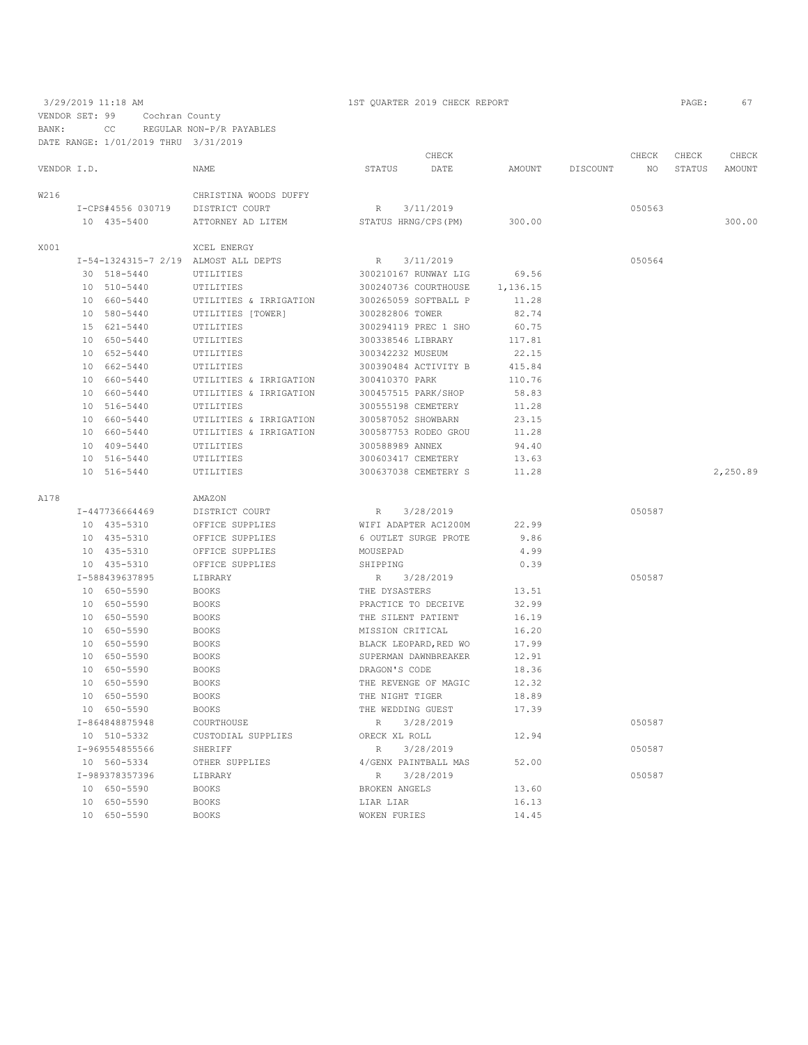|             |                            |                                      |                      | CHECK                 |                |          | CHECK  | CHECK  | CHECK    |
|-------------|----------------------------|--------------------------------------|----------------------|-----------------------|----------------|----------|--------|--------|----------|
| VENDOR I.D. |                            | <b>NAME</b>                          | <b>STATUS</b>        | DATE                  | AMOUNT         | DISCOUNT | NO.    | STATUS | AMOUNT   |
| W216        |                            | CHRISTINA WOODS DUFFY                |                      |                       |                |          |        |        |          |
|             | I-CPS#4556 030719          | DISTRICT COURT                       | R                    | 3/11/2019             |                |          | 050563 |        |          |
|             | 10 435-5400                | ATTORNEY AD LITEM                    | STATUS HRNG/CPS (PM) |                       | 300.00         |          |        |        | 300.00   |
| X001        |                            | XCEL ENERGY                          |                      |                       |                |          |        |        |          |
|             |                            | I-54-1324315-7 2/19 ALMOST ALL DEPTS | R                    | 3/11/2019             |                |          | 050564 |        |          |
|             | 30 518-5440                | UTILITIES                            |                      | 300210167 RUNWAY LIG  | 69.56          |          |        |        |          |
|             | 10 510-5440                | UTILITIES                            |                      | 300240736 COURTHOUSE  | 1,136.15       |          |        |        |          |
|             | 10 660-5440                | UTILITIES & IRRIGATION               |                      | 300265059 SOFTBALL P  | 11.28          |          |        |        |          |
|             | 10 580-5440                | UTILITIES [TOWER]                    | 300282806 TOWER      |                       | 82.74          |          |        |        |          |
|             | 15 621-5440                | UTILITIES                            |                      | 300294119 PREC 1 SHO  | 60.75          |          |        |        |          |
|             | 10 650-5440                | UTILITIES                            | 300338546 LIBRARY    |                       | 117.81         |          |        |        |          |
|             | 10 652-5440                | UTILITIES                            | 300342232 MUSEUM     |                       | 22.15          |          |        |        |          |
|             | 10 662-5440                | UTILITIES                            |                      | 300390484 ACTIVITY B  | 415.84         |          |        |        |          |
|             | 10 660-5440                | UTILITIES & IRRIGATION               | 300410370 PARK       |                       | 110.76         |          |        |        |          |
|             | 10 660-5440                | UTILITIES & IRRIGATION               | 300457515 PARK/SHOP  |                       | 58.83          |          |        |        |          |
|             | 10 516-5440                | UTILITIES                            | 300555198 CEMETERY   |                       | 11.28          |          |        |        |          |
|             | 10 660-5440                | UTILITIES & IRRIGATION               | 300587052 SHOWBARN   |                       | 23.15          |          |        |        |          |
|             | 10 660-5440                | UTILITIES & IRRIGATION               |                      | 300587753 RODEO GROU  | 11.28          |          |        |        |          |
|             | 10 409-5440                | UTILITIES                            | 300588989 ANNEX      |                       | 94.40          |          |        |        |          |
|             | 10 516-5440                | UTILITIES                            | 300603417 CEMETERY   |                       | 13.63          |          |        |        |          |
|             | 10 516-5440                | UTILITIES                            |                      | 300637038 CEMETERY S  | 11.28          |          |        |        | 2,250.89 |
| A178        |                            | AMAZON                               |                      |                       |                |          |        |        |          |
|             | I-447736664469             | DISTRICT COURT                       | $R_{\parallel}$      | 3/28/2019             |                |          | 050587 |        |          |
|             | 10 435-5310                | OFFICE SUPPLIES                      |                      | WIFI ADAPTER AC1200M  | 22.99          |          |        |        |          |
|             | 10 435-5310                | OFFICE SUPPLIES                      |                      | 6 OUTLET SURGE PROTE  | 9.86           |          |        |        |          |
|             | 10 435-5310                | OFFICE SUPPLIES                      | MOUSEPAD             |                       | 4.99           |          |        |        |          |
|             | 10 435-5310                | OFFICE SUPPLIES                      | SHIPPING             |                       | 0.39           |          |        |        |          |
|             | I-588439637895             | LIBRARY                              | R                    | 3/28/2019             |                |          | 050587 |        |          |
|             | 10 650-5590                | <b>BOOKS</b>                         | THE DYSASTERS        |                       | 13.51          |          |        |        |          |
|             | 10 650-5590                | <b>BOOKS</b>                         | PRACTICE TO DECEIVE  |                       | 32.99          |          |        |        |          |
|             | 10 650-5590                | <b>BOOKS</b>                         | THE SILENT PATIENT   |                       | 16.19          |          |        |        |          |
|             | 10 650-5590                | <b>BOOKS</b>                         | MISSION CRITICAL     |                       | 16.20          |          |        |        |          |
|             | 10 650-5590                | <b>BOOKS</b>                         |                      | BLACK LEOPARD, RED WO | 17.99<br>12.91 |          |        |        |          |
|             | 10 650-5590<br>10 650-5590 | <b>BOOKS</b><br><b>BOOKS</b>         | DRAGON'S CODE        | SUPERMAN DAWNBREAKER  | 18.36          |          |        |        |          |
|             | 10 650-5590                | <b>BOOKS</b>                         |                      | THE REVENGE OF MAGIC  | 12.32          |          |        |        |          |
|             | 10 650-5590                | <b>BOOKS</b>                         | THE NIGHT TIGER      |                       | 18.89          |          |        |        |          |
|             | 10 650-5590                | <b>BOOKS</b>                         | THE WEDDING GUEST    |                       | 17.39          |          |        |        |          |
|             | I-864848875948             | COURTHOUSE                           | R                    | 3/28/2019             |                |          | 050587 |        |          |
|             | 10 510-5332                | CUSTODIAL SUPPLIES                   | ORECK XL ROLL        |                       | 12.94          |          |        |        |          |
|             | I-969554855566             | SHERIFF                              | R                    | 3/28/2019             |                |          | 050587 |        |          |
|             | 10 560-5334                | OTHER SUPPLIES                       |                      | 4/GENX PAINTBALL MAS  | 52.00          |          |        |        |          |
|             | I-989378357396             | LIBRARY                              | R                    | 3/28/2019             |                |          | 050587 |        |          |
|             | 10 650-5590                | <b>BOOKS</b>                         | BROKEN ANGELS        |                       | 13.60          |          |        |        |          |
|             | 10 650-5590                | <b>BOOKS</b>                         | LIAR LIAR            |                       | 16.13          |          |        |        |          |
|             | 10 650-5590                | <b>BOOKS</b>                         | <b>WOKEN FURIES</b>  |                       | 14.45          |          |        |        |          |
|             |                            |                                      |                      |                       |                |          |        |        |          |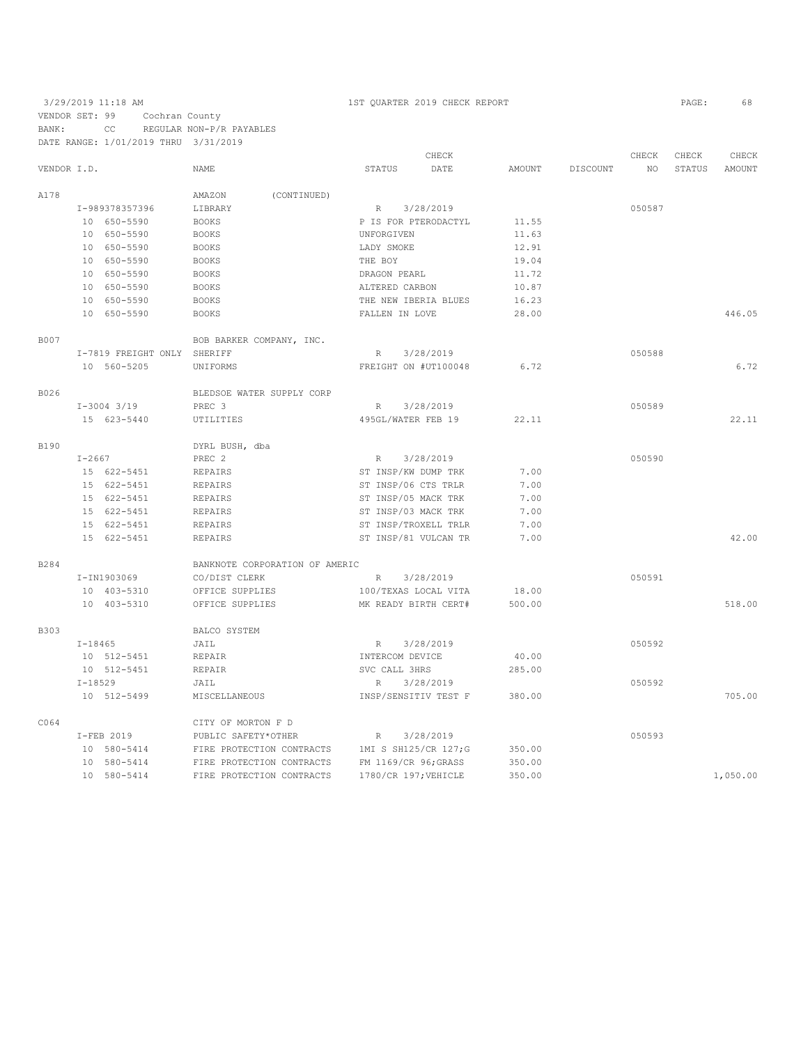### 3/29/2019 11:18 AM 1ST QUARTER 2019 CHECK REPORT PAGE: 68 VENDOR SET: 99 Cochran County BANK: CC REGULAR NON-P/R PAYABLES DATE RANGE: 1/01/2019 THRU 3/31/2019

|             |                             |                 |                                |                      | CHECK     |        |          | CHECK  | CHECK  | CHECK    |
|-------------|-----------------------------|-----------------|--------------------------------|----------------------|-----------|--------|----------|--------|--------|----------|
| VENDOR I.D. |                             |                 | NAME                           | <b>STATUS</b>        | DATE      | AMOUNT | DISCOUNT | NO     | STATUS | AMOUNT   |
| A178        |                             |                 | AMAZON<br>(CONTINUED)          |                      |           |        |          |        |        |          |
|             |                             | I-989378357396  | LIBRARY                        | $R_{\perp}$          | 3/28/2019 |        |          | 050587 |        |          |
|             |                             | 10 650-5590     | <b>BOOKS</b>                   | P IS FOR PTERODACTYL |           | 11.55  |          |        |        |          |
|             |                             | 10 650-5590     | <b>BOOKS</b>                   | UNFORGIVEN           |           | 11.63  |          |        |        |          |
|             |                             | 10 650-5590     | <b>BOOKS</b>                   | LADY SMOKE           |           | 12.91  |          |        |        |          |
|             |                             | 10 650-5590     | <b>BOOKS</b>                   | THE BOY              |           | 19.04  |          |        |        |          |
|             |                             | 10 650-5590     | <b>BOOKS</b>                   | DRAGON PEARL         |           | 11.72  |          |        |        |          |
|             |                             | 10 650-5590     | <b>BOOKS</b>                   | ALTERED CARBON       |           | 10.87  |          |        |        |          |
|             |                             | 10 650-5590     | <b>BOOKS</b>                   | THE NEW IBERIA BLUES |           | 16.23  |          |        |        |          |
|             |                             | 10 650-5590     | <b>BOOKS</b>                   | FALLEN IN LOVE       |           | 28.00  |          |        |        | 446.05   |
| <b>B007</b> | BOB BARKER COMPANY, INC.    |                 |                                |                      |           |        |          |        |        |          |
|             | I-7819 FREIGHT ONLY SHERIFF |                 |                                | R                    | 3/28/2019 |        |          | 050588 |        |          |
|             |                             | 10 560-5205     | UNIFORMS                       | FREIGHT ON #UT100048 |           | 6.72   |          |        |        | 6.72     |
| B026        |                             |                 | BLEDSOE WATER SUPPLY CORP      |                      |           |        |          |        |        |          |
|             |                             | $I-3004$ $3/19$ | PREC 3                         | R                    | 3/28/2019 |        |          | 050589 |        |          |
|             |                             | 15 623-5440     | UTILITIES                      | 495GL/WATER FEB 19   |           | 22.11  |          |        |        | 22.11    |
| <b>B190</b> |                             |                 | DYRL BUSH, dba                 |                      |           |        |          |        |        |          |
|             | $I - 2667$                  |                 | PREC <sub>2</sub>              | R                    | 3/28/2019 |        |          | 050590 |        |          |
|             |                             | 15 622-5451     | REPAIRS                        | ST INSP/KW DUMP TRK  |           | 7.00   |          |        |        |          |
|             |                             | 15 622-5451     | <b>REPAIRS</b>                 | ST INSP/06 CTS TRLR  |           | 7.00   |          |        |        |          |
|             |                             | 15 622-5451     | REPAIRS                        | ST INSP/05 MACK TRK  |           | 7.00   |          |        |        |          |
|             |                             | 15 622-5451     | REPAIRS                        | ST INSP/03 MACK TRK  |           | 7.00   |          |        |        |          |
|             |                             | 15 622-5451     | <b>REPAIRS</b>                 | ST INSP/TROXELL TRLR |           | 7.00   |          |        |        |          |
|             |                             | 15 622-5451     | REPAIRS                        | ST INSP/81 VULCAN TR |           | 7.00   |          |        |        | 42.00    |
| B284        |                             |                 | BANKNOTE CORPORATION OF AMERIC |                      |           |        |          |        |        |          |
|             |                             | I-IN1903069     | CO/DIST CLERK                  | R                    | 3/28/2019 |        |          | 050591 |        |          |
|             |                             | 10 403-5310     | OFFICE SUPPLIES                | 100/TEXAS LOCAL VITA |           | 18.00  |          |        |        |          |
|             |                             | 10 403-5310     | OFFICE SUPPLIES                | MK READY BIRTH CERT# |           | 500.00 |          |        |        | 518.00   |
| B303        |                             |                 | BALCO SYSTEM                   |                      |           |        |          |        |        |          |
|             | $I - 18465$                 |                 | JAIL                           | R                    | 3/28/2019 |        |          | 050592 |        |          |
|             |                             | 10 512-5451     | REPAIR                         | INTERCOM DEVICE      |           | 40.00  |          |        |        |          |
|             |                             | 10 512-5451     | REPAIR                         | SVC CALL 3HRS        |           | 285.00 |          |        |        |          |
|             | $I-18529$                   |                 | JAIL                           | R                    | 3/28/2019 |        |          | 050592 |        |          |
|             |                             | 10 512-5499     | MISCELLANEOUS                  | INSP/SENSITIV TEST F |           | 380.00 |          |        |        | 705.00   |
| C064        |                             |                 | CITY OF MORTON F D             |                      |           |        |          |        |        |          |
|             |                             | I-FEB 2019      | PUBLIC SAFETY*OTHER            | $\mathbb{R}$         | 3/28/2019 |        |          | 050593 |        |          |
|             |                             | 10 580-5414     | FIRE PROTECTION CONTRACTS      | 1MI S SH125/CR 127;G |           | 350.00 |          |        |        |          |
|             |                             | 10 580-5414     | FIRE PROTECTION CONTRACTS      | FM 1169/CR 96; GRASS |           | 350.00 |          |        |        |          |
|             |                             | 10 580-5414     | FIRE PROTECTION CONTRACTS      | 1780/CR 197; VEHICLE |           | 350.00 |          |        |        | 1,050.00 |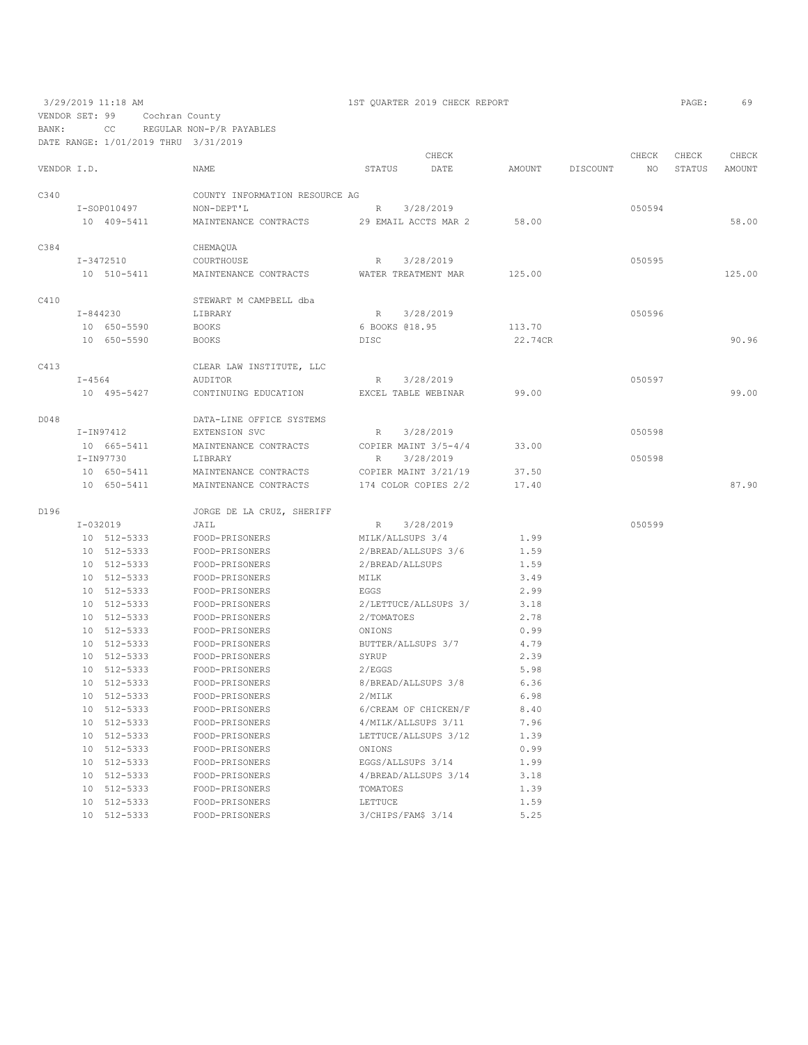BANK: CC REGULAR NON-P/R PAYABLES

| DATE RANGE: 1/01/2019 THRU |               | 3/31/2019                      |                    |                      |               |          |        |               |               |
|----------------------------|---------------|--------------------------------|--------------------|----------------------|---------------|----------|--------|---------------|---------------|
|                            |               |                                |                    | CHECK                |               |          | CHECK  | CHECK         | CHECK         |
| VENDOR I.D.                |               | <b>NAME</b>                    | <b>STATUS</b>      | DATE                 | <b>AMOUNT</b> | DISCOUNT | NO.    | <b>STATUS</b> | <b>AMOUNT</b> |
| C340                       |               | COUNTY INFORMATION RESOURCE AG |                    |                      |               |          |        |               |               |
|                            | I-SOP010497   | NON-DEPT'L                     | $\mathbb{R}$       | 3/28/2019            |               |          | 050594 |               |               |
|                            | 10 409-5411   | MAINTENANCE CONTRACTS          |                    | 29 EMAIL ACCTS MAR 2 | 58.00         |          |        |               | 58.00         |
| C384                       |               | CHEMAQUA                       |                    |                      |               |          |        |               |               |
|                            | $I - 3472510$ | COURTHOUSE                     | $\mathbb{R}$       | 3/28/2019            |               |          | 050595 |               |               |
|                            | 10 510-5411   | MAINTENANCE CONTRACTS          |                    | WATER TREATMENT MAR  | 125.00        |          |        |               | 125.00        |
| C410                       |               | STEWART M CAMPBELL dba         |                    |                      |               |          |        |               |               |
|                            | $I - 844230$  | LIBRARY                        | $\mathbb R$        | 3/28/2019            |               |          | 050596 |               |               |
|                            | 10 650-5590   | <b>BOOKS</b>                   | 6 BOOKS 018.95     |                      | 113.70        |          |        |               |               |
|                            | 10 650-5590   | <b>BOOKS</b>                   | <b>DISC</b>        |                      | 22.74CR       |          |        |               | 90.96         |
| C413                       |               | CLEAR LAW INSTITUTE, LLC       |                    |                      |               |          |        |               |               |
|                            | $I - 4564$    | AUDITOR                        | R                  | 3/28/2019            |               |          | 050597 |               |               |
|                            | 10 495-5427   | CONTINUING EDUCATION           |                    | EXCEL TABLE WEBINAR  | 99.00         |          |        |               | 99.00         |
| D048                       |               | DATA-LINE OFFICE SYSTEMS       |                    |                      |               |          |        |               |               |
|                            | I-IN97412     | EXTENSION SVC                  | $\mathbb{R}$       | 3/28/2019            |               |          | 050598 |               |               |
|                            | 10 665-5411   | MAINTENANCE CONTRACTS          |                    | COPIER MAINT 3/5-4/4 | 33.00         |          |        |               |               |
|                            | $I-IN97730$   | LIBRARY                        | $\mathbb{R}$       | 3/28/2019            |               |          | 050598 |               |               |
|                            | 10 650-5411   | MAINTENANCE CONTRACTS          |                    | COPIER MAINT 3/21/19 | 37.50         |          |        |               |               |
|                            | 10 650-5411   | MAINTENANCE CONTRACTS          |                    | 174 COLOR COPIES 2/2 | 17.40         |          |        |               | 87.90         |
| D196                       |               | JORGE DE LA CRUZ, SHERIFF      |                    |                      |               |          |        |               |               |
|                            | $I - 032019$  | JAIL                           | R                  | 3/28/2019            |               |          | 050599 |               |               |
|                            | 10 512-5333   | FOOD-PRISONERS                 | MILK/ALLSUPS 3/4   |                      | 1.99          |          |        |               |               |
|                            | 10 512-5333   | FOOD-PRISONERS                 |                    | 2/BREAD/ALLSUPS 3/6  | 1.59          |          |        |               |               |
|                            | 10 512-5333   | FOOD-PRISONERS                 | 2/BREAD/ALLSUPS    |                      | 1.59          |          |        |               |               |
|                            | 10 512-5333   | FOOD-PRISONERS                 | MILK               |                      | 3.49          |          |        |               |               |
|                            | 10 512-5333   | FOOD-PRISONERS                 | EGGS               |                      | 2.99          |          |        |               |               |
|                            | 10 512-5333   | FOOD-PRISONERS                 |                    | 2/LETTUCE/ALLSUPS 3/ | 3.18          |          |        |               |               |
|                            | 10 512-5333   | FOOD-PRISONERS                 | 2/TOMATOES         |                      | 2.78          |          |        |               |               |
|                            | 10 512-5333   | FOOD-PRISONERS                 | ONIONS             |                      | 0.99          |          |        |               |               |
|                            | 10 512-5333   | FOOD-PRISONERS                 | BUTTER/ALLSUPS 3/7 |                      | 4.79          |          |        |               |               |
|                            | 10 512-5333   | FOOD-PRISONERS                 | SYRUP              |                      | 2.39          |          |        |               |               |
|                            | 10 512-5333   | FOOD-PRISONERS                 | 2/EGGS             |                      | 5.98          |          |        |               |               |
|                            | 10 512-5333   | FOOD-PRISONERS                 |                    | 8/BREAD/ALLSUPS 3/8  | 6.36          |          |        |               |               |
|                            | 10 512-5333   | FOOD-PRISONERS                 | 2/MILK             |                      | 6.98          |          |        |               |               |
|                            | 10 512-5333   | FOOD-PRISONERS                 |                    | 6/CREAM OF CHICKEN/F | 8.40          |          |        |               |               |
|                            | 10 512-5333   | FOOD-PRISONERS                 |                    | 4/MILK/ALLSUPS 3/11  | 7.96          |          |        |               |               |
|                            | 10 512-5333   | FOOD-PRISONERS                 |                    | LETTUCE/ALLSUPS 3/12 | 1.39          |          |        |               |               |
|                            | 10 512-5333   | FOOD-PRISONERS                 | ONIONS             |                      | 0.99          |          |        |               |               |
|                            | 10 512-5333   | FOOD-PRISONERS                 | EGGS/ALLSUPS 3/14  |                      | 1.99          |          |        |               |               |
|                            | 10 512-5333   | FOOD-PRISONERS                 |                    | 4/BREAD/ALLSUPS 3/14 | 3.18          |          |        |               |               |
|                            | 10 512-5333   | FOOD-PRISONERS                 | TOMATOES           |                      | 1.39          |          |        |               |               |
|                            | 10 512-5333   | FOOD-PRISONERS                 | LETTUCE            |                      | 1.59          |          |        |               |               |
|                            | 10 512-5333   | FOOD-PRISONERS                 | 3/CHIPS/FAM\$ 3/14 |                      | 5.25          |          |        |               |               |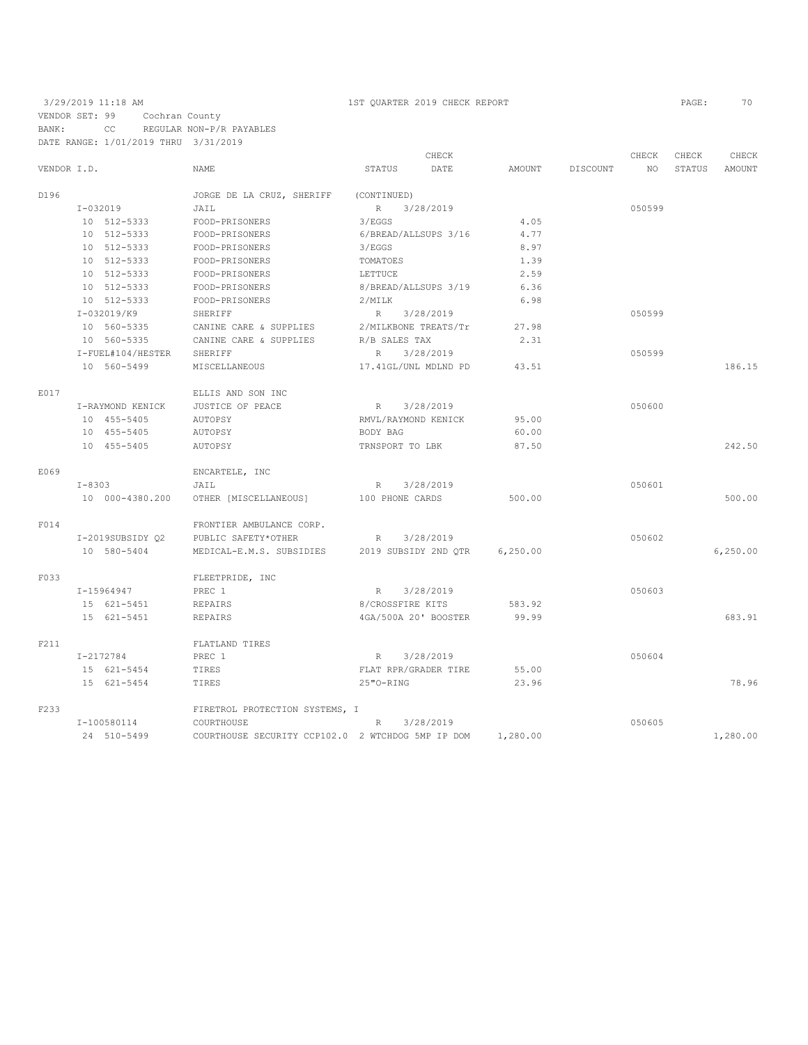### 3/29/2019 11:18 AM 1ST QUARTER 2019 CHECK REPORT PAGE: 70 VENDOR SET: 99 Cochran County BANK: CC REGULAR NON-P/R PAYABLES DATE RANGE: 1/01/2019 THRU 3/31/2019

|             |                   |                                                   | CHECK                        |           |          | CHECK     | CHECK  | CHECK    |
|-------------|-------------------|---------------------------------------------------|------------------------------|-----------|----------|-----------|--------|----------|
| VENDOR I.D. |                   | <b>NAME</b>                                       | <b>STATUS</b><br>DATE        | AMOUNT    | DISCOUNT | <b>NO</b> | STATUS | AMOUNT   |
| D196        |                   | JORGE DE LA CRUZ, SHERIFF                         | (CONTINUED)                  |           |          |           |        |          |
|             | $I-032019$        | JAIL                                              | 3/28/2019<br>R               |           |          | 050599    |        |          |
|             | 10 512-5333       | FOOD-PRISONERS                                    | 3/EGGS                       | 4.05      |          |           |        |          |
|             | 10 512-5333       | FOOD-PRISONERS                                    | 6/BREAD/ALLSUPS 3/16         | 4.77      |          |           |        |          |
|             | 10 512-5333       | FOOD-PRISONERS                                    | 3/EGGS                       | 8.97      |          |           |        |          |
|             | 10 512-5333       | FOOD-PRISONERS                                    | TOMATOES                     | 1.39      |          |           |        |          |
|             | 10 512-5333       | FOOD-PRISONERS                                    | LETTUCE                      | 2.59      |          |           |        |          |
|             | 10 512-5333       | FOOD-PRISONERS                                    | 8/BREAD/ALLSUPS 3/19         | 6.36      |          |           |        |          |
|             | 10 512-5333       | FOOD-PRISONERS                                    | 2/MILK                       | 6.98      |          |           |        |          |
|             | I-032019/K9       | SHERIFF                                           | 3/28/2019<br>$R_{\perp}$     |           |          | 050599    |        |          |
|             | 10 560-5335       | CANINE CARE & SUPPLIES                            | 2/MILKBONE TREATS/Tr         | 27.98     |          |           |        |          |
|             | 10 560-5335       | CANINE CARE & SUPPLIES                            | R/B SALES TAX                | 2.31      |          |           |        |          |
|             | I-FUEL#104/HESTER | <b>SHERIFF</b>                                    | 3/28/2019<br>R               |           |          | 050599    |        |          |
|             | 10 560-5499       | MISCELLANEOUS                                     | 17.41GL/UNL MDLND PD         | 43.51     |          |           |        | 186.15   |
| E017        |                   | ELLIS AND SON INC                                 |                              |           |          |           |        |          |
|             | I-RAYMOND KENICK  | JUSTICE OF PEACE                                  | 3/28/2019<br>R               |           |          | 050600    |        |          |
|             | 10 455-5405       | AUTOPSY                                           | RMVL/RAYMOND KENICK          | 95.00     |          |           |        |          |
|             | 10 455-5405       | AUTOPSY                                           | BODY BAG                     | 60.00     |          |           |        |          |
|             | 10 455-5405       | AUTOPSY                                           | TRNSPORT TO LBK              | 87.50     |          |           |        | 242.50   |
| E069        |                   | ENCARTELE, INC                                    |                              |           |          |           |        |          |
|             | $I - 8303$        | JAIL                                              | 3/28/2019<br>R               |           |          | 050601    |        |          |
|             | 10 000-4380.200   | OTHER [MISCELLANEOUS]                             | 100 PHONE CARDS              | 500.00    |          |           |        | 500.00   |
| F014        |                   | FRONTIER AMBULANCE CORP.                          |                              |           |          |           |        |          |
|             | I-2019SUBSIDY 02  | PUBLIC SAFETY*OTHER                               | 3/28/2019<br>$R_{\parallel}$ |           |          | 050602    |        |          |
|             | 10 580-5404       | MEDICAL-E.M.S. SUBSIDIES                          | 2019 SUBSIDY 2ND OTR         | 6, 250.00 |          |           |        | 6,250.00 |
| F033        |                   | FLEETPRIDE, INC                                   |                              |           |          |           |        |          |
|             | $I-15964947$      | PREC 1                                            | 3/28/2019<br>R               |           |          | 050603    |        |          |
|             | 15 621-5451       | REPAIRS                                           | 8/CROSSFIRE KITS             | 583.92    |          |           |        |          |
|             | 15 621-5451       | <b>REPAIRS</b>                                    | 4GA/500A 20' BOOSTER         | 99.99     |          |           |        | 683.91   |
| F211        |                   | FLATLAND TIRES                                    |                              |           |          |           |        |          |
|             | I-2172784         | PREC 1                                            | 3/28/2019<br>R               |           |          | 050604    |        |          |
|             | 15 621-5454       | TIRES                                             | FLAT RPR/GRADER TIRE         | 55.00     |          |           |        |          |
|             | 15 621-5454       | TIRES                                             | 25"O-RING                    | 23.96     |          |           |        | 78.96    |
| F233        |                   | FIRETROL PROTECTION SYSTEMS, I                    |                              |           |          |           |        |          |
|             | I-100580114       | COURTHOUSE                                        | 3/28/2019<br>R               |           |          | 050605    |        |          |
|             | 24 510-5499       | COURTHOUSE SECURITY CCP102.0 2 WTCHDOG 5MP IP DOM |                              | 1,280.00  |          |           |        | 1,280.00 |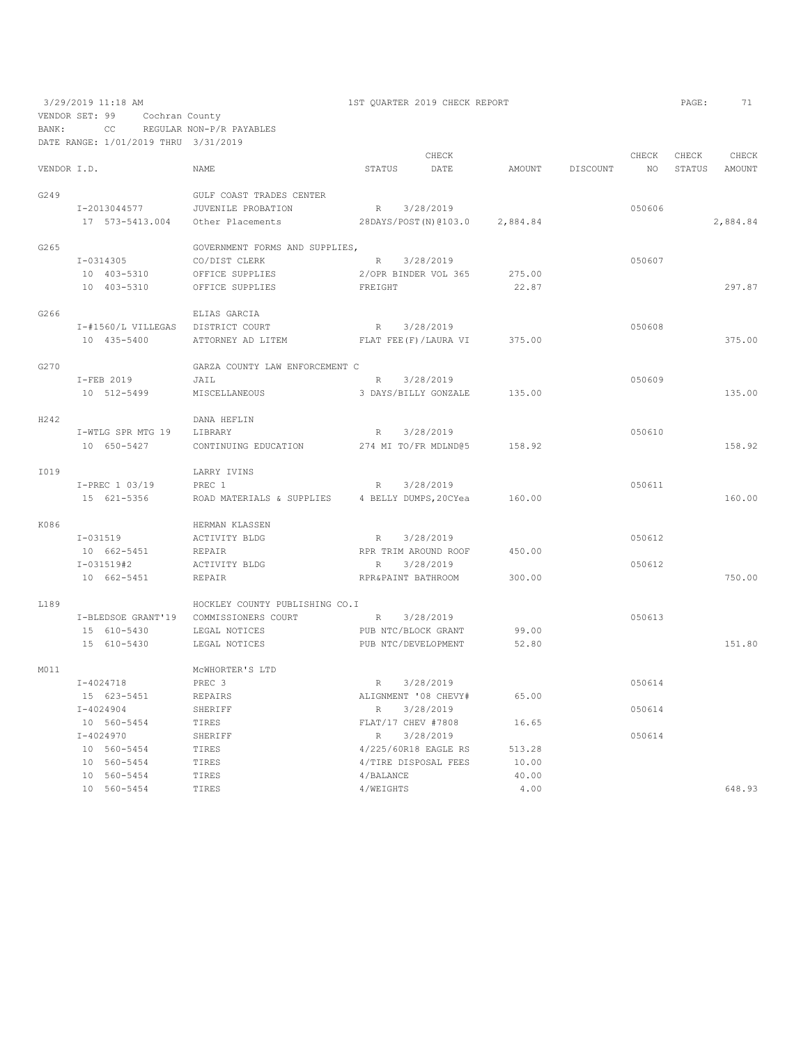| BANK:       | VENDOR SET: 99<br>CC                 | Cochran County<br>REGULAR NON-P/R PAYABLES      |                                   |                         |                |          |        |        |          |
|-------------|--------------------------------------|-------------------------------------------------|-----------------------------------|-------------------------|----------------|----------|--------|--------|----------|
|             | DATE RANGE: 1/01/2019 THRU 3/31/2019 |                                                 |                                   |                         |                |          |        |        |          |
|             |                                      |                                                 |                                   | CHECK                   |                |          | CHECK  | CHECK  | CHECK    |
| VENDOR I.D. |                                      | NAME                                            | STATUS                            | DATE                    | AMOUNT         | DISCOUNT | NO.    | STATUS | AMOUNT   |
| G249        |                                      | GULF COAST TRADES CENTER                        |                                   |                         |                |          |        |        |          |
|             | I-2013044577                         | JUVENILE PROBATION                              | R                                 | 3/28/2019               |                |          | 050606 |        |          |
|             | 17 573-5413.004                      | Other Placements                                |                                   | 28DAYS/POST (N) @103.0  | 2,884.84       |          |        |        | 2,884.84 |
|             |                                      |                                                 |                                   |                         |                |          |        |        |          |
| G265        |                                      | GOVERNMENT FORMS AND SUPPLIES,<br>CO/DIST CLERK |                                   |                         |                |          |        |        |          |
|             | I-0314305                            |                                                 | $R_{\perp}$                       | 3/28/2019               |                |          | 050607 |        |          |
|             | 10 403-5310                          | OFFICE SUPPLIES                                 |                                   | 2/OPR BINDER VOL 365    | 275.00         |          |        |        |          |
|             | 10 403-5310                          | OFFICE SUPPLIES                                 | FREIGHT                           |                         | 22.87          |          |        |        | 297.87   |
| G266        |                                      | ELIAS GARCIA                                    |                                   |                         |                |          |        |        |          |
|             | I-#1560/L VILLEGAS                   | DISTRICT COURT                                  | $R_{\parallel}$                   | 3/28/2019               |                |          | 050608 |        |          |
|             | 10 435-5400                          | ATTORNEY AD LITEM                               |                                   | FLAT FEE (F) / LAURA VI | 375.00         |          |        |        | 375.00   |
| G270        |                                      | GARZA COUNTY LAW ENFORCEMENT C                  |                                   |                         |                |          |        |        |          |
|             | I-FEB 2019                           | JAIL                                            | R                                 | 3/28/2019               |                |          | 050609 |        |          |
|             | 10 512-5499                          | MISCELLANEOUS                                   |                                   | 3 DAYS/BILLY GONZALE    | 135.00         |          |        |        | 135.00   |
| H242        |                                      | DANA HEFLIN                                     |                                   |                         |                |          |        |        |          |
|             | I-WTLG SPR MTG 19                    | LIBRARY                                         | R                                 | 3/28/2019               |                |          | 050610 |        |          |
|             | 10 650-5427                          | CONTINUING EDUCATION                            |                                   | 274 MI TO/FR MDLND@5    | 158.92         |          |        |        | 158.92   |
|             |                                      |                                                 |                                   |                         |                |          |        |        |          |
| I019        |                                      | LARRY IVINS                                     |                                   |                         |                |          |        |        |          |
|             | I-PREC 1 03/19                       | PREC 1                                          | $\mathbb{R}$                      | 3/28/2019               |                |          | 050611 |        |          |
|             | 15 621-5356                          | ROAD MATERIALS & SUPPLIES                       |                                   | 4 BELLY DUMPS, 20CYea   | 160.00         |          |        |        | 160.00   |
| K086        |                                      | HERMAN KLASSEN                                  |                                   |                         |                |          |        |        |          |
|             | $I - 031519$                         | ACTIVITY BLDG                                   | R                                 | 3/28/2019               |                |          | 050612 |        |          |
|             | 10 662-5451                          | REPAIR                                          |                                   | RPR TRIM AROUND ROOF    | 450.00         |          |        |        |          |
|             | I-031519#2                           | ACTIVITY BLDG                                   | R                                 | 3/28/2019               |                |          | 050612 |        |          |
|             | 10 662-5451                          | <b>REPAIR</b>                                   | RPR&PAINT BATHROOM                |                         | 300.00         |          |        |        | 750.00   |
| L189        |                                      | HOCKLEY COUNTY PUBLISHING CO.I                  |                                   |                         |                |          |        |        |          |
|             | I-BLEDSOE GRANT'19                   | COMMISSIONERS COURT                             | R                                 | 3/28/2019               |                |          | 050613 |        |          |
|             | 15 610-5430                          | LEGAL NOTICES                                   | PUB NTC/BLOCK GRANT               |                         | 99.00          |          |        |        |          |
|             | 15 610-5430                          | LEGAL NOTICES                                   | PUB NTC/DEVELOPMENT               |                         | 52.80          |          |        |        | 151.80   |
| M011        |                                      | MCWHORTER'S LTD                                 |                                   |                         |                |          |        |        |          |
|             | $I - 4024718$                        | PREC 3                                          | R                                 | 3/28/2019               |                |          | 050614 |        |          |
|             | 15 623-5451                          | REPAIRS                                         |                                   | ALIGNMENT '08 CHEVY#    | 65.00          |          |        |        |          |
|             | $I - 4024904$                        | SHERIFF                                         | $R_{\perp}$                       | 3/28/2019               |                |          | 050614 |        |          |
|             |                                      |                                                 |                                   |                         |                |          |        |        |          |
|             | 10 560-5454<br>$I - 4024970$         | TIRES<br>SHERIFF                                | FLAT/17 CHEV #7808<br>$\mathbb R$ | 3/28/2019               | 16.65          |          | 050614 |        |          |
|             | 10 560-5454                          | TIRES                                           |                                   | 4/225/60R18 EAGLE RS    | 513.28         |          |        |        |          |
|             |                                      |                                                 |                                   |                         |                |          |        |        |          |
|             | 10 560-5454<br>10 560-5454           | TIRES<br>TIRES                                  | 4/BALANCE                         | 4/TIRE DISPOSAL FEES    | 10.00<br>40.00 |          |        |        |          |
|             | 10 560-5454                          | TIRES                                           | 4/WEIGHTS                         |                         | 4.00           |          |        |        | 648.93   |
|             |                                      |                                                 |                                   |                         |                |          |        |        |          |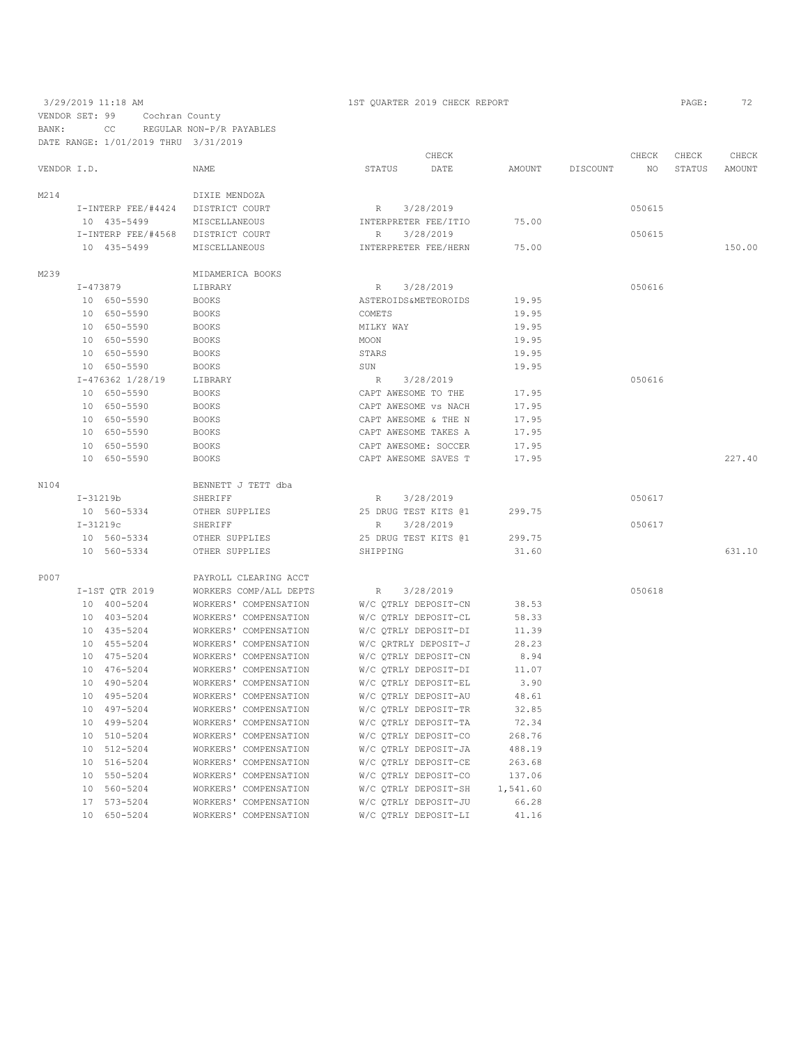### 3/29/2019 11:18 AM 1ST QUARTER 2019 CHECK REPORT PAGE: 72 VENDOR SET: 99 Cochran County BANK: CC REGULAR NON-P/R PAYABLES DATE RANGE: 1/01/2019 THRU 3/31/2019

|             |                    |                        | CHECK                         |          |          | CHECK  | CHECK  | CHECK  |
|-------------|--------------------|------------------------|-------------------------------|----------|----------|--------|--------|--------|
| VENDOR I.D. |                    | NAME                   | STATUS<br>DATE                | AMOUNT   | DISCOUNT | NO     | STATUS | AMOUNT |
| M214        |                    | DIXIE MENDOZA          |                               |          |          |        |        |        |
|             | I-INTERP FEE/#4424 | DISTRICT COURT         | 3/28/2019<br>R                |          |          | 050615 |        |        |
|             | 10 435-5499        | MISCELLANEOUS          | INTERPRETER FEE/ITIO          | 75.00    |          |        |        |        |
|             | I-INTERP FEE/#4568 | DISTRICT COURT         | 3/28/2019<br>$\, {\mathbb R}$ |          |          | 050615 |        |        |
|             | 10 435-5499        | MISCELLANEOUS          | INTERPRETER FEE/HERN          | 75.00    |          |        |        | 150.00 |
| M239        |                    | MIDAMERICA BOOKS       |                               |          |          |        |        |        |
|             | $I - 473879$       | LIBRARY                | 3/28/2019<br>$\mathbb R$      |          |          | 050616 |        |        |
|             | 10 650-5590        | <b>BOOKS</b>           | ASTEROIDS&METEOROIDS          | 19.95    |          |        |        |        |
|             | 10 650-5590        | <b>BOOKS</b>           | COMETS                        | 19.95    |          |        |        |        |
|             | 10 650-5590        | <b>BOOKS</b>           | MILKY WAY                     | 19.95    |          |        |        |        |
|             | 10 650-5590        | <b>BOOKS</b>           | MOON                          | 19.95    |          |        |        |        |
|             | 10 650-5590        | <b>BOOKS</b>           | STARS                         | 19.95    |          |        |        |        |
|             | 10 650-5590        | <b>BOOKS</b>           | SUN                           | 19.95    |          |        |        |        |
|             | I-476362 1/28/19   | LIBRARY                | 3/28/2019<br>R                |          |          | 050616 |        |        |
|             | 10 650-5590        | <b>BOOKS</b>           | CAPT AWESOME TO THE           | 17.95    |          |        |        |        |
|             | 10 650-5590        | <b>BOOKS</b>           | CAPT AWESOME VS NACH          | 17.95    |          |        |        |        |
|             | 10 650-5590        | <b>BOOKS</b>           | CAPT AWESOME & THE N          | 17.95    |          |        |        |        |
|             | 10 650-5590        | <b>BOOKS</b>           | CAPT AWESOME TAKES A          | 17.95    |          |        |        |        |
|             | 10 650-5590        | <b>BOOKS</b>           | CAPT AWESOME: SOCCER          | 17.95    |          |        |        |        |
|             | 10 650-5590        | <b>BOOKS</b>           | CAPT AWESOME SAVES T          | 17.95    |          |        |        | 227.40 |
| N104        |                    | BENNETT J TETT dba     |                               |          |          |        |        |        |
|             | $I-31219b$         | <b>SHERIFF</b>         | 3/28/2019<br>R                |          |          | 050617 |        |        |
|             | 10 560-5334        | OTHER SUPPLIES         | 25 DRUG TEST KITS @1          | 299.75   |          |        |        |        |
|             | $I-31219c$         | SHERIFF                | 3/28/2019<br>$\mathbb{R}$     |          |          | 050617 |        |        |
|             | 10 560-5334        | OTHER SUPPLIES         | 25 DRUG TEST KITS @1          | 299.75   |          |        |        |        |
|             | 10 560-5334        | OTHER SUPPLIES         | SHIPPING                      | 31.60    |          |        |        | 631.10 |
| P007        |                    | PAYROLL CLEARING ACCT  |                               |          |          |        |        |        |
|             | I-1ST QTR 2019     | WORKERS COMP/ALL DEPTS | R<br>3/28/2019                |          |          | 050618 |        |        |
|             | 10 400-5204        | WORKERS' COMPENSATION  | W/C QTRLY DEPOSIT-CN          | 38.53    |          |        |        |        |
|             | 10 403-5204        | WORKERS' COMPENSATION  | W/C QTRLY DEPOSIT-CL          | 58.33    |          |        |        |        |
|             | 10 435-5204        | WORKERS' COMPENSATION  | W/C QTRLY DEPOSIT-DI          | 11.39    |          |        |        |        |
|             | 10 455-5204        | WORKERS' COMPENSATION  | W/C QRTRLY DEPOSIT-J          | 28.23    |          |        |        |        |
|             | 10 475-5204        | WORKERS' COMPENSATION  | W/C QTRLY DEPOSIT-CN          | 8.94     |          |        |        |        |
|             | 10 476-5204        | WORKERS' COMPENSATION  | W/C QTRLY DEPOSIT-DI          | 11.07    |          |        |        |        |
|             | 10 490-5204        | WORKERS' COMPENSATION  | W/C QTRLY DEPOSIT-EL          | 3.90     |          |        |        |        |
|             | 10 495-5204        | WORKERS' COMPENSATION  | W/C QTRLY DEPOSIT-AU          | 48.61    |          |        |        |        |
|             | 10 497-5204        | WORKERS' COMPENSATION  | W/C OTRLY DEPOSIT-TR          | 32.85    |          |        |        |        |
|             | 10 499-5204        | WORKERS' COMPENSATION  | W/C QTRLY DEPOSIT-TA          | 72.34    |          |        |        |        |
|             | 10 510-5204        | WORKERS' COMPENSATION  | W/C QTRLY DEPOSIT-CO          | 268.76   |          |        |        |        |
|             | 10 512-5204        | WORKERS' COMPENSATION  | W/C QTRLY DEPOSIT-JA          | 488.19   |          |        |        |        |
|             | 10 516-5204        | WORKERS' COMPENSATION  | W/C QTRLY DEPOSIT-CE          | 263.68   |          |        |        |        |
|             | 10 550-5204        | WORKERS' COMPENSATION  | W/C QTRLY DEPOSIT-CO          | 137.06   |          |        |        |        |
|             | 10 560-5204        | WORKERS' COMPENSATION  | W/C QTRLY DEPOSIT-SH          | 1,541.60 |          |        |        |        |
|             | 17 573-5204        | WORKERS' COMPENSATION  | W/C OTRLY DEPOSIT-JU          | 66.28    |          |        |        |        |

10 650-5204 WORKERS' COMPENSATION W/C QTRLY DEPOSIT-LI 41.16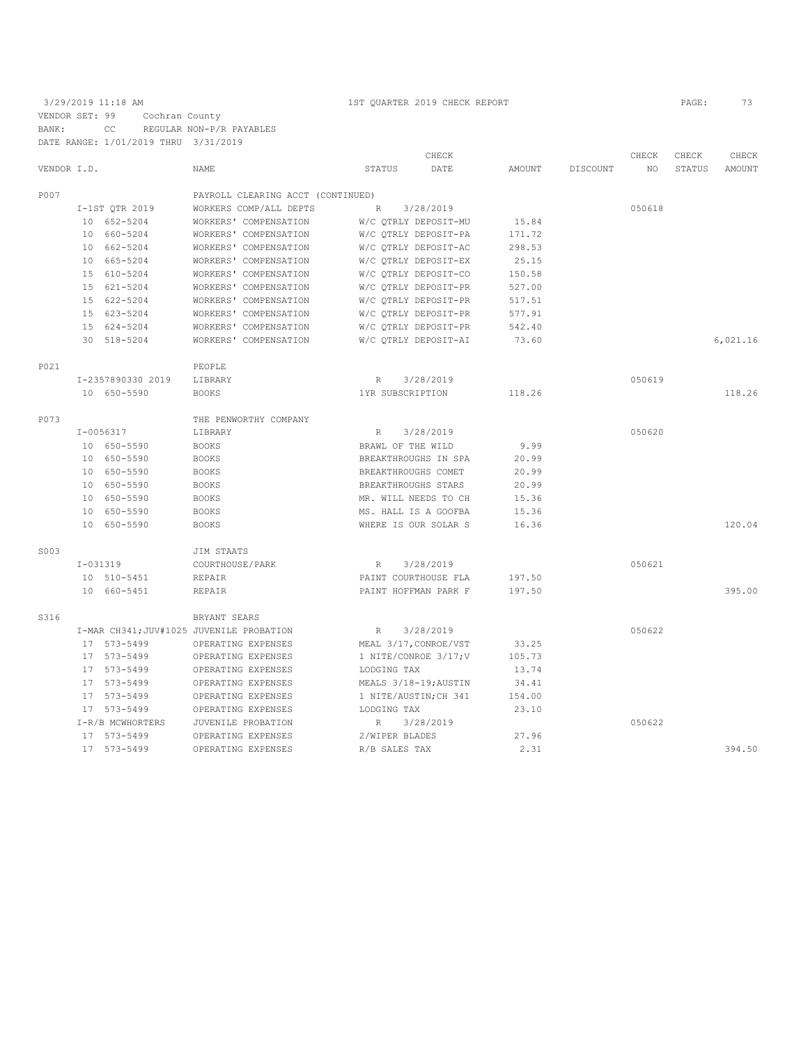## 3/29/2019 11:18 AM 1ST QUARTER 2019 CHECK REPORT PAGE: 73 VENDOR SET: 99 Cochran County BANK: CC REGULAR NON-P/R PAYABLES DATE RANGE: 1/01/2019 THRU 3/31/2019

|             |            | DAIL KANGL: 1/01/2019 IHKU 3/31/2019 |                                          |                     |                       |        |          |        |        |          |
|-------------|------------|--------------------------------------|------------------------------------------|---------------------|-----------------------|--------|----------|--------|--------|----------|
|             |            |                                      |                                          |                     | CHECK                 |        |          | CHECK  | CHECK  | CHECK    |
| VENDOR I.D. |            |                                      | <b>NAME</b>                              | STATUS              | DATE                  | AMOUNT | DISCOUNT | NO.    | STATUS | AMOUNT   |
| P007        |            |                                      | PAYROLL CLEARING ACCT (CONTINUED)        |                     |                       |        |          |        |        |          |
|             |            | I-1ST OTR 2019                       | WORKERS COMP/ALL DEPTS                   | R                   | 3/28/2019             |        |          | 050618 |        |          |
|             |            | 10 652-5204                          | WORKERS' COMPENSATION                    |                     | W/C QTRLY DEPOSIT-MU  | 15.84  |          |        |        |          |
|             |            | 10 660-5204                          | WORKERS' COMPENSATION                    |                     | W/C QTRLY DEPOSIT-PA  | 171.72 |          |        |        |          |
|             |            | 10 662-5204                          | WORKERS' COMPENSATION                    |                     | W/C OTRLY DEPOSIT-AC  | 298.53 |          |        |        |          |
|             |            | 10 665-5204                          | WORKERS' COMPENSATION                    |                     | W/C QTRLY DEPOSIT-EX  | 25.15  |          |        |        |          |
|             |            | 15 610-5204                          | WORKERS' COMPENSATION                    |                     | W/C OTRLY DEPOSIT-CO  | 150.58 |          |        |        |          |
|             |            | 15 621-5204                          | WORKERS' COMPENSATION                    |                     | W/C QTRLY DEPOSIT-PR  | 527.00 |          |        |        |          |
|             |            | 15 622-5204                          | WORKERS' COMPENSATION                    |                     | W/C QTRLY DEPOSIT-PR  | 517.51 |          |        |        |          |
|             |            |                                      |                                          |                     |                       |        |          |        |        |          |
|             |            | 15 623-5204                          | WORKERS' COMPENSATION                    |                     | W/C QTRLY DEPOSIT-PR  | 577.91 |          |        |        |          |
|             |            | 15 624-5204                          | WORKERS' COMPENSATION                    |                     | W/C OTRLY DEPOSIT-PR  | 542.40 |          |        |        |          |
|             |            | 30 518-5204                          | WORKERS' COMPENSATION                    |                     | W/C OTRLY DEPOSIT-AI  | 73.60  |          |        |        | 6,021.16 |
| P021        |            |                                      | PEOPLE                                   |                     |                       |        |          |        |        |          |
|             |            | I-2357890330 2019                    | LIBRARY                                  | R                   | 3/28/2019             |        |          | 050619 |        |          |
|             |            | 10 650-5590                          | <b>BOOKS</b>                             | 1YR SUBSCRIPTION    |                       | 118.26 |          |        |        | 118.26   |
| P073        |            |                                      | THE PENWORTHY COMPANY                    |                     |                       |        |          |        |        |          |
|             |            | I-0056317                            | LIBRARY                                  | R                   | 3/28/2019             |        |          | 050620 |        |          |
|             |            | 10 650-5590                          | <b>BOOKS</b>                             | BRAWL OF THE WILD   |                       | 9.99   |          |        |        |          |
|             |            | 10 650-5590                          | <b>BOOKS</b>                             |                     | BREAKTHROUGHS IN SPA  | 20.99  |          |        |        |          |
|             |            |                                      |                                          |                     |                       |        |          |        |        |          |
|             |            | 10 650-5590                          | <b>BOOKS</b>                             | BREAKTHROUGHS COMET |                       | 20.99  |          |        |        |          |
|             |            | 10 650-5590                          | <b>BOOKS</b>                             | BREAKTHROUGHS STARS |                       | 20.99  |          |        |        |          |
|             |            | 10 650-5590                          | <b>BOOKS</b>                             |                     | MR. WILL NEEDS TO CH  | 15.36  |          |        |        |          |
|             |            | 10 650-5590                          | <b>BOOKS</b>                             |                     | MS. HALL IS A GOOFBA  | 15.36  |          |        |        |          |
|             |            | 10 650-5590                          | <b>BOOKS</b>                             |                     | WHERE IS OUR SOLAR S  | 16.36  |          |        |        | 120.04   |
| S003        |            |                                      | JIM STAATS                               |                     |                       |        |          |        |        |          |
|             | $I-031319$ |                                      | COURTHOUSE/PARK                          | $R_{\rm}$           | 3/28/2019             |        |          | 050621 |        |          |
|             |            | 10 510-5451                          | REPAIR                                   |                     | PAINT COURTHOUSE FLA  | 197.50 |          |        |        |          |
|             |            | 10 660-5451                          | <b>REPAIR</b>                            |                     | PAINT HOFFMAN PARK F  | 197.50 |          |        |        | 395.00   |
| S316        |            |                                      | BRYANT SEARS                             |                     |                       |        |          |        |        |          |
|             |            |                                      | I-MAR CH341; JUV#1025 JUVENILE PROBATION | $R_{\perp}$         | 3/28/2019             |        |          | 050622 |        |          |
|             |            | 17 573-5499                          | OPERATING EXPENSES                       |                     | MEAL 3/17, CONROE/VST | 33.25  |          |        |        |          |
|             |            | 17 573-5499                          | OPERATING EXPENSES                       |                     | 1 NITE/CONROE 3/17; V | 105.73 |          |        |        |          |
|             |            | 17 573-5499                          | OPERATING EXPENSES                       | LODGING TAX         |                       | 13.74  |          |        |        |          |
|             |            | 17 573-5499                          | OPERATING EXPENSES                       |                     | MEALS 3/18-19; AUSTIN | 34.41  |          |        |        |          |
|             |            | 17 573-5499                          | OPERATING EXPENSES                       |                     | 1 NITE/AUSTIN; CH 341 | 154.00 |          |        |        |          |
|             |            | 17 573-5499                          | OPERATING EXPENSES                       | LODGING TAX         |                       | 23.10  |          |        |        |          |
|             |            |                                      |                                          |                     | 3/28/2019             |        |          | 050622 |        |          |
|             |            | I-R/B MCWHORTERS                     | JUVENILE PROBATION                       | $R_{\perp}$         |                       |        |          |        |        |          |
|             |            | 17 573-5499                          | OPERATING EXPENSES                       | 2/WIPER BLADES      |                       | 27.96  |          |        |        |          |
|             |            | 17 573-5499                          | OPERATING EXPENSES                       | R/B SALES TAX       |                       | 2.31   |          |        |        | 394.50   |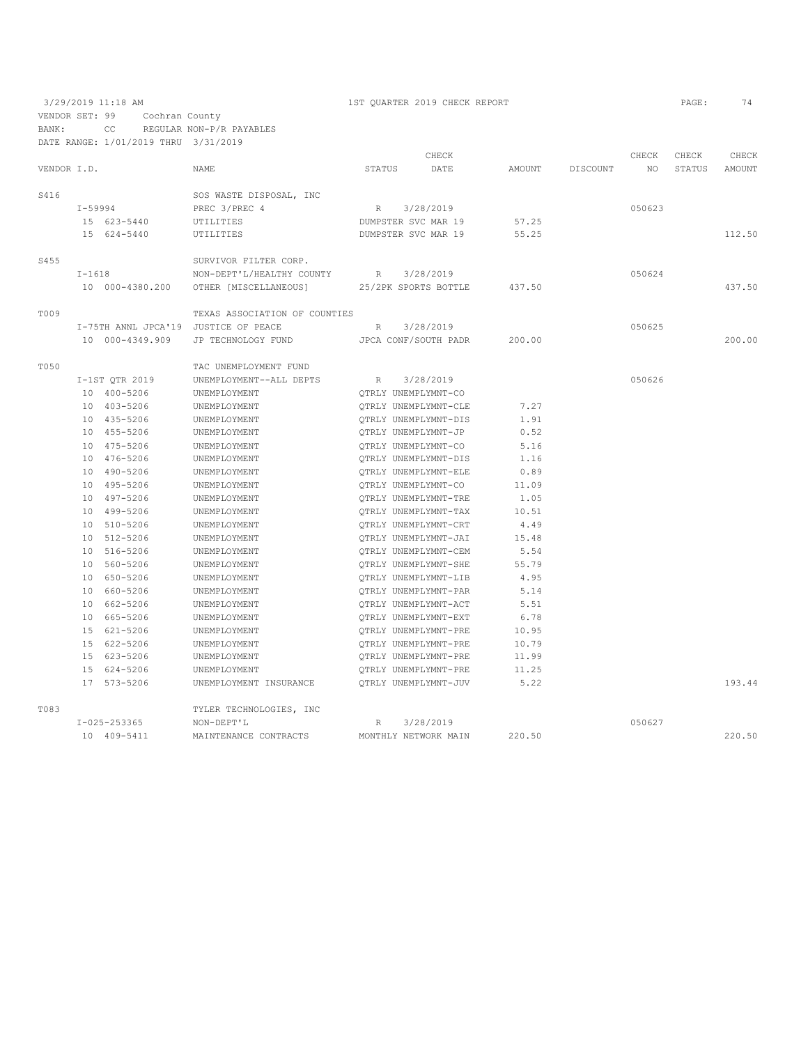3/29/2019 11:18 AM 1ST QUARTER 2019 CHECK REPORT PAGE: 74 VENDOR SET: 99 Cochran County BANK: CC REGULAR NON-P/R PAYABLES

|             |          | DATE RANGE: 1/01/2019 THRU 3/31/2019 |                                                            |                     |                      |        |          |        |        |               |
|-------------|----------|--------------------------------------|------------------------------------------------------------|---------------------|----------------------|--------|----------|--------|--------|---------------|
|             |          |                                      |                                                            |                     | CHECK                |        |          | CHECK  | CHECK  | CHECK         |
| VENDOR I.D. |          |                                      | <b>NAME</b>                                                | <b>STATUS</b>       | DATE                 | AMOUNT | DISCOUNT | NO.    | STATUS | <b>AMOUNT</b> |
|             |          |                                      |                                                            |                     |                      |        |          |        |        |               |
| S416        |          |                                      | SOS WASTE DISPOSAL, INC                                    |                     |                      |        |          |        |        |               |
|             |          | I-59994                              | PREC 3/PREC 4                                              | R 3/28/2019         |                      |        |          | 050623 |        |               |
|             |          | 15 623-5440                          | UTILITIES                                                  | DUMPSTER SVC MAR 19 |                      | 57.25  |          |        |        |               |
|             |          | 15 624-5440                          | UTILITIES                                                  |                     | DUMPSTER SVC MAR 19  | 55.25  |          |        |        | 112.50        |
| S455        |          |                                      | SURVIVOR FILTER CORP.                                      |                     |                      |        |          |        |        |               |
|             | $I-1618$ |                                      | NON-DEPT'L/HEALTHY COUNTY R 3/28/2019                      |                     |                      |        |          | 050624 |        |               |
|             |          |                                      | 10 000-4380.200 OTHER [MISCELLANEOUS] 25/2PK SPORTS BOTTLE |                     |                      | 437.50 |          |        |        | 437.50        |
| <b>T009</b> |          |                                      | TEXAS ASSOCIATION OF COUNTIES                              |                     |                      |        |          |        |        |               |
|             |          |                                      | I-75TH ANNL JPCA'19 JUSTICE OF PEACE                       | R                   | 3/28/2019            |        |          | 050625 |        |               |
|             |          | 10 000-4349.909                      | JP TECHNOLOGY FUND                                         |                     | JPCA CONF/SOUTH PADR | 200.00 |          |        |        | 200.00        |
|             |          |                                      | TAC UNEMPLOYMENT FUND                                      |                     |                      |        |          |        |        |               |
| T050        |          | I-1ST QTR 2019                       | UNEMPLOYMENT--ALL DEPTS                                    |                     | R 3/28/2019          |        |          | 050626 |        |               |
|             |          | 10 400-5206                          | UNEMPLOYMENT                                               |                     | OTRLY UNEMPLYMNT-CO  |        |          |        |        |               |
|             |          | 10 403-5206                          | UNEMPLOYMENT                                               |                     | OTRLY UNEMPLYMNT-CLE | 7.27   |          |        |        |               |
|             |          | 10 435-5206                          | UNEMPLOYMENT                                               |                     | OTRLY UNEMPLYMNT-DIS | 1.91   |          |        |        |               |
|             |          | 10 455-5206                          |                                                            |                     | QTRLY UNEMPLYMNT-JP  | 0.52   |          |        |        |               |
|             |          | 10 475-5206                          | UNEMPLOYMENT<br>UNEMPLOYMENT                               |                     | QTRLY UNEMPLYMNT-CO  | 5.16   |          |        |        |               |
|             |          | 10 476-5206                          | UNEMPLOYMENT                                               |                     | QTRLY UNEMPLYMNT-DIS | 1.16   |          |        |        |               |
|             |          | 10 490-5206                          | UNEMPLOYMENT                                               |                     | OTRLY UNEMPLYMNT-ELE | 0.89   |          |        |        |               |
|             |          | 10 495-5206                          | UNEMPLOYMENT                                               |                     | OTRLY UNEMPLYMNT-CO  | 11.09  |          |        |        |               |
|             |          | 10 497-5206                          | UNEMPLOYMENT                                               |                     | QTRLY UNEMPLYMNT-TRE | 1.05   |          |        |        |               |
|             |          | 10 499-5206                          | UNEMPLOYMENT                                               |                     | OTRLY UNEMPLYMNT-TAX | 10.51  |          |        |        |               |
|             |          |                                      |                                                            |                     |                      |        |          |        |        |               |
|             |          | 10 510-5206                          | UNEMPLOYMENT                                               |                     | OTRLY UNEMPLYMNT-CRT | 4.49   |          |        |        |               |
|             |          | 10 512-5206                          | UNEMPLOYMENT                                               |                     | QTRLY UNEMPLYMNT-JAI | 15.48  |          |        |        |               |
|             |          | 10 516-5206                          | UNEMPLOYMENT                                               |                     | QTRLY UNEMPLYMNT-CEM | 5.54   |          |        |        |               |
|             |          | 10 560-5206                          | UNEMPLOYMENT                                               |                     | QTRLY UNEMPLYMNT-SHE | 55.79  |          |        |        |               |
|             |          | 10 650-5206                          | UNEMPLOYMENT                                               |                     | QTRLY UNEMPLYMNT-LIB | 4.95   |          |        |        |               |
|             |          | 10 660-5206                          | UNEMPLOYMENT                                               |                     | QTRLY UNEMPLYMNT-PAR | 5.14   |          |        |        |               |
|             |          | 10 662-5206                          | UNEMPLOYMENT                                               |                     | OTRLY UNEMPLYMNT-ACT | 5.51   |          |        |        |               |
|             |          | 10 665-5206                          | UNEMPLOYMENT                                               |                     | OTRLY UNEMPLYMNT-EXT | 6.78   |          |        |        |               |
|             |          | 15 621-5206                          | UNEMPLOYMENT                                               |                     | OTRLY UNEMPLYMNT-PRE | 10.95  |          |        |        |               |
|             |          | 15 622-5206                          | UNEMPLOYMENT                                               |                     | QTRLY UNEMPLYMNT-PRE | 10.79  |          |        |        |               |
|             |          | 15 623-5206                          | UNEMPLOYMENT                                               |                     | QTRLY UNEMPLYMNT-PRE | 11.99  |          |        |        |               |
|             |          | 15 624-5206                          | UNEMPLOYMENT                                               |                     | QTRLY UNEMPLYMNT-PRE | 11.25  |          |        |        |               |
|             |          | 17 573-5206                          | UNEMPLOYMENT INSURANCE                                     |                     | OTRLY UNEMPLYMNT-JUV | 5.22   |          |        |        | 193.44        |
| T083        |          |                                      | TYLER TECHNOLOGIES, INC                                    |                     |                      |        |          |        |        |               |
|             |          | I-025-253365                         | NON-DEPT'L                                                 | R                   | 3/28/2019            |        |          | 050627 |        |               |
|             |          | 10 409-5411                          | MAINTENANCE CONTRACTS                                      |                     | MONTHLY NETWORK MAIN | 220.50 |          |        |        | 220.50        |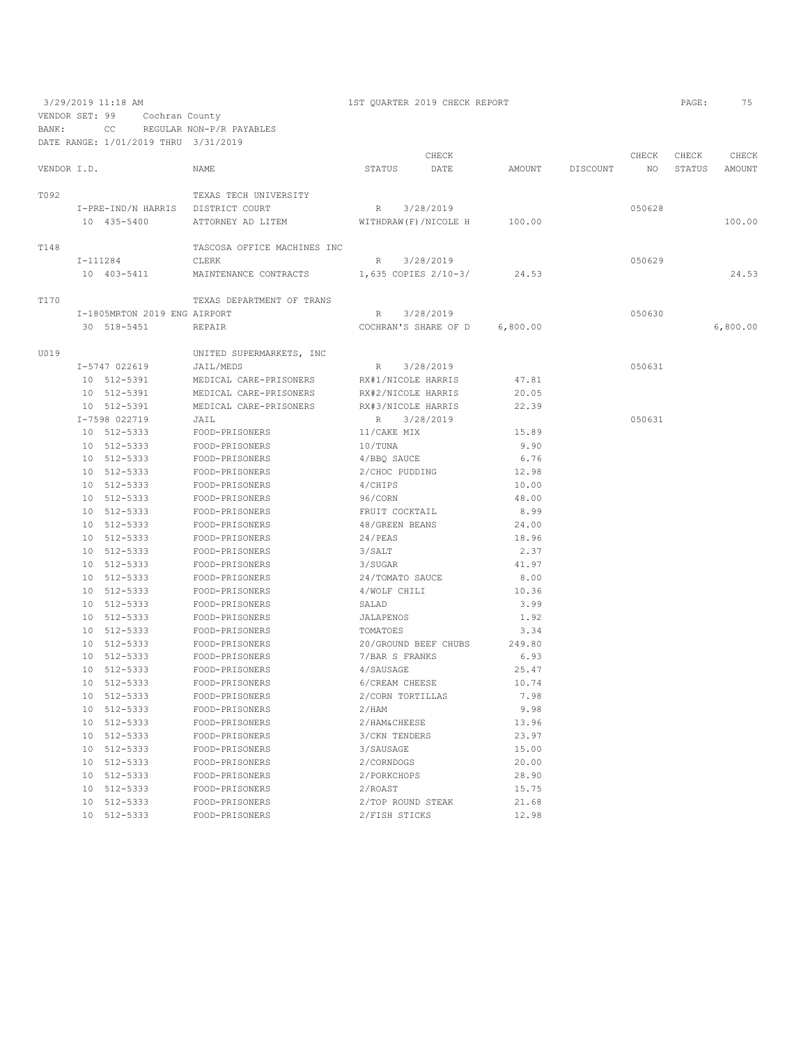3/29/2019 11:18 AM 1ST QUARTER 2019 CHECK REPORT PAGE: 75 VENDOR SET: 99 Cochran County BANK: CC REGULAR NON-P/R PAYABLES DATE RANGE: 1/01/2019 THRU 3/31/2019 CHECK CHECK CHECK CHECK VENDOR I.D. NAME STATUS DATE AMOUNT DISCOUNT NO STATUS AMOUNT T092 TEXAS TECH UNIVERSITY I-PRE-IND/N HARRIS DISTRICT COURT R 3/28/2019 050628 ATTORNEY AD LITEM  $N$  at the matrix  $\sim$  100.00 100.00 100.00 100.00 T<br/>148 TASCOSA OFFICE MACHINES INC $\tt I-111284$  I-111284 CLERK R 3/28/2019 050629 MAINTENANCE CONTRACTS 1,635 COPIES 2/10-3/ 24.53 24.53 24.53 T170 TEXAS DEPARTMENT OF TRANS I-1805MRTON 2019 ENG AIRPORT R 3/28/2019 050630 30 518-5451 REPAIR COCHRAN'S SHARE OF D 6,800.00 6,800.00 U019 UNITED SUPERMARKETS, INC I-5747 022619 JAIL/MEDS R 3/28/2019<br>10 512-5391 MEDICAL CARE-PRISONERS RX#1/NICOLE\_HARRIS 47.81 MEDICAL CARE-PRISONERS 10 512-5391 MEDICAL CARE-PRISONERS RX#2/NICOLE HARRIS 20.05 10 512-5391 MEDICAL CARE-PRISONERS RX#3/NICOLE HARRIS 1-7598 022719 JAIL 3 I-7598 022719 JAIL R 3/28/2019 050631 10 512-5333 FOOD-PRISONERS 11/CAKE MIX 15.89 10 512-5333 FOOD-PRISONERS 10/TUNA 9.90 10 512-5333 FOOD-PRISONERS 4/BBQ SAUCE 6.76<br>10 512-5333 FOOD-PRISONERS 2/CHOC PUDDING 12.98 10 512-5333 FOOD-PRISONERS 2/CHOC PUDDING 12.98 10 512-5333 FOOD-PRISONERS 4/CHIPS 10.00  $FOOD-PRISONERS$ 10 512–5333 FOOD-PRISONERS FRUIT COCKTAIL 8.99<br>10 512–5333 FOOD-PRISONERS 48/GREEN BEANS 24.00 10 512-5333 FOOD-PRISONERS 48/GREEN BEANS 24.00 10 512-5333 FOOD-PRISONERS 24/PEAS 218.96<br>10 512-5333 FOOD-PRISONERS 3/SALT 2.37 10 512-5333 FOOD-PRISONERS 3/SALT 2.37 FOOD-PRISONERS<br>FOOD-PRISONERS 10 512-5333 FOOD-PRISONERS 24/TOMATO SAUCE 8.00<br>10 512-5333 FOOD-PRISONERS 4/WOLF CHILI 10.36 10 512-5333 FOOD-PRISONERS 4/WOLF CHILI 10 512-5333 FOOD-PRISONERS SALAD 10 512-5333 FOOD-PRISONERS SALAD 3.99 10 512-5333 FOOD-PRISONERS JALAPENOS<br>10 512-5333 FOOD-PRISONERS TOMATOES 10 512-5333 FOOD-PRISONERS TOMATOES 3.34 10 512-5333 FOOD-PRISONERS 20/GROUND BEEF CHUBS 249.80 10 512-5333 FOOD-PRISONERS 7/BAR S FRANKS 6.93 10 512-5333 FOOD-PRISONERS 4/SAUSAGE 25.47<br>10 512-5333 FOOD-PRISONERS 6/CREAM CHEESE 20.74 10 512–5333 FOOD-PRISONERS 6/CREAM CHEESE 10.74<br>10 512–5333 FOOD-PRISONERS 2/CORN TORTILLAS 7.98 10  $512-5333$  FOOD-PRISONERS 2/CORN TORTILLAS<br>10  $512-5333$  FOOD-PRISONERS 2/HAM 10 512-5333 FOOD-PRISONERS 2/HAM 9.98 10 512–5333 FOOD-PRISONERS 2/HAM&CHEESE 13.96<br>10 512–5333 FOOD-PRISONERS 3/CKN TENDERS 23.97  $FOOD-PRISONERS$ 10 512-5333 FOOD-PRISONERS 3/SAUSAGE 15.00<br>10 512-5333 FOOD-PRISONERS 2/CORNDOGS 20.00 10 512-5333 FOOD-PRISONERS 2/CORNDOGS 20.00 10 512-5333 FOOD-PRISONERS 2/PORKCHOPS 28.90 10 512-5333 FOOD-PRISONERS 2/ROAST 2010 2/ROAST 15.75<br>10 512-5333 FOOD-PRISONERS 2/TOP ROUND STEAK 21.68 10 512-5333 FOOD-PRISONERS 2/TOP ROUND STEAK 21.68

10 512-5333 FOOD-PRISONERS 2/FISH STICKS 12.98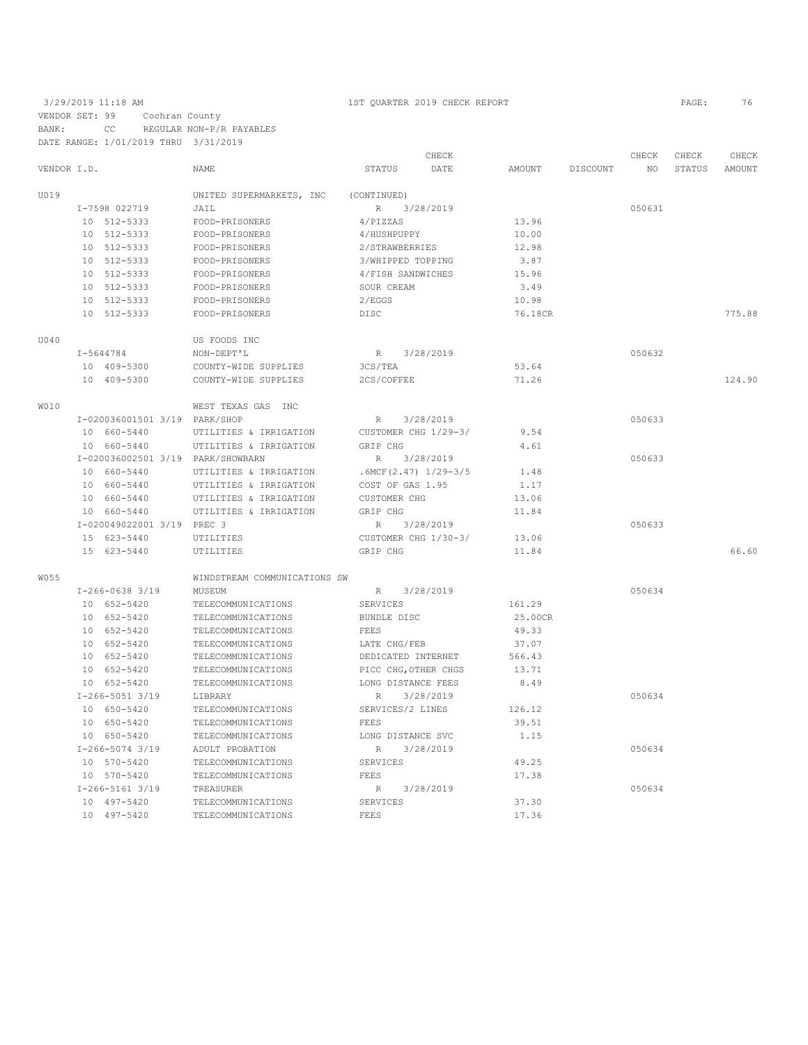### 3/29/2019 11:18 AM 1ST QUARTER 2019 CHECK REPORT PAGE: 76 VENDOR SET: 99 Cochran County

BANK: CC REGULAR NON-P/R PAYABLES

DATE RANGE: 1/01/2019 THRU 3/31/2019 CHECK CHECK CHECK CHECK CHECK CHECK CHECK CHECK CHECK CHECK CHECK CHECK CHECK CHECK CHECK CHECK CHECK CHECK CHECK CHECK CHECK CHECK CHECK CHECK CHECK CHECK CHECK CHECK CHECK CHECK CHECK CHECK CHECK CHECK CHECK CHECK CHECK VENDOR I.D. NAME STATUS DATE AMOUNT DISCOUNT NO STATUS AMOUNT U019 UNITED SUPERMARKETS, INC (CONTINUED) I-7598 022719 JAIL JARE R 3/28/2019<br>10 512-5333 FOOD-PRISONERS 4/PIZZAS 13.96 10 512-5333 FOOD-PRISONERS 4/PIZZAS 13.96 10 512-5333 FOOD-PRISONERS<br>10 512-5333 FOOD-PRISONERS 10 512-5333 FOOD-PRISONERS 2/STRAWBERRIES 12.98 10 512-5333 FOOD-PRISONERS 3/WHIPPED TOPPING 3.87 10 512–5333 FOOD-PRISONERS 4/FISH SANDWICHES 15.96<br>10 512–5333 FOOD-PRISONERS SOUR CREAM 3.49 10 512 512-5333 FOODR CREAM 3.49 1<br>10 FOOD-PRISONERS<br>2005-PRISONERS 10 512-5333 FOOD-PRISONERS DISC 76.18CR 775.88 U040 US FOODS INC I-5644784 NON-DEPT'L R 3/28/2019 050632 10 409-5300 COUNTY-WIDE SUPPLIES 3CS/TEA 53.64 10 409-5300 COUNTY-WIDE SUPPLIES 2CS/COFFEE 71.26 124.90 W010 WEST TEXAS GAS INC I-020036001501 3/19 PARK/SHOP R 3/28/2019<br>10 660-5440 UTILITIES & IRRIGATION CUSTOMER CHG 1/29-3/ 9.54 UTILITIES & IRRIGATION CUSTOMER CHG 1/29-3/ 9.54 10 660-5440 UTILITIES & IRRIGATION GRIP CHG 4.61<br>I-020036002501 3/19 PARK/SHOWBARN R 3/28/2019 I-020036002501 3/19 PARK/SHOWBARN R 3/28/2019 050633 10 660-5440 UTILITIES & IRRIGATION .6MCF(2.47) 1/29-3/5 1.48 UTILITIES & IRRIGATION COST OF GAS 1.95 1.17<br>
13.06 1991 UTILITIES & IRRIGATION CUSTOMER CHG 10 660-5440 UTILITIES & IRRIGATION CUSTOMER CHG 13.06 10 660-5440 UTILITIES & IRRIGATION GRIP CHG 11.84 I-020049022001 3/19 PREC 3<br>15 623-5440 UTILITIES CUSTOMER CHG 1/30-3/ 13.06 23-5440 UTILITIES 15 623-5440 UTILITIES CUSTOMER CHG 1/30-3/ 13.06 15 623-5440 UTILITIES GRIP CHG 11.84 66.60 W055 WINDSTREAM COMMUNICATIONS SW  $I-266-0638$  3/19 MUSEUM R 3/28/2019<br>
10 652-5420 TELECOMMUNICATIONS SERVICES 161.29 10 652-5420 TELECOMMUNICATIONS SERVICES 161.29 10 652-5420 TELECOMMUNICATIONS BUNDLE DISC 25.00CR 10 652-5420 TELECOMMUNICATIONS FEES 49.33<br>10 652-5420 TELECOMMUNICATIONS LATE CHG/FEB 37.07 10 652-5420 TELECOMMUNICATIONS LATE CHG/FEB 37.07<br>10 652-5420 TELECOMMUNICATIONS DEDICATED INTERNET 566.43 10 652-5420 TELECOMMUNICATIONS DEDICATED INTERNET 566.43<br>10 652-5420 TELECOMMUNICATIONS PICC CHG, OTHER CHGS 13.71 10 652-5420 TELECOMMUNICATIONS PICC CHG, OTHER CHGS 13.71<br>10 652-5420 TELECOMMUNICATIONS LONG DISTANCE FEES 8.49 LONG DISTANCE FEES  $8.49$ <br>R  $3/28/2019$ 1-266-5051 3/19 LIBRARY R 3/28/2019<br>10 650-5420 TELECOMMUNICATIONS SERVICES/2 LINES 126.12 10 650-5420 TELECOMMUNICATIONS SERVICES<br>10 650-5420 TELECOMMUNICATIONS FEES 10 650-5420 TELECOMMUNICATIONS FEES FEES 39.51<br>10 650-5420 TELECOMMUNICATIONS LONG DISTANCE SVC 1.15 TELECOMMUNICATIONS I-266-5074 3/19 ADULT PROBATION R 3/28/2019 050634 10 570-5420 TELECOMMUNICATIONS SERVICES 49.25<br>10 570-5420 TELECOMMUNICATIONS FEES 570-5420 17.38 10 570-5420 TELECOMMUNICATIONS FEES 17.38<br>1-266-5161 3/19 TREASURER R 3/28/2019 1-266-5161 3/19 TREASURER R 3/28/2019<br>10 497-5420 TELECOMMUNICATIONS SERVICES 37.30 1-200-3101-3/12<br>
10 497-5420 TELECOMMUNICATIONS SERVICES 37.30<br>
10 497-5420 TELECOMMUNICATIONS FEES 17.36 10 497-5420 TELECOMMUNICATIONS FEES 17.36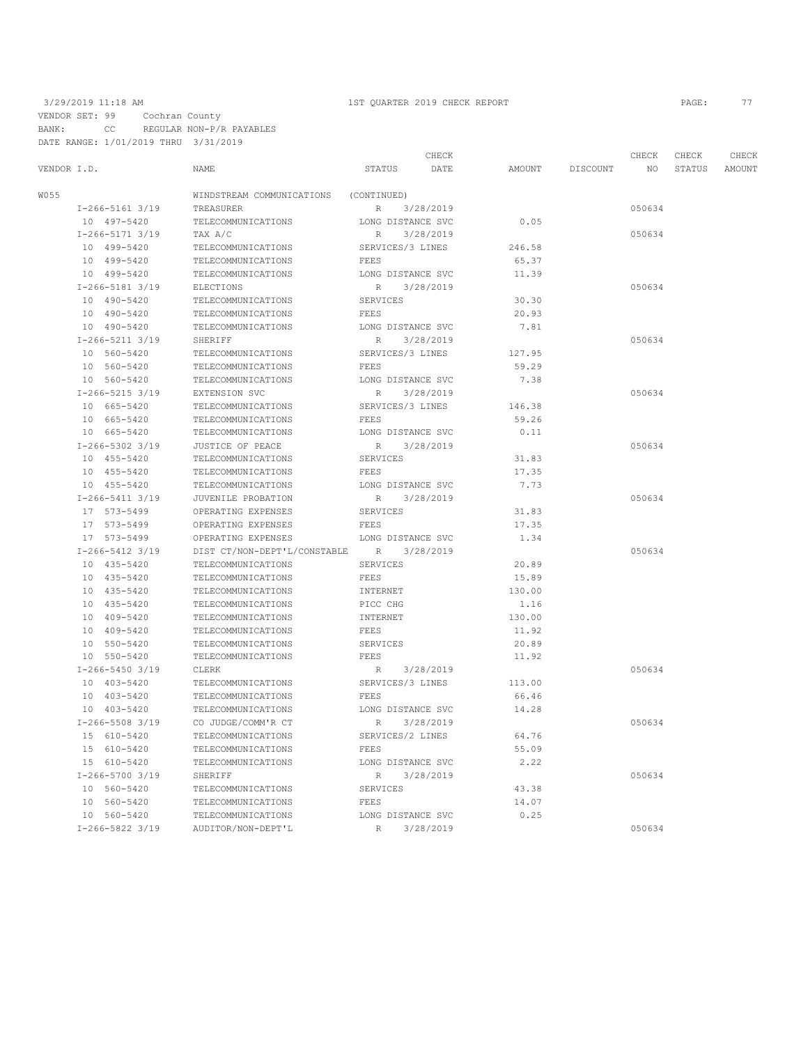VENDOR SET: 99 Cochran County BANK: CC REGULAR NON-P/R PAYABLES DATE RANGE: 1/01/2019 THRU 3/31/2019

### 3/29/2019 11:18 AM 1ST QUARTER 2019 CHECK REPORT PAGE: 77

|             |                       |                                          |                   | CHECK     |        |          | CHECK           | CHECK  | CHECK  |
|-------------|-----------------------|------------------------------------------|-------------------|-----------|--------|----------|-----------------|--------|--------|
| VENDOR I.D. |                       | NAME                                     | STATUS            | DATE      | AMOUNT | DISCOUNT | NO <sub>1</sub> | STATUS | AMOUNT |
| W055        |                       | WINDSTREAM COMMUNICATIONS                | (CONTINUED)       |           |        |          |                 |        |        |
|             | $I-266-5161$ 3/19     | TREASURER                                | 3/28/2019<br>R    |           |        |          | 050634          |        |        |
|             | 10 497-5420           | TELECOMMUNICATIONS                       | LONG DISTANCE SVC |           | 0.05   |          |                 |        |        |
|             | I-266-5171 3/19       | TAX A/C                                  | R                 | 3/28/2019 |        |          | 050634          |        |        |
|             | 10 499-5420           | TELECOMMUNICATIONS                       | SERVICES/3 LINES  |           | 246.58 |          |                 |        |        |
|             | 10 499-5420           | TELECOMMUNICATIONS                       | FEES              |           | 65.37  |          |                 |        |        |
|             | 10 499-5420           | TELECOMMUNICATIONS                       | LONG DISTANCE SVC |           | 11.39  |          |                 |        |        |
|             | I-266-5181 3/19       | <b>ELECTIONS</b>                         | R                 | 3/28/2019 |        |          | 050634          |        |        |
|             | 10 490-5420           | TELECOMMUNICATIONS                       | SERVICES          |           | 30.30  |          |                 |        |        |
|             | 10 490-5420           | TELECOMMUNICATIONS                       | FEES              |           | 20.93  |          |                 |        |        |
|             | 10 490-5420           | TELECOMMUNICATIONS                       | LONG DISTANCE SVC |           | 7.81   |          |                 |        |        |
|             | I-266-5211 3/19       | SHERIFF                                  | R                 | 3/28/2019 |        |          | 050634          |        |        |
|             | 10 560-5420           | TELECOMMUNICATIONS                       | SERVICES/3 LINES  |           | 127.95 |          |                 |        |        |
|             | 10 560-5420           | TELECOMMUNICATIONS                       | FEES              |           | 59.29  |          |                 |        |        |
|             | 10 560-5420           | TELECOMMUNICATIONS                       | LONG DISTANCE SVC |           | 7.38   |          |                 |        |        |
|             | $I-266-5215$ 3/19     | EXTENSION SVC                            | R                 | 3/28/2019 |        |          | 050634          |        |        |
|             | 10 665-5420           | TELECOMMUNICATIONS                       | SERVICES/3 LINES  |           | 146.38 |          |                 |        |        |
|             | 10 665-5420           | TELECOMMUNICATIONS                       | FEES              |           | 59.26  |          |                 |        |        |
|             | 10 665-5420           | TELECOMMUNICATIONS                       | LONG DISTANCE SVC |           | 0.11   |          |                 |        |        |
|             | $I-266-5302$ 3/19     | JUSTICE OF PEACE                         | 3/28/2019<br>R    |           |        |          | 050634          |        |        |
|             | 10 455-5420           | TELECOMMUNICATIONS                       | SERVICES          |           | 31.83  |          |                 |        |        |
|             | 10 455-5420           | TELECOMMUNICATIONS                       | FEES              |           | 17.35  |          |                 |        |        |
|             | 10 455-5420           | TELECOMMUNICATIONS                       | LONG DISTANCE SVC |           | 7.73   |          |                 |        |        |
|             | $I-266-5411$ 3/19     | JUVENILE PROBATION                       | 3/28/2019<br>R    |           |        |          | 050634          |        |        |
|             | 17 573-5499           | OPERATING EXPENSES                       | SERVICES          |           | 31.83  |          |                 |        |        |
|             | 17 573-5499           | OPERATING EXPENSES                       | FEES              |           | 17.35  |          |                 |        |        |
|             | 17 573-5499           | OPERATING EXPENSES                       | LONG DISTANCE SVC |           | 1.34   |          |                 |        |        |
|             | $I-266-5412$ 3/19     | DIST CT/NON-DEPT'L/CONSTABLE R 3/28/2019 |                   |           |        |          | 050634          |        |        |
|             | 10 435-5420           | TELECOMMUNICATIONS                       | SERVICES          |           | 20.89  |          |                 |        |        |
|             | 10 435-5420           | TELECOMMUNICATIONS                       | FEES              |           | 15.89  |          |                 |        |        |
|             | 10 435-5420           | TELECOMMUNICATIONS                       | INTERNET          |           | 130.00 |          |                 |        |        |
|             | 10 435-5420           | TELECOMMUNICATIONS                       | PICC CHG          |           | 1.16   |          |                 |        |        |
|             | 10 409-5420           | TELECOMMUNICATIONS                       | INTERNET          |           | 130.00 |          |                 |        |        |
|             | 10 409-5420           | TELECOMMUNICATIONS                       | FEES              |           | 11.92  |          |                 |        |        |
|             | 10 550-5420           | TELECOMMUNICATIONS                       | SERVICES          |           | 20.89  |          |                 |        |        |
|             | 10 550-5420           | TELECOMMUNICATIONS                       | FEES              |           | 11.92  |          |                 |        |        |
|             | $I-266-5450$ 3/19     | CLERK                                    | R 3/28/2019       |           |        |          | 050634          |        |        |
|             | 10 403-5420           | TELECOMMUNICATIONS                       | SERVICES/3 LINES  |           | 113.00 |          |                 |        |        |
|             | 10 403-5420           | TELECOMMUNICATIONS                       | FEES              |           | 66.46  |          |                 |        |        |
|             | 10 403-5420           | TELECOMMUNICATIONS                       | LONG DISTANCE SVC |           | 14.28  |          |                 |        |        |
|             | I-266-5508 3/19       | CO JUDGE/COMM'R CT                       | R                 | 3/28/2019 |        |          | 050634          |        |        |
|             | 15 610-5420           | TELECOMMUNICATIONS                       | SERVICES/2 LINES  |           | 64.76  |          |                 |        |        |
|             | 15 610-5420           | TELECOMMUNICATIONS                       | FEES              |           | 55.09  |          |                 |        |        |
|             | 15 610-5420           | TELECOMMUNICATIONS                       | LONG DISTANCE SVC |           | 2.22   |          |                 |        |        |
|             | I-266-5700 3/19       | SHERIFF                                  | $\mathbb R$       | 3/28/2019 |        |          | 050634          |        |        |
|             | 10 560-5420           | TELECOMMUNICATIONS                       | SERVICES          |           | 43.38  |          |                 |        |        |
|             | 10 560-5420           | TELECOMMUNICATIONS                       | FEES              |           | 14.07  |          |                 |        |        |
|             | 10 560-5420           | TELECOMMUNICATIONS                       | LONG DISTANCE SVC |           | 0.25   |          |                 |        |        |
|             | $I - 266 - 5822$ 3/19 | AUDITOR/NON-DEPT'L                       | R 3/28/2019       |           |        |          | 050634          |        |        |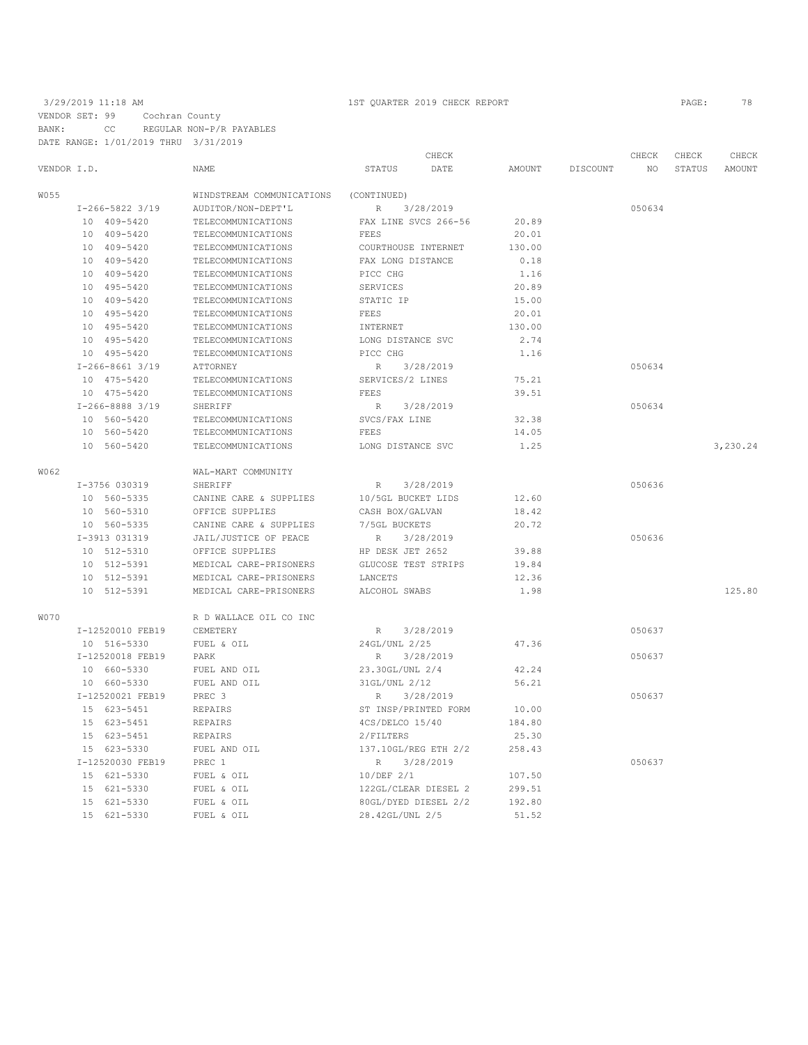VENDOR SET: 99 Cochran County BANK: CC REGULAR NON-P/R PAYABLES DATE RANGE: 1/01/2019 THRU 3/31/2019

|      |                   |                           | CHECK                    |        |          | CHECK  | CHECK  | CHECK    |
|------|-------------------|---------------------------|--------------------------|--------|----------|--------|--------|----------|
|      | VENDOR I.D.       | <b>NAME</b>               | <b>STATUS</b><br>DATE    | AMOUNT | DISCOUNT | NO     | STATUS | AMOUNT   |
| W055 |                   | WINDSTREAM COMMUNICATIONS | (CONTINUED)              |        |          |        |        |          |
|      | $I-266-5822$ 3/19 | AUDITOR/NON-DEPT'L        | R<br>3/28/2019           |        |          | 050634 |        |          |
|      | 10 409-5420       | TELECOMMUNICATIONS        | FAX LINE SVCS 266-56     | 20.89  |          |        |        |          |
|      | 10 409-5420       | TELECOMMUNICATIONS        | FEES                     | 20.01  |          |        |        |          |
|      | 10 409-5420       | TELECOMMUNICATIONS        | COURTHOUSE INTERNET      | 130.00 |          |        |        |          |
|      | 10 409-5420       | TELECOMMUNICATIONS        | FAX LONG DISTANCE        | 0.18   |          |        |        |          |
|      | 10 409-5420       | TELECOMMUNICATIONS        | PICC CHG                 | 1.16   |          |        |        |          |
|      | 10 495-5420       | TELECOMMUNICATIONS        | SERVICES                 | 20.89  |          |        |        |          |
|      | 10 409-5420       | TELECOMMUNICATIONS        | STATIC IP                | 15.00  |          |        |        |          |
|      | 10 495-5420       | TELECOMMUNICATIONS        | FEES                     | 20.01  |          |        |        |          |
|      | 10 495-5420       | TELECOMMUNICATIONS        | INTERNET                 | 130.00 |          |        |        |          |
|      | 10 495-5420       | TELECOMMUNICATIONS        | LONG DISTANCE SVC        | 2.74   |          |        |        |          |
|      | 10 495-5420       | TELECOMMUNICATIONS        | PICC CHG                 | 1.16   |          |        |        |          |
|      | $I-266-8661$ 3/19 | ATTORNEY                  | R<br>3/28/2019           |        |          | 050634 |        |          |
|      | 10 475-5420       | TELECOMMUNICATIONS        | SERVICES/2 LINES         | 75.21  |          |        |        |          |
|      | 10 475-5420       | TELECOMMUNICATIONS        | FEES                     | 39.51  |          |        |        |          |
|      | $I-266-8888$ 3/19 | SHERIFF                   | R 3/28/2019              |        |          | 050634 |        |          |
|      | 10 560-5420       | TELECOMMUNICATIONS        | SVCS/FAX LINE            | 32.38  |          |        |        |          |
|      | 10 560-5420       | TELECOMMUNICATIONS        | FEES                     | 14.05  |          |        |        |          |
|      | 10 560-5420       | TELECOMMUNICATIONS        | LONG DISTANCE SVC        | 1.25   |          |        |        | 3,230.24 |
|      |                   |                           |                          |        |          |        |        |          |
| W062 |                   | WAL-MART COMMUNITY        |                          |        |          |        |        |          |
|      | I-3756 030319     | SHERIFF                   | R<br>3/28/2019           |        |          | 050636 |        |          |
|      | 10 560-5335       | CANINE CARE & SUPPLIES    | 10/5GL BUCKET LIDS       | 12.60  |          |        |        |          |
|      | 10 560-5310       | OFFICE SUPPLIES           | CASH BOX/GALVAN          | 18.42  |          |        |        |          |
|      | 10 560-5335       | CANINE CARE & SUPPLIES    | 7/5GL BUCKETS            | 20.72  |          |        |        |          |
|      | I-3913 031319     | JAIL/JUSTICE OF PEACE     | 3/28/2019<br>R           |        |          | 050636 |        |          |
|      | 10 512-5310       | OFFICE SUPPLIES           | HP DESK JET 2652         | 39.88  |          |        |        |          |
|      | 10 512-5391       | MEDICAL CARE-PRISONERS    | GLUCOSE TEST STRIPS      | 19.84  |          |        |        |          |
|      | 10 512-5391       | MEDICAL CARE-PRISONERS    | LANCETS                  | 12.36  |          |        |        |          |
|      | 10 512-5391       | MEDICAL CARE-PRISONERS    | ALCOHOL SWABS            | 1.98   |          |        |        | 125.80   |
| W070 |                   | R D WALLACE OIL CO INC    |                          |        |          |        |        |          |
|      | I-12520010 FEB19  | CEMETERY                  | 3/28/2019<br>$R_{\perp}$ |        |          | 050637 |        |          |
|      | 10 516-5330       | FUEL & OIL                | 24GL/UNL 2/25            | 47.36  |          |        |        |          |
|      | I-12520018 FEB19  | PARK                      | 3/28/2019<br>R           |        |          | 050637 |        |          |
|      | 10 660-5330       | FUEL AND OIL              | 23.30GL/UNL 2/4          | 42.24  |          |        |        |          |
|      | 10 660-5330       | FUEL AND OIL              | 31GL/UNL 2/12            | 56.21  |          |        |        |          |
|      | I-12520021 FEB19  | PREC 3                    | R<br>3/28/2019           |        |          | 050637 |        |          |
|      | 15 623-5451       | REPAIRS                   | ST INSP/PRINTED FORM     | 10.00  |          |        |        |          |
|      | 15 623-5451       | REPAIRS                   | 4CS/DELCO 15/40          | 184.80 |          |        |        |          |
|      | 15 623-5451       | REPAIRS                   | 2/FILTERS                | 25.30  |          |        |        |          |
|      | 15 623-5330       | FUEL AND OIL              | 137.10GL/REG ETH 2/2     | 258.43 |          |        |        |          |
|      | I-12520030 FEB19  | PREC 1                    | R<br>3/28/2019           |        |          | 050637 |        |          |
|      | 15 621-5330       | FUEL & OIL                | 10/DEF 2/1               | 107.50 |          |        |        |          |
|      | 15 621-5330       | FUEL & OIL                | 122GL/CLEAR DIESEL 2     | 299.51 |          |        |        |          |
|      | 15 621-5330       | FUEL & OIL                | 80GL/DYED DIESEL 2/2     | 192.80 |          |        |        |          |
|      | 15 621-5330       | FUEL & OIL                | 28.42GL/UNL 2/5          | 51.52  |          |        |        |          |
|      |                   |                           |                          |        |          |        |        |          |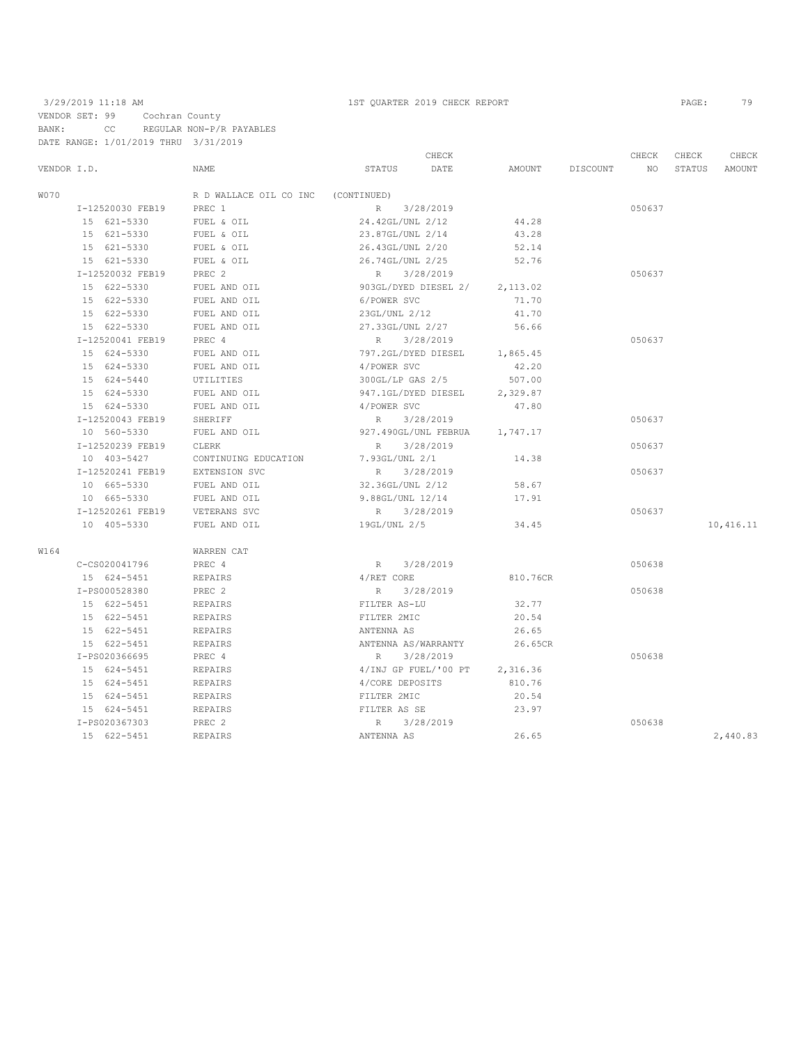VENDOR SET: 99 Cochran County BANK: CC REGULAR NON-P/R PAYABLES DATE RANGE: 1/01/2019 THRU 3/31/2019

|             |                  |                        | CHECK                |          |          | CHECK  | CHECK  | CHECK     |
|-------------|------------------|------------------------|----------------------|----------|----------|--------|--------|-----------|
| VENDOR I.D. |                  | NAME                   | STATUS<br>DATE       | AMOUNT   | DISCOUNT | NO     | STATUS | AMOUNT    |
| W070        |                  | R D WALLACE OIL CO INC | (CONTINUED)          |          |          |        |        |           |
|             | I-12520030 FEB19 | PREC 1                 | R 3/28/2019          |          |          | 050637 |        |           |
|             | 15 621-5330      | FUEL & OIL             | 24.42GL/UNL 2/12     | 44.28    |          |        |        |           |
|             | 15 621-5330      | FUEL & OIL             | 23.87GL/UNL 2/14     | 43.28    |          |        |        |           |
|             | 15 621-5330      | FUEL & OIL             | 26.43GL/UNL 2/20     | 52.14    |          |        |        |           |
|             | 15 621-5330      | FUEL & OIL             | 26.74GL/UNL 2/25     | 52.76    |          |        |        |           |
|             | I-12520032 FEB19 | PREC <sub>2</sub>      | 3/28/2019<br>R       |          |          | 050637 |        |           |
|             | 15 622-5330      | FUEL AND OIL           | 903GL/DYED DIESEL 2/ | 2,113.02 |          |        |        |           |
|             | 15 622-5330      | FUEL AND OIL           | 6/POWER SVC          | 71.70    |          |        |        |           |
|             | 15 622-5330      | FUEL AND OIL           | 23GL/UNL 2/12        | 41.70    |          |        |        |           |
|             | 15 622-5330      | FUEL AND OIL           | 27.33GL/UNL 2/27     | 56.66    |          |        |        |           |
|             | I-12520041 FEB19 | PREC 4                 | 3/28/2019<br>R       |          |          | 050637 |        |           |
|             | 15 624-5330      | FUEL AND OIL           | 797.2GL/DYED DIESEL  | 1,865.45 |          |        |        |           |
|             | 15 624-5330      | FUEL AND OIL           | 4/POWER SVC          | 42.20    |          |        |        |           |
|             | 15 624-5440      | UTILITIES              | $300$ GL/LP GAS 2/5  | 507.00   |          |        |        |           |
|             | 15 624-5330      | FUEL AND OIL           | 947.1GL/DYED DIESEL  | 2,329.87 |          |        |        |           |
|             | 15 624-5330      | FUEL AND OIL           | 4/POWER SVC          | 47.80    |          |        |        |           |
|             | I-12520043 FEB19 | SHERIFF                | 3/28/2019<br>R       |          |          | 050637 |        |           |
|             | 10 560-5330      | FUEL AND OIL           | 927.490GL/UNL FEBRUA | 1,747.17 |          |        |        |           |
|             | I-12520239 FEB19 | CLERK                  | R<br>3/28/2019       |          |          | 050637 |        |           |
|             | 10 403-5427      | CONTINUING EDUCATION   | 7.93GL/UNL 2/1       | 14.38    |          |        |        |           |
|             | I-12520241 FEB19 | EXTENSION SVC          | 3/28/2019<br>R       |          |          | 050637 |        |           |
|             | 10 665-5330      | FUEL AND OIL           | 32.36GL/UNL 2/12     | 58.67    |          |        |        |           |
|             | 10 665-5330      | FUEL AND OIL           | 9.88GL/UNL 12/14     | 17.91    |          |        |        |           |
|             | I-12520261 FEB19 | VETERANS SVC           | 3/28/2019<br>R       |          |          | 050637 |        |           |
|             | 10 405-5330      | FUEL AND OIL           | 19GL/UNL 2/5         | 34.45    |          |        |        | 10,416.11 |
| W164        |                  | WARREN CAT             |                      |          |          |        |        |           |
|             | C-CS020041796    | PREC 4                 | 3/28/2019<br>R       |          |          | 050638 |        |           |
|             | 15 624-5451      | REPAIRS                | 4/RET CORE           | 810.76CR |          |        |        |           |
|             | I-PS000528380    | PREC <sub>2</sub>      | 3/28/2019<br>R       |          |          | 050638 |        |           |
|             | 15 622-5451      | REPAIRS                | FILTER AS-LU         | 32.77    |          |        |        |           |
|             | 15 622-5451      | REPAIRS                | FILTER 2MIC          | 20.54    |          |        |        |           |
|             | 15 622-5451      | REPAIRS                | ANTENNA AS           | 26.65    |          |        |        |           |
|             | 15 622-5451      | REPAIRS                | ANTENNA AS/WARRANTY  | 26.65CR  |          |        |        |           |
|             | I-PS020366695    | PREC 4                 | 3/28/2019<br>R       |          |          | 050638 |        |           |
|             | 15 624-5451      | REPAIRS                | 4/INJ GP FUEL/'00 PT | 2,316.36 |          |        |        |           |
|             | 15 624-5451      | REPAIRS                | 4/CORE DEPOSITS      | 810.76   |          |        |        |           |
|             | 15 624-5451      | REPAIRS                | FILTER 2MIC          | 20.54    |          |        |        |           |
|             | 15 624-5451      | REPAIRS                | FILTER AS SE         | 23.97    |          |        |        |           |
|             | I-PS020367303    | PREC 2                 | 3/28/2019<br>R       |          |          | 050638 |        |           |
|             | 15 622-5451      | <b>REPAIRS</b>         | ANTENNA AS           | 26.65    |          |        |        | 2,440.83  |
|             |                  |                        |                      |          |          |        |        |           |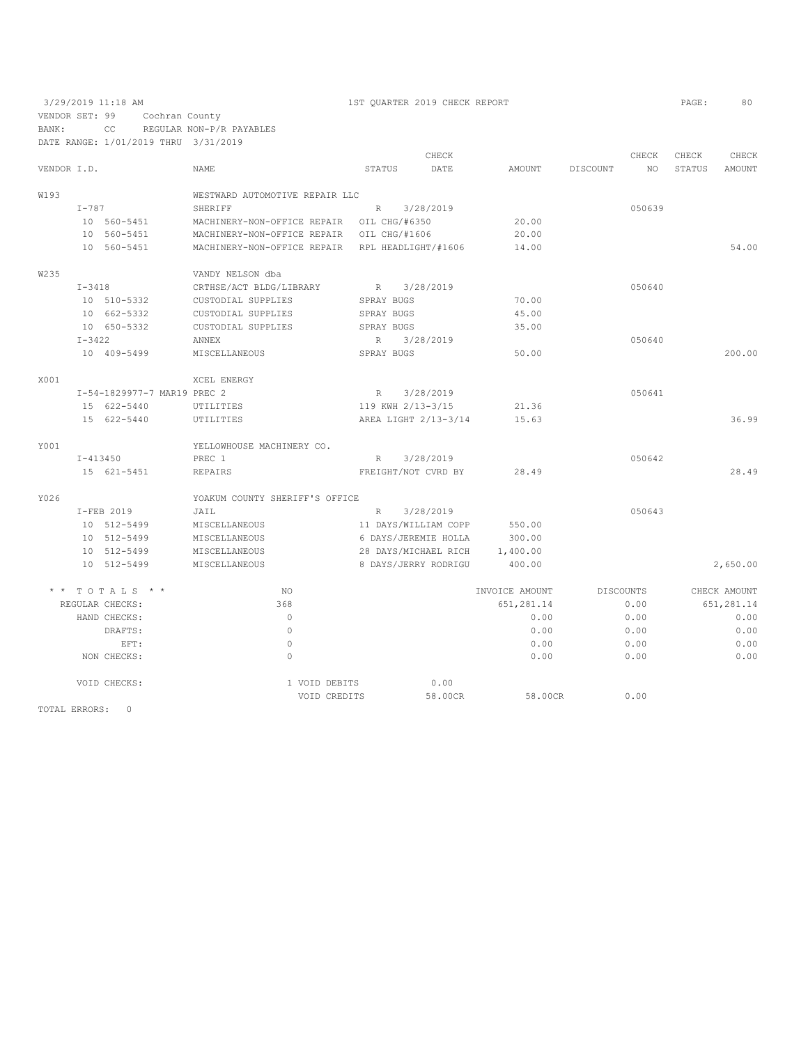VENDOR SET: 99 Cochran County BANK: CC REGULAR NON-P/R PAYABLES DATE RANGE: 1/01/2019 THRU 3/31/2019

|             |              |                             |                                |                 | CHECK                |                |          | CHECK            | CHECK         | CHECK        |
|-------------|--------------|-----------------------------|--------------------------------|-----------------|----------------------|----------------|----------|------------------|---------------|--------------|
| VENDOR I.D. |              |                             | <b>NAME</b>                    | <b>STATUS</b>   | DATE                 | AMOUNT         | DISCOUNT | NO.              | <b>STATUS</b> | AMOUNT       |
|             |              |                             |                                |                 |                      |                |          |                  |               |              |
| W193        |              |                             | WESTWARD AUTOMOTIVE REPAIR LLC |                 |                      |                |          |                  |               |              |
|             | $I-787$      |                             | SHERIFF                        | R               | 3/28/2019            |                |          | 050639           |               |              |
|             |              | 10 560-5451                 | MACHINERY-NON-OFFICE REPAIR    |                 | OIL CHG/#6350        | 20.00          |          |                  |               |              |
|             |              | 10 560-5451                 | MACHINERY-NON-OFFICE REPAIR    |                 | OIL CHG/#1606        | 20.00          |          |                  |               |              |
|             |              | 10 560-5451                 | MACHINERY-NON-OFFICE REPAIR    |                 | RPL HEADLIGHT/#1606  | 14.00          |          |                  |               | 54.00        |
| W235        |              |                             | VANDY NELSON dba               |                 |                      |                |          |                  |               |              |
|             | $I - 3418$   |                             | CRTHSE/ACT BLDG/LIBRARY        | R               | 3/28/2019            |                |          | 050640           |               |              |
|             |              | 10 510-5332                 | CUSTODIAL SUPPLIES             | SPRAY BUGS      |                      | 70.00          |          |                  |               |              |
|             |              | 10 662-5332                 | CUSTODIAL SUPPLIES             | SPRAY BUGS      |                      | 45.00          |          |                  |               |              |
|             |              | 10 650-5332                 | CUSTODIAL SUPPLIES             | SPRAY BUGS      |                      | 35.00          |          |                  |               |              |
|             | $I - 3422$   |                             | <b>ANNEX</b>                   | R               | 3/28/2019            |                |          | 050640           |               |              |
|             |              | 10 409-5499                 | MISCELLANEOUS                  | SPRAY BUGS      |                      | 50.00          |          |                  |               | 200.00       |
| X001        |              |                             |                                |                 |                      |                |          |                  |               |              |
|             |              | I-54-1829977-7 MAR19 PREC 2 | XCEL ENERGY                    | R               |                      |                |          | 050641           |               |              |
|             |              |                             |                                |                 | 3/28/2019            |                |          |                  |               |              |
|             |              | 15 622-5440                 | UTILITIES                      |                 | 119 KWH 2/13-3/15    | 21.36          |          |                  |               |              |
|             |              | 15 622-5440                 | UTILITIES                      |                 | AREA LIGHT 2/13-3/14 | 15.63          |          |                  |               | 36.99        |
| Y001        |              |                             | YELLOWHOUSE MACHINERY CO.      |                 |                      |                |          |                  |               |              |
|             | $I - 413450$ |                             | PREC 1                         | R               | 3/28/2019            |                |          | 050642           |               |              |
|             |              | 15 621-5451                 | REPAIRS                        |                 | FREIGHT/NOT CVRD BY  | 28.49          |          |                  |               | 28.49        |
| Y026        |              |                             | YOAKUM COUNTY SHERIFF'S OFFICE |                 |                      |                |          |                  |               |              |
|             |              | I-FEB 2019                  | JAIL                           | $R_{\parallel}$ | 3/28/2019            |                |          | 050643           |               |              |
|             |              | 10 512-5499                 | MISCELLANEOUS                  |                 | 11 DAYS/WILLIAM COPP | 550.00         |          |                  |               |              |
|             |              | 10 512-5499                 | MISCELLANEOUS                  |                 | 6 DAYS/JEREMIE HOLLA | 300.00         |          |                  |               |              |
|             |              | 10 512-5499                 | MISCELLANEOUS                  |                 | 28 DAYS/MICHAEL RICH | 1,400.00       |          |                  |               |              |
|             |              | 10 512-5499                 | MISCELLANEOUS                  |                 | 8 DAYS/JERRY RODRIGU | 400.00         |          |                  |               | 2,650.00     |
|             |              | TOTALS * *                  | NO.                            |                 |                      | INVOICE AMOUNT |          | <b>DISCOUNTS</b> |               | CHECK AMOUNT |
|             |              | REGULAR CHECKS:             | 368                            |                 |                      | 651,281.14     |          | 0.00             |               | 651,281.14   |
|             |              | HAND CHECKS:                | $\circ$                        |                 |                      | 0.00           |          | 0.00             |               | 0.00         |
|             |              | DRAFTS:                     | $\Omega$                       |                 |                      | 0.00           |          | 0.00             |               | 0.00         |
|             |              | EFT:                        | $\circ$                        |                 |                      | 0.00           |          | 0.00             |               | 0.00         |
|             |              | NON CHECKS:                 | $\circ$                        |                 |                      | 0.00           |          | 0.00             |               | 0.00         |
|             |              |                             |                                |                 |                      |                |          |                  |               |              |
|             |              | VOID CHECKS:                | 1 VOID DEBITS                  |                 | 0.00                 |                |          |                  |               |              |
|             |              |                             | VOID CREDITS                   |                 | 58.00CR              | 58.00CR        |          | 0.00             |               |              |

TOTAL ERRORS: 0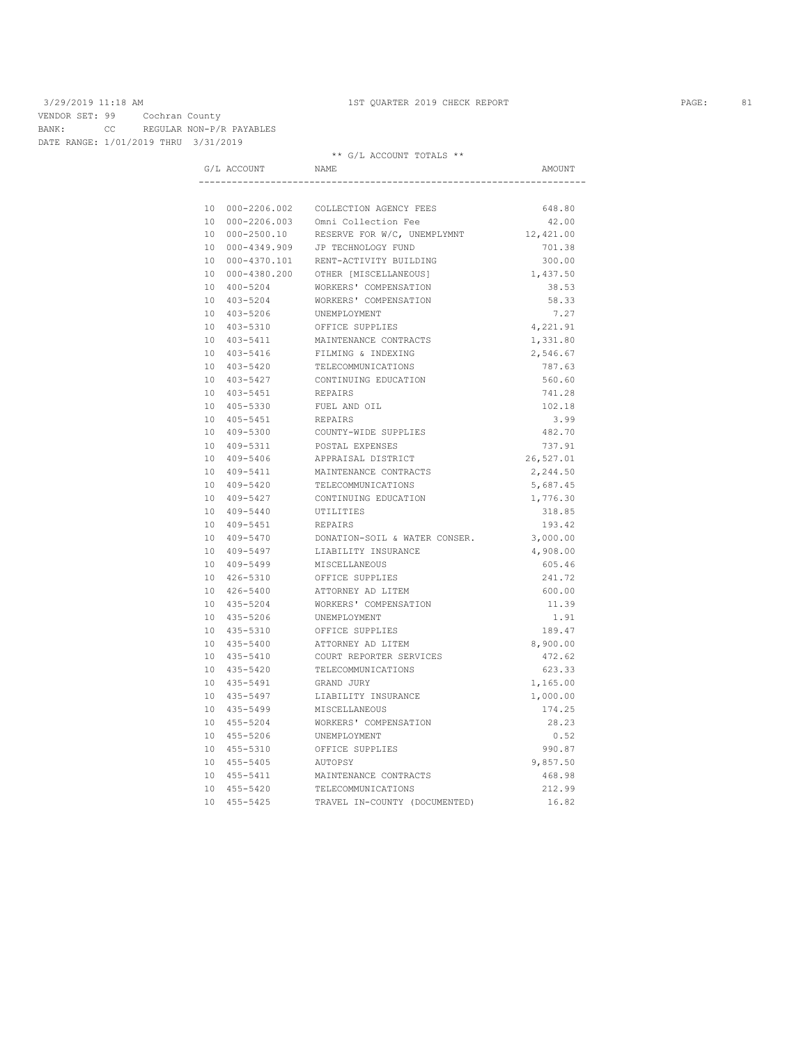VENDOR SET: 99 Cochran County BANK: CC REGULAR NON-P/R PAYABLES DATE RANGE: 1/01/2019 THRU 3/31/2019

|  |                 | ** G/L ACCOUNT TOTALS **               |           |
|--|-----------------|----------------------------------------|-----------|
|  | G/L ACCOUNT     | NAME                                   | AMOUNT    |
|  |                 |                                        |           |
|  |                 | 10 000-2206.002 COLLECTION AGENCY FEES | 648.80    |
|  |                 | 10 000-2206.003 Omni Collection Fee    | 42.00     |
|  | 10 000-2500.10  | RESERVE FOR W/C, UNEMPLYMNT            | 12,421.00 |
|  |                 | 10 000-4349.909 JP TECHNOLOGY FUND     | 701.38    |
|  | 10 000-4370.101 | RENT-ACTIVITY BUILDING                 | 300.00    |
|  |                 | 10 000-4380.200 OTHER [MISCELLANEOUS]  | 1,437.50  |
|  | 10 400-5204     | WORKERS' COMPENSATION                  | 38.53     |
|  | 10 403-5204     | WORKERS' COMPENSATION                  | 58.33     |
|  | 10 403-5206     | UNEMPLOYMENT                           | 7.27      |
|  | 10 403-5310     | OFFICE SUPPLIES                        | 4,221.91  |
|  | 10 403-5411     | MAINTENANCE CONTRACTS                  | 1,331.80  |
|  | 10 403-5416     | FILMING & INDEXING                     | 2,546.67  |
|  | 10 403-5420     | TELECOMMUNICATIONS                     | 787.63    |
|  | 10 403-5427     | CONTINUING EDUCATION                   | 560.60    |
|  | 10 403-5451     | REPAIRS                                | 741.28    |
|  | 10 405-5330     | FUEL AND OIL                           | 102.18    |
|  | 10 405-5451     | REPAIRS                                | 3.99      |
|  | 10 409-5300     | COUNTY-WIDE SUPPLIES                   | 482.70    |
|  | 10 409-5311     | POSTAL EXPENSES                        | 737.91    |
|  | 10 409-5406     | APPRAISAL DISTRICT                     | 26,527.01 |
|  | 10 409-5411     | MAINTENANCE CONTRACTS                  | 2,244.50  |
|  | 10 409-5420     | TELECOMMUNICATIONS                     | 5,687.45  |
|  | 10 409-5427     | CONTINUING EDUCATION                   | 1,776.30  |
|  | 10 409-5440     | UTILITIES                              | 318.85    |
|  | 10 409-5451     | REPAIRS                                | 193.42    |
|  | 10 409-5470     | DONATION-SOIL & WATER CONSER.          | 3,000.00  |
|  | 10 409-5497     | LIABILITY INSURANCE                    | 4,908.00  |
|  | 10 409-5499     | MISCELLANEOUS                          | 605.46    |
|  | 10 426-5310     | OFFICE SUPPLIES                        | 241.72    |
|  | 10 426-5400     | ATTORNEY AD LITEM                      | 600.00    |
|  | 10 435-5204     | WORKERS' COMPENSATION                  | 11.39     |
|  | 10 435-5206     | UNEMPLOYMENT                           | 1.91      |
|  | 10 435-5310     | OFFICE SUPPLIES                        | 189.47    |
|  | 10 435-5400     | ATTORNEY AD LITEM                      | 8,900.00  |
|  | 10 435-5410     | COURT REPORTER SERVICES                | 472.62    |
|  | 10 435-5420     | TELECOMMUNICATIONS                     | 623.33    |
|  | 10 435-5491     | GRAND JURY                             | 1,165.00  |
|  | 10 435-5497     | LIABILITY INSURANCE                    | 1,000.00  |
|  | 10 435-5499     | MISCELLANEOUS                          | 174.25    |
|  | 10 455-5204     | WORKERS' COMPENSATION                  | 28.23     |
|  | 10 455-5206     | UNEMPLOYMENT                           | 0.52      |
|  | 10 455-5310     | OFFICE SUPPLIES                        | 990.87    |
|  | 10 455-5405     | AUTOPSY                                | 9,857.50  |
|  | 10 455-5411     | MAINTENANCE CONTRACTS                  | 468.98    |
|  | 10 455-5420     | TELECOMMUNICATIONS                     | 212.99    |
|  | 10 455-5425     | TRAVEL IN-COUNTY (DOCUMENTED)          | 16.82     |
|  |                 |                                        |           |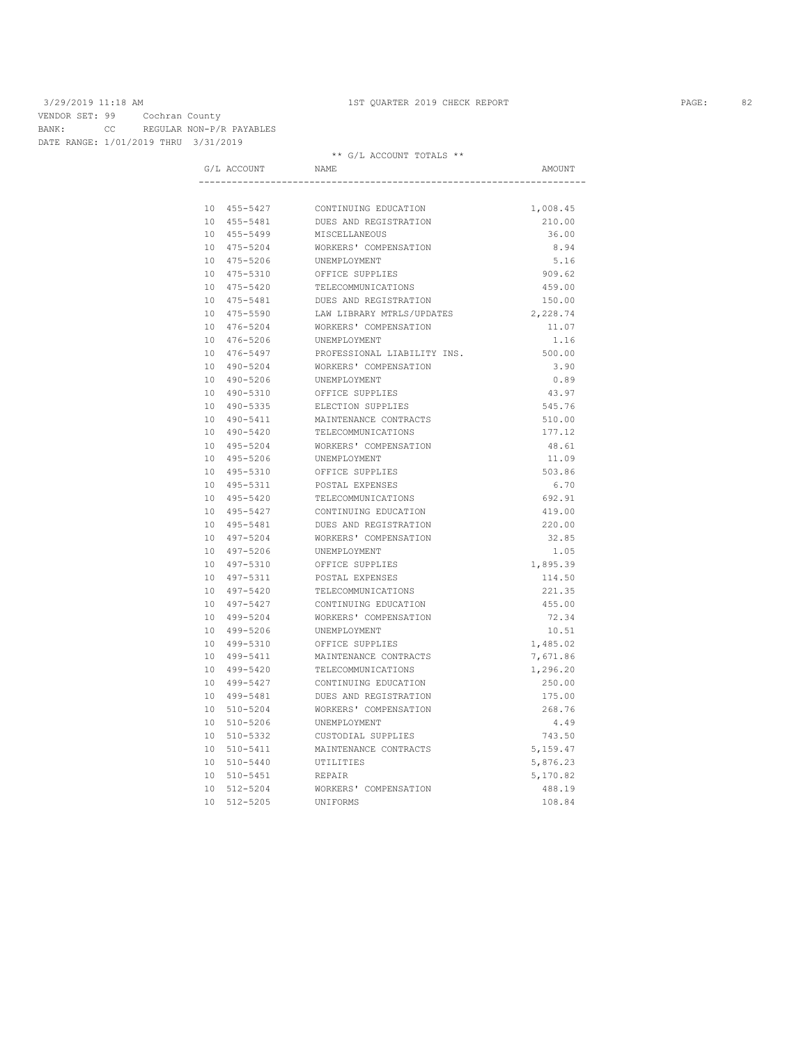VENDOR SET: 99 Cochran County BANK: CC REGULAR NON-P/R PAYABLES DATE RANGE: 1/01/2019 THRU 3/31/2019

|  | G/L ACCOUNT | <b>NAME</b>                 | AMOUNT   |
|--|-------------|-----------------------------|----------|
|  |             |                             |          |
|  | 10 455-5427 | CONTINUING EDUCATION        | 1,008.45 |
|  | 10 455-5481 | DUES AND REGISTRATION       | 210.00   |
|  | 10 455-5499 | MISCELLANEOUS               | 36.00    |
|  | 10 475-5204 | WORKERS' COMPENSATION       | 8.94     |
|  | 10 475-5206 | UNEMPLOYMENT                | 5.16     |
|  | 10 475-5310 | OFFICE SUPPLIES             | 909.62   |
|  | 10 475-5420 | TELECOMMUNICATIONS          | 459.00   |
|  | 10 475-5481 | DUES AND REGISTRATION       | 150.00   |
|  | 10 475-5590 | LAW LIBRARY MTRLS/UPDATES   | 2,228.74 |
|  | 10 476-5204 | WORKERS' COMPENSATION       | 11.07    |
|  | 10 476-5206 | UNEMPLOYMENT                | 1.16     |
|  | 10 476-5497 | PROFESSIONAL LIABILITY INS. | 500.00   |
|  | 10 490-5204 | WORKERS' COMPENSATION       | 3.90     |
|  | 10 490-5206 | UNEMPLOYMENT                | 0.89     |
|  | 10 490-5310 | OFFICE SUPPLIES             | 43.97    |
|  | 10 490-5335 | ELECTION SUPPLIES           | 545.76   |
|  | 10 490-5411 | MAINTENANCE CONTRACTS       | 510.00   |
|  | 10 490-5420 | TELECOMMUNICATIONS          | 177.12   |
|  | 10 495-5204 | WORKERS' COMPENSATION       | 48.61    |
|  | 10 495-5206 | UNEMPLOYMENT                | 11.09    |
|  | 10 495-5310 | OFFICE SUPPLIES             | 503.86   |
|  | 10 495-5311 | POSTAL EXPENSES             | 6.70     |
|  | 10 495-5420 | TELECOMMUNICATIONS          | 692.91   |
|  | 10 495-5427 | CONTINUING EDUCATION        | 419.00   |
|  | 10 495-5481 | DUES AND REGISTRATION       | 220.00   |
|  | 10 497-5204 | WORKERS' COMPENSATION       | 32.85    |
|  | 10 497-5206 | UNEMPLOYMENT                | 1.05     |
|  | 10 497-5310 | OFFICE SUPPLIES             | 1,895.39 |
|  | 10 497-5311 | POSTAL EXPENSES             | 114.50   |
|  | 10 497-5420 | TELECOMMUNICATIONS          | 221.35   |
|  | 10 497-5427 | CONTINUING EDUCATION        | 455.00   |
|  | 10 499-5204 | WORKERS' COMPENSATION       | 72.34    |
|  | 10 499-5206 | UNEMPLOYMENT                | 10.51    |
|  | 10 499-5310 | OFFICE SUPPLIES             | 1,485.02 |
|  | 10 499-5411 | MAINTENANCE CONTRACTS       | 7,671.86 |
|  | 10 499-5420 | TELECOMMUNICATIONS          | 1,296.20 |
|  | 10 499-5427 | CONTINUING EDUCATION        | 250.00   |
|  | 10 499-5481 | DUES AND REGISTRATION       | 175.00   |
|  | 10 510-5204 | WORKERS' COMPENSATION       | 268.76   |
|  | 10 510-5206 | UNEMPLOYMENT                | 4.49     |
|  | 10 510-5332 | CUSTODIAL SUPPLIES          | 743.50   |
|  | 10 510-5411 | MAINTENANCE CONTRACTS       | 5,159.47 |
|  | 10 510-5440 | UTILITIES                   | 5,876.23 |
|  | 10 510-5451 | REPAIR                      | 5,170.82 |
|  | 10 512-5204 | WORKERS' COMPENSATION       | 488.19   |
|  | 10 512-5205 | UNIFORMS                    | 108.84   |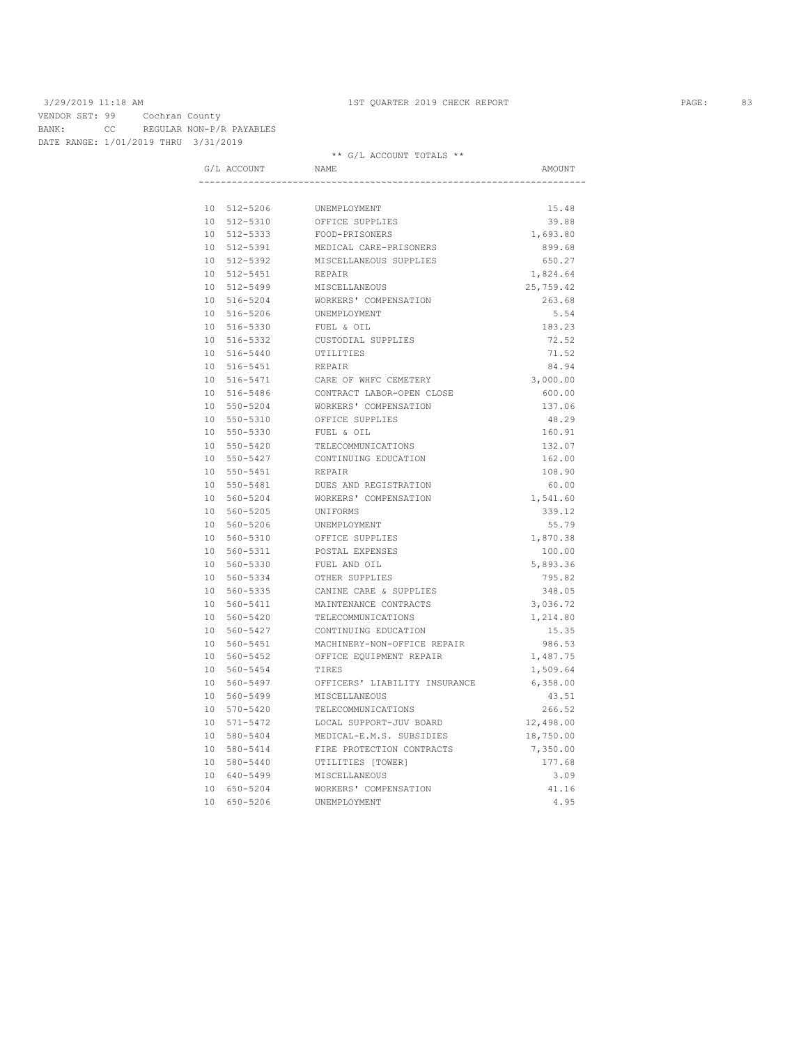VENDOR SET: 99 Cochran County BANK: CC REGULAR NON-P/R PAYABLES DATE RANGE: 1/01/2019 THRU 3/31/2019

| G/L ACCOUNT                | <b>NAME</b>                                    | AMOUNT                |
|----------------------------|------------------------------------------------|-----------------------|
|                            |                                                |                       |
| 10 512-5206                | UNEMPLOYMENT                                   | 15.48                 |
| 10 512-5310                | OFFICE SUPPLIES                                | 39.88                 |
| 10 512-5333                | FOOD-PRISONERS                                 | 1,693.80              |
| 10 512-5391                | MEDICAL CARE-PRISONERS                         | 899.68                |
| 10 512-5392                | MISCELLANEOUS SUPPLIES                         | 650.27                |
| 10 512-5451                | REPAIR                                         | 1,824.64              |
| 10 512-5499                | MISCELLANEOUS                                  | 25,759.42             |
| 10 516-5204                | WORKERS' COMPENSATION                          | 263.68                |
| 10 516-5206                | UNEMPLOYMENT                                   | 5.54                  |
| 10 516-5330                | FUEL & OIL                                     | 183.23                |
| 10 516-5332                | CUSTODIAL SUPPLIES                             | 72.52                 |
| 10 516-5440                | UTILITIES                                      | 71.52                 |
| 10 516-5451                | REPAIR                                         | 84.94                 |
| 10 516-5471                | CARE OF WHFC CEMETERY                          | 3,000.00              |
| 10 516-5486                | CONTRACT LABOR-OPEN CLOSE                      | 600.00                |
| 10 550-5204                | WORKERS' COMPENSATION                          | 137.06                |
| 10 550-5310                | OFFICE SUPPLIES                                | 48.29                 |
| 10 550-5330                | FUEL & OIL                                     | 160.91                |
| 10 550-5420                | TELECOMMUNICATIONS                             | 132.07                |
| 10 550-5427                | CONTINUING EDUCATION                           | 162.00                |
| 10 550-5451                | REPAIR                                         | 108.90                |
| 10 550-5481                | DUES AND REGISTRATION                          | 60.00                 |
| 10 560-5204                | WORKERS' COMPENSATION                          | 1,541.60              |
| 10 560-5205                | UNIFORMS                                       | 339.12                |
| 10 560-5206                | UNEMPLOYMENT                                   | 55.79                 |
| 10 560-5310                | OFFICE SUPPLIES                                | 1,870.38              |
| 10 560-5311                | POSTAL EXPENSES                                | 100.00                |
| 10 560-5330                | FUEL AND OIL                                   | 5,893.36              |
| 10 560-5334                | OTHER SUPPLIES                                 | 795.82                |
| 10 560-5335                | CANINE CARE & SUPPLIES                         | 348.05                |
| 10 560-5411                | MAINTENANCE CONTRACTS                          | 3,036.72              |
| 10 560-5420                | TELECOMMUNICATIONS                             | 1,214.80              |
| 10 560-5427                | CONTINUING EDUCATION                           | 15.35                 |
| 10 560-5451                | MACHINERY-NON-OFFICE REPAIR                    | 986.53                |
| 10 560-5452                | OFFICE EQUIPMENT REPAIR<br><b>TIRES</b>        | 1,487.75              |
| 10 560-5454                |                                                | 1,509.64              |
| 10 560-5497<br>10 560-5499 | OFFICERS' LIABILITY INSURANCE<br>MISCELLANEOUS | 6,358.00<br>43.51     |
| 10 570-5420                | TELECOMMUNICATIONS                             | 266.52                |
| 10 571-5472                | LOCAL SUPPORT-JUV BOARD                        |                       |
| 10 580-5404                | MEDICAL-E.M.S. SUBSIDIES                       | 12,498.00             |
| 10 580-5414                | FIRE PROTECTION CONTRACTS                      | 18,750.00<br>7,350.00 |
| 10 580-5440                | UTILITIES [TOWER]                              | 177.68                |
| 10 640-5499                | MISCELLANEOUS                                  | 3.09                  |
| 10 650-5204                | WORKERS' COMPENSATION                          | 41.16                 |
| 10 650-5206                | UNEMPLOYMENT                                   | 4.95                  |
|                            |                                                |                       |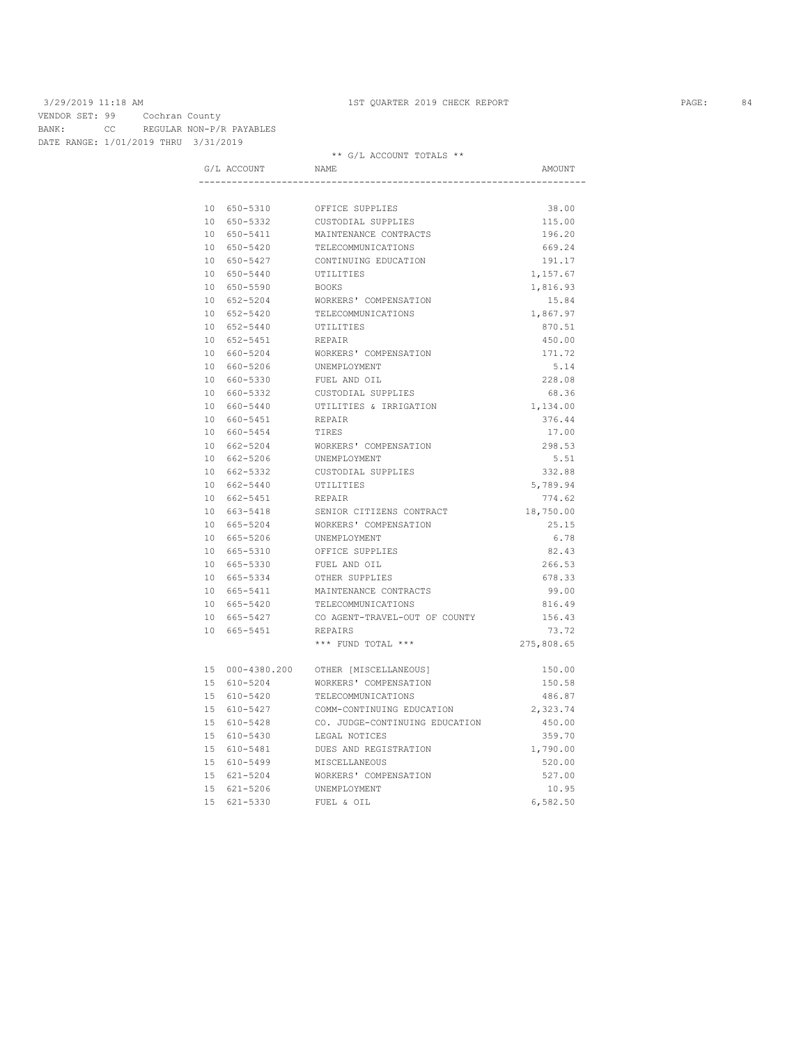VENDOR SET: 99 Cochran County BANK: CC REGULAR NON-P/R PAYABLES DATE RANGE: 1/01/2019 THRU 3/31/2019

| G/L ACCOUNT     | NAME                           | AMOUNT     |
|-----------------|--------------------------------|------------|
|                 |                                |            |
| 10 650-5310     | OFFICE SUPPLIES                | 38.00      |
| 10 650-5332     | CUSTODIAL SUPPLIES             | 115.00     |
| 10 650-5411     | MAINTENANCE CONTRACTS          | 196.20     |
| 10 650-5420     | TELECOMMUNICATIONS             | 669.24     |
| 10 650-5427     | CONTINUING EDUCATION           | 191.17     |
| 10 650-5440     | UTILITIES                      | 1,157.67   |
| 10 650-5590     | BOOKS                          | 1,816.93   |
| 10 652-5204     | WORKERS' COMPENSATION          | 15.84      |
| 10 652-5420     | TELECOMMUNICATIONS             | 1,867.97   |
| 10 652-5440     | UTILITIES                      | 870.51     |
| 10 652-5451     | REPAIR                         | 450.00     |
| 10 660-5204     | WORKERS' COMPENSATION          | 171.72     |
| 10 660-5206     | UNEMPLOYMENT                   | 5.14       |
| 10 660-5330     | FUEL AND OIL                   | 228.08     |
| 10 660-5332     | CUSTODIAL SUPPLIES             | 68.36      |
| 10 660-5440     | UTILITIES & IRRIGATION         | 1,134.00   |
| 10 660-5451     | REPAIR                         | 376.44     |
| 10 660-5454     | TIRES                          | 17.00      |
| 10 662-5204     | WORKERS' COMPENSATION          | 298.53     |
| 10 662-5206     | UNEMPLOYMENT                   | 5.51       |
| 10 662-5332     | CUSTODIAL SUPPLIES             | 332.88     |
| 10 662-5440     | UTILITIES                      | 5,789.94   |
| 10 662-5451     | REPAIR                         | 774.62     |
| 10 663-5418     | SENIOR CITIZENS CONTRACT       | 18,750.00  |
| 10 665-5204     | WORKERS' COMPENSATION          | 25.15      |
| 10 665-5206     | UNEMPLOYMENT                   | 6.78       |
| 10 665-5310     | OFFICE SUPPLIES                | 82.43      |
| 10 665-5330     | FUEL AND OIL                   | 266.53     |
| 10 665-5334     | OTHER SUPPLIES                 | 678.33     |
| 10 665-5411     | MAINTENANCE CONTRACTS          | 99.00      |
| 10 665-5420     | TELECOMMUNICATIONS             | 816.49     |
| 10 665-5427     | CO AGENT-TRAVEL-OUT OF COUNTY  | 156.43     |
| 10 665-5451     | REPAIRS                        | 73.72      |
|                 | *** FUND TOTAL ***             | 275,808.65 |
| 15 000-4380.200 | OTHER [MISCELLANEOUS]          | 150.00     |
| 15 610-5204     | WORKERS' COMPENSATION          | 150.58     |
| 15 610-5420     | TELECOMMUNICATIONS             | 486.87     |
| 15 610-5427     | COMM-CONTINUING EDUCATION      | 2,323.74   |
| 15 610-5428     | CO. JUDGE-CONTINUING EDUCATION | 450.00     |
| 15 610-5430     | LEGAL NOTICES                  | 359.70     |
| 15 610-5481     | DUES AND REGISTRATION          | 1,790.00   |
| 15 610-5499     | MISCELLANEOUS                  | 520.00     |
| 15 621-5204     | WORKERS' COMPENSATION          | 527.00     |
| 15 621-5206     | UNEMPLOYMENT                   | 10.95      |
| 15 621-5330     | FUEL & OIL                     | 6,582.50   |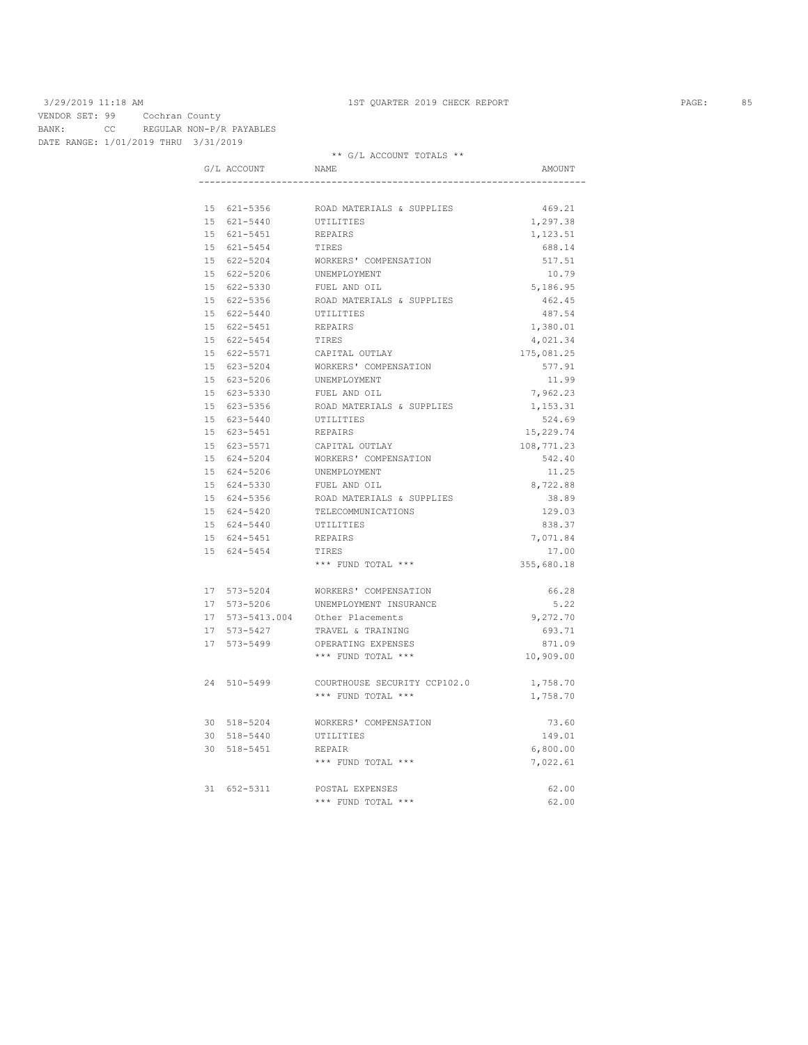VENDOR SET: 99 Cochran County BANK: CC REGULAR NON-P/R PAYABLES DATE RANGE: 1/01/2019 THRU 3/31/2019

| G/L ACCOUNT     | NAME                         | AMOUNT     |
|-----------------|------------------------------|------------|
|                 |                              |            |
| 15 621-5356     | ROAD MATERIALS & SUPPLIES    | 469.21     |
| 15 621-5440     | UTILITIES                    | 1,297.38   |
| 15 621-5451     | REPAIRS                      | 1,123.51   |
| 15 621-5454     | TIRES                        | 688.14     |
| 15 622-5204     | WORKERS' COMPENSATION        | 517.51     |
| 15 622-5206     | UNEMPLOYMENT                 | 10.79      |
| 15 622-5330     | FUEL AND OIL                 | 5,186.95   |
| 15 622-5356     | ROAD MATERIALS & SUPPLIES    | 462.45     |
| 15 622-5440     | UTILITIES                    | 487.54     |
| 15 622-5451     | REPAIRS                      | 1,380.01   |
| 15 622-5454     | TIRES                        | 4,021.34   |
| 15 622-5571     | CAPITAL OUTLAY               | 175,081.25 |
| 15 623-5204     | WORKERS' COMPENSATION        | 577.91     |
| 15 623-5206     | UNEMPLOYMENT                 | 11.99      |
| 15 623-5330     | FUEL AND OIL                 | 7,962.23   |
| 15 623-5356     | ROAD MATERIALS & SUPPLIES    | 1,153.31   |
| 15 623-5440     | UTILITIES                    | 524.69     |
| 15 623-5451     | REPAIRS                      | 15,229.74  |
| 15 623-5571     | CAPITAL OUTLAY               | 108,771.23 |
| 15 624-5204     | WORKERS' COMPENSATION        | 542.40     |
| 15 624-5206     | UNEMPLOYMENT                 | 11.25      |
| 15 624-5330     | FUEL AND OIL                 | 8,722.88   |
| 15 624-5356     | ROAD MATERIALS & SUPPLIES    | 38.89      |
| 15 624-5420     | TELECOMMUNICATIONS           | 129.03     |
| 15 624-5440     | UTILITIES                    | 838.37     |
| 15 624-5451     | REPAIRS                      | 7,071.84   |
| 15 624-5454     | TIRES                        | 17.00      |
|                 | *** FUND TOTAL ***           | 355,680.18 |
| 17 573-5204     | WORKERS' COMPENSATION        | 66.28      |
| 17 573-5206     | UNEMPLOYMENT INSURANCE       | 5.22       |
| 17 573-5413.004 | Other Placements             | 9,272.70   |
| 17 573-5427     | TRAVEL & TRAINING            | 693.71     |
| 17 573-5499     | OPERATING EXPENSES           | 871.09     |
|                 | *** FUND TOTAL ***           | 10,909.00  |
| 24 510-5499     | COURTHOUSE SECURITY CCP102.0 | 1,758.70   |
|                 | *** FUND TOTAL ***           | 1,758.70   |
| 30 518-5204     | WORKERS' COMPENSATION        | 73.60      |
| 30 518-5440     | UTILITIES                    | 149.01     |
| 30 518-5451     | REPAIR                       | 6,800.00   |
|                 | *** FUND TOTAL ***           | 7,022.61   |
| 31 652-5311     | POSTAL EXPENSES              | 62.00      |
|                 | *** FUND TOTAL ***           | 62.00      |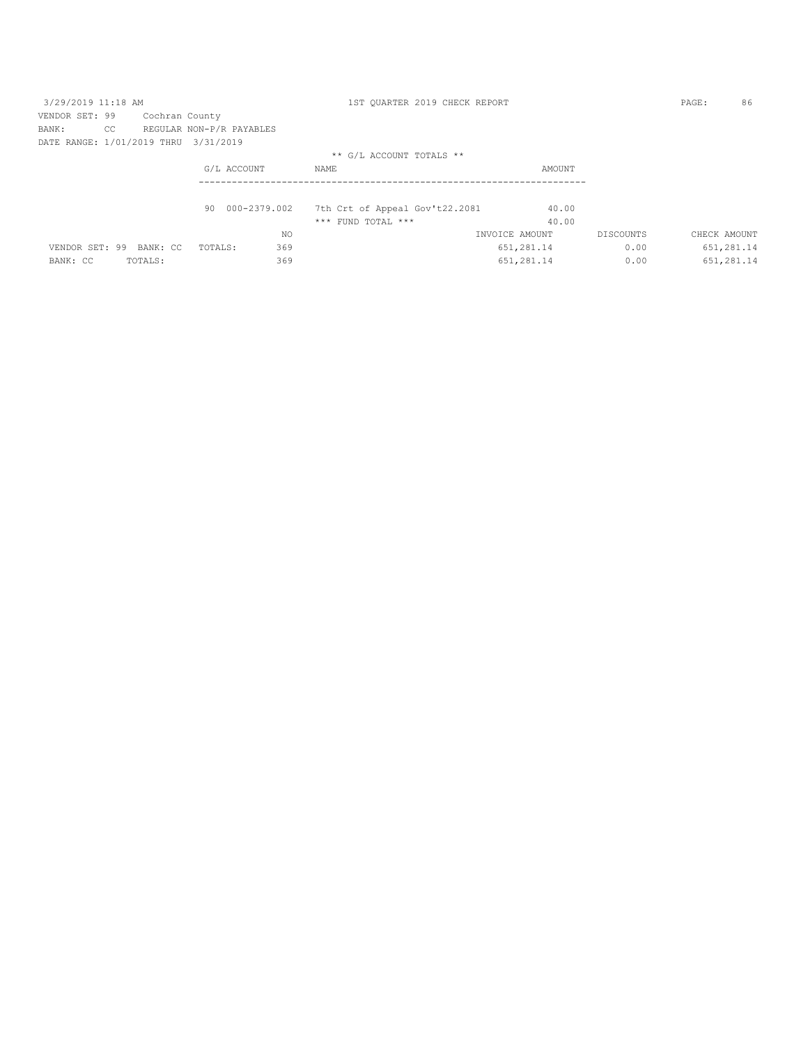| 3/29/2019 11:18 AM                   |    |                |                          |     | 1ST OUARTER 2019 CHECK REPORT  |                |           | PAGE:        | 86         |
|--------------------------------------|----|----------------|--------------------------|-----|--------------------------------|----------------|-----------|--------------|------------|
| VENDOR SET: 99                       |    | Cochran County |                          |     |                                |                |           |              |            |
| BANK:                                | CC |                | REGULAR NON-P/R PAYABLES |     |                                |                |           |              |            |
| DATE RANGE: 1/01/2019 THRU 3/31/2019 |    |                |                          |     |                                |                |           |              |            |
|                                      |    |                |                          |     | ** G/L ACCOUNT TOTALS **       |                |           |              |            |
|                                      |    |                | G/L ACCOUNT              |     | NAME                           | AMOUNT         |           |              |            |
|                                      |    |                |                          |     |                                |                |           |              |            |
|                                      |    |                | 90 000-2379.002          |     | 7th Crt of Appeal Gov't22.2081 |                | 40.00     |              |            |
|                                      |    |                |                          |     | $***$ FUND TOTAL $***$         |                | 40.00     |              |            |
|                                      |    |                |                          | NO. |                                | INVOICE AMOUNT | DISCOUNTS | CHECK AMOUNT |            |
| VENDOR SET: 99 BANK: CC              |    |                | TOTALS:                  | 369 |                                | 651,281.14     | 0.00      |              | 651,281.14 |
| BANK: CC                             |    | TOTALS:        |                          | 369 |                                | 651,281.14     | 0.00      |              | 651,281.14 |
|                                      |    |                |                          |     |                                |                |           |              |            |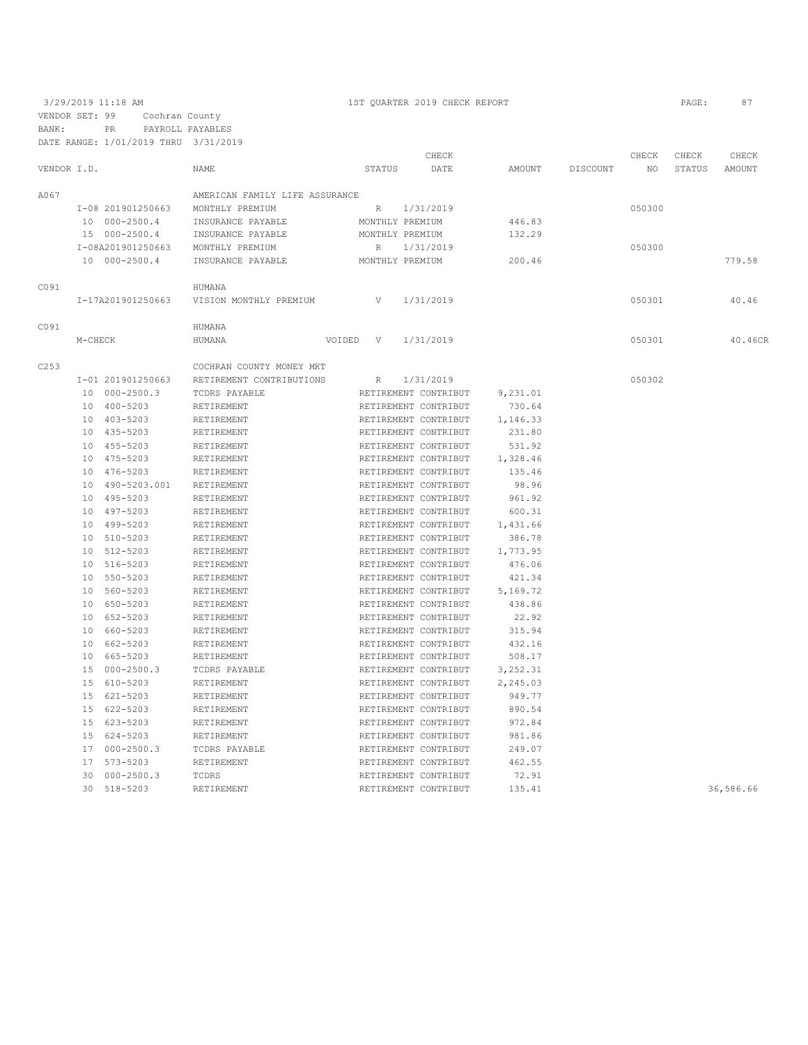3/29/2019 11:18 AM 1ST QUARTER 2019 CHECK REPORT PAGE: 87 VENDOR SET: 99 Cochran County BANK: PR PAYROLL PAYABLES

|             |         | DATE RANGE: 1/01/2019 THRU 3/31/2019 |                                |               |                      |          |          |        |        |           |
|-------------|---------|--------------------------------------|--------------------------------|---------------|----------------------|----------|----------|--------|--------|-----------|
|             |         |                                      |                                |               | CHECK                |          |          | CHECK  | CHECK  | CHECK     |
| VENDOR I.D. |         |                                      | <b>NAME</b>                    | STATUS        | DATE                 | AMOUNT   | DISCOUNT | NO.    | STATUS | AMOUNT    |
| A067        |         |                                      | AMERICAN FAMILY LIFE ASSURANCE |               |                      |          |          |        |        |           |
|             |         | I-08 201901250663                    | MONTHLY PREMIUM                | R             | 1/31/2019            |          |          | 050300 |        |           |
|             |         | 10 000-2500.4                        | INSURANCE PAYABLE              |               | MONTHLY PREMIUM      | 446.83   |          |        |        |           |
|             |         | 15 000-2500.4                        | INSURANCE PAYABLE              |               | MONTHLY PREMIUM      | 132.29   |          |        |        |           |
|             |         | I-08A201901250663                    | MONTHLY PREMIUM                | R             | 1/31/2019            |          |          | 050300 |        |           |
|             |         | 10 000-2500.4                        | INSURANCE PAYABLE              |               | MONTHLY PREMIUM      | 200.46   |          |        |        | 779.58    |
|             |         |                                      |                                |               |                      |          |          |        |        |           |
| C091        |         |                                      | HUMANA                         |               |                      |          |          |        |        |           |
|             |         | I-17A201901250663                    | VISION MONTHLY PREMIUM         | V             | 1/31/2019            |          |          | 050301 |        | 40.46     |
| C091        |         |                                      | HUMANA                         |               |                      |          |          |        |        |           |
|             | M-CHECK |                                      | HUMANA                         | VOIDED<br>– V | 1/31/2019            |          |          | 050301 |        | 40.46CR   |
| C253        |         |                                      | COCHRAN COUNTY MONEY MKT       |               |                      |          |          |        |        |           |
|             |         | I-01 201901250663                    | RETIREMENT CONTRIBUTIONS       | R             | 1/31/2019            |          |          | 050302 |        |           |
|             |         | 10 000-2500.3                        | TCDRS PAYABLE                  |               | RETIREMENT CONTRIBUT | 9,231.01 |          |        |        |           |
|             |         | 10 400-5203                          | RETIREMENT                     |               | RETIREMENT CONTRIBUT | 730.64   |          |        |        |           |
|             |         | 10 403-5203                          | RETIREMENT                     |               | RETIREMENT CONTRIBUT | 1,146.33 |          |        |        |           |
|             |         | 10 435-5203                          | RETIREMENT                     |               | RETIREMENT CONTRIBUT | 231.80   |          |        |        |           |
|             |         | 10 455-5203                          | RETIREMENT                     |               | RETIREMENT CONTRIBUT | 531.92   |          |        |        |           |
|             |         | 10 475-5203                          | RETIREMENT                     |               | RETIREMENT CONTRIBUT | 1,328.46 |          |        |        |           |
|             |         | 10 476-5203                          | RETIREMENT                     |               | RETIREMENT CONTRIBUT | 135.46   |          |        |        |           |
|             | 10      | 490-5203.001                         | RETIREMENT                     |               | RETIREMENT CONTRIBUT | 98.96    |          |        |        |           |
|             |         | 10 495-5203                          | RETIREMENT                     |               | RETIREMENT CONTRIBUT | 961.92   |          |        |        |           |
|             | 10      | 497-5203                             | RETIREMENT                     |               | RETIREMENT CONTRIBUT | 600.31   |          |        |        |           |
|             | 10      | 499-5203                             | RETIREMENT                     |               | RETIREMENT CONTRIBUT | 1,431.66 |          |        |        |           |
|             | 10      | 510-5203                             | RETIREMENT                     |               | RETIREMENT CONTRIBUT | 386.78   |          |        |        |           |
|             |         | 10 512-5203                          | RETIREMENT                     |               | RETIREMENT CONTRIBUT | 1,773.95 |          |        |        |           |
|             | 10      | 516-5203                             | RETIREMENT                     |               | RETIREMENT CONTRIBUT | 476.06   |          |        |        |           |
|             |         | 10 550-5203                          | RETIREMENT                     |               | RETIREMENT CONTRIBUT | 421.34   |          |        |        |           |
|             |         | 10 560-5203                          | RETIREMENT                     |               | RETIREMENT CONTRIBUT | 5,169.72 |          |        |        |           |
|             |         | 10 650-5203                          | RETIREMENT                     |               | RETIREMENT CONTRIBUT | 438.86   |          |        |        |           |
|             |         | 10 652-5203                          | RETIREMENT                     |               | RETIREMENT CONTRIBUT | 22.92    |          |        |        |           |
|             |         | 10 660-5203                          | RETIREMENT                     |               | RETIREMENT CONTRIBUT | 315.94   |          |        |        |           |
|             |         | 662-5203                             |                                |               |                      | 432.16   |          |        |        |           |
|             | 10      |                                      | RETIREMENT                     |               | RETIREMENT CONTRIBUT |          |          |        |        |           |
|             | 10      | 665-5203                             | RETIREMENT                     |               | RETIREMENT CONTRIBUT | 508.17   |          |        |        |           |
|             | 15      | $000 - 2500.3$                       | TCDRS PAYABLE                  |               | RETIREMENT CONTRIBUT | 3,252.31 |          |        |        |           |
|             | 15      | 610-5203                             | RETIREMENT                     |               | RETIREMENT CONTRIBUT | 2,245.03 |          |        |        |           |
|             | 15      | 621-5203                             | RETIREMENT                     |               | RETIREMENT CONTRIBUT | 949.77   |          |        |        |           |
|             |         | 15 622-5203                          | RETIREMENT                     |               | RETIREMENT CONTRIBUT | 890.54   |          |        |        |           |
|             |         | 15 623-5203                          | RETIREMENT                     |               | RETIREMENT CONTRIBUT | 972.84   |          |        |        |           |
|             |         | 15 624-5203                          | RETIREMENT                     |               | RETIREMENT CONTRIBUT | 981.86   |          |        |        |           |
|             |         | 17 000-2500.3                        | TCDRS PAYABLE                  |               | RETIREMENT CONTRIBUT | 249.07   |          |        |        |           |
|             | 17      | 573-5203                             | RETIREMENT                     |               | RETIREMENT CONTRIBUT | 462.55   |          |        |        |           |
|             | 30      | $000 - 2500.3$                       | TCDRS                          |               | RETIREMENT CONTRIBUT | 72.91    |          |        |        |           |
|             | 30      | 518-5203                             | RETIREMENT                     |               | RETIREMENT CONTRIBUT | 135.41   |          |        |        | 36,586.66 |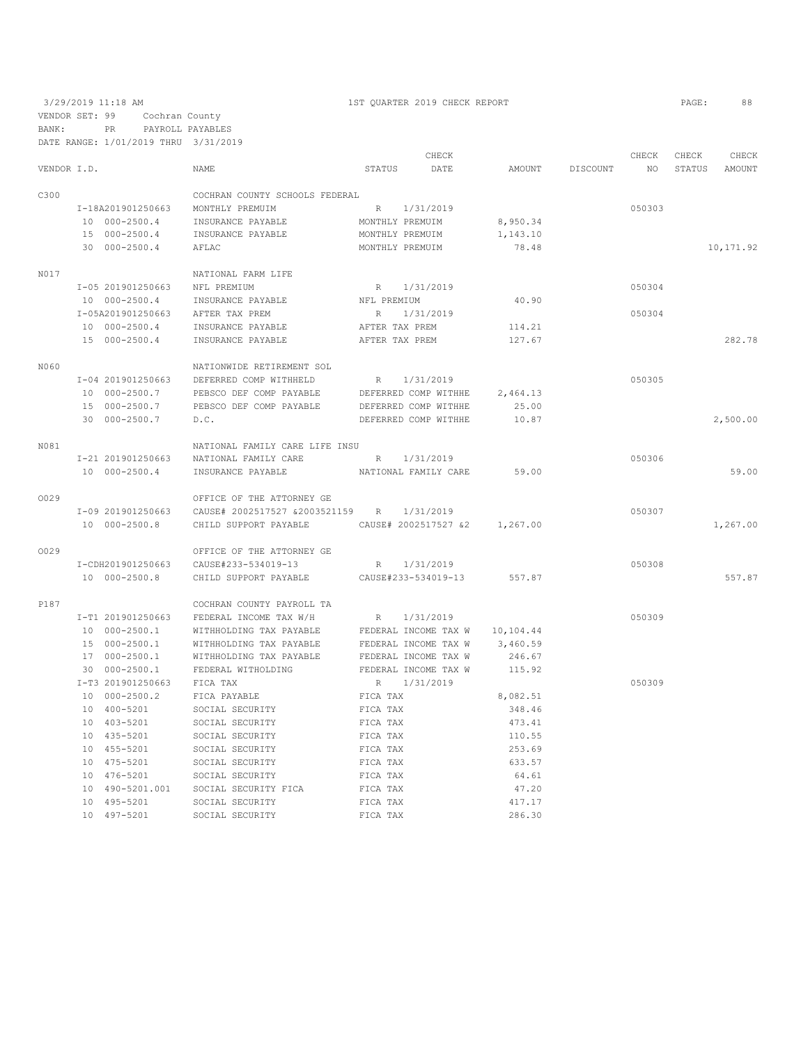3/29/2019 11:18 AM 1ST QUARTER 2019 CHECK REPORT PAGE: 88 VENDOR SET: 99 Cochran County BANK: PR PAYROLL PAYABLES DATE RANGE: 1/01/2019 THRU 3/31/2019

|             |                                    |                                 |                 | CHECK                         |           |          | CHECK  | CHECK  | CHECK      |
|-------------|------------------------------------|---------------------------------|-----------------|-------------------------------|-----------|----------|--------|--------|------------|
| VENDOR I.D. |                                    | NAME                            | STATUS          | DATE                          | AMOUNT    | DISCOUNT | NO     | STATUS | AMOUNT     |
| C300        |                                    | COCHRAN COUNTY SCHOOLS FEDERAL  |                 |                               |           |          |        |        |            |
|             | I-18A201901250663                  | MONTHLY PREMUIM                 |                 | R 1/31/2019                   |           |          | 050303 |        |            |
|             | 10 000-2500.4                      | INSURANCE PAYABLE               | MONTHLY PREMUIM |                               | 8,950.34  |          |        |        |            |
|             | 15 000-2500.4                      | INSURANCE PAYABLE               | MONTHLY PREMUIM |                               | 1,143.10  |          |        |        |            |
|             | 30 000-2500.4                      | AFLAC                           | MONTHLY PREMUIM |                               | 78.48     |          |        |        | 10, 171.92 |
| N017        |                                    | NATIONAL FARM LIFE              |                 |                               |           |          |        |        |            |
|             | I-05 201901250663                  | NFL PREMIUM                     |                 | R 1/31/2019                   |           |          | 050304 |        |            |
|             | 10 000-2500.4                      | INSURANCE PAYABLE               | NFL PREMIUM     |                               | 40.90     |          |        |        |            |
|             | I-05A201901250663                  | AFTER TAX PREM                  |                 | R 1/31/2019                   |           |          | 050304 |        |            |
|             | 10 000-2500.4                      | INSURANCE PAYABLE               | AFTER TAX PREM  |                               | 114.21    |          |        |        |            |
|             | 15 000-2500.4                      | INSURANCE PAYABLE               | AFTER TAX PREM  |                               | 127.67    |          |        |        | 282.78     |
| N060        |                                    | NATIONWIDE RETIREMENT SOL       |                 |                               |           |          |        |        |            |
|             | I-04 201901250663                  | DEFERRED COMP WITHHELD          | R               | 1/31/2019                     |           |          | 050305 |        |            |
|             | 10 000-2500.7                      | PEBSCO DEF COMP PAYABLE         |                 | DEFERRED COMP WITHHE          | 2,464.13  |          |        |        |            |
|             | 15 000-2500.7                      | PEBSCO DEF COMP PAYABLE         |                 | DEFERRED COMP WITHHE          | 25.00     |          |        |        |            |
|             | 30 000-2500.7                      | D.C.                            |                 | DEFERRED COMP WITHHE          | 10.87     |          |        |        | 2,500.00   |
| N081        |                                    | NATIONAL FAMILY CARE LIFE INSU  |                 |                               |           |          |        |        |            |
|             | I-21 201901250663                  | NATIONAL FAMILY CARE            |                 | R 1/31/2019                   |           |          | 050306 |        |            |
|             | 10 000-2500.4                      | INSURANCE PAYABLE               |                 | NATIONAL FAMILY CARE          | 59.00     |          |        |        | 59.00      |
| 0029        |                                    | OFFICE OF THE ATTORNEY GE       |                 |                               |           |          |        |        |            |
|             | I-09 201901250663                  | CAUSE# 2002517527 &2003521159 R |                 | 1/31/2019                     |           |          | 050307 |        |            |
|             | 10 000-2500.8                      | CHILD SUPPORT PAYABLE           |                 | CAUSE# 2002517527 &2 1,267.00 |           |          |        |        | 1,267.00   |
| 0029        |                                    | OFFICE OF THE ATTORNEY GE       |                 |                               |           |          |        |        |            |
|             | I-CDH201901250663                  | CAUSE#233-534019-13             |                 | R 1/31/2019                   |           |          | 050308 |        |            |
|             | 10 000-2500.8                      | CHILD SUPPORT PAYABLE           |                 | CAUSE#233-534019-13           | 557.87    |          |        |        | 557.87     |
| P187        |                                    | COCHRAN COUNTY PAYROLL TA       |                 |                               |           |          |        |        |            |
|             | I-T1 201901250663                  | FEDERAL INCOME TAX W/H          | R 1/31/2019     |                               |           |          | 050309 |        |            |
|             | 10 000-2500.1                      | WITHHOLDING TAX PAYABLE         |                 | FEDERAL INCOME TAX W          | 10,104.44 |          |        |        |            |
|             | 15 000-2500.1                      | WITHHOLDING TAX PAYABLE         |                 | FEDERAL INCOME TAX W          | 3,460.59  |          |        |        |            |
|             | 17 000-2500.1                      | WITHHOLDING TAX PAYABLE         |                 | FEDERAL INCOME TAX W          | 246.67    |          |        |        |            |
|             | 30 000-2500.1<br>I-T3 201901250663 | FEDERAL WITHOLDING              |                 | FEDERAL INCOME TAX W          | 115.92    |          | 050309 |        |            |
|             | 10 000-2500.2                      | FICA TAX<br>FICA PAYABLE        | R<br>FICA TAX   | 1/31/2019                     | 8,082.51  |          |        |        |            |
|             | 10 400-5201                        | SOCIAL SECURITY                 | FICA TAX        |                               | 348.46    |          |        |        |            |
|             | 10 403-5201                        | SOCIAL SECURITY                 | FICA TAX        |                               | 473.41    |          |        |        |            |
|             | 10 435-5201                        | SOCIAL SECURITY                 | FICA TAX        |                               | 110.55    |          |        |        |            |
|             | 10 455-5201                        | SOCIAL SECURITY                 | FICA TAX        |                               | 253.69    |          |        |        |            |
|             | 10 475-5201                        | SOCIAL SECURITY                 | FICA TAX        |                               | 633.57    |          |        |        |            |
|             | 10 476-5201                        | SOCIAL SECURITY                 | FICA TAX        |                               | 64.61     |          |        |        |            |
|             | 10 490-5201.001                    | SOCIAL SECURITY FICA            | FICA TAX        |                               | 47.20     |          |        |        |            |
|             | 10 495-5201                        | SOCIAL SECURITY                 | FICA TAX        |                               | 417.17    |          |        |        |            |
|             | 10 497-5201                        | SOCIAL SECURITY                 | FICA TAX        |                               | 286.30    |          |        |        |            |
|             |                                    |                                 |                 |                               |           |          |        |        |            |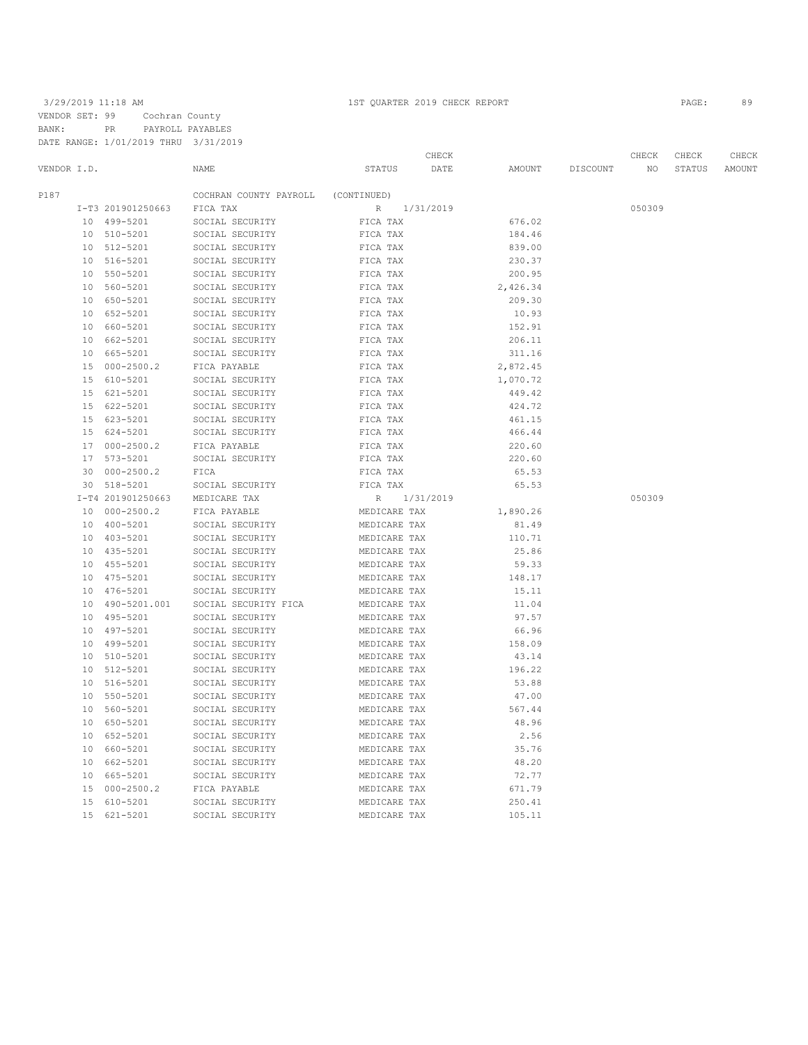3/29/2019 11:18 AM 1ST QUARTER 2019 CHECK REPORT PAGE: 89 VENDOR SET: 99 Cochran County BANK: PR PAYROLL PAYABLES DATE RANGE: 1/01/2019 THRU 3/31/2019

|                 |                   |                        |              | CHECK     |          |          | CHECK  | CHECK  | CHECK         |
|-----------------|-------------------|------------------------|--------------|-----------|----------|----------|--------|--------|---------------|
| VENDOR I.D.     |                   | NAME                   | STATUS       | DATE      | AMOUNT   | DISCOUNT | NO     | STATUS | <b>AMOUNT</b> |
| P187            |                   | COCHRAN COUNTY PAYROLL | (CONTINUED)  |           |          |          |        |        |               |
|                 | I-T3 201901250663 | FICA TAX               | $\mathbb{R}$ | 1/31/2019 |          |          | 050309 |        |               |
|                 | 10 499-5201       | SOCIAL SECURITY        | FICA TAX     |           | 676.02   |          |        |        |               |
| 10 <sup>°</sup> | 510-5201          | SOCIAL SECURITY        | FICA TAX     |           | 184.46   |          |        |        |               |
| 10              | 512-5201          | SOCIAL SECURITY        | FICA TAX     |           | 839.00   |          |        |        |               |
| 10              | 516-5201          | SOCIAL SECURITY        | FICA TAX     |           | 230.37   |          |        |        |               |
| 10              | 550-5201          | SOCIAL SECURITY        | FICA TAX     |           | 200.95   |          |        |        |               |
| 10              | 560-5201          | SOCIAL SECURITY        | FICA TAX     |           | 2,426.34 |          |        |        |               |
| 10              | 650-5201          | SOCIAL SECURITY        | FICA TAX     |           | 209.30   |          |        |        |               |
|                 | 10 652-5201       | SOCIAL SECURITY        | FICA TAX     |           | 10.93    |          |        |        |               |
| 10              | 660-5201          | SOCIAL SECURITY        | FICA TAX     |           | 152.91   |          |        |        |               |
| 10              | 662-5201          | SOCIAL SECURITY        | FICA TAX     |           | 206.11   |          |        |        |               |
| 10              | 665-5201          | SOCIAL SECURITY        | FICA TAX     |           | 311.16   |          |        |        |               |
| 15              | $000 - 2500.2$    | FICA PAYABLE           | FICA TAX     |           | 2,872.45 |          |        |        |               |
| 15              | 610-5201          | SOCIAL SECURITY        | FICA TAX     |           | 1,070.72 |          |        |        |               |
| 15              | 621-5201          | SOCIAL SECURITY        | FICA TAX     |           | 449.42   |          |        |        |               |
| 15              | 622-5201          | SOCIAL SECURITY        | FICA TAX     |           | 424.72   |          |        |        |               |
|                 | 15 623-5201       | SOCIAL SECURITY        | FICA TAX     |           | 461.15   |          |        |        |               |
| 15              | 624-5201          | SOCIAL SECURITY        | FICA TAX     |           | 466.44   |          |        |        |               |
| 17              | $000 - 2500.2$    | FICA PAYABLE           | FICA TAX     |           | 220.60   |          |        |        |               |
| 17              | $573 - 5201$      | SOCIAL SECURITY        | FICA TAX     |           | 220.60   |          |        |        |               |
| 30              | $000 - 2500.2$    | FICA                   | FICA TAX     |           | 65.53    |          |        |        |               |
| 30              | 518-5201          | SOCIAL SECURITY        | FICA TAX     |           | 65.53    |          |        |        |               |
|                 | I-T4 201901250663 | MEDICARE TAX           | $R_{\rm}$    | 1/31/2019 |          |          | 050309 |        |               |
| 10              | $000 - 2500.2$    | FICA PAYABLE           | MEDICARE TAX |           | 1,890.26 |          |        |        |               |
| 10              | 400-5201          | SOCIAL SECURITY        | MEDICARE TAX |           | 81.49    |          |        |        |               |
| 10              | 403-5201          | SOCIAL SECURITY        | MEDICARE TAX |           | 110.71   |          |        |        |               |
|                 | 10 435-5201       | SOCIAL SECURITY        | MEDICARE TAX |           | 25.86    |          |        |        |               |
| 10              | 455-5201          | SOCIAL SECURITY        | MEDICARE TAX |           | 59.33    |          |        |        |               |
|                 | 10 475-5201       | SOCIAL SECURITY        | MEDICARE TAX |           | 148.17   |          |        |        |               |
| 10 <sup>°</sup> | 476-5201          | SOCIAL SECURITY        | MEDICARE TAX |           | 15.11    |          |        |        |               |
| 10              | 490-5201.001      | SOCIAL SECURITY FICA   | MEDICARE TAX |           | 11.04    |          |        |        |               |
| 10              | 495-5201          | SOCIAL SECURITY        | MEDICARE TAX |           | 97.57    |          |        |        |               |
| 10              | 497-5201          | SOCIAL SECURITY        | MEDICARE TAX |           | 66.96    |          |        |        |               |
| 10              | 499-5201          | SOCIAL SECURITY        | MEDICARE TAX |           | 158.09   |          |        |        |               |
| 10              | 510-5201          | SOCIAL SECURITY        | MEDICARE TAX |           | 43.14    |          |        |        |               |
| 10              | $512 - 5201$      | SOCIAL SECURITY        | MEDICARE TAX |           | 196.22   |          |        |        |               |
| 10              | 516-5201          | SOCIAL SECURITY        | MEDICARE TAX |           | 53.88    |          |        |        |               |
| 10 <sup>°</sup> | 550-5201          | SOCIAL SECURITY        | MEDICARE TAX |           | 47.00    |          |        |        |               |
| 10              | 560-5201          | SOCIAL SECURITY        | MEDICARE TAX |           | 567.44   |          |        |        |               |
| 10 <sup>°</sup> | 650-5201          | SOCIAL SECURITY        | MEDICARE TAX |           | 48.96    |          |        |        |               |
| 10              | $652 - 5201$      | SOCIAL SECURITY        | MEDICARE TAX |           | 2.56     |          |        |        |               |
| 10              | 660-5201          | SOCIAL SECURITY        | MEDICARE TAX |           | 35.76    |          |        |        |               |
| 10              | 662-5201          | SOCIAL SECURITY        | MEDICARE TAX |           | 48.20    |          |        |        |               |
| 10              | 665-5201          | SOCIAL SECURITY        | MEDICARE TAX |           | 72.77    |          |        |        |               |
| 15              | $000 - 2500.2$    | FICA PAYABLE           | MEDICARE TAX |           | 671.79   |          |        |        |               |
| 15              | 610-5201          | SOCIAL SECURITY        | MEDICARE TAX |           | 250.41   |          |        |        |               |
| 15              | 621-5201          | SOCIAL SECURITY        | MEDICARE TAX |           | 105.11   |          |        |        |               |
|                 |                   |                        |              |           |          |          |        |        |               |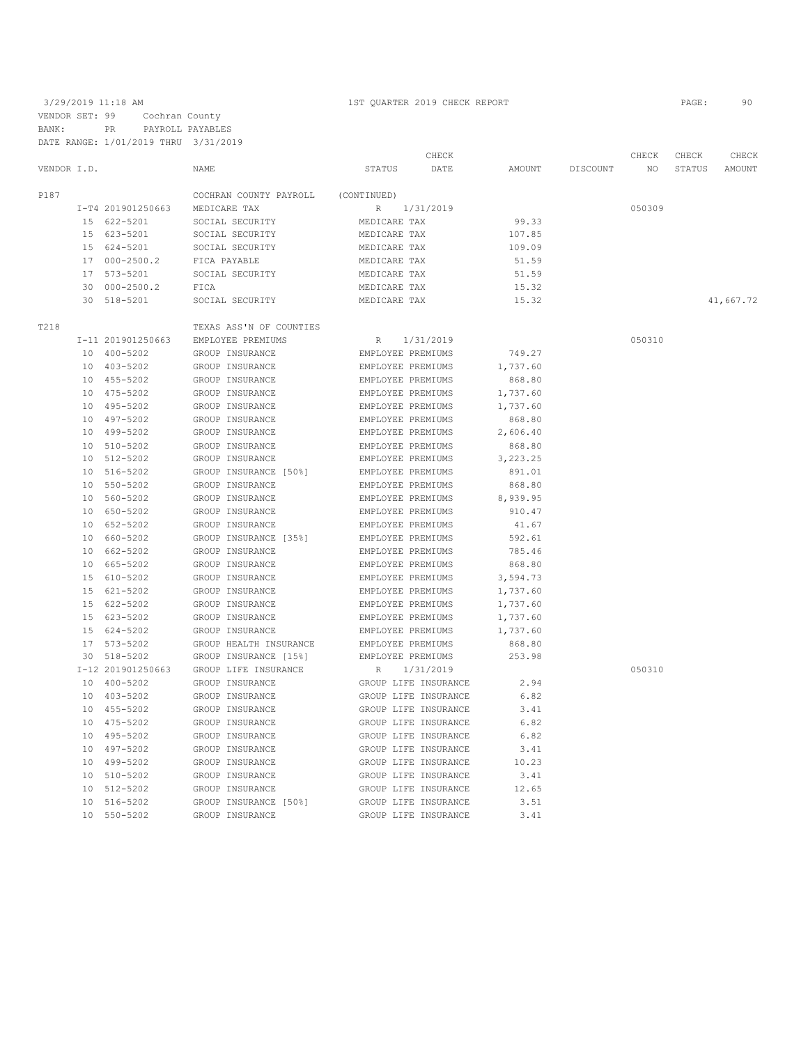3/29/2019 11:18 AM 1ST QUARTER 2019 CHECK REPORT PAGE: 90 VENDOR SET: 99 Cochran County BANK: PR PAYROLL PAYABLES DATE RANGE: 1/01/2019 THRU 3/31/2019

|             |                   |                                    |                   | CHECK                |          |          | CHECK           | CHECK  | CHECK     |
|-------------|-------------------|------------------------------------|-------------------|----------------------|----------|----------|-----------------|--------|-----------|
| VENDOR I.D. |                   | NAME                               | STATUS            | DATE                 | AMOUNT   | DISCOUNT | NO <sub>1</sub> | STATUS | AMOUNT    |
| P187        |                   | COCHRAN COUNTY PAYROLL (CONTINUED) |                   |                      |          |          |                 |        |           |
|             | I-T4 201901250663 | MEDICARE TAX                       |                   | R 1/31/2019          |          |          | 050309          |        |           |
|             | 15 622-5201       | SOCIAL SECURITY                    | MEDICARE TAX      |                      | 99.33    |          |                 |        |           |
|             | 15 623-5201       | SOCIAL SECURITY                    | MEDICARE TAX      |                      | 107.85   |          |                 |        |           |
|             | 15 624-5201       | SOCIAL SECURITY                    | MEDICARE TAX      |                      | 109.09   |          |                 |        |           |
|             | 17 000-2500.2     | FICA PAYABLE                       | MEDICARE TAX      |                      | 51.59    |          |                 |        |           |
|             | 17 573-5201       | SOCIAL SECURITY                    | MEDICARE TAX      |                      | 51.59    |          |                 |        |           |
|             | 30 000-2500.2     | FICA                               | MEDICARE TAX      |                      | 15.32    |          |                 |        |           |
|             | 30 518-5201       | SOCIAL SECURITY                    | MEDICARE TAX      |                      | 15.32    |          |                 |        | 41,667.72 |
| T218        |                   | TEXAS ASS'N OF COUNTIES            |                   |                      |          |          |                 |        |           |
|             | I-11 201901250663 | EMPLOYEE PREMIUMS                  | R                 | 1/31/2019            |          |          | 050310          |        |           |
|             | 10 400-5202       | GROUP INSURANCE                    | EMPLOYEE PREMIUMS |                      | 749.27   |          |                 |        |           |
|             | 10 403-5202       | GROUP INSURANCE                    | EMPLOYEE PREMIUMS |                      | 1,737.60 |          |                 |        |           |
|             | 10 455-5202       | GROUP INSURANCE                    | EMPLOYEE PREMIUMS |                      | 868.80   |          |                 |        |           |
|             | 10 475-5202       | GROUP INSURANCE                    | EMPLOYEE PREMIUMS |                      | 1,737.60 |          |                 |        |           |
|             | 10 495-5202       | GROUP INSURANCE                    | EMPLOYEE PREMIUMS |                      | 1,737.60 |          |                 |        |           |
|             | 10 497-5202       | GROUP INSURANCE                    | EMPLOYEE PREMIUMS |                      | 868.80   |          |                 |        |           |
|             | 10 499-5202       | GROUP INSURANCE                    | EMPLOYEE PREMIUMS |                      | 2,606.40 |          |                 |        |           |
|             | 10 510-5202       | GROUP INSURANCE                    | EMPLOYEE PREMIUMS |                      | 868.80   |          |                 |        |           |
|             | 10 512-5202       | GROUP INSURANCE                    | EMPLOYEE PREMIUMS |                      | 3,223.25 |          |                 |        |           |
|             | 10 516-5202       | GROUP INSURANCE [50%]              | EMPLOYEE PREMIUMS |                      | 891.01   |          |                 |        |           |
|             | 10 550-5202       | GROUP INSURANCE                    | EMPLOYEE PREMIUMS |                      | 868.80   |          |                 |        |           |
|             | 10 560-5202       | GROUP INSURANCE                    | EMPLOYEE PREMIUMS |                      | 8,939.95 |          |                 |        |           |
|             | 10 650-5202       | GROUP INSURANCE                    | EMPLOYEE PREMIUMS |                      | 910.47   |          |                 |        |           |
|             | 10 652-5202       | GROUP INSURANCE                    | EMPLOYEE PREMIUMS |                      | 41.67    |          |                 |        |           |
|             | 10 660-5202       | GROUP INSURANCE [35%]              | EMPLOYEE PREMIUMS |                      | 592.61   |          |                 |        |           |
|             | 10 662-5202       | GROUP INSURANCE                    | EMPLOYEE PREMIUMS |                      | 785.46   |          |                 |        |           |
|             | 10 665-5202       | GROUP INSURANCE                    | EMPLOYEE PREMIUMS |                      | 868.80   |          |                 |        |           |
|             | 15 610-5202       | GROUP INSURANCE                    | EMPLOYEE PREMIUMS |                      | 3,594.73 |          |                 |        |           |
|             | 15 621-5202       | GROUP INSURANCE                    | EMPLOYEE PREMIUMS |                      | 1,737.60 |          |                 |        |           |
|             | 15 622-5202       | GROUP INSURANCE                    | EMPLOYEE PREMIUMS |                      | 1,737.60 |          |                 |        |           |
|             | 15 623-5202       | GROUP INSURANCE                    | EMPLOYEE PREMIUMS |                      | 1,737.60 |          |                 |        |           |
|             | 15 624-5202       | GROUP INSURANCE                    | EMPLOYEE PREMIUMS |                      | 1,737.60 |          |                 |        |           |
|             | 17 573-5202       | GROUP HEALTH INSURANCE             | EMPLOYEE PREMIUMS |                      | 868.80   |          |                 |        |           |
|             | 30 518-5202       | GROUP INSURANCE [15%]              | EMPLOYEE PREMIUMS |                      | 253.98   |          |                 |        |           |
|             | I-12 201901250663 | GROUP LIFE INSURANCE               | R                 | 1/31/2019            |          |          | 050310          |        |           |
|             | 10 400-5202       | GROUP INSURANCE                    |                   | GROUP LIFE INSURANCE | 2.94     |          |                 |        |           |
|             | 10 403-5202       | GROUP INSURANCE                    |                   | GROUP LIFE INSURANCE | 6.82     |          |                 |        |           |
|             | 10 455-5202       | GROUP INSURANCE                    |                   | GROUP LIFE INSURANCE | 3.41     |          |                 |        |           |
|             | 10 475-5202       | GROUP INSURANCE                    |                   | GROUP LIFE INSURANCE | 6.82     |          |                 |        |           |
|             | 10 495-5202       | GROUP INSURANCE                    |                   | GROUP LIFE INSURANCE | 6.82     |          |                 |        |           |
|             | 10 497-5202       | GROUP INSURANCE                    |                   | GROUP LIFE INSURANCE | 3.41     |          |                 |        |           |
|             | 10 499-5202       | GROUP INSURANCE                    |                   | GROUP LIFE INSURANCE | 10.23    |          |                 |        |           |
|             | 10 510-5202       | GROUP INSURANCE                    |                   | GROUP LIFE INSURANCE | 3.41     |          |                 |        |           |
|             | 10 512-5202       | GROUP INSURANCE                    |                   | GROUP LIFE INSURANCE | 12.65    |          |                 |        |           |
|             | 10 516-5202       | GROUP INSURANCE [50%]              |                   | GROUP LIFE INSURANCE | 3.51     |          |                 |        |           |
|             | 10 550-5202       | GROUP INSURANCE                    |                   | GROUP LIFE INSURANCE | 3.41     |          |                 |        |           |
|             |                   |                                    |                   |                      |          |          |                 |        |           |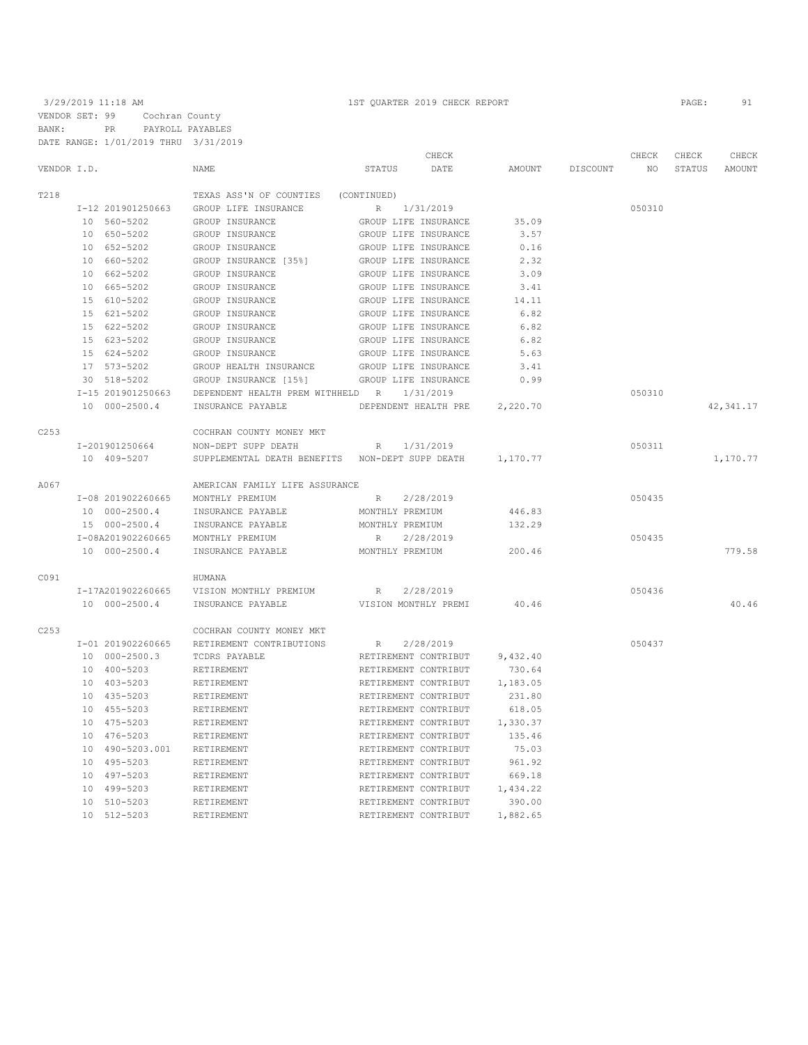3/29/2019 11:18 AM 1ST QUARTER 2019 CHECK REPORT PAGE: 91 VENDOR SET: 99 Cochran County BANK: PR PAYROLL PAYABLES DATE RANGE: 1/01/2019 THRU 3/31/2019

|             |                   |                                                 | CHECK                    |          |                 | CHECK  | CHECK  | CHECK      |
|-------------|-------------------|-------------------------------------------------|--------------------------|----------|-----------------|--------|--------|------------|
| VENDOR I.D. |                   | <b>NAME</b>                                     | STATUS<br>DATE           | AMOUNT   | <b>DISCOUNT</b> | NO.    | STATUS | AMOUNT     |
| T218        |                   | TEXAS ASS'N OF COUNTIES (CONTINUED)             |                          |          |                 |        |        |            |
|             | I-12 201901250663 | GROUP LIFE INSURANCE                            | R<br>1/31/2019           |          |                 | 050310 |        |            |
|             | 10 560-5202       | GROUP INSURANCE                                 | GROUP LIFE INSURANCE     | 35.09    |                 |        |        |            |
|             | 10 650-5202       | GROUP INSURANCE                                 | GROUP LIFE INSURANCE     | 3.57     |                 |        |        |            |
|             | 10 652-5202       | GROUP INSURANCE                                 | GROUP LIFE INSURANCE     | 0.16     |                 |        |        |            |
|             | 10 660-5202       | GROUP INSURANCE [35%]                           | GROUP LIFE INSURANCE     | 2.32     |                 |        |        |            |
|             | 10 662-5202       | GROUP INSURANCE                                 | GROUP LIFE INSURANCE     | 3.09     |                 |        |        |            |
|             | 10 665-5202       | GROUP INSURANCE                                 | GROUP LIFE INSURANCE     | 3.41     |                 |        |        |            |
|             | 15 610-5202       | GROUP INSURANCE                                 | GROUP LIFE INSURANCE     | 14.11    |                 |        |        |            |
|             | 15 621-5202       | GROUP INSURANCE                                 | GROUP LIFE INSURANCE     | 6.82     |                 |        |        |            |
|             | 15 622-5202       | GROUP INSURANCE                                 | GROUP LIFE INSURANCE     | 6.82     |                 |        |        |            |
|             | 15 623-5202       | GROUP INSURANCE                                 | GROUP LIFE INSURANCE     | 6.82     |                 |        |        |            |
|             | 15 624-5202       | GROUP INSURANCE                                 | GROUP LIFE INSURANCE     | 5.63     |                 |        |        |            |
|             | 17 573-5202       | GROUP HEALTH INSURANCE                          | GROUP LIFE INSURANCE     | 3.41     |                 |        |        |            |
|             | 30 518-5202       | GROUP INSURANCE [15%]                           | GROUP LIFE INSURANCE     | 0.99     |                 |        |        |            |
|             | I-15 201901250663 | DEPENDENT HEALTH PREM WITHHELD R                | 1/31/2019                |          |                 | 050310 |        |            |
|             | 10 000-2500.4     | INSURANCE PAYABLE                               | DEPENDENT HEALTH PRE     | 2,220.70 |                 |        |        | 42, 341.17 |
| C253        |                   | COCHRAN COUNTY MONEY MKT                        |                          |          |                 |        |        |            |
|             | I-201901250664    | NON-DEPT SUPP DEATH                             | R<br>1/31/2019           |          |                 | 050311 |        |            |
|             | 10 409-5207       | SUPPLEMENTAL DEATH BENEFITS NON-DEPT SUPP DEATH |                          | 1,170.77 |                 |        |        | 1,170.77   |
| A067        |                   | AMERICAN FAMILY LIFE ASSURANCE                  |                          |          |                 |        |        |            |
|             | I-08 201902260665 | MONTHLY PREMIUM                                 | R<br>2/28/2019           |          |                 | 050435 |        |            |
|             | 10 000-2500.4     | INSURANCE PAYABLE                               | MONTHLY PREMIUM          | 446.83   |                 |        |        |            |
|             | 15 000-2500.4     | INSURANCE PAYABLE                               | MONTHLY PREMIUM          | 132.29   |                 |        |        |            |
|             | I-08A201902260665 | MONTHLY PREMIUM                                 | 2/28/2019<br>$R_{\perp}$ |          |                 | 050435 |        |            |
|             | 10 000-2500.4     | INSURANCE PAYABLE                               | MONTHLY PREMIUM          | 200.46   |                 |        |        | 779.58     |
| C091        |                   | HUMANA                                          |                          |          |                 |        |        |            |
|             | I-17A201902260665 | VISION MONTHLY PREMIUM                          | 2/28/2019<br>R           |          |                 | 050436 |        |            |
|             | 10 000-2500.4     | INSURANCE PAYABLE                               | VISION MONTHLY PREMI     | 40.46    |                 |        |        | 40.46      |
| C253        |                   | COCHRAN COUNTY MONEY MKT                        |                          |          |                 |        |        |            |
|             | I-01 201902260665 | RETIREMENT CONTRIBUTIONS                        | 2/28/2019<br>R           |          |                 | 050437 |        |            |
|             | 10 000-2500.3     | TCDRS PAYABLE                                   | RETIREMENT CONTRIBUT     | 9,432.40 |                 |        |        |            |
|             | 10 400-5203       | RETIREMENT                                      | RETIREMENT CONTRIBUT     | 730.64   |                 |        |        |            |
|             | 10 403-5203       | RETIREMENT                                      | RETIREMENT CONTRIBUT     | 1,183.05 |                 |        |        |            |
|             | 10 435-5203       | RETIREMENT                                      | RETIREMENT CONTRIBUT     | 231.80   |                 |        |        |            |
|             | 10 455-5203       | RETIREMENT                                      | RETIREMENT CONTRIBUT     | 618.05   |                 |        |        |            |
|             | 10 475-5203       | RETIREMENT                                      | RETIREMENT CONTRIBUT     | 1,330.37 |                 |        |        |            |
|             | 10 476-5203       | RETIREMENT                                      | RETIREMENT CONTRIBUT     | 135.46   |                 |        |        |            |
|             | 10 490-5203.001   | RETIREMENT                                      | RETIREMENT CONTRIBUT     | 75.03    |                 |        |        |            |
|             | 10 495-5203       | RETIREMENT                                      | RETIREMENT CONTRIBUT     | 961.92   |                 |        |        |            |
|             | 10 497-5203       | RETIREMENT                                      | RETIREMENT CONTRIBUT     | 669.18   |                 |        |        |            |
|             | 10 499-5203       | RETIREMENT                                      | RETIREMENT CONTRIBUT     | 1,434.22 |                 |        |        |            |
|             | 10 510-5203       | RETIREMENT                                      | RETIREMENT CONTRIBUT     | 390.00   |                 |        |        |            |

10 512-5203 RETIREMENT RETIREMENT CONTRIBUT 1,882.65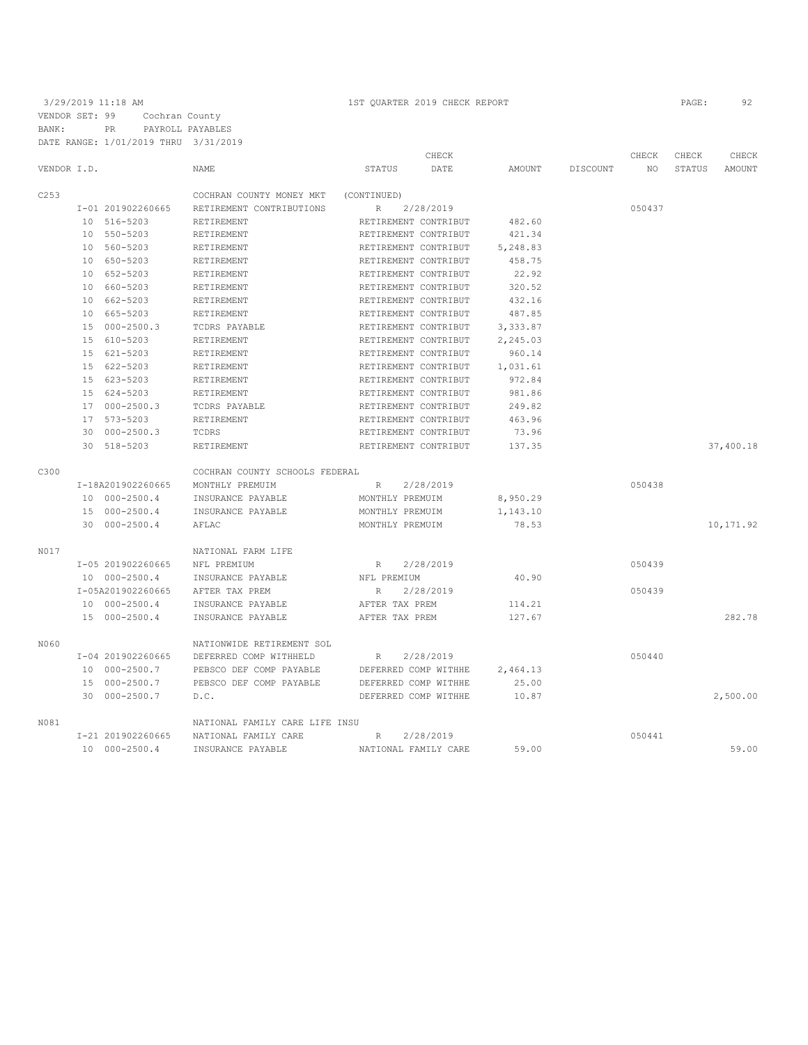3/29/2019 11:18 AM 1ST QUARTER 2019 CHECK REPORT PAGE: 92 VENDOR SET: 99 Cochran County BANK: PR PAYROLL PAYABLES DATE RANGE: 1/01/2019 THRU 3/31/2019

|             |                   |                                |                 | CHECK                |               |          | CHECK  | CHECK         | CHECK      |
|-------------|-------------------|--------------------------------|-----------------|----------------------|---------------|----------|--------|---------------|------------|
| VENDOR I.D. |                   | <b>NAME</b>                    | <b>STATUS</b>   | DATE                 | <b>AMOUNT</b> | DISCOUNT | NO.    | <b>STATUS</b> | AMOUNT     |
| C253        |                   | COCHRAN COUNTY MONEY MKT       | (CONTINUED)     |                      |               |          |        |               |            |
|             | I-01 201902260665 | RETIREMENT CONTRIBUTIONS       | $R_{\perp}$     | 2/28/2019            |               |          | 050437 |               |            |
|             | 10 516-5203       | RETIREMENT                     |                 | RETIREMENT CONTRIBUT | 482.60        |          |        |               |            |
|             | 10 550-5203       | RETIREMENT                     |                 | RETIREMENT CONTRIBUT | 421.34        |          |        |               |            |
|             | 10 560-5203       | RETIREMENT                     |                 | RETIREMENT CONTRIBUT | 5,248.83      |          |        |               |            |
|             | 10 650-5203       | RETIREMENT                     |                 | RETIREMENT CONTRIBUT | 458.75        |          |        |               |            |
|             | 10 652-5203       | RETIREMENT                     |                 | RETIREMENT CONTRIBUT | 22.92         |          |        |               |            |
|             | 10 660-5203       | RETIREMENT                     |                 | RETIREMENT CONTRIBUT | 320.52        |          |        |               |            |
|             | 10 662-5203       | RETIREMENT                     |                 | RETIREMENT CONTRIBUT | 432.16        |          |        |               |            |
|             | 10 665-5203       | RETIREMENT                     |                 | RETIREMENT CONTRIBUT | 487.85        |          |        |               |            |
|             | 15 000-2500.3     | TCDRS PAYABLE                  |                 | RETIREMENT CONTRIBUT | 3,333.87      |          |        |               |            |
|             | 15 610-5203       | RETIREMENT                     |                 | RETIREMENT CONTRIBUT | 2,245.03      |          |        |               |            |
|             | 15 621-5203       | RETIREMENT                     |                 | RETIREMENT CONTRIBUT | 960.14        |          |        |               |            |
|             | 15 622-5203       | RETIREMENT                     |                 | RETIREMENT CONTRIBUT | 1,031.61      |          |        |               |            |
|             | 15 623-5203       | RETIREMENT                     |                 | RETIREMENT CONTRIBUT | 972.84        |          |        |               |            |
|             | 15 624-5203       | RETIREMENT                     |                 | RETIREMENT CONTRIBUT | 981.86        |          |        |               |            |
|             | 17 000-2500.3     | TCDRS PAYABLE                  |                 | RETIREMENT CONTRIBUT | 249.82        |          |        |               |            |
|             | 17 573-5203       | RETIREMENT                     |                 | RETIREMENT CONTRIBUT | 463.96        |          |        |               |            |
|             | $30000-2500.3$    | TCDRS                          |                 | RETIREMENT CONTRIBUT | 73.96         |          |        |               |            |
|             | 30 518-5203       | RETIREMENT                     |                 | RETIREMENT CONTRIBUT | 137.35        |          |        |               | 37,400.18  |
| C300        |                   | COCHRAN COUNTY SCHOOLS FEDERAL |                 |                      |               |          |        |               |            |
|             | I-18A201902260665 | MONTHLY PREMUIM                | R               | 2/28/2019            |               |          | 050438 |               |            |
|             | 10 000-2500.4     | INSURANCE PAYABLE              | MONTHLY PREMUIM |                      | 8,950.29      |          |        |               |            |
|             | 15 000-2500.4     | INSURANCE PAYABLE              | MONTHLY PREMUIM |                      | 1,143.10      |          |        |               |            |
|             | 30 000-2500.4     | AFLAC                          | MONTHLY PREMUIM |                      | 78.53         |          |        |               | 10, 171.92 |
| N017        |                   | NATIONAL FARM LIFE             |                 |                      |               |          |        |               |            |
|             | I-05 201902260665 | NFL PREMIUM                    | R               | 2/28/2019            |               |          | 050439 |               |            |
|             | 10 000-2500.4     | INSURANCE PAYABLE              | NFL PREMIUM     |                      | 40.90         |          |        |               |            |
|             | I-05A201902260665 | AFTER TAX PREM                 | R               | 2/28/2019            |               |          | 050439 |               |            |
|             | 10 000-2500.4     | INSURANCE PAYABLE              | AFTER TAX PREM  |                      | 114.21        |          |        |               |            |
|             | 15 000-2500.4     | INSURANCE PAYABLE              | AFTER TAX PREM  |                      | 127.67        |          |        |               | 282.78     |
| N060        |                   | NATIONWIDE RETIREMENT SOL      |                 |                      |               |          |        |               |            |
|             | I-04 201902260665 | DEFERRED COMP WITHHELD         | R               | 2/28/2019            |               |          | 050440 |               |            |
|             | 10 000-2500.7     | PEBSCO DEF COMP PAYABLE        |                 | DEFERRED COMP WITHHE | 2,464.13      |          |        |               |            |
|             | 15 000-2500.7     | PEBSCO DEF COMP PAYABLE        |                 | DEFERRED COMP WITHHE | 25.00         |          |        |               |            |
|             | 30 000-2500.7     | D.C.                           |                 | DEFERRED COMP WITHHE | 10.87         |          |        |               | 2,500.00   |
| N081        |                   | NATIONAL FAMILY CARE LIFE INSU |                 |                      |               |          |        |               |            |
|             | I-21 201902260665 | NATIONAL FAMILY CARE           | R               | 2/28/2019            |               |          | 050441 |               |            |
|             | 10 000-2500.4     | INSURANCE PAYABLE              |                 | NATIONAL FAMILY CARE | 59.00         |          |        |               | 59.00      |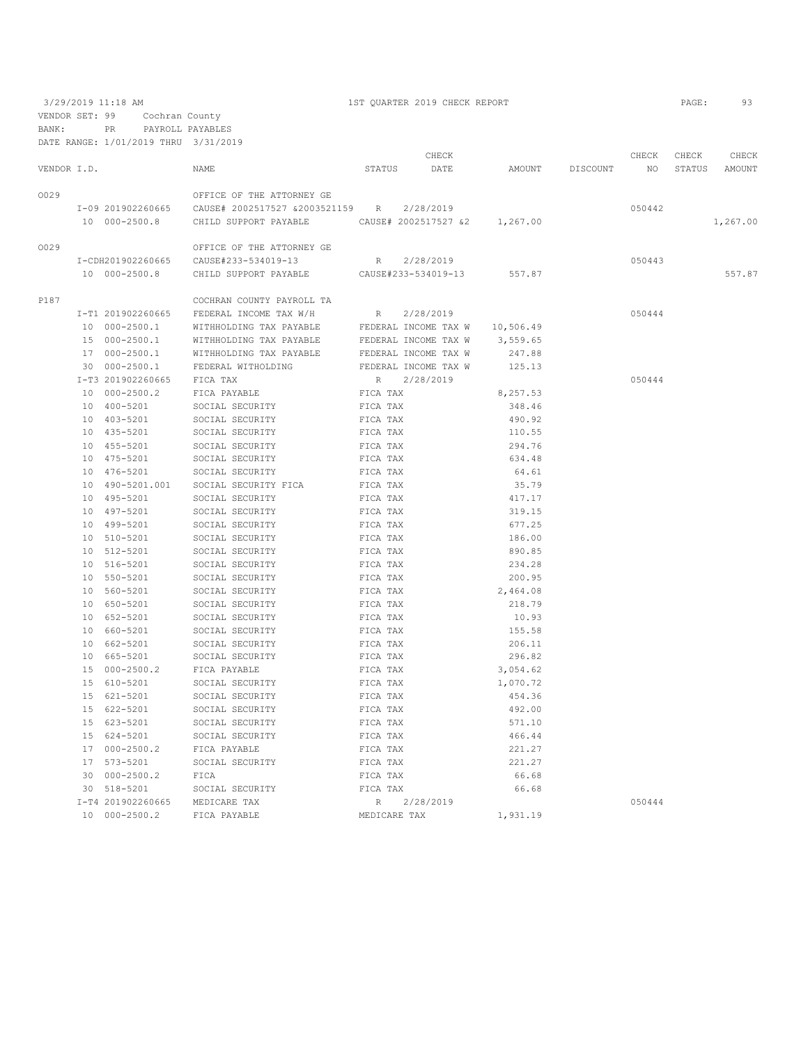3/29/2019 11:18 AM 1ST QUARTER 2019 CHECK REPORT PAGE: 93 VENDOR SET: 99 Cochran County

| BANK:       | PR.                                  | PAYROLL PAYABLES                                                         |              |                      |                 |        |       |               |
|-------------|--------------------------------------|--------------------------------------------------------------------------|--------------|----------------------|-----------------|--------|-------|---------------|
|             | DATE RANGE: 1/01/2019 THRU 3/31/2019 |                                                                          |              |                      |                 |        |       |               |
|             |                                      |                                                                          |              | CHECK                |                 | CHECK  | CHECK | CHECK         |
| VENDOR I.D. |                                      | NAME                                                                     |              | STATUS DATE          | AMOUNT DISCOUNT | NO     |       | STATUS AMOUNT |
|             |                                      |                                                                          |              |                      |                 |        |       |               |
| 0029        |                                      | OFFICE OF THE ATTORNEY GE                                                |              |                      |                 |        |       |               |
|             |                                      |                                                                          |              |                      |                 | 050442 |       |               |
|             | 10 000-2500.8                        | CHILD SUPPORT PAYABLE CAUSE# 2002517527 &2 1,267.00                      |              |                      |                 |        |       | 1,267.00      |
|             |                                      |                                                                          |              |                      |                 |        |       |               |
| 0029        |                                      | OFFICE OF THE ATTORNEY GE                                                |              |                      |                 |        |       |               |
|             |                                      | I-CDH201902260665 CAUSE#233-534019-13                                    |              | R 2/28/2019          |                 | 050443 |       |               |
|             | 10 000-2500.8                        | CHILD SUPPORT PAYABLE CAUSE#233-534019-13                                |              |                      | 557.87          |        |       | 557.87        |
|             |                                      |                                                                          |              |                      |                 |        |       |               |
| P187        |                                      | COCHRAN COUNTY PAYROLL TA                                                |              |                      |                 |        |       |               |
|             |                                      | I-T1 201902260665 FEDERAL INCOME TAX W/H                                 | R            | 2/28/2019            |                 | 050444 |       |               |
|             | 10 000-2500.1                        | WITHHOLDING TAX PAYABLE $\qquad$ FEDERAL INCOME TAX W $\qquad$ 10,506.49 |              |                      |                 |        |       |               |
|             | 15 000-2500.1                        | WITHHOLDING TAX PAYABLE                                                  |              | FEDERAL INCOME TAX W | 3,559.65        |        |       |               |
|             |                                      | 17 000-2500.1 WITHHOLDING TAX PAYABLE BEDERAL INCOME TAX W               |              |                      | 247.88          |        |       |               |
|             |                                      | 30 000-2500.1 FEDERAL WITHOLDING                                         |              | FEDERAL INCOME TAX W | 125.13          |        |       |               |
|             | I-T3 201902260665                    | FICA TAX                                                                 |              | R 2/28/2019          |                 | 050444 |       |               |
|             | 10 000-2500.2                        | FICA PAYABLE                                                             | FICA TAX     |                      | 8,257.53        |        |       |               |
|             | 10 400-5201                          | SOCIAL SECURITY                                                          | FICA TAX     |                      | 348.46          |        |       |               |
|             | 10 403-5201                          | SOCIAL SECURITY                                                          | FICA TAX     |                      | 490.92          |        |       |               |
|             |                                      |                                                                          |              |                      | 110.55          |        |       |               |
|             | 10 435-5201                          | SOCIAL SECURITY                                                          | FICA TAX     |                      |                 |        |       |               |
|             | 10 455-5201                          | SOCIAL SECURITY                                                          | FICA TAX     |                      | 294.76          |        |       |               |
|             | 10 475-5201                          | SOCIAL SECURITY                                                          | FICA TAX     |                      | 634.48          |        |       |               |
|             | 10 476-5201                          | SOCIAL SECURITY                                                          | FICA TAX     |                      | 64.61           |        |       |               |
|             | 10 490-5201.001                      | SOCIAL SECURITY FICA                                                     | FICA TAX     |                      | 35.79           |        |       |               |
|             | 10 495-5201                          | SOCIAL SECURITY                                                          | FICA TAX     |                      | 417.17          |        |       |               |
|             | 10 497-5201                          | SOCIAL SECURITY                                                          | FICA TAX     |                      | 319.15          |        |       |               |
|             | 10 499-5201                          | SOCIAL SECURITY                                                          | FICA TAX     |                      | 677.25          |        |       |               |
|             | 10 510-5201                          | SOCIAL SECURITY                                                          | FICA TAX     |                      | 186.00          |        |       |               |
|             | 10 512-5201                          | SOCIAL SECURITY                                                          | FICA TAX     |                      | 890.85          |        |       |               |
|             | 10 516-5201                          | SOCIAL SECURITY                                                          | FICA TAX     |                      | 234.28          |        |       |               |
|             | 10 550-5201                          | SOCIAL SECURITY                                                          | FICA TAX     |                      | 200.95          |        |       |               |
|             | 10 560-5201                          | SOCIAL SECURITY                                                          | FICA TAX     |                      | 2,464.08        |        |       |               |
|             | 10 650-5201                          | SOCIAL SECURITY                                                          | FICA TAX     |                      | 218.79          |        |       |               |
|             | 10 652-5201                          | SOCIAL SECURITY                                                          | FICA TAX     |                      | 10.93           |        |       |               |
|             | 10 660-5201                          | SOCIAL SECURITY                                                          | FICA TAX     |                      | 155.58          |        |       |               |
|             | 10 662-5201                          | SOCIAL SECURITY                                                          | FICA TAX     |                      | 206.11          |        |       |               |
|             | 10 665-5201                          | SOCIAL SECURITY                                                          | FICA TAX     |                      | 296.82          |        |       |               |
|             | 15 000-2500.2                        | FICA PAYABLE                                                             | FICA TAX     |                      | 3,054.62        |        |       |               |
|             | 15 610-5201                          | SOCIAL SECURITY                                                          | FICA TAX     |                      | 1,070.72        |        |       |               |
|             | 15 621-5201                          | SOCIAL SECURITY                                                          | FICA TAX     |                      | 454.36          |        |       |               |
|             | 15 622-5201                          | SOCIAL SECURITY                                                          | FICA TAX     |                      | 492.00          |        |       |               |
|             | 15 623-5201                          | SOCIAL SECURITY                                                          | FICA TAX     |                      | 571.10          |        |       |               |
|             | 15 624-5201                          | SOCIAL SECURITY                                                          | FICA TAX     |                      | 466.44          |        |       |               |
|             | 17 000-2500.2                        | FICA PAYABLE                                                             | FICA TAX     |                      | 221.27          |        |       |               |
|             |                                      | SOCIAL SECURITY                                                          |              |                      |                 |        |       |               |
|             | 17 573-5201                          |                                                                          | FICA TAX     |                      | 221.27          |        |       |               |
|             | 30 000-2500.2                        | FICA                                                                     | FICA TAX     |                      | 66.68           |        |       |               |
|             | 30 518-5201                          | SOCIAL SECURITY                                                          | FICA TAX     |                      | 66.68           |        |       |               |
|             | I-T4 201902260665                    | MEDICARE TAX                                                             | R            | 2/28/2019            |                 | 050444 |       |               |
|             | 10 000-2500.2                        | FICA PAYABLE                                                             | MEDICARE TAX |                      | 1,931.19        |        |       |               |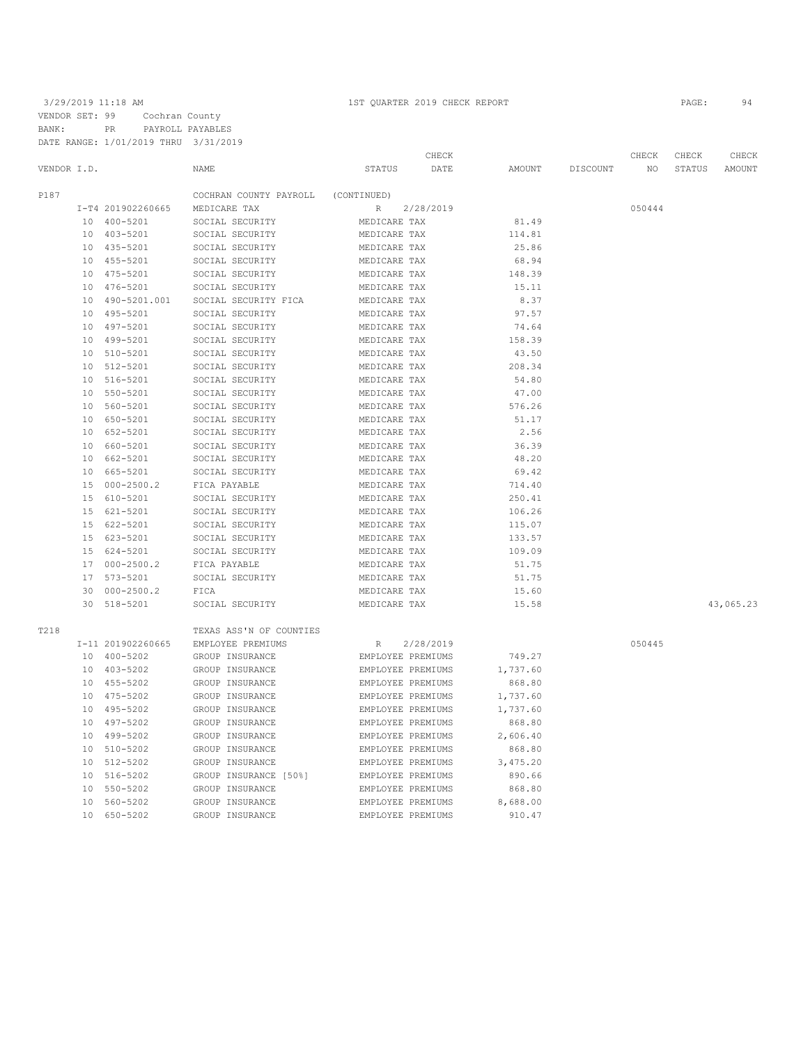3/29/2019 11:18 AM 1ST QUARTER 2019 CHECK REPORT PAGE: 94 VENDOR SET: 99 Cochran County BANK: PR PAYROLL PAYABLES DATE RANGE: 1/01/2019 THRU 3/31/2019

|             |                 | DATE RANGE: 1/01/2019 THRU | 3/31/2019                          |                              |           |                 |          |        |        |               |
|-------------|-----------------|----------------------------|------------------------------------|------------------------------|-----------|-----------------|----------|--------|--------|---------------|
|             |                 |                            |                                    |                              | CHECK     |                 |          | CHECK  | CHECK  | CHECK         |
| VENDOR I.D. |                 |                            | <b>NAME</b>                        | <b>STATUS</b>                | DATE      | AMOUNT          | DISCOUNT | NO.    | STATUS | <b>AMOUNT</b> |
| P187        |                 |                            | COCHRAN COUNTY PAYROLL             | (CONTINUED)                  |           |                 |          |        |        |               |
|             |                 | I-T4 201902260665          | MEDICARE TAX                       | R                            | 2/28/2019 |                 |          | 050444 |        |               |
|             |                 | 10 400-5201                | SOCIAL SECURITY                    | MEDICARE TAX                 |           | 81.49           |          |        |        |               |
|             |                 | 10 403-5201                | SOCIAL SECURITY                    | MEDICARE TAX                 |           | 114.81          |          |        |        |               |
|             |                 | 10 435-5201                | SOCIAL SECURITY                    | MEDICARE TAX                 |           | 25.86           |          |        |        |               |
|             |                 | 10 455-5201                | SOCIAL SECURITY                    | MEDICARE TAX                 |           | 68.94           |          |        |        |               |
|             | 10              | 475-5201                   | SOCIAL SECURITY                    | MEDICARE TAX                 |           | 148.39          |          |        |        |               |
|             |                 | 10 476-5201                | SOCIAL SECURITY                    | MEDICARE TAX                 |           | 15.11           |          |        |        |               |
|             | 10              | 490-5201.001               | SOCIAL SECURITY FICA               | MEDICARE TAX                 |           | 8.37            |          |        |        |               |
|             |                 | 495-5201                   | SOCIAL SECURITY                    |                              |           | 97.57           |          |        |        |               |
|             | 10              | 497-5201                   | SOCIAL SECURITY                    | MEDICARE TAX<br>MEDICARE TAX |           | 74.64           |          |        |        |               |
|             | 10<br>10        | 499-5201                   | SOCIAL SECURITY                    | MEDICARE TAX                 |           | 158.39          |          |        |        |               |
|             |                 | 10 510-5201                | SOCIAL SECURITY                    | MEDICARE TAX                 |           | 43.50           |          |        |        |               |
|             |                 |                            | SOCIAL SECURITY                    |                              |           |                 |          |        |        |               |
|             | 10<br>10        | 512-5201<br>516-5201       | SOCIAL SECURITY                    | MEDICARE TAX                 |           | 208.34<br>54.80 |          |        |        |               |
|             | 10              | 550-5201                   | SOCIAL SECURITY                    | MEDICARE TAX<br>MEDICARE TAX |           | 47.00           |          |        |        |               |
|             | 10 <sup>°</sup> | 560-5201                   | SOCIAL SECURITY                    | MEDICARE TAX                 |           | 576.26          |          |        |        |               |
|             |                 | 10 650-5201                | SOCIAL SECURITY                    | MEDICARE TAX                 |           | 51.17           |          |        |        |               |
|             |                 | 10 652-5201                | SOCIAL SECURITY                    | MEDICARE TAX                 |           | 2.56            |          |        |        |               |
|             |                 |                            |                                    |                              |           |                 |          |        |        |               |
|             |                 | 10 660-5201<br>10 662-5201 | SOCIAL SECURITY<br>SOCIAL SECURITY | MEDICARE TAX<br>MEDICARE TAX |           | 36.39<br>48.20  |          |        |        |               |
|             |                 | 10 665-5201                | SOCIAL SECURITY                    | MEDICARE TAX                 |           | 69.42           |          |        |        |               |
|             |                 | 15 000-2500.2              | FICA PAYABLE                       | MEDICARE TAX                 |           | 714.40          |          |        |        |               |
|             | 15              | 610-5201                   | SOCIAL SECURITY                    | MEDICARE TAX                 |           | 250.41          |          |        |        |               |
|             |                 | 15 621-5201                | SOCIAL SECURITY                    | MEDICARE TAX                 |           | 106.26          |          |        |        |               |
|             |                 | 15 622-5201                | SOCIAL SECURITY                    | MEDICARE TAX                 |           | 115.07          |          |        |        |               |
|             |                 | 15 623-5201                | SOCIAL SECURITY                    |                              |           | 133.57          |          |        |        |               |
|             |                 | 15 624-5201                | SOCIAL SECURITY                    | MEDICARE TAX<br>MEDICARE TAX |           | 109.09          |          |        |        |               |
|             |                 | 17 000-2500.2              |                                    |                              |           | 51.75           |          |        |        |               |
|             |                 | 17 573-5201                | FICA PAYABLE<br>SOCIAL SECURITY    | MEDICARE TAX<br>MEDICARE TAX |           | 51.75           |          |        |        |               |
|             | 30              | $000 - 2500.2$             | FICA                               |                              |           |                 |          |        |        |               |
|             |                 | 30 518-5201                |                                    | MEDICARE TAX                 |           | 15.60           |          |        |        | 43,065.23     |
|             |                 |                            | SOCIAL SECURITY                    | MEDICARE TAX                 |           | 15.58           |          |        |        |               |
| T218        |                 |                            | TEXAS ASS'N OF COUNTIES            |                              |           |                 |          |        |        |               |
|             |                 | I-11 201902260665          | EMPLOYEE PREMIUMS                  | $\mathbb{R}$                 | 2/28/2019 |                 |          | 050445 |        |               |
|             |                 | 10 400-5202                | GROUP INSURANCE                    | EMPLOYEE PREMIUMS            |           | 749.27          |          |        |        |               |
|             |                 | 10 403-5202                | GROUP INSURANCE                    | EMPLOYEE PREMIUMS            |           | 1,737.60        |          |        |        |               |
|             |                 | 10 455-5202                | GROUP INSURANCE                    | EMPLOYEE PREMIUMS            |           | 868.80          |          |        |        |               |
|             |                 | 10 475-5202                | GROUP INSURANCE                    | EMPLOYEE PREMIUMS            |           | 1,737.60        |          |        |        |               |
|             |                 | 10 495-5202                | GROUP INSURANCE                    | EMPLOYEE PREMIUMS            |           | 1,737.60        |          |        |        |               |
|             | 10              | 497-5202                   | GROUP INSURANCE                    | EMPLOYEE PREMIUMS            |           | 868.80          |          |        |        |               |
|             |                 | 10 499-5202                | GROUP INSURANCE                    | EMPLOYEE PREMIUMS            |           | 2,606.40        |          |        |        |               |
|             | 10              | 510-5202                   | GROUP INSURANCE                    | EMPLOYEE PREMIUMS            |           | 868.80          |          |        |        |               |
|             | 10              | 512-5202                   | GROUP INSURANCE                    | EMPLOYEE PREMIUMS            |           | 3,475.20        |          |        |        |               |
|             | 10              | 516-5202                   | GROUP INSURANCE [50%]              | EMPLOYEE PREMIUMS            |           | 890.66          |          |        |        |               |
|             | 10              | 550-5202                   | GROUP INSURANCE                    | EMPLOYEE PREMIUMS            |           | 868.80          |          |        |        |               |
|             |                 | 10 560-5202                | GROUP INSURANCE                    | EMPLOYEE PREMIUMS            |           | 8,688.00        |          |        |        |               |
|             |                 |                            |                                    |                              |           |                 |          |        |        |               |

10 650-5202 GROUP INSURANCE EMPLOYEE PREMIUMS 910.47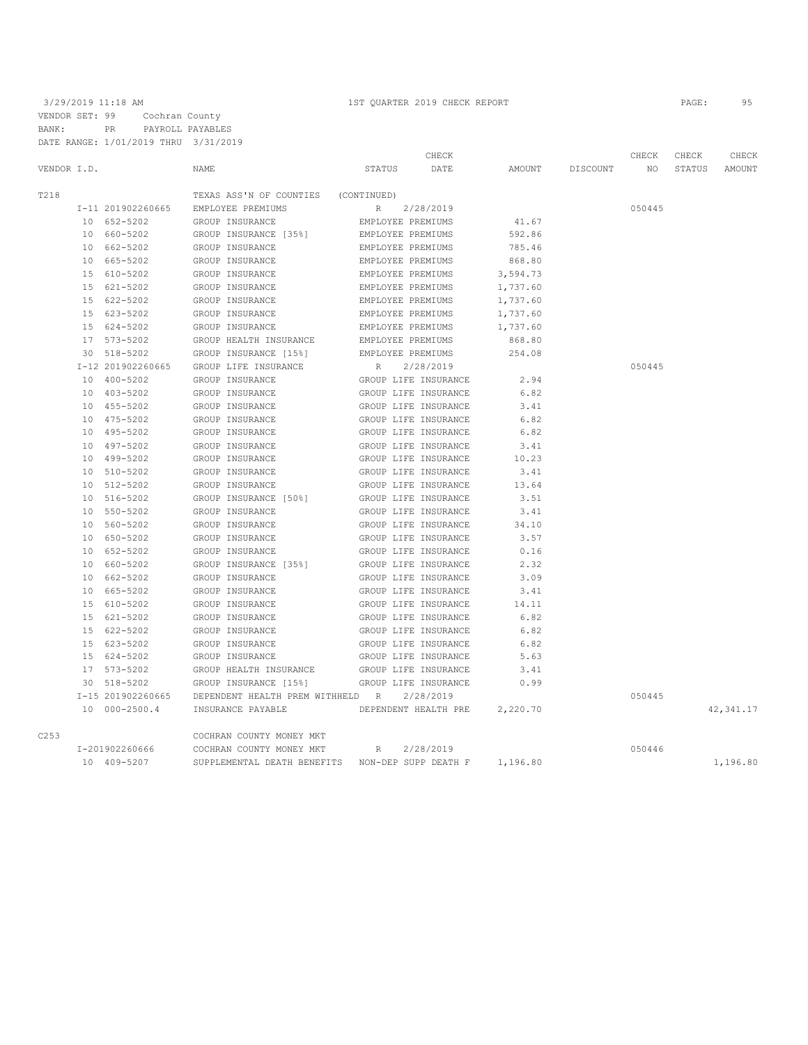3/29/2019 11:18 AM 1ST QUARTER 2019 CHECK REPORT PAGE: 95 VENDOR SET: 99 Cochran County BANK: PR PAYROLL PAYABLES DATE RANGE: 1/01/2019 THRU 3/31/2019

|             | DATE RANGE: 1/01/2019 THRU 3/31/2019 |                                     |                      |          |          |        |        |            |
|-------------|--------------------------------------|-------------------------------------|----------------------|----------|----------|--------|--------|------------|
|             |                                      |                                     | CHECK                |          |          | CHECK  | CHECK  | CHECK      |
| VENDOR I.D. |                                      | <b>NAME</b>                         | STATUS<br>DATE       | AMOUNT   | DISCOUNT | NO.    | STATUS | AMOUNT     |
| T218        |                                      | TEXAS ASS'N OF COUNTIES (CONTINUED) |                      |          |          |        |        |            |
|             | I-11 201902260665                    | EMPLOYEE PREMIUMS                   | R<br>2/28/2019       |          |          | 050445 |        |            |
|             | 10 652-5202                          | GROUP INSURANCE                     | EMPLOYEE PREMIUMS    | 41.67    |          |        |        |            |
|             | 10 660-5202                          | GROUP INSURANCE [35%]               | EMPLOYEE PREMIUMS    | 592.86   |          |        |        |            |
|             | 10 662-5202                          | GROUP INSURANCE                     | EMPLOYEE PREMIUMS    | 785.46   |          |        |        |            |
|             | 10 665-5202                          | GROUP INSURANCE                     | EMPLOYEE PREMIUMS    | 868.80   |          |        |        |            |
|             | 15 610-5202                          | GROUP INSURANCE                     | EMPLOYEE PREMIUMS    | 3,594.73 |          |        |        |            |
|             | 15 621-5202                          | GROUP INSURANCE                     | EMPLOYEE PREMIUMS    | 1,737.60 |          |        |        |            |
|             | 15 622-5202                          | GROUP INSURANCE                     | EMPLOYEE PREMIUMS    | 1,737.60 |          |        |        |            |
|             | 15 623-5202                          | GROUP INSURANCE                     | EMPLOYEE PREMIUMS    | 1,737.60 |          |        |        |            |
|             | 15 624-5202                          | GROUP INSURANCE                     | EMPLOYEE PREMIUMS    | 1,737.60 |          |        |        |            |
|             | 17 573-5202                          | GROUP HEALTH INSURANCE              | EMPLOYEE PREMIUMS    | 868.80   |          |        |        |            |
|             | 30 518-5202                          | GROUP INSURANCE [15%]               | EMPLOYEE PREMIUMS    | 254.08   |          |        |        |            |
|             | I-12 201902260665                    | GROUP LIFE INSURANCE                | R<br>2/28/2019       |          |          | 050445 |        |            |
|             | 10 400-5202                          | GROUP INSURANCE                     | GROUP LIFE INSURANCE | 2.94     |          |        |        |            |
|             | 10 403-5202                          | GROUP INSURANCE                     | GROUP LIFE INSURANCE | 6.82     |          |        |        |            |
|             | 10 455-5202                          | GROUP INSURANCE                     | GROUP LIFE INSURANCE | 3.41     |          |        |        |            |
|             | 10 475-5202                          | GROUP INSURANCE                     | GROUP LIFE INSURANCE | 6.82     |          |        |        |            |
|             | 10 495-5202                          | GROUP INSURANCE                     | GROUP LIFE INSURANCE | 6.82     |          |        |        |            |
|             | 10 497-5202                          | GROUP INSURANCE                     | GROUP LIFE INSURANCE | 3.41     |          |        |        |            |
|             | 10 499-5202                          | GROUP INSURANCE                     | GROUP LIFE INSURANCE | 10.23    |          |        |        |            |
|             | 10 510-5202                          | GROUP INSURANCE                     | GROUP LIFE INSURANCE | 3.41     |          |        |        |            |
|             | 10 512-5202                          | GROUP INSURANCE                     | GROUP LIFE INSURANCE | 13.64    |          |        |        |            |
|             | 10 516-5202                          | GROUP INSURANCE [50%]               | GROUP LIFE INSURANCE | 3.51     |          |        |        |            |
|             | 10 550-5202                          | GROUP INSURANCE                     | GROUP LIFE INSURANCE | 3.41     |          |        |        |            |
|             | 10 560-5202                          | GROUP INSURANCE                     | GROUP LIFE INSURANCE | 34.10    |          |        |        |            |
|             | 10 650-5202                          | GROUP INSURANCE                     | GROUP LIFE INSURANCE | 3.57     |          |        |        |            |
|             | 10 652-5202                          | GROUP INSURANCE                     | GROUP LIFE INSURANCE | 0.16     |          |        |        |            |
|             | 10 660-5202                          | GROUP INSURANCE [35%]               | GROUP LIFE INSURANCE | 2.32     |          |        |        |            |
|             | 10 662-5202                          | GROUP INSURANCE                     | GROUP LIFE INSURANCE | 3.09     |          |        |        |            |
|             | 10 665-5202                          | GROUP INSURANCE                     | GROUP LIFE INSURANCE | 3.41     |          |        |        |            |
|             | 15 610-5202                          | GROUP INSURANCE                     | GROUP LIFE INSURANCE | 14.11    |          |        |        |            |
|             | 15 621-5202                          | GROUP INSURANCE                     | GROUP LIFE INSURANCE | 6.82     |          |        |        |            |
|             | 15 622-5202                          | GROUP INSURANCE                     | GROUP LIFE INSURANCE | 6.82     |          |        |        |            |
|             | 15 623-5202                          | GROUP INSURANCE                     | GROUP LIFE INSURANCE | 6.82     |          |        |        |            |
|             | 15 624-5202                          | GROUP INSURANCE                     | GROUP LIFE INSURANCE | 5.63     |          |        |        |            |
|             | 17 573-5202                          | GROUP HEALTH INSURANCE              | GROUP LIFE INSURANCE | 3.41     |          |        |        |            |
|             | 30 518-5202                          | GROUP INSURANCE [15%]               | GROUP LIFE INSURANCE | 0.99     |          |        |        |            |
|             | I-15 201902260665                    | DEPENDENT HEALTH PREM WITHHELD R    | 2/28/2019            |          |          | 050445 |        |            |
|             | 10 000-2500.4                        | INSURANCE PAYABLE                   | DEPENDENT HEALTH PRE | 2,220.70 |          |        |        | 42, 341.17 |
| C253        |                                      | COCHRAN COUNTY MONEY MKT            |                      |          |          |        |        |            |
|             | I-201902260666                       | COCHRAN COUNTY MONEY MKT            | 2/28/2019<br>R       |          |          | 050446 |        |            |
|             | 10 409-5207                          | SUPPLEMENTAL DEATH BENEFITS         | NON-DEP SUPP DEATH F | 1,196.80 |          |        |        | 1,196.80   |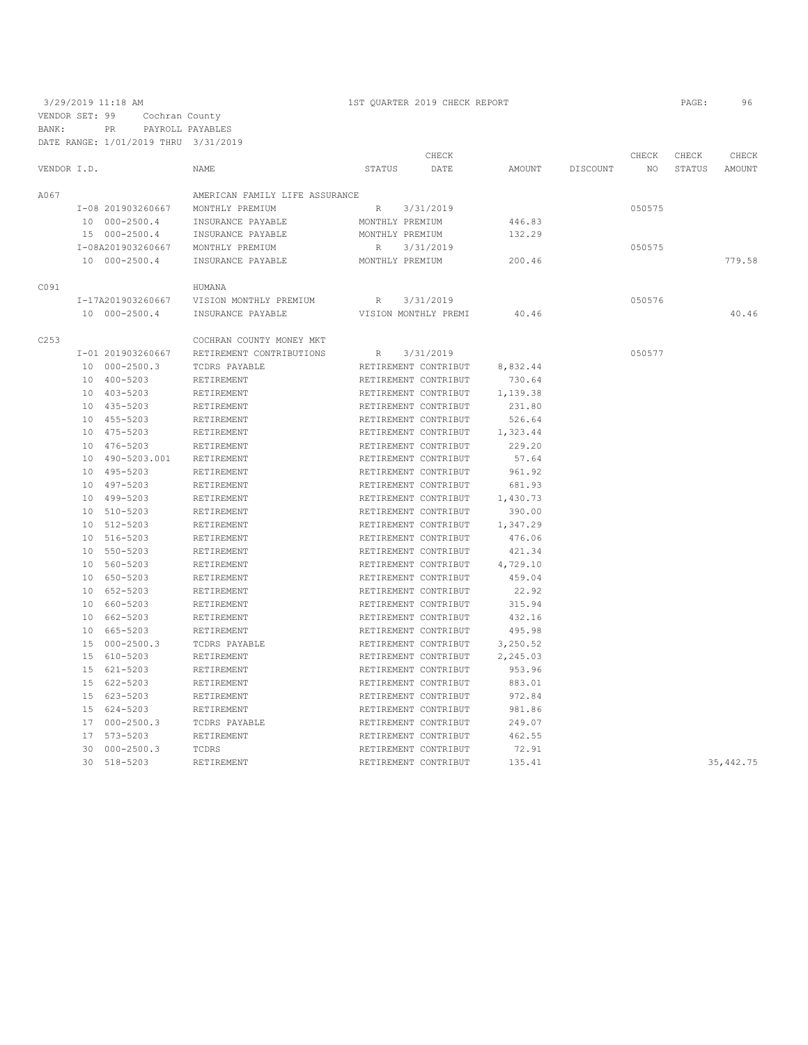3/29/2019 11:18 AM 1ST QUARTER 2019 CHECK REPORT PAGE: 96 VENDOR SET: 99 Cochran County BANK: PR PAYROLL PAYABLES

|             | DATE RANGE: 1/01/2019 THRU 3/31/2019 |                                |                 |                      |          |          |        |        |            |
|-------------|--------------------------------------|--------------------------------|-----------------|----------------------|----------|----------|--------|--------|------------|
|             |                                      |                                |                 | CHECK                |          |          | CHECK  | CHECK  | CHECK      |
| VENDOR I.D. |                                      | NAME                           | <b>STATUS</b>   | DATE                 | AMOUNT   | DISCOUNT | NO     | STATUS | AMOUNT     |
| A067        |                                      | AMERICAN FAMILY LIFE ASSURANCE |                 |                      |          |          |        |        |            |
|             | I-08 201903260667                    | MONTHLY PREMIUM                | $R_{\perp}$     | 3/31/2019            |          |          | 050575 |        |            |
|             | 10 000-2500.4                        | INSURANCE PAYABLE              | MONTHLY PREMIUM |                      | 446.83   |          |        |        |            |
|             | 15 000-2500.4                        | INSURANCE PAYABLE              | MONTHLY PREMIUM |                      | 132.29   |          |        |        |            |
|             | I-08A201903260667                    | MONTHLY PREMIUM                | R               | 3/31/2019            |          |          | 050575 |        |            |
|             | 10 000-2500.4                        | INSURANCE PAYABLE              | MONTHLY PREMIUM |                      | 200.46   |          |        |        | 779.58     |
| C091        |                                      | HUMANA                         |                 |                      |          |          |        |        |            |
|             | I-17A201903260667                    | VISION MONTHLY PREMIUM         | R               | 3/31/2019            |          |          | 050576 |        |            |
|             | 10 000-2500.4                        | INSURANCE PAYABLE              |                 | VISION MONTHLY PREMI | 40.46    |          |        |        | 40.46      |
| C253        |                                      | COCHRAN COUNTY MONEY MKT       |                 |                      |          |          |        |        |            |
|             | I-01 201903260667                    | RETIREMENT CONTRIBUTIONS       | R               | 3/31/2019            |          |          | 050577 |        |            |
|             | 10 000-2500.3                        | TCDRS PAYABLE                  |                 | RETIREMENT CONTRIBUT | 8,832.44 |          |        |        |            |
|             | 10 400-5203                          | RETIREMENT                     |                 | RETIREMENT CONTRIBUT | 730.64   |          |        |        |            |
|             | 10 403-5203                          | RETIREMENT                     |                 | RETIREMENT CONTRIBUT | 1,139.38 |          |        |        |            |
|             | 10 435-5203                          | RETIREMENT                     |                 | RETIREMENT CONTRIBUT | 231.80   |          |        |        |            |
|             | 10 455-5203                          | RETIREMENT                     |                 | RETIREMENT CONTRIBUT | 526.64   |          |        |        |            |
|             | 10 475-5203                          | RETIREMENT                     |                 | RETIREMENT CONTRIBUT | 1,323.44 |          |        |        |            |
|             | 10 476-5203                          | RETIREMENT                     |                 | RETIREMENT CONTRIBUT | 229.20   |          |        |        |            |
|             | 10 490-5203.001                      | RETIREMENT                     |                 | RETIREMENT CONTRIBUT | 57.64    |          |        |        |            |
|             | 10 495-5203                          | RETIREMENT                     |                 | RETIREMENT CONTRIBUT | 961.92   |          |        |        |            |
|             | 10 497-5203                          | RETIREMENT                     |                 | RETIREMENT CONTRIBUT | 681.93   |          |        |        |            |
|             | 10 499-5203                          | RETIREMENT                     |                 | RETIREMENT CONTRIBUT | 1,430.73 |          |        |        |            |
|             | 10 510-5203                          | RETIREMENT                     |                 | RETIREMENT CONTRIBUT | 390.00   |          |        |        |            |
|             | 10 512-5203                          | RETIREMENT                     |                 | RETIREMENT CONTRIBUT | 1,347.29 |          |        |        |            |
|             | 10 516-5203                          | RETIREMENT                     |                 | RETIREMENT CONTRIBUT | 476.06   |          |        |        |            |
|             | 10 550-5203                          | RETIREMENT                     |                 | RETIREMENT CONTRIBUT | 421.34   |          |        |        |            |
|             | 10 560-5203                          | RETIREMENT                     |                 | RETIREMENT CONTRIBUT | 4,729.10 |          |        |        |            |
|             | 10 650-5203                          | RETIREMENT                     |                 | RETIREMENT CONTRIBUT | 459.04   |          |        |        |            |
|             | 10 652-5203                          | RETIREMENT                     |                 | RETIREMENT CONTRIBUT | 22.92    |          |        |        |            |
|             | 10 660-5203                          | RETIREMENT                     |                 | RETIREMENT CONTRIBUT | 315.94   |          |        |        |            |
|             | 10 662-5203                          | RETIREMENT                     |                 | RETIREMENT CONTRIBUT | 432.16   |          |        |        |            |
|             | 10 665-5203                          | RETIREMENT                     |                 | RETIREMENT CONTRIBUT | 495.98   |          |        |        |            |
|             | 15 000-2500.3                        | TCDRS PAYABLE                  |                 | RETIREMENT CONTRIBUT | 3,250.52 |          |        |        |            |
|             | 15 610-5203                          | RETIREMENT                     |                 | RETIREMENT CONTRIBUT | 2,245.03 |          |        |        |            |
|             | 15 621-5203                          | RETIREMENT                     |                 | RETIREMENT CONTRIBUT | 953.96   |          |        |        |            |
|             | 15 622-5203                          | RETIREMENT                     |                 | RETIREMENT CONTRIBUT | 883.01   |          |        |        |            |
|             | 15 623-5203                          | RETIREMENT                     |                 | RETIREMENT CONTRIBUT | 972.84   |          |        |        |            |
|             | 15 624-5203                          | RETIREMENT                     |                 | RETIREMENT CONTRIBUT | 981.86   |          |        |        |            |
|             | 17 000-2500.3                        | TCDRS PAYABLE                  |                 | RETIREMENT CONTRIBUT | 249.07   |          |        |        |            |
|             | 17 573-5203                          | RETIREMENT                     |                 | RETIREMENT CONTRIBUT | 462.55   |          |        |        |            |
|             | 30 000-2500.3                        | TCDRS                          |                 | RETIREMENT CONTRIBUT | 72.91    |          |        |        |            |
|             | 30 518-5203                          | RETIREMENT                     |                 | RETIREMENT CONTRIBUT | 135.41   |          |        |        | 35, 442.75 |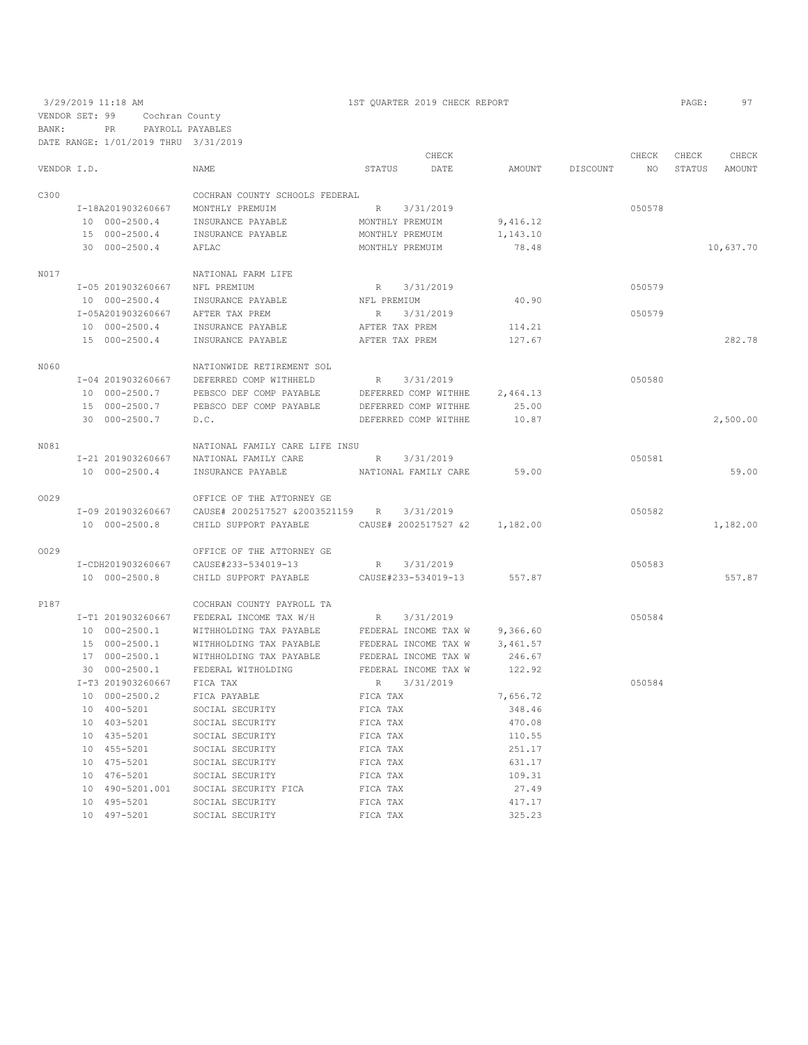3/29/2019 11:18 AM 1ST QUARTER 2019 CHECK REPORT PAGE: 97 VENDOR SET: 99 Cochran County BANK: PR PAYROLL PAYABLES

|             | DATE RANGE: 1/01/2019 THRU 3/31/2019 |                                          |             |                               |          |                 |        |        |           |
|-------------|--------------------------------------|------------------------------------------|-------------|-------------------------------|----------|-----------------|--------|--------|-----------|
|             |                                      |                                          |             | CHECK                         |          |                 | CHECK  | CHECK  | CHECK     |
| VENDOR I.D. |                                      | <b>NAME</b>                              |             | STATUS DATE                   |          | AMOUNT DISCOUNT | NO     | STATUS | AMOUNT    |
| C300        |                                      | COCHRAN COUNTY SCHOOLS FEDERAL           |             |                               |          |                 |        |        |           |
|             |                                      | I-18A201903260667 MONTHLY PREMUIM        | R           | 3/31/2019                     |          |                 | 050578 |        |           |
|             | 10 000-2500.4                        | INSURANCE PAYABLE                        |             | MONTHLY PREMUIM               | 9,416.12 |                 |        |        |           |
|             | 15 000-2500.4                        | INSURANCE PAYABLE                        |             | MONTHLY PREMUIM               | 1,143.10 |                 |        |        |           |
|             | 30 000-2500.4                        | AFLAC                                    |             | MONTHLY PREMUIM               | 78.48    |                 |        |        | 10,637.70 |
| N017        |                                      | NATIONAL FARM LIFE                       |             |                               |          |                 |        |        |           |
|             | I-05 201903260667 NFL PREMIUM        |                                          |             | R 3/31/2019                   |          |                 | 050579 |        |           |
|             | 10 000-2500.4                        | INSURANCE PAYABLE                        | NFL PREMIUM |                               | 40.90    |                 |        |        |           |
|             |                                      | I-05A201903260667 AFTER TAX PREM         | R           | 3/31/2019                     |          |                 | 050579 |        |           |
|             | 10 000-2500.4                        | INSURANCE PAYABLE                        |             | AFTER TAX PREM                | 114.21   |                 |        |        |           |
|             | 15 000-2500.4                        | INSURANCE PAYABLE                        |             | AFTER TAX PREM                | 127.67   |                 |        |        | 282.78    |
| N060        |                                      | NATIONWIDE RETIREMENT SOL                |             |                               |          |                 |        |        |           |
|             |                                      | I-04 201903260667 DEFERRED COMP WITHHELD |             | R 3/31/2019                   |          |                 | 050580 |        |           |
|             |                                      | 10 000-2500.7 PEBSCO DEF COMP PAYABLE    |             | DEFERRED COMP WITHHE          | 2,464.13 |                 |        |        |           |
|             | 15 000-2500.7                        | PEBSCO DEF COMP PAYABLE                  |             | DEFERRED COMP WITHHE          | 25.00    |                 |        |        |           |
|             | 30 000-2500.7                        | D.C.                                     |             | DEFERRED COMP WITHHE          | 10.87    |                 |        |        | 2,500.00  |
| N081        |                                      | NATIONAL FAMILY CARE LIFE INSU           |             |                               |          |                 |        |        |           |
|             |                                      | I-21 201903260667 NATIONAL FAMILY CARE   |             | R 3/31/2019                   |          |                 | 050581 |        |           |
|             | 10 000-2500.4                        | INSURANCE PAYABLE                        |             | NATIONAL FAMILY CARE          | 59.00    |                 |        |        | 59.00     |
| 0029        |                                      | OFFICE OF THE ATTORNEY GE                |             |                               |          |                 |        |        |           |
|             |                                      |                                          |             |                               |          |                 | 050582 |        |           |
|             | 10 000-2500.8                        | CHILD SUPPORT PAYABLE                    |             | CAUSE# 2002517527 &2 1,182.00 |          |                 |        |        | 1,182.00  |
| 0029        |                                      | OFFICE OF THE ATTORNEY GE                |             |                               |          |                 |        |        |           |
|             |                                      | I-CDH201903260667 CAUSE#233-534019-13    |             | R 3/31/2019                   |          |                 | 050583 |        |           |
|             | 10 000-2500.8                        | CHILD SUPPORT PAYABLE                    |             | CAUSE#233-534019-13           | 557.87   |                 |        |        | 557.87    |
| P187        |                                      | COCHRAN COUNTY PAYROLL TA                |             |                               |          |                 |        |        |           |
|             |                                      | I-T1 201903260667 FEDERAL INCOME TAX W/H |             | R 3/31/2019                   |          |                 | 050584 |        |           |
|             | 10 000-2500.1                        | WITHHOLDING TAX PAYABLE                  |             | FEDERAL INCOME TAX W          | 9,366.60 |                 |        |        |           |
|             | 15 000-2500.1                        | WITHHOLDING TAX PAYABLE                  |             | FEDERAL INCOME TAX W          | 3,461.57 |                 |        |        |           |
|             | 17 000-2500.1                        | WITHHOLDING TAX PAYABLE                  |             | FEDERAL INCOME TAX W          | 246.67   |                 |        |        |           |
|             | 30 000-2500.1                        | FEDERAL WITHOLDING                       |             | FEDERAL INCOME TAX W          | 122.92   |                 |        |        |           |
|             | I-T3 201903260667 FICA TAX           |                                          |             | R 3/31/2019                   |          |                 | 050584 |        |           |
|             | 10 000-2500.2                        | FICA PAYABLE                             | FICA TAX    |                               | 7,656.72 |                 |        |        |           |
|             | 10 400-5201                          | SOCIAL SECURITY                          | FICA TAX    |                               | 348.46   |                 |        |        |           |
|             | 10 403-5201                          | SOCIAL SECURITY                          | FICA TAX    |                               | 470.08   |                 |        |        |           |
|             | 10 435-5201                          | SOCIAL SECURITY                          | FICA TAX    |                               | 110.55   |                 |        |        |           |
|             | 10 455-5201                          | SOCIAL SECURITY                          | FICA TAX    |                               | 251.17   |                 |        |        |           |
|             | 10 475-5201                          | SOCIAL SECURITY                          | FICA TAX    |                               | 631.17   |                 |        |        |           |
|             | 10 476-5201                          | SOCIAL SECURITY                          | FICA TAX    |                               | 109.31   |                 |        |        |           |
|             |                                      | 10 490-5201.001 SOCIAL SECURITY FICA     | FICA TAX    |                               | 27.49    |                 |        |        |           |
|             | 10 495-5201                          | SOCIAL SECURITY                          | FICA TAX    |                               | 417.17   |                 |        |        |           |
|             |                                      |                                          |             |                               |          |                 |        |        |           |

10 497-5201 SOCIAL SECURITY FICA TAX 325.23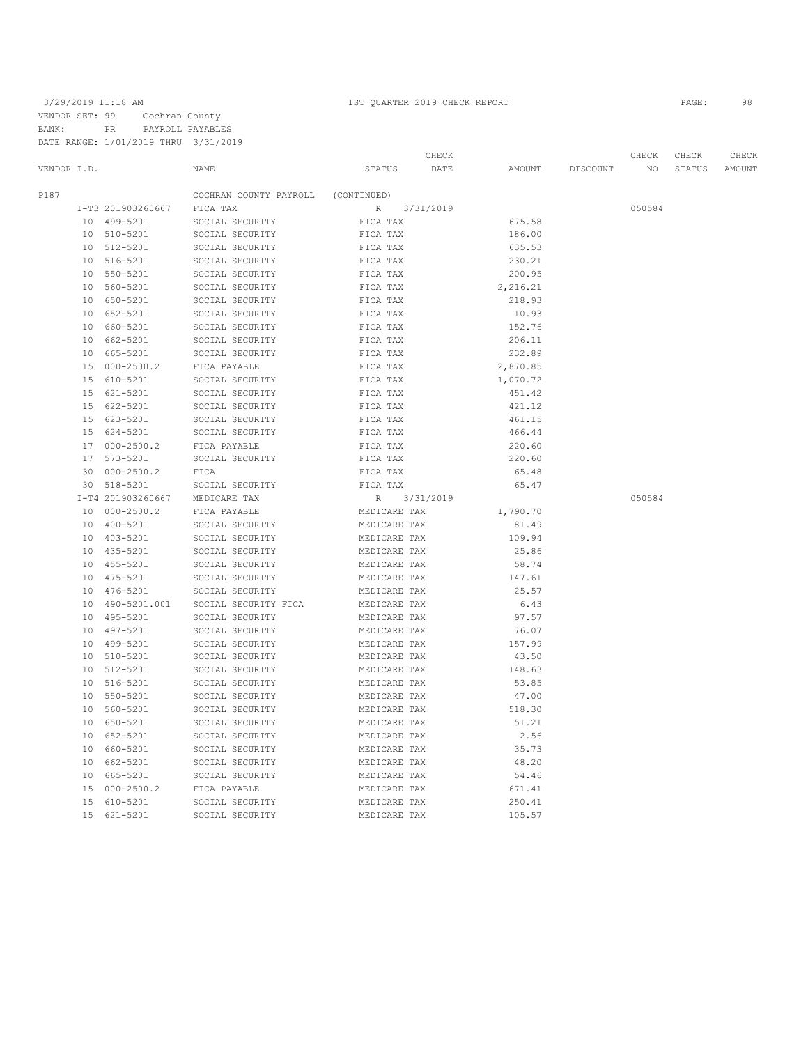3/29/2019 11:18 AM 1ST QUARTER 2019 CHECK REPORT PAGE: 98 VENDOR SET: 99 Cochran County BANK: PR PAYROLL PAYABLES DATE RANGE: 1/01/2019 THRU 3/31/2019

|                 | DAID NANGE. I/VI/ZVIJ IHNU    |                                    |                                       |                  |          |        |        |        |
|-----------------|-------------------------------|------------------------------------|---------------------------------------|------------------|----------|--------|--------|--------|
|                 |                               |                                    | CHECK                                 |                  |          | CHECK  | CHECK  | CHECK  |
| VENDOR I.D.     |                               | NAME                               | DATE<br>STATUS                        | AMOUNT           | DISCOUNT | NO     | STATUS | AMOUNT |
| P187            |                               | COCHRAN COUNTY PAYROLL             | (CONTINUED)                           |                  |          |        |        |        |
|                 | I-T3 201903260667             | FICA TAX                           | $\, {\mathbb R}$<br>3/31/2019         |                  |          | 050584 |        |        |
|                 | 10 499-5201                   | SOCIAL SECURITY                    | FICA TAX                              | 675.58           |          |        |        |        |
|                 | 10 510-5201                   | SOCIAL SECURITY                    | FICA TAX                              | 186.00           |          |        |        |        |
|                 | 10 512-5201                   | SOCIAL SECURITY                    | FICA TAX                              | 635.53           |          |        |        |        |
| 10 <sup>°</sup> | 516-5201                      | SOCIAL SECURITY                    | FICA TAX                              | 230.21           |          |        |        |        |
|                 | 10 550-5201                   | SOCIAL SECURITY                    | FICA TAX                              | 200.95           |          |        |        |        |
|                 | 10 560-5201                   | SOCIAL SECURITY                    | FICA TAX                              | 2,216.21         |          |        |        |        |
| 10 <sup>°</sup> | 650-5201                      | SOCIAL SECURITY                    | FICA TAX                              | 218.93           |          |        |        |        |
|                 | 10 652-5201                   | SOCIAL SECURITY                    | FICA TAX                              | 10.93            |          |        |        |        |
| 10              | 660-5201                      | SOCIAL SECURITY                    | FICA TAX                              | 152.76           |          |        |        |        |
|                 | 10 662-5201                   | SOCIAL SECURITY                    | FICA TAX                              | 206.11           |          |        |        |        |
|                 | 10 665-5201                   | SOCIAL SECURITY                    | FICA TAX                              | 232.89           |          |        |        |        |
|                 | 15 000-2500.2                 | FICA PAYABLE                       | FICA TAX                              | 2,870.85         |          |        |        |        |
|                 | 15 610-5201                   | SOCIAL SECURITY                    | FICA TAX                              | 1,070.72         |          |        |        |        |
|                 | 15 621-5201                   | SOCIAL SECURITY                    | FICA TAX                              | 451.42           |          |        |        |        |
|                 |                               |                                    |                                       |                  |          |        |        |        |
|                 | 15 622-5201<br>15 623-5201    | SOCIAL SECURITY<br>SOCIAL SECURITY | FICA TAX<br>FICA TAX                  | 421.12<br>461.15 |          |        |        |        |
|                 |                               |                                    |                                       |                  |          |        |        |        |
| 17              | 15 624-5201<br>$000 - 2500.2$ | SOCIAL SECURITY                    | FICA TAX                              | 466.44<br>220.60 |          |        |        |        |
|                 |                               | FICA PAYABLE                       | FICA TAX                              |                  |          |        |        |        |
| 30              | 17 573-5201<br>$000 - 2500.2$ | SOCIAL SECURITY                    | FICA TAX                              | 220.60           |          |        |        |        |
|                 | 30 518-5201                   | FICA                               | FICA TAX                              | 65.48<br>65.47   |          |        |        |        |
|                 | I-T4 201903260667             | SOCIAL SECURITY<br>MEDICARE TAX    | FICA TAX<br>$\mathbb{R}$<br>3/31/2019 |                  |          | 050584 |        |        |
| 10              | $000 - 2500.2$                | FICA PAYABLE                       | MEDICARE TAX                          | 1,790.70         |          |        |        |        |
| 10              | 400-5201                      | SOCIAL SECURITY                    | MEDICARE TAX                          | 81.49            |          |        |        |        |
|                 | 10 403-5201                   | SOCIAL SECURITY                    | MEDICARE TAX                          | 109.94           |          |        |        |        |
|                 | 10 435-5201                   | SOCIAL SECURITY                    | MEDICARE TAX                          | 25.86            |          |        |        |        |
| 10              | 455-5201                      | SOCIAL SECURITY                    | MEDICARE TAX                          | 58.74            |          |        |        |        |
| 10 <sup>°</sup> | 475-5201                      | SOCIAL SECURITY                    | MEDICARE TAX                          | 147.61           |          |        |        |        |
| 10              | 476-5201                      | SOCIAL SECURITY                    | MEDICARE TAX                          | 25.57            |          |        |        |        |
|                 | 10 490-5201.001               | SOCIAL SECURITY FICA               | MEDICARE TAX                          | 6.43             |          |        |        |        |
|                 | 10 495-5201                   | SOCIAL SECURITY                    | MEDICARE TAX                          | 97.57            |          |        |        |        |
|                 | 10 497-5201                   | SOCIAL SECURITY                    | MEDICARE TAX                          | 76.07            |          |        |        |        |
| 10 <sup>°</sup> | 499-5201                      | SOCIAL SECURITY                    | MEDICARE TAX                          | 157.99           |          |        |        |        |
|                 | 10 510-5201                   | SOCIAL SECURITY                    | MEDICARE TAX                          | 43.50            |          |        |        |        |
| 10              | 512-5201                      | SOCIAL SECURITY                    | MEDICARE TAX                          | 148.63           |          |        |        |        |
| 10 <sup>°</sup> | 516-5201                      | SOCIAL SECURITY                    | MEDICARE TAX                          | 53.85            |          |        |        |        |
| 10              | 550-5201                      | SOCIAL SECURITY                    | MEDICARE TAX                          | 47.00            |          |        |        |        |
| 10              | 560-5201                      | SOCIAL SECURITY                    | MEDICARE TAX                          | 518.30           |          |        |        |        |
| 10              | 650-5201                      | SOCIAL SECURITY                    | MEDICARE TAX                          | 51.21            |          |        |        |        |
|                 | 10 652-5201                   | SOCIAL SECURITY                    | MEDICARE TAX                          | 2.56             |          |        |        |        |
|                 | 10 660-5201                   | SOCIAL SECURITY                    | MEDICARE TAX                          | 35.73            |          |        |        |        |
|                 | 10 662-5201                   | SOCIAL SECURITY                    | MEDICARE TAX                          | 48.20            |          |        |        |        |
|                 | 10 665-5201                   | SOCIAL SECURITY                    | MEDICARE TAX                          | 54.46            |          |        |        |        |
| 15              | $000 - 2500.2$                | FICA PAYABLE                       | MEDICARE TAX                          | 671.41           |          |        |        |        |
| 15              | $610 - 5201$                  | SOCIAL SECURITY                    | MEDICARE TAX                          | 250.41           |          |        |        |        |
| 15              | 621-5201                      | SOCIAL SECURITY                    | MEDICARE TAX                          | 105.57           |          |        |        |        |
|                 |                               |                                    |                                       |                  |          |        |        |        |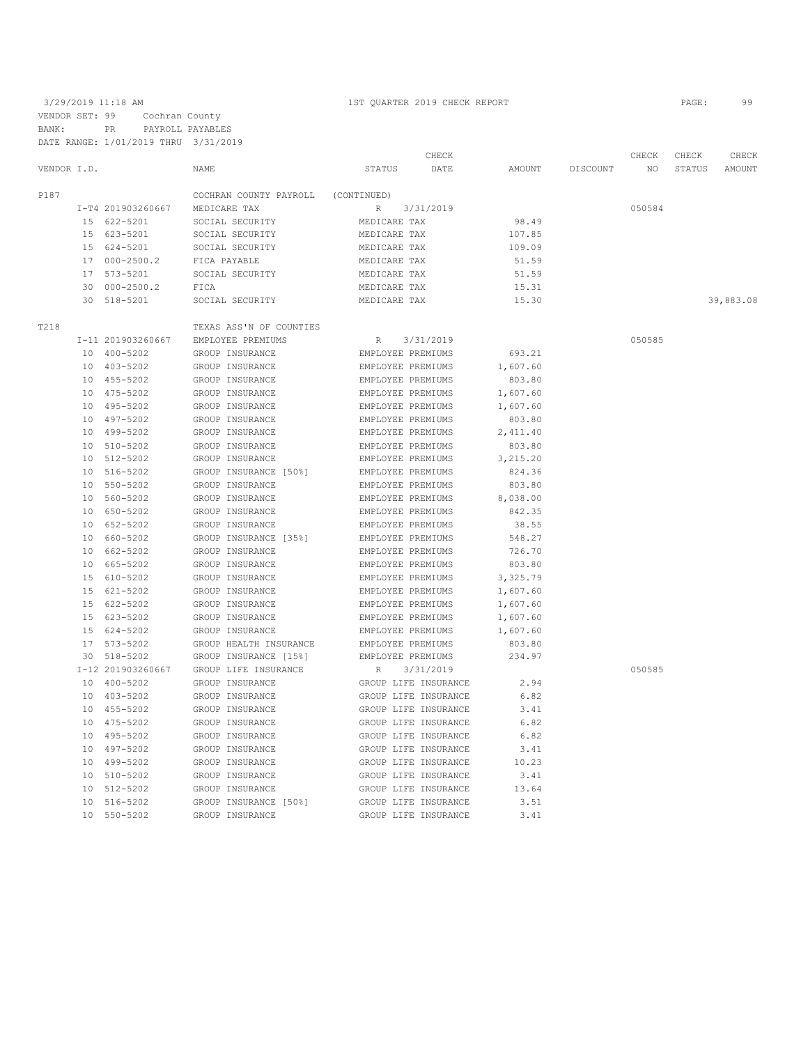3/29/2019 11:18 AM 1ST QUARTER 2019 CHECK REPORT PAGE: 99 VENDOR SET: 99 Cochran County BANK: PR PAYROLL PAYABLES DATE RANGE: 1/01/2019 THRU 3/31/2019

|             |                                                    |                                                                                                                                                                                                                                                                                                                                                                                                                                                                                                                                                                                                                                                                                         |                                                                                                                                                                                                                                                                                                                                                                                                                                                                                                                                                                                                                                                                                                                                   | CHECK            |                                                                                                                                                                                                                                                                                                                                                                                                                                                                                                                                                                                                                                                                                                                                                                                                                                                                                                                                                     |                                                                                                                                                                                                                                                                                                                                         | CHECK  | CHECK  | CHECK     |
|-------------|----------------------------------------------------|-----------------------------------------------------------------------------------------------------------------------------------------------------------------------------------------------------------------------------------------------------------------------------------------------------------------------------------------------------------------------------------------------------------------------------------------------------------------------------------------------------------------------------------------------------------------------------------------------------------------------------------------------------------------------------------------|-----------------------------------------------------------------------------------------------------------------------------------------------------------------------------------------------------------------------------------------------------------------------------------------------------------------------------------------------------------------------------------------------------------------------------------------------------------------------------------------------------------------------------------------------------------------------------------------------------------------------------------------------------------------------------------------------------------------------------------|------------------|-----------------------------------------------------------------------------------------------------------------------------------------------------------------------------------------------------------------------------------------------------------------------------------------------------------------------------------------------------------------------------------------------------------------------------------------------------------------------------------------------------------------------------------------------------------------------------------------------------------------------------------------------------------------------------------------------------------------------------------------------------------------------------------------------------------------------------------------------------------------------------------------------------------------------------------------------------|-----------------------------------------------------------------------------------------------------------------------------------------------------------------------------------------------------------------------------------------------------------------------------------------------------------------------------------------|--------|--------|-----------|
| VENDOR I.D. |                                                    | NAME                                                                                                                                                                                                                                                                                                                                                                                                                                                                                                                                                                                                                                                                                    | <b>STATUS</b>                                                                                                                                                                                                                                                                                                                                                                                                                                                                                                                                                                                                                                                                                                                     | DATE             | AMOUNT                                                                                                                                                                                                                                                                                                                                                                                                                                                                                                                                                                                                                                                                                                                                                                                                                                                                                                                                              | DISCOUNT                                                                                                                                                                                                                                                                                                                                | NO.    | STATUS | AMOUNT    |
|             |                                                    | COCHRAN COUNTY PAYROLL                                                                                                                                                                                                                                                                                                                                                                                                                                                                                                                                                                                                                                                                  |                                                                                                                                                                                                                                                                                                                                                                                                                                                                                                                                                                                                                                                                                                                                   |                  |                                                                                                                                                                                                                                                                                                                                                                                                                                                                                                                                                                                                                                                                                                                                                                                                                                                                                                                                                     |                                                                                                                                                                                                                                                                                                                                         |        |        |           |
|             |                                                    | MEDICARE TAX                                                                                                                                                                                                                                                                                                                                                                                                                                                                                                                                                                                                                                                                            | R                                                                                                                                                                                                                                                                                                                                                                                                                                                                                                                                                                                                                                                                                                                                 |                  |                                                                                                                                                                                                                                                                                                                                                                                                                                                                                                                                                                                                                                                                                                                                                                                                                                                                                                                                                     |                                                                                                                                                                                                                                                                                                                                         | 050584 |        |           |
|             |                                                    | SOCIAL SECURITY                                                                                                                                                                                                                                                                                                                                                                                                                                                                                                                                                                                                                                                                         |                                                                                                                                                                                                                                                                                                                                                                                                                                                                                                                                                                                                                                                                                                                                   |                  | 98.49                                                                                                                                                                                                                                                                                                                                                                                                                                                                                                                                                                                                                                                                                                                                                                                                                                                                                                                                               |                                                                                                                                                                                                                                                                                                                                         |        |        |           |
|             |                                                    | SOCIAL SECURITY                                                                                                                                                                                                                                                                                                                                                                                                                                                                                                                                                                                                                                                                         |                                                                                                                                                                                                                                                                                                                                                                                                                                                                                                                                                                                                                                                                                                                                   |                  | 107.85                                                                                                                                                                                                                                                                                                                                                                                                                                                                                                                                                                                                                                                                                                                                                                                                                                                                                                                                              |                                                                                                                                                                                                                                                                                                                                         |        |        |           |
|             |                                                    | SOCIAL SECURITY                                                                                                                                                                                                                                                                                                                                                                                                                                                                                                                                                                                                                                                                         |                                                                                                                                                                                                                                                                                                                                                                                                                                                                                                                                                                                                                                                                                                                                   |                  | 109.09                                                                                                                                                                                                                                                                                                                                                                                                                                                                                                                                                                                                                                                                                                                                                                                                                                                                                                                                              |                                                                                                                                                                                                                                                                                                                                         |        |        |           |
|             |                                                    | FICA PAYABLE                                                                                                                                                                                                                                                                                                                                                                                                                                                                                                                                                                                                                                                                            |                                                                                                                                                                                                                                                                                                                                                                                                                                                                                                                                                                                                                                                                                                                                   |                  | 51.59                                                                                                                                                                                                                                                                                                                                                                                                                                                                                                                                                                                                                                                                                                                                                                                                                                                                                                                                               |                                                                                                                                                                                                                                                                                                                                         |        |        |           |
|             |                                                    | SOCIAL SECURITY                                                                                                                                                                                                                                                                                                                                                                                                                                                                                                                                                                                                                                                                         |                                                                                                                                                                                                                                                                                                                                                                                                                                                                                                                                                                                                                                                                                                                                   |                  | 51.59                                                                                                                                                                                                                                                                                                                                                                                                                                                                                                                                                                                                                                                                                                                                                                                                                                                                                                                                               |                                                                                                                                                                                                                                                                                                                                         |        |        |           |
|             |                                                    | FICA                                                                                                                                                                                                                                                                                                                                                                                                                                                                                                                                                                                                                                                                                    |                                                                                                                                                                                                                                                                                                                                                                                                                                                                                                                                                                                                                                                                                                                                   |                  | 15.31                                                                                                                                                                                                                                                                                                                                                                                                                                                                                                                                                                                                                                                                                                                                                                                                                                                                                                                                               |                                                                                                                                                                                                                                                                                                                                         |        |        |           |
| 30          |                                                    | SOCIAL SECURITY                                                                                                                                                                                                                                                                                                                                                                                                                                                                                                                                                                                                                                                                         |                                                                                                                                                                                                                                                                                                                                                                                                                                                                                                                                                                                                                                                                                                                                   |                  | 15.30                                                                                                                                                                                                                                                                                                                                                                                                                                                                                                                                                                                                                                                                                                                                                                                                                                                                                                                                               |                                                                                                                                                                                                                                                                                                                                         |        |        | 39,883.08 |
|             |                                                    |                                                                                                                                                                                                                                                                                                                                                                                                                                                                                                                                                                                                                                                                                         |                                                                                                                                                                                                                                                                                                                                                                                                                                                                                                                                                                                                                                                                                                                                   |                  |                                                                                                                                                                                                                                                                                                                                                                                                                                                                                                                                                                                                                                                                                                                                                                                                                                                                                                                                                     |                                                                                                                                                                                                                                                                                                                                         |        |        |           |
|             |                                                    | EMPLOYEE PREMIUMS                                                                                                                                                                                                                                                                                                                                                                                                                                                                                                                                                                                                                                                                       | R                                                                                                                                                                                                                                                                                                                                                                                                                                                                                                                                                                                                                                                                                                                                 |                  |                                                                                                                                                                                                                                                                                                                                                                                                                                                                                                                                                                                                                                                                                                                                                                                                                                                                                                                                                     |                                                                                                                                                                                                                                                                                                                                         | 050585 |        |           |
|             |                                                    | GROUP INSURANCE                                                                                                                                                                                                                                                                                                                                                                                                                                                                                                                                                                                                                                                                         |                                                                                                                                                                                                                                                                                                                                                                                                                                                                                                                                                                                                                                                                                                                                   |                  | 693.21                                                                                                                                                                                                                                                                                                                                                                                                                                                                                                                                                                                                                                                                                                                                                                                                                                                                                                                                              |                                                                                                                                                                                                                                                                                                                                         |        |        |           |
|             |                                                    |                                                                                                                                                                                                                                                                                                                                                                                                                                                                                                                                                                                                                                                                                         |                                                                                                                                                                                                                                                                                                                                                                                                                                                                                                                                                                                                                                                                                                                                   |                  |                                                                                                                                                                                                                                                                                                                                                                                                                                                                                                                                                                                                                                                                                                                                                                                                                                                                                                                                                     |                                                                                                                                                                                                                                                                                                                                         |        |        |           |
| 10          |                                                    | GROUP INSURANCE                                                                                                                                                                                                                                                                                                                                                                                                                                                                                                                                                                                                                                                                         |                                                                                                                                                                                                                                                                                                                                                                                                                                                                                                                                                                                                                                                                                                                                   |                  | 803.80                                                                                                                                                                                                                                                                                                                                                                                                                                                                                                                                                                                                                                                                                                                                                                                                                                                                                                                                              |                                                                                                                                                                                                                                                                                                                                         |        |        |           |
|             |                                                    |                                                                                                                                                                                                                                                                                                                                                                                                                                                                                                                                                                                                                                                                                         |                                                                                                                                                                                                                                                                                                                                                                                                                                                                                                                                                                                                                                                                                                                                   |                  |                                                                                                                                                                                                                                                                                                                                                                                                                                                                                                                                                                                                                                                                                                                                                                                                                                                                                                                                                     |                                                                                                                                                                                                                                                                                                                                         |        |        |           |
|             |                                                    |                                                                                                                                                                                                                                                                                                                                                                                                                                                                                                                                                                                                                                                                                         |                                                                                                                                                                                                                                                                                                                                                                                                                                                                                                                                                                                                                                                                                                                                   |                  |                                                                                                                                                                                                                                                                                                                                                                                                                                                                                                                                                                                                                                                                                                                                                                                                                                                                                                                                                     |                                                                                                                                                                                                                                                                                                                                         |        |        |           |
|             |                                                    |                                                                                                                                                                                                                                                                                                                                                                                                                                                                                                                                                                                                                                                                                         |                                                                                                                                                                                                                                                                                                                                                                                                                                                                                                                                                                                                                                                                                                                                   |                  |                                                                                                                                                                                                                                                                                                                                                                                                                                                                                                                                                                                                                                                                                                                                                                                                                                                                                                                                                     |                                                                                                                                                                                                                                                                                                                                         |        |        |           |
|             |                                                    |                                                                                                                                                                                                                                                                                                                                                                                                                                                                                                                                                                                                                                                                                         |                                                                                                                                                                                                                                                                                                                                                                                                                                                                                                                                                                                                                                                                                                                                   |                  |                                                                                                                                                                                                                                                                                                                                                                                                                                                                                                                                                                                                                                                                                                                                                                                                                                                                                                                                                     |                                                                                                                                                                                                                                                                                                                                         |        |        |           |
|             |                                                    |                                                                                                                                                                                                                                                                                                                                                                                                                                                                                                                                                                                                                                                                                         |                                                                                                                                                                                                                                                                                                                                                                                                                                                                                                                                                                                                                                                                                                                                   |                  |                                                                                                                                                                                                                                                                                                                                                                                                                                                                                                                                                                                                                                                                                                                                                                                                                                                                                                                                                     |                                                                                                                                                                                                                                                                                                                                         |        |        |           |
|             |                                                    |                                                                                                                                                                                                                                                                                                                                                                                                                                                                                                                                                                                                                                                                                         |                                                                                                                                                                                                                                                                                                                                                                                                                                                                                                                                                                                                                                                                                                                                   |                  |                                                                                                                                                                                                                                                                                                                                                                                                                                                                                                                                                                                                                                                                                                                                                                                                                                                                                                                                                     |                                                                                                                                                                                                                                                                                                                                         |        |        |           |
|             |                                                    |                                                                                                                                                                                                                                                                                                                                                                                                                                                                                                                                                                                                                                                                                         |                                                                                                                                                                                                                                                                                                                                                                                                                                                                                                                                                                                                                                                                                                                                   |                  |                                                                                                                                                                                                                                                                                                                                                                                                                                                                                                                                                                                                                                                                                                                                                                                                                                                                                                                                                     |                                                                                                                                                                                                                                                                                                                                         |        |        |           |
|             |                                                    |                                                                                                                                                                                                                                                                                                                                                                                                                                                                                                                                                                                                                                                                                         |                                                                                                                                                                                                                                                                                                                                                                                                                                                                                                                                                                                                                                                                                                                                   |                  |                                                                                                                                                                                                                                                                                                                                                                                                                                                                                                                                                                                                                                                                                                                                                                                                                                                                                                                                                     |                                                                                                                                                                                                                                                                                                                                         |        |        |           |
|             |                                                    |                                                                                                                                                                                                                                                                                                                                                                                                                                                                                                                                                                                                                                                                                         |                                                                                                                                                                                                                                                                                                                                                                                                                                                                                                                                                                                                                                                                                                                                   |                  |                                                                                                                                                                                                                                                                                                                                                                                                                                                                                                                                                                                                                                                                                                                                                                                                                                                                                                                                                     |                                                                                                                                                                                                                                                                                                                                         |        |        |           |
|             |                                                    |                                                                                                                                                                                                                                                                                                                                                                                                                                                                                                                                                                                                                                                                                         |                                                                                                                                                                                                                                                                                                                                                                                                                                                                                                                                                                                                                                                                                                                                   |                  |                                                                                                                                                                                                                                                                                                                                                                                                                                                                                                                                                                                                                                                                                                                                                                                                                                                                                                                                                     |                                                                                                                                                                                                                                                                                                                                         |        |        |           |
|             |                                                    |                                                                                                                                                                                                                                                                                                                                                                                                                                                                                                                                                                                                                                                                                         |                                                                                                                                                                                                                                                                                                                                                                                                                                                                                                                                                                                                                                                                                                                                   |                  |                                                                                                                                                                                                                                                                                                                                                                                                                                                                                                                                                                                                                                                                                                                                                                                                                                                                                                                                                     |                                                                                                                                                                                                                                                                                                                                         |        |        |           |
|             |                                                    |                                                                                                                                                                                                                                                                                                                                                                                                                                                                                                                                                                                                                                                                                         |                                                                                                                                                                                                                                                                                                                                                                                                                                                                                                                                                                                                                                                                                                                                   |                  |                                                                                                                                                                                                                                                                                                                                                                                                                                                                                                                                                                                                                                                                                                                                                                                                                                                                                                                                                     |                                                                                                                                                                                                                                                                                                                                         |        |        |           |
|             |                                                    |                                                                                                                                                                                                                                                                                                                                                                                                                                                                                                                                                                                                                                                                                         |                                                                                                                                                                                                                                                                                                                                                                                                                                                                                                                                                                                                                                                                                                                                   |                  |                                                                                                                                                                                                                                                                                                                                                                                                                                                                                                                                                                                                                                                                                                                                                                                                                                                                                                                                                     |                                                                                                                                                                                                                                                                                                                                         |        |        |           |
|             |                                                    |                                                                                                                                                                                                                                                                                                                                                                                                                                                                                                                                                                                                                                                                                         |                                                                                                                                                                                                                                                                                                                                                                                                                                                                                                                                                                                                                                                                                                                                   |                  |                                                                                                                                                                                                                                                                                                                                                                                                                                                                                                                                                                                                                                                                                                                                                                                                                                                                                                                                                     |                                                                                                                                                                                                                                                                                                                                         |        |        |           |
|             |                                                    |                                                                                                                                                                                                                                                                                                                                                                                                                                                                                                                                                                                                                                                                                         |                                                                                                                                                                                                                                                                                                                                                                                                                                                                                                                                                                                                                                                                                                                                   |                  |                                                                                                                                                                                                                                                                                                                                                                                                                                                                                                                                                                                                                                                                                                                                                                                                                                                                                                                                                     |                                                                                                                                                                                                                                                                                                                                         |        |        |           |
|             |                                                    |                                                                                                                                                                                                                                                                                                                                                                                                                                                                                                                                                                                                                                                                                         |                                                                                                                                                                                                                                                                                                                                                                                                                                                                                                                                                                                                                                                                                                                                   |                  |                                                                                                                                                                                                                                                                                                                                                                                                                                                                                                                                                                                                                                                                                                                                                                                                                                                                                                                                                     |                                                                                                                                                                                                                                                                                                                                         |        |        |           |
|             |                                                    |                                                                                                                                                                                                                                                                                                                                                                                                                                                                                                                                                                                                                                                                                         |                                                                                                                                                                                                                                                                                                                                                                                                                                                                                                                                                                                                                                                                                                                                   |                  |                                                                                                                                                                                                                                                                                                                                                                                                                                                                                                                                                                                                                                                                                                                                                                                                                                                                                                                                                     |                                                                                                                                                                                                                                                                                                                                         |        |        |           |
|             |                                                    |                                                                                                                                                                                                                                                                                                                                                                                                                                                                                                                                                                                                                                                                                         |                                                                                                                                                                                                                                                                                                                                                                                                                                                                                                                                                                                                                                                                                                                                   |                  |                                                                                                                                                                                                                                                                                                                                                                                                                                                                                                                                                                                                                                                                                                                                                                                                                                                                                                                                                     |                                                                                                                                                                                                                                                                                                                                         |        |        |           |
|             |                                                    |                                                                                                                                                                                                                                                                                                                                                                                                                                                                                                                                                                                                                                                                                         |                                                                                                                                                                                                                                                                                                                                                                                                                                                                                                                                                                                                                                                                                                                                   |                  |                                                                                                                                                                                                                                                                                                                                                                                                                                                                                                                                                                                                                                                                                                                                                                                                                                                                                                                                                     |                                                                                                                                                                                                                                                                                                                                         |        |        |           |
|             |                                                    |                                                                                                                                                                                                                                                                                                                                                                                                                                                                                                                                                                                                                                                                                         |                                                                                                                                                                                                                                                                                                                                                                                                                                                                                                                                                                                                                                                                                                                                   |                  |                                                                                                                                                                                                                                                                                                                                                                                                                                                                                                                                                                                                                                                                                                                                                                                                                                                                                                                                                     |                                                                                                                                                                                                                                                                                                                                         |        |        |           |
|             |                                                    |                                                                                                                                                                                                                                                                                                                                                                                                                                                                                                                                                                                                                                                                                         |                                                                                                                                                                                                                                                                                                                                                                                                                                                                                                                                                                                                                                                                                                                                   |                  |                                                                                                                                                                                                                                                                                                                                                                                                                                                                                                                                                                                                                                                                                                                                                                                                                                                                                                                                                     |                                                                                                                                                                                                                                                                                                                                         |        |        |           |
|             |                                                    |                                                                                                                                                                                                                                                                                                                                                                                                                                                                                                                                                                                                                                                                                         |                                                                                                                                                                                                                                                                                                                                                                                                                                                                                                                                                                                                                                                                                                                                   |                  |                                                                                                                                                                                                                                                                                                                                                                                                                                                                                                                                                                                                                                                                                                                                                                                                                                                                                                                                                     |                                                                                                                                                                                                                                                                                                                                         |        |        |           |
|             |                                                    |                                                                                                                                                                                                                                                                                                                                                                                                                                                                                                                                                                                                                                                                                         |                                                                                                                                                                                                                                                                                                                                                                                                                                                                                                                                                                                                                                                                                                                                   |                  |                                                                                                                                                                                                                                                                                                                                                                                                                                                                                                                                                                                                                                                                                                                                                                                                                                                                                                                                                     |                                                                                                                                                                                                                                                                                                                                         |        |        |           |
|             |                                                    |                                                                                                                                                                                                                                                                                                                                                                                                                                                                                                                                                                                                                                                                                         |                                                                                                                                                                                                                                                                                                                                                                                                                                                                                                                                                                                                                                                                                                                                   |                  |                                                                                                                                                                                                                                                                                                                                                                                                                                                                                                                                                                                                                                                                                                                                                                                                                                                                                                                                                     |                                                                                                                                                                                                                                                                                                                                         |        |        |           |
|             |                                                    |                                                                                                                                                                                                                                                                                                                                                                                                                                                                                                                                                                                                                                                                                         |                                                                                                                                                                                                                                                                                                                                                                                                                                                                                                                                                                                                                                                                                                                                   |                  |                                                                                                                                                                                                                                                                                                                                                                                                                                                                                                                                                                                                                                                                                                                                                                                                                                                                                                                                                     |                                                                                                                                                                                                                                                                                                                                         |        |        |           |
|             |                                                    |                                                                                                                                                                                                                                                                                                                                                                                                                                                                                                                                                                                                                                                                                         |                                                                                                                                                                                                                                                                                                                                                                                                                                                                                                                                                                                                                                                                                                                                   |                  |                                                                                                                                                                                                                                                                                                                                                                                                                                                                                                                                                                                                                                                                                                                                                                                                                                                                                                                                                     |                                                                                                                                                                                                                                                                                                                                         |        |        |           |
|             |                                                    |                                                                                                                                                                                                                                                                                                                                                                                                                                                                                                                                                                                                                                                                                         |                                                                                                                                                                                                                                                                                                                                                                                                                                                                                                                                                                                                                                                                                                                                   |                  |                                                                                                                                                                                                                                                                                                                                                                                                                                                                                                                                                                                                                                                                                                                                                                                                                                                                                                                                                     |                                                                                                                                                                                                                                                                                                                                         |        |        |           |
|             |                                                    |                                                                                                                                                                                                                                                                                                                                                                                                                                                                                                                                                                                                                                                                                         |                                                                                                                                                                                                                                                                                                                                                                                                                                                                                                                                                                                                                                                                                                                                   |                  |                                                                                                                                                                                                                                                                                                                                                                                                                                                                                                                                                                                                                                                                                                                                                                                                                                                                                                                                                     |                                                                                                                                                                                                                                                                                                                                         |        |        |           |
|             |                                                    |                                                                                                                                                                                                                                                                                                                                                                                                                                                                                                                                                                                                                                                                                         |                                                                                                                                                                                                                                                                                                                                                                                                                                                                                                                                                                                                                                                                                                                                   |                  |                                                                                                                                                                                                                                                                                                                                                                                                                                                                                                                                                                                                                                                                                                                                                                                                                                                                                                                                                     |                                                                                                                                                                                                                                                                                                                                         |        |        |           |
|             |                                                    |                                                                                                                                                                                                                                                                                                                                                                                                                                                                                                                                                                                                                                                                                         |                                                                                                                                                                                                                                                                                                                                                                                                                                                                                                                                                                                                                                                                                                                                   |                  |                                                                                                                                                                                                                                                                                                                                                                                                                                                                                                                                                                                                                                                                                                                                                                                                                                                                                                                                                     |                                                                                                                                                                                                                                                                                                                                         |        |        |           |
|             |                                                    |                                                                                                                                                                                                                                                                                                                                                                                                                                                                                                                                                                                                                                                                                         |                                                                                                                                                                                                                                                                                                                                                                                                                                                                                                                                                                                                                                                                                                                                   |                  |                                                                                                                                                                                                                                                                                                                                                                                                                                                                                                                                                                                                                                                                                                                                                                                                                                                                                                                                                     |                                                                                                                                                                                                                                                                                                                                         |        |        |           |
|             |                                                    |                                                                                                                                                                                                                                                                                                                                                                                                                                                                                                                                                                                                                                                                                         |                                                                                                                                                                                                                                                                                                                                                                                                                                                                                                                                                                                                                                                                                                                                   |                  |                                                                                                                                                                                                                                                                                                                                                                                                                                                                                                                                                                                                                                                                                                                                                                                                                                                                                                                                                     |                                                                                                                                                                                                                                                                                                                                         |        |        |           |
|             |                                                    |                                                                                                                                                                                                                                                                                                                                                                                                                                                                                                                                                                                                                                                                                         |                                                                                                                                                                                                                                                                                                                                                                                                                                                                                                                                                                                                                                                                                                                                   |                  |                                                                                                                                                                                                                                                                                                                                                                                                                                                                                                                                                                                                                                                                                                                                                                                                                                                                                                                                                     |                                                                                                                                                                                                                                                                                                                                         |        |        |           |
|             |                                                    |                                                                                                                                                                                                                                                                                                                                                                                                                                                                                                                                                                                                                                                                                         |                                                                                                                                                                                                                                                                                                                                                                                                                                                                                                                                                                                                                                                                                                                                   |                  |                                                                                                                                                                                                                                                                                                                                                                                                                                                                                                                                                                                                                                                                                                                                                                                                                                                                                                                                                     |                                                                                                                                                                                                                                                                                                                                         |        |        |           |
|             | 10<br>10<br>15<br>30<br>10<br>10<br>10<br>10<br>10 | I-T4 201903260667<br>15 622-5201<br>15 623-5201<br>15 624-5201<br>17 000-2500.2<br>17 573-5201<br>30 000-2500.2<br>518-5201<br>I-11 201903260667<br>10 400-5202<br>10 403-5202<br>455-5202<br>10 475-5202<br>10 495-5202<br>10 497-5202<br>10 499-5202<br>10 510-5202<br>10<br>512-5202<br>10 516-5202<br>10 550-5202<br>10 560-5202<br>10 650-5202<br>652-5202<br>660-5202<br>10 662-5202<br>10 665-5202<br>15 610-5202<br>15 621-5202<br>15 622-5202<br>623-5202<br>15 624-5202<br>17 573-5202<br>518-5202<br>I-12 201903260667<br>10 400-5202<br>10 403-5202<br>10 455-5202<br>10 475-5202<br>10 495-5202<br>10 497-5202<br>499-5202<br>510-5202<br>512-5202<br>516-5202<br>550-5202 | TEXAS ASS'N OF COUNTIES<br>GROUP INSURANCE<br>GROUP INSURANCE<br>GROUP INSURANCE<br>GROUP INSURANCE<br>GROUP INSURANCE<br>GROUP INSURANCE<br>GROUP INSURANCE<br>GROUP INSURANCE [50%]<br>GROUP INSURANCE<br>GROUP INSURANCE<br>GROUP INSURANCE<br>GROUP INSURANCE<br>GROUP INSURANCE [35%]<br>GROUP INSURANCE<br>GROUP INSURANCE<br>GROUP INSURANCE<br>GROUP INSURANCE<br>GROUP INSURANCE<br>GROUP INSURANCE<br>GROUP INSURANCE<br>GROUP HEALTH INSURANCE<br>GROUP INSURANCE [15%]<br>GROUP LIFE INSURANCE<br>GROUP INSURANCE<br>GROUP INSURANCE<br>GROUP INSURANCE<br>GROUP INSURANCE<br>GROUP INSURANCE<br>GROUP INSURANCE<br>GROUP INSURANCE<br>GROUP INSURANCE<br>GROUP INSURANCE<br>GROUP INSURANCE [50%]<br>GROUP INSURANCE | (CONTINUED)<br>R | 3/31/2019<br>MEDICARE TAX<br>MEDICARE TAX<br>MEDICARE TAX<br>MEDICARE TAX<br>MEDICARE TAX<br>MEDICARE TAX<br>MEDICARE TAX<br>3/31/2019<br>EMPLOYEE PREMIUMS<br>EMPLOYEE PREMIUMS<br>EMPLOYEE PREMIUMS<br>EMPLOYEE PREMIUMS<br>EMPLOYEE PREMIUMS<br>EMPLOYEE PREMIUMS<br>EMPLOYEE PREMIUMS<br>EMPLOYEE PREMIUMS<br>EMPLOYEE PREMIUMS<br>EMPLOYEE PREMIUMS<br>EMPLOYEE PREMIUMS<br>EMPLOYEE PREMIUMS<br>EMPLOYEE PREMIUMS<br>EMPLOYEE PREMIUMS<br>EMPLOYEE PREMIUMS<br>EMPLOYEE PREMIUMS<br>EMPLOYEE PREMIUMS<br>EMPLOYEE PREMIUMS<br>EMPLOYEE PREMIUMS<br>EMPLOYEE PREMIUMS<br>EMPLOYEE PREMIUMS<br>EMPLOYEE PREMIUMS<br>EMPLOYEE PREMIUMS<br>EMPLOYEE PREMIUMS<br>3/31/2019<br>GROUP LIFE INSURANCE<br>GROUP LIFE INSURANCE<br>GROUP LIFE INSURANCE<br>GROUP LIFE INSURANCE<br>GROUP LIFE INSURANCE<br>GROUP LIFE INSURANCE<br>GROUP LIFE INSURANCE<br>GROUP LIFE INSURANCE<br>GROUP LIFE INSURANCE<br>GROUP LIFE INSURANCE<br>GROUP LIFE INSURANCE | 1,607.60<br>1,607.60<br>1,607.60<br>803.80<br>2,411.40<br>803.80<br>3,215.20<br>824.36<br>803.80<br>8,038.00<br>842.35<br>38.55<br>548.27<br>726.70<br>803.80<br>3,325.79<br>1,607.60<br>1,607.60<br>1,607.60<br>1,607.60<br>803.80<br>234.97<br>2.94<br>6.82<br>3.41<br>6.82<br>6.82<br>3.41<br>10.23<br>3.41<br>13.64<br>3.51<br>3.41 |        | 050585 |           |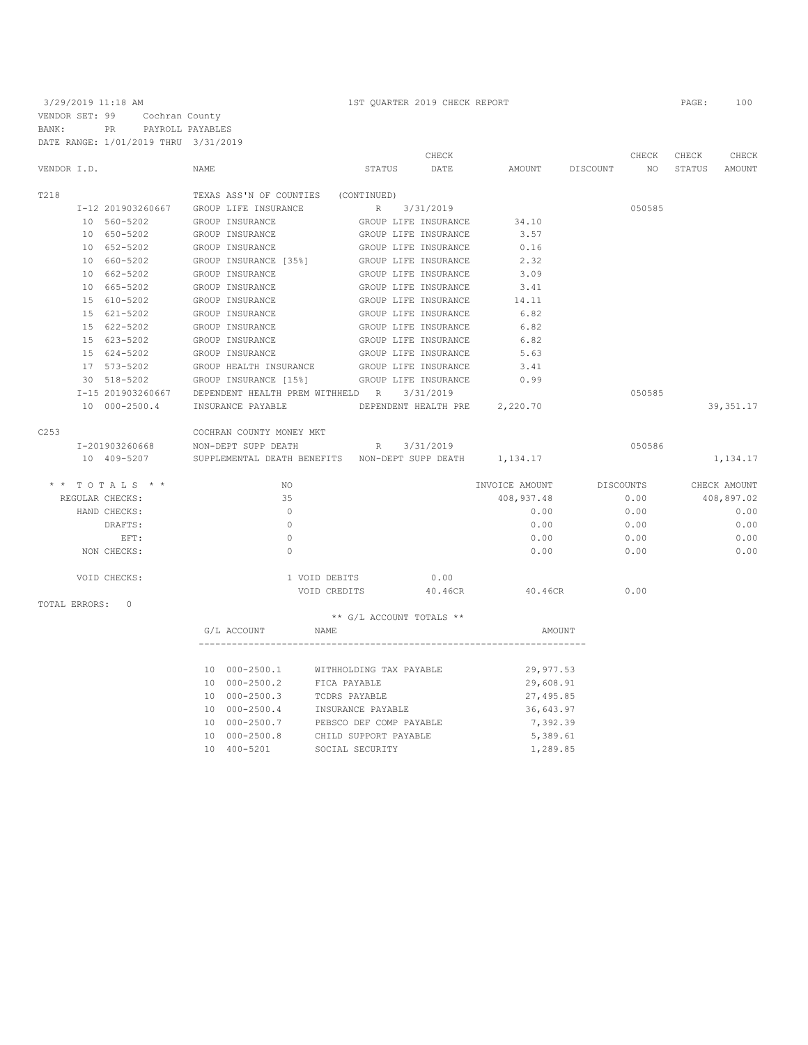3/29/2019 11:18 AM 1ST QUARTER 2019 CHECK REPORT PAGE: 100 VENDOR SET: 99 Cochran County BANK: PR PAYROLL PAYABLES DATE RANGE: 1/01/2019 THRU 3/31/2019

|                 |                   |                                                              |                                   | CHECK |                               | CHECK              | CHECK  | CHECK        |
|-----------------|-------------------|--------------------------------------------------------------|-----------------------------------|-------|-------------------------------|--------------------|--------|--------------|
| VENDOR I.D.     |                   | <b>NAME</b>                                                  | STATUS                            | DATE  |                               | AMOUNT DISCOUNT NO | STATUS | AMOUNT       |
| T218            |                   | TEXAS ASS'N OF COUNTIES (CONTINUED)                          |                                   |       |                               |                    |        |              |
|                 | I-12 201903260667 | GROUP LIFE INSURANCE                                         | R 3/31/2019                       |       |                               | 050585             |        |              |
|                 | 10 560-5202       | GROUP INSURANCE                                              | GROUP LIFE INSURANCE              |       | 34.10                         |                    |        |              |
|                 | 10 650-5202       | GROUP INSURANCE                                              | GROUP LIFE INSURANCE              |       | 3.57                          |                    |        |              |
|                 | 10 652-5202       | GROUP INSURANCE                                              | GROUP LIFE INSURANCE              |       | 0.16                          |                    |        |              |
|                 | 10 660-5202       | GROUP INSURANCE [35%] GROUP LIFE INSURANCE                   |                                   |       | 2.32                          |                    |        |              |
|                 | 10 662-5202       | GROUP INSURANCE                                              | GROUP LIFE INSURANCE              |       | 3.09                          |                    |        |              |
|                 | 10 665-5202       | GROUP INSURANCE                                              | GROUP LIFE INSURANCE              |       | 3.41                          |                    |        |              |
|                 | 15 610-5202       | GROUP INSURANCE                                              | GROUP LIFE INSURANCE              |       | 14.11                         |                    |        |              |
|                 | 15 621-5202       | GROUP INSURANCE                                              | GROUP LIFE INSURANCE              |       | 6.82                          |                    |        |              |
|                 | 15 622-5202       | GROUP INSURANCE                                              | GROUP LIFE INSURANCE              |       | 6.82                          |                    |        |              |
|                 | 15 623-5202       | GROUP INSURANCE                                              | GROUP LIFE INSURANCE              |       | 6.82                          |                    |        |              |
|                 | 15 624-5202       | GROUP INSURANCE                                              | GROUP LIFE INSURANCE              |       | 5.63                          |                    |        |              |
|                 | 17 573-5202       | GROUP HEALTH INSURANCE GROUP LIFE INSURANCE                  |                                   |       | 3.41                          |                    |        |              |
|                 | 30 518-5202       | GROUP INSURANCE [15%] GROUP LIFE INSURANCE                   |                                   |       | 0.99                          |                    |        |              |
|                 | I-15 201903260667 | DEPENDENT HEALTH PREM WITHHELD R 3/31/2019                   |                                   |       |                               | 050585             |        |              |
|                 | 10 000-2500.4     | INSURANCE PAYABLE                                            |                                   |       | DEPENDENT HEALTH PRE 2,220.70 |                    |        | 39, 351.17   |
| C253            |                   | COCHRAN COUNTY MONEY MKT                                     |                                   |       |                               |                    |        |              |
|                 | I-201903260668    | NON-DEPT SUPP DEATH R 3/31/2019                              |                                   |       |                               | 050586             |        |              |
|                 | 10 409-5207       | SUPPLEMENTAL DEATH BENEFITS   NON-DEPT SUPP DEATH   1,134.17 |                                   |       |                               |                    |        | 1,134.17     |
|                 | $*$ * TOTALS * *  | NO.                                                          |                                   |       | INVOICE AMOUNT                | DISCOUNTS          |        | CHECK AMOUNT |
|                 | REGULAR CHECKS:   | 35                                                           |                                   |       | 408,937.48                    | 0.00               |        | 408,897.02   |
|                 | HAND CHECKS:      | $\Omega$                                                     |                                   |       | 0.00                          | 0.00               |        | 0.00         |
|                 | DRAFTS:           | $\mathbf{0}$                                                 |                                   |       | 0.00                          | 0.00               |        | 0.00         |
|                 | EFT:              | $\Omega$                                                     |                                   |       | 0.00                          | 0.00               |        | 0.00         |
|                 | NON CHECKS:       | $\Omega$                                                     |                                   |       | 0.00                          | 0.00               |        | 0.00         |
|                 | VOID CHECKS:      |                                                              | 1 VOID DEBITS                     | 0.00  |                               |                    |        |              |
|                 |                   |                                                              | VOID CREDITS 40.46CR              |       | 40.46CR                       | 0.00               |        |              |
| TOTAL ERRORS: 0 |                   |                                                              |                                   |       |                               |                    |        |              |
|                 |                   | G/L ACCOUNT                                                  | ** G/L ACCOUNT TOTALS **<br>NAME. |       | AMOUNT                        |                    |        |              |
|                 |                   |                                                              |                                   |       |                               |                    |        |              |
|                 |                   |                                                              |                                   |       | 29,977.53                     |                    |        |              |
|                 |                   | 10 000-2500.1 WITHHOLDING TAX PAYABLE<br>10 000-2500.2       | FICA PAYABLE                      |       | 29,608.91                     |                    |        |              |
|                 |                   | 10 000-2500.3                                                | TCDRS PAYABLE                     |       | 27,495.85                     |                    |        |              |
|                 |                   | 10 000-2500.4                                                | INSURANCE PAYABLE                 |       | 36,643.97                     |                    |        |              |
|                 |                   | 10 000-2500.7                                                | PEBSCO DEF COMP PAYABLE           |       | 7,392.39                      |                    |        |              |
|                 |                   | 10 000-2500.8                                                | CHILD SUPPORT PAYABLE             |       | 5,389.61                      |                    |        |              |
|                 |                   | 10 400-5201                                                  | SOCIAL SECURITY                   |       | 1,289.85                      |                    |        |              |
|                 |                   |                                                              |                                   |       |                               |                    |        |              |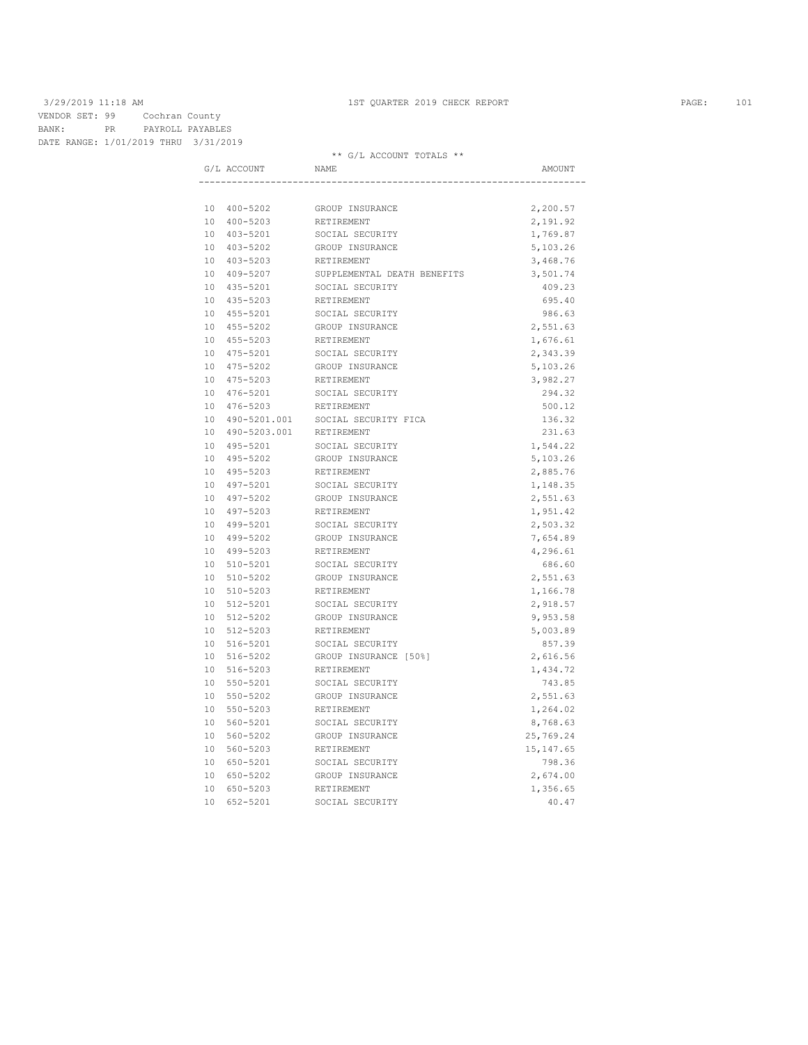3/29/2019 11:18 AM 1ST QUARTER 2019 CHECK REPORT PAGE: 101 VENDOR SET: 99 Cochran County BANK: PR PAYROLL PAYABLES DATE RANGE: 1/01/2019 THRU 3/31/2019

| G/L ACCOUNT        | NAME                        | AMOUNT     |
|--------------------|-----------------------------|------------|
|                    |                             |            |
| 10 400-5202        | GROUP INSURANCE             | 2,200.57   |
| 10 400-5203        | RETIREMENT                  | 2,191.92   |
| 10 403-5201        | SOCIAL SECURITY             | 1,769.87   |
| 10 403-5202        | GROUP INSURANCE             | 5,103.26   |
| 10 403-5203        | RETIREMENT                  | 3,468.76   |
| 10 409-5207        | SUPPLEMENTAL DEATH BENEFITS | 3,501.74   |
| 10 435-5201        | SOCIAL SECURITY             | 409.23     |
| 10 435-5203        | RETIREMENT                  | 695.40     |
| 10 455-5201        | SOCIAL SECURITY             | 986.63     |
| 10 455-5202        | GROUP INSURANCE             | 2,551.63   |
| 10 455-5203        | RETIREMENT                  | 1,676.61   |
| 10 475-5201        | SOCIAL SECURITY             | 2,343.39   |
| 10 475-5202        | GROUP INSURANCE             | 5,103.26   |
| 475-5203<br>10     | RETIREMENT                  | 3,982.27   |
| 10 476-5201        | SOCIAL SECURITY             | 294.32     |
| 10<br>476-5203     | RETIREMENT                  | 500.12     |
| 10 490-5201.001    | SOCIAL SECURITY FICA        | 136.32     |
| 10<br>490-5203.001 | RETIREMENT                  | 231.63     |
| 10 495-5201        | SOCIAL SECURITY             | 1,544.22   |
| 10 495-5202        | GROUP INSURANCE             | 5,103.26   |
| 10 495-5203        | RETIREMENT                  | 2,885.76   |
| 10 497-5201        | SOCIAL SECURITY             | 1,148.35   |
| 10 497-5202        | GROUP INSURANCE             | 2,551.63   |
| 10 497-5203        | RETIREMENT                  | 1,951.42   |
| 10 499-5201        | SOCIAL SECURITY             | 2,503.32   |
| 10 499-5202        | GROUP INSURANCE             | 7,654.89   |
| 10 499-5203        | RETIREMENT                  | 4,296.61   |
| 10 510-5201        | SOCIAL SECURITY             | 686.60     |
| 10 510-5202        | GROUP INSURANCE             | 2,551.63   |
| 10 510-5203        | RETIREMENT                  | 1,166.78   |
| 10 512-5201        | SOCIAL SECURITY             | 2,918.57   |
| 10 512-5202        | GROUP INSURANCE             | 9,953.58   |
| 10 512-5203        | RETIREMENT                  | 5,003.89   |
| 10 516-5201        | SOCIAL SECURITY             | 857.39     |
| 10 516-5202        | GROUP INSURANCE [50%]       | 2,616.56   |
| 10 516-5203        | RETIREMENT                  | 1,434.72   |
| 10 550-5201        | SOCIAL SECURITY             | 743.85     |
| 10 550-5202        | GROUP INSURANCE             | 2,551.63   |
| 10 550-5203        | RETIREMENT                  | 1,264.02   |
| 10 560-5201        | SOCIAL SECURITY             | 8,768.63   |
| 10 560-5202        | GROUP INSURANCE             | 25,769.24  |
| 10 560-5203        | RETIREMENT                  | 15, 147.65 |
| 10 650-5201        | SOCIAL SECURITY             | 798.36     |
| 10 650-5202        | GROUP INSURANCE             | 2,674.00   |
| 10 650-5203        | RETIREMENT                  | 1,356.65   |
| 652-5201<br>10     | SOCIAL SECURITY             | 40.47      |
|                    |                             |            |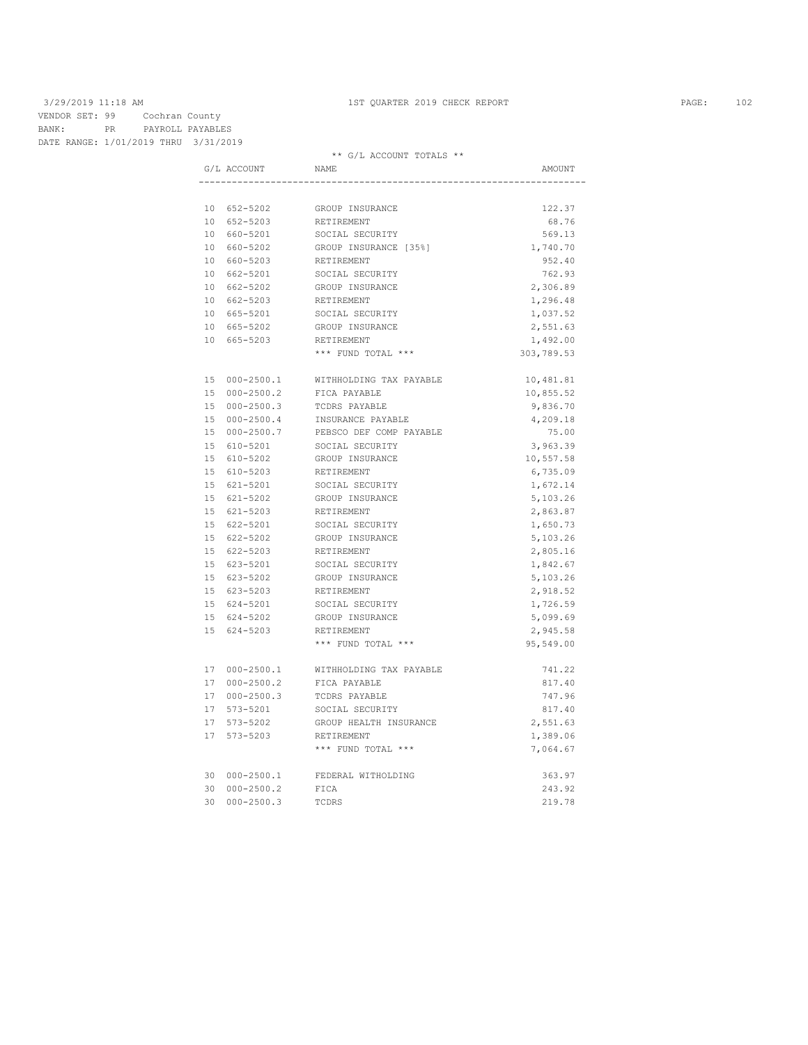3/29/2019 11:18 AM 1ST QUARTER 2019 CHECK REPORT PAGE: 102 VENDOR SET: 99 Cochran County BANK: PR PAYROLL PAYABLES BANK: FR 1011822 ----<br>DATE RANGE: 1/01/2019 THRU 3/31/2019

|               | U/L ACCOUNT TOIATH      |            |
|---------------|-------------------------|------------|
| G/L ACCOUNT   | NAME                    | AMOUNT     |
|               |                         |            |
| 10 652-5202   | GROUP INSURANCE         | 122.37     |
| 10 652-5203   | RETIREMENT              | 68.76      |
| 10 660-5201   | SOCIAL SECURITY         | 569.13     |
| 10 660-5202   | GROUP INSURANCE [35%]   | 1,740.70   |
| 10 660-5203   | RETIREMENT              | 952.40     |
| 10 662-5201   | SOCIAL SECURITY         | 762.93     |
| 10 662-5202   | GROUP INSURANCE         | 2,306.89   |
| 10 662-5203   | RETIREMENT              | 1,296.48   |
| 10 665-5201   | SOCIAL SECURITY         | 1,037.52   |
| 10 665-5202   | GROUP INSURANCE         | 2,551.63   |
| 10 665-5203   | RETIREMENT              | 1,492.00   |
|               | *** FUND TOTAL ***      | 303,789.53 |
| 15 000-2500.1 | WITHHOLDING TAX PAYABLE | 10,481.81  |
| 15 000-2500.2 | FICA PAYABLE            | 10,855.52  |
| 15 000-2500.3 | TCDRS PAYABLE           | 9,836.70   |
| 15 000-2500.4 | INSURANCE PAYABLE       | 4,209.18   |
| 15 000-2500.7 | PEBSCO DEF COMP PAYABLE | 75.00      |
| 15 610-5201   | SOCIAL SECURITY         | 3,963.39   |
| 15 610-5202   | GROUP INSURANCE         | 10,557.58  |
| 15 610-5203   | RETIREMENT              | 6,735.09   |
| 15 621-5201   | SOCIAL SECURITY         | 1,672.14   |
| 15 621-5202   | GROUP INSURANCE         | 5,103.26   |
| 15 621-5203   | RETIREMENT              | 2,863.87   |
| 15 622-5201   | SOCIAL SECURITY         | 1,650.73   |
| 15 622-5202   | GROUP INSURANCE         | 5,103.26   |
| 15 622-5203   | RETIREMENT              | 2,805.16   |
| 15 623-5201   | SOCIAL SECURITY         | 1,842.67   |
| 15 623-5202   | GROUP INSURANCE         | 5,103.26   |
| 15 623-5203   | RETIREMENT              | 2,918.52   |
| 15 624-5201   | SOCIAL SECURITY         | 1,726.59   |
| 15 624-5202   | GROUP INSURANCE         | 5,099.69   |
| 15 624-5203   | RETIREMENT              | 2,945.58   |
|               | *** FUND TOTAL ***      | 95,549.00  |
| 17 000-2500.1 | WITHHOLDING TAX PAYABLE | 741.22     |
| 17 000-2500.2 | FICA PAYABLE            | 817.40     |
| 17 000-2500.3 | TCDRS PAYABLE           | 747.96     |
| 17 573-5201   | SOCIAL SECURITY         | 817.40     |
| 17 573-5202   | GROUP HEALTH INSURANCE  | 2,551.63   |
| 17 573-5203   | RETIREMENT              | 1,389.06   |
|               | *** FUND TOTAL ***      | 7,064.67   |
| 30 000-2500.1 | FEDERAL WITHOLDING      | 363.97     |
| 30 000-2500.2 | FICA                    | 243.92     |
| 30 000-2500.3 | TCDRS                   | 219.78     |
|               |                         |            |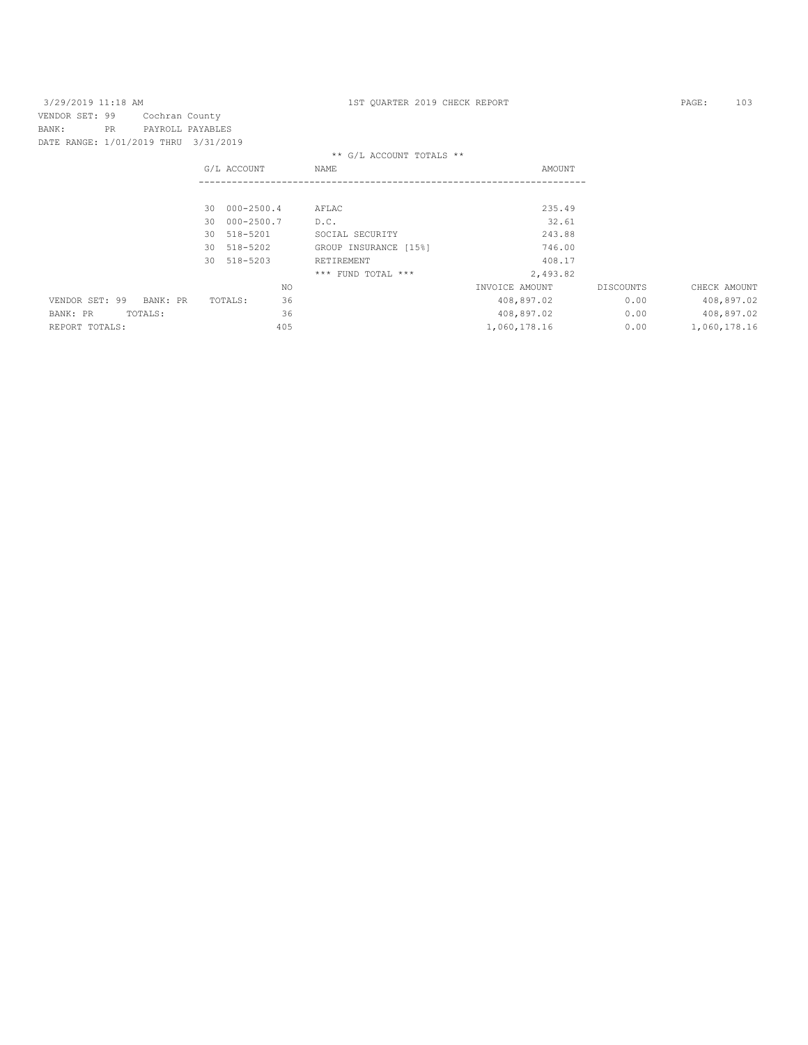| 3/29/2019 11:18 AM                   |           |                  |    |                |     | 1ST OUARTER 2019 CHECK REPORT |                |           | PAGE:        | 103        |
|--------------------------------------|-----------|------------------|----|----------------|-----|-------------------------------|----------------|-----------|--------------|------------|
| VENDOR SET: 99                       |           | Cochran County   |    |                |     |                               |                |           |              |            |
| BANK:                                | <b>PR</b> | PAYROLL PAYABLES |    |                |     |                               |                |           |              |            |
| DATE RANGE: 1/01/2019 THRU 3/31/2019 |           |                  |    |                |     |                               |                |           |              |            |
|                                      |           |                  |    |                |     | ** G/L ACCOUNT TOTALS **      |                |           |              |            |
|                                      |           |                  |    | G/L ACCOUNT    |     | NAME                          | AMOUNT         |           |              |            |
|                                      |           |                  |    |                |     |                               |                |           |              |            |
|                                      |           |                  |    | 30 000-2500.4  |     | AFLAC                         | 235.49         |           |              |            |
|                                      |           |                  | 30 | $000 - 2500.7$ |     | D.C.                          | 32.61          |           |              |            |
|                                      |           |                  | 30 | 518-5201       |     | SOCIAL SECURITY               | 243.88         |           |              |            |
|                                      |           |                  | 30 | 518-5202       |     | GROUP INSURANCE [15%]         | 746.00         |           |              |            |
|                                      |           |                  |    | 30 518-5203    |     | RETIREMENT                    | 408.17         |           |              |            |
|                                      |           |                  |    |                |     | *** FUND TOTAL ***            | 2,493.82       |           |              |            |
|                                      |           |                  |    |                | NO. |                               | INVOICE AMOUNT | DISCOUNTS | CHECK AMOUNT |            |
| VENDOR SET: 99                       |           | BANK: PR         |    | TOTALS:        | 36  |                               | 408,897.02     | 0.00      |              | 408,897.02 |
| BANK: PR                             |           | TOTALS:          |    |                | 36  |                               | 408,897.02     | 0.00      |              | 408,897.02 |
| REPORT TOTALS:                       |           |                  |    |                | 405 |                               | 1,060,178.16   | 0.00      | 1,060,178.16 |            |
|                                      |           |                  |    |                |     |                               |                |           |              |            |